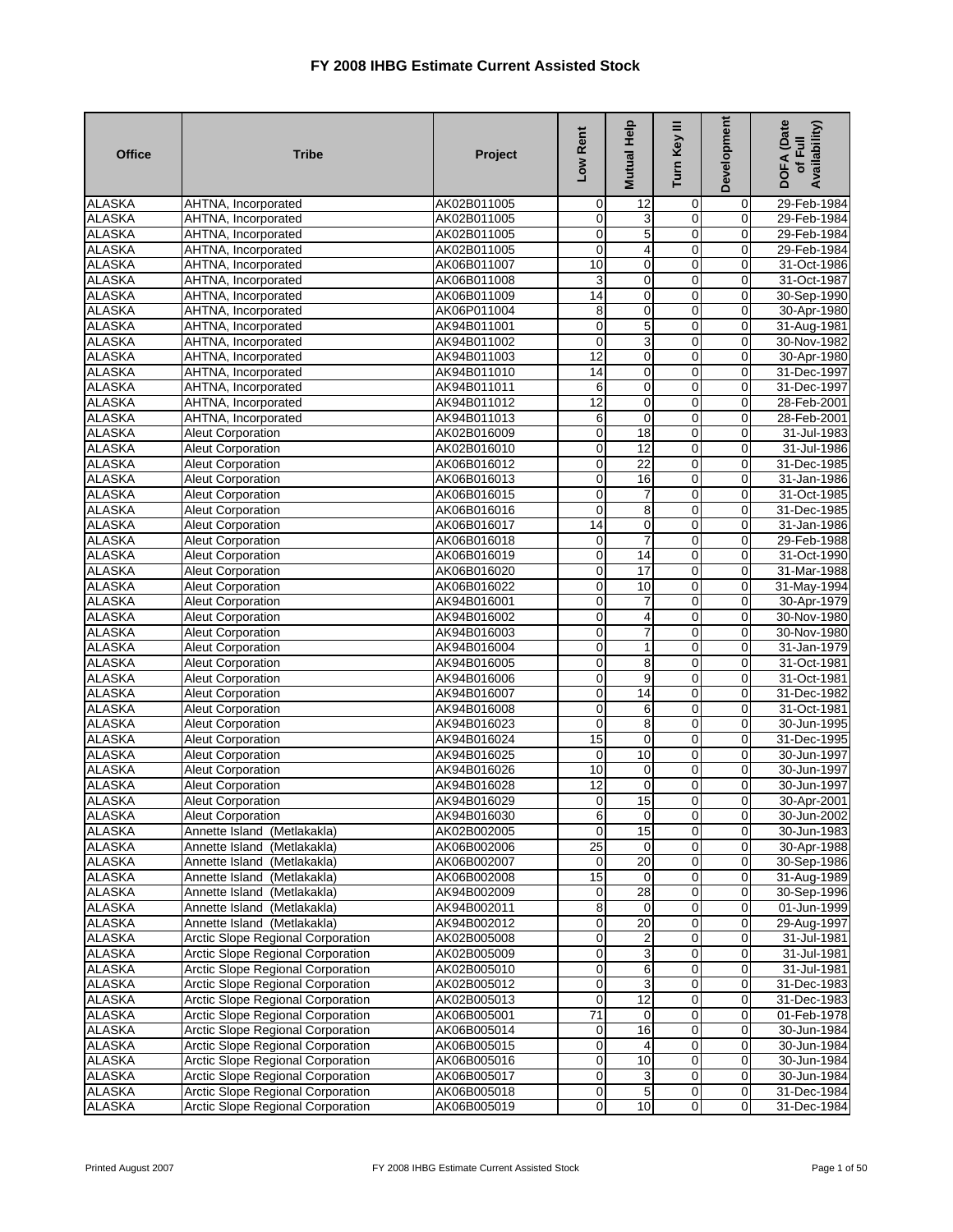| <b>Office</b>                  | <b>Tribe</b>                                         | Project                    | Low Rent                   | <b>Mutual Help</b>           | Turn Key III                  | Development                 | <b>DOFA</b> (Date<br>Availability)<br>of Full |
|--------------------------------|------------------------------------------------------|----------------------------|----------------------------|------------------------------|-------------------------------|-----------------------------|-----------------------------------------------|
| <b>ALASKA</b>                  | AHTNA, Incorporated                                  | AK02B011005                | $\mathbf 0$                | 12                           | 0                             | 0                           | 29-Feb-1984                                   |
| <b>ALASKA</b>                  | AHTNA, Incorporated                                  | AK02B011005                | $\mathbf 0$                | 3                            | $\overline{0}$                | 0                           | 29-Feb-1984                                   |
| <b>ALASKA</b>                  | AHTNA, Incorporated                                  | AK02B011005                | $\mathbf 0$                | 5                            | $\overline{0}$                | 0                           | 29-Feb-1984                                   |
| <b>ALASKA</b>                  | AHTNA, Incorporated                                  | AK02B011005                | $\mathbf 0$                | 4                            | 0                             | 0                           | 29-Feb-1984                                   |
| <b>ALASKA</b>                  | AHTNA, Incorporated                                  | AK06B011007                | $\overline{10}$            | O                            | $\overline{0}$                | 0                           | 31-Oct-1986                                   |
| <b>ALASKA</b>                  | AHTNA, Incorporated                                  | AK06B011008                | 3                          | 0                            | $\mathbf 0$                   | 0                           | 31-Oct-1987                                   |
| <b>ALASKA</b>                  | AHTNA, Incorporated                                  | AK06B011009                | $\overline{14}$            | $\mathbf 0$                  | $\overline{0}$                | $\mathbf 0$                 | 30-Sep-1990                                   |
| <b>ALASKA</b>                  | AHTNA, Incorporated                                  | AK06P011004                | ø                          | 0                            | 0                             | 0                           | 30-Apr-1980                                   |
| <b>ALASKA</b>                  | AHTNA, Incorporated                                  | AK94B011001                | $\mathbf 0$                | 5                            | $\overline{0}$                | $\pmb{0}$                   | 31-Aug-1981                                   |
| <b>ALASKA</b>                  | AHTNA, Incorporated                                  | AK94B011002                | $\mathbf 0$                | 3                            | $\mathbf 0$                   | 0                           | 30-Nov-1982                                   |
| <b>ALASKA</b>                  | AHTNA, Incorporated                                  | AK94B011003                | 12                         | 0                            | 0                             | 0                           | 30-Apr-1980                                   |
| <b>ALASKA</b>                  | AHTNA, Incorporated                                  | AK94B011010                | 14                         | O                            | $\overline{0}$                | $\overline{0}$              | 31-Dec-1997                                   |
| <b>ALASKA</b>                  | AHTNA, Incorporated                                  | AK94B011011                | 6                          | $\mathbf 0$                  | $\mathbf 0$                   | 0                           | 31-Dec-1997                                   |
| <b>ALASKA</b>                  | AHTNA, Incorporated                                  | AK94B011012                | 12                         | $\mathbf 0$                  | $\mathbf 0$                   | 0                           | 28-Feb-2001                                   |
| <b>ALASKA</b><br><b>ALASKA</b> | AHTNA, Incorporated                                  | AK94B011013                | 6<br>$\overline{0}$        | $\pmb{0}$<br>$\overline{18}$ | $\mathbf 0$<br>$\overline{0}$ | 0                           | 28-Feb-2001                                   |
|                                | <b>Aleut Corporation</b>                             | AK02B016009<br>AK02B016010 |                            | 12                           | $\overline{0}$                | 0                           | 31-Jul-1983<br>31-Jul-1986                    |
| <b>ALASKA</b>                  | <b>Aleut Corporation</b>                             |                            | $\overline{0}$             |                              |                               | $\mathbf 0$<br>$\mathbf 0$  |                                               |
| <b>ALASKA</b><br><b>ALASKA</b> | <b>Aleut Corporation</b><br><b>Aleut Corporation</b> | AK06B016012<br>AK06B016013 | $\mathbf 0$<br>$\mathbf 0$ | 22                           | 0<br>0                        |                             | 31-Dec-1985                                   |
|                                |                                                      |                            | $\overline{0}$             | 16                           | $\overline{0}$                | 0                           | 31-Jan-1986                                   |
| <b>ALASKA</b><br><b>ALASKA</b> | <b>Aleut Corporation</b>                             | AK06B016015                | $\mathbf 0$                | 7                            | $\overline{0}$                | $\pmb{0}$<br>$\overline{0}$ | 31-Oct-1985                                   |
|                                | Aleut Corporation                                    | AK06B016016                | 14                         | $\overline{8}$               | 0                             |                             | 31-Dec-1985                                   |
| <b>ALASKA</b><br><b>ALASKA</b> | <b>Aleut Corporation</b><br><b>Aleut Corporation</b> | AK06B016017<br>AK06B016018 | $\mathbf 0$                | 0<br>$\overline{7}$          | $\overline{0}$                | 0<br>$\mathbf 0$            | 31-Jan-1986<br>29-Feb-1988                    |
| <b>ALASKA</b>                  | <b>Aleut Corporation</b>                             | AK06B016019                | $\mathbf 0$                | 14                           | $\overline{0}$                | 0                           | 31-Oct-1990                                   |
| <b>ALASKA</b>                  | <b>Aleut Corporation</b>                             | AK06B016020                | $\mathbf 0$                | 17                           | $\mathbf 0$                   | 0                           | 31-Mar-1988                                   |
| <b>ALASKA</b>                  | <b>Aleut Corporation</b>                             | AK06B016022                | $\overline{0}$             | 10                           | $\overline{0}$                | $\mathbf 0$                 |                                               |
| <b>ALASKA</b>                  | <b>Aleut Corporation</b>                             | AK94B016001                | $\overline{0}$             | 7                            | $\overline{0}$                | $\mathbf 0$                 | 31-May-1994<br>30-Apr-1979                    |
| <b>ALASKA</b>                  | <b>Aleut Corporation</b>                             | AK94B016002                | $\mathbf 0$                | 4                            | $\overline{0}$                | $\mathbf 0$                 | 30-Nov-1980                                   |
| <b>ALASKA</b>                  | Aleut Corporation                                    | AK94B016003                | $\mathbf 0$                | 7                            | $\overline{0}$                | $\mathbf 0$                 | 30-Nov-1980                                   |
| <b>ALASKA</b>                  | <b>Aleut Corporation</b>                             | AK94B016004                | $\overline{0}$             | 1                            | 0                             | 0                           | 31-Jan-1979                                   |
| <b>ALASKA</b>                  | Aleut Corporation                                    | AK94B016005                | $\mathbf 0$                | 8                            | $\mathbf 0$                   | $\pmb{0}$                   | 31-Oct-1981                                   |
| <b>ALASKA</b>                  | Aleut Corporation                                    | AK94B016006                | $\mathbf 0$                | 9                            | $\overline{0}$                | $\mathbf 0$                 | 31-Oct-1981                                   |
| <b>ALASKA</b>                  | <b>Aleut Corporation</b>                             | AK94B016007                | $\overline{0}$             | 14                           | $\overline{0}$                | 0                           | 31-Dec-1982                                   |
| <b>ALASKA</b>                  | Aleut Corporation                                    | AK94B016008                | $\mathbf 0$                | 6                            | $\mathbf 0$                   | $\mathbf 0$                 | 31-Oct-1981                                   |
| <b>ALASKA</b>                  | <b>Aleut Corporation</b>                             | AK94B016023                | $\mathbf 0$                | 8                            | 0                             | 0                           | 30-Jun-1995                                   |
| <b>ALASKA</b>                  | Aleut Corporation                                    | AK94B016024                | 15                         | $\mathbf 0$                  | 0                             | 0                           | 31-Dec-1995                                   |
| <b>ALASKA</b>                  | Aleut Corporation                                    | AK94B016025                | $\mathbf 0$                | 10                           | $\overline{0}$                | $\overline{0}$              | 30-Jun-1997                                   |
| <b>ALASKA</b>                  | <b>Aleut Corporation</b>                             | AK94B016026                | 10                         | $\mathbf 0$                  | $\mathbf 0$                   | $\mathbf 0$                 | 30-Jun-1997                                   |
| <b>ALASKA</b>                  | <b>Aleut Corporation</b>                             | AK94B016028                | 12                         | $\mathbf 0$                  | 0                             | $\mathbf 0$                 | 30-Jun-1997                                   |
| <b>ALASKA</b>                  | <b>Aleut Corporation</b>                             | AK94B016029                | $\mathbf 0$                | 15                           | $\mathbf 0$                   | $\mathbf 0$                 | 30-Apr-2001                                   |
| <b>ALASKA</b>                  | Aleut Corporation                                    | AK94B016030                | 6                          | $\overline{0}$               | $\overline{0}$                | οI                          | 30-Jun-2002                                   |
| <b>ALASKA</b>                  | Annette Island (Metlakakla)                          | AK02B002005                | $\overline{0}$             | 15                           | $\overline{0}$                | $\overline{0}$              | 30-Jun-1983                                   |
| <b>ALASKA</b>                  | Annette Island (Metlakakla)                          | AK06B002006                | 25                         | $\mathbf 0$                  | 0                             | 0                           | 30-Apr-1988                                   |
| <b>ALASKA</b>                  | Annette Island (Metlakakla)                          | AK06B002007                | $\mathbf 0$                | 20                           | 0                             | 0                           | 30-Sep-1986                                   |
| <b>ALASKA</b>                  | Annette Island (Metlakakla)                          | AK06B002008                | 15                         | $\mathbf 0$                  | $\pmb{0}$                     | $\mathbf 0$                 | 31-Aug-1989                                   |
| <b>ALASKA</b>                  | Annette Island (Metlakakla)                          | AK94B002009                | $\pmb{0}$                  | $\overline{28}$              | $\overline{0}$                | $\mathbf 0$                 | 30-Sep-1996                                   |
| <b>ALASKA</b>                  | Annette Island (Metlakakla)                          | AK94B002011                | $\bf 8$                    | $\mathbf 0$                  | 0                             | $\pmb{0}$                   | 01-Jun-1999                                   |
| <b>ALASKA</b>                  | Annette Island (Metlakakla)                          | AK94B002012                | $\overline{0}$             | 20                           | $\mathbf 0$                   | $\pmb{0}$                   | 29-Aug-1997                                   |
| <b>ALASKA</b>                  | <b>Arctic Slope Regional Corporation</b>             | AK02B005008                | $\mathbf 0$                | 2                            | $\overline{0}$                | $\mathbf 0$                 | 31-Jul-1981                                   |
| <b>ALASKA</b>                  | <b>Arctic Slope Regional Corporation</b>             | AK02B005009                | $\mathbf 0$                | 3                            | 0                             | 0                           | 31-Jul-1981                                   |
| <b>ALASKA</b>                  | Arctic Slope Regional Corporation                    | AK02B005010                | $\overline{0}$             | 6                            | $\mathbf 0$                   | $\mathbf 0$                 | 31-Jul-1981                                   |
| <b>ALASKA</b>                  | <b>Arctic Slope Regional Corporation</b>             | AK02B005012                | $\overline{0}$             | 3                            | $\mathbf 0$                   | $\mathbf 0$                 | 31-Dec-1983                                   |
| <b>ALASKA</b>                  | <b>Arctic Slope Regional Corporation</b>             | AK02B005013                | $\pmb{0}$                  | 12                           | $\overline{0}$                | 0                           | 31-Dec-1983                                   |
| <b>ALASKA</b>                  | Arctic Slope Regional Corporation                    | AK06B005001                | $\overline{71}$            | 0                            | 0                             | $\mathbf 0$                 | 01-Feb-1978                                   |
| <b>ALASKA</b>                  | Arctic Slope Regional Corporation                    | AK06B005014                | $\mathbf 0$                | 16                           | 0                             | $\pmb{0}$                   | 30-Jun-1984                                   |
| <b>ALASKA</b>                  | <b>Arctic Slope Regional Corporation</b>             | AK06B005015                | $\mathbf 0$                | 4                            | $\pmb{0}$                     | $\pmb{0}$                   | 30-Jun-1984                                   |
| ALASKA                         | Arctic Slope Regional Corporation                    | AK06B005016                | $\overline{0}$             | 10                           | $\mathbf 0$                   | $\mathbf 0$                 | 30-Jun-1984                                   |
| <b>ALASKA</b>                  | Arctic Slope Regional Corporation                    | AK06B005017                | $\mathbf 0$                | 3                            | 0                             | $\mathbf 0$                 | 30-Jun-1984                                   |
| <b>ALASKA</b>                  | <b>Arctic Slope Regional Corporation</b>             | AK06B005018                | $\mathbf 0$                | 5                            | $\overline{0}$                | $\overline{\mathbf{0}}$     | 31-Dec-1984                                   |
| <b>ALASKA</b>                  | Arctic Slope Regional Corporation                    | AK06B005019                | $\overline{0}$             | 10                           | $\mathsf{O}\xspace$           | $\pmb{0}$                   | 31-Dec-1984                                   |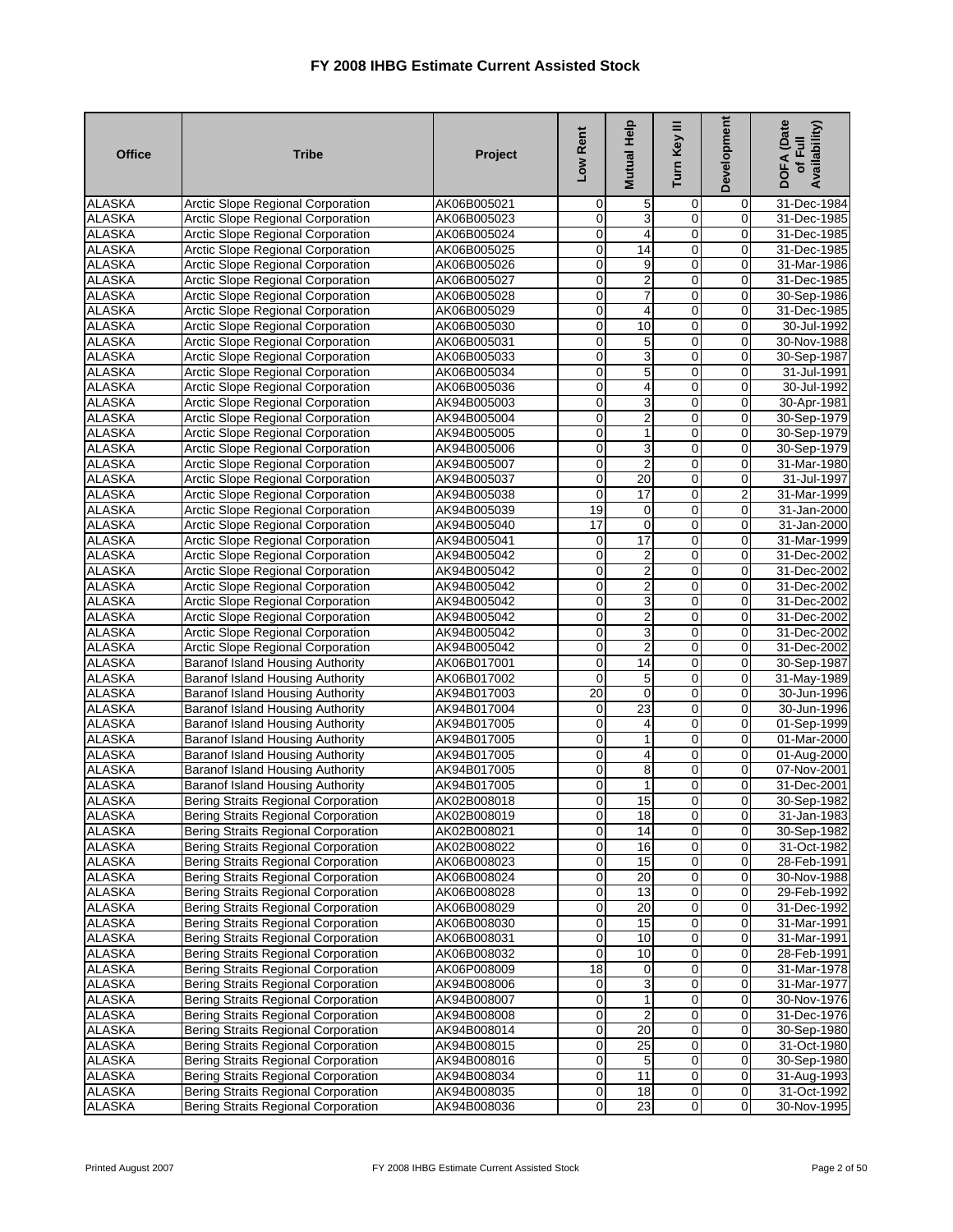| <b>Office</b>                  | <b>Tribe</b>                                                                         | Project                    | Low Rent                         | Mutual Help             | Turn Key III                  | Development         | <b>DOFA</b> (Date<br>Availability)<br>of Full |
|--------------------------------|--------------------------------------------------------------------------------------|----------------------------|----------------------------------|-------------------------|-------------------------------|---------------------|-----------------------------------------------|
| <b>ALASKA</b>                  | Arctic Slope Regional Corporation                                                    | AK06B005021                | $\mathbf 0$                      | 5                       | 0                             | 0                   | 31-Dec-1984                                   |
| <b>ALASKA</b>                  | Arctic Slope Regional Corporation                                                    | AK06B005023                | $\mathbf 0$                      | 3                       | $\overline{0}$                | 0                   | 31-Dec-1985                                   |
| <b>ALASKA</b>                  | <b>Arctic Slope Regional Corporation</b>                                             | AK06B005024                | $\pmb{0}$                        | 4                       | $\overline{0}$                | 0                   | 31-Dec-1985                                   |
| <b>ALASKA</b>                  | Arctic Slope Regional Corporation                                                    | AK06B005025                | 0                                | 14                      | $\overline{0}$                | $\mathbf 0$         | 31-Dec-1985                                   |
| <b>ALASKA</b>                  | Arctic Slope Regional Corporation                                                    | AK06B005026                | $\mathbf 0$                      | 9                       | $\mathbf 0$                   | 0                   | 31-Mar-1986                                   |
| <b>ALASKA</b>                  | Arctic Slope Regional Corporation                                                    | AK06B005027                | $\mathbf 0$                      | 2                       | $\mathbf 0$                   | 0                   | 31-Dec-1985                                   |
| <b>ALASKA</b>                  | <b>Arctic Slope Regional Corporation</b>                                             | AK06B005028                | $\mathbf 0$                      | 7                       | $\mathbf 0$                   | 0                   | 30-Sep-1986                                   |
| <b>ALASKA</b>                  | Arctic Slope Regional Corporation                                                    | AK06B005029                | $\pmb{0}$                        | 4                       | $\mathbf 0$                   | 0                   | 31-Dec-1985                                   |
| <b>ALASKA</b>                  | <b>Arctic Slope Regional Corporation</b>                                             | AK06B005030                | $\mathbf 0$                      | 10                      | $\overline{\mathbf{0}}$       | $\mathbf 0$         | 30-Jul-1992                                   |
| <b>ALASKA</b>                  | Arctic Slope Regional Corporation                                                    | AK06B005031                | $\mathbf 0$                      | 5                       | $\mathbf 0$                   | 0                   | 30-Nov-1988                                   |
| <b>ALASKA</b>                  | Arctic Slope Regional Corporation                                                    | AK06B005033                | 0<br>$\mathbf 0$                 | 3                       | $\mathbf 0$<br>$\overline{0}$ | 0<br>0              | 30-Sep-1987                                   |
| <b>ALASKA</b><br><b>ALASKA</b> | Arctic Slope Regional Corporation                                                    | AK06B005034                | $\mathbf 0$                      | 5                       | $\mathbf 0$                   | 0                   | 31-Jul-1991                                   |
| <b>ALASKA</b>                  | <b>Arctic Slope Regional Corporation</b><br><b>Arctic Slope Regional Corporation</b> | AK06B005036                | $\mathbf 0$                      | 4<br>3                  | $\mathbf 0$                   | 0                   | 30-Jul-1992                                   |
| <b>ALASKA</b>                  | Arctic Slope Regional Corporation                                                    | AK94B005003<br>AK94B005004 | $\mathbf 0$                      | $\overline{\mathbf{c}}$ | $\mathbf 0$                   | 0                   | 30-Apr-1981<br>30-Sep-1979                    |
| <b>ALASKA</b>                  | <b>Arctic Slope Regional Corporation</b>                                             | AK94B005005                | 0                                | 1                       | $\overline{0}$                | 0                   | 30-Sep-1979                                   |
| <b>ALASKA</b>                  | Arctic Slope Regional Corporation                                                    | AK94B005006                | $\overline{0}$                   | 3                       | $\overline{0}$                | 0                   | 30-Sep-1979                                   |
| <b>ALASKA</b>                  | Arctic Slope Regional Corporation                                                    | AK94B005007                | 0                                | $\overline{2}$          | $\overline{0}$                | $\mathbf 0$         | 31-Mar-1980                                   |
| <b>ALASKA</b>                  | Arctic Slope Regional Corporation                                                    | AK94B005037                | $\mathbf 0$                      | 20                      | 0                             | 0                   | 31-Jul-1997                                   |
| <b>ALASKA</b>                  | <b>Arctic Slope Regional Corporation</b>                                             | AK94B005038                | 0                                | $\overline{17}$         | $\overline{0}$                | 2                   | 31-Mar-1999                                   |
| <b>ALASKA</b>                  | Arctic Slope Regional Corporation                                                    | AK94B005039                | 19                               | 0                       | $\overline{0}$                | $\overline{0}$      | 31-Jan-2000                                   |
| <b>ALASKA</b>                  | Arctic Slope Regional Corporation                                                    | AK94B005040                | 17                               | 0                       | $\mathbf 0$                   | 0                   | 31-Jan-2000                                   |
| <b>ALASKA</b>                  | Arctic Slope Regional Corporation                                                    | AK94B005041                | $\pmb{0}$                        | 17                      | $\mathbf 0$                   | $\mathbf 0$         | 31-Mar-1999                                   |
| <b>ALASKA</b>                  | <b>Arctic Slope Regional Corporation</b>                                             | AK94B005042                | $\overline{\mathbf{0}}$          | $\overline{\mathbf{c}}$ | $\overline{0}$                | 0                   | 31-Dec-2002                                   |
| <b>ALASKA</b>                  | <b>Arctic Slope Regional Corporation</b>                                             | AK94B005042                | 0                                | 2                       | $\overline{0}$                | 0                   | 31-Dec-2002                                   |
| <b>ALASKA</b>                  | <b>Arctic Slope Regional Corporation</b>                                             | AK94B005042                | $\mathbf 0$                      | $\overline{2}$          | $\mathbf 0$                   | $\mathbf 0$         | 31-Dec-2002                                   |
| <b>ALASKA</b>                  | <b>Arctic Slope Regional Corporation</b>                                             | AK94B005042                | $\mathbf 0$                      | 3                       | 0                             | 0                   | 31-Dec-2002                                   |
| <b>ALASKA</b>                  | <b>Arctic Slope Regional Corporation</b>                                             | AK94B005042                | $\mathbf 0$                      | $\overline{c}$          | $\overline{0}$                | 0                   | 31-Dec-2002                                   |
| <b>ALASKA</b>                  | Arctic Slope Regional Corporation                                                    | AK94B005042                | 0                                | 3                       | $\overline{0}$                | $\mathbf 0$         | 31-Dec-2002                                   |
| <b>ALASKA</b>                  | Arctic Slope Regional Corporation                                                    | AK94B005042                | $\mathbf 0$                      | $\overline{\mathbf{c}}$ | 0                             | 0                   | 31-Dec-2002                                   |
| <b>ALASKA</b>                  | <b>Baranof Island Housing Authority</b>                                              | AK06B017001                | $\mathsf{O}\xspace$              | 14                      | $\overline{0}$                | $\pmb{0}$           | 30-Sep-1987                                   |
| <b>ALASKA</b>                  | <b>Baranof Island Housing Authority</b>                                              | AK06B017002                | 0                                | 5                       | $\mathbf 0$                   | 0                   | 31-May-1989                                   |
| <b>ALASKA</b>                  | <b>Baranof Island Housing Authority</b>                                              | AK94B017003                | $\overline{20}$                  | $\mathbf 0$             | $\mathbf 0$                   | 0                   | 30-Jun-1996                                   |
| <b>ALASKA</b>                  | <b>Baranof Island Housing Authority</b>                                              | AK94B017004                | $\mathbf 0$                      | 23                      | $\overline{0}$                | $\mathbf 0$         | 30-Jun-1996                                   |
| <b>ALASKA</b>                  | <b>Baranof Island Housing Authority</b>                                              | AK94B017005                | $\mathbf 0$                      | 4                       | $\mathbf 0$                   | 0                   | 01-Sep-1999                                   |
| <b>ALASKA</b>                  | <b>Baranof Island Housing Authority</b>                                              | AK94B017005                | 0                                | 1                       | $\mathbf 0$                   | 0                   | 01-Mar-2000                                   |
| <b>ALASKA</b>                  | <b>Baranof Island Housing Authority</b>                                              | AK94B017005                | $\mathbf 0$                      | 4                       | $\overline{0}$                | 0                   | 01-Aug-2000                                   |
| <b>ALASKA</b>                  | <b>Baranof Island Housing Authority</b>                                              | AK94B017005                | $\mathsf{O}\xspace$              | 8                       | $\mathbf 0$                   | $\mathbf 0$         | 07-Nov-2001                                   |
| <b>ALASKA</b>                  | <b>Baranof Island Housing Authority</b>                                              | AK94B017005                | $\pmb{0}$                        | 1                       | $\mathbf 0$                   | 0                   | 31-Dec-2001                                   |
| <b>ALASKA</b>                  | Bering Straits Regional Corporation                                                  | AK02B008018                | $\mathbf 0$                      | 15                      | $\mathbf 0$                   | $\mathbf 0$         | 30-Sep-1982                                   |
| <b>ALASKA</b>                  | <b>Bering Straits Regional Corporation</b>                                           | AK02B008019                | $\overline{0}$                   | 18                      | $\overline{0}$                | $\overline{0}$      | 31-Jan-1983                                   |
| <b>ALASKA</b>                  | <b>Bering Straits Regional Corporation</b>                                           | AK02B008021                | $\overline{0}$                   | 14                      | $\overline{0}$                | $\overline{0}$      | 30-Sep-1982                                   |
| <b>ALASKA</b>                  | <b>Bering Straits Regional Corporation</b>                                           | AK02B008022                | $\mathbf 0$                      | 16                      | $\mathbf 0$                   | $\mathbf 0$         | 31-Oct-1982                                   |
| <b>ALASKA</b>                  | <b>Bering Straits Regional Corporation</b>                                           | AK06B008023<br>AK06B008024 | $\overline{O}$<br>$\overline{0}$ | 15                      | $\mathbf 0$<br>$\overline{0}$ | $\overline{0}$      | 28-Feb-1991                                   |
| <b>ALASKA</b><br><b>ALASKA</b> | Bering Straits Regional Corporation                                                  |                            | $\mathbf 0$                      | 20<br>$\overline{13}$   | 0                             | $\overline{0}$<br>0 | 30-Nov-1988<br>29-Feb-1992                    |
| <b>ALASKA</b>                  | Bering Straits Regional Corporation<br>Bering Straits Regional Corporation           | AK06B008028<br>AK06B008029 | $\pmb{0}$                        | $\overline{20}$         | 0                             | 0                   | 31-Dec-1992                                   |
| <b>ALASKA</b>                  | Bering Straits Regional Corporation                                                  | AK06B008030                | $\mathbf 0$                      | 15                      | $\mathbf 0$                   | $\mathbf 0$         | 31-Mar-1991                                   |
| <b>ALASKA</b>                  | <b>Bering Straits Regional Corporation</b>                                           | AK06B008031                | $\overline{0}$                   | 10                      | $\overline{0}$                | 0                   | 31-Mar-1991                                   |
| <b>ALASKA</b>                  | <b>Bering Straits Regional Corporation</b>                                           | AK06B008032                | 0                                | 10                      | $\pmb{0}$                     | 0                   | 28-Feb-1991                                   |
| <b>ALASKA</b>                  | Bering Straits Regional Corporation                                                  | AK06P008009                | 18                               | $\mathbf 0$             | $\mathbf 0$                   | 0                   | 31-Mar-1978                                   |
| <b>ALASKA</b>                  | Bering Straits Regional Corporation                                                  | AK94B008006                | $\mathbf 0$                      | 3                       | $\mathbf 0$                   | $\mathbf 0$         | 31-Mar-1977                                   |
| <b>ALASKA</b>                  | <b>Bering Straits Regional Corporation</b>                                           | AK94B008007                | 0                                | 1                       | $\mathbf 0$                   | 0                   | 30-Nov-1976                                   |
| <b>ALASKA</b>                  | Bering Straits Regional Corporation                                                  | AK94B008008                | $\mathbf 0$                      | $\overline{2}$          | 0                             | $\mathbf 0$         | 31-Dec-1976                                   |
| <b>ALASKA</b>                  | Bering Straits Regional Corporation                                                  | AK94B008014                | $\overline{O}$                   | 20                      | 0                             | $\overline{0}$      | 30-Sep-1980                                   |
| <b>ALASKA</b>                  | <b>Bering Straits Regional Corporation</b>                                           | AK94B008015                | $\overline{0}$                   | 25                      | $\mathbf 0$                   | 0                   | 31-Oct-1980                                   |
| <b>ALASKA</b>                  | Bering Straits Regional Corporation                                                  | AK94B008016                | $\pmb{0}$                        | 5                       | $\mathbf 0$                   | 0                   | 30-Sep-1980                                   |
| <b>ALASKA</b>                  | <b>Bering Straits Regional Corporation</b>                                           | AK94B008034                | $\overline{O}$                   | 11                      | $\mathbf 0$                   | $\mathbf 0$         | 31-Aug-1993                                   |
| <b>ALASKA</b>                  | Bering Straits Regional Corporation                                                  | AK94B008035                | $\boldsymbol{0}$                 | 18                      | $\overline{0}$                | $\overline{0}$      | 31-Oct-1992                                   |
| <b>ALASKA</b>                  | Bering Straits Regional Corporation                                                  | AK94B008036                | $\boldsymbol{0}$                 | 23                      | $\overline{0}$                | $\mathbf 0$         | 30-Nov-1995                                   |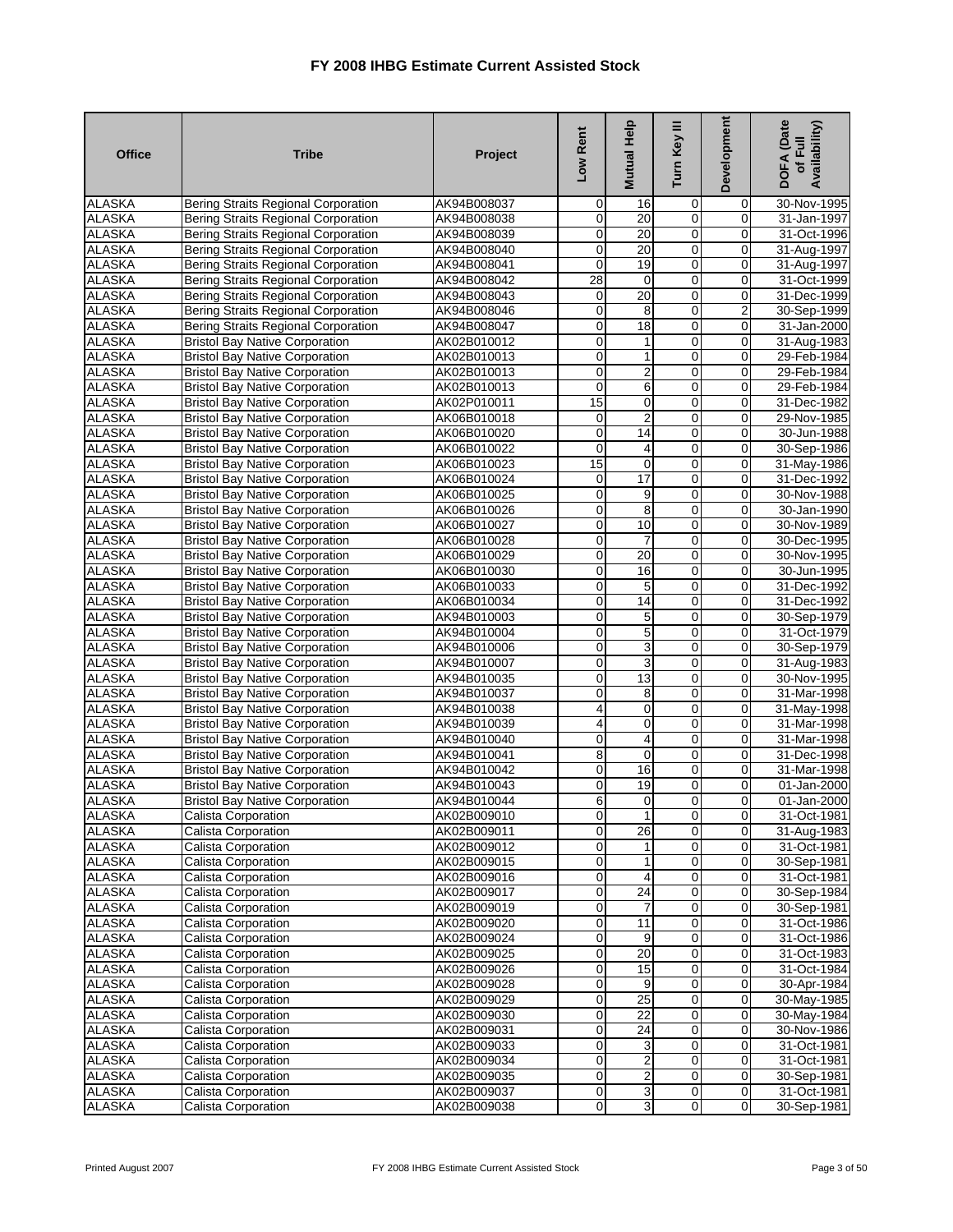| <b>Office</b>                  | <b>Tribe</b>                                                                   | Project                    | Low Rent                   | Mutual Help       | Turn Key III                              | Development             | <b>DOFA</b> (Date<br>Availability)<br>of Full |
|--------------------------------|--------------------------------------------------------------------------------|----------------------------|----------------------------|-------------------|-------------------------------------------|-------------------------|-----------------------------------------------|
| <b>ALASKA</b>                  | Bering Straits Regional Corporation                                            | AK94B008037                | $\mathbf 0$                | 16                | 0                                         | 0                       | 30-Nov-1995                                   |
| <b>ALASKA</b>                  | <b>Bering Straits Regional Corporation</b>                                     | AK94B008038                | $\mathbf 0$                | 20                | $\mathbf 0$                               | $\mathbf 0$             | 31-Jan-1997                                   |
| <b>ALASKA</b>                  | <b>Bering Straits Regional Corporation</b>                                     | AK94B008039                | 0                          | 20                | $\overline{0}$                            | 0                       | 31-Oct-1996                                   |
| <b>ALASKA</b>                  | Bering Straits Regional Corporation                                            | AK94B008040                | 0                          | 20                | $\mathbf 0$                               | 0                       | 31-Aug-1997                                   |
| <b>ALASKA</b>                  | <b>Bering Straits Regional Corporation</b>                                     | AK94B008041                | $\mathbf 0$                | 19                | $\overline{0}$                            | $\mathbf 0$             | 31-Aug-1997                                   |
| <b>ALASKA</b>                  | Bering Straits Regional Corporation                                            | AK94B008042                | 28                         | 0                 | $\mathbf 0$                               | 0                       | 31-Oct-1999                                   |
| <b>ALASKA</b>                  | Bering Straits Regional Corporation                                            | AK94B008043                | $\mathbf 0$                | 20                | $\overline{0}$                            | $\overline{0}$          | 31-Dec-1999                                   |
| <b>ALASKA</b>                  | <b>Bering Straits Regional Corporation</b>                                     | AK94B008046                | 0                          | 8                 | 0                                         | 2                       | 30-Sep-1999                                   |
| <b>ALASKA</b>                  | <b>Bering Straits Regional Corporation</b>                                     | AK94B008047                | $\mathbf 0$                | 18                | $\overline{\mathbf{0}}$                   | $\mathbf 0$             | 31-Jan-2000                                   |
| <b>ALASKA</b>                  | <b>Bristol Bay Native Corporation</b>                                          | AK02B010012                | 0                          | 1                 | $\mathbf 0$                               | 0                       | 31-Aug-1983                                   |
| <b>ALASKA</b>                  | <b>Bristol Bay Native Corporation</b>                                          | AK02B010013                | $\pmb{0}$                  | 1                 | 0                                         | 0                       | 29-Feb-1984                                   |
| <b>ALASKA</b>                  | <b>Bristol Bay Native Corporation</b>                                          | AK02B010013                | $\overline{\mathbf{0}}$    | $\overline{2}$    | $\overline{0}$                            | $\overline{0}$          | 29-Feb-1984                                   |
| <b>ALASKA</b>                  | <b>Bristol Bay Native Corporation</b>                                          | AK02B010013                | 0                          | 6                 | 0                                         | $\mathbf 0$             | 29-Feb-1984                                   |
| <b>ALASKA</b>                  | <b>Bristol Bay Native Corporation</b>                                          | AK02P010011                | $\overline{15}$            | 0                 | $\mathbf 0$                               | 0                       | 31-Dec-1982                                   |
| <b>ALASKA</b>                  | <b>Bristol Bay Native Corporation</b>                                          | AK06B010018                | $\mathbf 0$                | $\overline{2}$    | 0                                         | $\mathbf 0$             | 29-Nov-1985                                   |
| <b>ALASKA</b>                  | <b>Bristol Bay Native Corporation</b>                                          | AK06B010020                | $\overline{\mathbf{0}}$    | 14                | $\overline{0}$                            | 0                       | 30-Jun-1988                                   |
| <b>ALASKA</b>                  | <b>Bristol Bay Native Corporation</b>                                          | AK06B010022                | $\mathbf 0$                | 4                 | $\overline{0}$                            | 0                       | 30-Sep-1986                                   |
| <b>ALASKA</b>                  | <b>Bristol Bay Native Corporation</b>                                          | AK06B010023                | 15                         | $\mathbf 0$       | $\mathbf 0$                               | $\mathbf 0$             | 31-May-1986                                   |
| <b>ALASKA</b>                  | <b>Bristol Bay Native Corporation</b>                                          | AK06B010024                | $\mathbf 0$                | 17                | $\mathbf 0$                               | 0                       | 31-Dec-1992                                   |
| <b>ALASKA</b><br><b>ALASKA</b> | <b>Bristol Bay Native Corporation</b>                                          | AK06B010025                | 0                          | 9                 | $\mathbf 0$<br>$\overline{0}$             | 0<br>$\mathbf 0$        | 30-Nov-1988                                   |
|                                | <b>Bristol Bay Native Corporation</b>                                          | AK06B010026                | 0                          | $\overline{8}$    |                                           |                         | 30-Jan-1990                                   |
| <b>ALASKA</b>                  | <b>Bristol Bay Native Corporation</b>                                          | AK06B010027                | $\mathbf 0$                | 10                | 0                                         | 0                       | 30-Nov-1989                                   |
| <b>ALASKA</b>                  | <b>Bristol Bay Native Corporation</b>                                          | AK06B010028                | $\mathbf 0$                | $\overline{7}$    | $\overline{\mathbf{0}}$<br>$\overline{0}$ | 0<br>0                  | 30-Dec-1995                                   |
| <b>ALASKA</b>                  | <b>Bristol Bay Native Corporation</b>                                          | AK06B010029                | $\mathbf 0$                | 20                | 0                                         |                         | 30-Nov-1995                                   |
| <b>ALASKA</b>                  | <b>Bristol Bay Native Corporation</b>                                          | AK06B010030                | 0                          | 16                |                                           | 0                       | 30-Jun-1995                                   |
| <b>ALASKA</b>                  | <b>Bristol Bay Native Corporation</b>                                          | AK06B010033                | $\mathbf 0$<br>$\mathbf 0$ | $\mathbf 5$<br>14 | $\mathbf 0$<br>0                          | $\mathbf 0$<br>0        | 31-Dec-1992                                   |
| <b>ALASKA</b><br><b>ALASKA</b> | <b>Bristol Bay Native Corporation</b><br><b>Bristol Bay Native Corporation</b> | AK06B010034                | 0                          |                   | $\overline{0}$                            | 0                       | 31-Dec-1992                                   |
| <b>ALASKA</b>                  | <b>Bristol Bay Native Corporation</b>                                          | AK94B010003<br>AK94B010004 | $\mathbf{O}$               | 5<br>5            | $\overline{0}$                            | $\mathbf 0$             | 30-Sep-1979<br>31-Oct-1979                    |
| <b>ALASKA</b>                  | <b>Bristol Bay Native Corporation</b>                                          | AK94B010006                | $\mathbf 0$                | 3                 | $\mathbf 0$                               | 0                       | 30-Sep-1979                                   |
| <b>ALASKA</b>                  | <b>Bristol Bay Native Corporation</b>                                          | AK94B010007                | $\mathbf 0$                | 3                 | $\mathbf 0$                               | 0                       | 31-Aug-1983                                   |
| <b>ALASKA</b>                  | <b>Bristol Bay Native Corporation</b>                                          | AK94B010035                | 0                          | 13                | $\overline{0}$                            | $\overline{0}$          | 30-Nov-1995                                   |
| <b>ALASKA</b>                  | <b>Bristol Bay Native Corporation</b>                                          | AK94B010037                | 0                          | 8                 | 0                                         | 0                       | 31-Mar-1998                                   |
| <b>ALASKA</b>                  | <b>Bristol Bay Native Corporation</b>                                          | AK94B010038                | 4                          | $\mathbf 0$       | $\mathbf 0$                               | 0                       | 31-May-1998                                   |
| <b>ALASKA</b>                  | <b>Bristol Bay Native Corporation</b>                                          | AK94B010039                | 4                          | 0                 | $\mathbf 0$                               | 0                       | 31-Mar-1998                                   |
| <b>ALASKA</b>                  | <b>Bristol Bay Native Corporation</b>                                          | AK94B010040                | 0                          | 4                 | 0                                         | 0                       | 31-Mar-1998                                   |
| <b>ALASKA</b>                  | <b>Bristol Bay Native Corporation</b>                                          | AK94B010041                | 8                          | $\overline{0}$    | $\overline{0}$                            | $\overline{0}$          | 31-Dec-1998                                   |
| <b>ALASKA</b>                  | <b>Bristol Bay Native Corporation</b>                                          | AK94B010042                | $\mathbf 0$                | 16                | $\mathbf 0$                               | 0                       | 31-Mar-1998                                   |
| <b>ALASKA</b>                  | <b>Bristol Bay Native Corporation</b>                                          | AK94B010043                | 0                          | 19                | $\mathbf 0$                               | 0                       | 01-Jan-2000                                   |
| <b>ALASKA</b>                  | <b>Bristol Bay Native Corporation</b>                                          | AK94B010044                | 6                          | $\mathbf 0$       | $\mathbf 0$                               | $\mathbf 0$             | 01-Jan-2000                                   |
| <b>ALASKA</b>                  | <b>Calista Corporation</b>                                                     | AK02B009010                | $\overline{0}$             | 1                 | $\overline{0}$                            | $\overline{0}$          | 31-Oct-1981                                   |
| <b>ALASKA</b>                  | <b>Calista Corporation</b>                                                     | AK02B009011                | $\overline{0}$             | 26                | $\overline{0}$                            | $\overline{0}$          | 31-Aug-1983                                   |
| <b>ALASKA</b>                  | Calista Corporation                                                            | AK02B009012                | $\mathbf 0$                |                   | 0                                         | $\mathbf 0$             | 31-Oct-1981                                   |
| <b>ALASKA</b>                  | Calista Corporation                                                            | AK02B009015                | $\mathsf{O}\xspace$        | $\mathbf{1}$      | $\mathbf 0$                               | $\mathbf 0$             | 30-Sep-1981                                   |
| <b>ALASKA</b>                  | Calista Corporation                                                            | AK02B009016                | $\overline{0}$             | 4                 | $\overline{0}$                            | 0                       | 31-Oct-1981                                   |
| <b>ALASKA</b>                  | Calista Corporation                                                            | AK02B009017                | O                          | 24                | $\overline{0}$                            | 0                       | 30-Sep-1984                                   |
| <b>ALASKA</b>                  | Calista Corporation                                                            | AK02B009019                | $\pmb{0}$                  | 7                 | $\mathbf 0$                               | 0                       | 30-Sep-1981                                   |
| <b>ALASKA</b>                  | Calista Corporation                                                            | AK02B009020                | $\mathbf 0$                | 11                | $\mathbf 0$                               | $\mathbf 0$             | 31-Oct-1986                                   |
| <b>ALASKA</b>                  | <b>Calista Corporation</b>                                                     | AK02B009024                | $\mathbf 0$                | 9                 | 0                                         | 0                       | 31-Oct-1986                                   |
| <b>ALASKA</b>                  | Calista Corporation                                                            | AK02B009025                | 0                          | 20                | 0                                         | 0                       | 31-Oct-1983                                   |
| <b>ALASKA</b>                  | Calista Corporation                                                            | AK02B009026                | $\mathsf{O}\xspace$        | 15                | $\mathbf 0$                               | $\mathbf 0$             | 31-Oct-1984                                   |
| <b>ALASKA</b>                  | Calista Corporation                                                            | AK02B009028                | O                          | 9                 | $\mathbf 0$                               | 0                       | 30-Apr-1984                                   |
| <b>ALASKA</b>                  | <b>Calista Corporation</b>                                                     | AK02B009029                | $\pmb{0}$                  | 25                | $\overline{\mathbf{0}}$                   | 0                       | 30-May-1985                                   |
| <b>ALASKA</b>                  | Calista Corporation                                                            | AK02B009030                | $\mathbf 0$                | $\overline{22}$   | $\mathbf 0$                               | 0                       | 30-May-1984                                   |
| <b>ALASKA</b>                  | Calista Corporation                                                            | AK02B009031                | $\mathbf 0$                | 24                | $\mathbf 0$                               | $\mathbf 0$             | 30-Nov-1986                                   |
| <b>ALASKA</b>                  | Calista Corporation                                                            | AK02B009033                | $\pmb{0}$                  | 3                 | $\mathbf 0$                               | 0                       | 31-Oct-1981                                   |
| <b>ALASKA</b>                  | Calista Corporation                                                            | AK02B009034                | $\mathbf 0$                | $\boldsymbol{2}$  | $\mathbf 0$                               | $\mathbf 0$             | 31-Oct-1981                                   |
| <b>ALASKA</b>                  | Calista Corporation                                                            | AK02B009035                | $\overline{0}$             | $\overline{2}$    | $\mathbf 0$                               | $\mathbf 0$             | 30-Sep-1981                                   |
| <b>ALASKA</b>                  | Calista Corporation                                                            | AK02B009037                | $\overline{0}$             | $\mathbf{3}$      | $\overline{0}$                            | $\overline{\mathbf{0}}$ | 31-Oct-1981                                   |
| <b>ALASKA</b>                  | Calista Corporation                                                            | AK02B009038                | $\overline{0}$             | ω                 | $\mathbf 0$                               | $\pmb{0}$               | 30-Sep-1981                                   |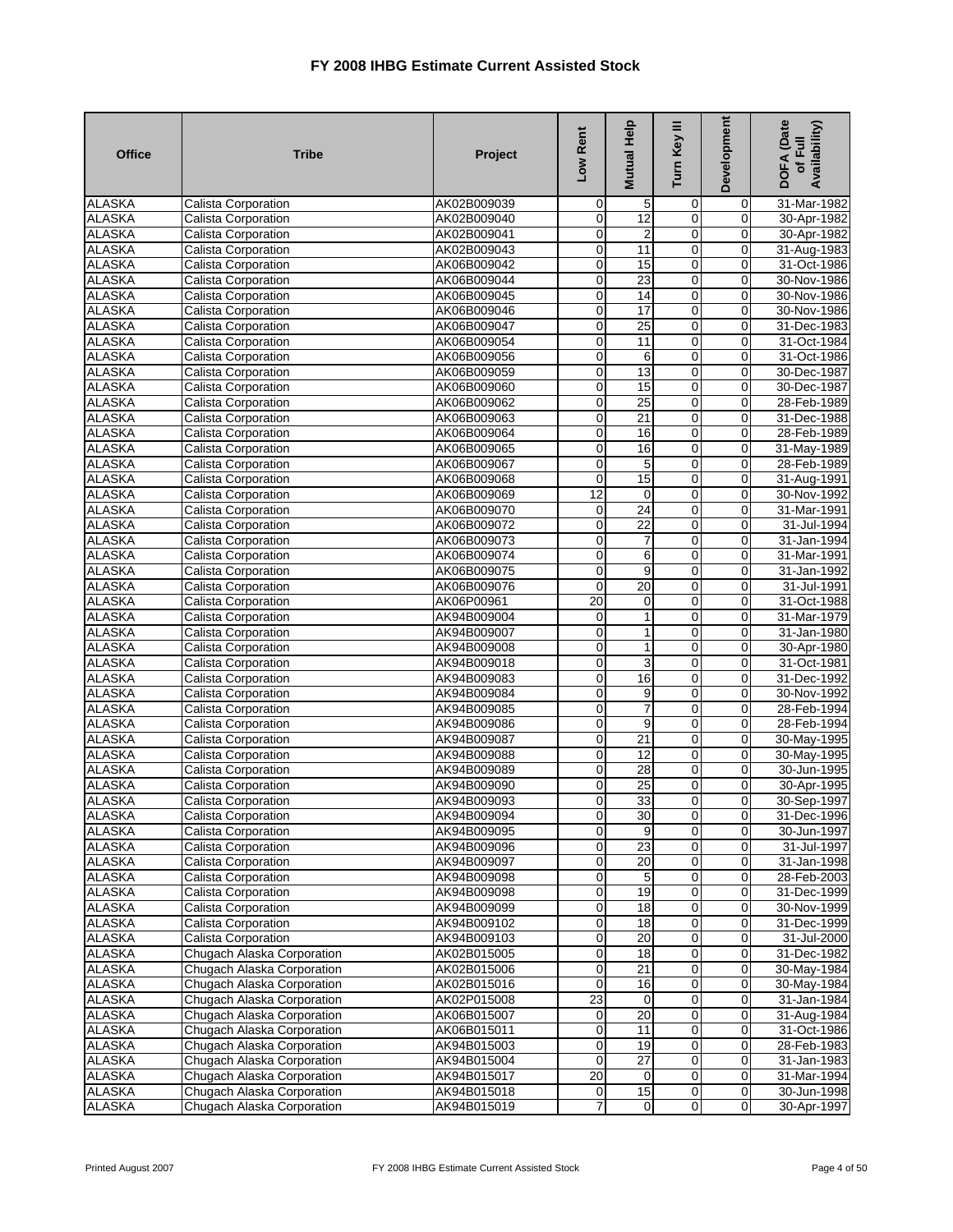| <b>Office</b> | <b>Tribe</b>               | Project     | Low Rent                | Mutual Help     | Turn Key III   | Development             | DOFA (Date<br>Availability)<br>of Full |
|---------------|----------------------------|-------------|-------------------------|-----------------|----------------|-------------------------|----------------------------------------|
| <b>ALASKA</b> | Calista Corporation        | AK02B009039 | $\mathbf 0$             | 5               | 0              | 0                       | 31-Mar-1982                            |
| <b>ALASKA</b> | <b>Calista Corporation</b> | AK02B009040 | $\mathbf 0$             | 12              | $\mathbf 0$    | $\mathbf 0$             | 30-Apr-1982                            |
| <b>ALASKA</b> | Calista Corporation        | AK02B009041 | 0                       | $\overline{2}$  | 0              | 0                       | 30-Apr-1982                            |
| <b>ALASKA</b> | Calista Corporation        | AK02B009043 | $\overline{0}$          | 11              | $\overline{0}$ | $\mathbf 0$             | 31-Aug-1983                            |
| <b>ALASKA</b> | Calista Corporation        | AK06B009042 | $\overline{0}$          | 15              | 0              | 0                       | 31-Oct-1986                            |
| <b>ALASKA</b> | <b>Calista Corporation</b> | AK06B009044 | $\pmb{0}$               | $\overline{23}$ | 0              | $\mathbf 0$             | 30-Nov-1986                            |
| <b>ALASKA</b> | Calista Corporation        | AK06B009045 | $\mathbf 0$             | 14              | 0              | $\mathbf 0$             | 30-Nov-1986                            |
| <b>ALASKA</b> | Calista Corporation        | AK06B009046 | $\mathbf 0$             | 17              | $\overline{0}$ | 0                       | 30-Nov-1986                            |
| <b>ALASKA</b> | Calista Corporation        | AK06B009047 | $\overline{0}$          | 25              | $\overline{0}$ | $\pmb{0}$               | 31-Dec-1983                            |
| <b>ALASKA</b> | Calista Corporation        | AK06B009054 | $\mathbf 0$             | 11              | $\overline{0}$ | $\mathbf 0$             | 31-Oct-1984                            |
| <b>ALASKA</b> | Calista Corporation        | AK06B009056 | $\mathbf 0$             | 6               | 0              | 0                       | 31-Oct-1986                            |
| <b>ALASKA</b> | Calista Corporation        | AK06B009059 | $\overline{0}$          | 13              | $\overline{0}$ | $\mathbf 0$             | 30-Dec-1987                            |
| <b>ALASKA</b> | <b>Calista Corporation</b> | AK06B009060 | $\mathbf 0$             | 15              | 0              | $\mathbf 0$             | 30-Dec-1987                            |
| <b>ALASKA</b> | Calista Corporation        | AK06B009062 | $\pmb{0}$               | 25              | 0              | 0                       | 28-Feb-1989                            |
| <b>ALASKA</b> | Calista Corporation        | AK06B009063 | $\overline{0}$          | 21              | $\overline{0}$ | $\mathbf 0$             | 31-Dec-1988                            |
| <b>ALASKA</b> | Calista Corporation        | AK06B009064 | $\pmb{0}$               | 16              | $\overline{0}$ | 0                       | 28-Feb-1989                            |
| <b>ALASKA</b> | <b>Calista Corporation</b> | AK06B009065 | $\mathbf 0$             | 16              | $\overline{0}$ | $\pmb{0}$               | 31-May-1989                            |
| <b>ALASKA</b> | Calista Corporation        | AK06B009067 | $\mathbf 0$             | $\mathbf 5$     | 0              | $\mathbf 0$             | 28-Feb-1989                            |
| <b>ALASKA</b> | Calista Corporation        | AK06B009068 | $\mathbf 0$             | 15              | $\overline{0}$ | $\mathbf 0$             | 31-Aug-1991                            |
| <b>ALASKA</b> | <b>Calista Corporation</b> | AK06B009069 | 12                      | $\mathbf 0$     | $\overline{0}$ | $\pmb{0}$               | 30-Nov-1992                            |
| <b>ALASKA</b> | Calista Corporation        | AK06B009070 | $\mathbf 0$             | 24              | $\overline{0}$ | $\mathbf 0$             | 31-Mar-1991                            |
| <b>ALASKA</b> | Calista Corporation        | AK06B009072 | $\mathbf 0$             | $\overline{22}$ | $\mathbf 0$    | 0                       | 31-Jul-1994                            |
| <b>ALASKA</b> | Calista Corporation        | AK06B009073 | $\overline{0}$          | 7               | $\mathbf 0$    | $\pmb{0}$               | 31-Jan-1994                            |
| <b>ALASKA</b> | Calista Corporation        | AK06B009074 | $\overline{0}$          | $6\overline{6}$ | $\overline{0}$ | $\overline{0}$          | 31-Mar-1991                            |
| <b>ALASKA</b> | Calista Corporation        | AK06B009075 | $\pmb{0}$               | 9               | 0              | 0                       | 31-Jan-1992                            |
| <b>ALASKA</b> | Calista Corporation        | AK06B009076 | $\mathbf 0$             | 20              | $\overline{0}$ | $\mathbf 0$             | 31-Jul-1991                            |
| <b>ALASKA</b> | <b>Calista Corporation</b> | AK06P00961  | $\overline{20}$         | 0               | 0              | $\mathbf 0$             | 31-Oct-1988                            |
| <b>ALASKA</b> | Calista Corporation        | AK94B009004 | $\mathbf 0$             | 1               | 0              | 0                       | 31-Mar-1979                            |
| <b>ALASKA</b> | Calista Corporation        | AK94B009007 | $\overline{0}$          | 1               | $\overline{0}$ | $\mathbf 0$             | 31-Jan-1980                            |
| <b>ALASKA</b> | Calista Corporation        | AK94B009008 | $\mathbf 0$             | 1               | 0              | 0                       | 30-Apr-1980                            |
| <b>ALASKA</b> | <b>Calista Corporation</b> | AK94B009018 | $\pmb{0}$               | 3               | 0              | $\pmb{0}$               | 31-Oct-1981                            |
| <b>ALASKA</b> | Calista Corporation        | AK94B009083 | $\mathbf 0$             | 16              | 0              | $\mathbf 0$             | 31-Dec-1992                            |
| <b>ALASKA</b> | Calista Corporation        | AK94B009084 | $\overline{0}$          | 9               | $\overline{0}$ | 0                       | 30-Nov-1992                            |
| <b>ALASKA</b> | <b>Calista Corporation</b> | AK94B009085 | $\mathbf 0$             | 7               | 0              | 0                       | 28-Feb-1994                            |
| <b>ALASKA</b> | <b>Calista Corporation</b> | AK94B009086 | $\mathbf 0$             | 9               | $\mathbf 0$    | $\mathbf 0$             | 28-Feb-1994                            |
| <b>ALASKA</b> | Calista Corporation        | AK94B009087 | $\mathbf 0$             | 21              | 0              | 0                       | 30-May-1995                            |
| <b>ALASKA</b> | Calista Corporation        | AK94B009088 | $\pmb{0}$               | 12              | $\overline{0}$ | $\pmb{0}$               | 30-May-1995                            |
| <b>ALASKA</b> | <b>Calista Corporation</b> | AK94B009089 | $\pmb{0}$               | $\overline{28}$ | 0              | $\mathbf 0$             | 30-Jun-1995                            |
| <b>ALASKA</b> | Calista Corporation        | AK94B009090 | $\pmb{0}$               | $\overline{25}$ | 0              | $\mathbf 0$             | 30-Apr-1995                            |
| <b>ALASKA</b> | <b>Calista Corporation</b> | AK94B009093 | $\mathbf 0$             | 33              | $\mathbf 0$    | 0                       | 30-Sep-1997                            |
| <b>ALASKA</b> | Calista Corporation        | AK94B009094 | $\overline{0}$          | 30              | $\overline{0}$ | $\overline{0}$          | 31-Dec-1996                            |
| <b>ALASKA</b> | Calista Corporation        | AK94B009095 | $\overline{\mathbf{0}}$ | 9               | $\overline{0}$ | 0                       | 30-Jun-1997                            |
| <b>ALASKA</b> | Calista Corporation        | AK94B009096 | $\mathbf 0$             | 23              | 0              | $\mathbf 0$             | 31-Jul-1997                            |
| <b>ALASKA</b> | Calista Corporation        | AK94B009097 | $\overline{0}$          | 20              | $\mathbf 0$    | $\mathbf 0$             | 31-Jan-1998                            |
| <b>ALASKA</b> | Calista Corporation        | AK94B009098 | $\overline{0}$          | 5               | $\overline{0}$ | 0                       | 28-Feb-2003                            |
| <b>ALASKA</b> | Calista Corporation        | AK94B009098 | $\overline{0}$          | $\overline{19}$ | 0              | $\mathbf 0$             | 31-Dec-1999                            |
| <b>ALASKA</b> | Calista Corporation        | AK94B009099 | $\mathbf 0$             | 18              | 0              | $\mathbf 0$             | 30-Nov-1999                            |
| <b>ALASKA</b> | Calista Corporation        | AK94B009102 | $\overline{0}$          | 18              | $\overline{0}$ | $\pmb{0}$               | 31-Dec-1999                            |
| <b>ALASKA</b> | Calista Corporation        | AK94B009103 | $\overline{0}$          | 20              | $\overline{0}$ | $\overline{0}$          | 31-Jul-2000                            |
| <b>ALASKA</b> | Chugach Alaska Corporation | AK02B015005 | $\mathbf 0$             | 18              | O              | $\mathbf 0$             | 31-Dec-1982                            |
| <b>ALASKA</b> | Chugach Alaska Corporation | AK02B015006 | $\overline{0}$          | 21              | $\overline{0}$ | $\overline{\mathbf{0}}$ | 30-May-1984                            |
| <b>ALASKA</b> | Chugach Alaska Corporation | AK02B015016 | $\mathbf 0$             | 16              | 0              | $\mathbf 0$             | 30-May-1984                            |
| <b>ALASKA</b> | Chugach Alaska Corporation | AK02P015008 | $\overline{23}$         | 0               | 0              | 0                       | 31-Jan-1984                            |
| <b>ALASKA</b> | Chugach Alaska Corporation | AK06B015007 | $\mathbf 0$             | 20              | 0              | $\mathbf 0$             | 31-Aug-1984                            |
| <b>ALASKA</b> | Chugach Alaska Corporation | AK06B015011 | $\overline{0}$          | 11              | $\overline{0}$ | $\mathbf 0$             | 31-Oct-1986                            |
| <b>ALASKA</b> | Chugach Alaska Corporation | AK94B015003 | $\mathbf 0$             | 19              | $\pmb{0}$      | $\pmb{0}$               | 28-Feb-1983                            |
| <b>ALASKA</b> | Chugach Alaska Corporation | AK94B015004 | $\mathbf 0$             | $\overline{27}$ | 0              | $\mathbf 0$             | 31-Jan-1983                            |
| <b>ALASKA</b> | Chugach Alaska Corporation | AK94B015017 | 20                      | $\overline{0}$  | $\overline{0}$ | $\overline{\mathbf{0}}$ | 31-Mar-1994                            |
| <b>ALASKA</b> | Chugach Alaska Corporation | AK94B015018 | $\mathbf 0$             | 15              | $\pmb{0}$      | $\mathbf 0$             | 30-Jun-1998                            |
| <b>ALASKA</b> | Chugach Alaska Corporation | AK94B015019 | 7                       | $\mathbf 0$     | $\overline{0}$ | $\boldsymbol{0}$        | 30-Apr-1997                            |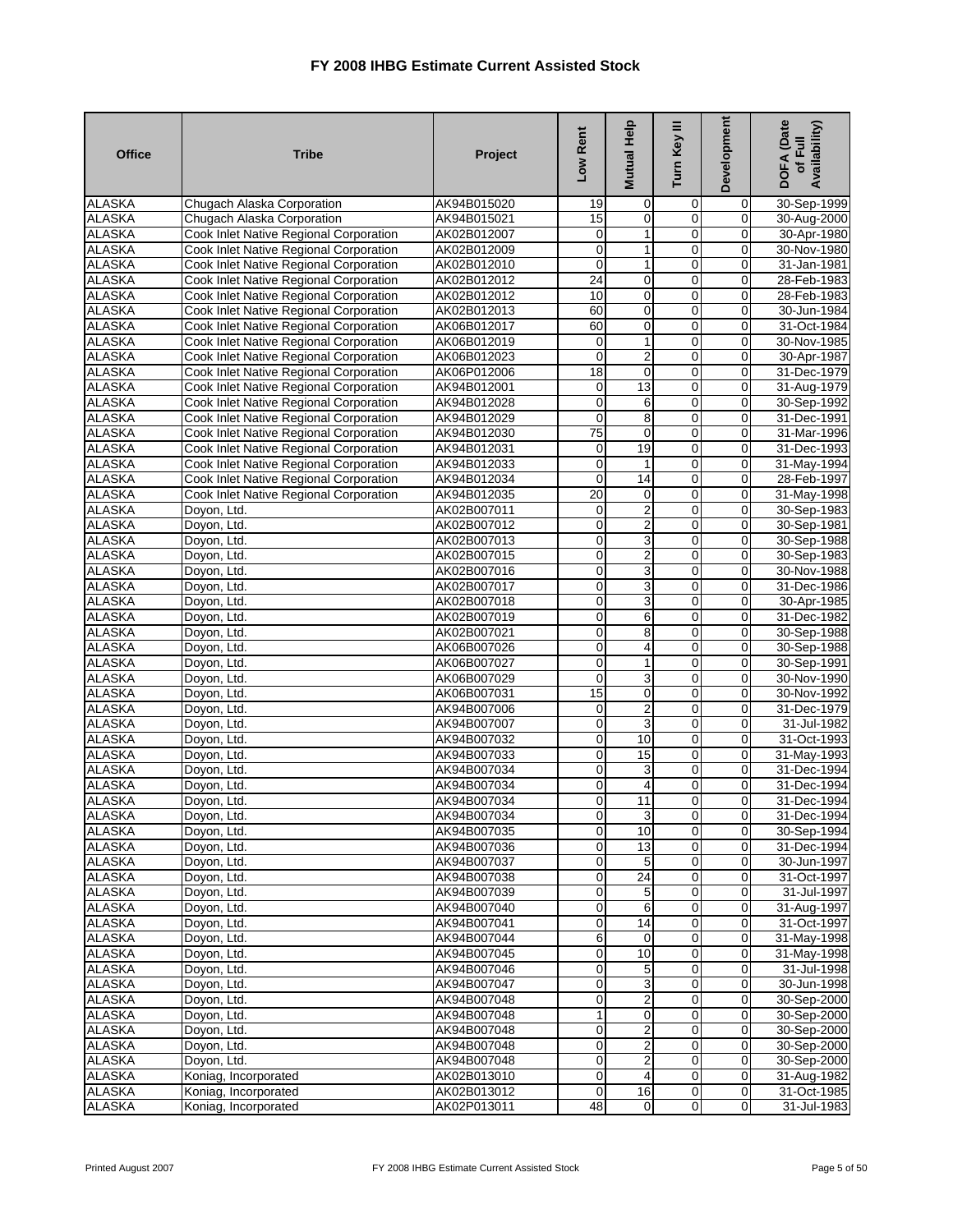| <b>Office</b>                  | <b>Tribe</b>                                                                     | Project                    | Low Rent                   | Mutual Help               | Turn Key III                  | Development                   | DOFA (Date<br>Availability)<br>of Full |
|--------------------------------|----------------------------------------------------------------------------------|----------------------------|----------------------------|---------------------------|-------------------------------|-------------------------------|----------------------------------------|
| <b>ALASKA</b>                  | Chugach Alaska Corporation                                                       | AK94B015020                | 19                         | 0                         | 0                             | 0                             | 30-Sep-1999                            |
| <b>ALASKA</b>                  | Chugach Alaska Corporation                                                       | AK94B015021                | 15                         | $\mathbf 0$               | $\mathbf 0$                   | $\mathbf 0$                   | 30-Aug-2000                            |
| <b>ALASKA</b>                  | Cook Inlet Native Regional Corporation                                           | AK02B012007                | 0                          | 1                         | $\overline{0}$                | 0                             | 30-Apr-1980                            |
| <b>ALASKA</b>                  | Cook Inlet Native Regional Corporation                                           | AK02B012009                | 0                          | 1                         | $\mathbf 0$                   | 0                             | 30-Nov-1980                            |
| <b>ALASKA</b>                  | Cook Inlet Native Regional Corporation                                           | AK02B012010                | $\mathbf 0$                | $\mathbf{1}$              | $\overline{0}$                | $\mathbf 0$                   | 31-Jan-1981                            |
| <b>ALASKA</b>                  | Cook Inlet Native Regional Corporation                                           | AK02B012012                | 24                         | $\overline{0}$            | $\mathbf 0$                   | 0                             | 28-Feb-1983                            |
| <b>ALASKA</b>                  | Cook Inlet Native Regional Corporation                                           | AK02B012012                | 10                         | $\mathbf 0$               | $\overline{0}$                | $\overline{0}$                | 28-Feb-1983                            |
| <b>ALASKA</b>                  | Cook Inlet Native Regional Corporation                                           | AK02B012013                | 60                         | 0                         | 0                             | 0                             | 30-Jun-1984                            |
| <b>ALASKA</b>                  | Cook Inlet Native Regional Corporation                                           | AK06B012017                | 60                         | $\mathbf 0$               | $\overline{0}$                | $\mathbf 0$                   | 31-Oct-1984                            |
| <b>ALASKA</b>                  | Cook Inlet Native Regional Corporation                                           | AK06B012019                | 0                          | 1                         | $\mathbf 0$                   | $\mathbf 0$                   | 30-Nov-1985                            |
| <b>ALASKA</b>                  | Cook Inlet Native Regional Corporation                                           | AK06B012023                | 0                          | 2                         | 0                             | 0                             | 30-Apr-1987                            |
| <b>ALASKA</b>                  | Cook Inlet Native Regional Corporation                                           | AK06P012006                | 18                         | $\overline{0}$            | $\overline{0}$                | $\overline{0}$                | 31-Dec-1979                            |
| <b>ALASKA</b>                  | Cook Inlet Native Regional Corporation                                           | AK94B012001                | 0                          | 13                        | $\mathbf 0$                   | 0                             | 31-Aug-1979                            |
| <b>ALASKA</b>                  | Cook Inlet Native Regional Corporation                                           | AK94B012028                | 0                          | 6                         | $\mathbf 0$                   | 0                             | 30-Sep-1992                            |
| <b>ALASKA</b><br><b>ALASKA</b> | Cook Inlet Native Regional Corporation                                           | AK94B012029                | 0<br>75                    | 8<br>$\overline{0}$       | $\mathbf 0$<br>$\overline{0}$ | $\mathbf 0$<br>$\overline{0}$ | 31-Dec-1991                            |
| <b>ALASKA</b>                  | Cook Inlet Native Regional Corporation<br>Cook Inlet Native Regional Corporation | AK94B012030                |                            | 19                        | $\overline{0}$                | 0                             | 31-Mar-1996<br>31-Dec-1993             |
| <b>ALASKA</b>                  | Cook Inlet Native Regional Corporation                                           | AK94B012031<br>AK94B012033 | 0<br>$\mathbf 0$           | 1                         | $\mathbf 0$                   | $\overline{0}$                | 31-May-1994                            |
| <b>ALASKA</b>                  | Cook Inlet Native Regional Corporation                                           | AK94B012034                | 0                          | 14                        | $\mathbf 0$                   | 0                             | 28-Feb-1997                            |
| <b>ALASKA</b>                  | Cook Inlet Native Regional Corporation                                           | AK94B012035                | 20                         | $\mathbf 0$               | $\overline{0}$                | 0                             | 31-May-1998                            |
| <b>ALASKA</b>                  | Doyon, Ltd.                                                                      | AK02B007011                | 0                          | $\overline{\mathbf{c}}$   | $\overline{0}$                | $\overline{0}$                | 30-Sep-1983                            |
| <b>ALASKA</b>                  | Doyon, Ltd.                                                                      | AK02B007012                | $\mathbf 0$                | $\overline{\mathbf{c}}$   | $\mathbf 0$                   | 0                             | 30-Sep-1981                            |
| <b>ALASKA</b>                  | Doyon, Ltd.                                                                      | AK02B007013                | $\mathbf 0$                | 3                         | $\overline{\mathbf{0}}$       | $\mathbf 0$                   | 30-Sep-1988                            |
| <b>ALASKA</b>                  | Doyon, Ltd.                                                                      | AK02B007015                | $\mathbf 0$                | $\overline{2}$            | $\overline{0}$                | 0                             | 30-Sep-1983                            |
| <b>ALASKA</b>                  | Doyon, Ltd.                                                                      | AK02B007016                | 0                          | 3                         | 0                             | 0                             | 30-Nov-1988                            |
| <b>ALASKA</b>                  | Doyon, Ltd.                                                                      | AK02B007017                | $\mathbf 0$                | 3                         | $\overline{0}$                | 0                             | 31-Dec-1986                            |
| <b>ALASKA</b>                  | Doyon, Ltd.                                                                      | AK02B007018                | $\mathbf 0$                | 3                         | $\mathbf 0$                   | 0                             | 30-Apr-1985                            |
| <b>ALASKA</b>                  | Doyon, Ltd.                                                                      | AK02B007019                | 0                          | 6                         | $\overline{0}$                | $\mathbf 0$                   | 31-Dec-1982                            |
| <b>ALASKA</b>                  | Doyon, Ltd.                                                                      | AK02B007021                | $\mathbf 0$                | 8                         | $\overline{0}$                | $\mathbf 0$                   | 30-Sep-1988                            |
| <b>ALASKA</b>                  | Doyon, Ltd.                                                                      | AK06B007026                | $\mathbf 0$                | 4                         | $\mathbf 0$                   | 0                             | 30-Sep-1988                            |
| <b>ALASKA</b>                  | Doyon, Ltd.                                                                      | AK06B007027                | $\mathbf 0$                | 1                         | $\overline{\mathbf{0}}$       | $\pmb{0}$                     | 30-Sep-1991                            |
| <b>ALASKA</b>                  | Doyon, Ltd.                                                                      | AK06B007029                | $\mathbf 0$                | 3                         | $\overline{0}$                | $\mathbf 0$                   | 30-Nov-1990                            |
| <b>ALASKA</b>                  | Doyon, Ltd.                                                                      | AK06B007031                | 15                         | 0                         | 0                             | 0                             | 30-Nov-1992                            |
| <b>ALASKA</b>                  | Doyon, Ltd.                                                                      | AK94B007006                | $\mathbf 0$                | $\boldsymbol{2}$          | $\mathbf 0$                   | 0                             | 31-Dec-1979                            |
| <b>ALASKA</b>                  | Doyon, Ltd.                                                                      | AK94B007007                | $\mathbf 0$                | 3                         | $\mathbf 0$                   | $\mathbf 0$                   | 31-Jul-1982                            |
| <b>ALASKA</b>                  | Doyon, Ltd.                                                                      | AK94B007032                | $\pmb{0}$                  | 10                        | 0                             | 0                             | 31-Oct-1993                            |
| <b>ALASKA</b>                  | Doyon, Ltd.                                                                      | AK94B007033                | $\mathbf 0$                | 15                        | $\overline{0}$                | $\overline{0}$                | 31-May-1993                            |
| <b>ALASKA</b>                  | Doyon, Ltd.                                                                      | AK94B007034                | $\mathbf 0$                | 3                         | $\mathbf 0$                   | $\mathbf 0$                   | 31-Dec-1994                            |
| <b>ALASKA</b>                  | Doyon, Ltd.                                                                      | AK94B007034                | 0                          | 4                         | $\mathbf 0$                   | $\mathbf 0$                   | 31-Dec-1994                            |
| <b>ALASKA</b>                  | Doyon, Ltd.                                                                      | AK94B007034                | $\overline{O}$             | 11                        | $\mathbf 0$                   | 0                             | 31-Dec-1994                            |
| <b>ALASKA</b>                  | Doyon, Ltd.                                                                      | AK94B007034                | $\overline{0}$             | 3                         | $\mathbf{0}$                  | $\overline{0}$                | 31-Dec-1994                            |
| <b>ALASKA</b>                  | Doyon, Ltd.                                                                      | AK94B007035                | $\overline{0}$             | 10                        | $\overline{0}$                | $\mathbf 0$                   | 30-Sep-1994                            |
| <b>ALASKA</b>                  | Doyon, Ltd.                                                                      | AK94B007036                | $\mathbf 0$                | 13                        | 0                             | $\mathbf 0$                   | 31-Dec-1994                            |
| <b>ALASKA</b>                  | Doyon, Ltd.                                                                      | AK94B007037                | $\mathbf 0$                | 5                         | $\mathbf 0$                   | 0                             | 30-Jun-1997                            |
| <b>ALASKA</b>                  | Doyon, Ltd.                                                                      | AK94B007038                | $\overline{0}$             | 24                        | $\overline{0}$                | 0                             | 31-Oct-1997                            |
| <b>ALASKA</b>                  | Doyon, Ltd.                                                                      | AK94B007039                | $\mathbf 0$                | 5                         | $\overline{0}$                | $\mathbf 0$                   | 31-Jul-1997                            |
| <b>ALASKA</b>                  | Doyon, Ltd.                                                                      | AK94B007040                | $\mathbf 0$                | 6                         | $\mathbf 0$                   | $\mathbf 0$                   | 31-Aug-1997                            |
| <b>ALASKA</b>                  | Doyon, Ltd.                                                                      | AK94B007041                | $\mathbf 0$                | 14                        | $\mathbf 0$                   | $\mathbf 0$                   | 31-Oct-1997                            |
| <b>ALASKA</b>                  | Doyon, Ltd.                                                                      | AK94B007044                | 6                          | $\mathbf 0$               | 0                             | $\mathbf 0$                   | 31-May-1998                            |
| <b>ALASKA</b>                  | Doyon, Ltd.                                                                      | AK94B007045                | 0                          | 10                        | $\overline{0}$                | 0                             | 31-May-1998                            |
| <b>ALASKA</b><br><b>ALASKA</b> | Doyon, Ltd.<br>Doyon, Ltd.                                                       | AK94B007046<br>AK94B007047 | $\mathbf 0$<br>$\mathbf 0$ | $\sqrt{5}$<br>$\mathsf 3$ | $\mathbf 0$<br>$\mathbf 0$    | $\overline{0}$<br>$\mathbf 0$ | 31-Jul-1998<br>30-Jun-1998             |
| <b>ALASKA</b>                  | Doyon, Ltd.                                                                      | AK94B007048                | $\mathbf 0$                |                           | $\mathbf 0$                   | $\pmb{0}$                     | 30-Sep-2000                            |
| <b>ALASKA</b>                  | Doyon, Ltd.                                                                      | AK94B007048                | $\mathbf{1}$               | 2<br>$\pmb{0}$            | $\mathbf 0$                   | $\mathbf 0$                   | 30-Sep-2000                            |
| <b>ALASKA</b>                  | Doyon, Ltd.                                                                      | AK94B007048                | $\mathbf 0$                | $\boldsymbol{2}$          | $\mathbf{0}$                  | $\mathbf 0$                   | 30-Sep-2000                            |
| <b>ALASKA</b>                  | Doyon, Ltd.                                                                      | AK94B007048                | $\boldsymbol{0}$           | 2                         | $\overline{0}$                | $\mathbf 0$                   | 30-Sep-2000                            |
| <b>ALASKA</b>                  | Doyon, Ltd.                                                                      | AK94B007048                | $\mathbf 0$                | $\overline{2}$            | $\mathbf 0$                   | $\mathbf 0$                   | 30-Sep-2000                            |
| <b>ALASKA</b>                  | Koniag, Incorporated                                                             | AK02B013010                | $\overline{0}$             | $\overline{4}$            | $\mathbf 0$                   | $\overline{0}$                | 31-Aug-1982                            |
| <b>ALASKA</b>                  | Koniag, Incorporated                                                             | AK02B013012                | $\boldsymbol{0}$           | 16                        | $\overline{0}$                | $\boldsymbol{0}$              | 31-Oct-1985                            |
| <b>ALASKA</b>                  | Koniag, Incorporated                                                             | AK02P013011                | 48                         | $\mathbf 0$               | $\mathbf 0$                   | $\pmb{0}$                     | 31-Jul-1983                            |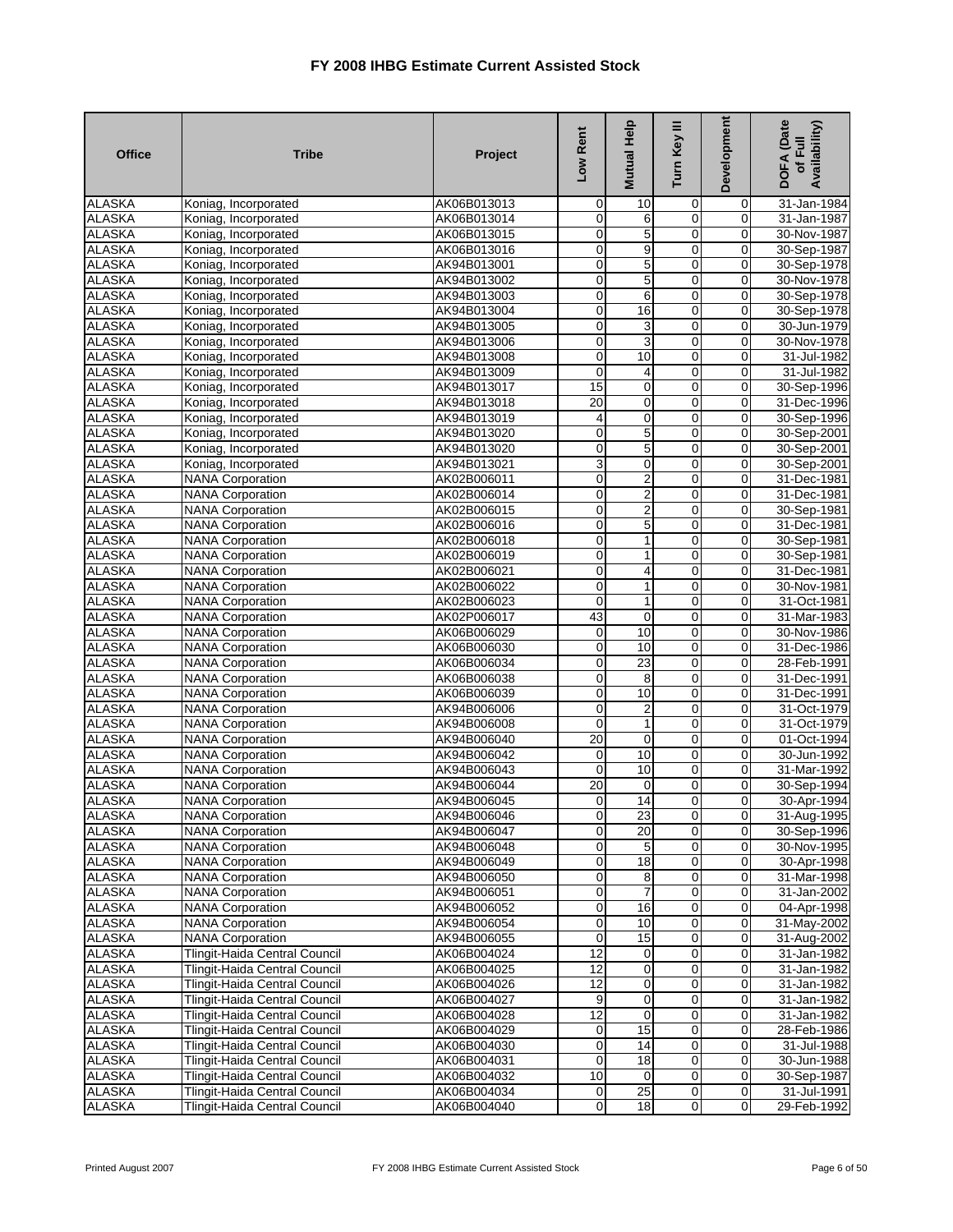| <b>Office</b>                  | <b>Tribe</b>                                                          | Project                    | Low Rent                         | Mutual Help                 | Turn Key III                | <b>Development</b>                        | <b>DOFA</b> (Date<br>Availability)<br>of Full |
|--------------------------------|-----------------------------------------------------------------------|----------------------------|----------------------------------|-----------------------------|-----------------------------|-------------------------------------------|-----------------------------------------------|
| <b>ALASKA</b>                  | Koniag, Incorporated                                                  | AK06B013013                | 0                                | 10                          | 0                           | 0                                         | 31-Jan-1984                                   |
| <b>ALASKA</b>                  | Koniag, Incorporated                                                  | AK06B013014                | $\overline{0}$                   | 6                           | 0                           | 0                                         | 31-Jan-1987                                   |
| <b>ALASKA</b>                  | Koniag, Incorporated                                                  | AK06B013015                | $\overline{0}$                   | 5                           | $\overline{0}$              | $\overline{0}$                            | 30-Nov-1987                                   |
| <b>ALASKA</b>                  | Koniag, Incorporated                                                  | AK06B013016                | O                                | 9                           | 0                           | 0                                         | 30-Sep-1987                                   |
| <b>ALASKA</b>                  | Koniag, Incorporated                                                  | AK94B013001                | $\mathbf 0$                      | 5                           | 0                           | $\mathbf 0$                               | 30-Sep-1978                                   |
| <b>ALASKA</b>                  | Koniag, Incorporated                                                  | AK94B013002                | $\overline{0}$                   | $\sqrt{5}$                  | 0                           | $\mathbf 0$                               | 30-Nov-1978                                   |
| <b>ALASKA</b>                  | Koniag, Incorporated                                                  | AK94B013003                | $\overline{0}$                   | 6                           | $\mathbf 0$                 | $\mathbf 0$                               | 30-Sep-1978                                   |
| <b>ALASKA</b>                  | Koniag, Incorporated                                                  | AK94B013004                | $\overline{0}$                   | 16                          | $\overline{0}$              | 0                                         | 30-Sep-1978                                   |
| <b>ALASKA</b>                  | Koniag, Incorporated                                                  | AK94B013005                | $\overline{0}$                   | 3                           | $\mathbf 0$                 | 0                                         | 30-Jun-1979                                   |
| <b>ALASKA</b>                  | Koniag, Incorporated                                                  | AK94B013006                | $\overline{0}$                   | 3                           | $\mathbf 0$                 | $\mathbf 0$                               | 30-Nov-1978                                   |
| <b>ALASKA</b>                  | Koniag, Incorporated                                                  | AK94B013008                | $\overline{0}$                   | 10                          | 0                           | $\mathbf 0$                               | 31-Jul-1982                                   |
| <b>ALASKA</b>                  | Koniag, Incorporated                                                  | AK94B013009                | 0                                | 4                           | $\overline{0}$              | $\mathbf 0$                               | 31-Jul-1982                                   |
| <b>ALASKA</b>                  | Koniag, Incorporated                                                  | AK94B013017                | 15                               | $\mathbf 0$                 | $\mathbf 0$                 | 0                                         | 30-Sep-1996                                   |
| <b>ALASKA</b>                  | Koniag, Incorporated                                                  | AK94B013018                | $\overline{20}$                  | $\pmb{0}$                   | $\mathbf 0$                 | $\overline{0}$                            | 31-Dec-1996                                   |
| <b>ALASKA</b>                  | Koniag, Incorporated                                                  | AK94B013019                | 4                                | $\mathbf 0$                 | $\mathbf 0$                 | $\mathbf 0$                               | 30-Sep-1996                                   |
| <b>ALASKA</b>                  | Koniag, Incorporated                                                  | AK94B013020                | $\overline{0}$                   | 5                           | 0                           | O                                         | 30-Sep-2001                                   |
| <b>ALASKA</b>                  | Koniag, Incorporated                                                  | AK94B013020                | $\overline{0}$                   | 5                           | $\overline{0}$              | $\overline{0}$                            | 30-Sep-2001                                   |
| <b>ALASKA</b>                  | Koniag, Incorporated                                                  | AK94B013021                | 3                                | $\mathbf{O}$                | 0                           | $\overline{0}$                            | 30-Sep-2001                                   |
| <b>ALASKA</b>                  | <b>NANA Corporation</b>                                               | AK02B006011                | 0                                | $\overline{c}$              | 0                           | 0                                         | 31-Dec-1981                                   |
| <b>ALASKA</b>                  | <b>NANA Corporation</b>                                               | AK02B006014                | $\overline{0}$                   | $\overline{2}$              | $\overline{0}$              | 0                                         | 31-Dec-1981                                   |
| <b>ALASKA</b>                  | <b>NANA Corporation</b>                                               | AK02B006015                | $\overline{0}$                   | $\overline{2}$              | $\overline{0}$              | O                                         | 30-Sep-1981                                   |
| <b>ALASKA</b>                  | <b>NANA Corporation</b>                                               | AK02B006016                | $\overline{0}$                   | 5                           | $\mathbf 0$                 | 0                                         | 31-Dec-1981                                   |
| <b>ALASKA</b>                  | <b>NANA Corporation</b>                                               | AK02B006018                | $\mathbf 0$                      | 1                           | $\mathbf 0$                 | 0                                         | 30-Sep-1981                                   |
| <b>ALASKA</b>                  | <b>NANA Corporation</b>                                               | AK02B006019                | $\overline{0}$                   | $\mathbf{1}$                | $\overline{0}$              | O                                         | 30-Sep-1981                                   |
| <b>ALASKA</b>                  | <b>NANA Corporation</b>                                               | AK02B006021                | $\overline{0}$                   | 4                           | 0                           | $\overline{\mathbf{0}}$                   | 31-Dec-1981                                   |
| <b>ALASKA</b>                  | <b>NANA Corporation</b>                                               | AK02B006022                | $\mathbf 0$                      | $\mathbf{1}$                | $\mathbf 0$                 | $\mathbf 0$                               | 30-Nov-1981                                   |
| <b>ALASKA</b>                  | <b>NANA Corporation</b>                                               | AK02B006023                | $\overline{0}$                   | $\mathbf{1}$                | 0                           | 0                                         | 31-Oct-1981                                   |
| <b>ALASKA</b>                  | <b>NANA Corporation</b>                                               | AK02P006017                | 43                               | $\mathbf 0$                 | $\overline{0}$              | O                                         | 31-Mar-1983                                   |
| <b>ALASKA</b>                  | <b>NANA Corporation</b>                                               | AK06B006029                | o                                | 10                          | $\overline{0}$              | $\overline{0}$                            | 30-Nov-1986                                   |
| <b>ALASKA</b>                  | <b>NANA Corporation</b>                                               | AK06B006030                | 0                                | 10                          | 0                           | 0                                         | 31-Dec-1986                                   |
| <b>ALASKA</b>                  | <b>NANA Corporation</b>                                               | AK06B006034                | $\overline{0}$                   | 23                          | 0                           | $\overline{\mathbf{0}}$                   | 28-Feb-1991                                   |
| <b>ALASKA</b>                  | <b>NANA Corporation</b>                                               | AK06B006038                | $\mathbf 0$                      | 8                           | $\mathbf 0$                 | $\mathbf 0$                               | 31-Dec-1991                                   |
| <b>ALASKA</b>                  | <b>NANA Corporation</b>                                               | AK06B006039                | $\overline{0}$                   | 10                          | $\mathbf 0$                 | O                                         | 31-Dec-1991                                   |
| <b>ALASKA</b>                  | <b>NANA Corporation</b>                                               | AK94B006006                | $\overline{0}$                   | $\overline{\mathbf{c}}$     | $\mathbf 0$                 | 0                                         | 31-Oct-1979                                   |
| <b>ALASKA</b>                  | <b>NANA Corporation</b>                                               | AK94B006008                | $\overline{0}$                   | $\mathbf{1}$                | $\mathbf 0$                 | $\overline{0}$                            | 31-Oct-1979                                   |
| <b>ALASKA</b>                  | <b>NANA Corporation</b>                                               | AK94B006040                | 20                               | $\mathbf 0$                 | $\mathbf 0$                 | $\mathbf 0$                               | 01-Oct-1994                                   |
| <b>ALASKA</b>                  | <b>NANA Corporation</b>                                               | AK94B006042                | 0                                | 10                          | $\overline{0}$              | $\mathbf 0$                               | 30-Jun-1992                                   |
| <b>ALASKA</b>                  | <b>NANA Corporation</b>                                               | AK94B006043                | $\overline{0}$                   | 10                          | 0                           | $\mathbf 0$                               | 31-Mar-1992                                   |
| <b>ALASKA</b>                  | <b>NANA Corporation</b>                                               | AK94B006044                | 20                               | $\mathbf 0$                 | 0                           | $\pmb{0}$                                 | 30-Sep-1994                                   |
| <b>ALASKA</b>                  | <b>NANA Corporation</b>                                               | AK94B006045                | $\overline{0}$                   | 14                          | 0                           | 0                                         | 30-Apr-1994                                   |
| <b>ALASKA</b>                  | <b>NANA Corporation</b>                                               | AK94B006046                | $\overline{0}$<br>$\overline{0}$ | 23                          | $\boldsymbol{0}$            | $\overline{0}$<br>$\overline{0}$          | 31-Aug-1995                                   |
| <b>ALASKA</b>                  | <b>NANA Corporation</b>                                               | AK94B006047                |                                  | 20                          | $\overline{0}$              |                                           | 30-Sep-1996                                   |
| <b>ALASKA</b>                  | <b>NANA Corporation</b>                                               | AK94B006048                | $\overline{\mathbf{0}}$          | 5                           | 0                           | $\overline{0}$                            | 30-Nov-1995                                   |
| <b>ALASKA</b>                  | <b>NANA Corporation</b>                                               | AK94B006049                | $\overline{0}$<br>$\overline{0}$ | 18                          | $\pmb{0}$<br>$\overline{0}$ | $\overline{0}$<br>O                       | 30-Apr-1998                                   |
| <b>ALASKA</b>                  | <b>NANA Corporation</b>                                               | AK94B006050                | $\overline{0}$                   | 8<br>$\overline{7}$         | 0                           |                                           | 31-Mar-1998<br>31-Jan-2002                    |
| <b>ALASKA</b>                  | <b>NANA Corporation</b>                                               | AK94B006051                |                                  |                             |                             | $\overline{0}$                            |                                               |
| <b>ALASKA</b>                  | <b>NANA Corporation</b>                                               | AK94B006052                | $\overline{0}$                   | 16                          | $\mathbf 0$                 | $\mathbf 0$                               | 04-Apr-1998                                   |
| <b>ALASKA</b>                  | <b>NANA Corporation</b>                                               | AK94B006054                | $\overline{0}$                   | 10                          | 0                           | $\mathbf 0$<br>$\overline{0}$             | 31-May-2002                                   |
| <b>ALASKA</b>                  | <b>NANA Corporation</b>                                               | AK94B006055                | $\overline{0}$<br>12             | 15                          | 0<br>$\overline{0}$         |                                           | 31-Aug-2002                                   |
| <b>ALASKA</b>                  | Tlingit-Haida Central Council<br><b>Tlingit-Haida Central Council</b> | AK06B004024                |                                  | $\mathbf 0$                 |                             | $\overline{0}$                            | 31-Jan-1982                                   |
| <b>ALASKA</b><br><b>ALASKA</b> | Tlingit-Haida Central Council                                         | AK06B004025<br>AK06B004026 | $\overline{12}$<br>12            | $\mathbf 0$<br>$\mathbf 0$  | $\mathbf 0$<br>0            | $\overline{\mathbf{0}}$<br>$\overline{0}$ | 31-Jan-1982<br>31-Jan-1982                    |
|                                |                                                                       |                            |                                  |                             |                             |                                           |                                               |
| <b>ALASKA</b><br><b>ALASKA</b> | Tlingit-Haida Central Council<br>Tlingit-Haida Central Council        | AK06B004027<br>AK06B004028 | 9<br>12                          | $\mathbf 0$<br>$\mathbf{O}$ | 0<br>0                      | $\overline{0}$<br>O                       | 31-Jan-1982<br>31-Jan-1982                    |
|                                |                                                                       |                            | $\overline{0}$                   |                             | 0                           |                                           |                                               |
| <b>ALASKA</b><br><b>ALASKA</b> | Tlingit-Haida Central Council<br>Tlingit-Haida Central Council        | AK06B004029<br>AK06B004030 | $\overline{0}$                   | 15<br>14                    | $\mathbf 0$                 | $\overline{0}$<br>$\mathbf 0$             | 28-Feb-1986<br>31-Jul-1988                    |
| <b>ALASKA</b>                  | Tlingit-Haida Central Council                                         | AK06B004031                | $\overline{0}$                   | 18                          | $\mathbf 0$                 | $\overline{\mathbf{0}}$                   | 30-Jun-1988                                   |
| <b>ALASKA</b>                  | Tlingit-Haida Central Council                                         | AK06B004032                | 10                               | $\mathbf 0$                 | 0                           | $\mathbf 0$                               | 30-Sep-1987                                   |
| <b>ALASKA</b>                  | Tlingit-Haida Central Council                                         | AK06B004034                | $\overline{O}$                   | 25                          | 0                           | $\mathbf 0$                               | 31-Jul-1991                                   |
| <b>ALASKA</b>                  | Tlingit-Haida Central Council                                         | AK06B004040                | $\overline{0}$                   | 18                          | $\pmb{0}$                   | $\overline{0}$                            | 29-Feb-1992                                   |
|                                |                                                                       |                            |                                  |                             |                             |                                           |                                               |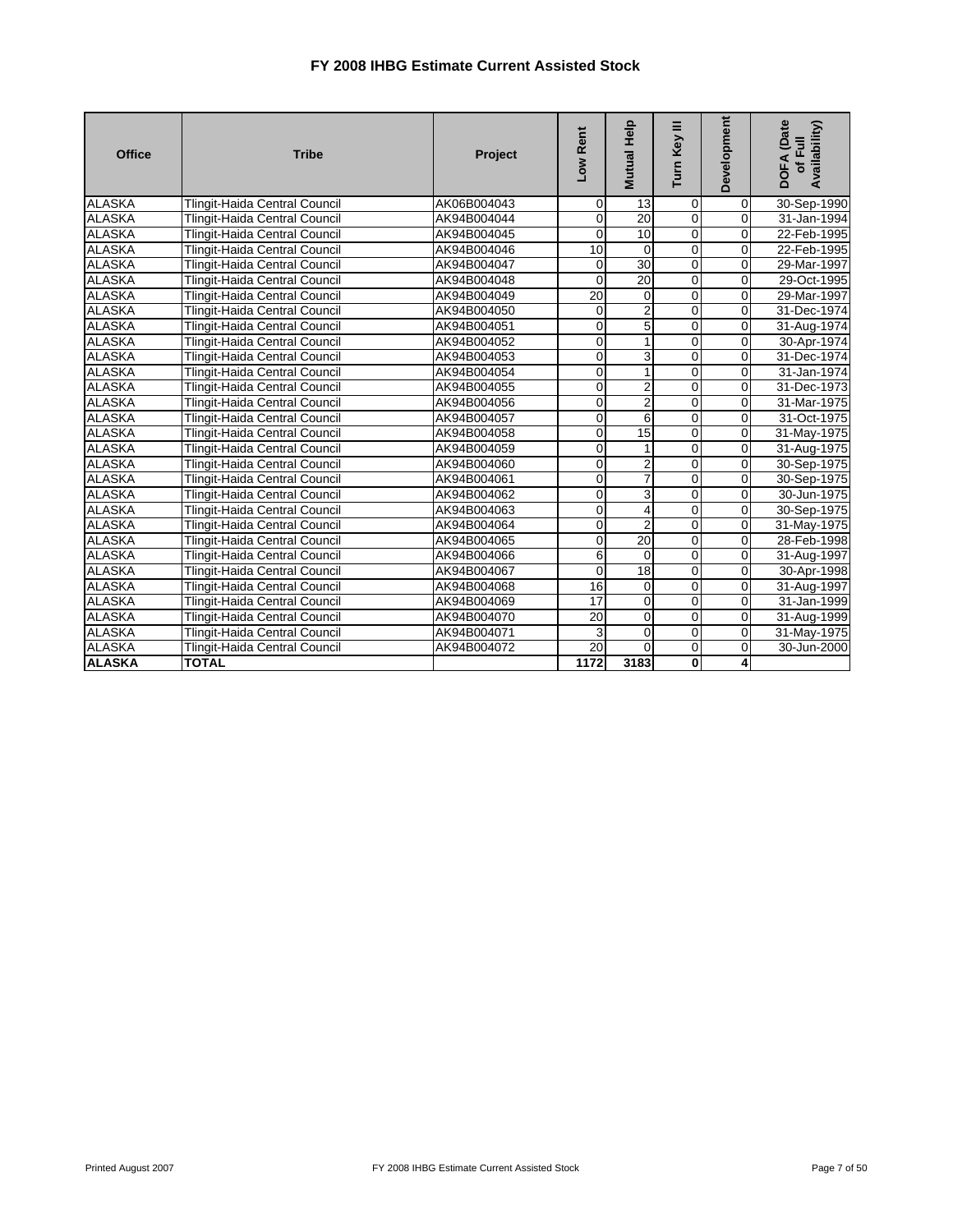| <b>Office</b> | <b>Tribe</b>                         | Project     | Low Rent       | Mutual Help    | Turn Key III   | Development    | <b>DOFA</b> (Date<br>Availability)<br>$\overline{a}$<br>$\overline{5}$ |
|---------------|--------------------------------------|-------------|----------------|----------------|----------------|----------------|------------------------------------------------------------------------|
| <b>ALASKA</b> | <b>Tlingit-Haida Central Council</b> | AK06B004043 | $\overline{0}$ | 13             | $\mathbf 0$    | $\overline{0}$ | 30-Sep-1990                                                            |
| <b>ALASKA</b> | Tlingit-Haida Central Council        | AK94B004044 | $\mathbf{O}$   | 20             | $\mathbf 0$    | $\Omega$       | 31-Jan-1994                                                            |
| <b>ALASKA</b> | <b>Tlingit-Haida Central Council</b> | AK94B004045 | $\mathbf{O}$   | 10             | $\overline{0}$ | $\Omega$       | 22-Feb-1995                                                            |
| <b>ALASKA</b> | Tlingit-Haida Central Council        | AK94B004046 | 10             | $\Omega$       | $\overline{0}$ | $\overline{0}$ | 22-Feb-1995                                                            |
| <b>ALASKA</b> | <b>Tlingit-Haida Central Council</b> | AK94B004047 | $\overline{0}$ | 30             | $\mathbf 0$    | $\overline{0}$ | 29-Mar-1997                                                            |
| <b>ALASKA</b> | <b>Tlingit-Haida Central Council</b> | AK94B004048 | $\mathbf 0$    | 20             | $\mathbf 0$    | $\overline{0}$ | 29-Oct-1995                                                            |
| <b>ALASKA</b> | <b>Tlingit-Haida Central Council</b> | AK94B004049 | 20             | $\overline{0}$ | $\mathbf 0$    | 0              | 29-Mar-1997                                                            |
| <b>ALASKA</b> | <b>Tlingit-Haida Central Council</b> | AK94B004050 | $\overline{0}$ | $\overline{2}$ | $\mathbf 0$    | $\overline{0}$ | 31-Dec-1974                                                            |
| <b>ALASKA</b> | <b>Tlingit-Haida Central Council</b> | AK94B004051 | $\mathbf 0$    | 5              | $\mathbf 0$    | $\mathbf 0$    | 31-Aug-1974                                                            |
| <b>ALASKA</b> | <b>Tlingit-Haida Central Council</b> | AK94B004052 | $\overline{0}$ | 1              | $\mathbf 0$    | $\overline{0}$ | 30-Apr-1974                                                            |
| <b>ALASKA</b> | Tlingit-Haida Central Council        | AK94B004053 | $\overline{0}$ | 3              | $\mathbf 0$    | $\mathbf 0$    | 31-Dec-1974                                                            |
| <b>ALASKA</b> | <b>Tlingit-Haida Central Council</b> | AK94B004054 | $\overline{0}$ | 1              | $\mathbf 0$    | 0              | 31-Jan-1974                                                            |
| <b>ALASKA</b> | <b>Tlingit-Haida Central Council</b> | AK94B004055 | $\overline{0}$ | 2              | $\mathbf 0$    | $\overline{0}$ | 31-Dec-1973                                                            |
| <b>ALASKA</b> | <b>Tlingit-Haida Central Council</b> | AK94B004056 | $\overline{0}$ | $\overline{2}$ | $\mathbf 0$    | $\overline{0}$ | 31-Mar-1975                                                            |
| <b>ALASKA</b> | Tlingit-Haida Central Council        | AK94B004057 | $\overline{0}$ | 6              | $\mathbf 0$    | $\overline{0}$ | 31-Oct-1975                                                            |
| <b>ALASKA</b> | Tlingit-Haida Central Council        | AK94B004058 | $\overline{0}$ | 15             | $\overline{0}$ | $\overline{0}$ | 31-May-1975                                                            |
| <b>ALASKA</b> | <b>Tlingit-Haida Central Council</b> | AK94B004059 | $\mathbf{O}$   |                | 0              | $\overline{0}$ | 31-Aug-1975                                                            |
| <b>ALASKA</b> | <b>Tlingit-Haida Central Council</b> | AK94B004060 | $\overline{0}$ | 2              | $\mathbf 0$    | $\mathbf 0$    | 30-Sep-1975                                                            |
| <b>ALASKA</b> | <b>Tlingit-Haida Central Council</b> | AK94B004061 | $\mathbf 0$    |                | $\mathbf 0$    | $\mathbf 0$    | 30-Sep-1975                                                            |
| <b>ALASKA</b> | Tlingit-Haida Central Council        | AK94B004062 | $\overline{0}$ | 3              | $\overline{0}$ | $\overline{0}$ | 30-Jun-1975                                                            |
| <b>ALASKA</b> | Tlingit-Haida Central Council        | AK94B004063 | $\overline{0}$ | 4              | $\overline{0}$ | $\mathbf 0$    | 30-Sep-1975                                                            |
| <b>ALASKA</b> | Tlingit-Haida Central Council        | AK94B004064 | $\overline{0}$ | $\overline{2}$ | $\overline{0}$ | $\overline{0}$ | 31-May-1975                                                            |
| <b>ALASKA</b> | Tlingit-Haida Central Council        | AK94B004065 | $\overline{0}$ | 20             | $\mathbf 0$    | 0              | 28-Feb-1998                                                            |
| <b>ALASKA</b> | Tlingit-Haida Central Council        | AK94B004066 | 6              | $\Omega$       | $\overline{0}$ | 0              | 31-Aug-1997                                                            |
| <b>ALASKA</b> | Tlingit-Haida Central Council        | AK94B004067 | $\Omega$       | 18             | $\mathbf 0$    | $\Omega$       | 30-Apr-1998                                                            |
| <b>ALASKA</b> | <b>Tlingit-Haida Central Council</b> | AK94B004068 | 16             | $\overline{0}$ | $\mathbf 0$    | $\overline{0}$ | 31-Aug-1997                                                            |
| <b>ALASKA</b> | Tlingit-Haida Central Council        | AK94B004069 | 17             | $\Omega$       | $\Omega$       | $\Omega$       | 31-Jan-1999                                                            |
| <b>ALASKA</b> | Tlingit-Haida Central Council        | AK94B004070 | 20             | $\overline{0}$ | $\mathbf 0$    | $\overline{0}$ | 31-Aug-1999                                                            |
| <b>ALASKA</b> | <b>Tlingit-Haida Central Council</b> | AK94B004071 | 3              | $\overline{0}$ | $\mathbf 0$    | $\overline{0}$ | 31-May-1975                                                            |
| <b>ALASKA</b> | <b>Tlingit-Haida Central Council</b> | AK94B004072 | 20             | $\Omega$       | $\mathbf 0$    | 0              | 30-Jun-2000                                                            |
| <b>ALASKA</b> | <b>TOTAL</b>                         |             | 1172           | 3183           | 0              | 4              |                                                                        |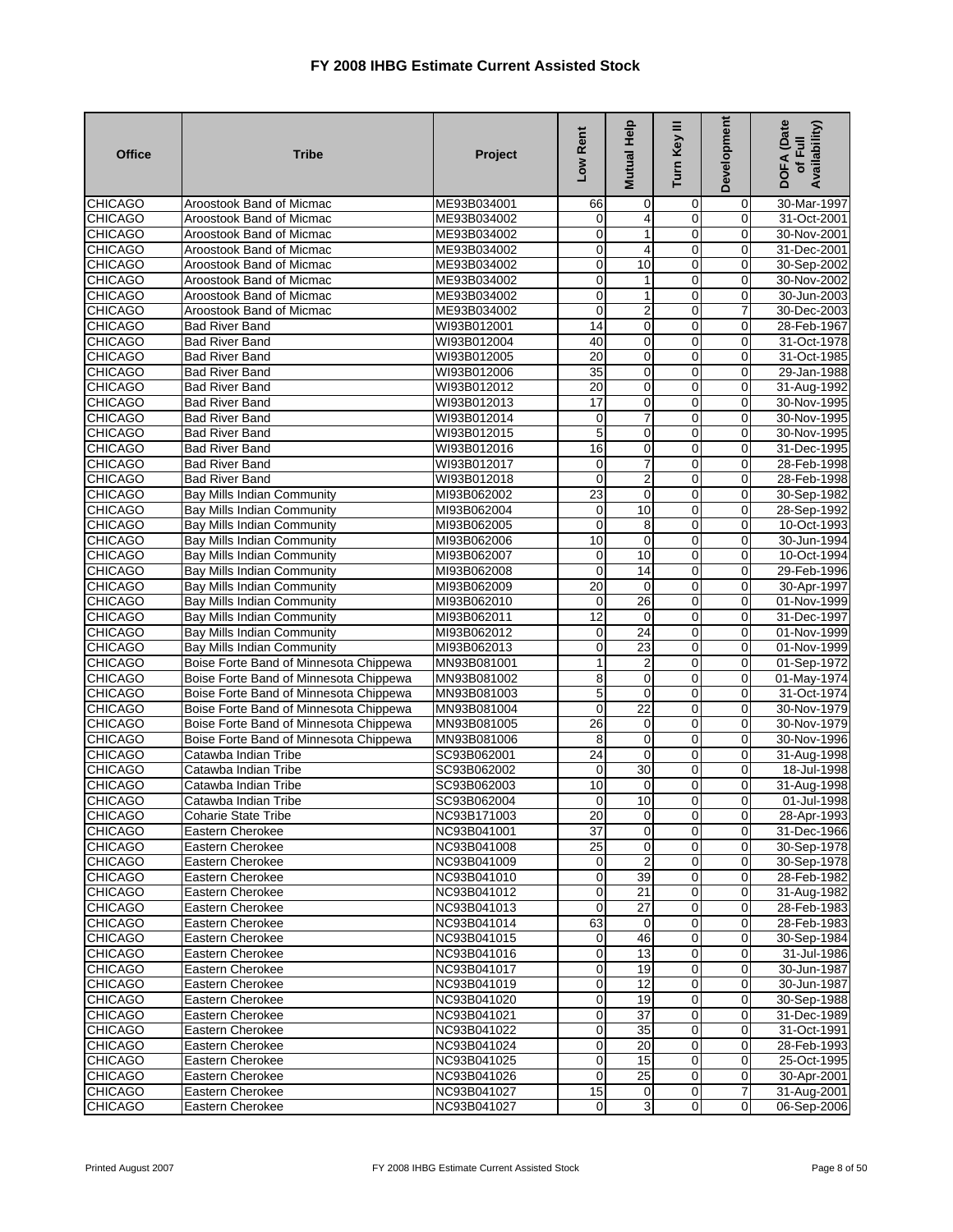| <b>Office</b>  | <b>Tribe</b>                           | Project     | Low Rent                          | Mutual Help             | Turn Key III               | Development                | <b>DOFA</b> (Date<br>Availability)<br>of Full |
|----------------|----------------------------------------|-------------|-----------------------------------|-------------------------|----------------------------|----------------------------|-----------------------------------------------|
| <b>CHICAGO</b> | Aroostook Band of Micmac               | ME93B034001 | 66                                | 0                       | 0                          | 0                          | 30-Mar-1997                                   |
| <b>CHICAGO</b> | Aroostook Band of Micmac               | ME93B034002 | 0                                 | 4                       | 0                          | 0                          | 31-Oct-2001                                   |
| <b>CHICAGO</b> | Aroostook Band of Micmac               | ME93B034002 | $\mathbf 0$                       | 1                       | $\overline{0}$             | 0                          | 30-Nov-2001                                   |
| <b>CHICAGO</b> | Aroostook Band of Micmac               | ME93B034002 | 0                                 | 4                       | $\overline{0}$             | $\overline{0}$             | 31-Dec-2001                                   |
| <b>CHICAGO</b> | Aroostook Band of Micmac               | ME93B034002 | $\mathbf 0$                       | 10                      | 0                          | 0                          | 30-Sep-2002                                   |
| <b>CHICAGO</b> | Aroostook Band of Micmac               | ME93B034002 | $\mathbf 0$                       | 1                       | $\overline{0}$             | 0                          | 30-Nov-2002                                   |
| <b>CHICAGO</b> | Aroostook Band of Micmac               | ME93B034002 | 0                                 | 1                       | 0                          | 0                          | 30-Jun-2003                                   |
| <b>CHICAGO</b> | Aroostook Band of Micmac               | ME93B034002 | 0                                 | 2                       | $\mathbf 0$                | 7                          | 30-Dec-2003                                   |
| <b>CHICAGO</b> | <b>Bad River Band</b>                  | WI93B012001 | 14                                | 0                       | $\mathbf 0$                | 0                          | 28-Feb-1967                                   |
| <b>CHICAGO</b> | <b>Bad River Band</b>                  | WI93B012004 | 40                                | $\mathbf 0$             | $\mathbf 0$                | 0                          | 31-Oct-1978                                   |
| <b>CHICAGO</b> | <b>Bad River Band</b>                  | WI93B012005 | 20                                | 0                       | $\mathbf 0$                | 0                          | 31-Oct-1985                                   |
| <b>CHICAGO</b> | <b>Bad River Band</b>                  | WI93B012006 | $\overline{35}$                   | $\mathbf 0$             | 0                          | $\mathbf 0$                | 29-Jan-1988                                   |
| <b>CHICAGO</b> | <b>Bad River Band</b>                  | WI93B012012 | $\overline{20}$                   | $\mathbf 0$             | $\overline{0}$             | 0                          | 31-Aug-1992                                   |
| <b>CHICAGO</b> | <b>Bad River Band</b>                  | WI93B012013 | 17                                | 0                       | $\mathbf 0$                | 0                          | 30-Nov-1995                                   |
| <b>CHICAGO</b> | <b>Bad River Band</b>                  | WI93B012014 | 0                                 | $\overline{7}$          | $\overline{0}$             | $\Omega$                   | 30-Nov-1995                                   |
| <b>CHICAGO</b> | <b>Bad River Band</b>                  | WI93B012015 | 5                                 | 0                       | 0                          | 0                          | 30-Nov-1995                                   |
| <b>CHICAGO</b> | <b>Bad River Band</b>                  | WI93B012016 | 16                                | $\mathbf 0$             | $\overline{0}$             | 0                          | 31-Dec-1995                                   |
| <b>CHICAGO</b> | <b>Bad River Band</b>                  | WI93B012017 | 0                                 | $\overline{7}$          | $\overline{0}$             | 0                          | 28-Feb-1998                                   |
| <b>CHICAGO</b> | <b>Bad River Band</b>                  | WI93B012018 | 0                                 | $\overline{\mathbf{c}}$ | $\mathbf 0$                | 0                          | 28-Feb-1998                                   |
| <b>CHICAGO</b> | <b>Bay Mills Indian Community</b>      | MI93B062002 | 23                                | $\overline{0}$          | $\overline{0}$             | 0                          | 30-Sep-1982                                   |
| <b>CHICAGO</b> | <b>Bay Mills Indian Community</b>      | MI93B062004 | $\mathbf 0$                       | 10                      | 0                          | 0                          | 28-Sep-1992                                   |
| <b>CHICAGO</b> | <b>Bay Mills Indian Community</b>      | MI93B062005 | 0                                 | 8                       | $\mathbf 0$                | 0                          | 10-Oct-1993                                   |
| <b>CHICAGO</b> | <b>Bay Mills Indian Community</b>      | MI93B062006 | 10                                | $\mathbf 0$             | 0                          | $\mathbf 0$                | 30-Jun-1994                                   |
| <b>CHICAGO</b> | Bay Mills Indian Community             | MI93B062007 | 0                                 | 10                      | $\overline{0}$             | 0                          | 10-Oct-1994                                   |
| <b>CHICAGO</b> | Bay Mills Indian Community             | MI93B062008 | 0                                 | 14                      | 0                          | 0                          | 29-Feb-1996                                   |
| <b>CHICAGO</b> | <b>Bay Mills Indian Community</b>      | MI93B062009 | $\overline{20}$                   | $\mathbf 0$             | $\mathbf 0$                | $\overline{0}$             | 30-Apr-1997                                   |
| <b>CHICAGO</b> | Bay Mills Indian Community             | MI93B062010 | 0                                 | 26                      | $\overline{0}$             | 0                          | 01-Nov-1999                                   |
| <b>CHICAGO</b> | Bay Mills Indian Community             | MI93B062011 | 12                                | $\mathbf 0$             | $\overline{0}$             | 0                          | 31-Dec-1997                                   |
| <b>CHICAGO</b> | Bay Mills Indian Community             | MI93B062012 | 0                                 | $\overline{24}$         | $\overline{0}$             | $\overline{0}$             | 01-Nov-1999                                   |
| <b>CHICAGO</b> | Bay Mills Indian Community             | MI93B062013 | 0                                 | 23                      | 0                          | 0                          | 01-Nov-1999                                   |
| <b>CHICAGO</b> | Boise Forte Band of Minnesota Chippewa | MN93B081001 | $\mathbf{1}$                      | $\overline{2}$          | $\overline{0}$             | $\mathbf 0$                | 01-Sep-1972                                   |
| <b>CHICAGO</b> | Boise Forte Band of Minnesota Chippewa | MN93B081002 | 8                                 | 0                       | 0                          | $\mathbf 0$                | 01-May-1974                                   |
| <b>CHICAGO</b> | Boise Forte Band of Minnesota Chippewa | MN93B081003 | 5                                 | 0                       | $\mathbf 0$                | $\mathbf 0$                | 31-Oct-1974                                   |
| <b>CHICAGO</b> | Boise Forte Band of Minnesota Chippewa | MN93B081004 | 0                                 | 22                      | $\mathbf 0$                | 0                          | 30-Nov-1979                                   |
| <b>CHICAGO</b> | Boise Forte Band of Minnesota Chippewa | MN93B081005 | 26                                | 0                       | $\mathbf 0$                | 0                          | 30-Nov-1979                                   |
| <b>CHICAGO</b> | Boise Forte Band of Minnesota Chippewa | MN93B081006 | 8                                 | 0                       | $\mathbf 0$                | 0                          | 30-Nov-1996                                   |
| <b>CHICAGO</b> | Catawba Indian Tribe                   | SC93B062001 | $\overline{24}$                   | 0                       | $\mathbf 0$                | $\mathbf 0$                | 31-Aug-1998                                   |
| <b>CHICAGO</b> | Catawba Indian Tribe                   | SC93B062002 | 0                                 | $\overline{30}$         | $\mathbf 0$                | $\mathbf 0$                | 18-Jul-1998                                   |
| <b>CHICAGO</b> | Catawba Indian Tribe                   | SC93B062003 | 10                                | 0                       | 0                          | 0                          | 31-Aug-1998                                   |
| <b>CHICAGO</b> | Catawba Indian Tribe                   | SC93B062004 | $\mathbf 0$                       | 10                      | 0                          | $\Omega$                   | 01-Jul-1998                                   |
| <b>CHICAGO</b> | <b>Coharie State Tribe</b>             | NC93B171003 | 20                                | $\mathbf{0}$            | $\mathbf{0}$               | $\mathbf{0}$               | 28-Apr-1993                                   |
| <b>CHICAGO</b> | Eastern Cherokee                       | NC93B041001 | 37                                | $\overline{0}$          | $\overline{0}$             | ō                          | 31-Dec-1966                                   |
| <b>CHICAGO</b> | Eastern Cherokee                       | NC93B041008 | 25                                | $\mathbf 0$             | 0                          | $\mathbf 0$                | 30-Sep-1978                                   |
| <b>CHICAGO</b> | Eastern Cherokee                       | NC93B041009 | 0                                 | $\overline{2}$          | $\overline{0}$             | 0                          | 30-Sep-1978                                   |
| <b>CHICAGO</b> | Eastern Cherokee                       | NC93B041010 | $\mathbf 0$                       | 39                      | $\overline{0}$             | ō                          | 28-Feb-1982                                   |
| <b>CHICAGO</b> | Eastern Cherokee                       | NC93B041012 | $\mathbf 0$                       | 21                      | $\mathbf 0$                | 0                          | 31-Aug-1982                                   |
| <b>CHICAGO</b> |                                        | NC93B041013 | 0                                 | 27                      | $\mathbf 0$                | 0                          | 28-Feb-1983                                   |
| <b>CHICAGO</b> | Eastern Cherokee<br>Eastern Cherokee   | NC93B041014 | 63                                | 0                       | $\overline{0}$             | 0                          |                                               |
| <b>CHICAGO</b> | Eastern Cherokee                       | NC93B041015 | $\mathbf 0$                       | 46                      | $\overline{0}$             | 0                          | 28-Feb-1983<br>30-Sep-1984                    |
|                | Eastern Cherokee                       |             | 0                                 | 13                      | $\mathbf 0$                | 0                          |                                               |
| <b>CHICAGO</b> | Eastern Cherokee                       | NC93B041016 |                                   |                         | $\mathbf 0$                |                            | 31-Jul-1986<br>30-Jun-1987                    |
| <b>CHICAGO</b> |                                        | NC93B041017 | $\mathbf 0$                       | 19                      |                            | 0                          | 30-Jun-1987                                   |
| <b>CHICAGO</b> | Eastern Cherokee                       | NC93B041019 | $\mathbf 0$                       | 12                      | 0                          | 0                          |                                               |
| <b>CHICAGO</b> | Eastern Cherokee                       | NC93B041020 | $\overline{0}$                    | 19<br>$\overline{37}$   | $\overline{0}$             | 0                          | 30-Sep-1988                                   |
| <b>CHICAGO</b> | Eastern Cherokee                       | NC93B041021 | 0                                 |                         | 0                          | 0                          | 31-Dec-1989                                   |
| <b>CHICAGO</b> | Eastern Cherokee                       | NC93B041022 | $\mathbf 0$                       | 35                      | $\mathbf 0$                | 0                          | 31-Oct-1991                                   |
| <b>CHICAGO</b> | Eastern Cherokee                       | NC93B041024 | $\mathbf 0$                       | 20<br>15                | $\overline{0}$             | $\mathbf 0$<br>$\mathbf 0$ | 28-Feb-1993                                   |
| <b>CHICAGO</b> | Eastern Cherokee                       | NC93B041025 | $\mathbf 0$                       |                         | $\mathbf 0$                |                            | 25-Oct-1995                                   |
| <b>CHICAGO</b> | Eastern Cherokee                       | NC93B041026 | 0                                 | 25                      | $\overline{0}$             | 0                          | 30-Apr-2001                                   |
| <b>CHICAGO</b> | Eastern Cherokee                       | NC93B041027 | $\overline{15}$<br>$\overline{O}$ | $\mathbf 0$             | $\mathbf 0$<br>$\mathbf 0$ | $\overline{7}$             | 31-Aug-2001                                   |
| <b>CHICAGO</b> | Eastern Cherokee                       | NC93B041027 |                                   | 3                       |                            | 0                          | 06-Sep-2006                                   |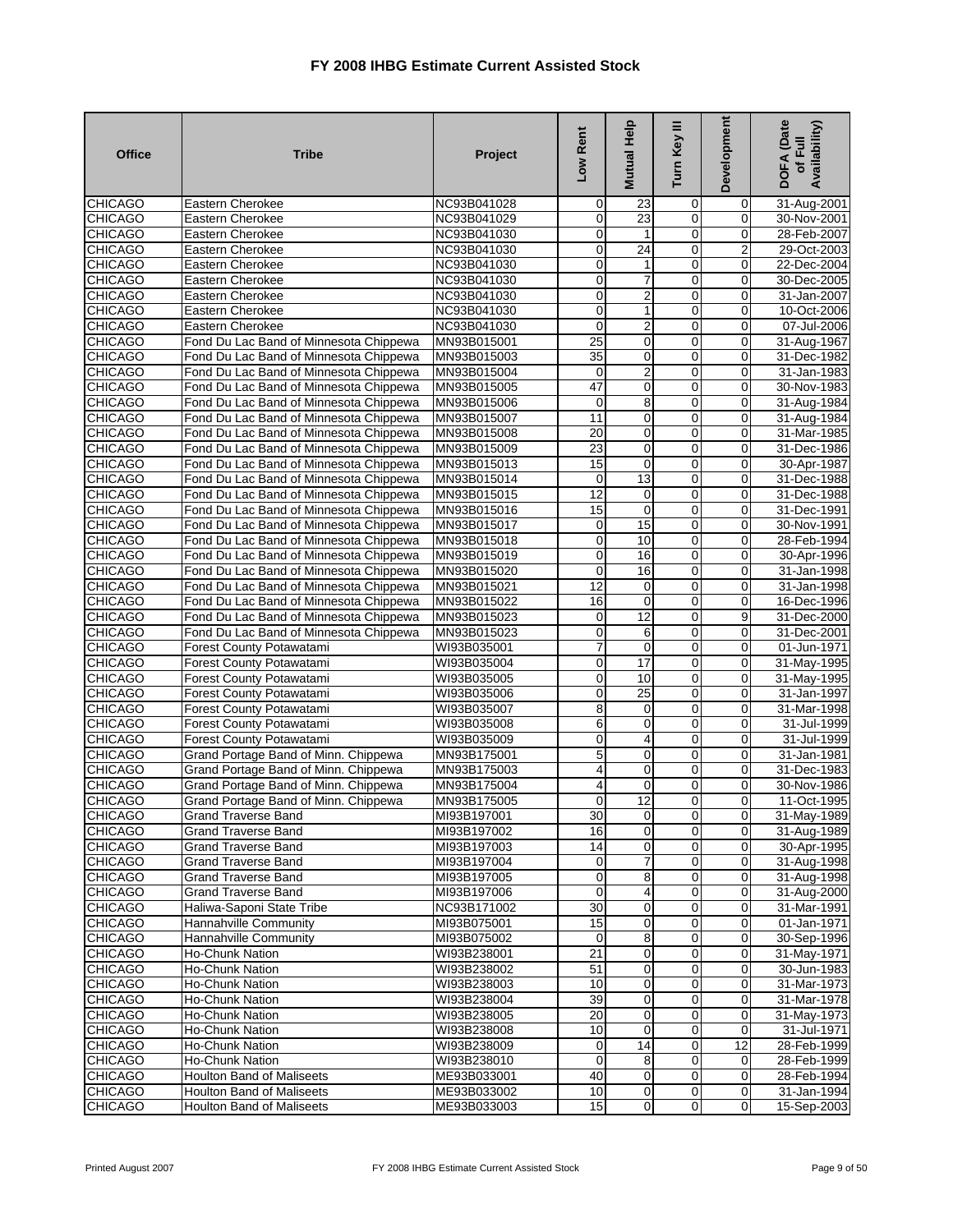| <b>Office</b>                    | <b>Tribe</b>                                      | Project                    | Low Rent                | <b>Mutual Help</b>      | Turn Key III                     | Development         | DOFA (Date<br>Availability)<br>of Full |
|----------------------------------|---------------------------------------------------|----------------------------|-------------------------|-------------------------|----------------------------------|---------------------|----------------------------------------|
| <b>CHICAGO</b>                   | Eastern Cherokee                                  | NC93B041028                | 0                       | 23                      | $\mathbf 0$                      | $\overline{0}$      | 31-Aug-2001                            |
| <b>CHICAGO</b>                   | Eastern Cherokee                                  | NC93B041029                | $\overline{0}$          | 23                      | 0                                | $\mathbf 0$         | 30-Nov-2001                            |
| <b>CHICAGO</b>                   | Eastern Cherokee                                  | NC93B041030                | $\mathbf 0$             | 1                       | $\overline{0}$                   | $\mathbf 0$         | 28-Feb-2007                            |
| <b>CHICAGO</b>                   | Eastern Cherokee                                  | NC93B041030                | o                       | $\overline{24}$         | 0                                | $\overline{2}$      | 29-Oct-2003                            |
| <b>CHICAGO</b>                   | Eastern Cherokee                                  | NC93B041030                | 0                       | $\mathbf{1}$            | 0                                | $\pmb{0}$           | 22-Dec-2004                            |
| <b>CHICAGO</b>                   | Eastern Cherokee                                  | NC93B041030                | $\overline{0}$          | 7                       | $\mathbf 0$                      | $\mathbf 0$         | 30-Dec-2005                            |
| <b>CHICAGO</b>                   | Eastern Cherokee                                  | NC93B041030                | $\overline{0}$          | $\overline{\mathbf{c}}$ | $\mathbf 0$                      | $\mathbf 0$         | 31-Jan-2007                            |
| <b>CHICAGO</b>                   | Eastern Cherokee                                  | NC93B041030                | $\mathbf 0$             | $\mathbf{1}$            | $\overline{0}$                   | $\overline{0}$      | 10-Oct-2006                            |
| <b>CHICAGO</b>                   | Eastern Cherokee                                  | NC93B041030                | $\overline{0}$          | $\overline{2}$          | 0                                | $\mathbf 0$         | 07-Jul-2006                            |
| <b>CHICAGO</b>                   | Fond Du Lac Band of Minnesota Chippewa            | MN93B015001                | 25                      | $\mathbf 0$             | $\overline{0}$                   | $\mathbf 0$         | 31-Aug-1967                            |
| <b>CHICAGO</b>                   | Fond Du Lac Band of Minnesota Chippewa            | MN93B015003                | 35                      | $\mathbf 0$             | 0                                | $\mathbf 0$         | 31-Dec-1982                            |
| <b>CHICAGO</b>                   | Fond Du Lac Band of Minnesota Chippewa            | MN93B015004                | 0                       | $\overline{2}$          | $\mathbf 0$                      | $\mathbf 0$         | 31-Jan-1983                            |
| <b>CHICAGO</b>                   | Fond Du Lac Band of Minnesota Chippewa            | MN93B015005                | 47                      | $\mathbf 0$             | 0                                | $\mathbf 0$         | 30-Nov-1983                            |
| <b>CHICAGO</b>                   | Fond Du Lac Band of Minnesota Chippewa            | MN93B015006                | $\pmb{0}$               | 8                       | $\mathbf 0$                      | $\mathbf 0$         | 31-Aug-1984                            |
| <b>CHICAGO</b>                   | Fond Du Lac Band of Minnesota Chippewa            | MN93B015007                | 11                      | $\mathbf 0$             | $\mathbf 0$                      | $\mathbf 0$         | 31-Aug-1984                            |
| <b>CHICAGO</b>                   | Fond Du Lac Band of Minnesota Chippewa            | MN93B015008                | $\overline{20}$         | $\overline{0}$          | 0                                | $\mathbf 0$         | 31-Mar-1985                            |
| <b>CHICAGO</b>                   | Fond Du Lac Band of Minnesota Chippewa            | MN93B015009                | 23                      | $\overline{0}$          | $\overline{0}$                   | $\mathbf 0$         | 31-Dec-1986                            |
| <b>CHICAGO</b>                   | Fond Du Lac Band of Minnesota Chippewa            | MN93B015013                | 15                      | $\mathbf 0$             | 0                                | $\overline{0}$      | 30-Apr-1987                            |
| <b>CHICAGO</b>                   | Fond Du Lac Band of Minnesota Chippewa            | MN93B015014                | 0                       | 13                      | $\overline{0}$                   | $\mathbf 0$         | 31-Dec-1988                            |
| <b>CHICAGO</b>                   | Fond Du Lac Band of Minnesota Chippewa            | MN93B015015                | 12                      | $\mathbf 0$             | $\overline{0}$                   | $\mathbf 0$         | 31-Dec-1988                            |
| <b>CHICAGO</b>                   | Fond Du Lac Band of Minnesota Chippewa            | MN93B015016                | 15                      | $\mathbf 0$             | $\overline{0}$                   | $\overline{0}$      | 31-Dec-1991                            |
| <b>CHICAGO</b>                   | Fond Du Lac Band of Minnesota Chippewa            | MN93B015017                | $\pmb{0}$               | 15                      | $\mathbf 0$                      | $\mathbf 0$         | 30-Nov-1991                            |
| <b>CHICAGO</b>                   | Fond Du Lac Band of Minnesota Chippewa            | MN93B015018                | $\mathbf 0$             | 10                      | 0                                | 0                   | 28-Feb-1994                            |
| <b>CHICAGO</b>                   | Fond Du Lac Band of Minnesota Chippewa            | MN93B015019                | $\overline{0}$          | 16                      | $\overline{0}$                   | $\mathbf 0$         | 30-Apr-1996                            |
| <b>CHICAGO</b>                   | Fond Du Lac Band of Minnesota Chippewa            | MN93B015020                | $\overline{0}$          | 16                      | $\overline{0}$                   | $\pmb{0}$           | 31-Jan-1998                            |
| <b>CHICAGO</b>                   | Fond Du Lac Band of Minnesota Chippewa            | MN93B015021                | $\overline{12}$         | $\mathbf 0$             | $\overline{0}$                   | $\mathbf 0$         | 31-Jan-1998                            |
| <b>CHICAGO</b>                   | Fond Du Lac Band of Minnesota Chippewa            | MN93B015022                | 16                      | $\mathbf 0$             | 0                                | $\mathbf 0$         | 16-Dec-1996                            |
| <b>CHICAGO</b>                   | Fond Du Lac Band of Minnesota Chippewa            | MN93B015023                | $\mathbf 0$             | 12                      | $\mathbf 0$                      | 9                   | 31-Dec-2000                            |
| <b>CHICAGO</b>                   | Fond Du Lac Band of Minnesota Chippewa            | MN93B015023                | O                       | 6                       | $\overline{0}$                   | $\overline{0}$      | 31-Dec-2001                            |
| <b>CHICAGO</b>                   | Forest County Potawatami                          | WI93B035001                | 7                       | $\mathbf 0$             | $\mathbf 0$                      | $\mathbf 0$         | 01-Jun-1971                            |
| <b>CHICAGO</b>                   | <b>Forest County Potawatami</b>                   | WI93B035004                | $\mathbf 0$             | $\overline{17}$         | $\mathbf 0$                      | $\overline{0}$      | 31-May-1995                            |
| <b>CHICAGO</b>                   | <b>Forest County Potawatami</b>                   | WI93B035005                | $\overline{0}$          | 10                      | $\mathbf 0$                      | $\overline{0}$      | 31-May-1995                            |
| <b>CHICAGO</b>                   | <b>Forest County Potawatami</b>                   | WI93B035006                | $\mathbf 0$             | $\overline{25}$         | $\overline{0}$                   | $\mathbf 0$         | 31-Jan-1997                            |
| <b>CHICAGO</b>                   | <b>Forest County Potawatami</b>                   | WI93B035007                | 8                       | $\mathbf 0$             | $\mathbf 0$                      | $\mathbf{O}$        | 31-Mar-1998                            |
| <b>CHICAGO</b>                   | Forest County Potawatami                          | WI93B035008                | 6                       | $\mathbf 0$             | $\mathbf 0$                      | $\mathbf{O}$        | 31-Jul-1999                            |
| <b>CHICAGO</b>                   | <b>Forest County Potawatami</b>                   | WI93B035009                | $\pmb{0}$               | $\overline{4}$          | 0                                | $\mathbf 0$         | 31-Jul-1999                            |
| <b>CHICAGO</b>                   | Grand Portage Band of Minn. Chippewa              | MN93B175001                | 5                       | $\mathbf 0$             | $\mathbf 0$                      | $\mathbf 0$         | 31-Jan-1981                            |
| <b>CHICAGO</b>                   | Grand Portage Band of Minn. Chippewa              | MN93B175003                | $\overline{\mathbf{4}}$ | $\mathbf 0$             | $\mathbf 0$                      | $\mathbf 0$         | 31-Dec-1983                            |
| <b>CHICAGO</b>                   | Grand Portage Band of Minn. Chippewa              | MN93B175004                | 4<br>$\mathbf 0$        | $\mathbf 0$<br>12       | 0<br>$\overline{0}$              | $\pmb{0}$           | 30-Nov-1986                            |
| <b>CHICAGO</b><br><b>CHICAGO</b> | Grand Portage Band of Minn. Chippewa              | MN93B175005<br>MI93B197001 |                         | $\overline{0}$          |                                  | $\mathbf 0$         | 11-Oct-1995                            |
| <b>CHICAGO</b>                   | <b>Grand Traverse Band</b>                        | MI93B197002                | 30<br>16                | $\overline{0}$          | $\overline{0}$<br>$\overline{0}$ | 0<br>$\overline{0}$ | 31-May-1989                            |
| <b>CHICAGO</b>                   | Grand Traverse Band<br><b>Grand Traverse Band</b> | MI93B197003                | 14                      | $\overline{0}$          | $\mathbf 0$                      | $\overline{0}$      | 31-Aug-1989<br>30-Apr-1995             |
| <b>CHICAGO</b>                   | Grand Traverse Band                               | MI93B197004                | $\mathbf 0$             | $\overline{7}$          | 0                                | $\mathbf 0$         | 31-Aug-1998                            |
| <b>CHICAGO</b>                   | Grand Traverse Band                               | MI93B197005                | $\overline{0}$          | 8                       | 0                                | $\mathbf 0$         | 31-Aug-1998                            |
| <b>CHICAGO</b>                   | <b>Grand Traverse Band</b>                        | MI93B197006                | $\overline{0}$          | $\overline{4}$          | 0                                | $\mathbf 0$         | 31-Aug-2000                            |
| <b>CHICAGO</b>                   | Haliwa-Saponi State Tribe                         | NC93B171002                | 30                      | $\mathbf 0$             | 0                                | $\overline{0}$      | 31-Mar-1991                            |
| <b>CHICAGO</b>                   | Hannahville Community                             | MI93B075001                | 15                      | 0                       | 0                                | $\overline{0}$      | 01-Jan-1971                            |
| <b>CHICAGO</b>                   | Hannahville Community                             | MI93B075002                | $\mathbf 0$             | 8                       | 0                                | $\overline{0}$      | 30-Sep-1996                            |
| <b>CHICAGO</b>                   | Ho-Chunk Nation                                   | WI93B238001                | $\overline{21}$         | $\mathbf 0$             | $\mathbf 0$                      | $\mathbf 0$         | 31-May-1971                            |
| <b>CHICAGO</b>                   | Ho-Chunk Nation                                   | WI93B238002                | 51                      | $\mathbf 0$             | $\mathbf 0$                      | $\mathbf 0$         | 30-Jun-1983                            |
| <b>CHICAGO</b>                   | Ho-Chunk Nation                                   | WI93B238003                | 10                      | $\mathbf 0$             | 0                                | $\overline{0}$      | 31-Mar-1973                            |
| <b>CHICAGO</b>                   | Ho-Chunk Nation                                   | WI93B238004                | 39                      | $\mathbf 0$             | $\mathbf 0$                      | $\overline{0}$      | 31-Mar-1978                            |
| <b>CHICAGO</b>                   | Ho-Chunk Nation                                   | WI93B238005                | 20                      | $\mathbf{O}$            | $\mathbf 0$                      | $\overline{0}$      | 31-May-1973                            |
| <b>CHICAGO</b>                   | Ho-Chunk Nation                                   | WI93B238008                | 10                      | $\mathbf 0$             | 0                                | $\overline{0}$      | 31-Jul-1971                            |
| <b>CHICAGO</b>                   | Ho-Chunk Nation                                   | WI93B238009                | $\overline{O}$          | 14                      | $\mathbf 0$                      | 12                  | 28-Feb-1999                            |
| <b>CHICAGO</b>                   | Ho-Chunk Nation                                   | WI93B238010                | $\mathbf 0$             | 8                       | $\mathbf 0$                      | $\overline{0}$      | 28-Feb-1999                            |
| <b>CHICAGO</b>                   | Houlton Band of Maliseets                         | ME93B033001                | 40                      | $\mathbf 0$             | 0                                | $\overline{0}$      | 28-Feb-1994                            |
| <b>CHICAGO</b>                   | Houlton Band of Maliseets                         | ME93B033002                | 10                      | $\mathbf 0$             | $\mathbf 0$                      | $\mathbf 0$         | 31-Jan-1994                            |
| <b>CHICAGO</b>                   | <b>Houlton Band of Maliseets</b>                  | ME93B033003                | 15                      | $\overline{0}$          | $\boldsymbol{0}$                 | $\overline{0}$      | 15-Sep-2003                            |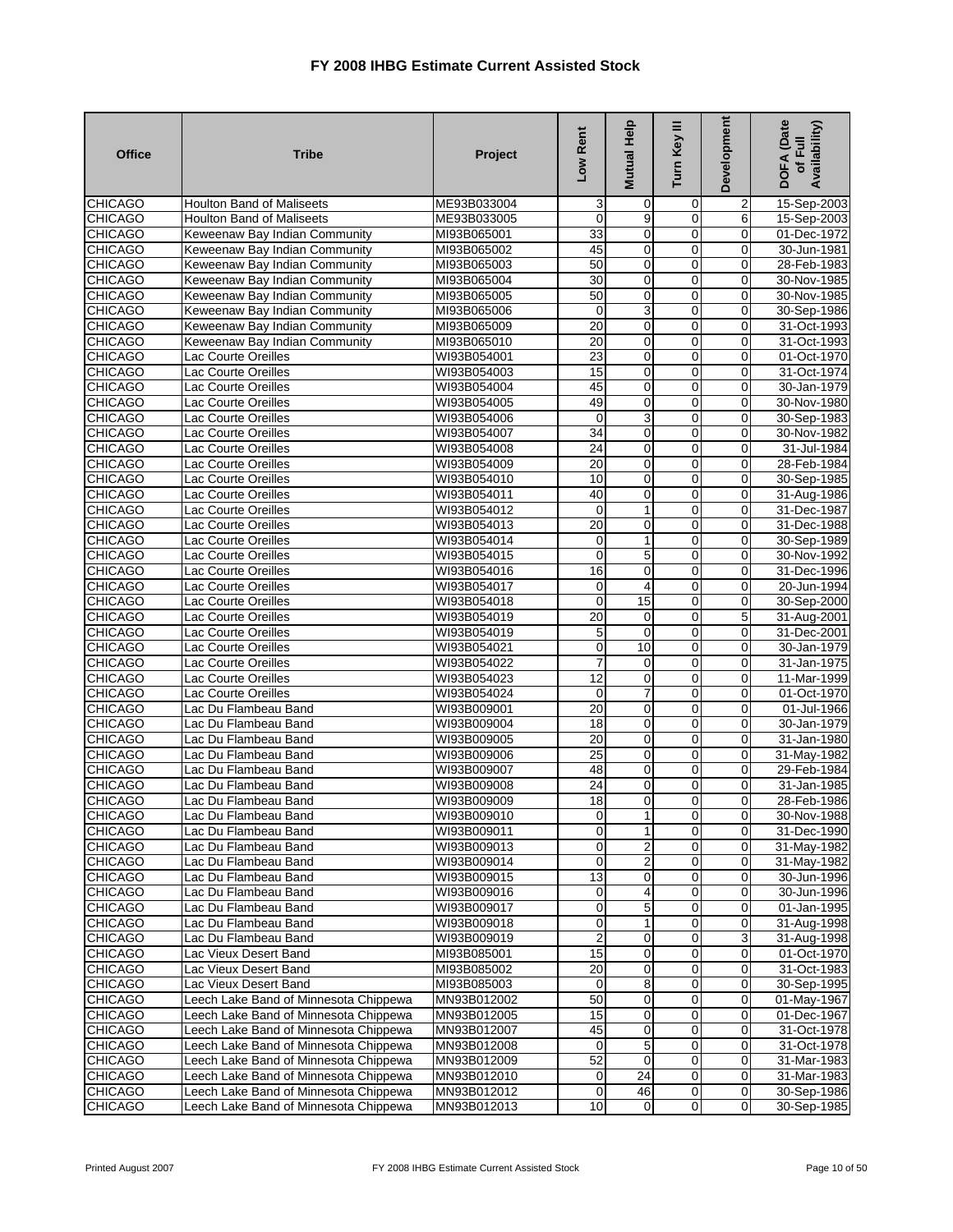| <b>Office</b>                    | <b>Tribe</b>                                                                   | Project                    | Low Rent                | Mutual Help                  | Turn Key III        | Development             | DOFA (Date<br>Availability)<br>of Full |
|----------------------------------|--------------------------------------------------------------------------------|----------------------------|-------------------------|------------------------------|---------------------|-------------------------|----------------------------------------|
| <b>CHICAGO</b>                   | <b>Houlton Band of Maliseets</b>                                               | ME93B033004                | 3                       | 0                            | 0                   | $\overline{\mathbf{c}}$ | 15-Sep-2003                            |
| <b>CHICAGO</b>                   | <b>Houlton Band of Maliseets</b>                                               | ME93B033005                | $\mathbf 0$             | 9                            | $\overline{0}$      | $\overline{6}$          | 15-Sep-2003                            |
| <b>CHICAGO</b>                   | Keweenaw Bay Indian Community                                                  | MI93B065001                | 33                      | 0                            | $\overline{0}$      | 0                       | 01-Dec-1972                            |
| <b>CHICAGO</b>                   | Keweenaw Bay Indian Community                                                  | MI93B065002                | 45                      | $\pmb{0}$                    | 0                   | $\mathbf 0$             | 30-Jun-1981                            |
| <b>CHICAGO</b>                   | Keweenaw Bay Indian Community                                                  | MI93B065003                | 50                      | $\mathbf 0$                  | $\overline{0}$      | 0                       | 28-Feb-1983                            |
| <b>CHICAGO</b>                   | Keweenaw Bay Indian Community                                                  | MI93B065004                | 30                      | 0                            | $\mathbf 0$         | 0                       | 30-Nov-1985                            |
| <b>CHICAGO</b>                   | Keweenaw Bay Indian Community                                                  | MI93B065005                | 50                      | $\mathbf 0$                  | 0                   | $\Omega$                | 30-Nov-1985                            |
| <b>CHICAGO</b>                   | Keweenaw Bay Indian Community                                                  | MI93B065006                | $\mathbf 0$             | 3                            | 0                   | 0                       | 30-Sep-1986                            |
| <b>CHICAGO</b>                   | Keweenaw Bay Indian Community                                                  | MI93B065009                | $\overline{20}$         | $\pmb{0}$                    | $\overline{0}$      | $\pmb{0}$               | 31-Oct-1993                            |
| <b>CHICAGO</b>                   | Keweenaw Bay Indian Community                                                  | MI93B065010                | 20                      | 0                            | $\mathbf 0$         | $\mathbf 0$             | 31-Oct-1993                            |
| <b>CHICAGO</b>                   | Lac Courte Oreilles                                                            | WI93B054001                | 23                      | 0                            | 0                   | 0                       | 01-Oct-1970                            |
| <b>CHICAGO</b>                   | Lac Courte Oreilles                                                            | WI93B054003                | 15                      | O                            | $\overline{0}$      | $\mathbf 0$             | 31-Oct-1974                            |
| <b>CHICAGO</b>                   | Lac Courte Oreilles                                                            | WI93B054004                | 45                      | 0                            | 0                   | $\mathbf 0$             | 30-Jan-1979                            |
| <b>CHICAGO</b>                   | Lac Courte Oreilles                                                            | WI93B054005                | 49                      | $\mathbf 0$                  | $\mathbf 0$         | 0                       | 30-Nov-1980                            |
| <b>CHICAGO</b><br><b>CHICAGO</b> | Lac Courte Oreilles                                                            | WI93B054006                | $\mathbf 0$<br>34       | 3<br>$\overline{\mathbf{0}}$ | 0<br>$\overline{0}$ | 0<br>0                  | 30-Sep-1983                            |
| <b>CHICAGO</b>                   | Lac Courte Oreilles<br>Lac Courte Oreilles                                     | WI93B054007<br>WI93B054008 | 24                      | 0                            | $\overline{0}$      | $\mathbf 0$             | 30-Nov-1982<br>31-Jul-1984             |
| <b>CHICAGO</b>                   | Lac Courte Oreilles                                                            | WI93B054009                | $\overline{20}$         | $\mathbf 0$                  | 0                   | $\mathbf 0$             | 28-Feb-1984                            |
| <b>CHICAGO</b>                   | Lac Courte Oreilles                                                            | WI93B054010                | 10                      | 0                            | 0                   | 0                       | 30-Sep-1985                            |
| <b>CHICAGO</b>                   | Lac Courte Oreilles                                                            | WI93B054011                | 40                      | 0                            | $\overline{0}$      | $\pmb{0}$               | 31-Aug-1986                            |
| <b>CHICAGO</b>                   | Lac Courte Oreilles                                                            | WI93B054012                | $\mathbf 0$             | $\mathbf{1}$                 | $\overline{0}$      | $\overline{0}$          | 31-Dec-1987                            |
| <b>CHICAGO</b>                   | Lac Courte Oreilles                                                            | WI93B054013                | $\overline{20}$         | 0                            | 0                   | 0                       | 31-Dec-1988                            |
| <b>CHICAGO</b>                   | Lac Courte Oreilles                                                            | WI93B054014                | $\mathbf 0$             | 1                            | $\overline{0}$      | 0                       | 30-Sep-1989                            |
| <b>CHICAGO</b>                   | Lac Courte Oreilles                                                            | WI93B054015                | $\mathbf 0$             | 5                            | $\overline{0}$      | 0                       | 30-Nov-1992                            |
| <b>CHICAGO</b>                   | Lac Courte Oreilles                                                            | WI93B054016                | 16                      | 0                            | 0                   | 0                       | 31-Dec-1996                            |
| <b>CHICAGO</b>                   | Lac Courte Oreilles                                                            | WI93B054017                | $\mathbf 0$             | 4                            | $\overline{0}$      | 0                       | 20-Jun-1994                            |
| <b>CHICAGO</b>                   | Lac Courte Oreilles                                                            | WI93B054018                | $\overline{\mathbf{0}}$ | 15                           | $\mathbf 0$         | $\mathbf 0$             | 30-Sep-2000                            |
| <b>CHICAGO</b>                   | Lac Courte Oreilles                                                            | WI93B054019                | 20                      | 0                            | $\overline{0}$      | 5                       | 31-Aug-2001                            |
| <b>CHICAGO</b>                   | Lac Courte Oreilles                                                            | WI93B054019                | 5                       | $\mathbf 0$                  | $\overline{0}$      | 0                       | 31-Dec-2001                            |
| <b>CHICAGO</b>                   | Lac Courte Oreilles                                                            | WI93B054021                | $\mathbf 0$             | 10                           | 0                   | 0                       | 30-Jan-1979                            |
| <b>CHICAGO</b>                   | Lac Courte Oreilles                                                            | WI93B054022                | $\overline{7}$          | 0                            | $\mathbf 0$         | 0                       | 31-Jan-1975                            |
| <b>CHICAGO</b>                   | Lac Courte Oreilles                                                            | WI93B054023                | $\overline{12}$         | $\mathbf 0$                  | 0                   | $\mathbf 0$             | 11-Mar-1999                            |
| <b>CHICAGO</b>                   | Lac Courte Oreilles                                                            | WI93B054024                | $\mathbf 0$             | 7                            | 0                   | 0                       | 01-Oct-1970                            |
| <b>CHICAGO</b>                   | Lac Du Flambeau Band                                                           | WI93B009001                | $\overline{20}$         | 0                            | $\mathbf 0$         | $\mathbf 0$             | 01-Jul-1966                            |
| <b>CHICAGO</b>                   | Lac Du Flambeau Band                                                           | WI93B009004                | 18                      | 0                            | $\mathbf 0$         | $\mathbf 0$             | 30-Jan-1979                            |
| <b>CHICAGO</b>                   | Lac Du Flambeau Band                                                           | WI93B009005                | 20                      | 0                            | 0                   | 0                       | 31-Jan-1980                            |
| <b>CHICAGO</b>                   | Lac Du Flambeau Band                                                           | WI93B009006                | 25                      | $\pmb{0}$                    | $\overline{0}$      | $\mathbf 0$             | 31-May-1982                            |
| <b>CHICAGO</b>                   | Lac Du Flambeau Band                                                           | WI93B009007                | 48                      | 0                            | $\mathbf 0$         | $\mathbf 0$             | 29-Feb-1984                            |
| <b>CHICAGO</b>                   | Lac Du Flambeau Band                                                           | WI93B009008                | 24                      | 0                            | 0                   | 0                       | 31-Jan-1985                            |
| <b>CHICAGO</b>                   | Lac Du Flambeau Band                                                           | WI93B009009                | 18                      | 0                            | 0                   | 0                       | 28-Feb-1986                            |
| <b>CHICAGO</b>                   | Lac Du Flambeau Band                                                           | WI93B009010                | $\overline{0}$          | $1\vert$                     | $\overline{0}$      | οI                      | 30-Nov-1988                            |
| <b>CHICAGO</b>                   | Lac Du Flambeau Band                                                           | WI93B009011                | $\overline{0}$          | 1                            | $\overline{0}$      | $\mathbf 0$             | 31-Dec-1990                            |
| <b>CHICAGO</b>                   | Lac Du Flambeau Band                                                           | WI93B009013                | $\mathbf 0$             | $\overline{\mathbf{c}}$      | 0                   | 0                       | 31-May-1982                            |
| <b>CHICAGO</b>                   | Lac Du Flambeau Band                                                           | WI93B009014                | $\mathbf 0$             | $\overline{\mathbf{c}}$      | 0                   | 0                       | 31-May-1982                            |
| <b>CHICAGO</b>                   | Lac Du Flambeau Band                                                           | WI93B009015                | 13                      | 0                            | $\overline{0}$      | $\mathbf 0$             | 30-Jun-1996                            |
| <b>CHICAGO</b>                   | Lac Du Flambeau Band                                                           | WI93B009016                | $\mathbf 0$             | 4                            | $\overline{0}$      | $\mathbf 0$             | 30-Jun-1996                            |
| <b>CHICAGO</b>                   | Lac Du Flambeau Band                                                           | WI93B009017                | $\mathbf 0$             | 5                            | 0                   | 0                       | 01-Jan-1995                            |
| <b>CHICAGO</b>                   | Lac Du Flambeau Band                                                           | WI93B009018                | $\mathbf 0$             | 1                            | $\mathbf 0$         | $\pmb{0}$               | 31-Aug-1998                            |
| <b>CHICAGO</b>                   | Lac Du Flambeau Band                                                           | WI93B009019                | $\overline{2}$          | 0                            | 0                   | 3                       | 31-Aug-1998                            |
| <b>CHICAGO</b>                   | Lac Vieux Desert Band                                                          | MI93B085001                | 15                      | 0                            | 0                   | 0                       | 01-Oct-1970                            |
| <b>CHICAGO</b>                   | Lac Vieux Desert Band                                                          | MI93B085002                | 20                      | $\pmb{0}$                    | 0                   | $\mathbf 0$             | 31-Oct-1983                            |
| <b>CHICAGO</b>                   | Lac Vieux Desert Band<br>Leech Lake Band of Minnesota Chippewa                 | MI93B085003                | $\mathbf 0$             | 8                            | 0                   | 0                       | 30-Sep-1995                            |
| <b>CHICAGO</b>                   |                                                                                | MN93B012002                | 50<br>15                | 0<br>0                       | 0<br>0              | 0<br>0                  | 01-May-1967                            |
| <b>CHICAGO</b><br><b>CHICAGO</b> | Leech Lake Band of Minnesota Chippewa<br>Leech Lake Band of Minnesota Chippewa | MN93B012005<br>MN93B012007 | 45                      | $\mathbf 0$                  | 0                   | $\pmb{0}$               | 01-Dec-1967<br>31-Oct-1978             |
| <b>CHICAGO</b>                   | Leech Lake Band of Minnesota Chippewa                                          | MN93B012008                | $\mathbf 0$             | 5                            | $\pmb{0}$           | 0                       | 31-Oct-1978                            |
| <b>CHICAGO</b>                   | Leech Lake Band of Minnesota Chippewa                                          | MN93B012009                | 52                      | $\mathbf 0$                  | 0                   | $\mathbf 0$             | 31-Mar-1983                            |
| <b>CHICAGO</b>                   | Leech Lake Band of Minnesota Chippewa                                          | MN93B012010                | $\mathbf 0$             | $\overline{24}$              | 0                   | $\mathbf 0$             | 31-Mar-1983                            |
| <b>CHICAGO</b>                   | Leech Lake Band of Minnesota Chippewa                                          | MN93B012012                | $\mathbf 0$             | 46                           | 0                   | $\pmb{0}$               | 30-Sep-1986                            |
| <b>CHICAGO</b>                   | Leech Lake Band of Minnesota Chippewa                                          | MN93B012013                | 10                      | $\mathbf 0$                  | 0                   | $\pmb{0}$               | 30-Sep-1985                            |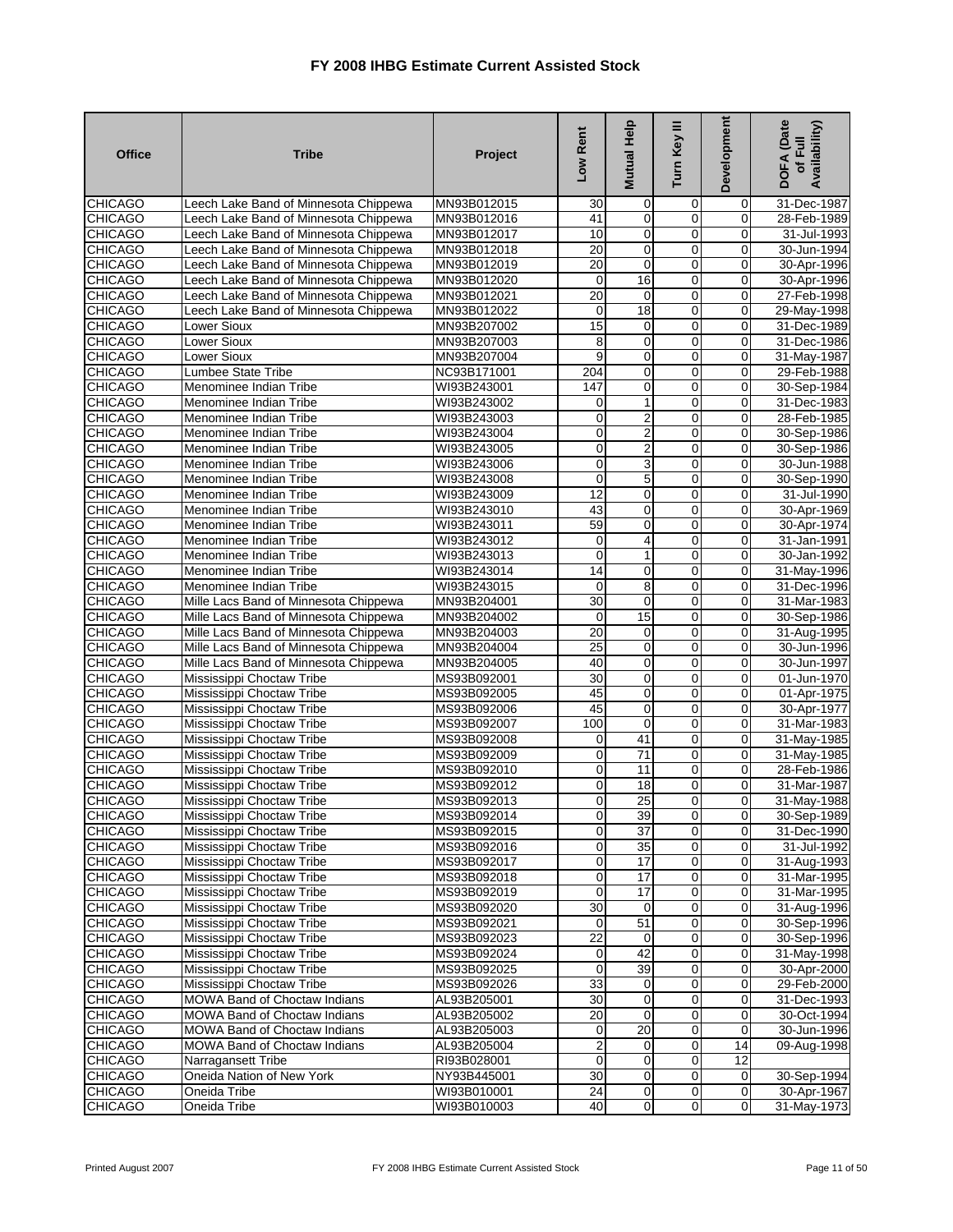| <b>CHICAGO</b><br>Leech Lake Band of Minnesota Chippewa<br>MN93B012015<br>30<br>0<br>0<br>0<br>31-Dec-1987<br>$\mathbf 0$<br>$\overline{0}$<br>0<br><b>CHICAGO</b><br>Leech Lake Band of Minnesota Chippewa<br>41<br>MN93B012016<br>28-Feb-1989<br>10<br>0<br>0<br><b>CHICAGO</b><br>Leech Lake Band of Minnesota Chippewa<br>$\mathbf 0$<br>31-Jul-1993<br>MN93B012017<br>20<br>$\mathbf 0$<br>$\mathbf 0$<br>30-Jun-1994<br><b>CHICAGO</b><br>Leech Lake Band of Minnesota Chippewa<br>MN93B012018<br>0<br>$\mathbf 0$<br><b>CHICAGO</b><br>20<br>0<br>0<br>Leech Lake Band of Minnesota Chippewa<br>MN93B012019<br>30-Apr-1996<br>$\mathbf 0$<br><b>CHICAGO</b><br>0<br>16<br>0<br>Leech Lake Band of Minnesota Chippewa<br>MN93B012020<br>30-Apr-1996<br>$\overline{20}$<br>$\mathbf 0$<br><b>CHICAGO</b><br>0<br>Leech Lake Band of Minnesota Chippewa<br>0<br>27-Feb-1998<br>MN93B012021<br><b>CHICAGO</b><br>$\overline{18}$<br>$\mathbf 0$<br>Leech Lake Band of Minnesota Chippewa<br>MN93B012022<br>0<br>0<br>29-May-1998<br>$\overline{0}$<br>$\overline{15}$<br>$\mathbf 0$<br><b>CHICAGO</b><br>$\mathbf 0$<br>Lower Sioux<br>MN93B207002<br>31-Dec-1989<br>$\mathbf 0$<br><b>CHICAGO</b><br>8<br>$\mathbf 0$<br>0<br>Lower Sioux<br>MN93B207003<br>31-Dec-1986<br>$\mathbf 0$<br><b>CHICAGO</b><br>Lower Sioux<br>9<br>0<br>31-May-1987<br>MN93B207004<br>0<br>$\overline{0}$<br>204<br>0<br>0<br><b>CHICAGO</b><br>Lumbee State Tribe<br>NC93B171001<br>29-Feb-1988<br><b>CHICAGO</b><br>$\overline{0}$<br>WI93B243001<br>147<br>0<br>0<br>30-Sep-1984<br>Menominee Indian Tribe<br>$\mathbf 0$<br>0<br><b>CHICAGO</b><br>Menominee Indian Tribe<br>WI93B243002<br>0<br>1<br>31-Dec-1983<br><b>CHICAGO</b><br>0<br>$\overline{\mathbf{c}}$<br>$\mathbf 0$<br>$\mathbf 0$<br>Menominee Indian Tribe<br>WI93B243003<br>28-Feb-1985<br>$\overline{2}$<br>$\overline{0}$<br><b>CHICAGO</b><br>0<br>0<br>Menominee Indian Tribe<br>WI93B243004<br>30-Sep-1986<br>$\overline{0}$<br><b>CHICAGO</b><br>$\mathbf 0$<br>$\overline{\mathbf{c}}$<br>0<br>Menominee Indian Tribe<br>WI93B243005<br>30-Sep-1986<br>$\overline{0}$<br>3<br>$\overline{0}$<br><b>CHICAGO</b><br>0<br>Menominee Indian Tribe<br>WI93B243006<br>30-Jun-1988<br><b>CHICAGO</b><br>0<br>5<br>0<br>0<br>Menominee Indian Tribe<br>WI93B243008<br>30-Sep-1990<br>12<br>$\overline{0}$<br><b>CHICAGO</b><br>Menominee Indian Tribe<br>WI93B243009<br>$\mathbf 0$<br>0<br>31-Jul-1990<br>$\overline{0}$<br><b>CHICAGO</b><br>43<br>0<br>0<br>WI93B243010<br>30-Apr-1969<br>Menominee Indian Tribe<br>59<br>$\mathbf 0$<br><b>CHICAGO</b><br>0<br>WI93B243011<br>0<br>30-Apr-1974<br>Menominee Indian Tribe<br>$\mathbf 0$<br>$\mathbf 0$<br>0<br>4<br><b>CHICAGO</b><br>Menominee Indian Tribe<br>WI93B243012<br>31-Jan-1991<br>$\overline{0}$<br><b>CHICAGO</b><br>0<br>0<br>Menominee Indian Tribe<br>WI93B243013<br>1<br>30-Jan-1992<br>$\overline{0}$<br><b>CHICAGO</b><br>Menominee Indian Tribe<br>14<br>0<br>0<br>31-May-1996<br>WI93B243014<br>$\mathbf 0$<br>$\mathbf 0$<br><b>CHICAGO</b><br>8<br>Menominee Indian Tribe<br>WI93B243015<br>0<br>31-Dec-1996<br>Mille Lacs Band of Minnesota Chippewa<br>$\overline{30}$<br>$\mathbf 0$<br>0<br>0<br><b>CHICAGO</b><br>31-Mar-1983<br>MN93B204001<br>$\overline{0}$<br>15<br>0<br><b>CHICAGO</b><br>Mille Lacs Band of Minnesota Chippewa<br>0<br>30-Sep-1986<br>MN93B204002<br>20<br>$\overline{0}$<br>$\mathbf 0$<br><b>CHICAGO</b><br>Mille Lacs Band of Minnesota Chippewa<br>MN93B204003<br>0<br>31-Aug-1995<br>$\mathbf 0$<br>$\mathbf 0$<br><b>CHICAGO</b><br>25<br>0<br>Mille Lacs Band of Minnesota Chippewa<br>MN93B204004<br>30-Jun-1996<br>$\overline{0}$<br>40<br>$\pmb{0}$<br><b>CHICAGO</b><br>$\pmb{0}$<br>Mille Lacs Band of Minnesota Chippewa<br>MN93B204005<br>30-Jun-1997<br><b>CHICAGO</b><br>30<br>0<br>$\mathbf 0$<br>$\mathbf 0$<br>Mississippi Choctaw Tribe<br>01-Jun-1970<br>MS93B092001<br><b>CHICAGO</b><br>45<br>0<br>$\mathbf 0$<br>0<br>Mississippi Choctaw Tribe<br>MS93B092005<br>01-Apr-1975<br>$\overline{0}$<br>45<br>$\mathbf 0$<br><b>CHICAGO</b><br>Mississippi Choctaw Tribe<br>0<br>MS93B092006<br>30-Apr-1977<br>100<br>$\mathbf 0$<br>$\mathbf 0$<br><b>CHICAGO</b><br>Mississippi Choctaw Tribe<br>MS93B092007<br>$\mathbf 0$<br>31-Mar-1983<br>$\mathbf 0$<br><b>CHICAGO</b><br>41<br>0<br>Mississippi Choctaw Tribe<br>MS93B092008<br>0<br>31-May-1985<br>$\overline{71}$<br>$\overline{0}$<br>$\mathbf 0$<br>0<br><b>CHICAGO</b><br>Mississippi Choctaw Tribe<br>MS93B092009<br>31-May-1985<br><b>CHICAGO</b><br>$\mathbf 0$<br>$\mathbf 0$<br>$\mathbf 0$<br>28-Feb-1986<br>Mississippi Choctaw Tribe<br>MS93B092010<br>11<br>0<br><b>CHICAGO</b><br>Mississippi Choctaw Tribe<br>0<br>18<br>0<br>31-Mar-1987<br>MS93B092012<br>25<br>$\mathbf 0$<br><b>CHICAGO</b><br>$\mathbf 0$<br>$\mathbf 0$<br>31-May-1988<br>Mississippi Choctaw Tribe<br>MS93B092013<br>Mississippi Choctaw Tribe<br><b>CHICAGO</b><br>MS93B092014<br>30-Sep-1989<br>$\overline{0}$<br>39<br>0<br>0<br>$\overline{0}$<br>$\overline{37}$<br>$\overline{0}$<br>0<br><b>CHICAGO</b><br>Mississippi Choctaw Tribe<br>MS93B092015<br>31-Dec-1990<br>$\mathbf 0$<br>35<br>$\mathbf 0$<br>$\mathbf 0$<br><b>CHICAGO</b><br>Mississippi Choctaw Tribe<br>MS93B092016<br>31-Jul-1992<br><b>CHICAGO</b><br>Mississippi Choctaw Tribe<br>$\overline{O}$<br>$\mathbf 0$<br>MS93B092017<br>17<br>$\overline{0}$<br>31-Aug-1993<br>$\overline{0}$<br>$\overline{0}$<br>$\overline{17}$<br><b>CHICAGO</b><br>Mississippi Choctaw Tribe<br>MS93B092018<br>$\overline{0}$<br>31-Mar-1995<br>Mississippi Choctaw Tribe<br>0<br>$\overline{17}$<br>$\mathbf 0$<br>0<br><b>CHICAGO</b><br>MS93B092019<br>31-Mar-1995<br>30<br>$\mathbf 0$<br><b>CHICAGO</b><br>Mississippi Choctaw Tribe<br>MS93B092020<br>0<br>31-Aug-1996<br>0<br>$\mathbf 0$<br>Mississippi Choctaw Tribe<br>51<br>$\mathbf 0$<br>30-Sep-1996<br><b>CHICAGO</b><br>0<br>MS93B092021<br>22<br><b>CHICAGO</b><br>Mississippi Choctaw Tribe<br>$\mathbf 0$<br>$\mathbf 0$<br>MS93B092023<br>$\overline{0}$<br>30-Sep-1996<br>$\overline{0}$<br>42<br><b>CHICAGO</b><br>Mississippi Choctaw Tribe<br>0<br>0<br>MS93B092024<br>Mississippi Choctaw Tribe<br>0<br>39<br>$\mathbf 0$<br>0<br><b>CHICAGO</b><br>MS93B092025<br>30-Apr-2000<br>$\mathbf{0}$<br><b>CHICAGO</b><br>Mississippi Choctaw Tribe<br>33<br>$\mathbf 0$<br>$\mathbf 0$<br>MS93B092026<br>29-Feb-2000<br>30<br>$\mathbf 0$<br><b>CHICAGO</b><br>MOWA Band of Choctaw Indians<br>$\mathbf 0$<br>0<br>AL93B205001<br>31-Dec-1993<br>20<br>$\overline{0}$<br>0<br><b>CHICAGO</b><br>MOWA Band of Choctaw Indians<br>AL93B205002<br>0<br>30-Oct-1994<br><b>CHICAGO</b><br>20<br>$\mathbf 0$<br>MOWA Band of Choctaw Indians<br>0<br>0<br>30-Jun-1996<br>AL93B205003<br>$\overline{2}$<br>$\overline{0}$<br><b>CHICAGO</b><br>MOWA Band of Choctaw Indians<br>AL93B205004<br>$\mathbf 0$<br>14<br>09-Aug-1998<br>$\mathbf 0$<br>0<br>$\pmb{0}$<br>12<br><b>CHICAGO</b><br>Narragansett Tribe<br>RI93B028001<br>Oneida Nation of New York<br>30<br>$\overline{0}$<br>30-Sep-1994<br><b>CHICAGO</b><br>NY93B445001<br>$\overline{0}$<br>$\mathbf 0$<br>24<br>$\overline{0}$<br>$\mathbf 0$<br>$\boldsymbol{0}$<br><b>CHICAGO</b><br>Oneida Tribe<br>WI93B010001<br>30-Apr-1967<br>$\overline{0}$<br>40<br>$\overline{0}$<br>$\mathbf 0$<br><b>CHICAGO</b><br>Oneida Tribe<br>WI93B010003 | <b>Office</b> | <b>Tribe</b> | Project | Low Rent | Mutual Help | ≡<br>Turn Key | <b>Development</b> | <b>DOFA</b> (Date<br>Availability)<br>of Full |
|-------------------------------------------------------------------------------------------------------------------------------------------------------------------------------------------------------------------------------------------------------------------------------------------------------------------------------------------------------------------------------------------------------------------------------------------------------------------------------------------------------------------------------------------------------------------------------------------------------------------------------------------------------------------------------------------------------------------------------------------------------------------------------------------------------------------------------------------------------------------------------------------------------------------------------------------------------------------------------------------------------------------------------------------------------------------------------------------------------------------------------------------------------------------------------------------------------------------------------------------------------------------------------------------------------------------------------------------------------------------------------------------------------------------------------------------------------------------------------------------------------------------------------------------------------------------------------------------------------------------------------------------------------------------------------------------------------------------------------------------------------------------------------------------------------------------------------------------------------------------------------------------------------------------------------------------------------------------------------------------------------------------------------------------------------------------------------------------------------------------------------------------------------------------------------------------------------------------------------------------------------------------------------------------------------------------------------------------------------------------------------------------------------------------------------------------------------------------------------------------------------------------------------------------------------------------------------------------------------------------------------------------------------------------------------------------------------------------------------------------------------------------------------------------------------------------------------------------------------------------------------------------------------------------------------------------------------------------------------------------------------------------------------------------------------------------------------------------------------------------------------------------------------------------------------------------------------------------------------------------------------------------------------------------------------------------------------------------------------------------------------------------------------------------------------------------------------------------------------------------------------------------------------------------------------------------------------------------------------------------------------------------------------------------------------------------------------------------------------------------------------------------------------------------------------------------------------------------------------------------------------------------------------------------------------------------------------------------------------------------------------------------------------------------------------------------------------------------------------------------------------------------------------------------------------------------------------------------------------------------------------------------------------------------------------------------------------------------------------------------------------------------------------------------------------------------------------------------------------------------------------------------------------------------------------------------------------------------------------------------------------------------------------------------------------------------------------------------------------------------------------------------------------------------------------------------------------------------------------------------------------------------------------------------------------------------------------------------------------------------------------------------------------------------------------------------------------------------------------------------------------------------------------------------------------------------------------------------------------------------------------------------------------------------------------------------------------------------------------------------------------------------------------------------------------------------------------------------------------------------------------------------------------------------------------------------------------------------------------------------------------------------------------------------------------------------------------------------------------------------------------------------------------------------------------------------------------------------------------------------------------------------------------------------------------------------------------------------------------------------------------------------------------------------------------------------------------------------------------------------------------------------------------------------------------------------------------------------------------------------------------------------------------------------------------------------------------------------------------------------------------------------------------------------------------------------------------------------------------------------------------------------------------------------------------------------------------------------------------------------------------------------------------------------------------------------------------------------------------------------------------------------------------------------------------------------------------------------------------------------------------------------------------------------------------------------------------------------------------------------------------------------------------------------------------------------------------------------------------------------------------------------------------------------------------------------------------------------------------------------------------------------------------------------------------------------------------------------------------------------------------------------------------------------------------------------------------------|---------------|--------------|---------|----------|-------------|---------------|--------------------|-----------------------------------------------|
| 31-May-1998<br>31-May-1973                                                                                                                                                                                                                                                                                                                                                                                                                                                                                                                                                                                                                                                                                                                                                                                                                                                                                                                                                                                                                                                                                                                                                                                                                                                                                                                                                                                                                                                                                                                                                                                                                                                                                                                                                                                                                                                                                                                                                                                                                                                                                                                                                                                                                                                                                                                                                                                                                                                                                                                                                                                                                                                                                                                                                                                                                                                                                                                                                                                                                                                                                                                                                                                                                                                                                                                                                                                                                                                                                                                                                                                                                                                                                                                                                                                                                                                                                                                                                                                                                                                                                                                                                                                                                                                                                                                                                                                                                                                                                                                                                                                                                                                                                                                                                                                                                                                                                                                                                                                                                                                                                                                                                                                                                                                                                                                                                                                                                                                                                                                                                                                                                                                                                                                                                                                                                                                                                                                                                                                                                                                                                                                                                                                                                                                                                                                                                                                                                                                                                                                                                                                                                                                                                                                                                                                                                                                                                                                                                                                                                                                                                                                                                                                                                                                                                                                                                                                                                                  |               |              |         |          |             |               |                    |                                               |
|                                                                                                                                                                                                                                                                                                                                                                                                                                                                                                                                                                                                                                                                                                                                                                                                                                                                                                                                                                                                                                                                                                                                                                                                                                                                                                                                                                                                                                                                                                                                                                                                                                                                                                                                                                                                                                                                                                                                                                                                                                                                                                                                                                                                                                                                                                                                                                                                                                                                                                                                                                                                                                                                                                                                                                                                                                                                                                                                                                                                                                                                                                                                                                                                                                                                                                                                                                                                                                                                                                                                                                                                                                                                                                                                                                                                                                                                                                                                                                                                                                                                                                                                                                                                                                                                                                                                                                                                                                                                                                                                                                                                                                                                                                                                                                                                                                                                                                                                                                                                                                                                                                                                                                                                                                                                                                                                                                                                                                                                                                                                                                                                                                                                                                                                                                                                                                                                                                                                                                                                                                                                                                                                                                                                                                                                                                                                                                                                                                                                                                                                                                                                                                                                                                                                                                                                                                                                                                                                                                                                                                                                                                                                                                                                                                                                                                                                                                                                                                                             |               |              |         |          |             |               |                    |                                               |
|                                                                                                                                                                                                                                                                                                                                                                                                                                                                                                                                                                                                                                                                                                                                                                                                                                                                                                                                                                                                                                                                                                                                                                                                                                                                                                                                                                                                                                                                                                                                                                                                                                                                                                                                                                                                                                                                                                                                                                                                                                                                                                                                                                                                                                                                                                                                                                                                                                                                                                                                                                                                                                                                                                                                                                                                                                                                                                                                                                                                                                                                                                                                                                                                                                                                                                                                                                                                                                                                                                                                                                                                                                                                                                                                                                                                                                                                                                                                                                                                                                                                                                                                                                                                                                                                                                                                                                                                                                                                                                                                                                                                                                                                                                                                                                                                                                                                                                                                                                                                                                                                                                                                                                                                                                                                                                                                                                                                                                                                                                                                                                                                                                                                                                                                                                                                                                                                                                                                                                                                                                                                                                                                                                                                                                                                                                                                                                                                                                                                                                                                                                                                                                                                                                                                                                                                                                                                                                                                                                                                                                                                                                                                                                                                                                                                                                                                                                                                                                                             |               |              |         |          |             |               |                    |                                               |
|                                                                                                                                                                                                                                                                                                                                                                                                                                                                                                                                                                                                                                                                                                                                                                                                                                                                                                                                                                                                                                                                                                                                                                                                                                                                                                                                                                                                                                                                                                                                                                                                                                                                                                                                                                                                                                                                                                                                                                                                                                                                                                                                                                                                                                                                                                                                                                                                                                                                                                                                                                                                                                                                                                                                                                                                                                                                                                                                                                                                                                                                                                                                                                                                                                                                                                                                                                                                                                                                                                                                                                                                                                                                                                                                                                                                                                                                                                                                                                                                                                                                                                                                                                                                                                                                                                                                                                                                                                                                                                                                                                                                                                                                                                                                                                                                                                                                                                                                                                                                                                                                                                                                                                                                                                                                                                                                                                                                                                                                                                                                                                                                                                                                                                                                                                                                                                                                                                                                                                                                                                                                                                                                                                                                                                                                                                                                                                                                                                                                                                                                                                                                                                                                                                                                                                                                                                                                                                                                                                                                                                                                                                                                                                                                                                                                                                                                                                                                                                                             |               |              |         |          |             |               |                    |                                               |
|                                                                                                                                                                                                                                                                                                                                                                                                                                                                                                                                                                                                                                                                                                                                                                                                                                                                                                                                                                                                                                                                                                                                                                                                                                                                                                                                                                                                                                                                                                                                                                                                                                                                                                                                                                                                                                                                                                                                                                                                                                                                                                                                                                                                                                                                                                                                                                                                                                                                                                                                                                                                                                                                                                                                                                                                                                                                                                                                                                                                                                                                                                                                                                                                                                                                                                                                                                                                                                                                                                                                                                                                                                                                                                                                                                                                                                                                                                                                                                                                                                                                                                                                                                                                                                                                                                                                                                                                                                                                                                                                                                                                                                                                                                                                                                                                                                                                                                                                                                                                                                                                                                                                                                                                                                                                                                                                                                                                                                                                                                                                                                                                                                                                                                                                                                                                                                                                                                                                                                                                                                                                                                                                                                                                                                                                                                                                                                                                                                                                                                                                                                                                                                                                                                                                                                                                                                                                                                                                                                                                                                                                                                                                                                                                                                                                                                                                                                                                                                                             |               |              |         |          |             |               |                    |                                               |
|                                                                                                                                                                                                                                                                                                                                                                                                                                                                                                                                                                                                                                                                                                                                                                                                                                                                                                                                                                                                                                                                                                                                                                                                                                                                                                                                                                                                                                                                                                                                                                                                                                                                                                                                                                                                                                                                                                                                                                                                                                                                                                                                                                                                                                                                                                                                                                                                                                                                                                                                                                                                                                                                                                                                                                                                                                                                                                                                                                                                                                                                                                                                                                                                                                                                                                                                                                                                                                                                                                                                                                                                                                                                                                                                                                                                                                                                                                                                                                                                                                                                                                                                                                                                                                                                                                                                                                                                                                                                                                                                                                                                                                                                                                                                                                                                                                                                                                                                                                                                                                                                                                                                                                                                                                                                                                                                                                                                                                                                                                                                                                                                                                                                                                                                                                                                                                                                                                                                                                                                                                                                                                                                                                                                                                                                                                                                                                                                                                                                                                                                                                                                                                                                                                                                                                                                                                                                                                                                                                                                                                                                                                                                                                                                                                                                                                                                                                                                                                                             |               |              |         |          |             |               |                    |                                               |
|                                                                                                                                                                                                                                                                                                                                                                                                                                                                                                                                                                                                                                                                                                                                                                                                                                                                                                                                                                                                                                                                                                                                                                                                                                                                                                                                                                                                                                                                                                                                                                                                                                                                                                                                                                                                                                                                                                                                                                                                                                                                                                                                                                                                                                                                                                                                                                                                                                                                                                                                                                                                                                                                                                                                                                                                                                                                                                                                                                                                                                                                                                                                                                                                                                                                                                                                                                                                                                                                                                                                                                                                                                                                                                                                                                                                                                                                                                                                                                                                                                                                                                                                                                                                                                                                                                                                                                                                                                                                                                                                                                                                                                                                                                                                                                                                                                                                                                                                                                                                                                                                                                                                                                                                                                                                                                                                                                                                                                                                                                                                                                                                                                                                                                                                                                                                                                                                                                                                                                                                                                                                                                                                                                                                                                                                                                                                                                                                                                                                                                                                                                                                                                                                                                                                                                                                                                                                                                                                                                                                                                                                                                                                                                                                                                                                                                                                                                                                                                                             |               |              |         |          |             |               |                    |                                               |
|                                                                                                                                                                                                                                                                                                                                                                                                                                                                                                                                                                                                                                                                                                                                                                                                                                                                                                                                                                                                                                                                                                                                                                                                                                                                                                                                                                                                                                                                                                                                                                                                                                                                                                                                                                                                                                                                                                                                                                                                                                                                                                                                                                                                                                                                                                                                                                                                                                                                                                                                                                                                                                                                                                                                                                                                                                                                                                                                                                                                                                                                                                                                                                                                                                                                                                                                                                                                                                                                                                                                                                                                                                                                                                                                                                                                                                                                                                                                                                                                                                                                                                                                                                                                                                                                                                                                                                                                                                                                                                                                                                                                                                                                                                                                                                                                                                                                                                                                                                                                                                                                                                                                                                                                                                                                                                                                                                                                                                                                                                                                                                                                                                                                                                                                                                                                                                                                                                                                                                                                                                                                                                                                                                                                                                                                                                                                                                                                                                                                                                                                                                                                                                                                                                                                                                                                                                                                                                                                                                                                                                                                                                                                                                                                                                                                                                                                                                                                                                                             |               |              |         |          |             |               |                    |                                               |
|                                                                                                                                                                                                                                                                                                                                                                                                                                                                                                                                                                                                                                                                                                                                                                                                                                                                                                                                                                                                                                                                                                                                                                                                                                                                                                                                                                                                                                                                                                                                                                                                                                                                                                                                                                                                                                                                                                                                                                                                                                                                                                                                                                                                                                                                                                                                                                                                                                                                                                                                                                                                                                                                                                                                                                                                                                                                                                                                                                                                                                                                                                                                                                                                                                                                                                                                                                                                                                                                                                                                                                                                                                                                                                                                                                                                                                                                                                                                                                                                                                                                                                                                                                                                                                                                                                                                                                                                                                                                                                                                                                                                                                                                                                                                                                                                                                                                                                                                                                                                                                                                                                                                                                                                                                                                                                                                                                                                                                                                                                                                                                                                                                                                                                                                                                                                                                                                                                                                                                                                                                                                                                                                                                                                                                                                                                                                                                                                                                                                                                                                                                                                                                                                                                                                                                                                                                                                                                                                                                                                                                                                                                                                                                                                                                                                                                                                                                                                                                                             |               |              |         |          |             |               |                    |                                               |
|                                                                                                                                                                                                                                                                                                                                                                                                                                                                                                                                                                                                                                                                                                                                                                                                                                                                                                                                                                                                                                                                                                                                                                                                                                                                                                                                                                                                                                                                                                                                                                                                                                                                                                                                                                                                                                                                                                                                                                                                                                                                                                                                                                                                                                                                                                                                                                                                                                                                                                                                                                                                                                                                                                                                                                                                                                                                                                                                                                                                                                                                                                                                                                                                                                                                                                                                                                                                                                                                                                                                                                                                                                                                                                                                                                                                                                                                                                                                                                                                                                                                                                                                                                                                                                                                                                                                                                                                                                                                                                                                                                                                                                                                                                                                                                                                                                                                                                                                                                                                                                                                                                                                                                                                                                                                                                                                                                                                                                                                                                                                                                                                                                                                                                                                                                                                                                                                                                                                                                                                                                                                                                                                                                                                                                                                                                                                                                                                                                                                                                                                                                                                                                                                                                                                                                                                                                                                                                                                                                                                                                                                                                                                                                                                                                                                                                                                                                                                                                                             |               |              |         |          |             |               |                    |                                               |
|                                                                                                                                                                                                                                                                                                                                                                                                                                                                                                                                                                                                                                                                                                                                                                                                                                                                                                                                                                                                                                                                                                                                                                                                                                                                                                                                                                                                                                                                                                                                                                                                                                                                                                                                                                                                                                                                                                                                                                                                                                                                                                                                                                                                                                                                                                                                                                                                                                                                                                                                                                                                                                                                                                                                                                                                                                                                                                                                                                                                                                                                                                                                                                                                                                                                                                                                                                                                                                                                                                                                                                                                                                                                                                                                                                                                                                                                                                                                                                                                                                                                                                                                                                                                                                                                                                                                                                                                                                                                                                                                                                                                                                                                                                                                                                                                                                                                                                                                                                                                                                                                                                                                                                                                                                                                                                                                                                                                                                                                                                                                                                                                                                                                                                                                                                                                                                                                                                                                                                                                                                                                                                                                                                                                                                                                                                                                                                                                                                                                                                                                                                                                                                                                                                                                                                                                                                                                                                                                                                                                                                                                                                                                                                                                                                                                                                                                                                                                                                                             |               |              |         |          |             |               |                    |                                               |
|                                                                                                                                                                                                                                                                                                                                                                                                                                                                                                                                                                                                                                                                                                                                                                                                                                                                                                                                                                                                                                                                                                                                                                                                                                                                                                                                                                                                                                                                                                                                                                                                                                                                                                                                                                                                                                                                                                                                                                                                                                                                                                                                                                                                                                                                                                                                                                                                                                                                                                                                                                                                                                                                                                                                                                                                                                                                                                                                                                                                                                                                                                                                                                                                                                                                                                                                                                                                                                                                                                                                                                                                                                                                                                                                                                                                                                                                                                                                                                                                                                                                                                                                                                                                                                                                                                                                                                                                                                                                                                                                                                                                                                                                                                                                                                                                                                                                                                                                                                                                                                                                                                                                                                                                                                                                                                                                                                                                                                                                                                                                                                                                                                                                                                                                                                                                                                                                                                                                                                                                                                                                                                                                                                                                                                                                                                                                                                                                                                                                                                                                                                                                                                                                                                                                                                                                                                                                                                                                                                                                                                                                                                                                                                                                                                                                                                                                                                                                                                                             |               |              |         |          |             |               |                    |                                               |
|                                                                                                                                                                                                                                                                                                                                                                                                                                                                                                                                                                                                                                                                                                                                                                                                                                                                                                                                                                                                                                                                                                                                                                                                                                                                                                                                                                                                                                                                                                                                                                                                                                                                                                                                                                                                                                                                                                                                                                                                                                                                                                                                                                                                                                                                                                                                                                                                                                                                                                                                                                                                                                                                                                                                                                                                                                                                                                                                                                                                                                                                                                                                                                                                                                                                                                                                                                                                                                                                                                                                                                                                                                                                                                                                                                                                                                                                                                                                                                                                                                                                                                                                                                                                                                                                                                                                                                                                                                                                                                                                                                                                                                                                                                                                                                                                                                                                                                                                                                                                                                                                                                                                                                                                                                                                                                                                                                                                                                                                                                                                                                                                                                                                                                                                                                                                                                                                                                                                                                                                                                                                                                                                                                                                                                                                                                                                                                                                                                                                                                                                                                                                                                                                                                                                                                                                                                                                                                                                                                                                                                                                                                                                                                                                                                                                                                                                                                                                                                                             |               |              |         |          |             |               |                    |                                               |
|                                                                                                                                                                                                                                                                                                                                                                                                                                                                                                                                                                                                                                                                                                                                                                                                                                                                                                                                                                                                                                                                                                                                                                                                                                                                                                                                                                                                                                                                                                                                                                                                                                                                                                                                                                                                                                                                                                                                                                                                                                                                                                                                                                                                                                                                                                                                                                                                                                                                                                                                                                                                                                                                                                                                                                                                                                                                                                                                                                                                                                                                                                                                                                                                                                                                                                                                                                                                                                                                                                                                                                                                                                                                                                                                                                                                                                                                                                                                                                                                                                                                                                                                                                                                                                                                                                                                                                                                                                                                                                                                                                                                                                                                                                                                                                                                                                                                                                                                                                                                                                                                                                                                                                                                                                                                                                                                                                                                                                                                                                                                                                                                                                                                                                                                                                                                                                                                                                                                                                                                                                                                                                                                                                                                                                                                                                                                                                                                                                                                                                                                                                                                                                                                                                                                                                                                                                                                                                                                                                                                                                                                                                                                                                                                                                                                                                                                                                                                                                                             |               |              |         |          |             |               |                    |                                               |
|                                                                                                                                                                                                                                                                                                                                                                                                                                                                                                                                                                                                                                                                                                                                                                                                                                                                                                                                                                                                                                                                                                                                                                                                                                                                                                                                                                                                                                                                                                                                                                                                                                                                                                                                                                                                                                                                                                                                                                                                                                                                                                                                                                                                                                                                                                                                                                                                                                                                                                                                                                                                                                                                                                                                                                                                                                                                                                                                                                                                                                                                                                                                                                                                                                                                                                                                                                                                                                                                                                                                                                                                                                                                                                                                                                                                                                                                                                                                                                                                                                                                                                                                                                                                                                                                                                                                                                                                                                                                                                                                                                                                                                                                                                                                                                                                                                                                                                                                                                                                                                                                                                                                                                                                                                                                                                                                                                                                                                                                                                                                                                                                                                                                                                                                                                                                                                                                                                                                                                                                                                                                                                                                                                                                                                                                                                                                                                                                                                                                                                                                                                                                                                                                                                                                                                                                                                                                                                                                                                                                                                                                                                                                                                                                                                                                                                                                                                                                                                                             |               |              |         |          |             |               |                    |                                               |
|                                                                                                                                                                                                                                                                                                                                                                                                                                                                                                                                                                                                                                                                                                                                                                                                                                                                                                                                                                                                                                                                                                                                                                                                                                                                                                                                                                                                                                                                                                                                                                                                                                                                                                                                                                                                                                                                                                                                                                                                                                                                                                                                                                                                                                                                                                                                                                                                                                                                                                                                                                                                                                                                                                                                                                                                                                                                                                                                                                                                                                                                                                                                                                                                                                                                                                                                                                                                                                                                                                                                                                                                                                                                                                                                                                                                                                                                                                                                                                                                                                                                                                                                                                                                                                                                                                                                                                                                                                                                                                                                                                                                                                                                                                                                                                                                                                                                                                                                                                                                                                                                                                                                                                                                                                                                                                                                                                                                                                                                                                                                                                                                                                                                                                                                                                                                                                                                                                                                                                                                                                                                                                                                                                                                                                                                                                                                                                                                                                                                                                                                                                                                                                                                                                                                                                                                                                                                                                                                                                                                                                                                                                                                                                                                                                                                                                                                                                                                                                                             |               |              |         |          |             |               |                    |                                               |
|                                                                                                                                                                                                                                                                                                                                                                                                                                                                                                                                                                                                                                                                                                                                                                                                                                                                                                                                                                                                                                                                                                                                                                                                                                                                                                                                                                                                                                                                                                                                                                                                                                                                                                                                                                                                                                                                                                                                                                                                                                                                                                                                                                                                                                                                                                                                                                                                                                                                                                                                                                                                                                                                                                                                                                                                                                                                                                                                                                                                                                                                                                                                                                                                                                                                                                                                                                                                                                                                                                                                                                                                                                                                                                                                                                                                                                                                                                                                                                                                                                                                                                                                                                                                                                                                                                                                                                                                                                                                                                                                                                                                                                                                                                                                                                                                                                                                                                                                                                                                                                                                                                                                                                                                                                                                                                                                                                                                                                                                                                                                                                                                                                                                                                                                                                                                                                                                                                                                                                                                                                                                                                                                                                                                                                                                                                                                                                                                                                                                                                                                                                                                                                                                                                                                                                                                                                                                                                                                                                                                                                                                                                                                                                                                                                                                                                                                                                                                                                                             |               |              |         |          |             |               |                    |                                               |
|                                                                                                                                                                                                                                                                                                                                                                                                                                                                                                                                                                                                                                                                                                                                                                                                                                                                                                                                                                                                                                                                                                                                                                                                                                                                                                                                                                                                                                                                                                                                                                                                                                                                                                                                                                                                                                                                                                                                                                                                                                                                                                                                                                                                                                                                                                                                                                                                                                                                                                                                                                                                                                                                                                                                                                                                                                                                                                                                                                                                                                                                                                                                                                                                                                                                                                                                                                                                                                                                                                                                                                                                                                                                                                                                                                                                                                                                                                                                                                                                                                                                                                                                                                                                                                                                                                                                                                                                                                                                                                                                                                                                                                                                                                                                                                                                                                                                                                                                                                                                                                                                                                                                                                                                                                                                                                                                                                                                                                                                                                                                                                                                                                                                                                                                                                                                                                                                                                                                                                                                                                                                                                                                                                                                                                                                                                                                                                                                                                                                                                                                                                                                                                                                                                                                                                                                                                                                                                                                                                                                                                                                                                                                                                                                                                                                                                                                                                                                                                                             |               |              |         |          |             |               |                    |                                               |
|                                                                                                                                                                                                                                                                                                                                                                                                                                                                                                                                                                                                                                                                                                                                                                                                                                                                                                                                                                                                                                                                                                                                                                                                                                                                                                                                                                                                                                                                                                                                                                                                                                                                                                                                                                                                                                                                                                                                                                                                                                                                                                                                                                                                                                                                                                                                                                                                                                                                                                                                                                                                                                                                                                                                                                                                                                                                                                                                                                                                                                                                                                                                                                                                                                                                                                                                                                                                                                                                                                                                                                                                                                                                                                                                                                                                                                                                                                                                                                                                                                                                                                                                                                                                                                                                                                                                                                                                                                                                                                                                                                                                                                                                                                                                                                                                                                                                                                                                                                                                                                                                                                                                                                                                                                                                                                                                                                                                                                                                                                                                                                                                                                                                                                                                                                                                                                                                                                                                                                                                                                                                                                                                                                                                                                                                                                                                                                                                                                                                                                                                                                                                                                                                                                                                                                                                                                                                                                                                                                                                                                                                                                                                                                                                                                                                                                                                                                                                                                                             |               |              |         |          |             |               |                    |                                               |
|                                                                                                                                                                                                                                                                                                                                                                                                                                                                                                                                                                                                                                                                                                                                                                                                                                                                                                                                                                                                                                                                                                                                                                                                                                                                                                                                                                                                                                                                                                                                                                                                                                                                                                                                                                                                                                                                                                                                                                                                                                                                                                                                                                                                                                                                                                                                                                                                                                                                                                                                                                                                                                                                                                                                                                                                                                                                                                                                                                                                                                                                                                                                                                                                                                                                                                                                                                                                                                                                                                                                                                                                                                                                                                                                                                                                                                                                                                                                                                                                                                                                                                                                                                                                                                                                                                                                                                                                                                                                                                                                                                                                                                                                                                                                                                                                                                                                                                                                                                                                                                                                                                                                                                                                                                                                                                                                                                                                                                                                                                                                                                                                                                                                                                                                                                                                                                                                                                                                                                                                                                                                                                                                                                                                                                                                                                                                                                                                                                                                                                                                                                                                                                                                                                                                                                                                                                                                                                                                                                                                                                                                                                                                                                                                                                                                                                                                                                                                                                                             |               |              |         |          |             |               |                    |                                               |
|                                                                                                                                                                                                                                                                                                                                                                                                                                                                                                                                                                                                                                                                                                                                                                                                                                                                                                                                                                                                                                                                                                                                                                                                                                                                                                                                                                                                                                                                                                                                                                                                                                                                                                                                                                                                                                                                                                                                                                                                                                                                                                                                                                                                                                                                                                                                                                                                                                                                                                                                                                                                                                                                                                                                                                                                                                                                                                                                                                                                                                                                                                                                                                                                                                                                                                                                                                                                                                                                                                                                                                                                                                                                                                                                                                                                                                                                                                                                                                                                                                                                                                                                                                                                                                                                                                                                                                                                                                                                                                                                                                                                                                                                                                                                                                                                                                                                                                                                                                                                                                                                                                                                                                                                                                                                                                                                                                                                                                                                                                                                                                                                                                                                                                                                                                                                                                                                                                                                                                                                                                                                                                                                                                                                                                                                                                                                                                                                                                                                                                                                                                                                                                                                                                                                                                                                                                                                                                                                                                                                                                                                                                                                                                                                                                                                                                                                                                                                                                                             |               |              |         |          |             |               |                    |                                               |
|                                                                                                                                                                                                                                                                                                                                                                                                                                                                                                                                                                                                                                                                                                                                                                                                                                                                                                                                                                                                                                                                                                                                                                                                                                                                                                                                                                                                                                                                                                                                                                                                                                                                                                                                                                                                                                                                                                                                                                                                                                                                                                                                                                                                                                                                                                                                                                                                                                                                                                                                                                                                                                                                                                                                                                                                                                                                                                                                                                                                                                                                                                                                                                                                                                                                                                                                                                                                                                                                                                                                                                                                                                                                                                                                                                                                                                                                                                                                                                                                                                                                                                                                                                                                                                                                                                                                                                                                                                                                                                                                                                                                                                                                                                                                                                                                                                                                                                                                                                                                                                                                                                                                                                                                                                                                                                                                                                                                                                                                                                                                                                                                                                                                                                                                                                                                                                                                                                                                                                                                                                                                                                                                                                                                                                                                                                                                                                                                                                                                                                                                                                                                                                                                                                                                                                                                                                                                                                                                                                                                                                                                                                                                                                                                                                                                                                                                                                                                                                                             |               |              |         |          |             |               |                    |                                               |
|                                                                                                                                                                                                                                                                                                                                                                                                                                                                                                                                                                                                                                                                                                                                                                                                                                                                                                                                                                                                                                                                                                                                                                                                                                                                                                                                                                                                                                                                                                                                                                                                                                                                                                                                                                                                                                                                                                                                                                                                                                                                                                                                                                                                                                                                                                                                                                                                                                                                                                                                                                                                                                                                                                                                                                                                                                                                                                                                                                                                                                                                                                                                                                                                                                                                                                                                                                                                                                                                                                                                                                                                                                                                                                                                                                                                                                                                                                                                                                                                                                                                                                                                                                                                                                                                                                                                                                                                                                                                                                                                                                                                                                                                                                                                                                                                                                                                                                                                                                                                                                                                                                                                                                                                                                                                                                                                                                                                                                                                                                                                                                                                                                                                                                                                                                                                                                                                                                                                                                                                                                                                                                                                                                                                                                                                                                                                                                                                                                                                                                                                                                                                                                                                                                                                                                                                                                                                                                                                                                                                                                                                                                                                                                                                                                                                                                                                                                                                                                                             |               |              |         |          |             |               |                    |                                               |
|                                                                                                                                                                                                                                                                                                                                                                                                                                                                                                                                                                                                                                                                                                                                                                                                                                                                                                                                                                                                                                                                                                                                                                                                                                                                                                                                                                                                                                                                                                                                                                                                                                                                                                                                                                                                                                                                                                                                                                                                                                                                                                                                                                                                                                                                                                                                                                                                                                                                                                                                                                                                                                                                                                                                                                                                                                                                                                                                                                                                                                                                                                                                                                                                                                                                                                                                                                                                                                                                                                                                                                                                                                                                                                                                                                                                                                                                                                                                                                                                                                                                                                                                                                                                                                                                                                                                                                                                                                                                                                                                                                                                                                                                                                                                                                                                                                                                                                                                                                                                                                                                                                                                                                                                                                                                                                                                                                                                                                                                                                                                                                                                                                                                                                                                                                                                                                                                                                                                                                                                                                                                                                                                                                                                                                                                                                                                                                                                                                                                                                                                                                                                                                                                                                                                                                                                                                                                                                                                                                                                                                                                                                                                                                                                                                                                                                                                                                                                                                                             |               |              |         |          |             |               |                    |                                               |
|                                                                                                                                                                                                                                                                                                                                                                                                                                                                                                                                                                                                                                                                                                                                                                                                                                                                                                                                                                                                                                                                                                                                                                                                                                                                                                                                                                                                                                                                                                                                                                                                                                                                                                                                                                                                                                                                                                                                                                                                                                                                                                                                                                                                                                                                                                                                                                                                                                                                                                                                                                                                                                                                                                                                                                                                                                                                                                                                                                                                                                                                                                                                                                                                                                                                                                                                                                                                                                                                                                                                                                                                                                                                                                                                                                                                                                                                                                                                                                                                                                                                                                                                                                                                                                                                                                                                                                                                                                                                                                                                                                                                                                                                                                                                                                                                                                                                                                                                                                                                                                                                                                                                                                                                                                                                                                                                                                                                                                                                                                                                                                                                                                                                                                                                                                                                                                                                                                                                                                                                                                                                                                                                                                                                                                                                                                                                                                                                                                                                                                                                                                                                                                                                                                                                                                                                                                                                                                                                                                                                                                                                                                                                                                                                                                                                                                                                                                                                                                                             |               |              |         |          |             |               |                    |                                               |
|                                                                                                                                                                                                                                                                                                                                                                                                                                                                                                                                                                                                                                                                                                                                                                                                                                                                                                                                                                                                                                                                                                                                                                                                                                                                                                                                                                                                                                                                                                                                                                                                                                                                                                                                                                                                                                                                                                                                                                                                                                                                                                                                                                                                                                                                                                                                                                                                                                                                                                                                                                                                                                                                                                                                                                                                                                                                                                                                                                                                                                                                                                                                                                                                                                                                                                                                                                                                                                                                                                                                                                                                                                                                                                                                                                                                                                                                                                                                                                                                                                                                                                                                                                                                                                                                                                                                                                                                                                                                                                                                                                                                                                                                                                                                                                                                                                                                                                                                                                                                                                                                                                                                                                                                                                                                                                                                                                                                                                                                                                                                                                                                                                                                                                                                                                                                                                                                                                                                                                                                                                                                                                                                                                                                                                                                                                                                                                                                                                                                                                                                                                                                                                                                                                                                                                                                                                                                                                                                                                                                                                                                                                                                                                                                                                                                                                                                                                                                                                                             |               |              |         |          |             |               |                    |                                               |
|                                                                                                                                                                                                                                                                                                                                                                                                                                                                                                                                                                                                                                                                                                                                                                                                                                                                                                                                                                                                                                                                                                                                                                                                                                                                                                                                                                                                                                                                                                                                                                                                                                                                                                                                                                                                                                                                                                                                                                                                                                                                                                                                                                                                                                                                                                                                                                                                                                                                                                                                                                                                                                                                                                                                                                                                                                                                                                                                                                                                                                                                                                                                                                                                                                                                                                                                                                                                                                                                                                                                                                                                                                                                                                                                                                                                                                                                                                                                                                                                                                                                                                                                                                                                                                                                                                                                                                                                                                                                                                                                                                                                                                                                                                                                                                                                                                                                                                                                                                                                                                                                                                                                                                                                                                                                                                                                                                                                                                                                                                                                                                                                                                                                                                                                                                                                                                                                                                                                                                                                                                                                                                                                                                                                                                                                                                                                                                                                                                                                                                                                                                                                                                                                                                                                                                                                                                                                                                                                                                                                                                                                                                                                                                                                                                                                                                                                                                                                                                                             |               |              |         |          |             |               |                    |                                               |
|                                                                                                                                                                                                                                                                                                                                                                                                                                                                                                                                                                                                                                                                                                                                                                                                                                                                                                                                                                                                                                                                                                                                                                                                                                                                                                                                                                                                                                                                                                                                                                                                                                                                                                                                                                                                                                                                                                                                                                                                                                                                                                                                                                                                                                                                                                                                                                                                                                                                                                                                                                                                                                                                                                                                                                                                                                                                                                                                                                                                                                                                                                                                                                                                                                                                                                                                                                                                                                                                                                                                                                                                                                                                                                                                                                                                                                                                                                                                                                                                                                                                                                                                                                                                                                                                                                                                                                                                                                                                                                                                                                                                                                                                                                                                                                                                                                                                                                                                                                                                                                                                                                                                                                                                                                                                                                                                                                                                                                                                                                                                                                                                                                                                                                                                                                                                                                                                                                                                                                                                                                                                                                                                                                                                                                                                                                                                                                                                                                                                                                                                                                                                                                                                                                                                                                                                                                                                                                                                                                                                                                                                                                                                                                                                                                                                                                                                                                                                                                                             |               |              |         |          |             |               |                    |                                               |
|                                                                                                                                                                                                                                                                                                                                                                                                                                                                                                                                                                                                                                                                                                                                                                                                                                                                                                                                                                                                                                                                                                                                                                                                                                                                                                                                                                                                                                                                                                                                                                                                                                                                                                                                                                                                                                                                                                                                                                                                                                                                                                                                                                                                                                                                                                                                                                                                                                                                                                                                                                                                                                                                                                                                                                                                                                                                                                                                                                                                                                                                                                                                                                                                                                                                                                                                                                                                                                                                                                                                                                                                                                                                                                                                                                                                                                                                                                                                                                                                                                                                                                                                                                                                                                                                                                                                                                                                                                                                                                                                                                                                                                                                                                                                                                                                                                                                                                                                                                                                                                                                                                                                                                                                                                                                                                                                                                                                                                                                                                                                                                                                                                                                                                                                                                                                                                                                                                                                                                                                                                                                                                                                                                                                                                                                                                                                                                                                                                                                                                                                                                                                                                                                                                                                                                                                                                                                                                                                                                                                                                                                                                                                                                                                                                                                                                                                                                                                                                                             |               |              |         |          |             |               |                    |                                               |
|                                                                                                                                                                                                                                                                                                                                                                                                                                                                                                                                                                                                                                                                                                                                                                                                                                                                                                                                                                                                                                                                                                                                                                                                                                                                                                                                                                                                                                                                                                                                                                                                                                                                                                                                                                                                                                                                                                                                                                                                                                                                                                                                                                                                                                                                                                                                                                                                                                                                                                                                                                                                                                                                                                                                                                                                                                                                                                                                                                                                                                                                                                                                                                                                                                                                                                                                                                                                                                                                                                                                                                                                                                                                                                                                                                                                                                                                                                                                                                                                                                                                                                                                                                                                                                                                                                                                                                                                                                                                                                                                                                                                                                                                                                                                                                                                                                                                                                                                                                                                                                                                                                                                                                                                                                                                                                                                                                                                                                                                                                                                                                                                                                                                                                                                                                                                                                                                                                                                                                                                                                                                                                                                                                                                                                                                                                                                                                                                                                                                                                                                                                                                                                                                                                                                                                                                                                                                                                                                                                                                                                                                                                                                                                                                                                                                                                                                                                                                                                                             |               |              |         |          |             |               |                    |                                               |
|                                                                                                                                                                                                                                                                                                                                                                                                                                                                                                                                                                                                                                                                                                                                                                                                                                                                                                                                                                                                                                                                                                                                                                                                                                                                                                                                                                                                                                                                                                                                                                                                                                                                                                                                                                                                                                                                                                                                                                                                                                                                                                                                                                                                                                                                                                                                                                                                                                                                                                                                                                                                                                                                                                                                                                                                                                                                                                                                                                                                                                                                                                                                                                                                                                                                                                                                                                                                                                                                                                                                                                                                                                                                                                                                                                                                                                                                                                                                                                                                                                                                                                                                                                                                                                                                                                                                                                                                                                                                                                                                                                                                                                                                                                                                                                                                                                                                                                                                                                                                                                                                                                                                                                                                                                                                                                                                                                                                                                                                                                                                                                                                                                                                                                                                                                                                                                                                                                                                                                                                                                                                                                                                                                                                                                                                                                                                                                                                                                                                                                                                                                                                                                                                                                                                                                                                                                                                                                                                                                                                                                                                                                                                                                                                                                                                                                                                                                                                                                                             |               |              |         |          |             |               |                    |                                               |
|                                                                                                                                                                                                                                                                                                                                                                                                                                                                                                                                                                                                                                                                                                                                                                                                                                                                                                                                                                                                                                                                                                                                                                                                                                                                                                                                                                                                                                                                                                                                                                                                                                                                                                                                                                                                                                                                                                                                                                                                                                                                                                                                                                                                                                                                                                                                                                                                                                                                                                                                                                                                                                                                                                                                                                                                                                                                                                                                                                                                                                                                                                                                                                                                                                                                                                                                                                                                                                                                                                                                                                                                                                                                                                                                                                                                                                                                                                                                                                                                                                                                                                                                                                                                                                                                                                                                                                                                                                                                                                                                                                                                                                                                                                                                                                                                                                                                                                                                                                                                                                                                                                                                                                                                                                                                                                                                                                                                                                                                                                                                                                                                                                                                                                                                                                                                                                                                                                                                                                                                                                                                                                                                                                                                                                                                                                                                                                                                                                                                                                                                                                                                                                                                                                                                                                                                                                                                                                                                                                                                                                                                                                                                                                                                                                                                                                                                                                                                                                                             |               |              |         |          |             |               |                    |                                               |
|                                                                                                                                                                                                                                                                                                                                                                                                                                                                                                                                                                                                                                                                                                                                                                                                                                                                                                                                                                                                                                                                                                                                                                                                                                                                                                                                                                                                                                                                                                                                                                                                                                                                                                                                                                                                                                                                                                                                                                                                                                                                                                                                                                                                                                                                                                                                                                                                                                                                                                                                                                                                                                                                                                                                                                                                                                                                                                                                                                                                                                                                                                                                                                                                                                                                                                                                                                                                                                                                                                                                                                                                                                                                                                                                                                                                                                                                                                                                                                                                                                                                                                                                                                                                                                                                                                                                                                                                                                                                                                                                                                                                                                                                                                                                                                                                                                                                                                                                                                                                                                                                                                                                                                                                                                                                                                                                                                                                                                                                                                                                                                                                                                                                                                                                                                                                                                                                                                                                                                                                                                                                                                                                                                                                                                                                                                                                                                                                                                                                                                                                                                                                                                                                                                                                                                                                                                                                                                                                                                                                                                                                                                                                                                                                                                                                                                                                                                                                                                                             |               |              |         |          |             |               |                    |                                               |
|                                                                                                                                                                                                                                                                                                                                                                                                                                                                                                                                                                                                                                                                                                                                                                                                                                                                                                                                                                                                                                                                                                                                                                                                                                                                                                                                                                                                                                                                                                                                                                                                                                                                                                                                                                                                                                                                                                                                                                                                                                                                                                                                                                                                                                                                                                                                                                                                                                                                                                                                                                                                                                                                                                                                                                                                                                                                                                                                                                                                                                                                                                                                                                                                                                                                                                                                                                                                                                                                                                                                                                                                                                                                                                                                                                                                                                                                                                                                                                                                                                                                                                                                                                                                                                                                                                                                                                                                                                                                                                                                                                                                                                                                                                                                                                                                                                                                                                                                                                                                                                                                                                                                                                                                                                                                                                                                                                                                                                                                                                                                                                                                                                                                                                                                                                                                                                                                                                                                                                                                                                                                                                                                                                                                                                                                                                                                                                                                                                                                                                                                                                                                                                                                                                                                                                                                                                                                                                                                                                                                                                                                                                                                                                                                                                                                                                                                                                                                                                                             |               |              |         |          |             |               |                    |                                               |
|                                                                                                                                                                                                                                                                                                                                                                                                                                                                                                                                                                                                                                                                                                                                                                                                                                                                                                                                                                                                                                                                                                                                                                                                                                                                                                                                                                                                                                                                                                                                                                                                                                                                                                                                                                                                                                                                                                                                                                                                                                                                                                                                                                                                                                                                                                                                                                                                                                                                                                                                                                                                                                                                                                                                                                                                                                                                                                                                                                                                                                                                                                                                                                                                                                                                                                                                                                                                                                                                                                                                                                                                                                                                                                                                                                                                                                                                                                                                                                                                                                                                                                                                                                                                                                                                                                                                                                                                                                                                                                                                                                                                                                                                                                                                                                                                                                                                                                                                                                                                                                                                                                                                                                                                                                                                                                                                                                                                                                                                                                                                                                                                                                                                                                                                                                                                                                                                                                                                                                                                                                                                                                                                                                                                                                                                                                                                                                                                                                                                                                                                                                                                                                                                                                                                                                                                                                                                                                                                                                                                                                                                                                                                                                                                                                                                                                                                                                                                                                                             |               |              |         |          |             |               |                    |                                               |
|                                                                                                                                                                                                                                                                                                                                                                                                                                                                                                                                                                                                                                                                                                                                                                                                                                                                                                                                                                                                                                                                                                                                                                                                                                                                                                                                                                                                                                                                                                                                                                                                                                                                                                                                                                                                                                                                                                                                                                                                                                                                                                                                                                                                                                                                                                                                                                                                                                                                                                                                                                                                                                                                                                                                                                                                                                                                                                                                                                                                                                                                                                                                                                                                                                                                                                                                                                                                                                                                                                                                                                                                                                                                                                                                                                                                                                                                                                                                                                                                                                                                                                                                                                                                                                                                                                                                                                                                                                                                                                                                                                                                                                                                                                                                                                                                                                                                                                                                                                                                                                                                                                                                                                                                                                                                                                                                                                                                                                                                                                                                                                                                                                                                                                                                                                                                                                                                                                                                                                                                                                                                                                                                                                                                                                                                                                                                                                                                                                                                                                                                                                                                                                                                                                                                                                                                                                                                                                                                                                                                                                                                                                                                                                                                                                                                                                                                                                                                                                                             |               |              |         |          |             |               |                    |                                               |
|                                                                                                                                                                                                                                                                                                                                                                                                                                                                                                                                                                                                                                                                                                                                                                                                                                                                                                                                                                                                                                                                                                                                                                                                                                                                                                                                                                                                                                                                                                                                                                                                                                                                                                                                                                                                                                                                                                                                                                                                                                                                                                                                                                                                                                                                                                                                                                                                                                                                                                                                                                                                                                                                                                                                                                                                                                                                                                                                                                                                                                                                                                                                                                                                                                                                                                                                                                                                                                                                                                                                                                                                                                                                                                                                                                                                                                                                                                                                                                                                                                                                                                                                                                                                                                                                                                                                                                                                                                                                                                                                                                                                                                                                                                                                                                                                                                                                                                                                                                                                                                                                                                                                                                                                                                                                                                                                                                                                                                                                                                                                                                                                                                                                                                                                                                                                                                                                                                                                                                                                                                                                                                                                                                                                                                                                                                                                                                                                                                                                                                                                                                                                                                                                                                                                                                                                                                                                                                                                                                                                                                                                                                                                                                                                                                                                                                                                                                                                                                                             |               |              |         |          |             |               |                    |                                               |
|                                                                                                                                                                                                                                                                                                                                                                                                                                                                                                                                                                                                                                                                                                                                                                                                                                                                                                                                                                                                                                                                                                                                                                                                                                                                                                                                                                                                                                                                                                                                                                                                                                                                                                                                                                                                                                                                                                                                                                                                                                                                                                                                                                                                                                                                                                                                                                                                                                                                                                                                                                                                                                                                                                                                                                                                                                                                                                                                                                                                                                                                                                                                                                                                                                                                                                                                                                                                                                                                                                                                                                                                                                                                                                                                                                                                                                                                                                                                                                                                                                                                                                                                                                                                                                                                                                                                                                                                                                                                                                                                                                                                                                                                                                                                                                                                                                                                                                                                                                                                                                                                                                                                                                                                                                                                                                                                                                                                                                                                                                                                                                                                                                                                                                                                                                                                                                                                                                                                                                                                                                                                                                                                                                                                                                                                                                                                                                                                                                                                                                                                                                                                                                                                                                                                                                                                                                                                                                                                                                                                                                                                                                                                                                                                                                                                                                                                                                                                                                                             |               |              |         |          |             |               |                    |                                               |
|                                                                                                                                                                                                                                                                                                                                                                                                                                                                                                                                                                                                                                                                                                                                                                                                                                                                                                                                                                                                                                                                                                                                                                                                                                                                                                                                                                                                                                                                                                                                                                                                                                                                                                                                                                                                                                                                                                                                                                                                                                                                                                                                                                                                                                                                                                                                                                                                                                                                                                                                                                                                                                                                                                                                                                                                                                                                                                                                                                                                                                                                                                                                                                                                                                                                                                                                                                                                                                                                                                                                                                                                                                                                                                                                                                                                                                                                                                                                                                                                                                                                                                                                                                                                                                                                                                                                                                                                                                                                                                                                                                                                                                                                                                                                                                                                                                                                                                                                                                                                                                                                                                                                                                                                                                                                                                                                                                                                                                                                                                                                                                                                                                                                                                                                                                                                                                                                                                                                                                                                                                                                                                                                                                                                                                                                                                                                                                                                                                                                                                                                                                                                                                                                                                                                                                                                                                                                                                                                                                                                                                                                                                                                                                                                                                                                                                                                                                                                                                                             |               |              |         |          |             |               |                    |                                               |
|                                                                                                                                                                                                                                                                                                                                                                                                                                                                                                                                                                                                                                                                                                                                                                                                                                                                                                                                                                                                                                                                                                                                                                                                                                                                                                                                                                                                                                                                                                                                                                                                                                                                                                                                                                                                                                                                                                                                                                                                                                                                                                                                                                                                                                                                                                                                                                                                                                                                                                                                                                                                                                                                                                                                                                                                                                                                                                                                                                                                                                                                                                                                                                                                                                                                                                                                                                                                                                                                                                                                                                                                                                                                                                                                                                                                                                                                                                                                                                                                                                                                                                                                                                                                                                                                                                                                                                                                                                                                                                                                                                                                                                                                                                                                                                                                                                                                                                                                                                                                                                                                                                                                                                                                                                                                                                                                                                                                                                                                                                                                                                                                                                                                                                                                                                                                                                                                                                                                                                                                                                                                                                                                                                                                                                                                                                                                                                                                                                                                                                                                                                                                                                                                                                                                                                                                                                                                                                                                                                                                                                                                                                                                                                                                                                                                                                                                                                                                                                                             |               |              |         |          |             |               |                    |                                               |
|                                                                                                                                                                                                                                                                                                                                                                                                                                                                                                                                                                                                                                                                                                                                                                                                                                                                                                                                                                                                                                                                                                                                                                                                                                                                                                                                                                                                                                                                                                                                                                                                                                                                                                                                                                                                                                                                                                                                                                                                                                                                                                                                                                                                                                                                                                                                                                                                                                                                                                                                                                                                                                                                                                                                                                                                                                                                                                                                                                                                                                                                                                                                                                                                                                                                                                                                                                                                                                                                                                                                                                                                                                                                                                                                                                                                                                                                                                                                                                                                                                                                                                                                                                                                                                                                                                                                                                                                                                                                                                                                                                                                                                                                                                                                                                                                                                                                                                                                                                                                                                                                                                                                                                                                                                                                                                                                                                                                                                                                                                                                                                                                                                                                                                                                                                                                                                                                                                                                                                                                                                                                                                                                                                                                                                                                                                                                                                                                                                                                                                                                                                                                                                                                                                                                                                                                                                                                                                                                                                                                                                                                                                                                                                                                                                                                                                                                                                                                                                                             |               |              |         |          |             |               |                    |                                               |
|                                                                                                                                                                                                                                                                                                                                                                                                                                                                                                                                                                                                                                                                                                                                                                                                                                                                                                                                                                                                                                                                                                                                                                                                                                                                                                                                                                                                                                                                                                                                                                                                                                                                                                                                                                                                                                                                                                                                                                                                                                                                                                                                                                                                                                                                                                                                                                                                                                                                                                                                                                                                                                                                                                                                                                                                                                                                                                                                                                                                                                                                                                                                                                                                                                                                                                                                                                                                                                                                                                                                                                                                                                                                                                                                                                                                                                                                                                                                                                                                                                                                                                                                                                                                                                                                                                                                                                                                                                                                                                                                                                                                                                                                                                                                                                                                                                                                                                                                                                                                                                                                                                                                                                                                                                                                                                                                                                                                                                                                                                                                                                                                                                                                                                                                                                                                                                                                                                                                                                                                                                                                                                                                                                                                                                                                                                                                                                                                                                                                                                                                                                                                                                                                                                                                                                                                                                                                                                                                                                                                                                                                                                                                                                                                                                                                                                                                                                                                                                                             |               |              |         |          |             |               |                    |                                               |
|                                                                                                                                                                                                                                                                                                                                                                                                                                                                                                                                                                                                                                                                                                                                                                                                                                                                                                                                                                                                                                                                                                                                                                                                                                                                                                                                                                                                                                                                                                                                                                                                                                                                                                                                                                                                                                                                                                                                                                                                                                                                                                                                                                                                                                                                                                                                                                                                                                                                                                                                                                                                                                                                                                                                                                                                                                                                                                                                                                                                                                                                                                                                                                                                                                                                                                                                                                                                                                                                                                                                                                                                                                                                                                                                                                                                                                                                                                                                                                                                                                                                                                                                                                                                                                                                                                                                                                                                                                                                                                                                                                                                                                                                                                                                                                                                                                                                                                                                                                                                                                                                                                                                                                                                                                                                                                                                                                                                                                                                                                                                                                                                                                                                                                                                                                                                                                                                                                                                                                                                                                                                                                                                                                                                                                                                                                                                                                                                                                                                                                                                                                                                                                                                                                                                                                                                                                                                                                                                                                                                                                                                                                                                                                                                                                                                                                                                                                                                                                                             |               |              |         |          |             |               |                    |                                               |
|                                                                                                                                                                                                                                                                                                                                                                                                                                                                                                                                                                                                                                                                                                                                                                                                                                                                                                                                                                                                                                                                                                                                                                                                                                                                                                                                                                                                                                                                                                                                                                                                                                                                                                                                                                                                                                                                                                                                                                                                                                                                                                                                                                                                                                                                                                                                                                                                                                                                                                                                                                                                                                                                                                                                                                                                                                                                                                                                                                                                                                                                                                                                                                                                                                                                                                                                                                                                                                                                                                                                                                                                                                                                                                                                                                                                                                                                                                                                                                                                                                                                                                                                                                                                                                                                                                                                                                                                                                                                                                                                                                                                                                                                                                                                                                                                                                                                                                                                                                                                                                                                                                                                                                                                                                                                                                                                                                                                                                                                                                                                                                                                                                                                                                                                                                                                                                                                                                                                                                                                                                                                                                                                                                                                                                                                                                                                                                                                                                                                                                                                                                                                                                                                                                                                                                                                                                                                                                                                                                                                                                                                                                                                                                                                                                                                                                                                                                                                                                                             |               |              |         |          |             |               |                    |                                               |
|                                                                                                                                                                                                                                                                                                                                                                                                                                                                                                                                                                                                                                                                                                                                                                                                                                                                                                                                                                                                                                                                                                                                                                                                                                                                                                                                                                                                                                                                                                                                                                                                                                                                                                                                                                                                                                                                                                                                                                                                                                                                                                                                                                                                                                                                                                                                                                                                                                                                                                                                                                                                                                                                                                                                                                                                                                                                                                                                                                                                                                                                                                                                                                                                                                                                                                                                                                                                                                                                                                                                                                                                                                                                                                                                                                                                                                                                                                                                                                                                                                                                                                                                                                                                                                                                                                                                                                                                                                                                                                                                                                                                                                                                                                                                                                                                                                                                                                                                                                                                                                                                                                                                                                                                                                                                                                                                                                                                                                                                                                                                                                                                                                                                                                                                                                                                                                                                                                                                                                                                                                                                                                                                                                                                                                                                                                                                                                                                                                                                                                                                                                                                                                                                                                                                                                                                                                                                                                                                                                                                                                                                                                                                                                                                                                                                                                                                                                                                                                                             |               |              |         |          |             |               |                    |                                               |
|                                                                                                                                                                                                                                                                                                                                                                                                                                                                                                                                                                                                                                                                                                                                                                                                                                                                                                                                                                                                                                                                                                                                                                                                                                                                                                                                                                                                                                                                                                                                                                                                                                                                                                                                                                                                                                                                                                                                                                                                                                                                                                                                                                                                                                                                                                                                                                                                                                                                                                                                                                                                                                                                                                                                                                                                                                                                                                                                                                                                                                                                                                                                                                                                                                                                                                                                                                                                                                                                                                                                                                                                                                                                                                                                                                                                                                                                                                                                                                                                                                                                                                                                                                                                                                                                                                                                                                                                                                                                                                                                                                                                                                                                                                                                                                                                                                                                                                                                                                                                                                                                                                                                                                                                                                                                                                                                                                                                                                                                                                                                                                                                                                                                                                                                                                                                                                                                                                                                                                                                                                                                                                                                                                                                                                                                                                                                                                                                                                                                                                                                                                                                                                                                                                                                                                                                                                                                                                                                                                                                                                                                                                                                                                                                                                                                                                                                                                                                                                                             |               |              |         |          |             |               |                    |                                               |
|                                                                                                                                                                                                                                                                                                                                                                                                                                                                                                                                                                                                                                                                                                                                                                                                                                                                                                                                                                                                                                                                                                                                                                                                                                                                                                                                                                                                                                                                                                                                                                                                                                                                                                                                                                                                                                                                                                                                                                                                                                                                                                                                                                                                                                                                                                                                                                                                                                                                                                                                                                                                                                                                                                                                                                                                                                                                                                                                                                                                                                                                                                                                                                                                                                                                                                                                                                                                                                                                                                                                                                                                                                                                                                                                                                                                                                                                                                                                                                                                                                                                                                                                                                                                                                                                                                                                                                                                                                                                                                                                                                                                                                                                                                                                                                                                                                                                                                                                                                                                                                                                                                                                                                                                                                                                                                                                                                                                                                                                                                                                                                                                                                                                                                                                                                                                                                                                                                                                                                                                                                                                                                                                                                                                                                                                                                                                                                                                                                                                                                                                                                                                                                                                                                                                                                                                                                                                                                                                                                                                                                                                                                                                                                                                                                                                                                                                                                                                                                                             |               |              |         |          |             |               |                    |                                               |
|                                                                                                                                                                                                                                                                                                                                                                                                                                                                                                                                                                                                                                                                                                                                                                                                                                                                                                                                                                                                                                                                                                                                                                                                                                                                                                                                                                                                                                                                                                                                                                                                                                                                                                                                                                                                                                                                                                                                                                                                                                                                                                                                                                                                                                                                                                                                                                                                                                                                                                                                                                                                                                                                                                                                                                                                                                                                                                                                                                                                                                                                                                                                                                                                                                                                                                                                                                                                                                                                                                                                                                                                                                                                                                                                                                                                                                                                                                                                                                                                                                                                                                                                                                                                                                                                                                                                                                                                                                                                                                                                                                                                                                                                                                                                                                                                                                                                                                                                                                                                                                                                                                                                                                                                                                                                                                                                                                                                                                                                                                                                                                                                                                                                                                                                                                                                                                                                                                                                                                                                                                                                                                                                                                                                                                                                                                                                                                                                                                                                                                                                                                                                                                                                                                                                                                                                                                                                                                                                                                                                                                                                                                                                                                                                                                                                                                                                                                                                                                                             |               |              |         |          |             |               |                    |                                               |
|                                                                                                                                                                                                                                                                                                                                                                                                                                                                                                                                                                                                                                                                                                                                                                                                                                                                                                                                                                                                                                                                                                                                                                                                                                                                                                                                                                                                                                                                                                                                                                                                                                                                                                                                                                                                                                                                                                                                                                                                                                                                                                                                                                                                                                                                                                                                                                                                                                                                                                                                                                                                                                                                                                                                                                                                                                                                                                                                                                                                                                                                                                                                                                                                                                                                                                                                                                                                                                                                                                                                                                                                                                                                                                                                                                                                                                                                                                                                                                                                                                                                                                                                                                                                                                                                                                                                                                                                                                                                                                                                                                                                                                                                                                                                                                                                                                                                                                                                                                                                                                                                                                                                                                                                                                                                                                                                                                                                                                                                                                                                                                                                                                                                                                                                                                                                                                                                                                                                                                                                                                                                                                                                                                                                                                                                                                                                                                                                                                                                                                                                                                                                                                                                                                                                                                                                                                                                                                                                                                                                                                                                                                                                                                                                                                                                                                                                                                                                                                                             |               |              |         |          |             |               |                    |                                               |
|                                                                                                                                                                                                                                                                                                                                                                                                                                                                                                                                                                                                                                                                                                                                                                                                                                                                                                                                                                                                                                                                                                                                                                                                                                                                                                                                                                                                                                                                                                                                                                                                                                                                                                                                                                                                                                                                                                                                                                                                                                                                                                                                                                                                                                                                                                                                                                                                                                                                                                                                                                                                                                                                                                                                                                                                                                                                                                                                                                                                                                                                                                                                                                                                                                                                                                                                                                                                                                                                                                                                                                                                                                                                                                                                                                                                                                                                                                                                                                                                                                                                                                                                                                                                                                                                                                                                                                                                                                                                                                                                                                                                                                                                                                                                                                                                                                                                                                                                                                                                                                                                                                                                                                                                                                                                                                                                                                                                                                                                                                                                                                                                                                                                                                                                                                                                                                                                                                                                                                                                                                                                                                                                                                                                                                                                                                                                                                                                                                                                                                                                                                                                                                                                                                                                                                                                                                                                                                                                                                                                                                                                                                                                                                                                                                                                                                                                                                                                                                                             |               |              |         |          |             |               |                    |                                               |
|                                                                                                                                                                                                                                                                                                                                                                                                                                                                                                                                                                                                                                                                                                                                                                                                                                                                                                                                                                                                                                                                                                                                                                                                                                                                                                                                                                                                                                                                                                                                                                                                                                                                                                                                                                                                                                                                                                                                                                                                                                                                                                                                                                                                                                                                                                                                                                                                                                                                                                                                                                                                                                                                                                                                                                                                                                                                                                                                                                                                                                                                                                                                                                                                                                                                                                                                                                                                                                                                                                                                                                                                                                                                                                                                                                                                                                                                                                                                                                                                                                                                                                                                                                                                                                                                                                                                                                                                                                                                                                                                                                                                                                                                                                                                                                                                                                                                                                                                                                                                                                                                                                                                                                                                                                                                                                                                                                                                                                                                                                                                                                                                                                                                                                                                                                                                                                                                                                                                                                                                                                                                                                                                                                                                                                                                                                                                                                                                                                                                                                                                                                                                                                                                                                                                                                                                                                                                                                                                                                                                                                                                                                                                                                                                                                                                                                                                                                                                                                                             |               |              |         |          |             |               |                    |                                               |
|                                                                                                                                                                                                                                                                                                                                                                                                                                                                                                                                                                                                                                                                                                                                                                                                                                                                                                                                                                                                                                                                                                                                                                                                                                                                                                                                                                                                                                                                                                                                                                                                                                                                                                                                                                                                                                                                                                                                                                                                                                                                                                                                                                                                                                                                                                                                                                                                                                                                                                                                                                                                                                                                                                                                                                                                                                                                                                                                                                                                                                                                                                                                                                                                                                                                                                                                                                                                                                                                                                                                                                                                                                                                                                                                                                                                                                                                                                                                                                                                                                                                                                                                                                                                                                                                                                                                                                                                                                                                                                                                                                                                                                                                                                                                                                                                                                                                                                                                                                                                                                                                                                                                                                                                                                                                                                                                                                                                                                                                                                                                                                                                                                                                                                                                                                                                                                                                                                                                                                                                                                                                                                                                                                                                                                                                                                                                                                                                                                                                                                                                                                                                                                                                                                                                                                                                                                                                                                                                                                                                                                                                                                                                                                                                                                                                                                                                                                                                                                                             |               |              |         |          |             |               |                    |                                               |
|                                                                                                                                                                                                                                                                                                                                                                                                                                                                                                                                                                                                                                                                                                                                                                                                                                                                                                                                                                                                                                                                                                                                                                                                                                                                                                                                                                                                                                                                                                                                                                                                                                                                                                                                                                                                                                                                                                                                                                                                                                                                                                                                                                                                                                                                                                                                                                                                                                                                                                                                                                                                                                                                                                                                                                                                                                                                                                                                                                                                                                                                                                                                                                                                                                                                                                                                                                                                                                                                                                                                                                                                                                                                                                                                                                                                                                                                                                                                                                                                                                                                                                                                                                                                                                                                                                                                                                                                                                                                                                                                                                                                                                                                                                                                                                                                                                                                                                                                                                                                                                                                                                                                                                                                                                                                                                                                                                                                                                                                                                                                                                                                                                                                                                                                                                                                                                                                                                                                                                                                                                                                                                                                                                                                                                                                                                                                                                                                                                                                                                                                                                                                                                                                                                                                                                                                                                                                                                                                                                                                                                                                                                                                                                                                                                                                                                                                                                                                                                                             |               |              |         |          |             |               |                    |                                               |
|                                                                                                                                                                                                                                                                                                                                                                                                                                                                                                                                                                                                                                                                                                                                                                                                                                                                                                                                                                                                                                                                                                                                                                                                                                                                                                                                                                                                                                                                                                                                                                                                                                                                                                                                                                                                                                                                                                                                                                                                                                                                                                                                                                                                                                                                                                                                                                                                                                                                                                                                                                                                                                                                                                                                                                                                                                                                                                                                                                                                                                                                                                                                                                                                                                                                                                                                                                                                                                                                                                                                                                                                                                                                                                                                                                                                                                                                                                                                                                                                                                                                                                                                                                                                                                                                                                                                                                                                                                                                                                                                                                                                                                                                                                                                                                                                                                                                                                                                                                                                                                                                                                                                                                                                                                                                                                                                                                                                                                                                                                                                                                                                                                                                                                                                                                                                                                                                                                                                                                                                                                                                                                                                                                                                                                                                                                                                                                                                                                                                                                                                                                                                                                                                                                                                                                                                                                                                                                                                                                                                                                                                                                                                                                                                                                                                                                                                                                                                                                                             |               |              |         |          |             |               |                    |                                               |
|                                                                                                                                                                                                                                                                                                                                                                                                                                                                                                                                                                                                                                                                                                                                                                                                                                                                                                                                                                                                                                                                                                                                                                                                                                                                                                                                                                                                                                                                                                                                                                                                                                                                                                                                                                                                                                                                                                                                                                                                                                                                                                                                                                                                                                                                                                                                                                                                                                                                                                                                                                                                                                                                                                                                                                                                                                                                                                                                                                                                                                                                                                                                                                                                                                                                                                                                                                                                                                                                                                                                                                                                                                                                                                                                                                                                                                                                                                                                                                                                                                                                                                                                                                                                                                                                                                                                                                                                                                                                                                                                                                                                                                                                                                                                                                                                                                                                                                                                                                                                                                                                                                                                                                                                                                                                                                                                                                                                                                                                                                                                                                                                                                                                                                                                                                                                                                                                                                                                                                                                                                                                                                                                                                                                                                                                                                                                                                                                                                                                                                                                                                                                                                                                                                                                                                                                                                                                                                                                                                                                                                                                                                                                                                                                                                                                                                                                                                                                                                                             |               |              |         |          |             |               |                    |                                               |
|                                                                                                                                                                                                                                                                                                                                                                                                                                                                                                                                                                                                                                                                                                                                                                                                                                                                                                                                                                                                                                                                                                                                                                                                                                                                                                                                                                                                                                                                                                                                                                                                                                                                                                                                                                                                                                                                                                                                                                                                                                                                                                                                                                                                                                                                                                                                                                                                                                                                                                                                                                                                                                                                                                                                                                                                                                                                                                                                                                                                                                                                                                                                                                                                                                                                                                                                                                                                                                                                                                                                                                                                                                                                                                                                                                                                                                                                                                                                                                                                                                                                                                                                                                                                                                                                                                                                                                                                                                                                                                                                                                                                                                                                                                                                                                                                                                                                                                                                                                                                                                                                                                                                                                                                                                                                                                                                                                                                                                                                                                                                                                                                                                                                                                                                                                                                                                                                                                                                                                                                                                                                                                                                                                                                                                                                                                                                                                                                                                                                                                                                                                                                                                                                                                                                                                                                                                                                                                                                                                                                                                                                                                                                                                                                                                                                                                                                                                                                                                                             |               |              |         |          |             |               |                    |                                               |
|                                                                                                                                                                                                                                                                                                                                                                                                                                                                                                                                                                                                                                                                                                                                                                                                                                                                                                                                                                                                                                                                                                                                                                                                                                                                                                                                                                                                                                                                                                                                                                                                                                                                                                                                                                                                                                                                                                                                                                                                                                                                                                                                                                                                                                                                                                                                                                                                                                                                                                                                                                                                                                                                                                                                                                                                                                                                                                                                                                                                                                                                                                                                                                                                                                                                                                                                                                                                                                                                                                                                                                                                                                                                                                                                                                                                                                                                                                                                                                                                                                                                                                                                                                                                                                                                                                                                                                                                                                                                                                                                                                                                                                                                                                                                                                                                                                                                                                                                                                                                                                                                                                                                                                                                                                                                                                                                                                                                                                                                                                                                                                                                                                                                                                                                                                                                                                                                                                                                                                                                                                                                                                                                                                                                                                                                                                                                                                                                                                                                                                                                                                                                                                                                                                                                                                                                                                                                                                                                                                                                                                                                                                                                                                                                                                                                                                                                                                                                                                                             |               |              |         |          |             |               |                    |                                               |
|                                                                                                                                                                                                                                                                                                                                                                                                                                                                                                                                                                                                                                                                                                                                                                                                                                                                                                                                                                                                                                                                                                                                                                                                                                                                                                                                                                                                                                                                                                                                                                                                                                                                                                                                                                                                                                                                                                                                                                                                                                                                                                                                                                                                                                                                                                                                                                                                                                                                                                                                                                                                                                                                                                                                                                                                                                                                                                                                                                                                                                                                                                                                                                                                                                                                                                                                                                                                                                                                                                                                                                                                                                                                                                                                                                                                                                                                                                                                                                                                                                                                                                                                                                                                                                                                                                                                                                                                                                                                                                                                                                                                                                                                                                                                                                                                                                                                                                                                                                                                                                                                                                                                                                                                                                                                                                                                                                                                                                                                                                                                                                                                                                                                                                                                                                                                                                                                                                                                                                                                                                                                                                                                                                                                                                                                                                                                                                                                                                                                                                                                                                                                                                                                                                                                                                                                                                                                                                                                                                                                                                                                                                                                                                                                                                                                                                                                                                                                                                                             |               |              |         |          |             |               |                    |                                               |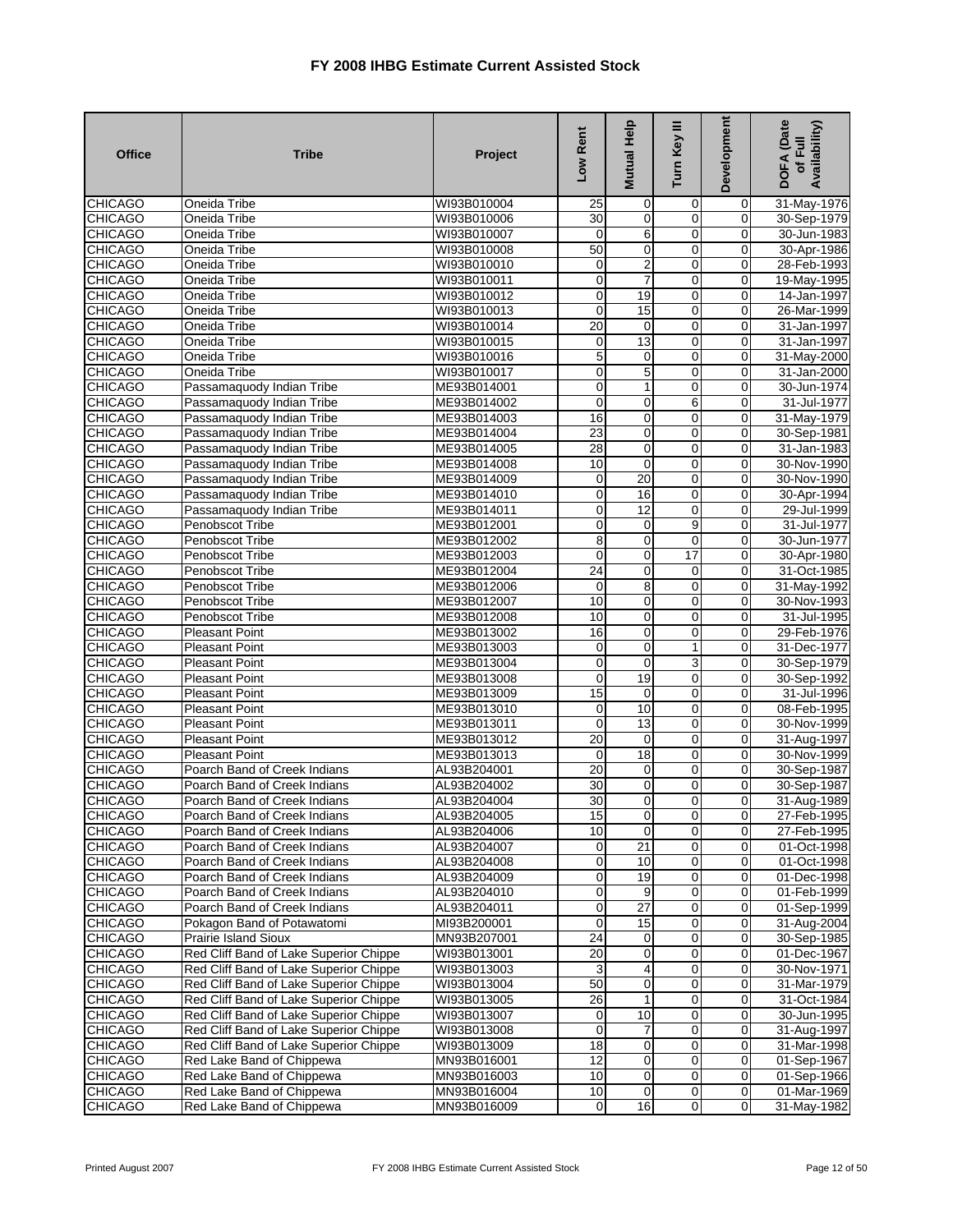| <b>Office</b>                    | <b>Tribe</b>                                   | Project                    | Low Rent                   | Mutual Help      | Turn Key III                  | Development              | <b>DOFA</b> (Date<br>Availability)<br>of Full |
|----------------------------------|------------------------------------------------|----------------------------|----------------------------|------------------|-------------------------------|--------------------------|-----------------------------------------------|
| <b>CHICAGO</b>                   | Oneida Tribe                                   | WI93B010004                | 25                         | 0                | 0                             | 0                        | 31-May-1976                                   |
| <b>CHICAGO</b>                   | Oneida Tribe                                   | WI93B010006                | $\overline{30}$            | $\mathbf 0$      | $\overline{0}$                | 0                        | 30-Sep-1979                                   |
| <b>CHICAGO</b>                   | Oneida Tribe                                   | WI93B010007                | 0                          | 6                | $\overline{0}$                | $\mathbf 0$              | 30-Jun-1983                                   |
| <b>CHICAGO</b>                   | Oneida Tribe                                   | WI93B010008                | 50                         | 0                | $\mathbf 0$                   | $\mathbf 0$              | 30-Apr-1986                                   |
| <b>CHICAGO</b>                   | Oneida Tribe                                   | WI93B010010                | $\mathbf 0$                | $\overline{2}$   | $\mathbf 0$                   | 0                        | 28-Feb-1993                                   |
| <b>CHICAGO</b>                   | Oneida Tribe                                   | WI93B010011                | $\mathbf 0$                | 7                | $\mathbf 0$                   | $\mathbf 0$              | 19-May-1995                                   |
| <b>CHICAGO</b>                   | Oneida Tribe                                   | WI93B010012                | $\mathbf 0$                | 19               | $\mathbf 0$                   | 0                        | 14-Jan-1997                                   |
| <b>CHICAGO</b>                   | Oneida Tribe                                   | WI93B010013                | 0                          | 15               | $\mathbf 0$                   | 0                        | 26-Mar-1999                                   |
| <b>CHICAGO</b>                   | Oneida Tribe                                   | WI93B010014                | $\overline{20}$            | $\mathbf 0$      | $\overline{0}$                | $\mathbf 0$              | 31-Jan-1997                                   |
| <b>CHICAGO</b>                   | Oneida Tribe                                   | WI93B010015                | $\mathbf 0$                | 13               | $\mathbf 0$                   | $\mathbf 0$              | 31-Jan-1997                                   |
| <b>CHICAGO</b>                   | Oneida Tribe                                   | WI93B010016                | 5                          | 0                | $\mathbf 0$                   | $\mathbf 0$              | 31-May-2000                                   |
| <b>CHICAGO</b>                   | Oneida Tribe                                   | WI93B010017                | $\mathbf 0$                | 5                | $\overline{0}$                | 0                        | 31-Jan-2000                                   |
| <b>CHICAGO</b>                   | Passamaquody Indian Tribe                      | ME93B014001                | 0                          | 1                | $\mathbf 0$                   | 0                        | 30-Jun-1974                                   |
| <b>CHICAGO</b>                   | Passamaquody Indian Tribe                      | ME93B014002<br>ME93B014003 | 0<br>16                    | 0                | 6                             | 0<br>$\mathbf 0$         | 31-Jul-1977                                   |
| <b>CHICAGO</b>                   | Passamaquody Indian Tribe                      |                            | 23                         | 0                | $\mathbf 0$<br>$\overline{0}$ |                          | 31-May-1979                                   |
| <b>CHICAGO</b>                   | Passamaquody Indian Tribe                      | ME93B014004                | 28                         | $\mathbf 0$      | $\overline{0}$                | 0<br>0                   | 30-Sep-1981                                   |
| <b>CHICAGO</b>                   | Passamaquody Indian Tribe                      | ME93B014005                | 10                         | $\pmb{0}$        |                               | $\overline{0}$           | 31-Jan-1983                                   |
| <b>CHICAGO</b>                   | Passamaquody Indian Tribe                      | ME93B014008                |                            | $\mathbf 0$      | $\mathbf 0$                   |                          | 30-Nov-1990                                   |
| <b>CHICAGO</b>                   | Passamaquody Indian Tribe                      | ME93B014009                | 0                          | 20               | 0                             | 0                        | 30-Nov-1990                                   |
| <b>CHICAGO</b>                   | Passamaquody Indian Tribe                      | ME93B014010                | 0                          | 16               | $\overline{0}$                | 0                        | 30-Apr-1994                                   |
| <b>CHICAGO</b>                   | Passamaquody Indian Tribe                      | ME93B014011                | $\overline{\mathbf{0}}$    | 12               | $\overline{0}$                | $\mathbf 0$              | 29-Jul-1999                                   |
| <b>CHICAGO</b>                   | Penobscot Tribe                                | ME93B012001                | 0                          | $\mathbf 0$      | 9                             | $\mathbf 0$              | 31-Jul-1977                                   |
| <b>CHICAGO</b>                   | Penobscot Tribe                                | ME93B012002                | 8                          | $\mathbf 0$      | $\mathbf 0$                   | $\mathbf 0$              | 30-Jun-1977                                   |
| <b>CHICAGO</b>                   | Penobscot Tribe                                | ME93B012003                | 0                          | $\mathbf 0$      | 17                            | $\mathbf 0$              | 30-Apr-1980                                   |
| <b>CHICAGO</b>                   | <b>Penobscot Tribe</b>                         | ME93B012004                | $\overline{24}$            | $\mathbf 0$      | 0                             | 0                        | 31-Oct-1985                                   |
| <b>CHICAGO</b>                   | Penobscot Tribe                                | ME93B012006                | 0                          | 8<br>$\mathbf 0$ | 0<br>$\overline{0}$           | $\mathbf 0$              | 31-May-1992                                   |
| <b>CHICAGO</b>                   | Penobscot Tribe                                | ME93B012007                | 10<br>10                   |                  | $\overline{0}$                | 0                        | 30-Nov-1993                                   |
| <b>CHICAGO</b>                   | Penobscot Tribe                                | ME93B012008                | 16                         | $\mathbf 0$      | $\mathbf 0$                   | 0<br>$\mathbf 0$         | 31-Jul-1995                                   |
| <b>CHICAGO</b>                   | <b>Pleasant Point</b>                          | ME93B013002                |                            | 0                | $\mathbf{1}$                  |                          | 29-Feb-1976                                   |
| <b>CHICAGO</b>                   | <b>Pleasant Point</b>                          | ME93B013003                | $\mathbf 0$<br>$\mathbf 0$ | 0<br>$\mathbf 0$ | $\overline{3}$                | 0                        | 31-Dec-1977                                   |
| <b>CHICAGO</b><br><b>CHICAGO</b> | <b>Pleasant Point</b><br><b>Pleasant Point</b> | ME93B013004                | 0                          | 19               | $\mathbf 0$                   | $\pmb{0}$<br>$\mathbf 0$ | 30-Sep-1979<br>30-Sep-1992                    |
| <b>CHICAGO</b>                   | <b>Pleasant Point</b>                          | ME93B013008<br>ME93B013009 | $\overline{15}$            | $\mathbf 0$      | $\mathbf 0$                   | 0                        | 31-Jul-1996                                   |
| <b>CHICAGO</b>                   | <b>Pleasant Point</b>                          | ME93B013010                | 0                          | 10               | $\overline{0}$                | $\mathbf 0$              | 08-Feb-1995                                   |
| <b>CHICAGO</b>                   | <b>Pleasant Point</b>                          | ME93B013011                | 0                          | 13               | $\mathbf 0$                   | $\mathbf 0$              | 30-Nov-1999                                   |
| <b>CHICAGO</b>                   | <b>Pleasant Point</b>                          | ME93B013012                | 20                         | $\mathbf 0$      | $\mathbf 0$                   | 0                        | 31-Aug-1997                                   |
| <b>CHICAGO</b>                   | <b>Pleasant Point</b>                          | ME93B013013                | 0                          | 18               | $\overline{0}$                | 0                        | 30-Nov-1999                                   |
| <b>CHICAGO</b>                   | Poarch Band of Creek Indians                   | AL93B204001                | $\overline{20}$            | $\mathbf 0$      | $\mathbf 0$                   | $\mathbf 0$              | 30-Sep-1987                                   |
| <b>CHICAGO</b>                   | Poarch Band of Creek Indians                   | AL93B204002                | 30                         | $\mathbf 0$      | 0                             | 0                        | 30-Sep-1987                                   |
| <b>CHICAGO</b>                   | Poarch Band of Creek Indians                   | AL93B204004                | 30                         | $\mathbf 0$      | $\mathbf 0$                   | $\mathbf 0$              | 31-Aug-1989                                   |
| <b>CHICAGO</b>                   | Poarch Band of Creek Indians                   | AL93B204005                | 15                         | $\overline{0}$   | $\mathbf{0}$                  | $\overline{0}$           | 27-Feb-1995                                   |
| <b>CHICAGO</b>                   | Poarch Band of Creek Indians                   | AL93B204006                | 10                         | $\overline{0}$   | $\overline{0}$                | 0                        | 27-Feb-1995                                   |
| <b>CHICAGO</b>                   | Poarch Band of Creek Indians                   | AL93B204007                | $\mathbf 0$                | 21               | $\mathbf 0$                   | 0                        | 01-Oct-1998                                   |
| <b>CHICAGO</b>                   | Poarch Band of Creek Indians                   | AL93B204008                | 0                          | 10               | $\mathbf 0$                   | 0                        | 01-Oct-1998                                   |
| <b>CHICAGO</b>                   | Poarch Band of Creek Indians                   | AL93B204009                | $\mathbf 0$                | 19               | $\overline{0}$                | $\overline{0}$           | 01-Dec-1998                                   |
| <b>CHICAGO</b>                   | Poarch Band of Creek Indians                   | AL93B204010                | $\mathbf 0$                | 9                | 0                             | 0                        | 01-Feb-1999                                   |
| <b>CHICAGO</b>                   | Poarch Band of Creek Indians                   | AL93B204011                | $\pmb{0}$                  | 27               | 0                             | 0                        | 01-Sep-1999                                   |
| <b>CHICAGO</b>                   | Pokagon Band of Potawatomi                     | MI93B200001                | $\mathbf 0$                | 15               | $\mathbf 0$                   | $\mathbf 0$              | 31-Aug-2004                                   |
| <b>CHICAGO</b>                   | Prairie Island Sioux                           | MN93B207001                | $\overline{24}$            | $\overline{0}$   | $\mathbf 0$                   | 0                        | 30-Sep-1985                                   |
| <b>CHICAGO</b>                   | Red Cliff Band of Lake Superior Chippe         | WI93B013001                | $\overline{20}$            | $\mathbf 0$      | $\mathbf 0$                   | 0                        | 01-Dec-1967                                   |
| <b>CHICAGO</b>                   | Red Cliff Band of Lake Superior Chippe         | WI93B013003                | 3                          | 4                | $\mathbf 0$                   | 0                        | 30-Nov-1971                                   |
| <b>CHICAGO</b>                   | Red Cliff Band of Lake Superior Chippe         | WI93B013004                | 50                         | $\mathbf 0$      | $\overline{0}$                | $\mathbf 0$              | 31-Mar-1979                                   |
| <b>CHICAGO</b>                   | Red Cliff Band of Lake Superior Chippe         | WI93B013005                | $\overline{26}$            | 1                | $\mathbf 0$                   | 0                        | 31-Oct-1984                                   |
| <b>CHICAGO</b>                   | Red Cliff Band of Lake Superior Chippe         | WI93B013007                | 0                          | 10               | $\mathbf 0$                   | 0                        | 30-Jun-1995                                   |
| <b>CHICAGO</b>                   | Red Cliff Band of Lake Superior Chippe         | WI93B013008                | $\mathbf 0$                | 7                | 0                             | 0                        | 31-Aug-1997                                   |
| <b>CHICAGO</b>                   | Red Cliff Band of Lake Superior Chippe         | WI93B013009                | 18                         | $\mathbf 0$      | $\mathbf 0$                   | 0                        | 31-Mar-1998                                   |
| <b>CHICAGO</b>                   | Red Lake Band of Chippewa                      | MN93B016001                | 12                         | $\pmb{0}$        | 0                             | 0                        | 01-Sep-1967                                   |
| <b>CHICAGO</b>                   | Red Lake Band of Chippewa                      | MN93B016003                | 10                         | $\mathbf 0$      | $\mathbf 0$                   | $\mathbf 0$              | 01-Sep-1966                                   |
| <b>CHICAGO</b>                   | Red Lake Band of Chippewa                      | MN93B016004                | 10                         | $\mathbf 0$      | $\overline{0}$                | $\boldsymbol{0}$         | 01-Mar-1969                                   |
| <b>CHICAGO</b>                   | Red Lake Band of Chippewa                      | MN93B016009                | $\overline{O}$             | $\overline{6}$   | $\mathbf 0$                   | $\mathbf 0$              | 31-May-1982                                   |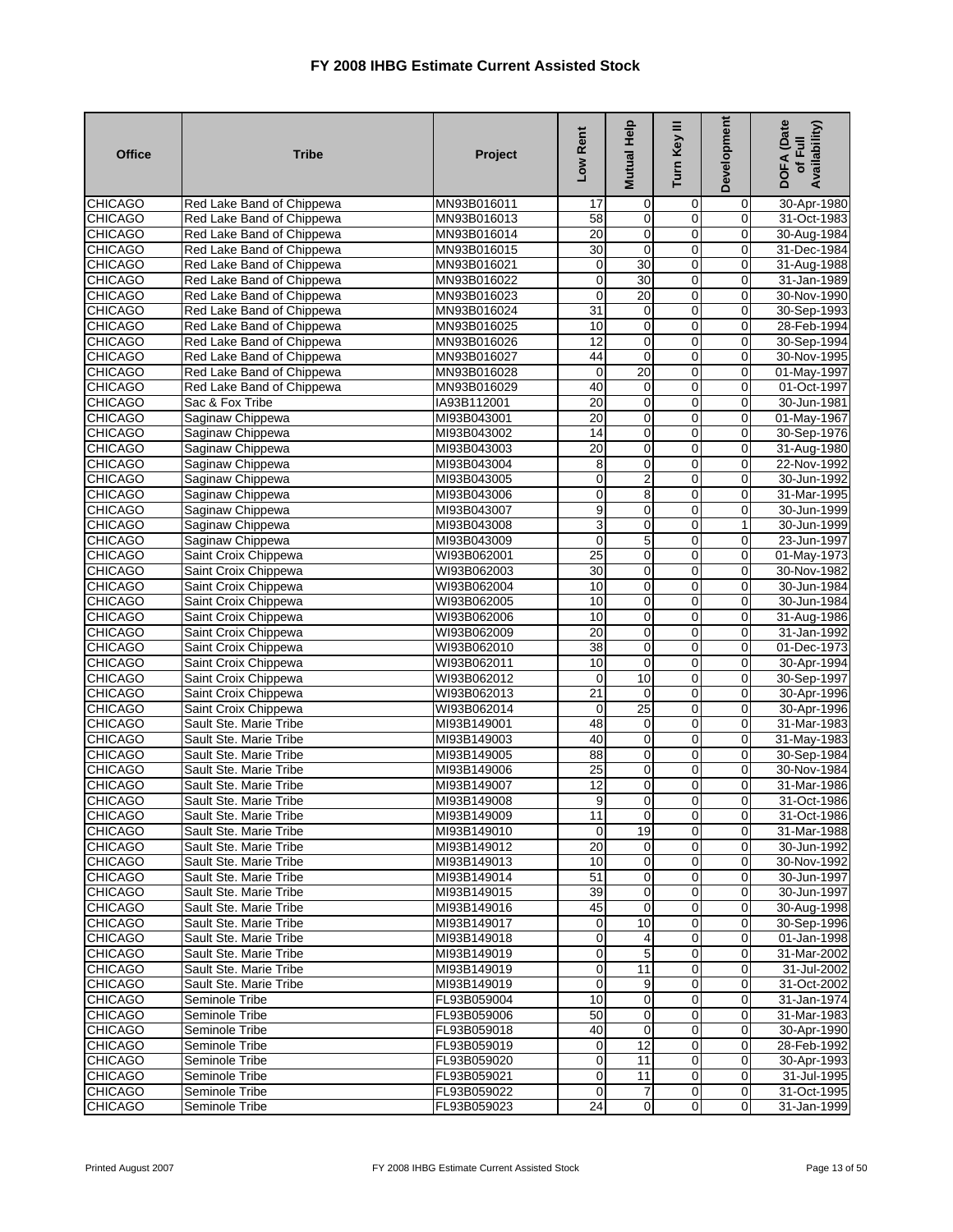| <b>Office</b>                    | <b>Tribe</b>                                 | Project                    | Low Rent        | Mutual Help             | Turn Key III                     | Development              | DOFA (Date<br>Availability)<br>of Full |
|----------------------------------|----------------------------------------------|----------------------------|-----------------|-------------------------|----------------------------------|--------------------------|----------------------------------------|
| <b>CHICAGO</b>                   | Red Lake Band of Chippewa                    | MN93B016011                | 17              | 0                       | 0                                | 0                        | 30-Apr-1980                            |
| <b>CHICAGO</b>                   | Red Lake Band of Chippewa                    | MN93B016013                | $\overline{58}$ | $\mathbf 0$             | $\overline{0}$                   | $\overline{0}$           | 31-Oct-1983                            |
| <b>CHICAGO</b>                   | Red Lake Band of Chippewa                    | MN93B016014                | 20              | 0                       | $\overline{0}$                   | $\pmb{0}$                | 30-Aug-1984                            |
| <b>CHICAGO</b>                   | Red Lake Band of Chippewa                    | MN93B016015                | 30              | $\pmb{0}$               | 0                                | $\mathbf 0$              | 31-Dec-1984                            |
| <b>CHICAGO</b>                   | Red Lake Band of Chippewa                    | MN93B016021                | $\pmb{0}$       | 30                      | $\overline{0}$                   | 0                        | 31-Aug-1988                            |
| <b>CHICAGO</b>                   | Red Lake Band of Chippewa                    | MN93B016022                | $\pmb{0}$       | 30                      | $\pmb{0}$                        | $\pmb{0}$                | 31-Jan-1989                            |
| <b>CHICAGO</b>                   | Red Lake Band of Chippewa                    | MN93B016023                | $\mathbf 0$     | $\overline{20}$         | $\overline{0}$                   | $\mathbf 0$              | 30-Nov-1990                            |
| <b>CHICAGO</b>                   | Red Lake Band of Chippewa                    | MN93B016024                | 31              | 0                       | $\overline{0}$                   | 0                        | 30-Sep-1993                            |
| <b>CHICAGO</b>                   | Red Lake Band of Chippewa                    | MN93B016025                | 10              | $\pmb{0}$               | $\overline{0}$                   | $\pmb{0}$                | 28-Feb-1994                            |
| <b>CHICAGO</b>                   | Red Lake Band of Chippewa                    | MN93B016026                | $\overline{12}$ | 0                       | $\mathbf 0$                      | 0                        | 30-Sep-1994                            |
| <b>CHICAGO</b>                   | Red Lake Band of Chippewa                    | MN93B016027                | 44              | $\mathbf 0$             | 0                                | 0                        | 30-Nov-1995                            |
| <b>CHICAGO</b>                   | Red Lake Band of Chippewa                    | MN93B016028                | $\mathbf 0$     | 20                      | $\overline{0}$                   | $\overline{0}$           | 01-May-1997                            |
| <b>CHICAGO</b>                   | Red Lake Band of Chippewa                    | MN93B016029                | 40              | 0                       | 0                                | $\mathbf 0$              | 01-Oct-1997                            |
| <b>CHICAGO</b>                   | Sac & Fox Tribe                              | IA93B112001                | $\overline{20}$ | 0                       | $\mathbf 0$                      | 0                        | 30-Jun-1981                            |
| <b>CHICAGO</b>                   | Saginaw Chippewa                             | MI93B043001                | $\overline{20}$ | $\pmb{0}$               | 0                                | $\mathbf 0$              | 01-May-1967                            |
| <b>CHICAGO</b>                   | Saginaw Chippewa                             | MI93B043002                | 14              | $\overline{\mathbf{0}}$ | $\overline{0}$                   | 0                        | 30-Sep-1976                            |
| <b>CHICAGO</b>                   | Saginaw Chippewa                             | MI93B043003                | 20              | 0                       | $\overline{0}$                   | $\pmb{0}$                | 31-Aug-1980                            |
| <b>CHICAGO</b>                   | Saginaw Chippewa                             | MI93B043004                | 8               | 0                       | 0                                | $\mathbf 0$              | 22-Nov-1992                            |
| <b>CHICAGO</b>                   | Saginaw Chippewa                             | MI93B043005                | $\mathbf 0$     | $\overline{\mathbf{c}}$ | 0                                | 0                        | 30-Jun-1992                            |
| <b>CHICAGO</b>                   | Saginaw Chippewa                             | MI93B043006                | $\overline{0}$  | 8                       | $\overline{0}$                   | 0                        | 31-Mar-1995                            |
| <b>CHICAGO</b>                   | Saginaw Chippewa                             | MI93B043007                | 9               | $\mathbf 0$             | $\overline{0}$                   | $\overline{0}$           | 30-Jun-1999                            |
| <b>CHICAGO</b>                   | Saginaw Chippewa                             | MI93B043008                | 3               | 0                       | 0                                | 1                        | 30-Jun-1999                            |
| <b>CHICAGO</b>                   | Saginaw Chippewa                             | MI93B043009                | $\mathbf 0$     | 5                       | $\overline{0}$                   | 0                        | 23-Jun-1997                            |
| <b>CHICAGO</b>                   | Saint Croix Chippewa                         | WI93B062001                | 25              | 0                       | $\overline{0}$                   | 0                        | 01-May-1973                            |
| <b>CHICAGO</b>                   | Saint Croix Chippewa                         | WI93B062003                | 30              | 0                       | 0                                | 0                        | 30-Nov-1982                            |
| <b>CHICAGO</b>                   | Saint Croix Chippewa                         | WI93B062004                | 10              | $\mathbf 0$             | $\overline{0}$                   | $\mathbf 0$              | 30-Jun-1984                            |
| <b>CHICAGO</b>                   | Saint Croix Chippewa                         | WI93B062005                | 10<br>10        | $\mathbf 0$             | $\overline{0}$<br>$\overline{0}$ | 0                        | 30-Jun-1984                            |
| <b>CHICAGO</b><br><b>CHICAGO</b> | Saint Croix Chippewa                         | WI93B062006<br>WI93B062009 | 20              | 0<br>0                  | $\overline{0}$                   | $\pmb{0}$<br>$\mathbf 0$ | 31-Aug-1986                            |
| <b>CHICAGO</b>                   | Saint Croix Chippewa<br>Saint Croix Chippewa | WI93B062010                | $\overline{38}$ | $\mathbf 0$             | $\overline{0}$                   | 0                        | 31-Jan-1992<br>01-Dec-1973             |
| <b>CHICAGO</b>                   |                                              |                            | 10              | $\mathbf 0$             | $\overline{0}$                   | $\pmb{0}$                |                                        |
| <b>CHICAGO</b>                   | Saint Croix Chippewa<br>Saint Croix Chippewa | WI93B062011<br>WI93B062012 | $\mathbf 0$     | 10                      | $\overline{0}$                   | $\mathbf 0$              | 30-Apr-1994<br>30-Sep-1997             |
| <b>CHICAGO</b>                   | Saint Croix Chippewa                         | WI93B062013                | 21              | 0                       | $\overline{0}$                   | 0                        | 30-Apr-1996                            |
| <b>CHICAGO</b>                   | Saint Croix Chippewa                         | WI93B062014                | $\mathbf 0$     | 25                      | $\mathbf 0$                      | $\pmb{0}$                | 30-Apr-1996                            |
| <b>CHICAGO</b>                   | Sault Ste. Marie Tribe                       | MI93B149001                | 48              | 0                       | $\mathbf 0$                      | 0                        | 31-Mar-1983                            |
| <b>CHICAGO</b>                   | Sault Ste. Marie Tribe                       | MI93B149003                | 40              | $\pmb{0}$               | 0                                | 0                        | 31-May-1983                            |
| <b>CHICAGO</b>                   | Sault Ste. Marie Tribe                       | MI93B149005                | 88              | $\overline{\mathbf{0}}$ | $\overline{0}$                   | $\overline{\mathbf{0}}$  | 30-Sep-1984                            |
| <b>CHICAGO</b>                   | Sault Ste. Marie Tribe                       | MI93B149006                | 25              | 0                       | $\mathbf 0$                      | 0                        | 30-Nov-1984                            |
| <b>CHICAGO</b>                   | Sault Ste. Marie Tribe                       | MI93B149007                | 12              | 0                       | 0                                | $\mathbf 0$              | 31-Mar-1986                            |
| <b>CHICAGO</b>                   | Sault Ste. Marie Tribe                       | MI93B149008                | 9               | 0                       | 0                                | 0                        | 31-Oct-1986                            |
| <b>CHICAGO</b>                   | Sault Ste. Marie Tribe                       | MI93B149009                | 11              | $\mathbf{0}$            | 0                                | 0                        | 31-Oct-1986                            |
| <b>CHICAGO</b>                   | Sault Ste. Marie Tribe                       | MI93B149010                | $\overline{0}$  | 19                      | $\overline{0}$                   | 0                        | 31-Mar-1988                            |
| <b>CHICAGO</b>                   | Sault Ste. Marie Tribe                       | MI93B149012                | 20              | 0                       | 0                                | 0                        | 30-Jun-1992                            |
| <b>CHICAGO</b>                   | Sault Ste. Marie Tribe                       | MI93B149013                | 10              | $\mathbf 0$             | 0                                | 0                        | 30-Nov-1992                            |
| <b>CHICAGO</b>                   | Sault Ste. Marie Tribe                       | MI93B149014                | 51              | $\mathbf 0$             | 0                                | 0                        | 30-Jun-1997                            |
| <b>CHICAGO</b>                   | Sault Ste. Marie Tribe                       | MI93B149015                | 39              | $\mathbf 0$             | 0                                | $\mathbf 0$              | 30-Jun-1997                            |
| <b>CHICAGO</b>                   | Sault Ste. Marie Tribe                       | MI93B149016                | 45              | $\mathbf 0$             | 0                                | 0                        | 30-Aug-1998                            |
| <b>CHICAGO</b>                   | Sault Ste. Marie Tribe                       | MI93B149017                | $\mathbf 0$     | 10                      | 0                                | $\mathbf 0$              | 30-Sep-1996                            |
| <b>CHICAGO</b>                   | Sault Ste. Marie Tribe                       | MI93B149018                | $\mathbf 0$     | 4                       | 0                                | 0                        | 01-Jan-1998                            |
| <b>CHICAGO</b>                   | Sault Ste. Marie Tribe                       | MI93B149019                | $\mathbf 0$     | 5                       | 0                                | 0                        | 31-Mar-2002                            |
| <b>CHICAGO</b>                   | Sault Ste. Marie Tribe                       | MI93B149019                | $\mathbf 0$     | 11                      | 0                                | 0                        | 31-Jul-2002                            |
| <b>CHICAGO</b>                   | Sault Ste. Marie Tribe                       | MI93B149019                | $\mathbf 0$     | 9                       | 0                                | 0                        | 31-Oct-2002                            |
| <b>CHICAGO</b>                   | Seminole Tribe                               | FL93B059004                | 10              | $\mathbf 0$             | 0                                | 0                        | 31-Jan-1974                            |
| <b>CHICAGO</b>                   | Seminole Tribe                               | FL93B059006                | 50              | $\mathbf 0$             | 0                                | 0                        | 31-Mar-1983                            |
| <b>CHICAGO</b>                   | Seminole Tribe                               | FL93B059018                | 40              | $\mathbf 0$             | $\mathbf 0$                      | $\mathbf 0$              | 30-Apr-1990                            |
| <b>CHICAGO</b>                   | Seminole Tribe                               | FL93B059019                | $\mathbf 0$     | 12                      | 0                                | $\mathbf 0$              | 28-Feb-1992                            |
| <b>CHICAGO</b>                   | Seminole Tribe                               | FL93B059020                | $\mathbf 0$     | 11                      | $\mathbf 0$                      | $\mathbf 0$              | 30-Apr-1993                            |
| <b>CHICAGO</b>                   | Seminole Tribe                               | FL93B059021                | $\overline{0}$  | 11                      | 0                                | $\mathbf 0$              | 31-Jul-1995                            |
| <b>CHICAGO</b>                   | Seminole Tribe                               | FL93B059022                | $\mathbf 0$     | 7                       | $\mathbf 0$                      | $\mathbf 0$              | 31-Oct-1995                            |
| <b>CHICAGO</b>                   | Seminole Tribe                               | FL93B059023                | 24              | $\pmb{0}$               | 0                                | $\pmb{0}$                | 31-Jan-1999                            |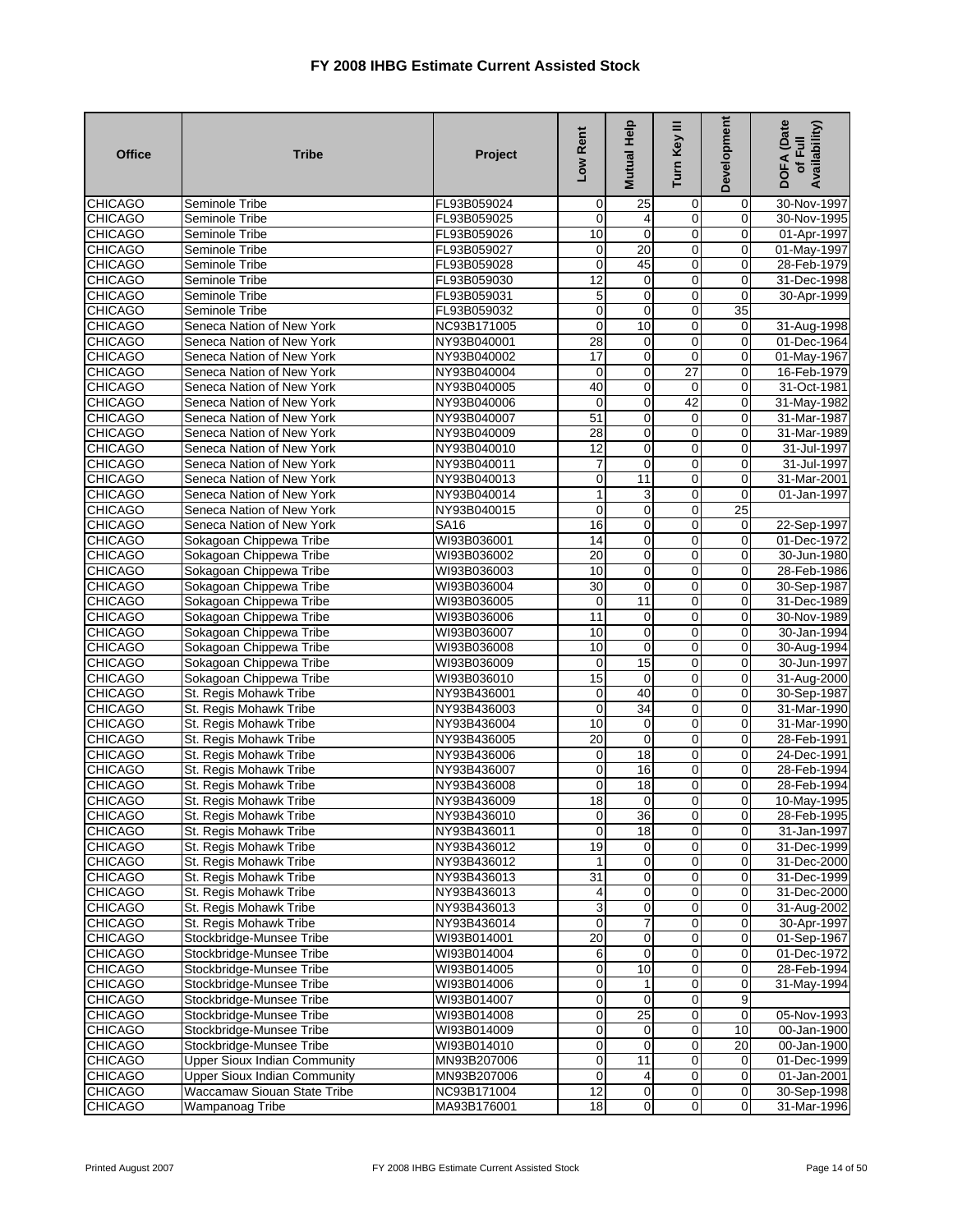| <b>Office</b>  | <b>Tribe</b>                        | Project     | Low Rent         | Mutual Help     | Turn Key III    | Development     | <b>DOFA</b> (Date<br>Availability)<br>of Full |
|----------------|-------------------------------------|-------------|------------------|-----------------|-----------------|-----------------|-----------------------------------------------|
| <b>CHICAGO</b> | Seminole Tribe                      | FL93B059024 | $\mathbf 0$      | 25              | 0               | $\mathbf 0$     | 30-Nov-1997                                   |
| <b>CHICAGO</b> | Seminole Tribe                      | FL93B059025 | 0                | 4               | $\mathbf 0$     | 0               | 30-Nov-1995                                   |
| <b>CHICAGO</b> | Seminole Tribe                      | FL93B059026 | 10               | O               | $\overline{0}$  | 0               | 01-Apr-1997                                   |
| <b>CHICAGO</b> | Seminole Tribe                      | FL93B059027 | 0                | $\overline{20}$ | $\overline{0}$  | $\mathbf 0$     | 01-May-1997                                   |
| <b>CHICAGO</b> | Seminole Tribe                      | FL93B059028 | 0                | 45              | $\mathbf 0$     | 0               | 28-Feb-1979                                   |
| <b>CHICAGO</b> | Seminole Tribe                      | FL93B059030 | $\overline{12}$  | $\mathbf 0$     | $\overline{0}$  | $\mathbf 0$     | 31-Dec-1998                                   |
| <b>CHICAGO</b> | Seminole Tribe                      | FL93B059031 | 5                | $\mathbf 0$     | $\mathbf 0$     | $\Omega$        | 30-Apr-1999                                   |
| <b>CHICAGO</b> | Seminole Tribe                      | FL93B059032 | 0                | $\mathbf 0$     | $\mathbf 0$     | 35              |                                               |
| <b>CHICAGO</b> | Seneca Nation of New York           | NC93B171005 | $\mathbf 0$      | 10              | $\mathbf 0$     | 0               | 31-Aug-1998                                   |
| <b>CHICAGO</b> | Seneca Nation of New York           | NY93B040001 | 28               | $\mathbf 0$     | $\mathbf 0$     | $\mathbf 0$     | 01-Dec-1964                                   |
| <b>CHICAGO</b> | Seneca Nation of New York           | NY93B040002 | 17               | $\mathbf 0$     | $\overline{0}$  | 0               | 01-May-1967                                   |
| <b>CHICAGO</b> | Seneca Nation of New York           | NY93B040004 | 0                | $\mathbf 0$     | $\overline{27}$ | $\mathbf 0$     | 16-Feb-1979                                   |
| <b>CHICAGO</b> | Seneca Nation of New York           | NY93B040005 | 40               | $\mathbf 0$     | $\overline{0}$  | 0               | 31-Oct-1981                                   |
| <b>CHICAGO</b> | Seneca Nation of New York           | NY93B040006 | 0                | $\mathbf 0$     | $\overline{42}$ | 0               | 31-May-1982                                   |
| <b>CHICAGO</b> | Seneca Nation of New York           | NY93B040007 | 51               | $\mathbf 0$     | $\mathbf 0$     | $\Omega$        | 31-Mar-1987                                   |
| <b>CHICAGO</b> | Seneca Nation of New York           | NY93B040009 | 28               | 0               | $\mathbf 0$     | 0               | 31-Mar-1989                                   |
| <b>CHICAGO</b> | Seneca Nation of New York           | NY93B040010 | 12               | $\mathbf 0$     | $\overline{0}$  | $\mathbf 0$     | 31-Jul-1997                                   |
| <b>CHICAGO</b> | Seneca Nation of New York           | NY93B040011 | 7                | $\mathbf 0$     | $\mathbf 0$     | $\mathbf 0$     | 31-Jul-1997                                   |
| <b>CHICAGO</b> | Seneca Nation of New York           | NY93B040013 | 0                | 11              | 0               | 0               | 31-Mar-2001                                   |
| <b>CHICAGO</b> | Seneca Nation of New York           | NY93B040014 | $\mathbf{1}$     | 3               | $\overline{0}$  | $\mathbf 0$     | 01-Jan-1997                                   |
| <b>CHICAGO</b> | Seneca Nation of New York           | NY93B040015 | $\mathbf 0$      | $\mathbf 0$     | $\mathbf 0$     | $\overline{25}$ |                                               |
| <b>CHICAGO</b> | Seneca Nation of New York           | <b>SA16</b> | 16               | $\mathbf 0$     | $\overline{0}$  | $\pmb{0}$       | 22-Sep-1997                                   |
| <b>CHICAGO</b> | Sokagoan Chippewa Tribe             | WI93B036001 | 14               | 0               | $\overline{0}$  | $\mathbf 0$     | 01-Dec-1972                                   |
| <b>CHICAGO</b> | Sokagoan Chippewa Tribe             | WI93B036002 | 20               | $\mathbf 0$     | $\overline{0}$  | 0               | 30-Jun-1980                                   |
| <b>CHICAGO</b> | Sokagoan Chippewa Tribe             | WI93B036003 | 10               | 0               | 0               | 0               | 28-Feb-1986                                   |
| <b>CHICAGO</b> | Sokagoan Chippewa Tribe             | WI93B036004 | 30               | $\mathbf 0$     | $\overline{0}$  | $\overline{0}$  | 30-Sep-1987                                   |
| <b>CHICAGO</b> | Sokagoan Chippewa Tribe             | WI93B036005 | 0                | 11              | 0               | 0               | 31-Dec-1989                                   |
| <b>CHICAGO</b> | Sokagoan Chippewa Tribe             | WI93B036006 | 11               | $\mathbf 0$     | $\overline{0}$  | 0               | 30-Nov-1989                                   |
| <b>CHICAGO</b> | Sokagoan Chippewa Tribe             | WI93B036007 | 10               | $\overline{0}$  | $\overline{0}$  | $\overline{0}$  | 30-Jan-1994                                   |
| <b>CHICAGO</b> | Sokagoan Chippewa Tribe             | WI93B036008 | 10               | 0               | 0               | 0               | 30-Aug-1994                                   |
| <b>CHICAGO</b> | Sokagoan Chippewa Tribe             | WI93B036009 | 0                | 15              | $\overline{0}$  | $\mathbf 0$     | 30-Jun-1997                                   |
| <b>CHICAGO</b> | Sokagoan Chippewa Tribe             | WI93B036010 | 15               | $\mathbf 0$     | 0               | $\mathbf 0$     | 31-Aug-2000                                   |
| <b>CHICAGO</b> | St. Regis Mohawk Tribe              | NY93B436001 | 0                | 40              | 0               | 0               | 30-Sep-1987                                   |
| <b>CHICAGO</b> | St. Regis Mohawk Tribe              | NY93B436003 | 0                | 34              | $\mathbf 0$     | 0               | 31-Mar-1990                                   |
| <b>CHICAGO</b> | St. Regis Mohawk Tribe              | NY93B436004 | 10               | $\mathbf 0$     | $\mathbf 0$     | 0               | 31-Mar-1990                                   |
| <b>CHICAGO</b> | St. Regis Mohawk Tribe              | NY93B436005 | 20               | 0               | $\mathbf 0$     | 0               | 28-Feb-1991                                   |
| <b>CHICAGO</b> | St. Regis Mohawk Tribe              | NY93B436006 | 0                | $\overline{18}$ | $\mathbf 0$     | $\mathbf 0$     | 24-Dec-1991                                   |
| <b>CHICAGO</b> | St. Regis Mohawk Tribe              | NY93B436007 | $\mathbf 0$      | 16              | $\overline{0}$  | $\mathbf 0$     | 28-Feb-1994                                   |
| <b>CHICAGO</b> | St. Regis Mohawk Tribe              | NY93B436008 | 0                | 18              | 0               | 0               | 28-Feb-1994                                   |
| <b>CHICAGO</b> | St. Regis Mohawk Tribe              | NY93B436009 | $\overline{18}$  | 0               | 0               | $\mathbf 0$     | 10-May-1995                                   |
| <b>CHICAGO</b> | St. Regis Mohawk Tribe              | NY93B436010 | $\overline{0}$   | 36              | 0               | $\mathbf{0}$    | 28-Feb-1995                                   |
| <b>CHICAGO</b> | St. Regis Mohawk Tribe              | NY93B436011 | $\overline{0}$   | $\overline{18}$ | $\overline{0}$  | $\overline{0}$  | 31-Jan-1997                                   |
| <b>CHICAGO</b> | St. Regis Mohawk Tribe              | NY93B436012 | 19               | $\mathbf 0$     | $\mathbf 0$     | 0               | 31-Dec-1999                                   |
| <b>CHICAGO</b> | St. Regis Mohawk Tribe              | NY93B436012 | 1                | $\mathbf 0$     | $\mathbf 0$     | 0               | 31-Dec-2000                                   |
| <b>CHICAGO</b> | St. Regis Mohawk Tribe              | NY93B436013 | 31               | $\overline{0}$  | $\overline{0}$  | ō               | 31-Dec-1999                                   |
| <b>CHICAGO</b> | St. Regis Mohawk Tribe              | NY93B436013 | 4                | $\overline{0}$  | $\mathbf 0$     | 0               | 31-Dec-2000                                   |
| <b>CHICAGO</b> | St. Regis Mohawk Tribe              | NY93B436013 | 3                | $\mathbf 0$     | $\mathbf 0$     | 0               | 31-Aug-2002                                   |
| <b>CHICAGO</b> | St. Regis Mohawk Tribe              | NY93B436014 | $\mathbf 0$      | 7               | $\mathbf 0$     | 0               | 30-Apr-1997                                   |
| <b>CHICAGO</b> | Stockbridge-Munsee Tribe            | WI93B014001 | 20               | $\mathbf 0$     | $\overline{0}$  | $\overline{0}$  | 01-Sep-1967                                   |
| <b>CHICAGO</b> | Stockbridge-Munsee Tribe            | WI93B014004 | 6                | $\mathbf 0$     | $\overline{0}$  | ō               | 01-Dec-1972                                   |
| <b>CHICAGO</b> | Stockbridge-Munsee Tribe            | WI93B014005 | $\mathbf 0$      | 10              | $\mathbf 0$     | 0               | 28-Feb-1994                                   |
| <b>CHICAGO</b> | Stockbridge-Munsee Tribe            | WI93B014006 | $\mathbf 0$      | $\mathbf{1}$    | $\mathbf 0$     | $\mathbf 0$     | 31-May-1994                                   |
| <b>CHICAGO</b> | Stockbridge-Munsee Tribe            | WI93B014007 | $\overline{0}$   | $\mathbf 0$     | $\overline{0}$  | 9               |                                               |
| <b>CHICAGO</b> | Stockbridge-Munsee Tribe            | WI93B014008 | $\mathbf 0$      | 25              | $\mathbf 0$     | $\mathbf 0$     | 05-Nov-1993                                   |
| <b>CHICAGO</b> | Stockbridge-Munsee Tribe            | WI93B014009 | $\mathbf 0$      | $\mathbf 0$     | $\mathbf 0$     | 10              | 00-Jan-1900                                   |
| <b>CHICAGO</b> | Stockbridge-Munsee Tribe            | WI93B014010 | $\boldsymbol{0}$ | $\mathbf 0$     | $\overline{0}$  | 20              | 00-Jan-1900                                   |
| <b>CHICAGO</b> | <b>Upper Sioux Indian Community</b> | MN93B207006 | $\mathbf 0$      | 11              | $\mathbf 0$     | 0               | 01-Dec-1999                                   |
| <b>CHICAGO</b> | <b>Upper Sioux Indian Community</b> | MN93B207006 | 0                | 4               | $\overline{0}$  | 0               | 01-Jan-2001                                   |
| <b>CHICAGO</b> | Waccamaw Siouan State Tribe         | NC93B171004 | 12               | $\overline{0}$  | $\overline{0}$  | $\mathbf 0$     | 30-Sep-1998                                   |
| <b>CHICAGO</b> | Wampanoag Tribe                     | MA93B176001 | 18               | $\overline{0}$  | $\overline{0}$  | $\pmb{0}$       | 31-Mar-1996                                   |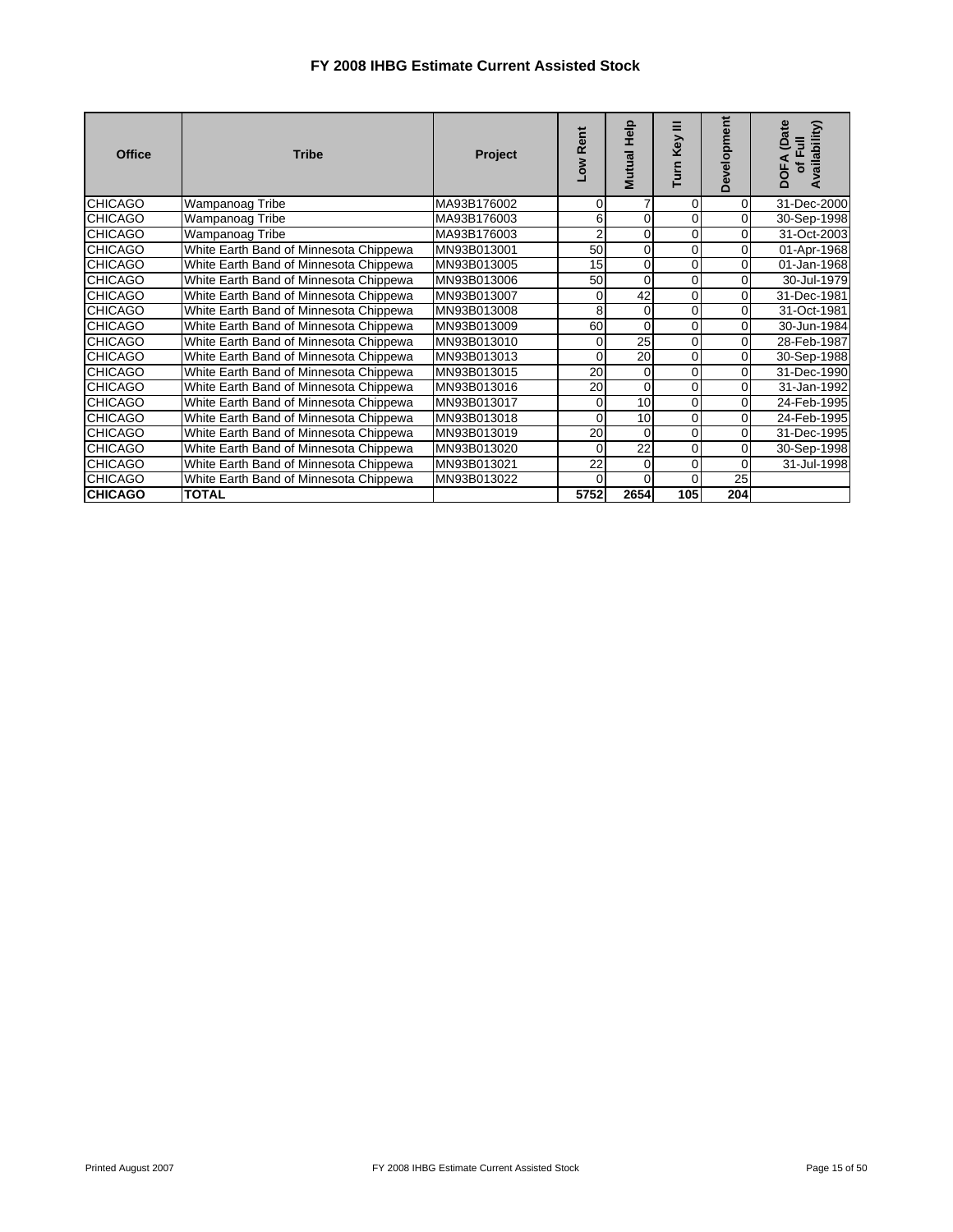| <b>Office</b>  | <b>Tribe</b>                           | Project     | <b>Rent</b><br><b>No7</b> | Mutual Help     | Ξ<br><b>Key</b><br>Turn | Development    | (Date<br>Availability)<br>$\overline{a}$<br><b>DOFA</b><br>ិ |
|----------------|----------------------------------------|-------------|---------------------------|-----------------|-------------------------|----------------|--------------------------------------------------------------|
| <b>CHICAGO</b> | Wampanoag Tribe                        | MA93B176002 | $\Omega$                  | 7               | 0                       | $\overline{0}$ | 31-Dec-2000                                                  |
| <b>CHICAGO</b> | Wampanoag Tribe                        | MA93B176003 | 6                         | $\Omega$        | 0                       | $\overline{0}$ | 30-Sep-1998                                                  |
| <b>CHICAGO</b> | Wampanoag Tribe                        | MA93B176003 | $\overline{2}$            | 0               | 0                       | $\overline{0}$ | 31-Oct-2003                                                  |
| <b>CHICAGO</b> | White Earth Band of Minnesota Chippewa | MN93B013001 | 50                        | 0               | 0                       | $\overline{0}$ | 01-Apr-1968                                                  |
| <b>CHICAGO</b> | White Earth Band of Minnesota Chippewa | MN93B013005 | 15                        | $\overline{0}$  | 0                       | $\overline{0}$ | 01-Jan-1968                                                  |
| <b>CHICAGO</b> | White Earth Band of Minnesota Chippewa | MN93B013006 | 50                        | $\Omega$        | 0                       | 0              | 30-Jul-1979                                                  |
| <b>CHICAGO</b> | White Earth Band of Minnesota Chippewa | MN93B013007 | 0                         | 42              | 0                       | $\overline{0}$ | 31-Dec-1981                                                  |
| <b>CHICAGO</b> | White Earth Band of Minnesota Chippewa | MN93B013008 | 8                         | $\Omega$        | 0                       | $\overline{0}$ | 31-Oct-1981                                                  |
| <b>CHICAGO</b> | White Earth Band of Minnesota Chippewa | MN93B013009 | 60                        | $\Omega$        | $\Omega$                | $\overline{0}$ | 30-Jun-1984                                                  |
| <b>CHICAGO</b> | White Earth Band of Minnesota Chippewa | MN93B013010 | 0                         | 25              | 0                       | $\overline{0}$ | 28-Feb-1987                                                  |
| <b>CHICAGO</b> | White Earth Band of Minnesota Chippewa | MN93B013013 | $\Omega$                  | 20              | 0                       | $\overline{0}$ | 30-Sep-1988                                                  |
| <b>CHICAGO</b> | White Earth Band of Minnesota Chippewa | MN93B013015 | 20                        | $\overline{0}$  | $\Omega$                | $\overline{0}$ | 31-Dec-1990                                                  |
| <b>CHICAGO</b> | White Earth Band of Minnesota Chippewa | MN93B013016 | 20                        | $\Omega$        | 0                       | $\overline{0}$ | 31-Jan-1992                                                  |
| <b>CHICAGO</b> | White Earth Band of Minnesota Chippewa | MN93B013017 | 0                         | 10              | 0                       | $\overline{0}$ | 24-Feb-1995                                                  |
| <b>CHICAGO</b> | White Earth Band of Minnesota Chippewa | MN93B013018 | $\Omega$                  | 10              | 0                       | $\overline{0}$ | 24-Feb-1995                                                  |
| <b>CHICAGO</b> | White Earth Band of Minnesota Chippewa | MN93B013019 | 20                        | $\Omega$        | 0                       | $\overline{0}$ | 31-Dec-1995                                                  |
| <b>CHICAGO</b> | White Earth Band of Minnesota Chippewa | MN93B013020 | $\Omega$                  | $\overline{22}$ | 0                       | $\overline{0}$ | 30-Sep-1998                                                  |
| <b>CHICAGO</b> | White Earth Band of Minnesota Chippewa | MN93B013021 | 22                        | $\overline{0}$  | 0                       | $\overline{0}$ | 31-Jul-1998                                                  |
| <b>CHICAGO</b> | White Earth Band of Minnesota Chippewa | MN93B013022 | $\Omega$                  | $\Omega$        | 0                       | 25             |                                                              |
| <b>CHICAGO</b> | <b>TOTAL</b>                           |             | 5752                      | 2654            | 105                     | 204            |                                                              |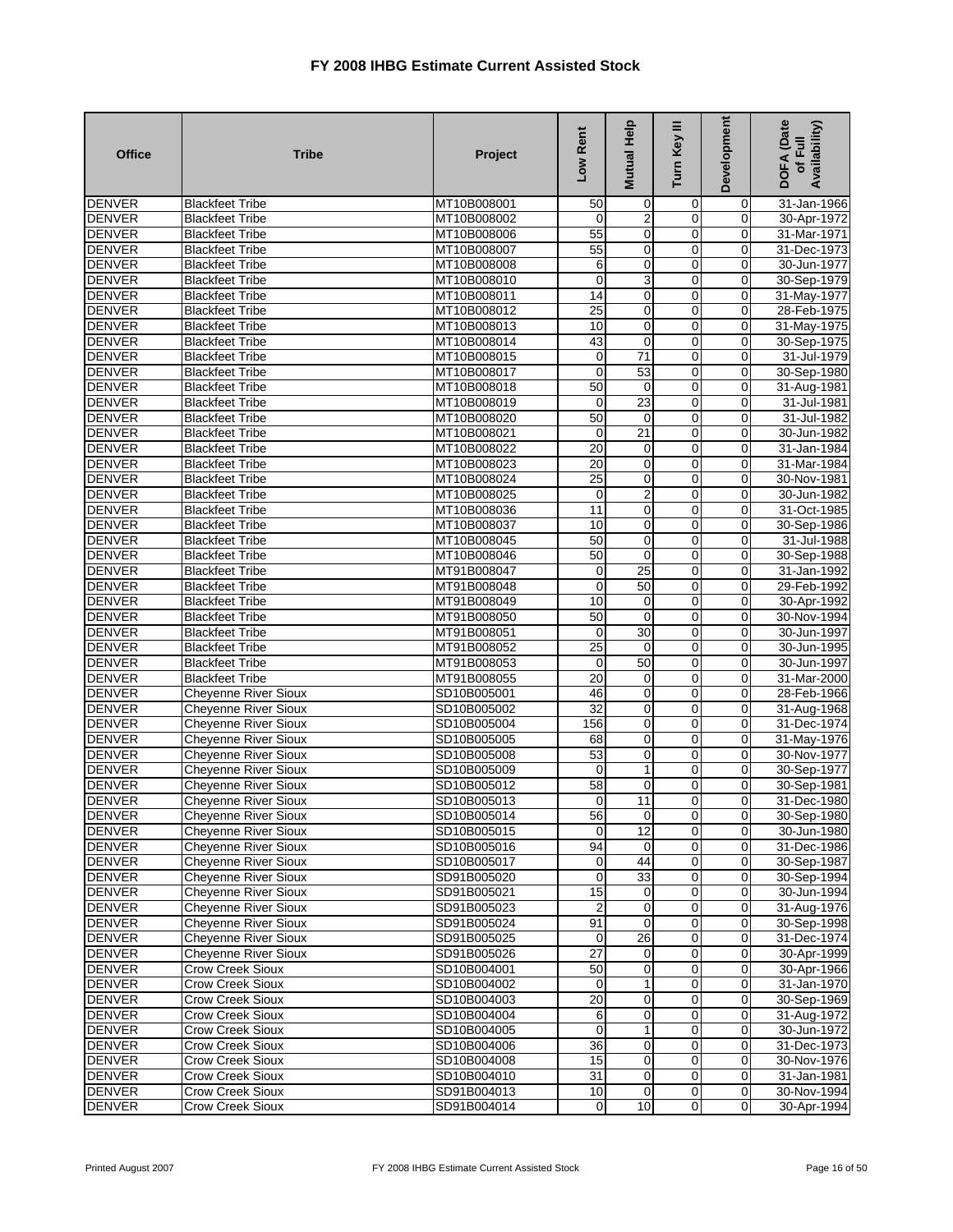| <b>Office</b>                  | <b>Tribe</b>                                               | Project                    | Low Rent             | Mutual Help          | Turn Key III                     | <b>Development</b>               | DOFA (Date<br>Availability)<br>of Full |
|--------------------------------|------------------------------------------------------------|----------------------------|----------------------|----------------------|----------------------------------|----------------------------------|----------------------------------------|
| <b>DENVER</b>                  | <b>Blackfeet Tribe</b>                                     | MT10B008001                | 50                   | 0                    | 0                                | 0                                | 31-Jan-1966                            |
| <b>DENVER</b>                  | <b>Blackfeet Tribe</b>                                     | MT10B008002                | 0                    | $\overline{2}$       | 0                                | $\mathbf 0$                      | 30-Apr-1972                            |
| <b>DENVER</b>                  | <b>Blackfeet Tribe</b>                                     | MT10B008006                | 55                   | 0                    | 0                                | $\overline{0}$                   | 31-Mar-1971                            |
| <b>DENVER</b>                  | <b>Blackfeet Tribe</b>                                     | MT10B008007                | 55                   | $\mathbf 0$          | 0                                | $\overline{0}$                   | 31-Dec-1973                            |
| <b>DENVER</b>                  | <b>Blackfeet Tribe</b>                                     | MT10B008008                | 6                    | 0                    | $\mathbf 0$                      | $\mathbf 0$                      | 30-Jun-1977                            |
| <b>DENVER</b>                  | <b>Blackfeet Tribe</b>                                     | MT10B008010                | $\overline{0}$       | 3                    | $\mathbf 0$                      | $\overline{0}$                   | 30-Sep-1979                            |
| <b>DENVER</b>                  | <b>Blackfeet Tribe</b>                                     | MT10B008011                | $\overline{14}$      | $\mathbf 0$          | 0                                | $\overline{0}$                   | 31-May-1977                            |
| <b>DENVER</b>                  | <b>Blackfeet Tribe</b>                                     | MT10B008012                | 25                   | 0                    | 0                                | $\mathbf 0$                      | 28-Feb-1975                            |
| <b>DENVER</b>                  | <b>Blackfeet Tribe</b>                                     | MT10B008013                | 10                   | $\pmb{0}$            | 0                                | $\mathbf 0$                      | 31-May-1975                            |
| <b>DENVER</b>                  | <b>Blackfeet Tribe</b>                                     | MT10B008014                | 43                   | $\mathbf 0$          | $\overline{0}$                   | $\overline{0}$                   | 30-Sep-1975                            |
| <b>DENVER</b>                  | <b>Blackfeet Tribe</b>                                     | MT10B008015                | $\pmb{0}$            | 71                   | 0                                | $\mathbf 0$                      | 31-Jul-1979                            |
| <b>DENVER</b>                  | <b>Blackfeet Tribe</b>                                     | MT10B008017                | $\mathbf 0$          | 53                   | $\mathbf 0$                      | $\mathbf 0$                      | 30-Sep-1980                            |
| <b>DENVER</b>                  | <b>Blackfeet Tribe</b>                                     | MT10B008018                | 50                   | 0                    | 0                                | 0                                | 31-Aug-1981                            |
| <b>DENVER</b>                  | <b>Blackfeet Tribe</b>                                     | MT10B008019                | $\mathbf 0$          | 23                   | $\mathbf 0$                      | $\mathbf 0$                      | 31-Jul-1981                            |
| <b>DENVER</b>                  | <b>Blackfeet Tribe</b>                                     | MT10B008020                | 50                   | $\mathbf 0$          | 0                                | $\mathbf 0$                      | 31-Jul-1982                            |
| <b>DENVER</b>                  | <b>Blackfeet Tribe</b>                                     | MT10B008021                | 0                    | $\overline{21}$      | 0                                | $\overline{0}$                   | 30-Jun-1982                            |
| <b>DENVER</b>                  | <b>Blackfeet Tribe</b>                                     | MT10B008022                | 20                   | 0                    | $\overline{0}$                   | $\mathbf 0$                      | 31-Jan-1984                            |
| <b>DENVER</b>                  | <b>Blackfeet Tribe</b>                                     | MT10B008023                | 20                   | 0                    | $\mathbf 0$                      | $\overline{0}$                   | 31-Mar-1984                            |
| <b>DENVER</b>                  | <b>Blackfeet Tribe</b>                                     | MT10B008024                | $\overline{25}$      | $\mathbf 0$          | 0                                | $\overline{0}$                   | 30-Nov-1981                            |
| <b>DENVER</b>                  | <b>Blackfeet Tribe</b>                                     | MT10B008025                | $\mathbf 0$          | $\overline{2}$       | 0                                | $\mathbf 0$                      | 30-Jun-1982                            |
| <b>DENVER</b>                  | <b>Blackfeet Tribe</b>                                     | MT10B008036                | 11                   | 0                    | $\mathbf 0$                      | $\overline{0}$                   | 31-Oct-1985                            |
| <b>DENVER</b>                  | <b>Blackfeet Tribe</b>                                     | MT10B008037                | 10                   | $\mathbf 0$          | 0                                | $\mathbf 0$                      | 30-Sep-1986                            |
| <b>DENVER</b>                  | <b>Blackfeet Tribe</b>                                     | MT10B008045                | 50                   | 0                    | 0                                | $\mathbf 0$                      | 31-Jul-1988                            |
| <b>DENVER</b>                  | <b>Blackfeet Tribe</b>                                     | MT10B008046                | 50                   | $\mathbf 0$          | 0                                | $\mathbf 0$                      | 30-Sep-1988                            |
| <b>DENVER</b>                  | <b>Blackfeet Tribe</b>                                     | MT91B008047                | $\overline{0}$       | 25                   | 0                                | $\mathbf 0$                      | 31-Jan-1992                            |
| <b>DENVER</b>                  | <b>Blackfeet Tribe</b>                                     | MT91B008048                | $\mathbf 0$          | 50                   | $\mathbf 0$                      | $\mathbf 0$                      | 29-Feb-1992                            |
| <b>DENVER</b>                  | <b>Blackfeet Tribe</b>                                     | MT91B008049                | 10                   | 0                    | 0                                | $\overline{0}$                   | 30-Apr-1992                            |
| <b>DENVER</b>                  | <b>Blackfeet Tribe</b>                                     | MT91B008050                | 50                   | $\mathbf 0$          | $\mathbf 0$                      | $\overline{0}$                   | 30-Nov-1994                            |
| <b>DENVER</b>                  | <b>Blackfeet Tribe</b>                                     | MT91B008051                | $\mathbf 0$          | 30                   | 0                                | $\overline{0}$                   | 30-Jun-1997                            |
| <b>DENVER</b>                  | <b>Blackfeet Tribe</b>                                     | MT91B008052                | 25                   | $\mathbf 0$          | 0                                | 0                                | 30-Jun-1995                            |
| <b>DENVER</b>                  | <b>Blackfeet Tribe</b>                                     | MT91B008053                | $\mathbf 0$          | 50                   | 0                                | $\overline{0}$                   | 30-Jun-1997                            |
| <b>DENVER</b>                  | <b>Blackfeet Tribe</b>                                     | MT91B008055                | $\overline{20}$      | 0                    | 0                                | $\overline{0}$                   | 31-Mar-2000                            |
| <b>DENVER</b>                  | <b>Cheyenne River Sioux</b>                                | SD10B005001                | 46                   | 0                    | 0                                | $\mathbf 0$                      | 28-Feb-1966                            |
| <b>DENVER</b>                  | Cheyenne River Sioux                                       | SD10B005002                | $\overline{32}$      | $\mathbf 0$          | $\mathbf 0$                      | $\mathbf 0$                      | 31-Aug-1968                            |
| <b>DENVER</b>                  | <b>Cheyenne River Sioux</b>                                | SD10B005004                | 156                  | $\mathbf 0$          | $\mathbf 0$                      | $\overline{0}$                   | 31-Dec-1974                            |
| <b>DENVER</b><br><b>DENVER</b> | <b>Cheyenne River Sioux</b>                                | SD10B005005                | 68<br>53             | 0                    | 0<br>$\mathbf 0$                 | $\mathbf 0$<br>$\mathbf 0$       | 31-May-1976                            |
|                                | <b>Cheyenne River Sioux</b>                                | SD10B005008                |                      | $\mathbf 0$          |                                  |                                  | 30-Nov-1977                            |
| <b>DENVER</b>                  | <b>Cheyenne River Sioux</b>                                | SD10B005009                | $\mathbf 0$          | 1                    | 0                                | $\mathbf 0$                      | 30-Sep-1977                            |
| <b>DENVER</b><br><b>DENVER</b> | Cheyenne River Sioux                                       | SD10B005012<br>SD10B005013 | 58<br>$\overline{0}$ | 0                    | 0<br>0                           | $\overline{0}$<br>$\overline{0}$ | 30-Sep-1981                            |
| <b>DENVER</b>                  | Cheyenne River Sioux                                       | SD10B005014                |                      | 11<br>$\overline{0}$ |                                  |                                  | 31-Dec-1980                            |
| <b>DENVER</b>                  | <b>Cheyenne River Sioux</b><br><b>Cheyenne River Sioux</b> | SD10B005015                | 56<br>$\overline{0}$ | 12                   | $\overline{0}$<br>$\overline{0}$ | 0<br>$\overline{0}$              | 30-Sep-1980<br>30-Jun-1980             |
| <b>DENVER</b>                  | Cheyenne River Sioux                                       | SD10B005016                | 94                   | 0                    | $\pmb{0}$                        | $\overline{0}$                   | 31-Dec-1986                            |
| <b>DENVER</b>                  | <b>Cheyenne River Sioux</b>                                | SD10B005017                | $\mathbf 0$          | 44                   | $\overline{0}$                   | $\mathbf 0$                      | 30-Sep-1987                            |
| <b>DENVER</b>                  | <b>Cheyenne River Sioux</b>                                | SD91B005020                | $\overline{0}$       | 33                   | $\overline{0}$                   | $\overline{0}$                   | 30-Sep-1994                            |
| <b>DENVER</b>                  | <b>Cheyenne River Sioux</b>                                | SD91B005021                | 15                   | 0                    | $\mathbf 0$                      | $\overline{0}$                   | 30-Jun-1994                            |
| <b>DENVER</b>                  | <b>Cheyenne River Sioux</b>                                | SD91B005023                | $\overline{c}$       | 0                    | $\mathbf 0$                      | $\overline{0}$                   | 31-Aug-1976                            |
| <b>DENVER</b>                  | <b>Cheyenne River Sioux</b>                                | SD91B005024                | 91                   | $\mathbf 0$          | $\mathbf 0$                      | $\overline{0}$                   | 30-Sep-1998                            |
| <b>DENVER</b>                  | <b>Cheyenne River Sioux</b>                                | SD91B005025                | $\overline{0}$       | 26                   | $\mathbf 0$                      | $\overline{0}$                   | 31-Dec-1974                            |
| <b>DENVER</b>                  | Cheyenne River Sioux                                       | SD91B005026                | $\overline{27}$      | 0                    | $\overline{0}$                   | $\overline{0}$                   | 30-Apr-1999                            |
| <b>DENVER</b>                  | <b>Crow Creek Sioux</b>                                    | SD10B004001                | 50                   | $\mathbf 0$          | $\mathbf 0$                      | $\mathbf 0$                      | 30-Apr-1966                            |
| <b>DENVER</b>                  | Crow Creek Sioux                                           | SD10B004002                | $\mathbf 0$          |                      | $\overline{0}$                   | $\overline{0}$                   | 31-Jan-1970                            |
| <b>DENVER</b>                  | <b>Crow Creek Sioux</b>                                    | SD10B004003                | 20                   | 0                    | $\overline{0}$                   | $\overline{0}$                   | 30-Sep-1969                            |
| <b>DENVER</b>                  | <b>Crow Creek Sioux</b>                                    | SD10B004004                | 6                    | $\mathbf 0$          | $\mathbf 0$                      | $\overline{0}$                   | 31-Aug-1972                            |
| <b>DENVER</b>                  | <b>Crow Creek Sioux</b>                                    | SD10B004005                | $\mathbf 0$          |                      | $\overline{0}$                   | $\overline{0}$                   | 30-Jun-1972                            |
| <b>DENVER</b>                  | <b>Crow Creek Sioux</b>                                    | SD10B004006                | 36                   | $\pmb{0}$            | $\overline{0}$                   | $\mathbf 0$                      | 31-Dec-1973                            |
| <b>DENVER</b>                  | Crow Creek Sioux                                           | SD10B004008                | 15                   | $\mathbf 0$          | $\mathbf 0$                      | $\mathbf 0$                      | 30-Nov-1976                            |
| <b>DENVER</b>                  | Crow Creek Sioux                                           | SD10B004010                | 31                   | 0                    | $\pmb{0}$                        | $\mathbf 0$                      | 31-Jan-1981                            |
| <b>DENVER</b>                  | Crow Creek Sioux                                           | SD91B004013                | 10                   | 0                    | $\mathbf 0$                      | $\mathbf 0$                      | 30-Nov-1994                            |
| <b>DENVER</b>                  | Crow Creek Sioux                                           | SD91B004014                | $\overline{0}$       | 10                   | $\overline{0}$                   | $\overline{0}$                   | 30-Apr-1994                            |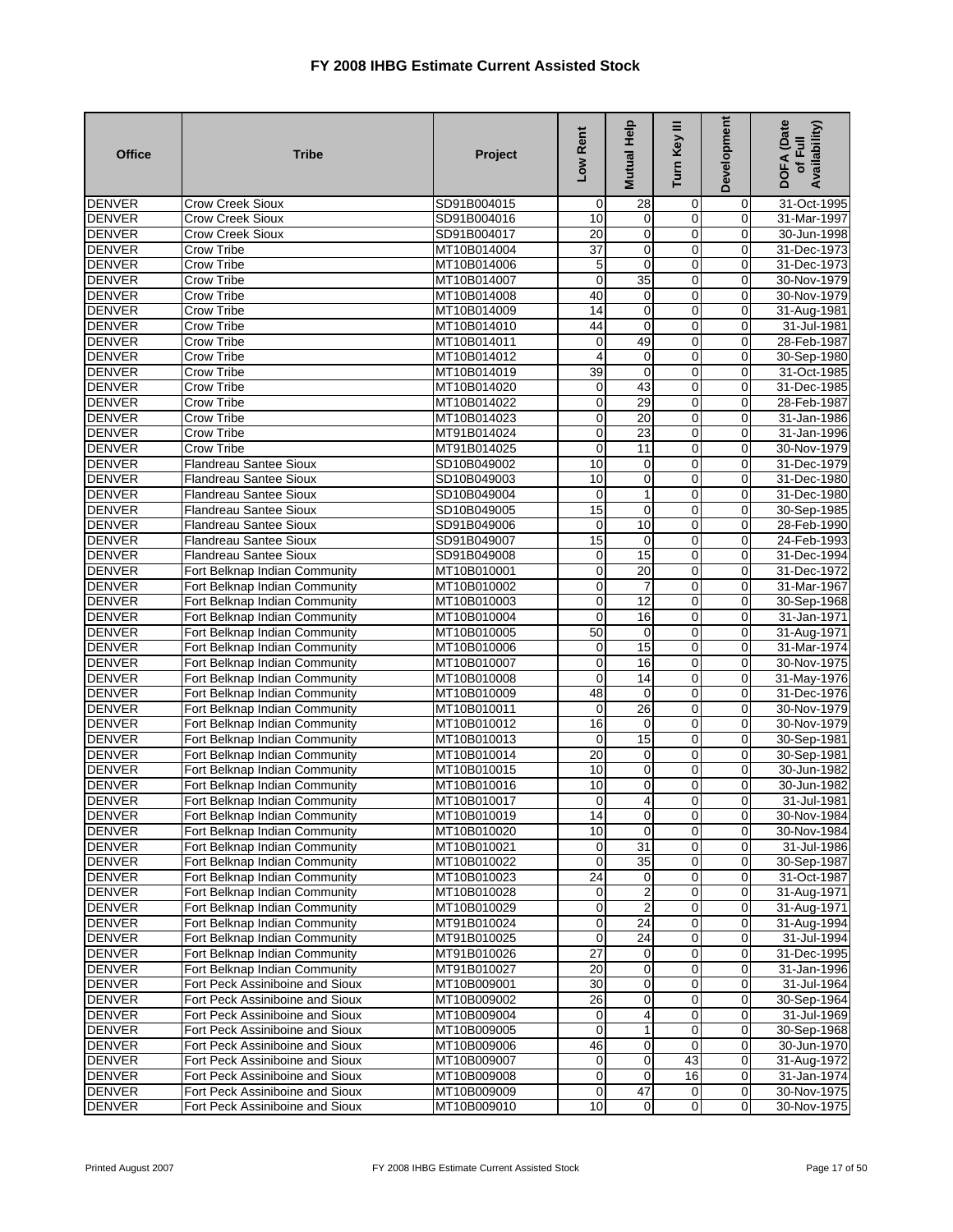| <b>Office</b>                  | <b>Tribe</b>                                            | Project                    | Low Rent                | Mutual Help       | Turn Key III        | Development             | DOFA (Date<br>Availability)<br>of Full |
|--------------------------------|---------------------------------------------------------|----------------------------|-------------------------|-------------------|---------------------|-------------------------|----------------------------------------|
| <b>DENVER</b>                  | <b>Crow Creek Sioux</b>                                 | SD91B004015                | $\mathbf 0$             | 28                | 0                   | 0                       | 31-Oct-1995                            |
| <b>DENVER</b>                  | <b>Crow Creek Sioux</b>                                 | SD91B004016                | 10                      | 0                 | 0                   | $\overline{0}$          | 31-Mar-1997                            |
| <b>DENVER</b>                  | Crow Creek Sioux                                        | SD91B004017                | 20                      | $\mathbf 0$       | $\overline{0}$      | $\overline{0}$          | 30-Jun-1998                            |
| <b>DENVER</b>                  | <b>Crow Tribe</b>                                       | MT10B014004                | $\overline{37}$         | 0                 | 0                   | $\overline{0}$          | 31-Dec-1973                            |
| <b>DENVER</b>                  | Crow Tribe                                              | MT10B014006                | 5                       | $\mathbf 0$       | $\mathbf 0$         | $\mathbf 0$             | 31-Dec-1973                            |
| <b>DENVER</b>                  | Crow Tribe                                              | MT10B014007                | $\mathbf 0$             | 35                | 0                   | $\mathbf 0$             | 30-Nov-1979                            |
| <b>DENVER</b>                  | Crow Tribe                                              | MT10B014008                | 40                      | $\mathbf 0$       | $\overline{0}$      | $\overline{0}$          | 30-Nov-1979                            |
| <b>DENVER</b>                  | <b>Crow Tribe</b>                                       | MT10B014009                | 14                      | 0                 | 0                   | $\overline{0}$          | 31-Aug-1981                            |
| <b>DENVER</b>                  | Crow Tribe                                              | MT10B014010                | 44                      | $\mathbf 0$       | $\overline{0}$      | $\mathbf 0$             | 31-Jul-1981                            |
| <b>DENVER</b>                  | Crow Tribe                                              | MT10B014011                | $\mathbf 0$             | 49                | 0                   | $\overline{0}$          | 28-Feb-1987                            |
| <b>DENVER</b>                  | <b>Crow Tribe</b>                                       | MT10B014012                | $\overline{4}$          | 0                 | $\mathbf 0$         | $\mathbf 0$             | 30-Sep-1980                            |
| <b>DENVER</b>                  | Crow Tribe                                              | MT10B014019                | 39                      | $\mathbf 0$       | $\overline{0}$      | $\mathbf 0$             | 31-Oct-1985                            |
| <b>DENVER</b>                  | <b>Crow Tribe</b>                                       | MT10B014020                | $\mathbf 0$             | 43                | 0                   | 0                       | 31-Dec-1985                            |
| <b>DENVER</b>                  | Crow Tribe                                              | MT10B014022                | $\mathbf 0$             | 29                | $\mathbf 0$         | $\overline{0}$          | 28-Feb-1987                            |
| <b>DENVER</b>                  | <b>Crow Tribe</b>                                       | MT10B014023                | $\mathbf 0$             | 20                | 0                   | $\mathbf 0$             | 31-Jan-1986                            |
| <b>DENVER</b>                  | <b>Crow Tribe</b>                                       | MT91B014024                | 0                       | 23                | $\mathbf 0$         | 0                       | 31-Jan-1996                            |
| <b>DENVER</b>                  | Crow Tribe                                              | MT91B014025                | $\overline{\mathbf{0}}$ | 11                | $\overline{0}$      | $\mathbf 0$             | 30-Nov-1979                            |
| <b>DENVER</b>                  | Flandreau Santee Sioux                                  | SD10B049002                | 10                      | 0                 | $\mathbf 0$         | $\overline{0}$          | 31-Dec-1979                            |
| <b>DENVER</b>                  | <b>Flandreau Santee Sioux</b>                           | SD10B049003                | 10                      | 0                 | 0                   | $\mathbf 0$             | 31-Dec-1980                            |
| <b>DENVER</b>                  | Flandreau Santee Sioux                                  | SD10B049004                | 0                       | 1                 | 0                   | $\mathbf 0$             | 31-Dec-1980                            |
| <b>DENVER</b>                  | Flandreau Santee Sioux                                  | SD10B049005                | 15                      | $\mathbf 0$       | $\mathbf 0$         | $\overline{0}$          | 30-Sep-1985                            |
| <b>DENVER</b><br><b>DENVER</b> | <b>Flandreau Santee Sioux</b>                           | SD91B049006<br>SD91B049007 | $\mathbf 0$<br>15       | 10<br>$\mathbf 0$ | 0<br>$\overline{0}$ | $\mathbf 0$<br>$\Omega$ | 28-Feb-1990                            |
| <b>DENVER</b>                  | <b>Flandreau Santee Sioux</b><br>Flandreau Santee Sioux | SD91B049008                | $\mathbf 0$             | 15                | 0                   | $\overline{0}$          | 24-Feb-1993<br>31-Dec-1994             |
| <b>DENVER</b>                  | Fort Belknap Indian Community                           | MT10B010001                | $\overline{\mathbf{0}}$ | 20                | $\overline{0}$      | $\overline{0}$          | 31-Dec-1972                            |
| <b>DENVER</b>                  | Fort Belknap Indian Community                           | MT10B010002                | $\mathbf 0$             | $\overline{7}$    | $\mathbf 0$         | $\mathbf 0$             | 31-Mar-1967                            |
| <b>DENVER</b>                  | Fort Belknap Indian Community                           | MT10B010003                | $\mathbf 0$             | 12                | 0                   | $\overline{0}$          | 30-Sep-1968                            |
| <b>DENVER</b>                  | Fort Belknap Indian Community                           | MT10B010004                | $\overline{\mathbf{0}}$ | 16                | $\overline{0}$      | $\overline{0}$          | 31-Jan-1971                            |
| <b>DENVER</b>                  | Fort Belknap Indian Community                           | MT10B010005                | 50                      | 0                 | 0                   | $\overline{0}$          | 31-Aug-1971                            |
| <b>DENVER</b>                  | Fort Belknap Indian Community                           | MT10B010006                | 0                       | 15                | 0                   | $\mathbf 0$             | 31-Mar-1974                            |
| <b>DENVER</b>                  | Fort Belknap Indian Community                           | MT10B010007                | $\mathbf 0$             | 16                | $\mathbf 0$         | $\mathbf 0$             | 30-Nov-1975                            |
| <b>DENVER</b>                  | Fort Belknap Indian Community                           | MT10B010008                | $\mathbf 0$             | 14                | $\overline{0}$      | $\overline{0}$          | 31-May-1976                            |
| <b>DENVER</b>                  | Fort Belknap Indian Community                           | MT10B010009                | 48                      | $\mathbf 0$       | 0                   | $\mathbf 0$             | 31-Dec-1976                            |
| <b>DENVER</b>                  | Fort Belknap Indian Community                           | MT10B010011                | $\mathbf 0$             | 26                | $\overline{0}$      | $\mathbf 0$             | 30-Nov-1979                            |
| <b>DENVER</b>                  | Fort Belknap Indian Community                           | MT10B010012                | 16                      | 0                 | 0                   | $\overline{0}$          | 30-Nov-1979                            |
| <b>DENVER</b>                  | Fort Belknap Indian Community                           | MT10B010013                | $\mathbf 0$             | 15                | $\mathbf 0$         | $\mathbf 0$             | 30-Sep-1981                            |
| <b>DENVER</b>                  | Fort Belknap Indian Community                           | MT10B010014                | $\overline{20}$         | 0                 | $\overline{0}$      | $\overline{0}$          | 30-Sep-1981                            |
| <b>DENVER</b>                  | Fort Belknap Indian Community                           | MT10B010015                | 10                      | $\mathbf 0$       | 0                   | $\mathbf 0$             | 30-Jun-1982                            |
| <b>DENVER</b>                  | Fort Belknap Indian Community                           | MT10B010016                | 10                      | 0                 | $\mathbf 0$         | $\overline{0}$          | 30-Jun-1982                            |
| <b>DENVER</b>                  | Fort Belknap Indian Community                           | MT10B010017                | $\mathbf 0$             | 4                 | 0                   | $\Omega$                | 31-Jul-1981                            |
| DENVER                         | Fort Belknap Indian Community                           | MT10B010019                | 14                      | $\mathbf 0$       | $\overline{0}$      | $\overline{0}$          | 30-Nov-1984                            |
| <b>DENVER</b>                  | Fort Belknap Indian Community                           | MT10B010020                | 10                      | $\mathbf 0$       | $\mathbf 0$         | $\overline{0}$          | 30-Nov-1984                            |
| <b>DENVER</b>                  | Fort Belknap Indian Community                           | MT10B010021                | $\overline{0}$          | 31                | $\mathbf 0$         | $\overline{0}$          | 31-Jul-1986                            |
| <b>DENVER</b>                  | Fort Belknap Indian Community                           | MT10B010022                | $\mathbf 0$             | 35                | 0                   | $\mathbf 0$             | 30-Sep-1987                            |
| <b>DENVER</b>                  | Fort Belknap Indian Community                           | MT10B010023                | 24                      | 0                 | 0                   | $\overline{0}$          | 31-Oct-1987                            |
| <b>DENVER</b>                  | Fort Belknap Indian Community                           | MT10B010028                | $\overline{0}$          | $\overline{2}$    | 0                   | $\overline{0}$          | 31-Aug-1971                            |
| <b>DENVER</b>                  | Fort Belknap Indian Community                           | MT10B010029                | $\overline{O}$          | 2                 | 0                   | $\overline{0}$          | 31-Aug-1971                            |
| <b>DENVER</b>                  | Fort Belknap Indian Community                           | MT91B010024                | $\mathbf 0$             | 24                | 0                   | $\overline{0}$          | 31-Aug-1994                            |
| <b>DENVER</b>                  | Fort Belknap Indian Community                           | MT91B010025                | $\mathbf 0$             | 24                | 0                   | $\overline{0}$          | 31-Jul-1994                            |
| <b>DENVER</b>                  | Fort Belknap Indian Community                           | MT91B010026                | $\overline{27}$         | 0                 | 0                   | $\overline{0}$          | 31-Dec-1995                            |
| <b>DENVER</b>                  | Fort Belknap Indian Community                           | MT91B010027                | 20                      | $\mathbf 0$       | 0                   | $\mathbf 0$             | 31-Jan-1996                            |
| <b>DENVER</b>                  | Fort Peck Assiniboine and Sioux                         | MT10B009001                | 30                      | 0                 | 0                   | $\overline{0}$          | 31-Jul-1964                            |
| <b>DENVER</b>                  | Fort Peck Assiniboine and Sioux                         | MT10B009002                | 26                      | $\pmb{0}$         | 0                   | $\overline{0}$          | 30-Sep-1964                            |
| <b>DENVER</b>                  | Fort Peck Assiniboine and Sioux                         | MT10B009004                | $\mathbf 0$             | 4                 | 0                   | $\overline{0}$          | 31-Jul-1969                            |
| <b>DENVER</b>                  | Fort Peck Assiniboine and Sioux                         | MT10B009005                | $\mathbf 0$             | 1                 | 0                   | $\mathbf 0$             | 30-Sep-1968                            |
| <b>DENVER</b>                  | Fort Peck Assiniboine and Sioux                         | MT10B009006                | 46                      | 0                 | 0                   | $\overline{0}$          | 30-Jun-1970                            |
| <b>DENVER</b>                  | Fort Peck Assiniboine and Sioux                         | MT10B009007                | $\mathbf 0$             | $\mathbf 0$       | 43                  | $\mathbf 0$             | 31-Aug-1972                            |
| <b>DENVER</b>                  | Fort Peck Assiniboine and Sioux                         | MT10B009008                | $\mathbf 0$             | 0                 | 16                  | $\overline{0}$          | 31-Jan-1974                            |
| <b>DENVER</b>                  | Fort Peck Assiniboine and Sioux                         | MT10B009009                | $\mathbf 0$             | 47                | $\mathbf 0$         | $\mathbf 0$             | 30-Nov-1975                            |
| <b>DENVER</b>                  | Fort Peck Assiniboine and Sioux                         | MT10B009010                | 10                      | 0                 | $\pmb{0}$           | $\overline{0}$          | 30-Nov-1975                            |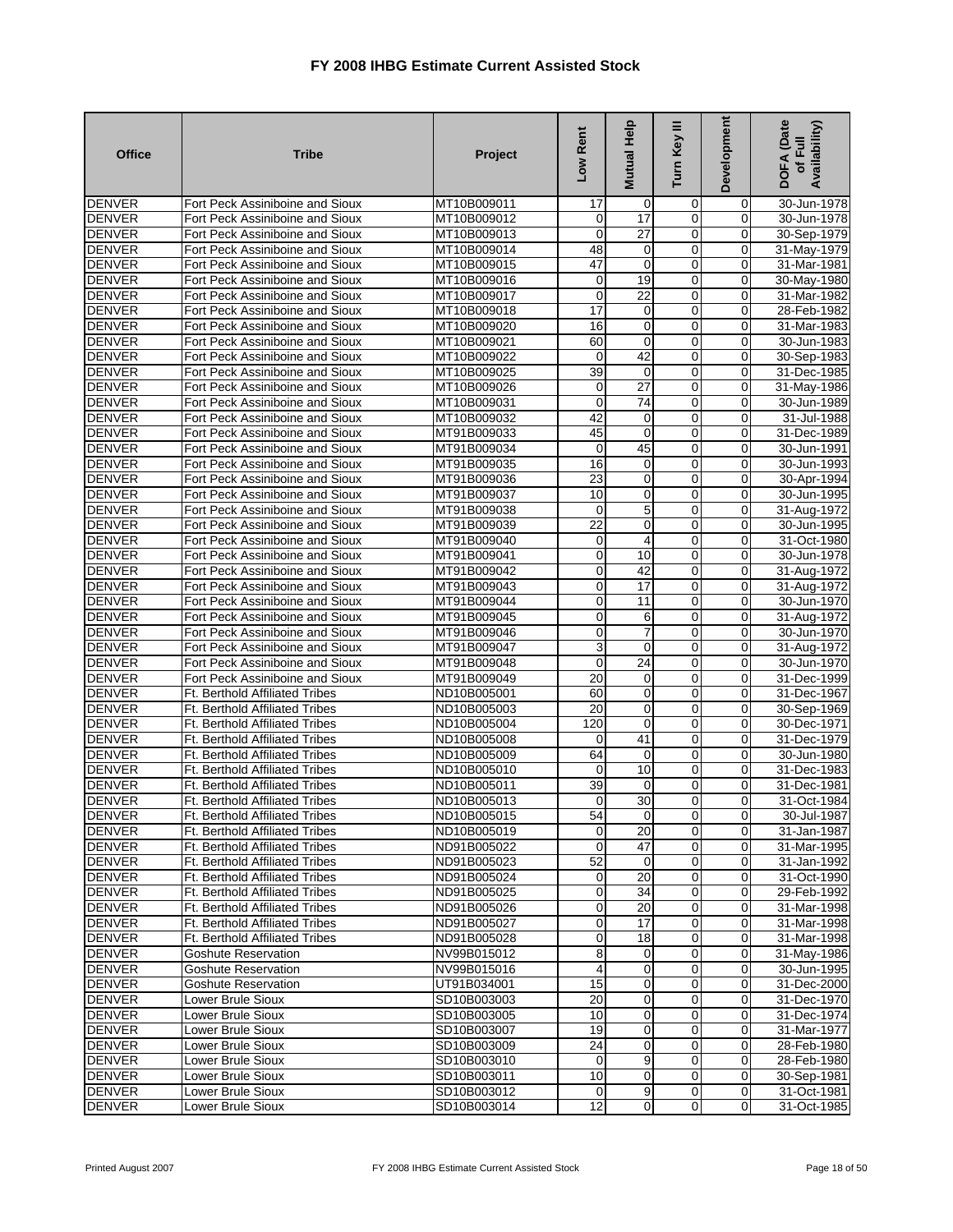| <b>Office</b> | <b>Tribe</b>                          | Project     | Low Rent        | <b>Mutual Help</b> | Ξ<br>Turn Key  | <b>Development</b> | DOFA (Date<br>Availability)<br>of Full |
|---------------|---------------------------------------|-------------|-----------------|--------------------|----------------|--------------------|----------------------------------------|
| <b>DENVER</b> | Fort Peck Assiniboine and Sioux       | MT10B009011 | 17              | 0                  | 0              | 0                  | 30-Jun-1978                            |
| <b>DENVER</b> | Fort Peck Assiniboine and Sioux       | MT10B009012 | 0               | $\overline{17}$    | $\mathbf 0$    | $\overline{0}$     | 30-Jun-1978                            |
| <b>DENVER</b> | Fort Peck Assiniboine and Sioux       | MT10B009013 | 0               | 27                 | $\overline{0}$ | 0                  | 30-Sep-1979                            |
| <b>DENVER</b> | Fort Peck Assiniboine and Sioux       | MT10B009014 | 48              | 0                  | $\mathbf 0$    | $\mathbf 0$        | 31-May-1979                            |
| <b>DENVER</b> | Fort Peck Assiniboine and Sioux       | MT10B009015 | 47              | $\mathbf 0$        | $\mathbf 0$    | $\mathbf 0$        | 31-Mar-1981                            |
| <b>DENVER</b> | Fort Peck Assiniboine and Sioux       | MT10B009016 | 0               | 19                 | 0              | 0                  | 30-May-1980                            |
| <b>DENVER</b> | Fort Peck Assiniboine and Sioux       | MT10B009017 | $\mathbf 0$     | $\overline{22}$    | $\mathbf 0$    | $\Omega$           | 31-Mar-1982                            |
| <b>DENVER</b> | Fort Peck Assiniboine and Sioux       | MT10B009018 | 17              | 0                  | 0              | 0                  | 28-Feb-1982                            |
| <b>DENVER</b> | Fort Peck Assiniboine and Sioux       | MT10B009020 | 16              | $\pmb{0}$          | $\overline{0}$ | 0                  | 31-Mar-1983                            |
| <b>DENVER</b> | Fort Peck Assiniboine and Sioux       | MT10B009021 | 60              | $\mathbf 0$        | $\mathbf 0$    | $\mathbf 0$        | 30-Jun-1983                            |
| <b>DENVER</b> | Fort Peck Assiniboine and Sioux       | MT10B009022 | 0               | 42                 | $\mathbf 0$    | 0                  | 30-Sep-1983                            |
| <b>DENVER</b> | Fort Peck Assiniboine and Sioux       | MT10B009025 | 39              | O                  | $\overline{0}$ | $\overline{0}$     | 31-Dec-1985                            |
| <b>DENVER</b> | Fort Peck Assiniboine and Sioux       | MT10B009026 | 0               | 27                 | 0              | $\mathbf 0$        | 31-May-1986                            |
| <b>DENVER</b> | Fort Peck Assiniboine and Sioux       | MT10B009031 | 0               | 74                 | $\mathbf 0$    | 0                  | 30-Jun-1989                            |
| <b>DENVER</b> | Fort Peck Assiniboine and Sioux       | MT10B009032 | 42              | 0                  | 0              | $\mathbf 0$        | 31-Jul-1988                            |
| <b>DENVER</b> | Fort Peck Assiniboine and Sioux       | MT91B009033 | 45              | $\mathbf 0$        | $\overline{0}$ | 0                  | 31-Dec-1989                            |
| <b>DENVER</b> | Fort Peck Assiniboine and Sioux       | MT91B009034 | 0               | 45                 | $\overline{0}$ | 0                  | 30-Jun-1991                            |
| <b>DENVER</b> | Fort Peck Assiniboine and Sioux       | MT91B009035 | $\overline{16}$ | 0                  | $\overline{0}$ | $\mathbf 0$        | 30-Jun-1993                            |
| <b>DENVER</b> | Fort Peck Assiniboine and Sioux       | MT91B009036 | 23              | 0                  | $\mathbf 0$    | 0                  | 30-Apr-1994                            |
| <b>DENVER</b> | Fort Peck Assiniboine and Sioux       | MT91B009037 | 10              | 0                  | $\mathbf 0$    | 0                  | 30-Jun-1995                            |
| <b>DENVER</b> | Fort Peck Assiniboine and Sioux       | MT91B009038 | 0               | 5                  | $\overline{0}$ | $\overline{0}$     | 31-Aug-1972                            |
| <b>DENVER</b> | Fort Peck Assiniboine and Sioux       | MT91B009039 | 22              | 0                  | 0              | 0                  | 30-Jun-1995                            |
| <b>DENVER</b> | Fort Peck Assiniboine and Sioux       | MT91B009040 | 0               | 4                  | $\overline{0}$ | $\mathbf 0$        | 31-Oct-1980                            |
| <b>DENVER</b> | Fort Peck Assiniboine and Sioux       | MT91B009041 | 0               | 10                 | $\mathbf 0$    | $\mathbf 0$        | 30-Jun-1978                            |
| <b>DENVER</b> | Fort Peck Assiniboine and Sioux       | MT91B009042 | 0               | 42                 | 0              | 0                  | 31-Aug-1972                            |
| <b>DENVER</b> | Fort Peck Assiniboine and Sioux       | MT91B009043 | $\mathbf 0$     | $\overline{17}$    | $\mathbf 0$    | $\mathbf 0$        | 31-Aug-1972                            |
| <b>DENVER</b> | Fort Peck Assiniboine and Sioux       | MT91B009044 | $\mathbf 0$     | 11                 | 0              | $\mathbf 0$        | 30-Jun-1970                            |
| <b>DENVER</b> | Fort Peck Assiniboine and Sioux       | MT91B009045 | 0               | 6                  | $\overline{0}$ | 0                  | 31-Aug-1972                            |
| <b>DENVER</b> | Fort Peck Assiniboine and Sioux       | MT91B009046 | 0               | 7                  | 0              | $\mathbf 0$        | 30-Jun-1970                            |
| <b>DENVER</b> | Fort Peck Assiniboine and Sioux       | MT91B009047 | 3               | $\mathbf{O}$       | $\mathbf 0$    | 0                  | 31-Aug-1972                            |
| <b>DENVER</b> | Fort Peck Assiniboine and Sioux       | MT91B009048 | 0               | 24                 | $\mathbf 0$    | 0                  | 30-Jun-1970                            |
| <b>DENVER</b> | Fort Peck Assiniboine and Sioux       | MT91B009049 | 20              | 0                  | $\overline{0}$ | $\overline{0}$     | 31-Dec-1999                            |
| <b>DENVER</b> | <b>Ft. Berthold Affiliated Tribes</b> | ND10B005001 | 60              | 0                  | 0              | 0                  | 31-Dec-1967                            |
| <b>DENVER</b> | Ft. Berthold Affiliated Tribes        | ND10B005003 | $\overline{20}$ | $\mathbf 0$        | $\mathbf 0$    | 0                  | 30-Sep-1969                            |
| <b>DENVER</b> | Ft. Berthold Affiliated Tribes        | ND10B005004 | 120             | $\mathbf 0$        | $\mathbf 0$    | $\mathbf 0$        | 30-Dec-1971                            |
| <b>DENVER</b> | Ft. Berthold Affiliated Tribes        | ND10B005008 | 0               | 41                 | 0              | 0                  | 31-Dec-1979                            |
| <b>DENVER</b> | <b>Ft. Berthold Affiliated Tribes</b> | ND10B005009 | 64              | O                  | $\overline{0}$ | 0                  | 30-Jun-1980                            |
| <b>DENVER</b> | Ft. Berthold Affiliated Tribes        | ND10B005010 | 0               | 10                 | $\mathbf 0$    | $\mathbf 0$        | 31-Dec-1983                            |
| <b>DENVER</b> | <b>Ft. Berthold Affiliated Tribes</b> | ND10B005011 | 39              | 0                  | $\mathbf 0$    | 0                  | 31-Dec-1981                            |
| <b>DENVER</b> | <b>Ft. Berthold Affiliated Tribes</b> | ND10B005013 | $\mathbf 0$     | 30                 | $\mathbf 0$    | $\mathbf 0$        | 31-Oct-1984                            |
| <b>DENVER</b> | <b>Ft. Berthold Affiliated Tribes</b> | ND10B005015 | 54              | $\mathbf{0}$       | $\mathbf{0}$   | $\mathbf{0}$       | 30-Jul-1987                            |
| <b>DENVER</b> | <b>Ft. Berthold Affiliated Tribes</b> | ND10B005019 | $\mathbf{O}$    | 20                 | $\overline{0}$ | $\mathbf 0$        | 31-Jan-1987                            |
| <b>DENVER</b> | Ft. Berthold Affiliated Tribes        | ND91B005022 | $\Omega$        | 47                 | $\overline{0}$ | 0                  | 31-Mar-1995                            |
| <b>DENVER</b> | <b>Ft. Berthold Affiliated Tribes</b> | ND91B005023 | 52              | $\overline{0}$     | $\mathbf 0$    | $\overline{0}$     | 31-Jan-1992                            |
| <b>DENVER</b> | Ft. Berthold Affiliated Tribes        | ND91B005024 | $\overline{0}$  | 20                 | $\overline{0}$ | 0                  | 31-Oct-1990                            |
| <b>DENVER</b> | Ft. Berthold Affiliated Tribes        | ND91B005025 | $\mathbf 0$     | 34                 | $\mathbf 0$    | 0                  | 29-Feb-1992                            |
| <b>DENVER</b> | <b>Ft. Berthold Affiliated Tribes</b> | ND91B005026 | 0               | 20                 | $\overline{0}$ | $\overline{0}$     | 31-Mar-1998                            |
| <b>DENVER</b> | <b>Ft. Berthold Affiliated Tribes</b> | ND91B005027 | 0               | 17                 | $\mathbf 0$    | $\overline{0}$     | 31-Mar-1998                            |
| <b>DENVER</b> | Ft. Berthold Affiliated Tribes        | ND91B005028 | 0               | 18                 | $\overline{0}$ | $\mathbf 0$        | 31-Mar-1998                            |
| <b>DENVER</b> | Goshute Reservation                   | NV99B015012 | 8               | 0                  | $\overline{0}$ | 0                  | 31-May-1986                            |
| <b>DENVER</b> | Goshute Reservation                   | NV99B015016 | 4               | $\overline{0}$     | $\mathbf 0$    | $\overline{0}$     | 30-Jun-1995                            |
| <b>DENVER</b> | <b>Goshute Reservation</b>            | UT91B034001 | 15              | $\mathbf 0$        | $\overline{0}$ | $\overline{0}$     | 31-Dec-2000                            |
| <b>DENVER</b> | Lower Brule Sioux                     | SD10B003003 | 20              | $\mathbf 0$        | $\mathbf 0$    | 0                  | 31-Dec-1970                            |
| <b>DENVER</b> | Lower Brule Sioux                     | SD10B003005 | 10              | $\mathbf 0$        | $\overline{0}$ | 0                  | 31-Dec-1974                            |
| <b>DENVER</b> | Lower Brule Sioux                     | SD10B003007 | 19              | $\mathbf 0$        | $\overline{0}$ | $\overline{0}$     | 31-Mar-1977                            |
| <b>DENVER</b> | Lower Brule Sioux                     | SD10B003009 | 24              | $\mathbf 0$        | $\mathbf 0$    | 0                  | 28-Feb-1980                            |
| <b>DENVER</b> | Lower Brule Sioux                     | SD10B003010 | 0               | 9                  | $\mathbf{0}$   | $\mathbf 0$        | 28-Feb-1980                            |
| <b>DENVER</b> | Lower Brule Sioux                     | SD10B003011 | 10              | $\mathbf 0$        | $\overline{0}$ | $\overline{0}$     | 30-Sep-1981                            |
| <b>DENVER</b> | Lower Brule Sioux                     | SD10B003012 | $\mathbf 0$     | $\overline{9}$     | $\mathbf 0$    | $\mathbf 0$        | 31-Oct-1981                            |
| <b>DENVER</b> | Lower Brule Sioux                     | SD10B003014 | $\overline{12}$ | $\overline{0}$     | $\mathbf 0$    | $\mathbf 0$        | 31-Oct-1985                            |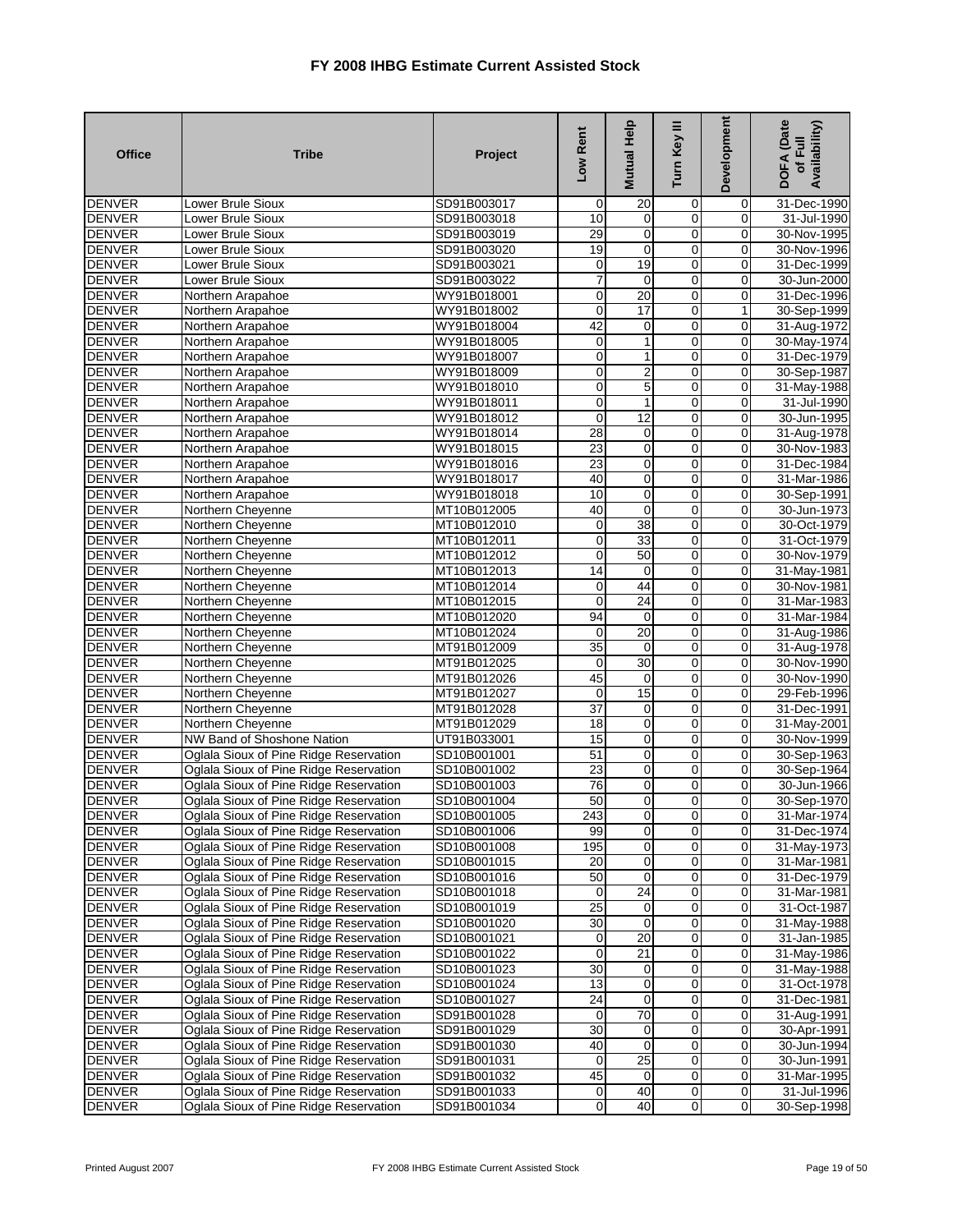| <b>Office</b> | <b>Tribe</b>                           | Project     | Low Rent        | Mutual Help     | Turn Key III   | <b>Development</b> | <b>DOFA</b> (Date<br>Availability)<br>of Full |
|---------------|----------------------------------------|-------------|-----------------|-----------------|----------------|--------------------|-----------------------------------------------|
| <b>DENVER</b> | Lower Brule Sioux                      | SD91B003017 | 0               | 20              | 0              | 0                  | 31-Dec-1990                                   |
| <b>DENVER</b> | Lower Brule Sioux                      | SD91B003018 | 10              | $\mathbf 0$     | 0              | 0                  | 31-Jul-1990                                   |
| <b>DENVER</b> | Lower Brule Sioux                      | SD91B003019 | 29              | $\overline{0}$  | 0              | 0                  | 30-Nov-1995                                   |
| <b>DENVER</b> | Lower Brule Sioux                      | SD91B003020 | 19              | $\mathbf 0$     | 0              | 0                  | 30-Nov-1996                                   |
| <b>DENVER</b> | Lower Brule Sioux                      | SD91B003021 | 0               | 19              | 0              | 0                  | 31-Dec-1999                                   |
| <b>DENVER</b> | Lower Brule Sioux                      | SD91B003022 | $\overline{7}$  | $\mathbf 0$     | 0              | 0                  | 30-Jun-2000                                   |
| <b>DENVER</b> | Northern Arapahoe                      | WY91B018001 | 0               | 20              | 0              | 0                  | 31-Dec-1996                                   |
| <b>DENVER</b> | Northern Arapahoe                      | WY91B018002 | 0               | 17              | 0              | $\mathbf{1}$       | 30-Sep-1999                                   |
| <b>DENVER</b> | Northern Arapahoe                      | WY91B018004 | 42              | $\mathbf 0$     | 0              | $\mathbf 0$        | 31-Aug-1972                                   |
| <b>DENVER</b> | Northern Arapahoe                      | WY91B018005 | 0               | $\mathbf{1}$    | 0              | O                  | 30-May-1974                                   |
| <b>DENVER</b> | Northern Arapahoe                      | WY91B018007 | 0               | $\mathbf{1}$    | 0              | 0                  | 31-Dec-1979                                   |
| <b>DENVER</b> | Northern Arapahoe                      | WY91B018009 | 0               | $\overline{2}$  | 0              | 0                  | 30-Sep-1987                                   |
| <b>DENVER</b> | Northern Arapahoe                      | WY91B018010 | $\mathbf 0$     | $\sqrt{5}$      | 0              | $\mathbf 0$        | 31-May-1988                                   |
| <b>DENVER</b> | Northern Arapahoe                      | WY91B018011 | 0               | $\mathbf{1}$    | 0              | 0                  | 31-Jul-1990                                   |
| <b>DENVER</b> | Northern Arapahoe                      | WY91B018012 | 0               | $\overline{12}$ | 0              | 0                  | 30-Jun-1995                                   |
| <b>DENVER</b> | Northern Arapahoe                      | WY91B018014 | 28              | $\mathbf 0$     | 0              | 0                  | 31-Aug-1978                                   |
| <b>DENVER</b> | Northern Arapahoe                      | WY91B018015 | 23              | $\overline{0}$  | $\overline{0}$ | 0                  | 30-Nov-1983                                   |
| <b>DENVER</b> | Northern Arapahoe                      | WY91B018016 | 23              | $\mathbf 0$     | 0              | 0                  | 31-Dec-1984                                   |
| <b>DENVER</b> | Northern Arapahoe                      | WY91B018017 | 40              | $\mathbf 0$     | 0              | 0                  | 31-Mar-1986                                   |
| <b>DENVER</b> | Northern Arapahoe                      | WY91B018018 | 10              | $\overline{0}$  | $\overline{0}$ | 0                  | 30-Sep-1991                                   |
| <b>DENVER</b> | Northern Cheyenne                      | MT10B012005 | 40              | $\overline{0}$  | 0              | 0                  | 30-Jun-1973                                   |
| <b>DENVER</b> | Northern Cheyenne                      | MT10B012010 | 0               | 38              | $\mathbf 0$    | 0                  | 30-Oct-1979                                   |
| <b>DENVER</b> | Northern Cheyenne                      | MT10B012011 | 0               | $\overline{33}$ | 0              | 0                  | 31-Oct-1979                                   |
| <b>DENVER</b> | Northern Cheyenne                      | MT10B012012 | 0               | 50              | 0              | O                  | 30-Nov-1979                                   |
| <b>DENVER</b> | Northern Cheyenne                      | MT10B012013 | 14              | 0               | 0              | 0                  | 31-May-1981                                   |
| <b>DENVER</b> | Northern Cheyenne                      | MT10B012014 | 0               | 44              | 0              | 0                  | 30-Nov-1981                                   |
| <b>DENVER</b> | Northern Cheyenne                      | MT10B012015 | 0               | 24              | 0              | 0                  | 31-Mar-1983                                   |
| <b>DENVER</b> | Northern Cheyenne                      | MT10B012020 | 94              | $\mathbf 0$     | $\overline{0}$ | 0                  | 31-Mar-1984                                   |
| <b>DENVER</b> | Northern Cheyenne                      | MT10B012024 | 0               | 20              | $\overline{0}$ | 0                  | 31-Aug-1986                                   |
| <b>DENVER</b> | Northern Cheyenne                      | MT91B012009 | 35              | $\mathbf 0$     | 0              | 0                  | 31-Aug-1978                                   |
| <b>DENVER</b> | Northern Cheyenne                      | MT91B012025 | 0               | 30              | $\mathbf 0$    | $\mathbf 0$        | 30-Nov-1990                                   |
| <b>DENVER</b> | Northern Cheyenne                      | MT91B012026 | 45              | $\overline{0}$  | 0              | 0                  | 30-Nov-1990                                   |
| <b>DENVER</b> | Northern Cheyenne                      | MT91B012027 | 0               | 15              | 0              | 0                  | 29-Feb-1996                                   |
| <b>DENVER</b> | Northern Cheyenne                      | MT91B012028 | 37              | $\mathbf 0$     | 0              | 0                  | 31-Dec-1991                                   |
| <b>DENVER</b> | Northern Cheyenne                      | MT91B012029 | 18              | $\overline{0}$  | 0              | $\mathbf 0$        | 31-May-2001                                   |
| <b>DENVER</b> | NW Band of Shoshone Nation             | UT91B033001 | 15              | $\mathbf 0$     | 0              | 0                  | 30-Nov-1999                                   |
| <b>DENVER</b> | Oglala Sioux of Pine Ridge Reservation | SD10B001001 | 51              | $\overline{0}$  | 0              | 0                  | 30-Sep-1963                                   |
| <b>DENVER</b> | Oglala Sioux of Pine Ridge Reservation | SD10B001002 | 23              | $\overline{0}$  | 0              | $\mathbf 0$        | 30-Sep-1964                                   |
| <b>DENVER</b> | Oglala Sioux of Pine Ridge Reservation | SD10B001003 | 76              | $\mathbf 0$     | 0              | 0                  | 30-Jun-1966                                   |
| <b>DENVER</b> | Oglala Sioux of Pine Ridge Reservation | SD10B001004 | 50              | $\mathbf{O}$    | 0              | 0                  | 30-Sep-1970                                   |
| DENVER        | Oglala Sioux of Pine Ridge Reservation | SD10B001005 | 243             | $\overline{0}$  | 01             | 0                  | 31-Mar-1974                                   |
| <b>DENVER</b> | Oglala Sioux of Pine Ridge Reservation | SD10B001006 | 99              | $\overline{0}$  | $\overline{0}$ | O                  | 31-Dec-1974                                   |
| <b>DENVER</b> | Oglala Sioux of Pine Ridge Reservation | SD10B001008 | 195             | $\overline{0}$  | 0              | 0                  | 31-May-1973                                   |
| <b>DENVER</b> | Oglala Sioux of Pine Ridge Reservation | SD10B001015 | 20              | $\mathbf 0$     | 0              | $\mathbf 0$        | 31-Mar-1981                                   |
| <b>DENVER</b> | Oglala Sioux of Pine Ridge Reservation | SD10B001016 | 50              | $\overline{0}$  | $\overline{0}$ | $\overline{0}$     | 31-Dec-1979                                   |
| <b>DENVER</b> | Oglala Sioux of Pine Ridge Reservation | SD10B001018 | 0               | $\overline{24}$ | 0              | $\overline{0}$     | 31-Mar-1981                                   |
| <b>DENVER</b> | Oglala Sioux of Pine Ridge Reservation | SD10B001019 | $\overline{25}$ | $\overline{0}$  | 0              | 0                  | 31-Oct-1987                                   |
| <b>DENVER</b> | Oglala Sioux of Pine Ridge Reservation | SD10B001020 | 30              | $\mathbf 0$     | 0              | 0                  | 31-May-1988                                   |
| <b>DENVER</b> | Oglala Sioux of Pine Ridge Reservation | SD10B001021 | 0               | $\overline{20}$ | 0              | 0                  | 31-Jan-1985                                   |
| <b>DENVER</b> | Oglala Sioux of Pine Ridge Reservation | SD10B001022 | 0               | 21              | 0              | $\mathbf 0$        | 31-May-1986                                   |
| <b>DENVER</b> | Oglala Sioux of Pine Ridge Reservation | SD10B001023 | 30              | $\mathbf 0$     | 0              | 0                  | 31-May-1988                                   |
| <b>DENVER</b> | Oglala Sioux of Pine Ridge Reservation | SD10B001024 | 13              | $\mathbf 0$     | 0              | $\overline{0}$     | 31-Oct-1978                                   |
| <b>DENVER</b> | Oglala Sioux of Pine Ridge Reservation | SD10B001027 | 24              | $\mathbf 0$     | 0              | $\mathbf 0$        | 31-Dec-1981                                   |
| <b>DENVER</b> | Oglala Sioux of Pine Ridge Reservation | SD91B001028 | 0               | 70              | 0              | 0                  | 31-Aug-1991                                   |
| <b>DENVER</b> | Oglala Sioux of Pine Ridge Reservation | SD91B001029 | 30              | $\mathbf 0$     | 0              | $\overline{0}$     | 30-Apr-1991                                   |
| <b>DENVER</b> | Oglala Sioux of Pine Ridge Reservation | SD91B001030 | 40              | $\overline{0}$  | $\overline{0}$ | $\overline{0}$     | 30-Jun-1994                                   |
| <b>DENVER</b> | Oglala Sioux of Pine Ridge Reservation | SD91B001031 | 0               | 25              | 0              | $\mathbf 0$        | 30-Jun-1991                                   |
| <b>DENVER</b> | Oglala Sioux of Pine Ridge Reservation | SD91B001032 | 45              | $\mathbf 0$     | 0              | 0                  | 31-Mar-1995                                   |
| <b>DENVER</b> | Oglala Sioux of Pine Ridge Reservation | SD91B001033 | $\overline{0}$  | 40              | 0              | $\overline{0}$     | 31-Jul-1996                                   |
| <b>DENVER</b> | Oglala Sioux of Pine Ridge Reservation | SD91B001034 | 0               | 40              | $\mathbf 0$    | $\mathbf 0$        | 30-Sep-1998                                   |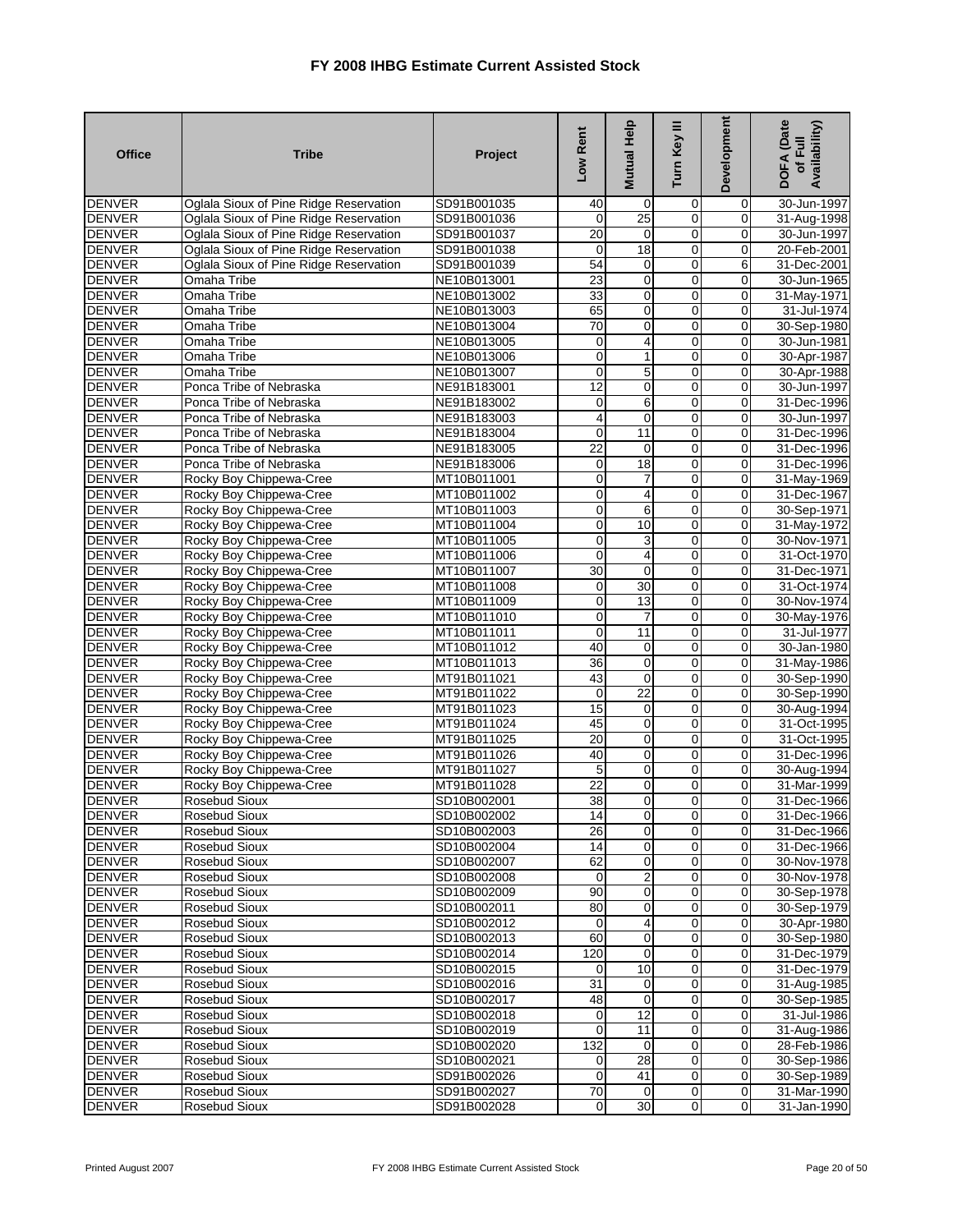| <b>Office</b>                  | <b>Tribe</b>                                       | Project                    | Low Rent           | <b>Mutual Help</b> | Turn Key III               | Development      | <b>DOFA</b> (Date<br>Availability)<br>of Full |
|--------------------------------|----------------------------------------------------|----------------------------|--------------------|--------------------|----------------------------|------------------|-----------------------------------------------|
| <b>DENVER</b>                  | Oglala Sioux of Pine Ridge Reservation             | SD91B001035                | 40                 | 0                  | 0                          | 0                | 30-Jun-1997                                   |
| <b>DENVER</b>                  | Oglala Sioux of Pine Ridge Reservation             | SD91B001036                | 0                  | 25                 | 0                          | $\mathbf 0$      | 31-Aug-1998                                   |
| <b>DENVER</b>                  | Oglala Sioux of Pine Ridge Reservation             | SD91B001037                | 20                 | 0                  | $\mathbf 0$                | 0                | 30-Jun-1997                                   |
| <b>DENVER</b>                  | Oglala Sioux of Pine Ridge Reservation             | SD91B001038                | 0                  | $\overline{18}$    | $\overline{0}$             | 0                | 20-Feb-2001                                   |
| <b>DENVER</b>                  | Oglala Sioux of Pine Ridge Reservation             | SD91B001039                | 54                 | $\mathbf 0$        | $\mathbf 0$                | 6                | 31-Dec-2001                                   |
| <b>DENVER</b>                  | Omaha Tribe                                        | NE10B013001                | 23                 | $\mathbf 0$        | $\mathbf 0$                | 0                | 30-Jun-1965                                   |
| <b>DENVER</b>                  | Omaha Tribe                                        | NE10B013002                | 33                 | $\mathbf 0$        | $\mathbf 0$                | $\mathbf 0$      | 31-May-1971                                   |
| <b>DENVER</b>                  | <b>Omaha Tribe</b>                                 | NE10B013003                | 65                 | 0                  | $\overline{0}$             | 0                | 31-Jul-1974                                   |
| <b>DENVER</b>                  | Omaha Tribe                                        | NE10B013004                | 70                 | $\mathbf 0$        | $\mathbf 0$                | 0                | 30-Sep-1980                                   |
| <b>DENVER</b>                  | Omaha Tribe                                        | NE10B013005                | 0                  | 4                  | $\mathbf 0$                | $\mathbf 0$      | 30-Jun-1981                                   |
| <b>DENVER</b>                  | Omaha Tribe                                        | NE10B013006                | $\mathbf 0$        | 1                  | 0                          | $\mathbf 0$      | 30-Apr-1987                                   |
| <b>DENVER</b>                  | <b>Omaha Tribe</b>                                 | NE10B013007                | $\mathbf 0$        | 5                  | $\overline{0}$             | 0                | 30-Apr-1988                                   |
| <b>DENVER</b>                  | Ponca Tribe of Nebraska                            | NE91B183001                | $\overline{12}$    | $\mathbf 0$        | $\mathbf 0$                | $\mathbf 0$      | 30-Jun-1997                                   |
| <b>DENVER</b><br><b>DENVER</b> | Ponca Tribe of Nebraska<br>Ponca Tribe of Nebraska | NE91B183002<br>NE91B183003 | 0<br>4             | 6<br>$\mathbf 0$   | 0<br>$\mathbf 0$           | 0<br>0           | 31-Dec-1996<br>30-Jun-1997                    |
| <b>DENVER</b>                  | Ponca Tribe of Nebraska                            | NE91B183004                | $\mathbf 0$        | 11                 | $\overline{0}$             | 0                | 31-Dec-1996                                   |
| <b>DENVER</b>                  | Ponca Tribe of Nebraska                            | NE91B183005                | $\overline{22}$    | 0                  | $\overline{0}$             | 0                | 31-Dec-1996                                   |
| <b>DENVER</b>                  | Ponca Tribe of Nebraska                            | NE91B183006                | 0                  | 18                 | $\mathbf 0$                | $\mathbf 0$      | 31-Dec-1996                                   |
| <b>DENVER</b>                  | Rocky Boy Chippewa-Cree                            | MT10B011001                | $\mathbf 0$        | 7                  | $\mathbf 0$                | 0                | 31-May-1969                                   |
| <b>DENVER</b>                  | Rocky Boy Chippewa-Cree                            | MT10B011002                | $\mathbf 0$        | 4                  | $\overline{0}$             | 0                | 31-Dec-1967                                   |
| <b>DENVER</b>                  | Rocky Boy Chippewa-Cree                            | MT10B011003                | $\overline{0}$     | 6                  | $\overline{0}$             | $\mathbf 0$      | 30-Sep-1971                                   |
| <b>DENVER</b>                  | Rocky Boy Chippewa-Cree                            | MT10B011004                | $\mathbf 0$        | 10                 | $\mathbf 0$                | 0                | 31-May-1972                                   |
| <b>DENVER</b>                  | Rocky Boy Chippewa-Cree                            | MT10B011005                | $\mathbf 0$        | 3                  | $\mathbf 0$                | $\mathbf 0$      | 30-Nov-1971                                   |
| <b>DENVER</b>                  | Rocky Boy Chippewa-Cree                            | MT10B011006                | 0                  | 4                  | $\overline{0}$             | $\overline{0}$   | 31-Oct-1970                                   |
| <b>DENVER</b>                  | Rocky Boy Chippewa-Cree                            | MT10B011007                | $\overline{30}$    | $\overline{0}$     | $\mathbf 0$                | 0                | 31-Dec-1971                                   |
| <b>DENVER</b>                  | Rocky Boy Chippewa-Cree                            | MT10B011008                | 0                  | 30                 | $\overline{0}$             | $\mathbf 0$      | 31-Oct-1974                                   |
| <b>DENVER</b>                  | Rocky Boy Chippewa-Cree                            | MT10B011009                | 0                  | 13                 | $\mathbf 0$                | $\mathbf 0$      | 30-Nov-1974                                   |
| <b>DENVER</b>                  | Rocky Boy Chippewa-Cree                            | MT10B011010                | 0                  | 7                  | 0                          | 0                | 30-May-1976                                   |
| <b>DENVER</b>                  | Rocky Boy Chippewa-Cree                            | MT10B011011                | 0                  | 11                 | 0                          | $\mathbf 0$      | 31-Jul-1977                                   |
| <b>DENVER</b>                  | Rocky Boy Chippewa-Cree                            | MT10B011012                | 40                 | $\mathbf 0$        | $\mathbf 0$                | 0                | 30-Jan-1980                                   |
| <b>DENVER</b>                  | Rocky Boy Chippewa-Cree                            | MT10B011013                | 36                 | 0                  | $\mathbf 0$                | 0                | 31-May-1986                                   |
| <b>DENVER</b>                  | Rocky Boy Chippewa-Cree                            | MT91B011021                | 43                 | 0                  | $\mathbf 0$                | $\mathbf 0$      | 30-Sep-1990                                   |
| <b>DENVER</b>                  | Rocky Boy Chippewa-Cree                            | MT91B011022                | 0                  | $\overline{22}$    | $\overline{0}$             | 0                | 30-Sep-1990                                   |
| <b>DENVER</b>                  | Rocky Boy Chippewa-Cree                            | MT91B011023                | 15                 | $\mathbf 0$        | $\mathbf 0$                | 0                | 30-Aug-1994                                   |
| <b>DENVER</b>                  | Rocky Boy Chippewa-Cree                            | MT91B011024                | 45                 | $\mathbf 0$        | $\mathbf 0$                | $\mathbf 0$      | 31-Oct-1995                                   |
| <b>DENVER</b>                  | Rocky Boy Chippewa-Cree                            | MT91B011025                | 20                 | 0                  | 0                          | 0                | 31-Oct-1995                                   |
| <b>DENVER</b>                  | Rocky Boy Chippewa-Cree                            | MT91B011026                | 40                 | $\mathbf 0$        | $\overline{0}$             | 0                | 31-Dec-1996                                   |
| <b>DENVER</b>                  | Rocky Boy Chippewa-Cree                            | MT91B011027                | 5                  | $\mathbf 0$        | $\mathbf 0$                | $\mathbf 0$      | 30-Aug-1994                                   |
| <b>DENVER</b>                  | Rocky Boy Chippewa-Cree                            | MT91B011028                | 22                 | 0                  | 0                          | 0                | 31-Mar-1999                                   |
| <b>DENVER</b>                  | <b>Rosebud Sioux</b>                               | SD10B002001                | 38                 | $\pmb{0}$          | $\mathbf 0$                | $\mathbf 0$      | 31-Dec-1966                                   |
| <b>DENVER</b>                  | Rosebud Sioux                                      | SD10B002002                | 14                 | $\overline{0}$     | $\mathbf{0}$               | 0                | 31-Dec-1966                                   |
| <b>DENVER</b>                  | Rosebud Sioux                                      | SD10B002003                | 26                 | 0                  | $\mathbf 0$                | 0                | 31-Dec-1966                                   |
| <b>DENVER</b>                  | Rosebud Sioux                                      | SD10B002004                | 14                 | 0                  | $\overline{0}$             | 0                | 31-Dec-1966                                   |
| <b>DENVER</b>                  | Rosebud Sioux                                      | SD10B002007                | 62                 | $\overline{0}$     | $\overline{0}$             | $\overline{0}$   | 30-Nov-1978                                   |
| <b>DENVER</b>                  | Rosebud Sioux                                      | SD10B002008                | 0<br>90            | 2                  | $\mathbf 0$<br>$\mathbf 0$ | 0<br>0           | 30-Nov-1978                                   |
| <b>DENVER</b>                  | Rosebud Sioux<br>Rosebud Sioux                     | SD10B002009                |                    | 0<br>$\mathbf 0$   | 0                          |                  | 30-Sep-1978                                   |
| <b>DENVER</b><br><b>DENVER</b> | Rosebud Sioux                                      | SD10B002011<br>SD10B002012 | 80<br>$\mathbf{O}$ | 4                  | $\mathbf 0$                | 0<br>0           | 30-Sep-1979                                   |
| <b>DENVER</b>                  | Rosebud Sioux                                      | SD10B002013                | 60                 | $\mathbf 0$        | 0                          | $\mathbf 0$      | 30-Apr-1980<br>30-Sep-1980                    |
| <b>DENVER</b>                  | Rosebud Sioux                                      | SD10B002014                | 120                | $\mathbf 0$        | $\overline{0}$             | 0                | 31-Dec-1979                                   |
| <b>DENVER</b>                  | Rosebud Sioux                                      | SD10B002015                | 0                  | 10                 | $\mathbf 0$                | $\mathbf 0$      | 31-Dec-1979                                   |
| <b>DENVER</b>                  | Rosebud Sioux                                      | SD10B002016                | 31                 | $\mathbf 0$        | 0                          | $\mathbf 0$      | 31-Aug-1985                                   |
| <b>DENVER</b>                  | Rosebud Sioux                                      | SD10B002017                | 48                 | 0                  | $\overline{0}$             | 0                | 30-Sep-1985                                   |
| <b>DENVER</b>                  | Rosebud Sioux                                      | SD10B002018                | 0                  | $\overline{12}$    | 0                          | 0                | 31-Jul-1986                                   |
| <b>DENVER</b>                  | Rosebud Sioux                                      | SD10B002019                | $\Omega$           | 11                 | $\overline{0}$             | 0                | 31-Aug-1986                                   |
| <b>DENVER</b>                  | Rosebud Sioux                                      | SD10B002020                | 132                | 0                  | $\mathbf 0$                | 0                | 28-Feb-1986                                   |
| <b>DENVER</b>                  | Rosebud Sioux                                      | SD10B002021                | 0                  | 28                 | 0                          | 0                | 30-Sep-1986                                   |
| <b>DENVER</b>                  | Rosebud Sioux                                      | SD91B002026                | $\mathbf 0$        | 41                 | 0                          | ō                | 30-Sep-1989                                   |
| <b>DENVER</b>                  | Rosebud Sioux                                      | SD91B002027                | 70                 | 0                  | $\overline{0}$             | $\mathbf 0$      | 31-Mar-1990                                   |
| <b>DENVER</b>                  | Rosebud Sioux                                      | SD91B002028                | $\mathbf 0$        | 30                 | $\overline{0}$             | $\boldsymbol{0}$ | 31-Jan-1990                                   |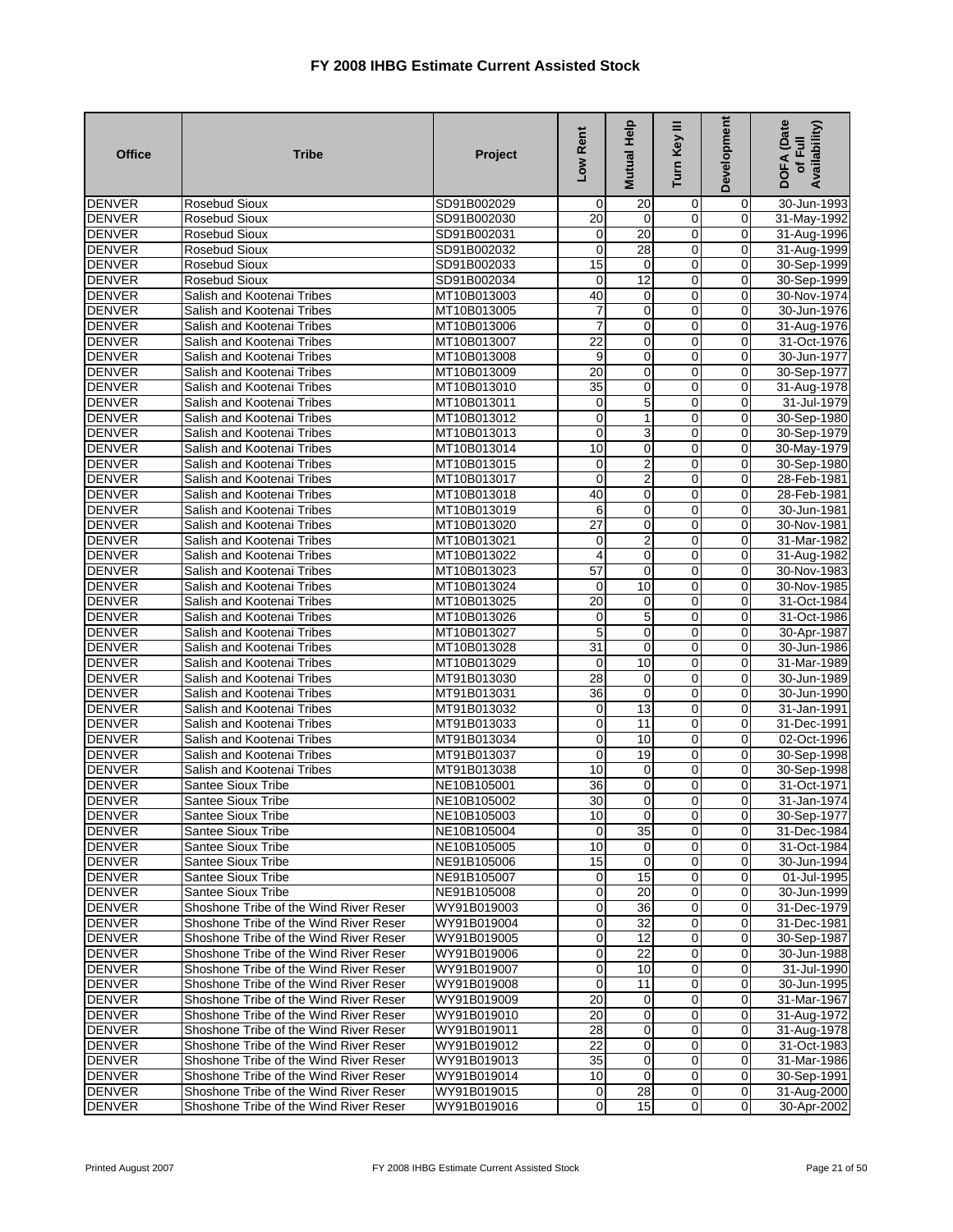| <b>Office</b>                  | <b>Tribe</b>                             | Project                    | Low Rent         | Mutual Help             | Turn Key III               | <b>Development</b>      | DOFA (Date<br>Availability)<br>of Full |
|--------------------------------|------------------------------------------|----------------------------|------------------|-------------------------|----------------------------|-------------------------|----------------------------------------|
| <b>DENVER</b>                  | Rosebud Sioux                            | SD91B002029                | 0                | 20                      | 0                          | $\mathbf 0$             | 30-Jun-1993                            |
| <b>DENVER</b>                  | Rosebud Sioux                            | SD91B002030                | 20               | 0                       | $\mathbf 0$                | 0                       | 31-May-1992                            |
| <b>DENVER</b>                  | Rosebud Sioux                            | SD91B002031                | 0                | 20                      | $\overline{0}$             | $\mathbf 0$             | 31-Aug-1996                            |
| <b>DENVER</b>                  | Rosebud Sioux                            | SD91B002032                | 0                | 28                      | 0                          | $\mathbf 0$             | 31-Aug-1999                            |
| <b>DENVER</b>                  | Rosebud Sioux                            | SD91B002033                | $\overline{15}$  | $\mathbf 0$             | $\mathbf 0$                | 0                       | 30-Sep-1999                            |
| <b>DENVER</b>                  | <b>Rosebud Sioux</b>                     | SD91B002034                | 0                | $\overline{12}$         | $\mathbf 0$                | $\mathbf 0$             | 30-Sep-1999                            |
| <b>DENVER</b>                  | Salish and Kootenai Tribes               | MT10B013003                | 40               | 0                       | $\mathbf 0$                | 0                       | 30-Nov-1974                            |
| <b>DENVER</b>                  | Salish and Kootenai Tribes               | MT10B013005                | 7                | 0                       | 0                          | 0                       | 30-Jun-1976                            |
| <b>DENVER</b>                  | Salish and Kootenai Tribes               | MT10B013006                | $\overline{7}$   | 0                       | $\mathbf 0$                | $\mathbf 0$             | 31-Aug-1976                            |
| <b>DENVER</b>                  | Salish and Kootenai Tribes               | MT10B013007                | $\overline{22}$  | 0                       | $\overline{0}$             | 0                       | 31-Oct-1976                            |
| <b>DENVER</b>                  | Salish and Kootenai Tribes               | MT10B013008                | 9                | 0                       | $\mathbf 0$                | $\mathbf 0$             | 30-Jun-1977                            |
| <b>DENVER</b>                  | Salish and Kootenai Tribes               | MT10B013009                | 20               | 0                       | $\mathbf 0$                | $\Omega$                | 30-Sep-1977                            |
| <b>DENVER</b>                  | Salish and Kootenai Tribes               | MT10B013010                | 35               | 0                       | 0                          | 0                       | 31-Aug-1978                            |
| <b>DENVER</b>                  | Salish and Kootenai Tribes               | MT10B013011                | 0                | 5                       | $\mathbf 0$                | 0                       | 31-Jul-1979                            |
| <b>DENVER</b>                  | Salish and Kootenai Tribes               | MT10B013012                | $\mathbf 0$      | 1                       | 0                          | $\mathbf 0$             | 30-Sep-1980                            |
| <b>DENVER</b>                  | Salish and Kootenai Tribes               | MT10B013013                | 0                | 3                       | 0                          | 0                       | 30-Sep-1979                            |
| <b>DENVER</b>                  | Salish and Kootenai Tribes               | MT10B013014                | 10               | 0                       | $\overline{0}$             | $\mathbf 0$             | 30-May-1979                            |
| <b>DENVER</b>                  | Salish and Kootenai Tribes               | MT10B013015                | $\mathbf 0$      | 2                       | 0                          | $\mathbf 0$             | 30-Sep-1980                            |
| <b>DENVER</b>                  | Salish and Kootenai Tribes               | MT10B013017                | 0                | $\overline{\mathbf{c}}$ | $\overline{0}$             | 0                       | 28-Feb-1981                            |
| <b>DENVER</b>                  | Salish and Kootenai Tribes               | MT10B013018                | 40               | 0                       | 0                          | $\mathbf 0$             | 28-Feb-1981                            |
| <b>DENVER</b>                  | Salish and Kootenai Tribes               | MT10B013019                | 6                | 0                       | $\mathbf 0$                | 0                       | 30-Jun-1981                            |
| <b>DENVER</b>                  | Salish and Kootenai Tribes               | MT10B013020                | 27               | 0                       | 0                          | 0                       | 30-Nov-1981                            |
| <b>DENVER</b>                  | Salish and Kootenai Tribes               | MT10B013021                | 0                | 2                       | $\mathbf 0$                | $\mathbf 0$             | 31-Mar-1982                            |
| <b>DENVER</b>                  | Salish and Kootenai Tribes               | MT10B013022                | $\overline{4}$   | 0                       | $\mathbf 0$                | 0                       | 31-Aug-1982                            |
| <b>DENVER</b>                  | Salish and Kootenai Tribes               | MT10B013023                | 57               | 0                       | $\mathbf 0$                | 0                       | 30-Nov-1983                            |
| <b>DENVER</b>                  | Salish and Kootenai Tribes               | MT10B013024                | $\mathbf 0$      | 10                      | $\overline{0}$             | $\overline{0}$          | 30-Nov-1985                            |
| <b>DENVER</b>                  | Salish and Kootenai Tribes               | MT10B013025                | 20               | 0                       | 0                          | 0                       | 31-Oct-1984                            |
| <b>DENVER</b>                  | Salish and Kootenai Tribes               | MT10B013026                | 0                | 5                       | $\overline{0}$             | $\mathbf 0$             | 31-Oct-1986                            |
| <b>DENVER</b>                  | Salish and Kootenai Tribes               | MT10B013027                | 5                | 0                       | $\mathbf 0$                | 0                       | 30-Apr-1987                            |
| <b>DENVER</b>                  | Salish and Kootenai Tribes               | MT10B013028                | 31               | 0                       | 0                          | 0                       | 30-Jun-1986                            |
| <b>DENVER</b>                  | Salish and Kootenai Tribes               | MT10B013029                | 0                | 10                      | $\mathbf 0$                | $\mathbf 0$             | 31-Mar-1989                            |
| <b>DENVER</b>                  | Salish and Kootenai Tribes               | MT91B013030                | $\overline{28}$  | 0                       | 0                          | $\mathbf 0$             | 30-Jun-1989                            |
| <b>DENVER</b>                  | Salish and Kootenai Tribes               | MT91B013031                | 36               | $\mathbf 0$             | 0                          | 0                       | 30-Jun-1990                            |
| <b>DENVER</b>                  | Salish and Kootenai Tribes               | MT91B013032                | 0                | 13                      | $\mathbf 0$                | $\mathbf 0$             | 31-Jan-1991                            |
| <b>DENVER</b>                  | Salish and Kootenai Tribes               | MT91B013033                | $\mathbf 0$      | 11                      | $\mathbf 0$                | 0                       | 31-Dec-1991                            |
| <b>DENVER</b><br><b>DENVER</b> | Salish and Kootenai Tribes               | MT91B013034                | 0<br>$\mathbf 0$ | 10<br>19                | $\mathbf 0$<br>$\mathbf 0$ | $\mathbf 0$<br>$\Omega$ | 02-Oct-1996                            |
|                                | Salish and Kootenai Tribes               | MT91B013037                |                  |                         |                            |                         | 30-Sep-1998                            |
| <b>DENVER</b>                  | Salish and Kootenai Tribes               | MT91B013038                | 10               | 0                       | 0                          | 0                       | 30-Sep-1998                            |
| <b>DENVER</b><br><b>DENVER</b> | <b>Santee Sioux Tribe</b>                | NE10B105001                | 36<br>30         | 0<br>0                  | 0<br>0                     | 0<br>$\mathbf{0}$       | 31-Oct-1971                            |
| <b>DENVER</b>                  | Santee Sioux Tribe<br>Santee Sioux Tribe | NE10B105002<br>NE10B105003 | 10               |                         |                            |                         | 31-Jan-1974<br>30-Sep-1977             |
| <b>DENVER</b>                  | Santee Sioux Tribe                       | NE10B105004                | $\Omega$         | 0<br>35                 | 0<br>$\overline{0}$        | 0<br>$\overline{0}$     | 31-Dec-1984                            |
| <b>DENVER</b>                  | Santee Sioux Tribe                       | NE10B105005                | 10               | $\mathbf 0$             | $\mathbf 0$                | $\mathbf 0$             | 31-Oct-1984                            |
| <b>DENVER</b>                  | <b>Santee Sioux Tribe</b>                | NE91B105006                | 15               | $\mathbf 0$             | $\mathbf 0$                | 0                       | 30-Jun-1994                            |
| <b>DENVER</b>                  | Santee Sioux Tribe                       | NE91B105007                | $\mathbf 0$      | 15                      | $\mathbf 0$                | 0                       | 01-Jul-1995                            |
| <b>DENVER</b>                  | <b>Santee Sioux Tribe</b>                | NE91B105008                | $\mathbf 0$      | 20                      | $\overline{0}$             | $\overline{0}$          | 30-Jun-1999                            |
| <b>DENVER</b>                  | Shoshone Tribe of the Wind River Reser   | WY91B019003                | $\mathbf 0$      | 36                      | $\mathbf 0$                | $\overline{0}$          | 31-Dec-1979                            |
| <b>DENVER</b>                  | Shoshone Tribe of the Wind River Reser   | WY91B019004                | $\mathbf 0$      | 32                      | $\mathbf 0$                | 0                       | 31-Dec-1981                            |
| <b>DENVER</b>                  | Shoshone Tribe of the Wind River Reser   | WY91B019005                | $\mathbf 0$      | $\overline{12}$         | $\overline{0}$             | $\overline{0}$          | 30-Sep-1987                            |
| <b>DENVER</b>                  | Shoshone Tribe of the Wind River Reser   | WY91B019006                | $\overline{O}$   | $\overline{22}$         | $\overline{0}$             | $\overline{0}$          | 30-Jun-1988                            |
| <b>DENVER</b>                  | Shoshone Tribe of the Wind River Reser   | WY91B019007                | $\mathbf 0$      | 10                      | $\mathbf 0$                | 0                       | 31-Jul-1990                            |
| <b>DENVER</b>                  | Shoshone Tribe of the Wind River Reser   | WY91B019008                | 0                | 11                      | $\overline{0}$             | $\overline{0}$          | 30-Jun-1995                            |
| <b>DENVER</b>                  | Shoshone Tribe of the Wind River Reser   | WY91B019009                | $\overline{20}$  | $\mathbf 0$             | $\overline{0}$             | $\overline{0}$          | 31-Mar-1967                            |
| <b>DENVER</b>                  | Shoshone Tribe of the Wind River Reser   | WY91B019010                | $\overline{20}$  | $\mathbf 0$             | $\mathbf 0$                | 0                       | 31-Aug-1972                            |
| <b>DENVER</b>                  | Shoshone Tribe of the Wind River Reser   | WY91B019011                | 28               | 0                       | $\overline{0}$             | $\overline{0}$          | 31-Aug-1978                            |
| <b>DENVER</b>                  | Shoshone Tribe of the Wind River Reser   | WY91B019012                | 22               | $\mathbf 0$             | $\mathbf 0$                | 0                       | 31-Oct-1983                            |
| <b>DENVER</b>                  | Shoshone Tribe of the Wind River Reser   | WY91B019013                | 35               | $\mathbf 0$             | $\mathbf 0$                | $\overline{0}$          | 31-Mar-1986                            |
| <b>DENVER</b>                  | Shoshone Tribe of the Wind River Reser   | WY91B019014                | 10               | 0                       | $\mathbf 0$                | 0                       | 30-Sep-1991                            |
| <b>DENVER</b>                  | Shoshone Tribe of the Wind River Reser   | WY91B019015                | $\overline{0}$   | 28                      | $\mathbf 0$                | $\overline{0}$          | 31-Aug-2000                            |
| <b>DENVER</b>                  | Shoshone Tribe of the Wind River Reser   | WY91B019016                | $\overline{0}$   | 15                      | $\mathbf 0$                | $\overline{0}$          | 30-Apr-2002                            |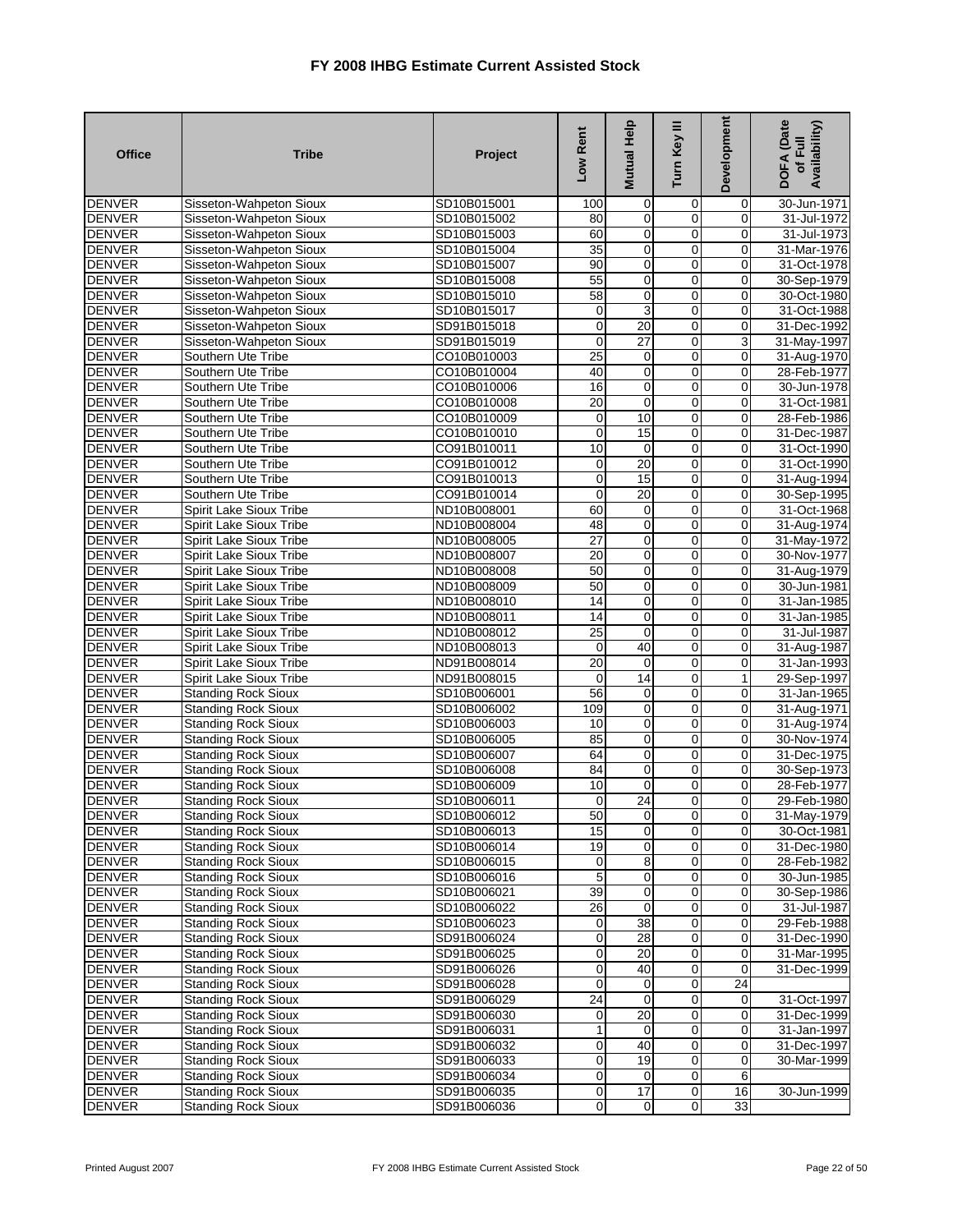| <b>Office</b> | <b>Tribe</b>                   | Project     | Low Rent         | Mutual Help     | Turn Key III     | <b>Development</b> | <b>DOFA</b> (Date<br>Availability)<br>of Full |
|---------------|--------------------------------|-------------|------------------|-----------------|------------------|--------------------|-----------------------------------------------|
| <b>DENVER</b> | Sisseton-Wahpeton Sioux        | SD10B015001 | 100              | $\mathbf 0$     | 0                | 0                  | 30-Jun-1971                                   |
| <b>DENVER</b> | Sisseton-Wahpeton Sioux        | SD10B015002 | 80               | 0               | 0                | 0                  | 31-Jul-1972                                   |
| <b>DENVER</b> | Sisseton-Wahpeton Sioux        | SD10B015003 | 60               | 0               | $\overline{0}$   | 0                  | 31-Jul-1973                                   |
| <b>DENVER</b> | Sisseton-Wahpeton Sioux        | SD10B015004 | $\overline{35}$  | $\overline{0}$  | $\overline{0}$   | $\overline{0}$     | 31-Mar-1976                                   |
| <b>DENVER</b> | Sisseton-Wahpeton Sioux        | SD10B015007 | 90               | 0               | 0                | 0                  | 31-Oct-1978                                   |
| <b>DENVER</b> | Sisseton-Wahpeton Sioux        | SD10B015008 | 55               | $\mathbf 0$     | $\overline{0}$   | $\mathbf 0$        | 30-Sep-1979                                   |
| <b>DENVER</b> | Sisseton-Wahpeton Sioux        | SD10B015010 | 58               | 0               | 0                | $\mathbf 0$        | 30-Oct-1980                                   |
| <b>DENVER</b> | Sisseton-Wahpeton Sioux        | SD10B015017 | 0                | 3               | 0                | 0                  | 31-Oct-1988                                   |
| <b>DENVER</b> | Sisseton-Wahpeton Sioux        | SD91B015018 | $\mathbf 0$      | 20              | $\mathbf 0$      | 0                  | 31-Dec-1992                                   |
| <b>DENVER</b> | Sisseton-Wahpeton Sioux        | SD91B015019 | $\mathbf 0$      | $\overline{27}$ | $\mathbf 0$      | 3                  | 31-May-1997                                   |
| <b>DENVER</b> | Southern Ute Tribe             | CO10B010003 | 25               | 0               | 0                | 0                  | 31-Aug-1970                                   |
| <b>DENVER</b> | Southern Ute Tribe             | CO10B010004 | 40               | $\mathbf 0$     | 0                | $\mathbf 0$        | 28-Feb-1977                                   |
| <b>DENVER</b> | Southern Ute Tribe             | CO10B010006 | 16               | 0               | $\mathbf 0$      | $\mathbf 0$        | 30-Jun-1978                                   |
| <b>DENVER</b> | Southern Ute Tribe             | CO10B010008 | 20               | 0               | $\mathbf 0$      | 0                  | 31-Oct-1981                                   |
| <b>DENVER</b> | Southern Ute Tribe             | CO10B010009 | $\mathbf 0$      | 10              | $\overline{0}$   | $\overline{0}$     | 28-Feb-1986                                   |
| <b>DENVER</b> | Southern Ute Tribe             | CO10B010010 | 0                | 15              | 0                | 0                  | 31-Dec-1987                                   |
| <b>DENVER</b> | Southern Ute Tribe             | CO91B010011 | 10               | $\mathbf 0$     | $\overline{0}$   | 0                  | 31-Oct-1990                                   |
| <b>DENVER</b> | Southern Ute Tribe             | CO91B010012 | $\mathbf 0$      | 20              | $\mathbf 0$      | $\overline{0}$     | 31-Oct-1990                                   |
| <b>DENVER</b> | Southern Ute Tribe             | CO91B010013 | 0                | 15              | 0                | 0                  | 31-Aug-1994                                   |
| <b>DENVER</b> | Southern Ute Tribe             | CO91B010014 | 0                | 20              | $\overline{0}$   | $\overline{0}$     | 30-Sep-1995                                   |
| <b>DENVER</b> | Spirit Lake Sioux Tribe        | ND10B008001 | 60               | $\mathbf 0$     | $\overline{0}$   | $\mathbf 0$        | 31-Oct-1968                                   |
| <b>DENVER</b> | Spirit Lake Sioux Tribe        | ND10B008004 | 48               | $\mathbf 0$     | $\mathbf 0$      | 0                  | 31-Aug-1974                                   |
| <b>DENVER</b> | Spirit Lake Sioux Tribe        | ND10B008005 | 27               | 0               | $\mathbf 0$      | $\mathbf 0$        | 31-May-1972                                   |
| <b>DENVER</b> | <b>Spirit Lake Sioux Tribe</b> | ND10B008007 | 20               | 0               | $\mathbf 0$      | 0                  | 30-Nov-1977                                   |
| <b>DENVER</b> | Spirit Lake Sioux Tribe        | ND10B008008 | 50               | 0               | $\overline{0}$   | 0                  | 31-Aug-1979                                   |
| <b>DENVER</b> | Spirit Lake Sioux Tribe        | ND10B008009 | 50               | $\mathbf 0$     | $\mathbf 0$      | $\mathbf 0$        | 30-Jun-1981                                   |
| <b>DENVER</b> | Spirit Lake Sioux Tribe        | ND10B008010 | 14               | 0               | $\mathbf 0$      | 0                  | 31-Jan-1985                                   |
| <b>DENVER</b> | Spirit Lake Sioux Tribe        | ND10B008011 | 14               | 0               | $\overline{0}$   | 0                  | 31-Jan-1985                                   |
| <b>DENVER</b> | Spirit Lake Sioux Tribe        | ND10B008012 | $\overline{25}$  | $\mathbf 0$     | $\overline{0}$   | $\mathbf 0$        | 31-Jul-1987                                   |
| <b>DENVER</b> | Spirit Lake Sioux Tribe        | ND10B008013 | 0                | 40              | $\mathbf 0$      | 0                  | 31-Aug-1987                                   |
| <b>DENVER</b> | Spirit Lake Sioux Tribe        | ND91B008014 | $\overline{20}$  | $\mathbf 0$     | $\overline{0}$   | $\mathbf 0$        | 31-Jan-1993                                   |
| <b>DENVER</b> | Spirit Lake Sioux Tribe        | ND91B008015 | 0                | 14              | 0                | $\mathbf{1}$       | 29-Sep-1997                                   |
| <b>DENVER</b> | <b>Standing Rock Sioux</b>     | SD10B006001 | 56               | 0               | 0                | 0                  | 31-Jan-1965                                   |
| <b>DENVER</b> | <b>Standing Rock Sioux</b>     | SD10B006002 | 109              | 0               | $\mathbf 0$      | $\mathbf 0$        | 31-Aug-1971                                   |
| <b>DENVER</b> | <b>Standing Rock Sioux</b>     | SD10B006003 | 10               | 0               | $\mathbf 0$      | $\mathbf 0$        | 31-Aug-1974                                   |
| <b>DENVER</b> | <b>Standing Rock Sioux</b>     | SD10B006005 | 85               | 0               | 0                | 0                  | 30-Nov-1974                                   |
| <b>DENVER</b> | <b>Standing Rock Sioux</b>     | SD10B006007 | 64               | 0               | $\mathbf 0$      | $\mathbf 0$        | 31-Dec-1975                                   |
| <b>DENVER</b> | <b>Standing Rock Sioux</b>     | SD10B006008 | 84               | 0               | $\mathbf 0$      | $\mathbf 0$        | 30-Sep-1973                                   |
| <b>DENVER</b> | Standing Rock Sioux            | SD10B006009 | 10               | 0               | 0                | 0                  | 28-Feb-1977                                   |
| <b>DENVER</b> | <b>Standing Rock Sioux</b>     | SD10B006011 | 0                | $\overline{24}$ | $\mathbf 0$      | $\mathbf 0$        | 29-Feb-1980                                   |
| <b>DENVER</b> | <b>Standing Rock Sioux</b>     | SD10B006012 | 50               | 0               | 0                | 0                  | 31-May-1979                                   |
| <b>DENVER</b> | <b>Standing Rock Sioux</b>     | SD10B006013 | 15               | $\overline{0}$  | $\overline{0}$   | $\overline{0}$     | 30-Oct-1981                                   |
| <b>DENVER</b> | <b>Standing Rock Sioux</b>     | SD10B006014 | 19               | 0               | $\mathbf 0$      | 0                  | 31-Dec-1980                                   |
| <b>DENVER</b> | <b>Standing Rock Sioux</b>     | SD10B006015 | 0                | 8               | $\mathbf 0$      | 0                  | 28-Feb-1982                                   |
| <b>DENVER</b> | <b>Standing Rock Sioux</b>     | SD10B006016 | 5                | $\pmb{0}$       | $\overline{0}$   | $\overline{0}$     | 30-Jun-1985                                   |
| <b>DENVER</b> | <b>Standing Rock Sioux</b>     | SD10B006021 | 39               | 0               | $\mathbf 0$      | 0                  | 30-Sep-1986                                   |
| <b>DENVER</b> | <b>Standing Rock Sioux</b>     | SD10B006022 | 26               | $\mathbf 0$     | $\mathbf 0$      | $\mathbf 0$        | 31-Jul-1987                                   |
| <b>DENVER</b> | <b>Standing Rock Sioux</b>     | SD10B006023 | $\mathbf 0$      | 38              | $\mathbf 0$      | 0                  | 29-Feb-1988                                   |
| <b>DENVER</b> | <b>Standing Rock Sioux</b>     | SD91B006024 | 0                | 28              | $\overline{0}$   | 0                  | 31-Dec-1990                                   |
| <b>DENVER</b> | <b>Standing Rock Sioux</b>     | SD91B006025 | $\overline{0}$   | 20              | $\overline{0}$   | 0                  | 31-Mar-1995                                   |
| <b>DENVER</b> | <b>Standing Rock Sioux</b>     | SD91B006026 | $\mathbf 0$      | 40              | $\mathbf 0$      | $\mathbf 0$        | 31-Dec-1999                                   |
| <b>DENVER</b> | <b>Standing Rock Sioux</b>     | SD91B006028 | $\mathbf 0$      | $\mathbf 0$     | $\mathbf 0$      | 24                 |                                               |
| <b>DENVER</b> | <b>Standing Rock Sioux</b>     | SD91B006029 | 24               | 0               | $\overline{0}$   | 0                  | 31-Oct-1997                                   |
| <b>DENVER</b> | <b>Standing Rock Sioux</b>     | SD91B006030 | $\mathbf 0$      | 20              | $\mathbf 0$      | $\mathbf 0$        | 31-Dec-1999                                   |
| <b>DENVER</b> | <b>Standing Rock Sioux</b>     | SD91B006031 | $\mathbf{1}$     | 0               | $\overline{0}$   | 0                  | 31-Jan-1997                                   |
| <b>DENVER</b> | <b>Standing Rock Sioux</b>     | SD91B006032 | $\mathbf 0$      | 40              | $\overline{0}$   | $\mathbf 0$        | 31-Dec-1997                                   |
| <b>DENVER</b> | <b>Standing Rock Sioux</b>     | SD91B006033 | $\mathbf 0$      | 19              | $\mathbf 0$      | $\mathbf 0$        | 30-Mar-1999                                   |
| <b>DENVER</b> | <b>Standing Rock Sioux</b>     | SD91B006034 | 0                | 0               | $\overline{0}$   | 6                  |                                               |
| <b>DENVER</b> | <b>Standing Rock Sioux</b>     | SD91B006035 | $\boldsymbol{0}$ | 17              | $\mathbf 0$      | 16                 | 30-Jun-1999                                   |
| <b>DENVER</b> | <b>Standing Rock Sioux</b>     | SD91B006036 | $\pmb{0}$        | $\overline{0}$  | $\boldsymbol{0}$ | 33                 |                                               |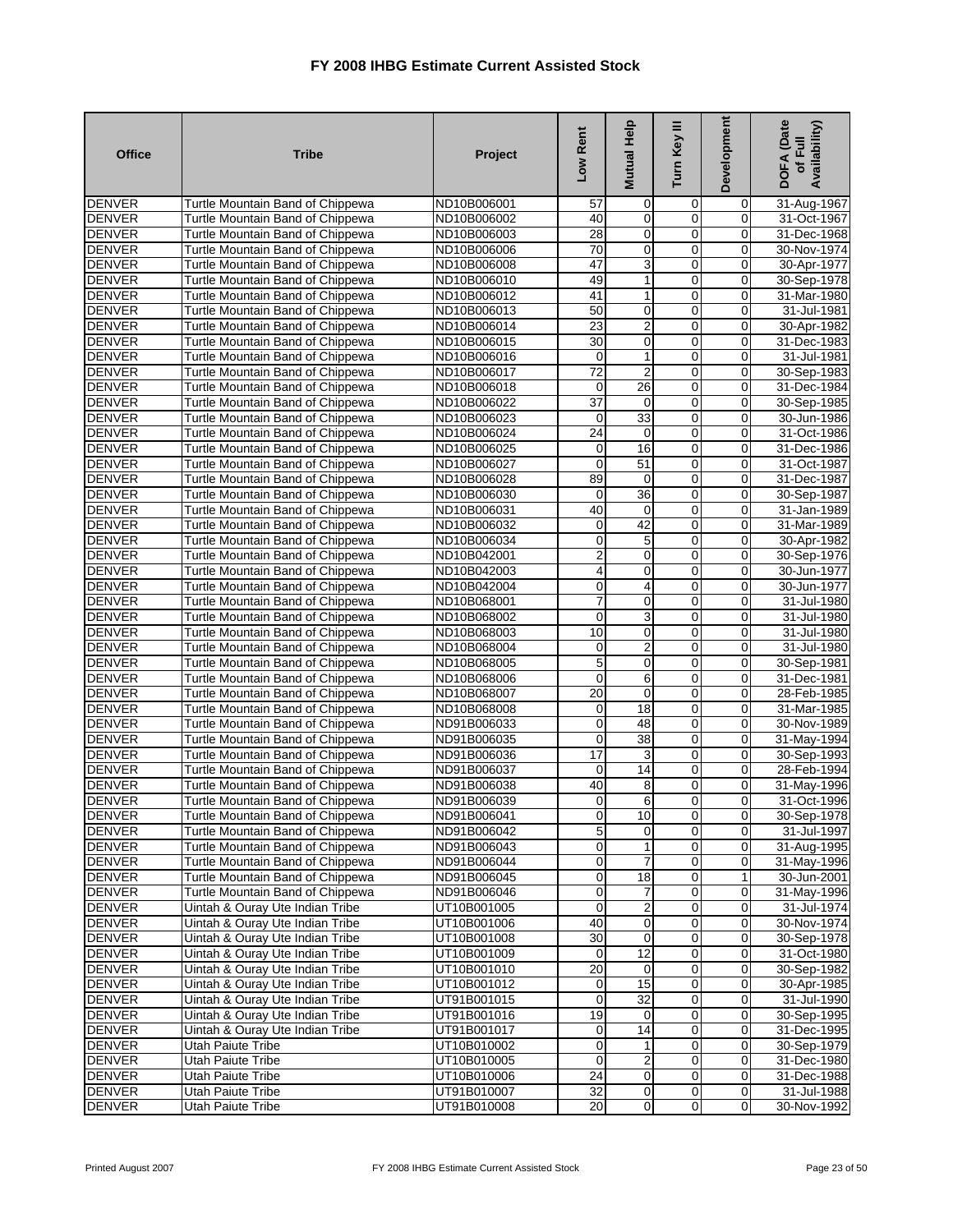| 0<br><b>DENVER</b><br>Turtle Mountain Band of Chippewa<br>ND10B006001<br>57<br>0<br>0<br>31-Aug-1967<br>$\mathbf 0$<br>$\mathbf 0$<br>$\mathbf 0$<br><b>DENVER</b><br>Turtle Mountain Band of Chippewa<br>ND10B006002<br>40<br>31-Oct-1967<br>$\overline{0}$<br>28<br>0<br><b>DENVER</b><br>Turtle Mountain Band of Chippewa<br>0<br>31-Dec-1968<br>ND10B006003<br><b>DENVER</b><br>70<br>$\mathbf 0$<br>$\mathbf 0$<br>Turtle Mountain Band of Chippewa<br>ND10B006006<br>$\mathbf 0$<br>30-Nov-1974<br><b>DENVER</b><br>47<br>3<br>$\mathbf 0$<br>Turtle Mountain Band of Chippewa<br>0<br>ND10B006008<br>30-Apr-1977<br>$\mathbf 0$<br>49<br><b>DENVER</b><br>Turtle Mountain Band of Chippewa<br>0<br>30-Sep-1978<br>ND10B006010<br>1<br>$\overline{41}$<br>$\mathbf 0$<br><b>DENVER</b><br>$\mathbf 0$<br>Turtle Mountain Band of Chippewa<br>ND10B006012<br>1<br>31-Mar-1980<br><b>DENVER</b><br>50<br>0<br>Turtle Mountain Band of Chippewa<br>ND10B006013<br>0<br>0<br>31-Jul-1981<br>$\overline{23}$<br>$\overline{\mathbf{c}}$<br>$\mathbf 0$<br>$\mathbf 0$<br><b>DENVER</b><br>Turtle Mountain Band of Chippewa<br>30-Apr-1982<br>ND10B006014<br>$\mathbf 0$<br>30<br>$\mathbf 0$<br>0<br><b>DENVER</b><br>Turtle Mountain Band of Chippewa<br>ND10B006015<br>31-Dec-1983<br><b>DENVER</b><br>Turtle Mountain Band of Chippewa<br>$\mathbf 0$<br>31-Jul-1981<br>ND10B006016<br>0<br>1<br>0<br>72<br>$\overline{2}$<br>$\overline{0}$<br>$\overline{0}$<br><b>DENVER</b><br>Turtle Mountain Band of Chippewa<br>ND10B006017<br>30-Sep-1983<br><b>DENVER</b><br>Turtle Mountain Band of Chippewa<br>0<br>0<br>ND10B006018<br>0<br>26<br>31-Dec-1984<br>$\overline{37}$<br>$\mathbf 0$<br><b>DENVER</b><br>0<br>Turtle Mountain Band of Chippewa<br>ND10B006022<br>$\mathbf 0$<br>30-Sep-1985<br>33<br>0<br><b>DENVER</b><br>$\mathbf 0$<br>Turtle Mountain Band of Chippewa<br>ND10B006023<br>0<br>30-Jun-1986<br><b>DENVER</b><br>24<br>$\overline{0}$<br>Turtle Mountain Band of Chippewa<br>$\mathbf 0$<br>0<br>31-Oct-1986<br>ND10B006024<br>$\overline{0}$<br><b>DENVER</b><br>16<br>0<br>Turtle Mountain Band of Chippewa<br>0<br>31-Dec-1986<br>ND10B006025<br>51<br>$\overline{0}$<br><b>DENVER</b><br>Turtle Mountain Band of Chippewa<br>$\mathbf 0$<br>$\mathbf 0$<br>31-Oct-1987<br>ND10B006027<br>$\mathbf 0$<br><b>DENVER</b><br>89<br>0<br>Turtle Mountain Band of Chippewa<br>ND10B006028<br>$\mathbf 0$<br>31-Dec-1987<br><b>DENVER</b><br>$\overline{36}$<br>$\mathbf 0$<br>Turtle Mountain Band of Chippewa<br>ND10B006030<br>0<br>0<br>30-Sep-1987<br>40<br>$\overline{0}$<br>$\overline{0}$<br><b>DENVER</b><br>Turtle Mountain Band of Chippewa<br>ND10B006031<br>0<br>31-Jan-1989<br>0<br><b>DENVER</b><br>Turtle Mountain Band of Chippewa<br>0<br>42<br>0<br>ND10B006032<br>31-Mar-1989<br>$\overline{0}$<br><b>DENVER</b><br>0<br>5<br>0<br>Turtle Mountain Band of Chippewa<br>ND10B006034<br>30-Apr-1982<br><b>DENVER</b><br>$\overline{\mathbf{c}}$<br>0<br>0<br>0<br>Turtle Mountain Band of Chippewa<br>ND10B042001<br>30-Sep-1976<br>$\mathbf 0$<br><b>DENVER</b><br>Turtle Mountain Band of Chippewa<br>ND10B042003<br>4<br>0<br>0<br>30-Jun-1977<br>$\mathbf 0$<br><b>DENVER</b><br>0<br>$\mathbf 0$<br>Turtle Mountain Band of Chippewa<br>ND10B042004<br>4<br>30-Jun-1977<br><b>DENVER</b><br>$\overline{7}$<br>$\mathbf 0$<br>$\mathbf 0$<br>0<br>31-Jul-1980<br>Turtle Mountain Band of Chippewa<br>ND10B068001<br>$\overline{0}$<br>0<br>3<br>0<br><b>DENVER</b><br>Turtle Mountain Band of Chippewa<br>31-Jul-1980<br>ND10B068002<br><b>DENVER</b><br>10<br>0<br>0<br>Turtle Mountain Band of Chippewa<br>ND10B068003<br>$\mathbf 0$<br>31-Jul-1980<br><b>DENVER</b><br>$\mathbf 2$<br>$\mathbf 0$<br>Turtle Mountain Band of Chippewa<br>0<br>0<br>31-Jul-1980<br>ND10B068004<br>$\mathbf 0$<br><b>DENVER</b><br>5<br>0<br>Turtle Mountain Band of Chippewa<br>$\mathbf 0$<br>30-Sep-1981<br>ND10B068005<br>$\overline{0}$<br>$\overline{0}$<br><b>DENVER</b><br>$\mathbf 0$<br>6<br>31-Dec-1981<br>Turtle Mountain Band of Chippewa<br>ND10B068006<br><b>DENVER</b><br>20<br>0<br>0<br>0<br>Turtle Mountain Band of Chippewa<br>ND10B068007<br>28-Feb-1985<br>$\mathbf 0$<br><b>DENVER</b><br>0<br>18<br>0<br>Turtle Mountain Band of Chippewa<br>ND10B068008<br>31-Mar-1985<br>$\mathbf 0$<br>0<br>0<br><b>DENVER</b><br>Turtle Mountain Band of Chippewa<br>48<br>30-Nov-1989<br>ND91B006033<br><b>DENVER</b><br>Turtle Mountain Band of Chippewa<br>$\overline{38}$<br>0<br>ND91B006035<br>0<br>0<br>31-May-1994<br>17<br>$\overline{0}$<br>$\overline{0}$<br><b>DENVER</b><br>3<br>Turtle Mountain Band of Chippewa<br>ND91B006036<br>30-Sep-1993<br>$\mathbf 0$<br><b>DENVER</b><br>0<br>14<br>0<br>28-Feb-1994<br>Turtle Mountain Band of Chippewa<br>ND91B006037<br>$\mathbf 0$<br>40<br>0<br><b>DENVER</b><br>Turtle Mountain Band of Chippewa<br>ND91B006038<br>8<br>31-May-1996<br>$\mathbf 0$<br><b>DENVER</b><br>0<br>6<br>$\mathbf 0$<br>31-Oct-1996<br>Turtle Mountain Band of Chippewa<br>ND91B006039<br>Turtle Mountain Band of Chippewa<br>10<br>ND91B006041<br>$\overline{O}$<br>$\overline{0}$<br>01<br>30-Sep-1978<br>5<br>$\overline{0}$<br>$\overline{0}$<br>Turtle Mountain Band of Chippewa<br>0<br><b>DENVER</b><br>ND91B006042<br>31-Jul-1997<br>0<br>0<br>$\mathbf 0$<br><b>DENVER</b><br>Turtle Mountain Band of Chippewa<br>ND91B006043<br>1<br>31-Aug-1995<br>$\mathbf 0$<br>Turtle Mountain Band of Chippewa<br>0<br>$\overline{7}$<br>0<br><b>DENVER</b><br>31-May-1996<br>ND91B006044<br>$\overline{0}$<br>18<br>$\overline{0}$<br><b>DENVER</b><br>Turtle Mountain Band of Chippewa<br>1<br>30-Jun-2001<br>ND91B006045<br>0<br>$\mathbf 0$<br>0<br><b>DENVER</b><br>Turtle Mountain Band of Chippewa<br>7<br>31-May-1996<br>ND91B006046<br><b>DENVER</b><br>$\mathbf 0$<br>$\overline{c}$<br>$\mathbf 0$<br>Uintah & Ouray Ute Indian Tribe<br>0<br>31-Jul-1974<br>UT10B001005<br>40<br>$\mathbf 0$<br>$\mathbf 0$<br>Uintah & Ouray Ute Indian Tribe<br>$\mathbf 0$<br><b>DENVER</b><br>UT10B001006<br>30-Nov-1974<br>30<br>$\mathbf 0$<br>$\mathbf 0$<br>0<br><b>DENVER</b><br>Uintah & Ouray Ute Indian Tribe<br>UT10B001008<br>30-Sep-1978<br>$\mathbf 0$<br><b>DENVER</b><br>Uintah & Ouray Ute Indian Tribe<br>12<br>0<br>UT10B001009<br>0<br>31-Oct-1980<br>20<br>$\mathbf 0$<br>$\mathbf 0$<br>$\mathbf 0$<br><b>DENVER</b><br>Uintah & Ouray Ute Indian Tribe<br>30-Sep-1982<br>UT10B001010<br>$\mathbf 0$<br><b>DENVER</b><br>Uintah & Ouray Ute Indian Tribe<br>$\overline{O}$<br>15<br>0<br>UT10B001012<br>30-Apr-1985<br>$\mathbf 0$<br><b>DENVER</b><br>Uintah & Ouray Ute Indian Tribe<br>0<br>32<br>$\mathbf 0$<br>31-Jul-1990<br>UT91B001015<br>$\overline{19}$<br>$\mathbf 0$<br><b>DENVER</b><br>Uintah & Ouray Ute Indian Tribe<br>$\mathbf 0$<br>0<br>30-Sep-1995<br>UT91B001016<br>$\mathbf 0$<br><b>DENVER</b><br>Uintah & Ouray Ute Indian Tribe<br>$\mathbf 0$<br>$\mathbf 0$<br>UT91B001017<br>14<br>31-Dec-1995<br>$\mathbf 0$<br>$\overline{0}$<br>0<br><b>DENVER</b><br>Utah Paiute Tribe<br>UT10B010002<br>30-Sep-1979<br>1<br>$\boldsymbol{2}$<br>$\overline{0}$<br>0<br>$\mathbf 0$<br><b>DENVER</b><br>Utah Paiute Tribe<br>UT10B010005<br>31-Dec-1980<br>$\overline{24}$<br>$\overline{0}$<br>$\mathbf 0$<br><b>DENVER</b><br>$\overline{0}$<br>Utah Paiute Tribe<br>UT10B010006<br>31-Dec-1988<br>$\overline{32}$<br>$\overline{0}$<br><b>DENVER</b><br>Utah Paiute Tribe<br>UT91B010007<br>$\overline{0}$<br>$\mathbf 0$<br>31-Jul-1988<br>$\mathbf 0$<br>$\overline{20}$<br>$\overline{0}$<br>$\pmb{0}$<br><b>DENVER</b><br>Utah Paiute Tribe<br>UT91B010008<br>30-Nov-1992 | <b>Office</b> | <b>Tribe</b> | Project | Low Rent | <b>Mutual Help</b> | Ξ<br>Turn Key | <b>Development</b> | <b>DOFA</b> (Date<br>Availability)<br>of Full |
|--------------------------------------------------------------------------------------------------------------------------------------------------------------------------------------------------------------------------------------------------------------------------------------------------------------------------------------------------------------------------------------------------------------------------------------------------------------------------------------------------------------------------------------------------------------------------------------------------------------------------------------------------------------------------------------------------------------------------------------------------------------------------------------------------------------------------------------------------------------------------------------------------------------------------------------------------------------------------------------------------------------------------------------------------------------------------------------------------------------------------------------------------------------------------------------------------------------------------------------------------------------------------------------------------------------------------------------------------------------------------------------------------------------------------------------------------------------------------------------------------------------------------------------------------------------------------------------------------------------------------------------------------------------------------------------------------------------------------------------------------------------------------------------------------------------------------------------------------------------------------------------------------------------------------------------------------------------------------------------------------------------------------------------------------------------------------------------------------------------------------------------------------------------------------------------------------------------------------------------------------------------------------------------------------------------------------------------------------------------------------------------------------------------------------------------------------------------------------------------------------------------------------------------------------------------------------------------------------------------------------------------------------------------------------------------------------------------------------------------------------------------------------------------------------------------------------------------------------------------------------------------------------------------------------------------------------------------------------------------------------------------------------------------------------------------------------------------------------------------------------------------------------------------------------------------------------------------------------------------------------------------------------------------------------------------------------------------------------------------------------------------------------------------------------------------------------------------------------------------------------------------------------------------------------------------------------------------------------------------------------------------------------------------------------------------------------------------------------------------------------------------------------------------------------------------------------------------------------------------------------------------------------------------------------------------------------------------------------------------------------------------------------------------------------------------------------------------------------------------------------------------------------------------------------------------------------------------------------------------------------------------------------------------------------------------------------------------------------------------------------------------------------------------------------------------------------------------------------------------------------------------------------------------------------------------------------------------------------------------------------------------------------------------------------------------------------------------------------------------------------------------------------------------------------------------------------------------------------------------------------------------------------------------------------------------------------------------------------------------------------------------------------------------------------------------------------------------------------------------------------------------------------------------------------------------------------------------------------------------------------------------------------------------------------------------------------------------------------------------------------------------------------------------------------------------------------------------------------------------------------------------------------------------------------------------------------------------------------------------------------------------------------------------------------------------------------------------------------------------------------------------------------------------------------------------------------------------------------------------------------------------------------------------------------------------------------------------------------------------------------------------------------------------------------------------------------------------------------------------------------------------------------------------------------------------------------------------------------------------------------------------------------------------------------------------------------------------------------------------------------------------------------------------------------------------------------------------------------------------------------------------------------------------------------------------------------------------------------------------------------------------------------------------------------------------------------------------------------------------------------------------------------------------------------------------------------------------------------------------------------------------------------------------------------------------------------------------------------------------------------------------------------------------------------------------------------------------------------------------------------------------------------------------------------------------------------------------------------------------------------------------------------------------------------------------------------------------------------------------------------------------------------------------------------------------------------------------------------------------------------------------------------------------------------------------------------------------------------------------------------------------------------------------------------------------------------------|---------------|--------------|---------|----------|--------------------|---------------|--------------------|-----------------------------------------------|
|                                                                                                                                                                                                                                                                                                                                                                                                                                                                                                                                                                                                                                                                                                                                                                                                                                                                                                                                                                                                                                                                                                                                                                                                                                                                                                                                                                                                                                                                                                                                                                                                                                                                                                                                                                                                                                                                                                                                                                                                                                                                                                                                                                                                                                                                                                                                                                                                                                                                                                                                                                                                                                                                                                                                                                                                                                                                                                                                                                                                                                                                                                                                                                                                                                                                                                                                                                                                                                                                                                                                                                                                                                                                                                                                                                                                                                                                                                                                                                                                                                                                                                                                                                                                                                                                                                                                                                                                                                                                                                                                                                                                                                                                                                                                                                                                                                                                                                                                                                                                                                                                                                                                                                                                                                                                                                                                                                                                                                                                                                                                                                                                                                                                                                                                                                                                                                                                                                                                                                                                                                                                                                                                                                                                                                                                                                                                                                                                                                                                                                                                                                                                                                                                                                                                                                                                                                                                                                                                                                                                                                                                                                                                                                                                                                                                                                                                                                                                                                                                                                                                                                                                                                                                                                        |               |              |         |          |                    |               |                    |                                               |
|                                                                                                                                                                                                                                                                                                                                                                                                                                                                                                                                                                                                                                                                                                                                                                                                                                                                                                                                                                                                                                                                                                                                                                                                                                                                                                                                                                                                                                                                                                                                                                                                                                                                                                                                                                                                                                                                                                                                                                                                                                                                                                                                                                                                                                                                                                                                                                                                                                                                                                                                                                                                                                                                                                                                                                                                                                                                                                                                                                                                                                                                                                                                                                                                                                                                                                                                                                                                                                                                                                                                                                                                                                                                                                                                                                                                                                                                                                                                                                                                                                                                                                                                                                                                                                                                                                                                                                                                                                                                                                                                                                                                                                                                                                                                                                                                                                                                                                                                                                                                                                                                                                                                                                                                                                                                                                                                                                                                                                                                                                                                                                                                                                                                                                                                                                                                                                                                                                                                                                                                                                                                                                                                                                                                                                                                                                                                                                                                                                                                                                                                                                                                                                                                                                                                                                                                                                                                                                                                                                                                                                                                                                                                                                                                                                                                                                                                                                                                                                                                                                                                                                                                                                                                                                        |               |              |         |          |                    |               |                    |                                               |
|                                                                                                                                                                                                                                                                                                                                                                                                                                                                                                                                                                                                                                                                                                                                                                                                                                                                                                                                                                                                                                                                                                                                                                                                                                                                                                                                                                                                                                                                                                                                                                                                                                                                                                                                                                                                                                                                                                                                                                                                                                                                                                                                                                                                                                                                                                                                                                                                                                                                                                                                                                                                                                                                                                                                                                                                                                                                                                                                                                                                                                                                                                                                                                                                                                                                                                                                                                                                                                                                                                                                                                                                                                                                                                                                                                                                                                                                                                                                                                                                                                                                                                                                                                                                                                                                                                                                                                                                                                                                                                                                                                                                                                                                                                                                                                                                                                                                                                                                                                                                                                                                                                                                                                                                                                                                                                                                                                                                                                                                                                                                                                                                                                                                                                                                                                                                                                                                                                                                                                                                                                                                                                                                                                                                                                                                                                                                                                                                                                                                                                                                                                                                                                                                                                                                                                                                                                                                                                                                                                                                                                                                                                                                                                                                                                                                                                                                                                                                                                                                                                                                                                                                                                                                                                        |               |              |         |          |                    |               |                    |                                               |
|                                                                                                                                                                                                                                                                                                                                                                                                                                                                                                                                                                                                                                                                                                                                                                                                                                                                                                                                                                                                                                                                                                                                                                                                                                                                                                                                                                                                                                                                                                                                                                                                                                                                                                                                                                                                                                                                                                                                                                                                                                                                                                                                                                                                                                                                                                                                                                                                                                                                                                                                                                                                                                                                                                                                                                                                                                                                                                                                                                                                                                                                                                                                                                                                                                                                                                                                                                                                                                                                                                                                                                                                                                                                                                                                                                                                                                                                                                                                                                                                                                                                                                                                                                                                                                                                                                                                                                                                                                                                                                                                                                                                                                                                                                                                                                                                                                                                                                                                                                                                                                                                                                                                                                                                                                                                                                                                                                                                                                                                                                                                                                                                                                                                                                                                                                                                                                                                                                                                                                                                                                                                                                                                                                                                                                                                                                                                                                                                                                                                                                                                                                                                                                                                                                                                                                                                                                                                                                                                                                                                                                                                                                                                                                                                                                                                                                                                                                                                                                                                                                                                                                                                                                                                                                        |               |              |         |          |                    |               |                    |                                               |
|                                                                                                                                                                                                                                                                                                                                                                                                                                                                                                                                                                                                                                                                                                                                                                                                                                                                                                                                                                                                                                                                                                                                                                                                                                                                                                                                                                                                                                                                                                                                                                                                                                                                                                                                                                                                                                                                                                                                                                                                                                                                                                                                                                                                                                                                                                                                                                                                                                                                                                                                                                                                                                                                                                                                                                                                                                                                                                                                                                                                                                                                                                                                                                                                                                                                                                                                                                                                                                                                                                                                                                                                                                                                                                                                                                                                                                                                                                                                                                                                                                                                                                                                                                                                                                                                                                                                                                                                                                                                                                                                                                                                                                                                                                                                                                                                                                                                                                                                                                                                                                                                                                                                                                                                                                                                                                                                                                                                                                                                                                                                                                                                                                                                                                                                                                                                                                                                                                                                                                                                                                                                                                                                                                                                                                                                                                                                                                                                                                                                                                                                                                                                                                                                                                                                                                                                                                                                                                                                                                                                                                                                                                                                                                                                                                                                                                                                                                                                                                                                                                                                                                                                                                                                                                        |               |              |         |          |                    |               |                    |                                               |
|                                                                                                                                                                                                                                                                                                                                                                                                                                                                                                                                                                                                                                                                                                                                                                                                                                                                                                                                                                                                                                                                                                                                                                                                                                                                                                                                                                                                                                                                                                                                                                                                                                                                                                                                                                                                                                                                                                                                                                                                                                                                                                                                                                                                                                                                                                                                                                                                                                                                                                                                                                                                                                                                                                                                                                                                                                                                                                                                                                                                                                                                                                                                                                                                                                                                                                                                                                                                                                                                                                                                                                                                                                                                                                                                                                                                                                                                                                                                                                                                                                                                                                                                                                                                                                                                                                                                                                                                                                                                                                                                                                                                                                                                                                                                                                                                                                                                                                                                                                                                                                                                                                                                                                                                                                                                                                                                                                                                                                                                                                                                                                                                                                                                                                                                                                                                                                                                                                                                                                                                                                                                                                                                                                                                                                                                                                                                                                                                                                                                                                                                                                                                                                                                                                                                                                                                                                                                                                                                                                                                                                                                                                                                                                                                                                                                                                                                                                                                                                                                                                                                                                                                                                                                                                        |               |              |         |          |                    |               |                    |                                               |
|                                                                                                                                                                                                                                                                                                                                                                                                                                                                                                                                                                                                                                                                                                                                                                                                                                                                                                                                                                                                                                                                                                                                                                                                                                                                                                                                                                                                                                                                                                                                                                                                                                                                                                                                                                                                                                                                                                                                                                                                                                                                                                                                                                                                                                                                                                                                                                                                                                                                                                                                                                                                                                                                                                                                                                                                                                                                                                                                                                                                                                                                                                                                                                                                                                                                                                                                                                                                                                                                                                                                                                                                                                                                                                                                                                                                                                                                                                                                                                                                                                                                                                                                                                                                                                                                                                                                                                                                                                                                                                                                                                                                                                                                                                                                                                                                                                                                                                                                                                                                                                                                                                                                                                                                                                                                                                                                                                                                                                                                                                                                                                                                                                                                                                                                                                                                                                                                                                                                                                                                                                                                                                                                                                                                                                                                                                                                                                                                                                                                                                                                                                                                                                                                                                                                                                                                                                                                                                                                                                                                                                                                                                                                                                                                                                                                                                                                                                                                                                                                                                                                                                                                                                                                                                        |               |              |         |          |                    |               |                    |                                               |
|                                                                                                                                                                                                                                                                                                                                                                                                                                                                                                                                                                                                                                                                                                                                                                                                                                                                                                                                                                                                                                                                                                                                                                                                                                                                                                                                                                                                                                                                                                                                                                                                                                                                                                                                                                                                                                                                                                                                                                                                                                                                                                                                                                                                                                                                                                                                                                                                                                                                                                                                                                                                                                                                                                                                                                                                                                                                                                                                                                                                                                                                                                                                                                                                                                                                                                                                                                                                                                                                                                                                                                                                                                                                                                                                                                                                                                                                                                                                                                                                                                                                                                                                                                                                                                                                                                                                                                                                                                                                                                                                                                                                                                                                                                                                                                                                                                                                                                                                                                                                                                                                                                                                                                                                                                                                                                                                                                                                                                                                                                                                                                                                                                                                                                                                                                                                                                                                                                                                                                                                                                                                                                                                                                                                                                                                                                                                                                                                                                                                                                                                                                                                                                                                                                                                                                                                                                                                                                                                                                                                                                                                                                                                                                                                                                                                                                                                                                                                                                                                                                                                                                                                                                                                                                        |               |              |         |          |                    |               |                    |                                               |
|                                                                                                                                                                                                                                                                                                                                                                                                                                                                                                                                                                                                                                                                                                                                                                                                                                                                                                                                                                                                                                                                                                                                                                                                                                                                                                                                                                                                                                                                                                                                                                                                                                                                                                                                                                                                                                                                                                                                                                                                                                                                                                                                                                                                                                                                                                                                                                                                                                                                                                                                                                                                                                                                                                                                                                                                                                                                                                                                                                                                                                                                                                                                                                                                                                                                                                                                                                                                                                                                                                                                                                                                                                                                                                                                                                                                                                                                                                                                                                                                                                                                                                                                                                                                                                                                                                                                                                                                                                                                                                                                                                                                                                                                                                                                                                                                                                                                                                                                                                                                                                                                                                                                                                                                                                                                                                                                                                                                                                                                                                                                                                                                                                                                                                                                                                                                                                                                                                                                                                                                                                                                                                                                                                                                                                                                                                                                                                                                                                                                                                                                                                                                                                                                                                                                                                                                                                                                                                                                                                                                                                                                                                                                                                                                                                                                                                                                                                                                                                                                                                                                                                                                                                                                                                        |               |              |         |          |                    |               |                    |                                               |
|                                                                                                                                                                                                                                                                                                                                                                                                                                                                                                                                                                                                                                                                                                                                                                                                                                                                                                                                                                                                                                                                                                                                                                                                                                                                                                                                                                                                                                                                                                                                                                                                                                                                                                                                                                                                                                                                                                                                                                                                                                                                                                                                                                                                                                                                                                                                                                                                                                                                                                                                                                                                                                                                                                                                                                                                                                                                                                                                                                                                                                                                                                                                                                                                                                                                                                                                                                                                                                                                                                                                                                                                                                                                                                                                                                                                                                                                                                                                                                                                                                                                                                                                                                                                                                                                                                                                                                                                                                                                                                                                                                                                                                                                                                                                                                                                                                                                                                                                                                                                                                                                                                                                                                                                                                                                                                                                                                                                                                                                                                                                                                                                                                                                                                                                                                                                                                                                                                                                                                                                                                                                                                                                                                                                                                                                                                                                                                                                                                                                                                                                                                                                                                                                                                                                                                                                                                                                                                                                                                                                                                                                                                                                                                                                                                                                                                                                                                                                                                                                                                                                                                                                                                                                                                        |               |              |         |          |                    |               |                    |                                               |
|                                                                                                                                                                                                                                                                                                                                                                                                                                                                                                                                                                                                                                                                                                                                                                                                                                                                                                                                                                                                                                                                                                                                                                                                                                                                                                                                                                                                                                                                                                                                                                                                                                                                                                                                                                                                                                                                                                                                                                                                                                                                                                                                                                                                                                                                                                                                                                                                                                                                                                                                                                                                                                                                                                                                                                                                                                                                                                                                                                                                                                                                                                                                                                                                                                                                                                                                                                                                                                                                                                                                                                                                                                                                                                                                                                                                                                                                                                                                                                                                                                                                                                                                                                                                                                                                                                                                                                                                                                                                                                                                                                                                                                                                                                                                                                                                                                                                                                                                                                                                                                                                                                                                                                                                                                                                                                                                                                                                                                                                                                                                                                                                                                                                                                                                                                                                                                                                                                                                                                                                                                                                                                                                                                                                                                                                                                                                                                                                                                                                                                                                                                                                                                                                                                                                                                                                                                                                                                                                                                                                                                                                                                                                                                                                                                                                                                                                                                                                                                                                                                                                                                                                                                                                                                        |               |              |         |          |                    |               |                    |                                               |
|                                                                                                                                                                                                                                                                                                                                                                                                                                                                                                                                                                                                                                                                                                                                                                                                                                                                                                                                                                                                                                                                                                                                                                                                                                                                                                                                                                                                                                                                                                                                                                                                                                                                                                                                                                                                                                                                                                                                                                                                                                                                                                                                                                                                                                                                                                                                                                                                                                                                                                                                                                                                                                                                                                                                                                                                                                                                                                                                                                                                                                                                                                                                                                                                                                                                                                                                                                                                                                                                                                                                                                                                                                                                                                                                                                                                                                                                                                                                                                                                                                                                                                                                                                                                                                                                                                                                                                                                                                                                                                                                                                                                                                                                                                                                                                                                                                                                                                                                                                                                                                                                                                                                                                                                                                                                                                                                                                                                                                                                                                                                                                                                                                                                                                                                                                                                                                                                                                                                                                                                                                                                                                                                                                                                                                                                                                                                                                                                                                                                                                                                                                                                                                                                                                                                                                                                                                                                                                                                                                                                                                                                                                                                                                                                                                                                                                                                                                                                                                                                                                                                                                                                                                                                                                        |               |              |         |          |                    |               |                    |                                               |
|                                                                                                                                                                                                                                                                                                                                                                                                                                                                                                                                                                                                                                                                                                                                                                                                                                                                                                                                                                                                                                                                                                                                                                                                                                                                                                                                                                                                                                                                                                                                                                                                                                                                                                                                                                                                                                                                                                                                                                                                                                                                                                                                                                                                                                                                                                                                                                                                                                                                                                                                                                                                                                                                                                                                                                                                                                                                                                                                                                                                                                                                                                                                                                                                                                                                                                                                                                                                                                                                                                                                                                                                                                                                                                                                                                                                                                                                                                                                                                                                                                                                                                                                                                                                                                                                                                                                                                                                                                                                                                                                                                                                                                                                                                                                                                                                                                                                                                                                                                                                                                                                                                                                                                                                                                                                                                                                                                                                                                                                                                                                                                                                                                                                                                                                                                                                                                                                                                                                                                                                                                                                                                                                                                                                                                                                                                                                                                                                                                                                                                                                                                                                                                                                                                                                                                                                                                                                                                                                                                                                                                                                                                                                                                                                                                                                                                                                                                                                                                                                                                                                                                                                                                                                                                        |               |              |         |          |                    |               |                    |                                               |
|                                                                                                                                                                                                                                                                                                                                                                                                                                                                                                                                                                                                                                                                                                                                                                                                                                                                                                                                                                                                                                                                                                                                                                                                                                                                                                                                                                                                                                                                                                                                                                                                                                                                                                                                                                                                                                                                                                                                                                                                                                                                                                                                                                                                                                                                                                                                                                                                                                                                                                                                                                                                                                                                                                                                                                                                                                                                                                                                                                                                                                                                                                                                                                                                                                                                                                                                                                                                                                                                                                                                                                                                                                                                                                                                                                                                                                                                                                                                                                                                                                                                                                                                                                                                                                                                                                                                                                                                                                                                                                                                                                                                                                                                                                                                                                                                                                                                                                                                                                                                                                                                                                                                                                                                                                                                                                                                                                                                                                                                                                                                                                                                                                                                                                                                                                                                                                                                                                                                                                                                                                                                                                                                                                                                                                                                                                                                                                                                                                                                                                                                                                                                                                                                                                                                                                                                                                                                                                                                                                                                                                                                                                                                                                                                                                                                                                                                                                                                                                                                                                                                                                                                                                                                                                        |               |              |         |          |                    |               |                    |                                               |
|                                                                                                                                                                                                                                                                                                                                                                                                                                                                                                                                                                                                                                                                                                                                                                                                                                                                                                                                                                                                                                                                                                                                                                                                                                                                                                                                                                                                                                                                                                                                                                                                                                                                                                                                                                                                                                                                                                                                                                                                                                                                                                                                                                                                                                                                                                                                                                                                                                                                                                                                                                                                                                                                                                                                                                                                                                                                                                                                                                                                                                                                                                                                                                                                                                                                                                                                                                                                                                                                                                                                                                                                                                                                                                                                                                                                                                                                                                                                                                                                                                                                                                                                                                                                                                                                                                                                                                                                                                                                                                                                                                                                                                                                                                                                                                                                                                                                                                                                                                                                                                                                                                                                                                                                                                                                                                                                                                                                                                                                                                                                                                                                                                                                                                                                                                                                                                                                                                                                                                                                                                                                                                                                                                                                                                                                                                                                                                                                                                                                                                                                                                                                                                                                                                                                                                                                                                                                                                                                                                                                                                                                                                                                                                                                                                                                                                                                                                                                                                                                                                                                                                                                                                                                                                        |               |              |         |          |                    |               |                    |                                               |
|                                                                                                                                                                                                                                                                                                                                                                                                                                                                                                                                                                                                                                                                                                                                                                                                                                                                                                                                                                                                                                                                                                                                                                                                                                                                                                                                                                                                                                                                                                                                                                                                                                                                                                                                                                                                                                                                                                                                                                                                                                                                                                                                                                                                                                                                                                                                                                                                                                                                                                                                                                                                                                                                                                                                                                                                                                                                                                                                                                                                                                                                                                                                                                                                                                                                                                                                                                                                                                                                                                                                                                                                                                                                                                                                                                                                                                                                                                                                                                                                                                                                                                                                                                                                                                                                                                                                                                                                                                                                                                                                                                                                                                                                                                                                                                                                                                                                                                                                                                                                                                                                                                                                                                                                                                                                                                                                                                                                                                                                                                                                                                                                                                                                                                                                                                                                                                                                                                                                                                                                                                                                                                                                                                                                                                                                                                                                                                                                                                                                                                                                                                                                                                                                                                                                                                                                                                                                                                                                                                                                                                                                                                                                                                                                                                                                                                                                                                                                                                                                                                                                                                                                                                                                                                        |               |              |         |          |                    |               |                    |                                               |
|                                                                                                                                                                                                                                                                                                                                                                                                                                                                                                                                                                                                                                                                                                                                                                                                                                                                                                                                                                                                                                                                                                                                                                                                                                                                                                                                                                                                                                                                                                                                                                                                                                                                                                                                                                                                                                                                                                                                                                                                                                                                                                                                                                                                                                                                                                                                                                                                                                                                                                                                                                                                                                                                                                                                                                                                                                                                                                                                                                                                                                                                                                                                                                                                                                                                                                                                                                                                                                                                                                                                                                                                                                                                                                                                                                                                                                                                                                                                                                                                                                                                                                                                                                                                                                                                                                                                                                                                                                                                                                                                                                                                                                                                                                                                                                                                                                                                                                                                                                                                                                                                                                                                                                                                                                                                                                                                                                                                                                                                                                                                                                                                                                                                                                                                                                                                                                                                                                                                                                                                                                                                                                                                                                                                                                                                                                                                                                                                                                                                                                                                                                                                                                                                                                                                                                                                                                                                                                                                                                                                                                                                                                                                                                                                                                                                                                                                                                                                                                                                                                                                                                                                                                                                                                        |               |              |         |          |                    |               |                    |                                               |
|                                                                                                                                                                                                                                                                                                                                                                                                                                                                                                                                                                                                                                                                                                                                                                                                                                                                                                                                                                                                                                                                                                                                                                                                                                                                                                                                                                                                                                                                                                                                                                                                                                                                                                                                                                                                                                                                                                                                                                                                                                                                                                                                                                                                                                                                                                                                                                                                                                                                                                                                                                                                                                                                                                                                                                                                                                                                                                                                                                                                                                                                                                                                                                                                                                                                                                                                                                                                                                                                                                                                                                                                                                                                                                                                                                                                                                                                                                                                                                                                                                                                                                                                                                                                                                                                                                                                                                                                                                                                                                                                                                                                                                                                                                                                                                                                                                                                                                                                                                                                                                                                                                                                                                                                                                                                                                                                                                                                                                                                                                                                                                                                                                                                                                                                                                                                                                                                                                                                                                                                                                                                                                                                                                                                                                                                                                                                                                                                                                                                                                                                                                                                                                                                                                                                                                                                                                                                                                                                                                                                                                                                                                                                                                                                                                                                                                                                                                                                                                                                                                                                                                                                                                                                                                        |               |              |         |          |                    |               |                    |                                               |
|                                                                                                                                                                                                                                                                                                                                                                                                                                                                                                                                                                                                                                                                                                                                                                                                                                                                                                                                                                                                                                                                                                                                                                                                                                                                                                                                                                                                                                                                                                                                                                                                                                                                                                                                                                                                                                                                                                                                                                                                                                                                                                                                                                                                                                                                                                                                                                                                                                                                                                                                                                                                                                                                                                                                                                                                                                                                                                                                                                                                                                                                                                                                                                                                                                                                                                                                                                                                                                                                                                                                                                                                                                                                                                                                                                                                                                                                                                                                                                                                                                                                                                                                                                                                                                                                                                                                                                                                                                                                                                                                                                                                                                                                                                                                                                                                                                                                                                                                                                                                                                                                                                                                                                                                                                                                                                                                                                                                                                                                                                                                                                                                                                                                                                                                                                                                                                                                                                                                                                                                                                                                                                                                                                                                                                                                                                                                                                                                                                                                                                                                                                                                                                                                                                                                                                                                                                                                                                                                                                                                                                                                                                                                                                                                                                                                                                                                                                                                                                                                                                                                                                                                                                                                                                        |               |              |         |          |                    |               |                    |                                               |
|                                                                                                                                                                                                                                                                                                                                                                                                                                                                                                                                                                                                                                                                                                                                                                                                                                                                                                                                                                                                                                                                                                                                                                                                                                                                                                                                                                                                                                                                                                                                                                                                                                                                                                                                                                                                                                                                                                                                                                                                                                                                                                                                                                                                                                                                                                                                                                                                                                                                                                                                                                                                                                                                                                                                                                                                                                                                                                                                                                                                                                                                                                                                                                                                                                                                                                                                                                                                                                                                                                                                                                                                                                                                                                                                                                                                                                                                                                                                                                                                                                                                                                                                                                                                                                                                                                                                                                                                                                                                                                                                                                                                                                                                                                                                                                                                                                                                                                                                                                                                                                                                                                                                                                                                                                                                                                                                                                                                                                                                                                                                                                                                                                                                                                                                                                                                                                                                                                                                                                                                                                                                                                                                                                                                                                                                                                                                                                                                                                                                                                                                                                                                                                                                                                                                                                                                                                                                                                                                                                                                                                                                                                                                                                                                                                                                                                                                                                                                                                                                                                                                                                                                                                                                                                        |               |              |         |          |                    |               |                    |                                               |
|                                                                                                                                                                                                                                                                                                                                                                                                                                                                                                                                                                                                                                                                                                                                                                                                                                                                                                                                                                                                                                                                                                                                                                                                                                                                                                                                                                                                                                                                                                                                                                                                                                                                                                                                                                                                                                                                                                                                                                                                                                                                                                                                                                                                                                                                                                                                                                                                                                                                                                                                                                                                                                                                                                                                                                                                                                                                                                                                                                                                                                                                                                                                                                                                                                                                                                                                                                                                                                                                                                                                                                                                                                                                                                                                                                                                                                                                                                                                                                                                                                                                                                                                                                                                                                                                                                                                                                                                                                                                                                                                                                                                                                                                                                                                                                                                                                                                                                                                                                                                                                                                                                                                                                                                                                                                                                                                                                                                                                                                                                                                                                                                                                                                                                                                                                                                                                                                                                                                                                                                                                                                                                                                                                                                                                                                                                                                                                                                                                                                                                                                                                                                                                                                                                                                                                                                                                                                                                                                                                                                                                                                                                                                                                                                                                                                                                                                                                                                                                                                                                                                                                                                                                                                                                        |               |              |         |          |                    |               |                    |                                               |
|                                                                                                                                                                                                                                                                                                                                                                                                                                                                                                                                                                                                                                                                                                                                                                                                                                                                                                                                                                                                                                                                                                                                                                                                                                                                                                                                                                                                                                                                                                                                                                                                                                                                                                                                                                                                                                                                                                                                                                                                                                                                                                                                                                                                                                                                                                                                                                                                                                                                                                                                                                                                                                                                                                                                                                                                                                                                                                                                                                                                                                                                                                                                                                                                                                                                                                                                                                                                                                                                                                                                                                                                                                                                                                                                                                                                                                                                                                                                                                                                                                                                                                                                                                                                                                                                                                                                                                                                                                                                                                                                                                                                                                                                                                                                                                                                                                                                                                                                                                                                                                                                                                                                                                                                                                                                                                                                                                                                                                                                                                                                                                                                                                                                                                                                                                                                                                                                                                                                                                                                                                                                                                                                                                                                                                                                                                                                                                                                                                                                                                                                                                                                                                                                                                                                                                                                                                                                                                                                                                                                                                                                                                                                                                                                                                                                                                                                                                                                                                                                                                                                                                                                                                                                                                        |               |              |         |          |                    |               |                    |                                               |
|                                                                                                                                                                                                                                                                                                                                                                                                                                                                                                                                                                                                                                                                                                                                                                                                                                                                                                                                                                                                                                                                                                                                                                                                                                                                                                                                                                                                                                                                                                                                                                                                                                                                                                                                                                                                                                                                                                                                                                                                                                                                                                                                                                                                                                                                                                                                                                                                                                                                                                                                                                                                                                                                                                                                                                                                                                                                                                                                                                                                                                                                                                                                                                                                                                                                                                                                                                                                                                                                                                                                                                                                                                                                                                                                                                                                                                                                                                                                                                                                                                                                                                                                                                                                                                                                                                                                                                                                                                                                                                                                                                                                                                                                                                                                                                                                                                                                                                                                                                                                                                                                                                                                                                                                                                                                                                                                                                                                                                                                                                                                                                                                                                                                                                                                                                                                                                                                                                                                                                                                                                                                                                                                                                                                                                                                                                                                                                                                                                                                                                                                                                                                                                                                                                                                                                                                                                                                                                                                                                                                                                                                                                                                                                                                                                                                                                                                                                                                                                                                                                                                                                                                                                                                                                        |               |              |         |          |                    |               |                    |                                               |
|                                                                                                                                                                                                                                                                                                                                                                                                                                                                                                                                                                                                                                                                                                                                                                                                                                                                                                                                                                                                                                                                                                                                                                                                                                                                                                                                                                                                                                                                                                                                                                                                                                                                                                                                                                                                                                                                                                                                                                                                                                                                                                                                                                                                                                                                                                                                                                                                                                                                                                                                                                                                                                                                                                                                                                                                                                                                                                                                                                                                                                                                                                                                                                                                                                                                                                                                                                                                                                                                                                                                                                                                                                                                                                                                                                                                                                                                                                                                                                                                                                                                                                                                                                                                                                                                                                                                                                                                                                                                                                                                                                                                                                                                                                                                                                                                                                                                                                                                                                                                                                                                                                                                                                                                                                                                                                                                                                                                                                                                                                                                                                                                                                                                                                                                                                                                                                                                                                                                                                                                                                                                                                                                                                                                                                                                                                                                                                                                                                                                                                                                                                                                                                                                                                                                                                                                                                                                                                                                                                                                                                                                                                                                                                                                                                                                                                                                                                                                                                                                                                                                                                                                                                                                                                        |               |              |         |          |                    |               |                    |                                               |
|                                                                                                                                                                                                                                                                                                                                                                                                                                                                                                                                                                                                                                                                                                                                                                                                                                                                                                                                                                                                                                                                                                                                                                                                                                                                                                                                                                                                                                                                                                                                                                                                                                                                                                                                                                                                                                                                                                                                                                                                                                                                                                                                                                                                                                                                                                                                                                                                                                                                                                                                                                                                                                                                                                                                                                                                                                                                                                                                                                                                                                                                                                                                                                                                                                                                                                                                                                                                                                                                                                                                                                                                                                                                                                                                                                                                                                                                                                                                                                                                                                                                                                                                                                                                                                                                                                                                                                                                                                                                                                                                                                                                                                                                                                                                                                                                                                                                                                                                                                                                                                                                                                                                                                                                                                                                                                                                                                                                                                                                                                                                                                                                                                                                                                                                                                                                                                                                                                                                                                                                                                                                                                                                                                                                                                                                                                                                                                                                                                                                                                                                                                                                                                                                                                                                                                                                                                                                                                                                                                                                                                                                                                                                                                                                                                                                                                                                                                                                                                                                                                                                                                                                                                                                                                        |               |              |         |          |                    |               |                    |                                               |
|                                                                                                                                                                                                                                                                                                                                                                                                                                                                                                                                                                                                                                                                                                                                                                                                                                                                                                                                                                                                                                                                                                                                                                                                                                                                                                                                                                                                                                                                                                                                                                                                                                                                                                                                                                                                                                                                                                                                                                                                                                                                                                                                                                                                                                                                                                                                                                                                                                                                                                                                                                                                                                                                                                                                                                                                                                                                                                                                                                                                                                                                                                                                                                                                                                                                                                                                                                                                                                                                                                                                                                                                                                                                                                                                                                                                                                                                                                                                                                                                                                                                                                                                                                                                                                                                                                                                                                                                                                                                                                                                                                                                                                                                                                                                                                                                                                                                                                                                                                                                                                                                                                                                                                                                                                                                                                                                                                                                                                                                                                                                                                                                                                                                                                                                                                                                                                                                                                                                                                                                                                                                                                                                                                                                                                                                                                                                                                                                                                                                                                                                                                                                                                                                                                                                                                                                                                                                                                                                                                                                                                                                                                                                                                                                                                                                                                                                                                                                                                                                                                                                                                                                                                                                                                        |               |              |         |          |                    |               |                    |                                               |
|                                                                                                                                                                                                                                                                                                                                                                                                                                                                                                                                                                                                                                                                                                                                                                                                                                                                                                                                                                                                                                                                                                                                                                                                                                                                                                                                                                                                                                                                                                                                                                                                                                                                                                                                                                                                                                                                                                                                                                                                                                                                                                                                                                                                                                                                                                                                                                                                                                                                                                                                                                                                                                                                                                                                                                                                                                                                                                                                                                                                                                                                                                                                                                                                                                                                                                                                                                                                                                                                                                                                                                                                                                                                                                                                                                                                                                                                                                                                                                                                                                                                                                                                                                                                                                                                                                                                                                                                                                                                                                                                                                                                                                                                                                                                                                                                                                                                                                                                                                                                                                                                                                                                                                                                                                                                                                                                                                                                                                                                                                                                                                                                                                                                                                                                                                                                                                                                                                                                                                                                                                                                                                                                                                                                                                                                                                                                                                                                                                                                                                                                                                                                                                                                                                                                                                                                                                                                                                                                                                                                                                                                                                                                                                                                                                                                                                                                                                                                                                                                                                                                                                                                                                                                                                        |               |              |         |          |                    |               |                    |                                               |
|                                                                                                                                                                                                                                                                                                                                                                                                                                                                                                                                                                                                                                                                                                                                                                                                                                                                                                                                                                                                                                                                                                                                                                                                                                                                                                                                                                                                                                                                                                                                                                                                                                                                                                                                                                                                                                                                                                                                                                                                                                                                                                                                                                                                                                                                                                                                                                                                                                                                                                                                                                                                                                                                                                                                                                                                                                                                                                                                                                                                                                                                                                                                                                                                                                                                                                                                                                                                                                                                                                                                                                                                                                                                                                                                                                                                                                                                                                                                                                                                                                                                                                                                                                                                                                                                                                                                                                                                                                                                                                                                                                                                                                                                                                                                                                                                                                                                                                                                                                                                                                                                                                                                                                                                                                                                                                                                                                                                                                                                                                                                                                                                                                                                                                                                                                                                                                                                                                                                                                                                                                                                                                                                                                                                                                                                                                                                                                                                                                                                                                                                                                                                                                                                                                                                                                                                                                                                                                                                                                                                                                                                                                                                                                                                                                                                                                                                                                                                                                                                                                                                                                                                                                                                                                        |               |              |         |          |                    |               |                    |                                               |
|                                                                                                                                                                                                                                                                                                                                                                                                                                                                                                                                                                                                                                                                                                                                                                                                                                                                                                                                                                                                                                                                                                                                                                                                                                                                                                                                                                                                                                                                                                                                                                                                                                                                                                                                                                                                                                                                                                                                                                                                                                                                                                                                                                                                                                                                                                                                                                                                                                                                                                                                                                                                                                                                                                                                                                                                                                                                                                                                                                                                                                                                                                                                                                                                                                                                                                                                                                                                                                                                                                                                                                                                                                                                                                                                                                                                                                                                                                                                                                                                                                                                                                                                                                                                                                                                                                                                                                                                                                                                                                                                                                                                                                                                                                                                                                                                                                                                                                                                                                                                                                                                                                                                                                                                                                                                                                                                                                                                                                                                                                                                                                                                                                                                                                                                                                                                                                                                                                                                                                                                                                                                                                                                                                                                                                                                                                                                                                                                                                                                                                                                                                                                                                                                                                                                                                                                                                                                                                                                                                                                                                                                                                                                                                                                                                                                                                                                                                                                                                                                                                                                                                                                                                                                                                        |               |              |         |          |                    |               |                    |                                               |
|                                                                                                                                                                                                                                                                                                                                                                                                                                                                                                                                                                                                                                                                                                                                                                                                                                                                                                                                                                                                                                                                                                                                                                                                                                                                                                                                                                                                                                                                                                                                                                                                                                                                                                                                                                                                                                                                                                                                                                                                                                                                                                                                                                                                                                                                                                                                                                                                                                                                                                                                                                                                                                                                                                                                                                                                                                                                                                                                                                                                                                                                                                                                                                                                                                                                                                                                                                                                                                                                                                                                                                                                                                                                                                                                                                                                                                                                                                                                                                                                                                                                                                                                                                                                                                                                                                                                                                                                                                                                                                                                                                                                                                                                                                                                                                                                                                                                                                                                                                                                                                                                                                                                                                                                                                                                                                                                                                                                                                                                                                                                                                                                                                                                                                                                                                                                                                                                                                                                                                                                                                                                                                                                                                                                                                                                                                                                                                                                                                                                                                                                                                                                                                                                                                                                                                                                                                                                                                                                                                                                                                                                                                                                                                                                                                                                                                                                                                                                                                                                                                                                                                                                                                                                                                        |               |              |         |          |                    |               |                    |                                               |
|                                                                                                                                                                                                                                                                                                                                                                                                                                                                                                                                                                                                                                                                                                                                                                                                                                                                                                                                                                                                                                                                                                                                                                                                                                                                                                                                                                                                                                                                                                                                                                                                                                                                                                                                                                                                                                                                                                                                                                                                                                                                                                                                                                                                                                                                                                                                                                                                                                                                                                                                                                                                                                                                                                                                                                                                                                                                                                                                                                                                                                                                                                                                                                                                                                                                                                                                                                                                                                                                                                                                                                                                                                                                                                                                                                                                                                                                                                                                                                                                                                                                                                                                                                                                                                                                                                                                                                                                                                                                                                                                                                                                                                                                                                                                                                                                                                                                                                                                                                                                                                                                                                                                                                                                                                                                                                                                                                                                                                                                                                                                                                                                                                                                                                                                                                                                                                                                                                                                                                                                                                                                                                                                                                                                                                                                                                                                                                                                                                                                                                                                                                                                                                                                                                                                                                                                                                                                                                                                                                                                                                                                                                                                                                                                                                                                                                                                                                                                                                                                                                                                                                                                                                                                                                        |               |              |         |          |                    |               |                    |                                               |
|                                                                                                                                                                                                                                                                                                                                                                                                                                                                                                                                                                                                                                                                                                                                                                                                                                                                                                                                                                                                                                                                                                                                                                                                                                                                                                                                                                                                                                                                                                                                                                                                                                                                                                                                                                                                                                                                                                                                                                                                                                                                                                                                                                                                                                                                                                                                                                                                                                                                                                                                                                                                                                                                                                                                                                                                                                                                                                                                                                                                                                                                                                                                                                                                                                                                                                                                                                                                                                                                                                                                                                                                                                                                                                                                                                                                                                                                                                                                                                                                                                                                                                                                                                                                                                                                                                                                                                                                                                                                                                                                                                                                                                                                                                                                                                                                                                                                                                                                                                                                                                                                                                                                                                                                                                                                                                                                                                                                                                                                                                                                                                                                                                                                                                                                                                                                                                                                                                                                                                                                                                                                                                                                                                                                                                                                                                                                                                                                                                                                                                                                                                                                                                                                                                                                                                                                                                                                                                                                                                                                                                                                                                                                                                                                                                                                                                                                                                                                                                                                                                                                                                                                                                                                                                        |               |              |         |          |                    |               |                    |                                               |
|                                                                                                                                                                                                                                                                                                                                                                                                                                                                                                                                                                                                                                                                                                                                                                                                                                                                                                                                                                                                                                                                                                                                                                                                                                                                                                                                                                                                                                                                                                                                                                                                                                                                                                                                                                                                                                                                                                                                                                                                                                                                                                                                                                                                                                                                                                                                                                                                                                                                                                                                                                                                                                                                                                                                                                                                                                                                                                                                                                                                                                                                                                                                                                                                                                                                                                                                                                                                                                                                                                                                                                                                                                                                                                                                                                                                                                                                                                                                                                                                                                                                                                                                                                                                                                                                                                                                                                                                                                                                                                                                                                                                                                                                                                                                                                                                                                                                                                                                                                                                                                                                                                                                                                                                                                                                                                                                                                                                                                                                                                                                                                                                                                                                                                                                                                                                                                                                                                                                                                                                                                                                                                                                                                                                                                                                                                                                                                                                                                                                                                                                                                                                                                                                                                                                                                                                                                                                                                                                                                                                                                                                                                                                                                                                                                                                                                                                                                                                                                                                                                                                                                                                                                                                                                        |               |              |         |          |                    |               |                    |                                               |
|                                                                                                                                                                                                                                                                                                                                                                                                                                                                                                                                                                                                                                                                                                                                                                                                                                                                                                                                                                                                                                                                                                                                                                                                                                                                                                                                                                                                                                                                                                                                                                                                                                                                                                                                                                                                                                                                                                                                                                                                                                                                                                                                                                                                                                                                                                                                                                                                                                                                                                                                                                                                                                                                                                                                                                                                                                                                                                                                                                                                                                                                                                                                                                                                                                                                                                                                                                                                                                                                                                                                                                                                                                                                                                                                                                                                                                                                                                                                                                                                                                                                                                                                                                                                                                                                                                                                                                                                                                                                                                                                                                                                                                                                                                                                                                                                                                                                                                                                                                                                                                                                                                                                                                                                                                                                                                                                                                                                                                                                                                                                                                                                                                                                                                                                                                                                                                                                                                                                                                                                                                                                                                                                                                                                                                                                                                                                                                                                                                                                                                                                                                                                                                                                                                                                                                                                                                                                                                                                                                                                                                                                                                                                                                                                                                                                                                                                                                                                                                                                                                                                                                                                                                                                                                        |               |              |         |          |                    |               |                    |                                               |
|                                                                                                                                                                                                                                                                                                                                                                                                                                                                                                                                                                                                                                                                                                                                                                                                                                                                                                                                                                                                                                                                                                                                                                                                                                                                                                                                                                                                                                                                                                                                                                                                                                                                                                                                                                                                                                                                                                                                                                                                                                                                                                                                                                                                                                                                                                                                                                                                                                                                                                                                                                                                                                                                                                                                                                                                                                                                                                                                                                                                                                                                                                                                                                                                                                                                                                                                                                                                                                                                                                                                                                                                                                                                                                                                                                                                                                                                                                                                                                                                                                                                                                                                                                                                                                                                                                                                                                                                                                                                                                                                                                                                                                                                                                                                                                                                                                                                                                                                                                                                                                                                                                                                                                                                                                                                                                                                                                                                                                                                                                                                                                                                                                                                                                                                                                                                                                                                                                                                                                                                                                                                                                                                                                                                                                                                                                                                                                                                                                                                                                                                                                                                                                                                                                                                                                                                                                                                                                                                                                                                                                                                                                                                                                                                                                                                                                                                                                                                                                                                                                                                                                                                                                                                                                        |               |              |         |          |                    |               |                    |                                               |
|                                                                                                                                                                                                                                                                                                                                                                                                                                                                                                                                                                                                                                                                                                                                                                                                                                                                                                                                                                                                                                                                                                                                                                                                                                                                                                                                                                                                                                                                                                                                                                                                                                                                                                                                                                                                                                                                                                                                                                                                                                                                                                                                                                                                                                                                                                                                                                                                                                                                                                                                                                                                                                                                                                                                                                                                                                                                                                                                                                                                                                                                                                                                                                                                                                                                                                                                                                                                                                                                                                                                                                                                                                                                                                                                                                                                                                                                                                                                                                                                                                                                                                                                                                                                                                                                                                                                                                                                                                                                                                                                                                                                                                                                                                                                                                                                                                                                                                                                                                                                                                                                                                                                                                                                                                                                                                                                                                                                                                                                                                                                                                                                                                                                                                                                                                                                                                                                                                                                                                                                                                                                                                                                                                                                                                                                                                                                                                                                                                                                                                                                                                                                                                                                                                                                                                                                                                                                                                                                                                                                                                                                                                                                                                                                                                                                                                                                                                                                                                                                                                                                                                                                                                                                                                        |               |              |         |          |                    |               |                    |                                               |
|                                                                                                                                                                                                                                                                                                                                                                                                                                                                                                                                                                                                                                                                                                                                                                                                                                                                                                                                                                                                                                                                                                                                                                                                                                                                                                                                                                                                                                                                                                                                                                                                                                                                                                                                                                                                                                                                                                                                                                                                                                                                                                                                                                                                                                                                                                                                                                                                                                                                                                                                                                                                                                                                                                                                                                                                                                                                                                                                                                                                                                                                                                                                                                                                                                                                                                                                                                                                                                                                                                                                                                                                                                                                                                                                                                                                                                                                                                                                                                                                                                                                                                                                                                                                                                                                                                                                                                                                                                                                                                                                                                                                                                                                                                                                                                                                                                                                                                                                                                                                                                                                                                                                                                                                                                                                                                                                                                                                                                                                                                                                                                                                                                                                                                                                                                                                                                                                                                                                                                                                                                                                                                                                                                                                                                                                                                                                                                                                                                                                                                                                                                                                                                                                                                                                                                                                                                                                                                                                                                                                                                                                                                                                                                                                                                                                                                                                                                                                                                                                                                                                                                                                                                                                                                        |               |              |         |          |                    |               |                    |                                               |
|                                                                                                                                                                                                                                                                                                                                                                                                                                                                                                                                                                                                                                                                                                                                                                                                                                                                                                                                                                                                                                                                                                                                                                                                                                                                                                                                                                                                                                                                                                                                                                                                                                                                                                                                                                                                                                                                                                                                                                                                                                                                                                                                                                                                                                                                                                                                                                                                                                                                                                                                                                                                                                                                                                                                                                                                                                                                                                                                                                                                                                                                                                                                                                                                                                                                                                                                                                                                                                                                                                                                                                                                                                                                                                                                                                                                                                                                                                                                                                                                                                                                                                                                                                                                                                                                                                                                                                                                                                                                                                                                                                                                                                                                                                                                                                                                                                                                                                                                                                                                                                                                                                                                                                                                                                                                                                                                                                                                                                                                                                                                                                                                                                                                                                                                                                                                                                                                                                                                                                                                                                                                                                                                                                                                                                                                                                                                                                                                                                                                                                                                                                                                                                                                                                                                                                                                                                                                                                                                                                                                                                                                                                                                                                                                                                                                                                                                                                                                                                                                                                                                                                                                                                                                                                        |               |              |         |          |                    |               |                    |                                               |
|                                                                                                                                                                                                                                                                                                                                                                                                                                                                                                                                                                                                                                                                                                                                                                                                                                                                                                                                                                                                                                                                                                                                                                                                                                                                                                                                                                                                                                                                                                                                                                                                                                                                                                                                                                                                                                                                                                                                                                                                                                                                                                                                                                                                                                                                                                                                                                                                                                                                                                                                                                                                                                                                                                                                                                                                                                                                                                                                                                                                                                                                                                                                                                                                                                                                                                                                                                                                                                                                                                                                                                                                                                                                                                                                                                                                                                                                                                                                                                                                                                                                                                                                                                                                                                                                                                                                                                                                                                                                                                                                                                                                                                                                                                                                                                                                                                                                                                                                                                                                                                                                                                                                                                                                                                                                                                                                                                                                                                                                                                                                                                                                                                                                                                                                                                                                                                                                                                                                                                                                                                                                                                                                                                                                                                                                                                                                                                                                                                                                                                                                                                                                                                                                                                                                                                                                                                                                                                                                                                                                                                                                                                                                                                                                                                                                                                                                                                                                                                                                                                                                                                                                                                                                                                        |               |              |         |          |                    |               |                    |                                               |
|                                                                                                                                                                                                                                                                                                                                                                                                                                                                                                                                                                                                                                                                                                                                                                                                                                                                                                                                                                                                                                                                                                                                                                                                                                                                                                                                                                                                                                                                                                                                                                                                                                                                                                                                                                                                                                                                                                                                                                                                                                                                                                                                                                                                                                                                                                                                                                                                                                                                                                                                                                                                                                                                                                                                                                                                                                                                                                                                                                                                                                                                                                                                                                                                                                                                                                                                                                                                                                                                                                                                                                                                                                                                                                                                                                                                                                                                                                                                                                                                                                                                                                                                                                                                                                                                                                                                                                                                                                                                                                                                                                                                                                                                                                                                                                                                                                                                                                                                                                                                                                                                                                                                                                                                                                                                                                                                                                                                                                                                                                                                                                                                                                                                                                                                                                                                                                                                                                                                                                                                                                                                                                                                                                                                                                                                                                                                                                                                                                                                                                                                                                                                                                                                                                                                                                                                                                                                                                                                                                                                                                                                                                                                                                                                                                                                                                                                                                                                                                                                                                                                                                                                                                                                                                        | <b>DENVER</b> |              |         |          |                    |               |                    |                                               |
|                                                                                                                                                                                                                                                                                                                                                                                                                                                                                                                                                                                                                                                                                                                                                                                                                                                                                                                                                                                                                                                                                                                                                                                                                                                                                                                                                                                                                                                                                                                                                                                                                                                                                                                                                                                                                                                                                                                                                                                                                                                                                                                                                                                                                                                                                                                                                                                                                                                                                                                                                                                                                                                                                                                                                                                                                                                                                                                                                                                                                                                                                                                                                                                                                                                                                                                                                                                                                                                                                                                                                                                                                                                                                                                                                                                                                                                                                                                                                                                                                                                                                                                                                                                                                                                                                                                                                                                                                                                                                                                                                                                                                                                                                                                                                                                                                                                                                                                                                                                                                                                                                                                                                                                                                                                                                                                                                                                                                                                                                                                                                                                                                                                                                                                                                                                                                                                                                                                                                                                                                                                                                                                                                                                                                                                                                                                                                                                                                                                                                                                                                                                                                                                                                                                                                                                                                                                                                                                                                                                                                                                                                                                                                                                                                                                                                                                                                                                                                                                                                                                                                                                                                                                                                                        |               |              |         |          |                    |               |                    |                                               |
|                                                                                                                                                                                                                                                                                                                                                                                                                                                                                                                                                                                                                                                                                                                                                                                                                                                                                                                                                                                                                                                                                                                                                                                                                                                                                                                                                                                                                                                                                                                                                                                                                                                                                                                                                                                                                                                                                                                                                                                                                                                                                                                                                                                                                                                                                                                                                                                                                                                                                                                                                                                                                                                                                                                                                                                                                                                                                                                                                                                                                                                                                                                                                                                                                                                                                                                                                                                                                                                                                                                                                                                                                                                                                                                                                                                                                                                                                                                                                                                                                                                                                                                                                                                                                                                                                                                                                                                                                                                                                                                                                                                                                                                                                                                                                                                                                                                                                                                                                                                                                                                                                                                                                                                                                                                                                                                                                                                                                                                                                                                                                                                                                                                                                                                                                                                                                                                                                                                                                                                                                                                                                                                                                                                                                                                                                                                                                                                                                                                                                                                                                                                                                                                                                                                                                                                                                                                                                                                                                                                                                                                                                                                                                                                                                                                                                                                                                                                                                                                                                                                                                                                                                                                                                                        |               |              |         |          |                    |               |                    |                                               |
|                                                                                                                                                                                                                                                                                                                                                                                                                                                                                                                                                                                                                                                                                                                                                                                                                                                                                                                                                                                                                                                                                                                                                                                                                                                                                                                                                                                                                                                                                                                                                                                                                                                                                                                                                                                                                                                                                                                                                                                                                                                                                                                                                                                                                                                                                                                                                                                                                                                                                                                                                                                                                                                                                                                                                                                                                                                                                                                                                                                                                                                                                                                                                                                                                                                                                                                                                                                                                                                                                                                                                                                                                                                                                                                                                                                                                                                                                                                                                                                                                                                                                                                                                                                                                                                                                                                                                                                                                                                                                                                                                                                                                                                                                                                                                                                                                                                                                                                                                                                                                                                                                                                                                                                                                                                                                                                                                                                                                                                                                                                                                                                                                                                                                                                                                                                                                                                                                                                                                                                                                                                                                                                                                                                                                                                                                                                                                                                                                                                                                                                                                                                                                                                                                                                                                                                                                                                                                                                                                                                                                                                                                                                                                                                                                                                                                                                                                                                                                                                                                                                                                                                                                                                                                                        |               |              |         |          |                    |               |                    |                                               |
|                                                                                                                                                                                                                                                                                                                                                                                                                                                                                                                                                                                                                                                                                                                                                                                                                                                                                                                                                                                                                                                                                                                                                                                                                                                                                                                                                                                                                                                                                                                                                                                                                                                                                                                                                                                                                                                                                                                                                                                                                                                                                                                                                                                                                                                                                                                                                                                                                                                                                                                                                                                                                                                                                                                                                                                                                                                                                                                                                                                                                                                                                                                                                                                                                                                                                                                                                                                                                                                                                                                                                                                                                                                                                                                                                                                                                                                                                                                                                                                                                                                                                                                                                                                                                                                                                                                                                                                                                                                                                                                                                                                                                                                                                                                                                                                                                                                                                                                                                                                                                                                                                                                                                                                                                                                                                                                                                                                                                                                                                                                                                                                                                                                                                                                                                                                                                                                                                                                                                                                                                                                                                                                                                                                                                                                                                                                                                                                                                                                                                                                                                                                                                                                                                                                                                                                                                                                                                                                                                                                                                                                                                                                                                                                                                                                                                                                                                                                                                                                                                                                                                                                                                                                                                                        |               |              |         |          |                    |               |                    |                                               |
|                                                                                                                                                                                                                                                                                                                                                                                                                                                                                                                                                                                                                                                                                                                                                                                                                                                                                                                                                                                                                                                                                                                                                                                                                                                                                                                                                                                                                                                                                                                                                                                                                                                                                                                                                                                                                                                                                                                                                                                                                                                                                                                                                                                                                                                                                                                                                                                                                                                                                                                                                                                                                                                                                                                                                                                                                                                                                                                                                                                                                                                                                                                                                                                                                                                                                                                                                                                                                                                                                                                                                                                                                                                                                                                                                                                                                                                                                                                                                                                                                                                                                                                                                                                                                                                                                                                                                                                                                                                                                                                                                                                                                                                                                                                                                                                                                                                                                                                                                                                                                                                                                                                                                                                                                                                                                                                                                                                                                                                                                                                                                                                                                                                                                                                                                                                                                                                                                                                                                                                                                                                                                                                                                                                                                                                                                                                                                                                                                                                                                                                                                                                                                                                                                                                                                                                                                                                                                                                                                                                                                                                                                                                                                                                                                                                                                                                                                                                                                                                                                                                                                                                                                                                                                                        |               |              |         |          |                    |               |                    |                                               |
|                                                                                                                                                                                                                                                                                                                                                                                                                                                                                                                                                                                                                                                                                                                                                                                                                                                                                                                                                                                                                                                                                                                                                                                                                                                                                                                                                                                                                                                                                                                                                                                                                                                                                                                                                                                                                                                                                                                                                                                                                                                                                                                                                                                                                                                                                                                                                                                                                                                                                                                                                                                                                                                                                                                                                                                                                                                                                                                                                                                                                                                                                                                                                                                                                                                                                                                                                                                                                                                                                                                                                                                                                                                                                                                                                                                                                                                                                                                                                                                                                                                                                                                                                                                                                                                                                                                                                                                                                                                                                                                                                                                                                                                                                                                                                                                                                                                                                                                                                                                                                                                                                                                                                                                                                                                                                                                                                                                                                                                                                                                                                                                                                                                                                                                                                                                                                                                                                                                                                                                                                                                                                                                                                                                                                                                                                                                                                                                                                                                                                                                                                                                                                                                                                                                                                                                                                                                                                                                                                                                                                                                                                                                                                                                                                                                                                                                                                                                                                                                                                                                                                                                                                                                                                                        |               |              |         |          |                    |               |                    |                                               |
|                                                                                                                                                                                                                                                                                                                                                                                                                                                                                                                                                                                                                                                                                                                                                                                                                                                                                                                                                                                                                                                                                                                                                                                                                                                                                                                                                                                                                                                                                                                                                                                                                                                                                                                                                                                                                                                                                                                                                                                                                                                                                                                                                                                                                                                                                                                                                                                                                                                                                                                                                                                                                                                                                                                                                                                                                                                                                                                                                                                                                                                                                                                                                                                                                                                                                                                                                                                                                                                                                                                                                                                                                                                                                                                                                                                                                                                                                                                                                                                                                                                                                                                                                                                                                                                                                                                                                                                                                                                                                                                                                                                                                                                                                                                                                                                                                                                                                                                                                                                                                                                                                                                                                                                                                                                                                                                                                                                                                                                                                                                                                                                                                                                                                                                                                                                                                                                                                                                                                                                                                                                                                                                                                                                                                                                                                                                                                                                                                                                                                                                                                                                                                                                                                                                                                                                                                                                                                                                                                                                                                                                                                                                                                                                                                                                                                                                                                                                                                                                                                                                                                                                                                                                                                                        |               |              |         |          |                    |               |                    |                                               |
|                                                                                                                                                                                                                                                                                                                                                                                                                                                                                                                                                                                                                                                                                                                                                                                                                                                                                                                                                                                                                                                                                                                                                                                                                                                                                                                                                                                                                                                                                                                                                                                                                                                                                                                                                                                                                                                                                                                                                                                                                                                                                                                                                                                                                                                                                                                                                                                                                                                                                                                                                                                                                                                                                                                                                                                                                                                                                                                                                                                                                                                                                                                                                                                                                                                                                                                                                                                                                                                                                                                                                                                                                                                                                                                                                                                                                                                                                                                                                                                                                                                                                                                                                                                                                                                                                                                                                                                                                                                                                                                                                                                                                                                                                                                                                                                                                                                                                                                                                                                                                                                                                                                                                                                                                                                                                                                                                                                                                                                                                                                                                                                                                                                                                                                                                                                                                                                                                                                                                                                                                                                                                                                                                                                                                                                                                                                                                                                                                                                                                                                                                                                                                                                                                                                                                                                                                                                                                                                                                                                                                                                                                                                                                                                                                                                                                                                                                                                                                                                                                                                                                                                                                                                                                                        |               |              |         |          |                    |               |                    |                                               |
|                                                                                                                                                                                                                                                                                                                                                                                                                                                                                                                                                                                                                                                                                                                                                                                                                                                                                                                                                                                                                                                                                                                                                                                                                                                                                                                                                                                                                                                                                                                                                                                                                                                                                                                                                                                                                                                                                                                                                                                                                                                                                                                                                                                                                                                                                                                                                                                                                                                                                                                                                                                                                                                                                                                                                                                                                                                                                                                                                                                                                                                                                                                                                                                                                                                                                                                                                                                                                                                                                                                                                                                                                                                                                                                                                                                                                                                                                                                                                                                                                                                                                                                                                                                                                                                                                                                                                                                                                                                                                                                                                                                                                                                                                                                                                                                                                                                                                                                                                                                                                                                                                                                                                                                                                                                                                                                                                                                                                                                                                                                                                                                                                                                                                                                                                                                                                                                                                                                                                                                                                                                                                                                                                                                                                                                                                                                                                                                                                                                                                                                                                                                                                                                                                                                                                                                                                                                                                                                                                                                                                                                                                                                                                                                                                                                                                                                                                                                                                                                                                                                                                                                                                                                                                                        |               |              |         |          |                    |               |                    |                                               |
|                                                                                                                                                                                                                                                                                                                                                                                                                                                                                                                                                                                                                                                                                                                                                                                                                                                                                                                                                                                                                                                                                                                                                                                                                                                                                                                                                                                                                                                                                                                                                                                                                                                                                                                                                                                                                                                                                                                                                                                                                                                                                                                                                                                                                                                                                                                                                                                                                                                                                                                                                                                                                                                                                                                                                                                                                                                                                                                                                                                                                                                                                                                                                                                                                                                                                                                                                                                                                                                                                                                                                                                                                                                                                                                                                                                                                                                                                                                                                                                                                                                                                                                                                                                                                                                                                                                                                                                                                                                                                                                                                                                                                                                                                                                                                                                                                                                                                                                                                                                                                                                                                                                                                                                                                                                                                                                                                                                                                                                                                                                                                                                                                                                                                                                                                                                                                                                                                                                                                                                                                                                                                                                                                                                                                                                                                                                                                                                                                                                                                                                                                                                                                                                                                                                                                                                                                                                                                                                                                                                                                                                                                                                                                                                                                                                                                                                                                                                                                                                                                                                                                                                                                                                                                                        |               |              |         |          |                    |               |                    |                                               |
|                                                                                                                                                                                                                                                                                                                                                                                                                                                                                                                                                                                                                                                                                                                                                                                                                                                                                                                                                                                                                                                                                                                                                                                                                                                                                                                                                                                                                                                                                                                                                                                                                                                                                                                                                                                                                                                                                                                                                                                                                                                                                                                                                                                                                                                                                                                                                                                                                                                                                                                                                                                                                                                                                                                                                                                                                                                                                                                                                                                                                                                                                                                                                                                                                                                                                                                                                                                                                                                                                                                                                                                                                                                                                                                                                                                                                                                                                                                                                                                                                                                                                                                                                                                                                                                                                                                                                                                                                                                                                                                                                                                                                                                                                                                                                                                                                                                                                                                                                                                                                                                                                                                                                                                                                                                                                                                                                                                                                                                                                                                                                                                                                                                                                                                                                                                                                                                                                                                                                                                                                                                                                                                                                                                                                                                                                                                                                                                                                                                                                                                                                                                                                                                                                                                                                                                                                                                                                                                                                                                                                                                                                                                                                                                                                                                                                                                                                                                                                                                                                                                                                                                                                                                                                                        |               |              |         |          |                    |               |                    |                                               |
|                                                                                                                                                                                                                                                                                                                                                                                                                                                                                                                                                                                                                                                                                                                                                                                                                                                                                                                                                                                                                                                                                                                                                                                                                                                                                                                                                                                                                                                                                                                                                                                                                                                                                                                                                                                                                                                                                                                                                                                                                                                                                                                                                                                                                                                                                                                                                                                                                                                                                                                                                                                                                                                                                                                                                                                                                                                                                                                                                                                                                                                                                                                                                                                                                                                                                                                                                                                                                                                                                                                                                                                                                                                                                                                                                                                                                                                                                                                                                                                                                                                                                                                                                                                                                                                                                                                                                                                                                                                                                                                                                                                                                                                                                                                                                                                                                                                                                                                                                                                                                                                                                                                                                                                                                                                                                                                                                                                                                                                                                                                                                                                                                                                                                                                                                                                                                                                                                                                                                                                                                                                                                                                                                                                                                                                                                                                                                                                                                                                                                                                                                                                                                                                                                                                                                                                                                                                                                                                                                                                                                                                                                                                                                                                                                                                                                                                                                                                                                                                                                                                                                                                                                                                                                                        |               |              |         |          |                    |               |                    |                                               |
|                                                                                                                                                                                                                                                                                                                                                                                                                                                                                                                                                                                                                                                                                                                                                                                                                                                                                                                                                                                                                                                                                                                                                                                                                                                                                                                                                                                                                                                                                                                                                                                                                                                                                                                                                                                                                                                                                                                                                                                                                                                                                                                                                                                                                                                                                                                                                                                                                                                                                                                                                                                                                                                                                                                                                                                                                                                                                                                                                                                                                                                                                                                                                                                                                                                                                                                                                                                                                                                                                                                                                                                                                                                                                                                                                                                                                                                                                                                                                                                                                                                                                                                                                                                                                                                                                                                                                                                                                                                                                                                                                                                                                                                                                                                                                                                                                                                                                                                                                                                                                                                                                                                                                                                                                                                                                                                                                                                                                                                                                                                                                                                                                                                                                                                                                                                                                                                                                                                                                                                                                                                                                                                                                                                                                                                                                                                                                                                                                                                                                                                                                                                                                                                                                                                                                                                                                                                                                                                                                                                                                                                                                                                                                                                                                                                                                                                                                                                                                                                                                                                                                                                                                                                                                                        |               |              |         |          |                    |               |                    |                                               |
|                                                                                                                                                                                                                                                                                                                                                                                                                                                                                                                                                                                                                                                                                                                                                                                                                                                                                                                                                                                                                                                                                                                                                                                                                                                                                                                                                                                                                                                                                                                                                                                                                                                                                                                                                                                                                                                                                                                                                                                                                                                                                                                                                                                                                                                                                                                                                                                                                                                                                                                                                                                                                                                                                                                                                                                                                                                                                                                                                                                                                                                                                                                                                                                                                                                                                                                                                                                                                                                                                                                                                                                                                                                                                                                                                                                                                                                                                                                                                                                                                                                                                                                                                                                                                                                                                                                                                                                                                                                                                                                                                                                                                                                                                                                                                                                                                                                                                                                                                                                                                                                                                                                                                                                                                                                                                                                                                                                                                                                                                                                                                                                                                                                                                                                                                                                                                                                                                                                                                                                                                                                                                                                                                                                                                                                                                                                                                                                                                                                                                                                                                                                                                                                                                                                                                                                                                                                                                                                                                                                                                                                                                                                                                                                                                                                                                                                                                                                                                                                                                                                                                                                                                                                                                                        |               |              |         |          |                    |               |                    |                                               |
|                                                                                                                                                                                                                                                                                                                                                                                                                                                                                                                                                                                                                                                                                                                                                                                                                                                                                                                                                                                                                                                                                                                                                                                                                                                                                                                                                                                                                                                                                                                                                                                                                                                                                                                                                                                                                                                                                                                                                                                                                                                                                                                                                                                                                                                                                                                                                                                                                                                                                                                                                                                                                                                                                                                                                                                                                                                                                                                                                                                                                                                                                                                                                                                                                                                                                                                                                                                                                                                                                                                                                                                                                                                                                                                                                                                                                                                                                                                                                                                                                                                                                                                                                                                                                                                                                                                                                                                                                                                                                                                                                                                                                                                                                                                                                                                                                                                                                                                                                                                                                                                                                                                                                                                                                                                                                                                                                                                                                                                                                                                                                                                                                                                                                                                                                                                                                                                                                                                                                                                                                                                                                                                                                                                                                                                                                                                                                                                                                                                                                                                                                                                                                                                                                                                                                                                                                                                                                                                                                                                                                                                                                                                                                                                                                                                                                                                                                                                                                                                                                                                                                                                                                                                                                                        |               |              |         |          |                    |               |                    |                                               |
|                                                                                                                                                                                                                                                                                                                                                                                                                                                                                                                                                                                                                                                                                                                                                                                                                                                                                                                                                                                                                                                                                                                                                                                                                                                                                                                                                                                                                                                                                                                                                                                                                                                                                                                                                                                                                                                                                                                                                                                                                                                                                                                                                                                                                                                                                                                                                                                                                                                                                                                                                                                                                                                                                                                                                                                                                                                                                                                                                                                                                                                                                                                                                                                                                                                                                                                                                                                                                                                                                                                                                                                                                                                                                                                                                                                                                                                                                                                                                                                                                                                                                                                                                                                                                                                                                                                                                                                                                                                                                                                                                                                                                                                                                                                                                                                                                                                                                                                                                                                                                                                                                                                                                                                                                                                                                                                                                                                                                                                                                                                                                                                                                                                                                                                                                                                                                                                                                                                                                                                                                                                                                                                                                                                                                                                                                                                                                                                                                                                                                                                                                                                                                                                                                                                                                                                                                                                                                                                                                                                                                                                                                                                                                                                                                                                                                                                                                                                                                                                                                                                                                                                                                                                                                                        |               |              |         |          |                    |               |                    |                                               |
|                                                                                                                                                                                                                                                                                                                                                                                                                                                                                                                                                                                                                                                                                                                                                                                                                                                                                                                                                                                                                                                                                                                                                                                                                                                                                                                                                                                                                                                                                                                                                                                                                                                                                                                                                                                                                                                                                                                                                                                                                                                                                                                                                                                                                                                                                                                                                                                                                                                                                                                                                                                                                                                                                                                                                                                                                                                                                                                                                                                                                                                                                                                                                                                                                                                                                                                                                                                                                                                                                                                                                                                                                                                                                                                                                                                                                                                                                                                                                                                                                                                                                                                                                                                                                                                                                                                                                                                                                                                                                                                                                                                                                                                                                                                                                                                                                                                                                                                                                                                                                                                                                                                                                                                                                                                                                                                                                                                                                                                                                                                                                                                                                                                                                                                                                                                                                                                                                                                                                                                                                                                                                                                                                                                                                                                                                                                                                                                                                                                                                                                                                                                                                                                                                                                                                                                                                                                                                                                                                                                                                                                                                                                                                                                                                                                                                                                                                                                                                                                                                                                                                                                                                                                                                                        |               |              |         |          |                    |               |                    |                                               |
|                                                                                                                                                                                                                                                                                                                                                                                                                                                                                                                                                                                                                                                                                                                                                                                                                                                                                                                                                                                                                                                                                                                                                                                                                                                                                                                                                                                                                                                                                                                                                                                                                                                                                                                                                                                                                                                                                                                                                                                                                                                                                                                                                                                                                                                                                                                                                                                                                                                                                                                                                                                                                                                                                                                                                                                                                                                                                                                                                                                                                                                                                                                                                                                                                                                                                                                                                                                                                                                                                                                                                                                                                                                                                                                                                                                                                                                                                                                                                                                                                                                                                                                                                                                                                                                                                                                                                                                                                                                                                                                                                                                                                                                                                                                                                                                                                                                                                                                                                                                                                                                                                                                                                                                                                                                                                                                                                                                                                                                                                                                                                                                                                                                                                                                                                                                                                                                                                                                                                                                                                                                                                                                                                                                                                                                                                                                                                                                                                                                                                                                                                                                                                                                                                                                                                                                                                                                                                                                                                                                                                                                                                                                                                                                                                                                                                                                                                                                                                                                                                                                                                                                                                                                                                                        |               |              |         |          |                    |               |                    |                                               |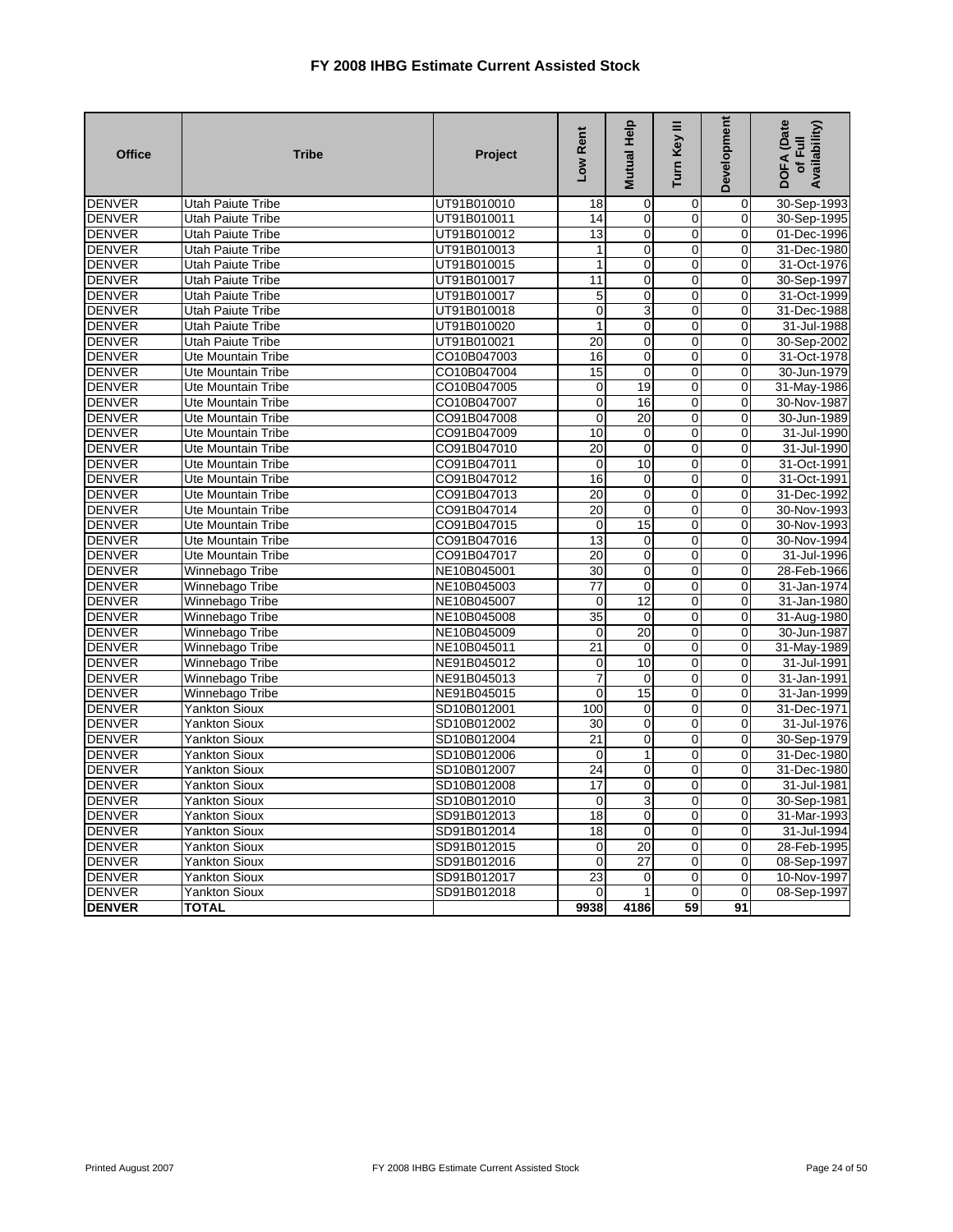| <b>Office</b> | <b>Tribe</b>              | Project     | Low Rent        | Mutual Help     | Turn Key III   | Development    | DOFA (Date<br>Availability)<br>$\overline{E}$<br>$\overline{5}$ |
|---------------|---------------------------|-------------|-----------------|-----------------|----------------|----------------|-----------------------------------------------------------------|
| <b>DENVER</b> | <b>Utah Paiute Tribe</b>  | UT91B010010 | 18              | 0               | 0              | $\overline{0}$ | 30-Sep-1993                                                     |
| <b>DENVER</b> | Utah Paiute Tribe         | UT91B010011 | 14              | $\mathbf 0$     | $\mathbf 0$    | $\Omega$       | 30-Sep-1995                                                     |
| <b>DENVER</b> | <b>Utah Paiute Tribe</b>  | UT91B010012 | $\overline{13}$ | $\overline{0}$  | $\mathbf 0$    | $\overline{0}$ | 01-Dec-1996                                                     |
| <b>DENVER</b> | <b>Utah Paiute Tribe</b>  | UT91B010013 | $\mathbf{1}$    | $\mathbf 0$     | $\mathbf 0$    | $\Omega$       | 31-Dec-1980                                                     |
| <b>DENVER</b> | <b>Utah Paiute Tribe</b>  | UT91B010015 | $\mathbf{1}$    | 0               | $\mathbf 0$    | 0              | 31-Oct-1976                                                     |
| <b>DENVER</b> | <b>Utah Paiute Tribe</b>  | UT91B010017 | 11              | $\Omega$        | $\Omega$       | $\Omega$       | 30-Sep-1997                                                     |
| <b>DENVER</b> | Utah Paiute Tribe         | UT91B010017 | 5               | 0               | 0              | $\overline{0}$ | 31-Oct-1999                                                     |
| <b>DENVER</b> | <b>Utah Paiute Tribe</b>  | UT91B010018 | $\mathbf 0$     | 3               | $\mathbf 0$    | $\overline{0}$ | 31-Dec-1988                                                     |
| <b>DENVER</b> | <b>Utah Paiute Tribe</b>  | UT91B010020 | $\overline{1}$  | $\mathbf 0$     | $\overline{0}$ | $\Omega$       | 31-Jul-1988                                                     |
| <b>DENVER</b> | <b>Utah Paiute Tribe</b>  | UT91B010021 | 20              | $\mathbf 0$     | $\mathbf 0$    | $\mathbf 0$    | 30-Sep-2002                                                     |
| <b>DENVER</b> | <b>Ute Mountain Tribe</b> | CO10B047003 | 16              | $\mathbf 0$     | $\mathbf 0$    | $\mathbf 0$    | 31-Oct-1978                                                     |
| <b>DENVER</b> | <b>Ute Mountain Tribe</b> | CO10B047004 | 15              | $\mathbf 0$     | $\mathbf 0$    | $\overline{0}$ | 30-Jun-1979                                                     |
| <b>DENVER</b> | <b>Ute Mountain Tribe</b> | CO10B047005 | $\mathbf 0$     | 19              | $\overline{0}$ | $\overline{0}$ | 31-May-1986                                                     |
| <b>DENVER</b> | <b>Ute Mountain Tribe</b> | CO10B047007 | $\mathbf 0$     | 16              | $\mathbf 0$    | 0              | 30-Nov-1987                                                     |
| <b>DENVER</b> | <b>Ute Mountain Tribe</b> | CO91B047008 | $\overline{0}$  | 20              | $\mathbf 0$    | $\overline{0}$ | 30-Jun-1989                                                     |
| <b>DENVER</b> | Ute Mountain Tribe        | CO91B047009 | 10              | $\mathbf 0$     | $\mathbf 0$    | $\Omega$       | 31-Jul-1990                                                     |
| <b>DENVER</b> | <b>Ute Mountain Tribe</b> | CO91B047010 | $\overline{20}$ | $\mathbf 0$     | 0              | 0              | 31-Jul-1990                                                     |
| <b>DENVER</b> | <b>Ute Mountain Tribe</b> | CO91B047011 | $\mathbf 0$     | 10              | $\overline{0}$ | $\Omega$       | 31-Oct-1991                                                     |
| <b>DENVER</b> | <b>Ute Mountain Tribe</b> | CO91B047012 | 16              | 0               | $\Omega$       | $\Omega$       | 31-Oct-1991                                                     |
| <b>DENVER</b> | <b>Ute Mountain Tribe</b> | CO91B047013 | 20              | 0               | $\mathbf 0$    | $\overline{0}$ | 31-Dec-1992                                                     |
| <b>DENVER</b> | Ute Mountain Tribe        | CO91B047014 | 20              | 0               | 0              | $\Omega$       | 30-Nov-1993                                                     |
| <b>DENVER</b> | Ute Mountain Tribe        | CO91B047015 | $\mathbf 0$     | 15              | $\Omega$       | $\Omega$       | 30-Nov-1993                                                     |
| <b>DENVER</b> | <b>Ute Mountain Tribe</b> | CO91B047016 | 13              | $\mathbf 0$     | 0              | $\Omega$       | 30-Nov-1994                                                     |
| <b>DENVER</b> | <b>Ute Mountain Tribe</b> | CO91B047017 | 20              | 0               | $\mathbf 0$    | $\overline{0}$ | 31-Jul-1996                                                     |
| <b>DENVER</b> | Winnebago Tribe           | NE10B045001 | $\overline{30}$ | $\Omega$        | $\overline{0}$ | $\Omega$       | 28-Feb-1966                                                     |
| <b>DENVER</b> | Winnebago Tribe           | NE10B045003 | 77              | $\mathbf 0$     | $\mathbf 0$    | 0              | 31-Jan-1974                                                     |
| <b>DENVER</b> | Winnebago Tribe           | NE10B045007 | $\mathbf 0$     | 12              | 0              | $\Omega$       | 31-Jan-1980                                                     |
| <b>DENVER</b> | Winnebago Tribe           | NE10B045008 | 35              | 0               | $\mathbf 0$    | $\Omega$       | 31-Aug-1980                                                     |
| <b>DENVER</b> | Winnebago Tribe           | NE10B045009 | 0               | $\overline{20}$ | $\mathbf 0$    | 0              | 30-Jun-1987                                                     |
| <b>DENVER</b> | Winnebago Tribe           | NE10B045011 | $\overline{21}$ | $\mathbf 0$     | $\mathbf 0$    | $\Omega$       | 31-May-1989                                                     |
| <b>DENVER</b> | Winnebago Tribe           | NE91B045012 | 0               | 10              | $\mathbf 0$    | $\Omega$       | 31-Jul-1991                                                     |
| <b>DENVER</b> | Winnebago Tribe           | NE91B045013 | $\overline{7}$  | $\mathbf 0$     | $\mathbf 0$    | $\Omega$       | 31-Jan-1991                                                     |
| <b>DENVER</b> | Winnebago Tribe           | NE91B045015 | $\mathbf 0$     | 15              | $\mathbf 0$    | 0              | 31-Jan-1999                                                     |
| <b>DENVER</b> | <b>Yankton Sioux</b>      | SD10B012001 | 100             | 0               | 0              | $\overline{0}$ | 31-Dec-1971                                                     |
| <b>DENVER</b> | Yankton Sioux             | SD10B012002 | 30              | $\mathbf 0$     | $\Omega$       | $\Omega$       | 31-Jul-1976                                                     |
| <b>DENVER</b> | Yankton Sioux             | SD10B012004 | 21              | $\mathbf 0$     | $\overline{0}$ | $\mathbf 0$    | 30-Sep-1979                                                     |
| <b>DENVER</b> | Yankton Sioux             | SD10B012006 | $\mathbf 0$     | 1               | $\mathbf 0$    | $\Omega$       | 31-Dec-1980                                                     |
| <b>DENVER</b> | <b>Yankton Sioux</b>      | SD10B012007 | 24              | 0               | $\mathbf 0$    | $\Omega$       | 31-Dec-1980                                                     |
| <b>DENVER</b> | Yankton Sioux             | SD10B012008 | 17              | 0               | $\Omega$       | $\Omega$       | 31-Jul-1981                                                     |
| <b>DENVER</b> | Yankton Sioux             | SD10B012010 | $\mathbf 0$     | 3               | $\mathbf 0$    | 0              | 30-Sep-1981                                                     |
| <b>DENVER</b> | <b>Yankton Sioux</b>      | SD91B012013 | $\overline{18}$ | 0               | $\Omega$       | $\Omega$       | 31-Mar-1993                                                     |
| <b>DENVER</b> | <b>Yankton Sioux</b>      | SD91B012014 | $\overline{18}$ | $\mathbf 0$     | $\mathbf 0$    | $\Omega$       | 31-Jul-1994                                                     |
| <b>DENVER</b> | <b>Yankton Sioux</b>      | SD91B012015 | $\mathbf 0$     | 20              | $\mathbf 0$    | $\mathbf 0$    | 28-Feb-1995                                                     |
| <b>DENVER</b> | Yankton Sioux             | SD91B012016 | $\mathbf 0$     | 27              | $\overline{0}$ | $\mathbf{0}$   | 08-Sep-1997                                                     |
| <b>DENVER</b> | <b>Yankton Sioux</b>      | SD91B012017 | 23              | 0               | $\mathbf 0$    | 0              | 10-Nov-1997                                                     |
| <b>DENVER</b> | <b>Yankton Sioux</b>      | SD91B012018 | $\mathbf 0$     | 1               | $\overline{0}$ | $\mathbf 0$    | 08-Sep-1997                                                     |
| <b>DENVER</b> | <b>TOTAL</b>              |             | 9938            | 4186            | 59             | 91             |                                                                 |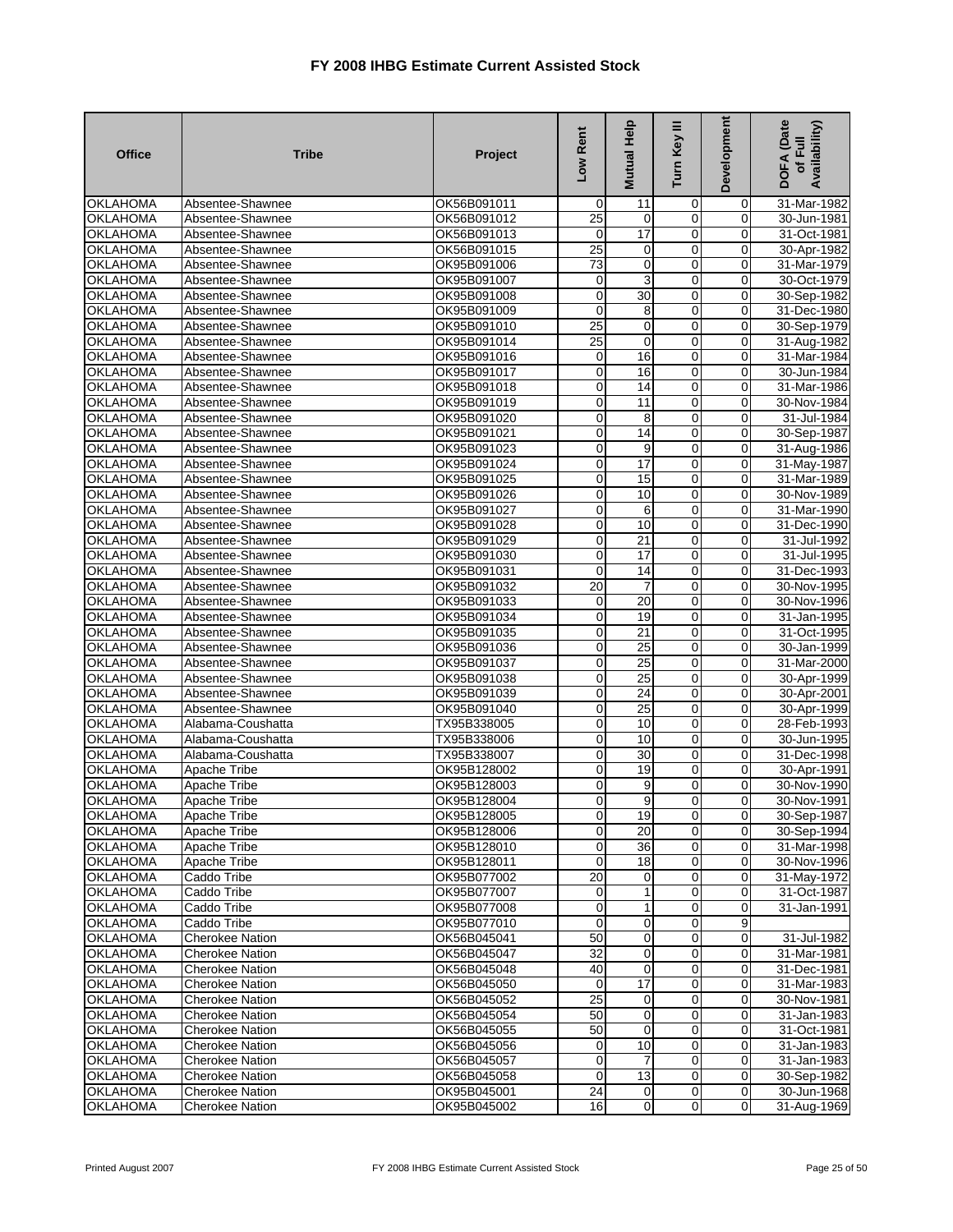| <b>Office</b>   | <b>Tribe</b>           | Project     | Low Rent            | Mutual Help     | Turn Key III   | Development    | <b>DOFA</b> (Date<br>Availability)<br>of Full |
|-----------------|------------------------|-------------|---------------------|-----------------|----------------|----------------|-----------------------------------------------|
| <b>OKLAHOMA</b> | Absentee-Shawnee       | OK56B091011 | 0                   | 11              | 0              | 0              | 31-Mar-1982                                   |
| <b>OKLAHOMA</b> | Absentee-Shawnee       | OK56B091012 | $\overline{25}$     | $\mathbf 0$     | $\mathbf 0$    | 0              | 30-Jun-1981                                   |
| <b>OKLAHOMA</b> | Absentee-Shawnee       | OK56B091013 | 0                   | 17              | $\overline{0}$ | 0              | 31-Oct-1981                                   |
| <b>OKLAHOMA</b> | Absentee-Shawnee       | OK56B091015 | 25                  | 0               | 0              | $\mathbf 0$    | 30-Apr-1982                                   |
| <b>OKLAHOMA</b> | Absentee-Shawnee       | OK95B091006 | 73                  | 0               | $\mathbf 0$    | 0              | 31-Mar-1979                                   |
| <b>OKLAHOMA</b> | Absentee-Shawnee       | OK95B091007 | 0                   | 3               | $\mathbf 0$    | 0              | 30-Oct-1979                                   |
| <b>OKLAHOMA</b> | Absentee-Shawnee       | OK95B091008 | $\mathbf 0$         | 30              | $\mathbf 0$    | 0              | 30-Sep-1982                                   |
| <b>OKLAHOMA</b> | Absentee-Shawnee       | OK95B091009 | 0                   | 8               | 0              | 0              | 31-Dec-1980                                   |
| <b>OKLAHOMA</b> | Absentee-Shawnee       | OK95B091010 | 25                  | $\pmb{0}$       | $\overline{0}$ | $\mathbf 0$    | 30-Sep-1979                                   |
| <b>OKLAHOMA</b> | Absentee-Shawnee       | OK95B091014 | 25                  | $\mathbf 0$     | $\mathbf 0$    | 0              | 31-Aug-1982                                   |
| <b>OKLAHOMA</b> | Absentee-Shawnee       | OK95B091016 | 0                   | 16              | $\mathbf 0$    | 0              | 31-Mar-1984                                   |
| OKLAHOMA        | Absentee-Shawnee       | OK95B091017 | 0                   | 16              | $\overline{0}$ | $\mathbf 0$    | 30-Jun-1984                                   |
| <b>OKLAHOMA</b> | Absentee-Shawnee       | OK95B091018 | $\mathbf 0$         | 14              | $\mathbf 0$    | 0              | 31-Mar-1986                                   |
| <b>OKLAHOMA</b> | Absentee-Shawnee       | OK95B091019 | 0                   | 11              | $\mathbf 0$    | 0              | 30-Nov-1984                                   |
| <b>OKLAHOMA</b> | Absentee-Shawnee       | OK95B091020 | 0                   | 8               | $\mathbf 0$    | $\mathbf 0$    | 31-Jul-1984                                   |
| <b>OKLAHOMA</b> | Absentee-Shawnee       | OK95B091021 | $\overline{0}$      | 14              | $\overline{0}$ | 0              | 30-Sep-1987                                   |
| <b>OKLAHOMA</b> | Absentee-Shawnee       | OK95B091023 | $\mathbf 0$         | 9               | $\overline{0}$ | 0              | 31-Aug-1986                                   |
| <b>OKLAHOMA</b> | Absentee-Shawnee       | OK95B091024 | $\mathbf 0$         | $\overline{17}$ | $\mathbf 0$    | $\overline{0}$ | 31-May-1987                                   |
| <b>OKLAHOMA</b> | Absentee-Shawnee       | OK95B091025 | 0                   | 15              | 0              | 0              | 31-Mar-1989                                   |
| <b>OKLAHOMA</b> | Absentee-Shawnee       | OK95B091026 | 0                   | 10              | $\overline{0}$ | 0              | 30-Nov-1989                                   |
| <b>OKLAHOMA</b> | Absentee-Shawnee       | OK95B091027 | $\overline{0}$      | 6               | $\overline{0}$ | 0              | 31-Mar-1990                                   |
| <b>OKLAHOMA</b> | Absentee-Shawnee       | OK95B091028 | $\mathbf 0$         | 10              | $\mathbf 0$    | 0              | 31-Dec-1990                                   |
| <b>OKLAHOMA</b> | Absentee-Shawnee       | OK95B091029 | $\mathbf 0$         | 21              | $\mathbf 0$    | 0              | 31-Jul-1992                                   |
| <b>OKLAHOMA</b> | Absentee-Shawnee       | OK95B091030 | $\overline{0}$      | $\overline{17}$ | $\overline{0}$ | $\mathbf 0$    | 31-Jul-1995                                   |
| <b>OKLAHOMA</b> | Absentee-Shawnee       | OK95B091031 | 0                   | 14              | $\overline{0}$ | 0              | 31-Dec-1993                                   |
| <b>OKLAHOMA</b> | Absentee-Shawnee       | OK95B091032 | $\overline{20}$     | $\overline{7}$  | $\mathbf 0$    | 0              | 30-Nov-1995                                   |
| <b>OKLAHOMA</b> | Absentee-Shawnee       | OK95B091033 | $\mathbf 0$         | 20              | 0              | 0              | 30-Nov-1996                                   |
| <b>OKLAHOMA</b> | Absentee-Shawnee       | OK95B091034 | $\pmb{0}$           | 19              | $\overline{0}$ | 0              | 31-Jan-1995                                   |
| <b>OKLAHOMA</b> | Absentee-Shawnee       | OK95B091035 | $\mathbf 0$         | 21              | $\overline{0}$ | $\mathbf 0$    | 31-Oct-1995                                   |
| <b>OKLAHOMA</b> | Absentee-Shawnee       | OK95B091036 | $\mathbf 0$         | 25              | $\mathbf 0$    | 0              | 30-Jan-1999                                   |
| <b>OKLAHOMA</b> | Absentee-Shawnee       | OK95B091037 | $\mathsf{O}\xspace$ | $\overline{25}$ | $\overline{0}$ | 0              | 31-Mar-2000                                   |
| <b>OKLAHOMA</b> | Absentee-Shawnee       | OK95B091038 | 0                   | 25              | $\mathbf 0$    | 0              | 30-Apr-1999                                   |
| <b>OKLAHOMA</b> | Absentee-Shawnee       | OK95B091039 | 0                   | $\overline{24}$ | $\mathbf 0$    | $\pmb{0}$      | 30-Apr-2001                                   |
| <b>OKLAHOMA</b> | Absentee-Shawnee       | OK95B091040 | 0                   | 25              | $\overline{0}$ | 0              | 30-Apr-1999                                   |
| <b>OKLAHOMA</b> | Alabama-Coushatta      | TX95B338005 | 0                   | 10              | $\mathbf 0$    | $\mathbf 0$    | 28-Feb-1993                                   |
| <b>OKLAHOMA</b> | Alabama-Coushatta      | TX95B338006 | 0                   | 10              | $\mathbf 0$    | 0              | 30-Jun-1995                                   |
| <b>OKLAHOMA</b> | Alabama-Coushatta      | TX95B338007 | 0                   | 30              | $\overline{0}$ | 0              | 31-Dec-1998                                   |
| <b>OKLAHOMA</b> | Apache Tribe           | OK95B128002 | $\mathbf 0$         | 19              | $\mathbf 0$    | 0              | 30-Apr-1991                                   |
| <b>OKLAHOMA</b> | <b>Apache Tribe</b>    | OK95B128003 | 0                   | 9               | $\mathbf 0$    | 0              | 30-Nov-1990                                   |
| <b>OKLAHOMA</b> | Apache Tribe           | OK95B128004 | $\mathbf 0$         | 9               | 0              | 0              | 30-Nov-1991                                   |
| <b>OKLAHOMA</b> | Apache Tribe           | OK95B128005 | $\overline{0}$      | 19              | 0              | $\mathbf{0}$   | 30-Sep-1987                                   |
| <b>OKLAHOMA</b> | Apache Tribe           | OK95B128006 | $\overline{0}$      | 20              | $\overline{0}$ | $\mathbf 0$    | 30-Sep-1994                                   |
| <b>OKLAHOMA</b> | Apache Tribe           | OK95B128010 | 0                   | 36              | $\mathbf 0$    | $\mathbf 0$    | 31-Mar-1998                                   |
| <b>OKLAHOMA</b> | Apache Tribe           | OK95B128011 | 0                   | 18              | $\overline{0}$ | 0              | 30-Nov-1996                                   |
| <b>OKLAHOMA</b> | Caddo Tribe            | OK95B077002 | $\overline{20}$     | $\mathbf 0$     | $\overline{0}$ | $\overline{0}$ | 31-May-1972                                   |
| <b>OKLAHOMA</b> | Caddo Tribe            | OK95B077007 | 0                   | 1               | 0              | 0              | 31-Oct-1987                                   |
| <b>OKLAHOMA</b> | Caddo Tribe            | OK95B077008 | $\mathbf 0$         | 1               | 0              | 0              | 31-Jan-1991                                   |
| OKLAHOMA        | Caddo Tribe            | OK95B077010 | $\mathbf{O}$        | $\mathbf 0$     | $\mathbf 0$    | 9              |                                               |
| <b>OKLAHOMA</b> | <b>Cherokee Nation</b> | OK56B045041 | 50                  | $\overline{0}$  | $\mathbf 0$    | 0              | 31-Jul-1982                                   |
| <b>OKLAHOMA</b> | <b>Cherokee Nation</b> | OK56B045047 | 32                  | $\mathbf 0$     | $\mathbf 0$    | 0              | 31-Mar-1981                                   |
| <b>OKLAHOMA</b> | <b>Cherokee Nation</b> | OK56B045048 | 40                  | $\mathbf 0$     | $\mathbf 0$    | 0              | 31-Dec-1981                                   |
| <b>OKLAHOMA</b> | Cherokee Nation        | OK56B045050 | 0                   | 17              | $\overline{0}$ | 0              | 31-Mar-1983                                   |
| <b>OKLAHOMA</b> | <b>Cherokee Nation</b> | OK56B045052 | 25                  | 0               | $\overline{0}$ | 0              | 30-Nov-1981                                   |
| <b>OKLAHOMA</b> | Cherokee Nation        | OK56B045054 | 50                  | 0               | $\mathbf 0$    | 0              | 31-Jan-1983                                   |
| <b>OKLAHOMA</b> | Cherokee Nation        | OK56B045055 | 50                  | $\mathbf 0$     | $\mathbf 0$    | $\overline{0}$ | 31-Oct-1981                                   |
| <b>OKLAHOMA</b> | <b>Cherokee Nation</b> | OK56B045056 | 0                   | 10              | $\mathbf 0$    | 0              | 31-Jan-1983                                   |
| <b>OKLAHOMA</b> | <b>Cherokee Nation</b> | OK56B045057 | $\mathbf 0$         | $\overline{7}$  | 0              | $\mathbf 0$    | 31-Jan-1983                                   |
| <b>OKLAHOMA</b> | Cherokee Nation        | OK56B045058 | 0                   | 13              | $\overline{0}$ | $\mathbf 0$    | 30-Sep-1982                                   |
| <b>OKLAHOMA</b> | Cherokee Nation        | OK95B045001 | $\overline{24}$     | $\overline{0}$  | $\overline{0}$ | $\mathbf 0$    | 30-Jun-1968                                   |
| <b>OKLAHOMA</b> | <b>Cherokee Nation</b> | OK95B045002 | 16                  | $\overline{0}$  | $\mathbf 0$    | $\overline{0}$ | 31-Aug-1969                                   |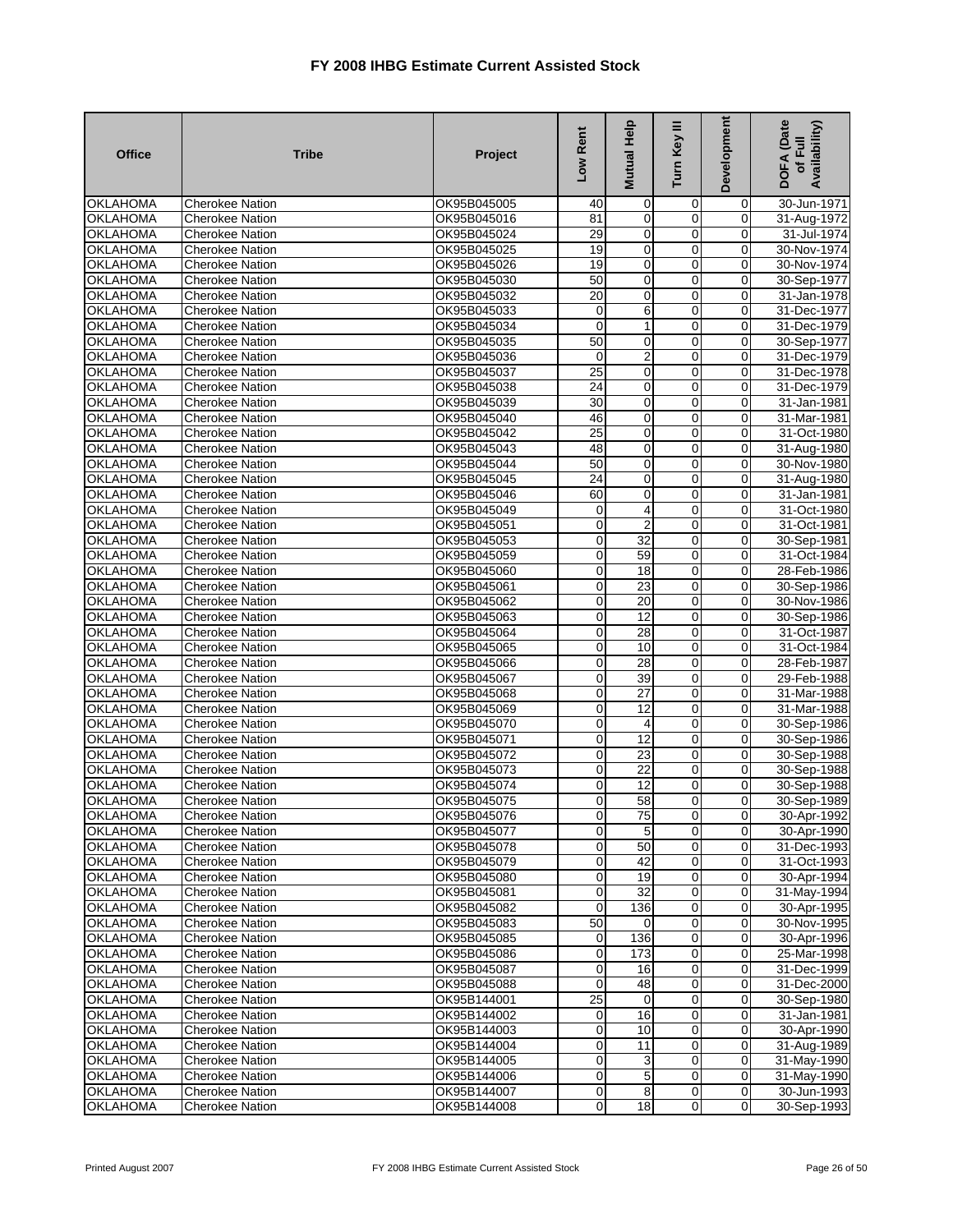| <b>Office</b>                      | <b>Tribe</b>                                     | Project                    | Low Rent                      | Mutual Help           | Turn Key III                  | Development         | <b>DOFA</b> (Date<br>Availability)<br>of Full |
|------------------------------------|--------------------------------------------------|----------------------------|-------------------------------|-----------------------|-------------------------------|---------------------|-----------------------------------------------|
| <b>OKLAHOMA</b>                    | <b>Cherokee Nation</b>                           | OK95B045005                | 40                            | 0                     | 0                             | 0                   | 30-Jun-1971                                   |
| <b>OKLAHOMA</b>                    | <b>Cherokee Nation</b>                           | OK95B045016                | 81                            | $\overline{0}$        | $\mathbf 0$                   | $\mathbf 0$         | 31-Aug-1972                                   |
| <b>OKLAHOMA</b>                    | <b>Cherokee Nation</b>                           | OK95B045024                | 29                            | $\mathbf 0$           | $\overline{0}$                | 0                   | 31-Jul-1974                                   |
| <b>OKLAHOMA</b>                    | <b>Cherokee Nation</b>                           | OK95B045025                | 19                            | $\mathbf 0$           | $\mathbf 0$                   | 0                   | 30-Nov-1974                                   |
| <b>OKLAHOMA</b>                    | <b>Cherokee Nation</b>                           | OK95B045026                | 19                            | $\mathbf 0$           | $\mathbf 0$                   | 0                   | 30-Nov-1974                                   |
| <b>OKLAHOMA</b>                    | <b>Cherokee Nation</b>                           | OK95B045030                | 50                            | $\overline{0}$        | 0                             | 0                   | 30-Sep-1977                                   |
| <b>OKLAHOMA</b>                    | <b>Cherokee Nation</b>                           | OK95B045032                | $\overline{20}$               | $\mathbf 0$           | $\mathbf 0$                   | $\mathbf 0$         | 31-Jan-1978                                   |
| <b>OKLAHOMA</b>                    | <b>Cherokee Nation</b>                           | OK95B045033                | 0                             | 6                     | 0                             | 0                   | 31-Dec-1977                                   |
| <b>OKLAHOMA</b>                    | <b>Cherokee Nation</b>                           | OK95B045034                | $\mathbf 0$                   | 1                     | $\mathbf 0$                   | $\mathbf 0$         | 31-Dec-1979                                   |
| <b>OKLAHOMA</b>                    | <b>Cherokee Nation</b>                           | OK95B045035                | $\overline{50}$               | $\mathbf 0$           | $\mathbf 0$                   | 0                   | 30-Sep-1977                                   |
| <b>OKLAHOMA</b>                    | <b>Cherokee Nation</b>                           | OK95B045036                | 0<br>25                       | 2<br>$\overline{0}$   | $\mathbf 0$<br>$\overline{0}$ | 0<br>$\overline{0}$ | 31-Dec-1979                                   |
| <b>OKLAHOMA</b>                    | <b>Cherokee Nation</b>                           | OK95B045037                | 24                            |                       | 0                             | $\mathbf 0$         | 31-Dec-1978                                   |
| <b>OKLAHOMA</b><br><b>OKLAHOMA</b> | <b>Cherokee Nation</b><br><b>Cherokee Nation</b> | OK95B045038<br>OK95B045039 | 30                            | 0<br>0                | $\mathbf 0$                   | 0                   | 31-Dec-1979<br>31-Jan-1981                    |
| <b>OKLAHOMA</b>                    | <b>Cherokee Nation</b>                           | OK95B045040                | 46                            | 0                     | 0                             | $\mathbf 0$         | 31-Mar-1981                                   |
| <b>OKLAHOMA</b>                    | <b>Cherokee Nation</b>                           | OK95B045042                | 25                            | $\mathbf 0$           | $\overline{0}$                | 0                   | 31-Oct-1980                                   |
| <b>OKLAHOMA</b>                    | <b>Cherokee Nation</b>                           | OK95B045043                | 48                            | 0                     | $\overline{0}$                | 0                   | 31-Aug-1980                                   |
| <b>OKLAHOMA</b>                    | <b>Cherokee Nation</b>                           | OK95B045044                | $\overline{50}$               | $\mathbf 0$           | $\mathbf 0$                   | $\mathbf 0$         | 30-Nov-1980                                   |
| <b>OKLAHOMA</b>                    | Cherokee Nation                                  | OK95B045045                | 24                            | 0                     | $\mathbf 0$                   | 0                   | 31-Aug-1980                                   |
| <b>OKLAHOMA</b>                    | <b>Cherokee Nation</b>                           | OK95B045046                | 60                            | $\mathbf 0$           | $\mathbf 0$                   | 0                   | 31-Jan-1981                                   |
| <b>OKLAHOMA</b>                    | <b>Cherokee Nation</b>                           | OK95B045049                | 0                             | 4                     | $\overline{0}$                | $\overline{0}$      | 31-Oct-1980                                   |
| <b>OKLAHOMA</b>                    | <b>Cherokee Nation</b>                           | OK95B045051                | $\mathbf 0$                   | $\overline{2}$        | 0                             | 0                   | 31-Oct-1981                                   |
| <b>OKLAHOMA</b>                    | <b>Cherokee Nation</b>                           | OK95B045053                | $\mathbf 0$                   | $\overline{32}$       | $\mathbf 0$                   | 0                   | 30-Sep-1981                                   |
| <b>OKLAHOMA</b>                    | <b>Cherokee Nation</b>                           | OK95B045059                | 0                             | 59                    | $\mathbf 0$                   | $\mathbf 0$         | 31-Oct-1984                                   |
| <b>OKLAHOMA</b>                    | <b>Cherokee Nation</b>                           | OK95B045060                | 0                             | 18                    | 0                             | 0                   | 28-Feb-1986                                   |
| <b>OKLAHOMA</b>                    | <b>Cherokee Nation</b>                           | OK95B045061                | $\mathbf 0$                   | 23                    | $\mathbf 0$                   | 0                   | 30-Sep-1986                                   |
| <b>OKLAHOMA</b>                    | <b>Cherokee Nation</b>                           | OK95B045062                | $\mathbf 0$                   | 20                    | 0                             | 0                   | 30-Nov-1986                                   |
| <b>OKLAHOMA</b>                    | <b>Cherokee Nation</b>                           | OK95B045063                | 0                             | 12                    | $\overline{0}$                | 0                   | 30-Sep-1986                                   |
| <b>OKLAHOMA</b>                    | <b>Cherokee Nation</b>                           | OK95B045064                | 0                             | $\overline{28}$       | 0                             | $\mathbf 0$         | 31-Oct-1987                                   |
| <b>OKLAHOMA</b>                    | <b>Cherokee Nation</b>                           | OK95B045065                | 0                             | 10                    | $\mathbf 0$                   | 0                   | 31-Oct-1984                                   |
| <b>OKLAHOMA</b>                    | <b>Cherokee Nation</b>                           | OK95B045066                | $\mathbf 0$                   | 28                    | $\mathbf 0$                   | 0                   | 28-Feb-1987                                   |
| <b>OKLAHOMA</b>                    | <b>Cherokee Nation</b>                           | OK95B045067                | 0                             | 39                    | $\overline{0}$                | $\overline{0}$      | 29-Feb-1988                                   |
| <b>OKLAHOMA</b>                    | <b>Cherokee Nation</b>                           | OK95B045068                | $\mathbf 0$                   | $\overline{27}$       | 0                             | 0                   | 31-Mar-1988                                   |
| <b>OKLAHOMA</b>                    | <b>Cherokee Nation</b>                           | OK95B045069                | 0                             | 12                    | $\mathbf 0$                   | 0                   | 31-Mar-1988                                   |
| <b>OKLAHOMA</b>                    | <b>Cherokee Nation</b>                           | OK95B045070                | 0                             | 4                     | $\mathbf 0$                   | $\mathbf 0$         | 30-Sep-1986                                   |
| <b>OKLAHOMA</b>                    | <b>Cherokee Nation</b>                           | OK95B045071                | 0                             | 12                    | 0                             | 0                   | 30-Sep-1986                                   |
| <b>OKLAHOMA</b>                    | <b>Cherokee Nation</b>                           | OK95B045072                | 0                             | 23                    | $\overline{0}$                | $\overline{0}$      | 30-Sep-1988                                   |
| <b>OKLAHOMA</b>                    | <b>Cherokee Nation</b>                           | OK95B045073                | 0                             | 22                    | $\mathbf 0$                   | 0                   | 30-Sep-1988                                   |
| <b>OKLAHOMA</b>                    | <b>Cherokee Nation</b>                           | OK95B045074                | 0                             | 12                    | $\mathbf 0$                   | 0                   | 30-Sep-1988                                   |
| <b>OKLAHOMA</b>                    | <b>Cherokee Nation</b>                           | OK95B045075                | $\overline{0}$                | 58                    | $\mathbf 0$                   | 0                   | 30-Sep-1989                                   |
| <b>OKLAHOMA</b>                    | <b>Cherokee Nation</b>                           | OK95B045076                | $\overline{0}$                | 75                    | 0                             | $\mathbf{0}$        | 30-Apr-1992                                   |
| <b>OKLAHOMA</b>                    | <b>Cherokee Nation</b>                           | OK95B045077                | $\overline{0}$                | 5                     | $\overline{0}$                | 0                   | 30-Apr-1990                                   |
| <b>OKLAHOMA</b>                    | <b>Cherokee Nation</b>                           | OK95B045078                | $\mathbf 0$                   | 50                    | 0                             | 0                   | 31-Dec-1993                                   |
| <b>OKLAHOMA</b>                    | Cherokee Nation                                  | OK95B045079                | $\mathbf 0$                   | 42                    | $\mathbf 0$                   | $\overline{0}$      | 31-Oct-1993                                   |
| <b>OKLAHOMA</b>                    | <b>Cherokee Nation</b>                           | OK95B045080                | $\overline{0}$<br>$\mathbf 0$ | 19                    | $\overline{0}$<br>$\mathbf 0$ | 0<br>$\mathbf 0$    | 30-Apr-1994                                   |
| <b>OKLAHOMA</b>                    | <b>Cherokee Nation</b>                           | OK95B045081                |                               | 32                    |                               |                     | 31-May-1994                                   |
| <b>OKLAHOMA</b><br><b>OKLAHOMA</b> | Cherokee Nation<br><b>Cherokee Nation</b>        | OK95B045082                | 0<br>50                       | 136<br>$\overline{0}$ | $\overline{0}$<br>$\mathbf 0$ | 0<br>$\overline{0}$ | 30-Apr-1995<br>30-Nov-1995                    |
| <b>OKLAHOMA</b>                    | Cherokee Nation                                  | OK95B045083<br>OK95B045085 | $\overline{0}$                | 136                   | $\mathbf 0$                   | $\mathbf 0$         | 30-Apr-1996                                   |
| <b>OKLAHOMA</b>                    | Cherokee Nation                                  | OK95B045086                | 0                             | 173                   | $\overline{0}$                | 0                   | 25-Mar-1998                                   |
| OKLAHOMA                           | Cherokee Nation                                  | OK95B045087                | $\overline{O}$                | 16                    | $\mathbf 0$                   | $\mathbf 0$         | 31-Dec-1999                                   |
| <b>OKLAHOMA</b>                    | <b>Cherokee Nation</b>                           | OK95B045088                | $\mathbf 0$                   | 48                    | $\mathbf 0$                   | $\mathbf 0$         | 31-Dec-2000                                   |
| <b>OKLAHOMA</b>                    | Cherokee Nation                                  | OK95B144001                | $\overline{25}$               | 0                     | $\mathbf 0$                   | 0                   | 30-Sep-1980                                   |
| <b>OKLAHOMA</b>                    | Cherokee Nation                                  | OK95B144002                | $\mathbf 0$                   | 16                    | $\overline{0}$                | 0                   | 31-Jan-1981                                   |
| <b>OKLAHOMA</b>                    | <b>Cherokee Nation</b>                           | OK95B144003                | $\mathbf 0$                   | 10                    | $\overline{0}$                | $\overline{0}$      | 30-Apr-1990                                   |
| <b>OKLAHOMA</b>                    | Cherokee Nation                                  | OK95B144004                | 0                             | 11                    | $\overline{0}$                | $\overline{0}$      | 31-Aug-1989                                   |
| <b>OKLAHOMA</b>                    | Cherokee Nation                                  | OK95B144005                | 0                             | 3                     | $\overline{0}$                | $\mathbf 0$         | 31-May-1990                                   |
| <b>OKLAHOMA</b>                    | Cherokee Nation                                  | OK95B144006                | $\overline{0}$                | 5                     | $\overline{0}$                | $\overline{0}$      | 31-May-1990                                   |
| <b>OKLAHOMA</b>                    | Cherokee Nation                                  | OK95B144007                | $\boldsymbol{0}$              | $\boldsymbol{8}$      | $\mathbf 0$                   | $\mathbf 0$         | 30-Jun-1993                                   |
| <b>OKLAHOMA</b>                    | Cherokee Nation                                  | OK95B144008                | $\overline{O}$                | 18                    | $\mathbf 0$                   | 0                   | 30-Sep-1993                                   |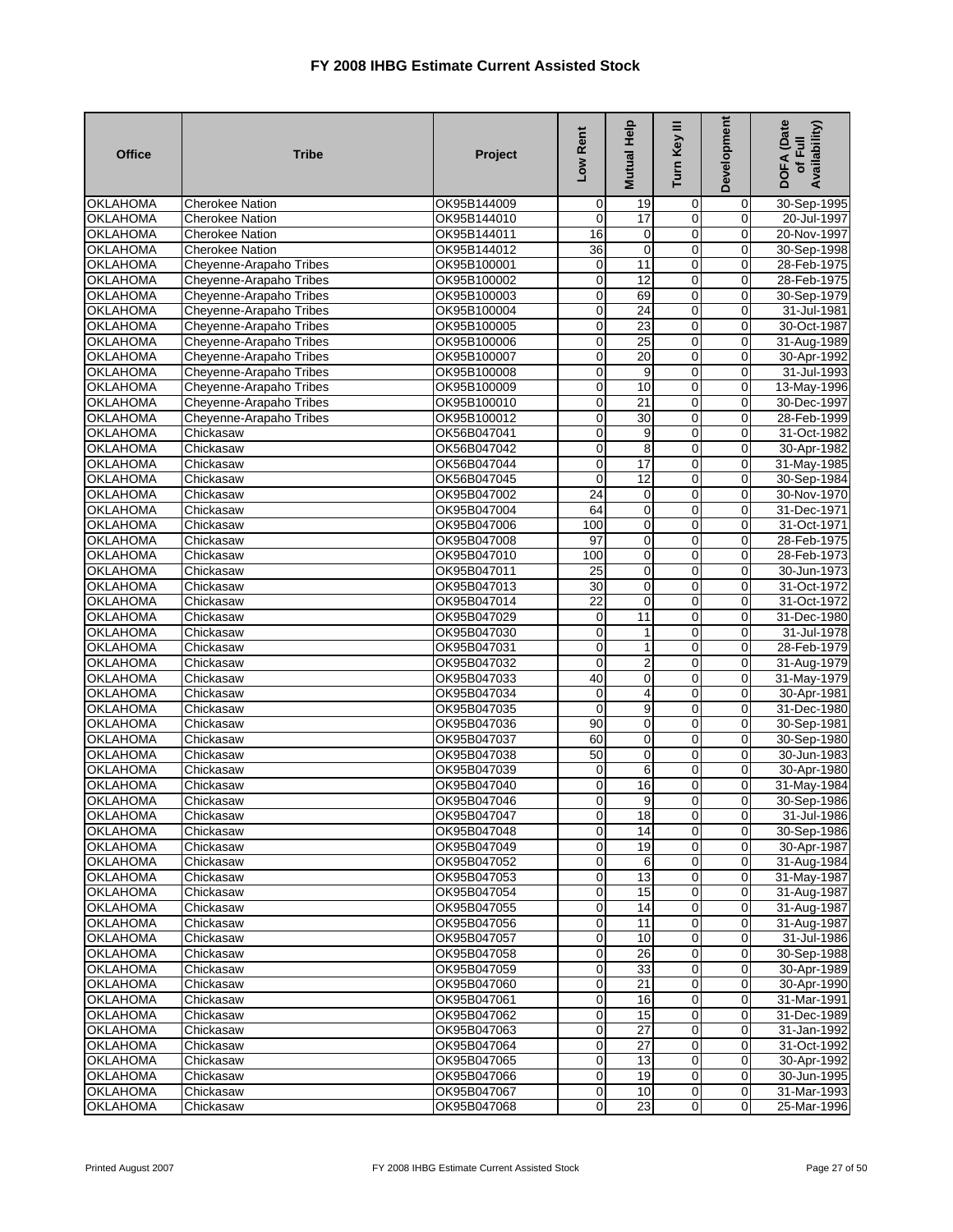| <b>Office</b>                      | <b>Tribe</b>            | Project                    | Low Rent          | Mutual Help     | Turn Key III               | Development      | DOFA (Date<br>Availability)<br>of Full |
|------------------------------------|-------------------------|----------------------------|-------------------|-----------------|----------------------------|------------------|----------------------------------------|
| <b>OKLAHOMA</b>                    | <b>Cherokee Nation</b>  | OK95B144009                | 0                 | 19              | $\mathbf 0$                | $\mathbf 0$      | 30-Sep-1995                            |
| <b>OKLAHOMA</b>                    | <b>Cherokee Nation</b>  | OK95B144010                | 0                 | 17              | $\mathbf 0$                | 0                | 20-Jul-1997                            |
| <b>OKLAHOMA</b>                    | Cherokee Nation         | OK95B144011                | 16                | 0               | $\overline{0}$             | $\mathbf 0$      | 20-Nov-1997                            |
| <b>OKLAHOMA</b>                    | <b>Cherokee Nation</b>  | OK95B144012                | 36                | $\mathbf 0$     | 0                          | $\mathbf 0$      | 30-Sep-1998                            |
| <b>OKLAHOMA</b>                    | Cheyenne-Arapaho Tribes | OK95B100001                | 0                 | 11              | $\mathbf 0$                | 0                | 28-Feb-1975                            |
| <b>OKLAHOMA</b>                    | Cheyenne-Arapaho Tribes | OK95B100002                | $\mathbf 0$       | $\overline{12}$ | $\mathbf 0$                | $\mathbf 0$      | 28-Feb-1975                            |
| <b>OKLAHOMA</b>                    | Cheyenne-Arapaho Tribes | OK95B100003                | $\mathbf 0$       | 69              | $\mathbf 0$                | $\mathbf 0$      | 30-Sep-1979                            |
| <b>OKLAHOMA</b>                    | Cheyenne-Arapaho Tribes | OK95B100004                | 0                 | 24              | 0                          | 0                | 31-Jul-1981                            |
| <b>OKLAHOMA</b>                    | Cheyenne-Arapaho Tribes | OK95B100005                | 0                 | 23              | $\mathbf 0$                | $\mathbf 0$      | 30-Oct-1987                            |
| <b>OKLAHOMA</b>                    | Cheyenne-Arapaho Tribes | OK95B100006                | $\mathbf 0$       | 25              | $\mathbf 0$                | 0                | 31-Aug-1989                            |
| OKLAHOMA                           | Cheyenne-Arapaho Tribes | OK95B100007                | $\mathbf 0$       | 20              | $\mathbf 0$                | $\mathbf 0$      | 30-Apr-1992                            |
| <b>OKLAHOMA</b>                    | Cheyenne-Arapaho Tribes | OK95B100008                | 0                 | 9               | $\mathbf 0$                | $\Omega$         | 31-Jul-1993                            |
| <b>OKLAHOMA</b>                    | Cheyenne-Arapaho Tribes | OK95B100009                | $\mathbf 0$       | 10              | $\mathbf 0$                | 0                | 13-May-1996                            |
| <b>OKLAHOMA</b>                    | Cheyenne-Arapaho Tribes | OK95B100010                | $\mathbf 0$       | 21              | $\mathbf 0$                | 0                | 30-Dec-1997                            |
| <b>OKLAHOMA</b>                    | Cheyenne-Arapaho Tribes | OK95B100012                | $\mathbf 0$       | 30              | 0                          | 0                | 28-Feb-1999                            |
| <b>OKLAHOMA</b>                    | Chickasaw               | OK56B047041                | 0                 | 9               | $\overline{0}$             | 0                | 31-Oct-1982                            |
| <b>OKLAHOMA</b>                    | Chickasaw               | OK56B047042                | 0                 | 8               | $\overline{0}$             | $\mathbf 0$      | 30-Apr-1982                            |
| <b>OKLAHOMA</b>                    | Chickasaw               | OK56B047044                | $\mathbf 0$       | 17              | 0                          | $\mathbf 0$      | 31-May-1985                            |
| <b>OKLAHOMA</b>                    | Chickasaw               | OK56B047045                | 0                 | 12              | $\overline{0}$             | 0                | 30-Sep-1984                            |
| <b>OKLAHOMA</b>                    | Chickasaw               | OK95B047002                | $\overline{24}$   | 0               | $\mathbf 0$                | $\mathbf 0$      | 30-Nov-1970                            |
| <b>OKLAHOMA</b>                    | Chickasaw               | OK95B047004                | 64                | 0               | $\mathbf 0$                | 0                | 31-Dec-1971                            |
| <b>OKLAHOMA</b>                    | Chickasaw               | OK95B047006                | 100               | 0               | $\mathbf 0$                | 0                | 31-Oct-1971                            |
| <b>OKLAHOMA</b>                    | Chickasaw               | OK95B047008                | 97                | 0               | $\mathbf 0$                | $\mathbf 0$      | 28-Feb-1975                            |
| <b>OKLAHOMA</b>                    | Chickasaw               | OK95B047010                | 100               | 0               | $\mathbf 0$                | 0                | 28-Feb-1973                            |
| <b>OKLAHOMA</b>                    | Chickasaw               | OK95B047011                | $\overline{25}$   | 0               | $\mathbf 0$                | 0                | 30-Jun-1973                            |
| <b>OKLAHOMA</b>                    | Chickasaw               | OK95B047013                | $\overline{30}$   | $\mathbf 0$     | $\overline{0}$             | $\overline{0}$   | 31-Oct-1972                            |
| <b>OKLAHOMA</b>                    | Chickasaw               | OK95B047014                | 22                | 0               | 0                          | 0                | 31-Oct-1972                            |
| <b>OKLAHOMA</b>                    | Chickasaw               | OK95B047029                | 0                 | 11              | $\overline{0}$             | $\mathbf 0$      | 31-Dec-1980                            |
| <b>OKLAHOMA</b>                    | Chickasaw               | OK95B047030                | $\mathbf 0$       | 1               | $\mathbf 0$                | 0                | 31-Jul-1978                            |
| <b>OKLAHOMA</b>                    | Chickasaw               | OK95B047031                | 0                 | 1               | $\mathbf 0$                | 0                | 28-Feb-1979                            |
| <b>OKLAHOMA</b><br><b>OKLAHOMA</b> | Chickasaw               | OK95B047032                | $\mathbf 0$<br>40 | 2               | $\mathbf 0$<br>$\mathbf 0$ | 0<br>$\mathbf 0$ | 31-Aug-1979                            |
| <b>OKLAHOMA</b>                    | Chickasaw               | OK95B047033                | 0                 | 0<br>4          | 0                          | 0                | 31-May-1979                            |
| <b>OKLAHOMA</b>                    | Chickasaw               | OK95B047034<br>OK95B047035 | 0                 | 9               | $\mathbf 0$                | $\mathbf 0$      | 30-Apr-1981                            |
| <b>OKLAHOMA</b>                    | Chickasaw<br>Chickasaw  | OK95B047036                | $\overline{90}$   | 0               | $\mathbf 0$                | 0                | 31-Dec-1980<br>30-Sep-1981             |
| <b>OKLAHOMA</b>                    | Chickasaw               | OK95B047037                | 60                | 0               | $\mathbf 0$                | 0                | 30-Sep-1980                            |
| <b>OKLAHOMA</b>                    | Chickasaw               | OK95B047038                | 50                | $\mathbf 0$     | $\mathbf 0$                | $\Omega$         | 30-Jun-1983                            |
| <b>OKLAHOMA</b>                    | Chickasaw               | OK95B047039                | $\mathbf 0$       | 6               | $\mathbf 0$                | 0                | 30-Apr-1980                            |
| <b>OKLAHOMA</b>                    | Chickasaw               | OK95B047040                | 0                 | 16              | 0                          | 0                | 31-May-1984                            |
| <b>OKLAHOMA</b>                    | Chickasaw               | OK95B047046                | $\mathbf 0$       | 9               | 0                          | 0                | 30-Sep-1986                            |
| <b>OKLAHOMA</b>                    | Chickasaw               | OK95B047047                | $\mathbf{0}$      | 18              | 0                          | $\mathbf{0}$     | 31-Jul-1986                            |
| <b>OKLAHOMA</b>                    | Chickasaw               | OK95B047048                | $\overline{0}$    | $\overline{14}$ | $\overline{0}$             | $\overline{0}$   | 30-Sep-1986                            |
| <b>OKLAHOMA</b>                    | Chickasaw               | OK95B047049                | $\mathbf 0$       | 19              | $\mathbf 0$                | 0                | 30-Apr-1987                            |
| <b>OKLAHOMA</b>                    | Chickasaw               | OK95B047052                | 0                 | 6               | $\mathbf 0$                | $\mathbf 0$      | 31-Aug-1984                            |
| <b>OKLAHOMA</b>                    | Chickasaw               | OK95B047053                | $\mathbf 0$       | 13              | $\mathbf 0$                | 0                | 31-May-1987                            |
| <b>OKLAHOMA</b>                    | Chickasaw               | OK95B047054                | $\mathbf 0$       | 15              | $\overline{0}$             | $\overline{0}$   | 31-Aug-1987                            |
| <b>OKLAHOMA</b>                    | Chickasaw               | OK95B047055                | $\mathbf 0$       | 14              | $\mathbf 0$                | $\overline{0}$   | 31-Aug-1987                            |
| <b>OKLAHOMA</b>                    | Chickasaw               | OK95B047056                | 0                 | 11              | $\overline{0}$             | 0                | 31-Aug-1987                            |
| <b>OKLAHOMA</b>                    | Chickasaw               | OK95B047057                | $\mathbf 0$       | 10              | 0                          | $\overline{0}$   | 31-Jul-1986                            |
| <b>OKLAHOMA</b>                    | Chickasaw               | OK95B047058                | $\mathbf 0$       | 26              | $\overline{0}$             | $\overline{0}$   | 30-Sep-1988                            |
| <b>OKLAHOMA</b>                    | Chickasaw               | OK95B047059                | $\mathbf 0$       | 33              | $\mathbf 0$                | 0                | 30-Apr-1989                            |
| <b>OKLAHOMA</b>                    | Chickasaw               | OK95B047060                | $\mathbf 0$       | 21              | $\overline{0}$             | $\overline{0}$   | 30-Apr-1990                            |
| <b>OKLAHOMA</b>                    | Chickasaw               | OK95B047061                | $\mathbf 0$       | 16              | $\overline{0}$             | $\overline{0}$   | 31-Mar-1991                            |
| <b>OKLAHOMA</b>                    | Chickasaw               | OK95B047062                | $\mathbf 0$       | 15              | $\mathbf 0$                | 0                | 31-Dec-1989                            |
| <b>OKLAHOMA</b>                    | Chickasaw               | OK95B047063                | 0                 | 27              | $\overline{0}$             | 0                | 31-Jan-1992                            |
| <b>OKLAHOMA</b>                    | Chickasaw               | OK95B047064                | $\mathbf 0$       | 27              | $\mathbf 0$                | 0                | 31-Oct-1992                            |
| <b>OKLAHOMA</b>                    | Chickasaw               | OK95B047065                | $\mathbf 0$       | 13              | $\mathbf 0$                | 0                | 30-Apr-1992                            |
| <b>OKLAHOMA</b>                    | Chickasaw               | OK95B047066                | $\mathbf 0$       | 19              | $\mathbf 0$                | 0                | 30-Jun-1995                            |
| <b>OKLAHOMA</b>                    | Chickasaw               | OK95B047067                | $\mathbf 0$       | 10              | $\mathbf 0$                | 0                | 31-Mar-1993                            |
| <b>OKLAHOMA</b>                    | Chickasaw               | OK95B047068                | $\mathbf 0$       | $\overline{23}$ | $\mathbf 0$                | $\overline{0}$   | 25-Mar-1996                            |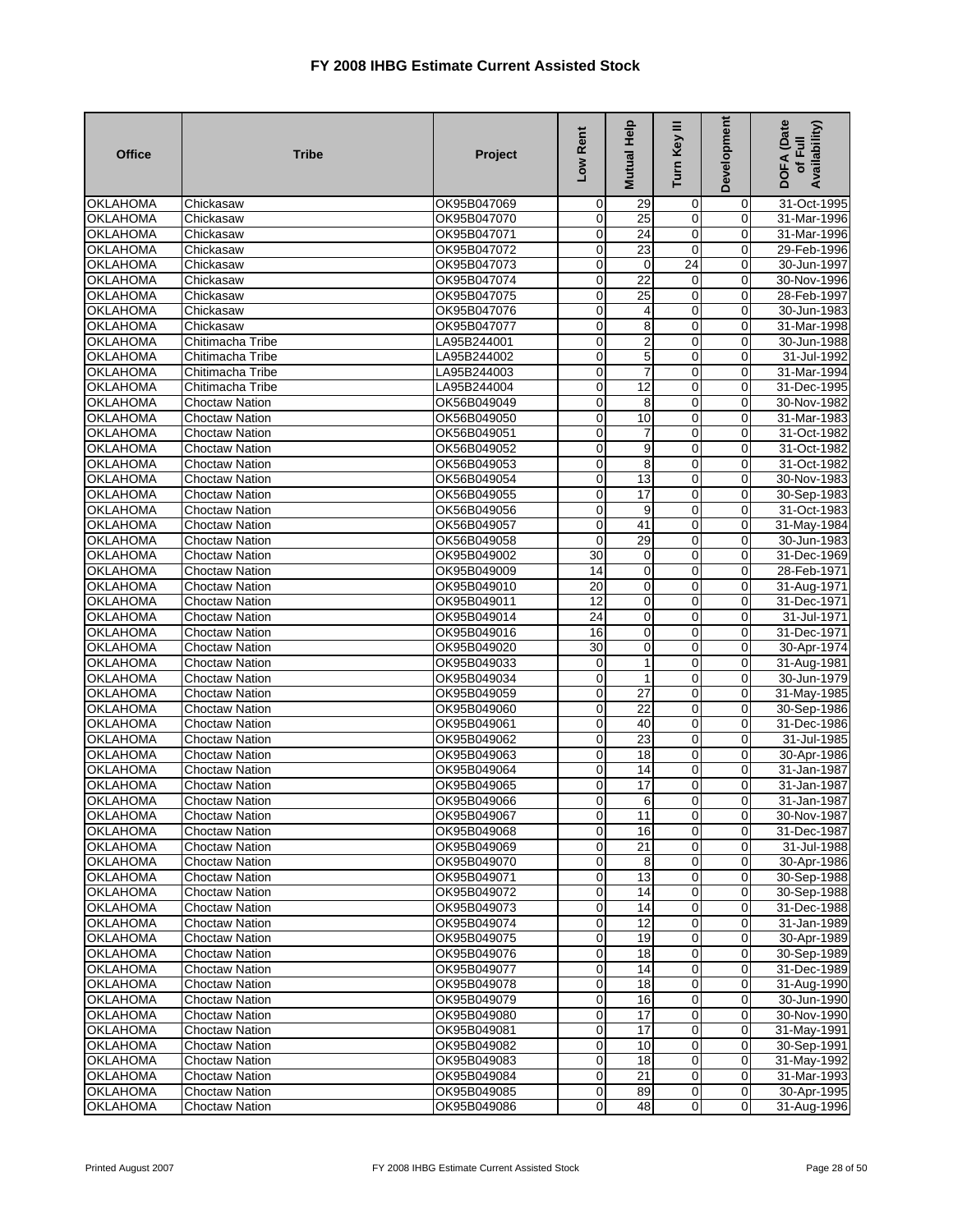| <b>Office</b>               | <b>Tribe</b>                                   | Project                    | Low Rent         | Mutual Help             | ≣<br>Turn Key       | Development                | <b>DOFA</b> (Date<br>Availability)<br>of Full |
|-----------------------------|------------------------------------------------|----------------------------|------------------|-------------------------|---------------------|----------------------------|-----------------------------------------------|
| <b>OKLAHOMA</b>             | Chickasaw                                      | OK95B047069                | $\mathbf 0$      | 29                      | 0                   | 0                          | 31-Oct-1995                                   |
| <b>OKLAHOMA</b>             | Chickasaw                                      | OK95B047070                | 0                | $\overline{25}$         | $\overline{0}$      | 0                          | 31-Mar-1996                                   |
| <b>OKLAHOMA</b>             | Chickasaw                                      | OK95B047071                | $\mathbf 0$      | 24                      | $\mathbf 0$         | 0                          | 31-Mar-1996                                   |
| <b>OKLAHOMA</b>             | Chickasaw                                      | OK95B047072                | $\mathbf 0$      | 23                      | $\mathbf 0$         | $\mathbf 0$                | 29-Feb-1996                                   |
| <b>OKLAHOMA</b>             | Chickasaw                                      | OK95B047073                | $\mathbf 0$      | $\mathbf 0$             | $\overline{24}$     | 0                          | 30-Jun-1997                                   |
| <b>OKLAHOMA</b>             | Chickasaw                                      | OK95B047074                | 0                | $\overline{22}$         | 0                   | 0                          | 30-Nov-1996                                   |
| <b>OKLAHOMA</b>             | Chickasaw                                      | OK95B047075                | $\mathbf 0$      | 25                      | $\mathbf 0$         | 0                          | 28-Feb-1997                                   |
| <b>OKLAHOMA</b>             | Chickasaw                                      | OK95B047076                | 0                | 4                       | 0                   | 0                          | 30-Jun-1983                                   |
| <b>OKLAHOMA</b>             | Chickasaw                                      | OK95B047077                | $\mathbf 0$      | 8                       | $\overline{0}$      | $\mathbf 0$                | 31-Mar-1998                                   |
| <b>OKLAHOMA</b>             | Chitimacha Tribe                               | LA95B244001                | $\mathbf 0$      | $\overline{\mathbf{c}}$ | $\mathbf 0$         | $\mathbf 0$                | 30-Jun-1988                                   |
| <b>OKLAHOMA</b>             | Chitimacha Tribe                               | LA95B244002                | 0                | 5                       | $\mathbf 0$         | 0                          | 31-Jul-1992                                   |
| OKLAHOMA                    | Chitimacha Tribe                               | LA95B244003                | $\mathbf 0$      | 7                       | 0                   | $\mathbf 0$                | 31-Mar-1994                                   |
| <b>OKLAHOMA</b>             | Chitimacha Tribe                               | LA95B244004                | $\mathbf 0$      | 12                      | $\mathbf 0$         | 0                          | 31-Dec-1995                                   |
| <b>OKLAHOMA</b>             | <b>Choctaw Nation</b>                          | OK56B049049                | 0                | 8                       | $\mathbf 0$         | 0                          | 30-Nov-1982                                   |
| <b>OKLAHOMA</b>             | <b>Choctaw Nation</b>                          | OK56B049050                | 0                | 10                      | $\mathbf 0$         | $\mathbf 0$                | 31-Mar-1983                                   |
| <b>OKLAHOMA</b>             | <b>Choctaw Nation</b>                          | OK56B049051                | 0                | 7                       | $\overline{0}$      | 0                          | 31-Oct-1982                                   |
| <b>OKLAHOMA</b>             | <b>Choctaw Nation</b>                          | OK56B049052                | $\mathbf 0$      | 9                       | $\overline{0}$      | 0                          | 31-Oct-1982                                   |
| <b>OKLAHOMA</b>             | <b>Choctaw Nation</b>                          | OK56B049053                | $\mathbf 0$      | 8                       | $\overline{0}$      | $\mathbf 0$                | 31-Oct-1982                                   |
| <b>OKLAHOMA</b>             | <b>Choctaw Nation</b>                          | OK56B049054                | 0                | 13                      | 0                   | 0                          | 30-Nov-1983                                   |
| <b>OKLAHOMA</b>             | <b>Choctaw Nation</b>                          | OK56B049055                | 0                | $\overline{17}$         | $\overline{0}$      | 0                          | 30-Sep-1983                                   |
| <b>OKLAHOMA</b>             | <b>Choctaw Nation</b>                          | OK56B049056                | 0                | 9                       | 0                   | 0                          | 31-Oct-1983                                   |
| <b>OKLAHOMA</b>             | <b>Choctaw Nation</b>                          | OK56B049057                | 0                | 41                      | $\mathbf 0$         | 0                          | 31-May-1984                                   |
| <b>OKLAHOMA</b>             | <b>Choctaw Nation</b>                          | OK56B049058                | 0                | 29                      | $\mathbf 0$         | $\mathbf 0$                | 30-Jun-1983                                   |
| <b>OKLAHOMA</b>             | <b>Choctaw Nation</b>                          | OK95B049002                | 30               | 0                       | $\overline{0}$      | 0                          | 31-Dec-1969                                   |
| <b>OKLAHOMA</b>             | <b>Choctaw Nation</b>                          | OK95B049009                | 14               | $\mathbf 0$             | 0                   | 0                          | 28-Feb-1971                                   |
| <b>OKLAHOMA</b>             | <b>Choctaw Nation</b>                          | OK95B049010                | $\overline{20}$  | $\pmb{0}$               | 0                   | 0                          | 31-Aug-1971                                   |
| <b>OKLAHOMA</b>             | <b>Choctaw Nation</b>                          | OK95B049011                | $\overline{12}$  | $\mathbf 0$             | 0                   | 0                          | 31-Dec-1971                                   |
| <b>OKLAHOMA</b>             | <b>Choctaw Nation</b>                          | OK95B049014                | $\overline{24}$  | 0                       | 0                   | 0                          | 31-Jul-1971                                   |
| <b>OKLAHOMA</b>             | <b>Choctaw Nation</b>                          | OK95B049016                | 16               | 0                       | $\mathbf 0$         | $\Omega$                   | 31-Dec-1971                                   |
| <b>OKLAHOMA</b>             | <b>Choctaw Nation</b>                          | OK95B049020                | 30               | 0                       | $\mathbf 0$         | 0                          | 30-Apr-1974                                   |
| <b>OKLAHOMA</b>             | <b>Choctaw Nation</b>                          | OK95B049033                | 0                | 1                       | $\mathbf 0$         | $\mathbf 0$                | 31-Aug-1981                                   |
| <b>OKLAHOMA</b>             | <b>Choctaw Nation</b>                          | OK95B049034                | $\mathbf 0$      | $\mathbf{1}$            | $\mathbf 0$         | 0                          | 30-Jun-1979                                   |
| <b>OKLAHOMA</b>             | <b>Choctaw Nation</b>                          | OK95B049059                | $\pmb{0}$        | 27                      | $\mathbf 0$         | 0                          | 31-May-1985                                   |
| <b>OKLAHOMA</b>             | Choctaw Nation                                 | OK95B049060                | 0                | $\overline{22}$         | $\overline{0}$      | $\mathbf 0$                | 30-Sep-1986                                   |
| <b>OKLAHOMA</b>             | <b>Choctaw Nation</b>                          | OK95B049061                | 0                | 40                      | 0<br>$\overline{0}$ | $\mathbf 0$                | 31-Dec-1986                                   |
| <b>OKLAHOMA</b>             | <b>Choctaw Nation</b>                          | OK95B049062                | 0                | 23                      | $\overline{0}$      | $\mathbf 0$<br>$\mathbf 0$ | 31-Jul-1985                                   |
| <b>OKLAHOMA</b>             | <b>Choctaw Nation</b>                          | OK95B049063                | 0                | 18                      |                     |                            | 30-Apr-1986                                   |
| <b>OKLAHOMA</b>             | <b>Choctaw Nation</b>                          | OK95B049064                | $\mathbf 0$      | 14                      | $\mathbf 0$         | 0                          | 31-Jan-1987                                   |
| OKLAHOMA<br><b>OKLAHOMA</b> | <b>Choctaw Nation</b>                          | OK95B049065<br>OK95B049066 | 0<br>$\mathbf 0$ | 17                      | 0<br>0              | 0<br>0                     | 31-Jan-1987                                   |
| <b>OKLAHOMA</b>             | <b>Choctaw Nation</b><br><b>Choctaw Nation</b> | OK95B049067                | $\overline{0}$   | 6                       |                     |                            | 31-Jan-1987<br>30-Nov-1987                    |
| <b>OKLAHOMA</b>             | <b>Choctaw Nation</b>                          | OK95B049068                | $\overline{0}$   | 11<br>$\overline{16}$   | 0<br>$\overline{0}$ | 0<br>0                     | 31-Dec-1987                                   |
| <b>OKLAHOMA</b>             |                                                | OK95B049069                | 0                | 21                      | $\mathbf 0$         | 0                          | 31-Jul-1988                                   |
| <b>OKLAHOMA</b>             | Choctaw Nation<br><b>Choctaw Nation</b>        | OK95B049070                | 0                | 8                       | $\overline{0}$      | 0                          | 30-Apr-1986                                   |
| <b>OKLAHOMA</b>             | Choctaw Nation                                 | OK95B049071                | $\overline{0}$   | 13                      | $\overline{0}$      | $\overline{0}$             | 30-Sep-1988                                   |
| <b>OKLAHOMA</b>             | Choctaw Nation                                 | OK95B049072                | 0                | 14                      | $\mathbf 0$         | 0                          | 30-Sep-1988                                   |
| <b>OKLAHOMA</b>             | Choctaw Nation                                 | OK95B049073                | $\mathbf 0$      | 14                      | $\mathbf 0$         | 0                          | 31-Dec-1988                                   |
| OKLAHOMA                    | Choctaw Nation                                 | OK95B049074                | 0                | 12                      | $\mathbf 0$         | 0                          | 31-Jan-1989                                   |
| <b>OKLAHOMA</b>             | <b>Choctaw Nation</b>                          | OK95B049075                | $\mathbf 0$      | $\overline{19}$         | $\mathbf 0$         | 0                          | 30-Apr-1989                                   |
| <b>OKLAHOMA</b>             | <b>Choctaw Nation</b>                          | OK95B049076                | 0                | 18                      | $\mathbf 0$         | 0                          | 30-Sep-1989                                   |
| <b>OKLAHOMA</b>             | Choctaw Nation                                 | OK95B049077                | 0                | 14                      | $\mathbf 0$         | 0                          | 31-Dec-1989                                   |
| <b>OKLAHOMA</b>             | Choctaw Nation                                 | OK95B049078                | $\mathbf 0$      | 18                      | $\overline{0}$      | $\overline{0}$             | 31-Aug-1990                                   |
| <b>OKLAHOMA</b>             | Choctaw Nation                                 | OK95B049079                | 0                | 16                      | $\overline{0}$      | 0                          | 30-Jun-1990                                   |
| <b>OKLAHOMA</b>             | Choctaw Nation                                 | OK95B049080                | 0                | 17                      | $\overline{0}$      | 0                          | 30-Nov-1990                                   |
| <b>OKLAHOMA</b>             | Choctaw Nation                                 | OK95B049081                | $\overline{0}$   | 17                      | $\mathbf 0$         | $\Omega$                   | 31-May-1991                                   |
| <b>OKLAHOMA</b>             | Choctaw Nation                                 | OK95B049082                | $\overline{O}$   | 10                      | $\mathbf 0$         | $\mathbf 0$                | 30-Sep-1991                                   |
| <b>OKLAHOMA</b>             | <b>Choctaw Nation</b>                          | OK95B049083                | $\mathbf 0$      | 18                      | $\mathbf 0$         | $\mathbf 0$                | 31-May-1992                                   |
| <b>OKLAHOMA</b>             | <b>Choctaw Nation</b>                          | OK95B049084                | $\overline{O}$   | 21                      | $\overline{0}$      | $\overline{0}$             | 31-Mar-1993                                   |
| <b>OKLAHOMA</b>             | Choctaw Nation                                 | OK95B049085                | $\overline{0}$   | 89                      | $\overline{0}$      | $\mathbf 0$                | 30-Apr-1995                                   |
| <b>OKLAHOMA</b>             | <b>Choctaw Nation</b>                          | OK95B049086                | $\overline{0}$   | 48                      | $\mathbf 0$         | $\overline{0}$             | 31-Aug-1996                                   |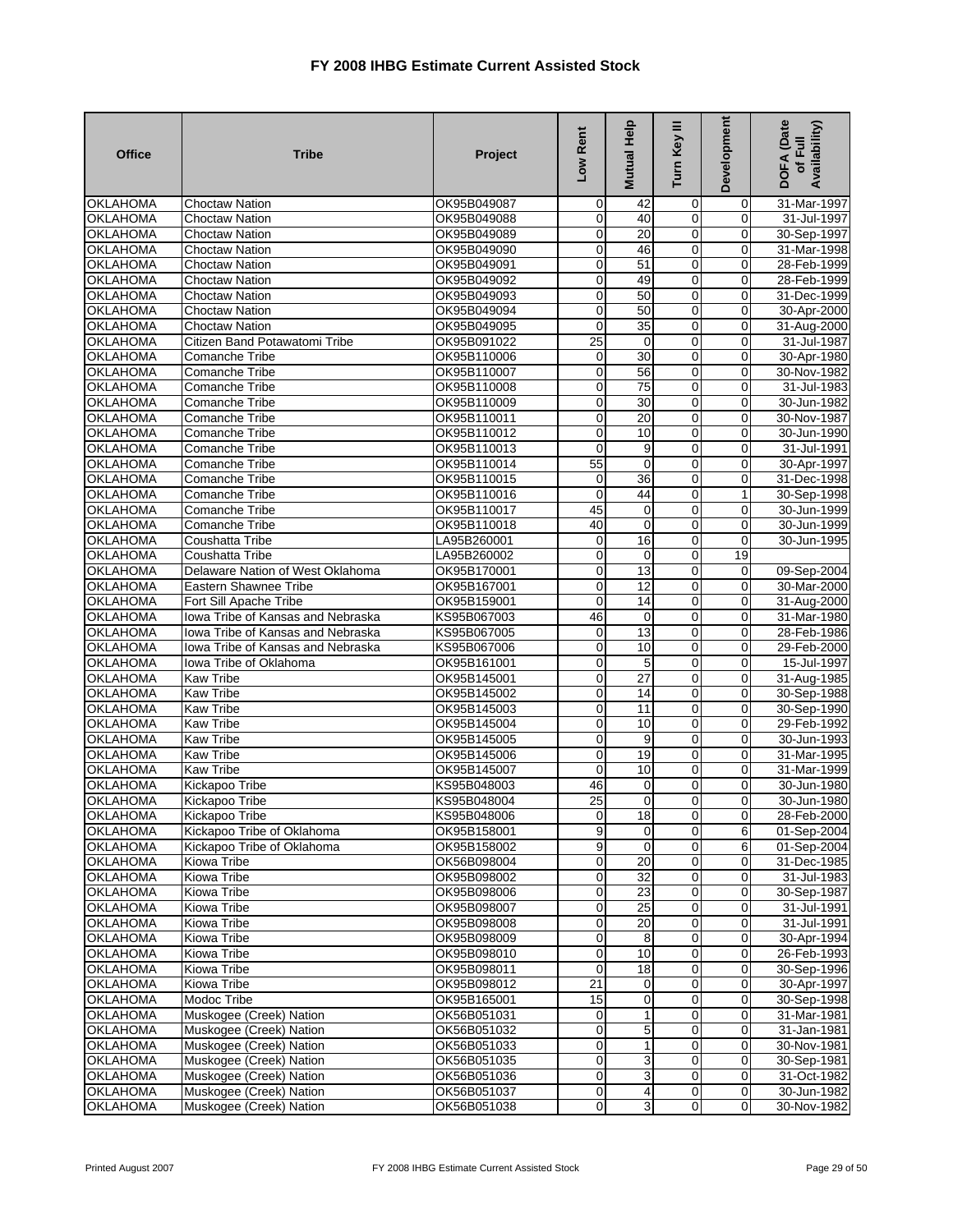| <b>Office</b>                      | <b>Tribe</b>                      | Project                    | Low Rent                   | Mutual Help           | Turn Key III                  | Development                | <b>DOFA</b> (Date<br>Availability)<br>of Full |
|------------------------------------|-----------------------------------|----------------------------|----------------------------|-----------------------|-------------------------------|----------------------------|-----------------------------------------------|
| <b>OKLAHOMA</b>                    | <b>Choctaw Nation</b>             | OK95B049087                | $\mathbf 0$                | 42                    | $\mathbf 0$                   | $\overline{0}$             | 31-Mar-1997                                   |
| <b>OKLAHOMA</b>                    | Choctaw Nation                    | OK95B049088                | $\mathbf 0$                | 40                    | 0                             | $\mathbf 0$                | 31-Jul-1997                                   |
| <b>OKLAHOMA</b>                    | <b>Choctaw Nation</b>             | OK95B049089                | $\mathbf 0$                | 20                    | 0                             | $\overline{0}$             | 30-Sep-1997                                   |
| <b>OKLAHOMA</b>                    | <b>Choctaw Nation</b>             | OK95B049090                | $\overline{0}$             | 46                    | $\overline{0}$                | $\overline{0}$             | 31-Mar-1998                                   |
| <b>OKLAHOMA</b>                    | <b>Choctaw Nation</b>             | OK95B049091                | $\mathbf 0$                | 51                    | $\mathbf 0$                   | $\mathbf 0$                | 28-Feb-1999                                   |
| <b>OKLAHOMA</b>                    | <b>Choctaw Nation</b>             | OK95B049092                | $\mathbf 0$                | 49                    | $\overline{0}$                | $\mathbf 0$                | 28-Feb-1999                                   |
| <b>OKLAHOMA</b>                    | <b>Choctaw Nation</b>             | OK95B049093                | $\mathbf 0$                | 50                    | 0                             | $\overline{0}$             | 31-Dec-1999                                   |
| <b>OKLAHOMA</b>                    | <b>Choctaw Nation</b>             | OK95B049094                | $\mathbf 0$                | 50                    | 0                             | $\overline{0}$             | 30-Apr-2000                                   |
| <b>OKLAHOMA</b>                    | <b>Choctaw Nation</b>             | OK95B049095                | $\mathbf 0$                | 35                    | $\overline{0}$                | $\mathbf 0$                | 31-Aug-2000                                   |
| <b>OKLAHOMA</b>                    | Citizen Band Potawatomi Tribe     | OK95B091022                | 25                         | $\mathbf 0$           | 0                             | $\mathbf 0$                | 31-Jul-1987                                   |
| <b>OKLAHOMA</b>                    | <b>Comanche Tribe</b>             | OK95B110006                | 0                          | 30                    | $\overline{0}$                | $\mathbf 0$                | 30-Apr-1980                                   |
| <b>OKLAHOMA</b>                    | <b>Comanche Tribe</b>             | OK95B110007                | $\overline{0}$             | 56                    | 0                             | $\overline{0}$             | 30-Nov-1982                                   |
| <b>OKLAHOMA</b>                    | <b>Comanche Tribe</b>             | OK95B110008                | 0                          | 75                    | $\mathbf 0$                   | $\mathbf 0$                | 31-Jul-1983                                   |
| <b>OKLAHOMA</b>                    | Comanche Tribe                    | OK95B110009                | $\overline{0}$             | 30                    | $\mathbf 0$                   | $\overline{0}$             | 30-Jun-1982                                   |
| <b>OKLAHOMA</b>                    | <b>Comanche Tribe</b>             | OK95B110011                | O                          | 20                    | $\mathbf 0$                   | $\overline{0}$             | 30-Nov-1987                                   |
| <b>OKLAHOMA</b>                    | Comanche Tribe                    | OK95B110012                | $\mathbf 0$                | 10                    | 0                             | $\mathbf 0$                | 30-Jun-1990                                   |
| <b>OKLAHOMA</b>                    | <b>Comanche Tribe</b>             | OK95B110013                | 0                          | 9                     | 0                             | 0                          | 31-Jul-1991                                   |
| <b>OKLAHOMA</b>                    | <b>Comanche Tribe</b>             | OK95B110014                | $\overline{55}$            | $\mathbf 0$           | $\overline{0}$                | $\overline{0}$             | 30-Apr-1997                                   |
| <b>OKLAHOMA</b>                    | <b>Comanche Tribe</b>             | OK95B110015                | $\pmb{0}$                  | 36                    | 0                             | $\mathbf 0$                | 31-Dec-1998                                   |
| <b>OKLAHOMA</b>                    | Comanche Tribe                    | OK95B110016                | $\overline{0}$             | 44                    | $\mathbf 0$                   | 1                          | 30-Sep-1998                                   |
| <b>OKLAHOMA</b>                    | Comanche Tribe                    | OK95B110017                | 45                         | 0                     | 0                             | $\Omega$                   | 30-Jun-1999                                   |
| <b>OKLAHOMA</b>                    | Comanche Tribe                    | OK95B110018                | 40                         | $\mathbf 0$           | $\mathbf 0$                   | $\overline{0}$             | 30-Jun-1999                                   |
| <b>OKLAHOMA</b>                    | Coushatta Tribe                   | LA95B260001                | $\mathbf 0$                | 16                    | 0                             | $\Omega$                   | 30-Jun-1995                                   |
| <b>OKLAHOMA</b>                    | Coushatta Tribe                   | LA95B260002                | 0                          | 0                     | 0                             | 19                         |                                               |
| <b>OKLAHOMA</b>                    | Delaware Nation of West Oklahoma  | OK95B170001                | $\overline{0}$             | 13                    | $\overline{0}$                | $\mathbf 0$                | 09-Sep-2004                                   |
| <b>OKLAHOMA</b>                    | <b>Eastern Shawnee Tribe</b>      | OK95B167001                | $\mathbf 0$                | 12                    | $\mathbf 0$                   | $\overline{0}$             | 30-Mar-2000                                   |
| <b>OKLAHOMA</b>                    | Fort Sill Apache Tribe            | OK95B159001                | 0                          | 14                    | 0                             | $\mathbf 0$                | 31-Aug-2000                                   |
| <b>OKLAHOMA</b>                    | Iowa Tribe of Kansas and Nebraska | KS95B067003                | 46                         | $\mathbf 0$           | $\overline{0}$                | $\overline{0}$             | 31-Mar-1980                                   |
| <b>OKLAHOMA</b>                    | Iowa Tribe of Kansas and Nebraska | KS95B067005                | 0                          | 13                    | $\mathbf 0$                   | $\Omega$                   | 28-Feb-1986                                   |
| <b>OKLAHOMA</b>                    | Iowa Tribe of Kansas and Nebraska | KS95B067006                | $\mathbf 0$                | 10                    | 0                             | $\mathbf 0$                | 29-Feb-2000                                   |
| <b>OKLAHOMA</b>                    | Iowa Tribe of Oklahoma            | OK95B161001                | $\mathbf 0$                | 5                     | $\mathbf 0$                   | $\mathbf 0$                | 15-Jul-1997                                   |
| <b>OKLAHOMA</b>                    | <b>Kaw Tribe</b>                  | OK95B145001                | $\mathbf 0$                | $\overline{27}$       | $\mathbf 0$<br>$\overline{0}$ | 0                          | 31-Aug-1985                                   |
| <b>OKLAHOMA</b><br><b>OKLAHOMA</b> | <b>Kaw Tribe</b>                  | OK95B145002                | $\mathbf 0$<br>$\mathbf 0$ | 14<br>$\overline{11}$ | $\overline{0}$                | $\mathbf 0$<br>$\mathbf 0$ | 30-Sep-1988                                   |
|                                    | <b>Kaw Tribe</b>                  | OK95B145003                | $\mathbf 0$                |                       | 0                             | 0                          | 30-Sep-1990                                   |
| <b>OKLAHOMA</b><br><b>OKLAHOMA</b> | <b>Kaw Tribe</b><br>Kaw Tribe     | OK95B145004<br>OK95B145005 | $\mathbf 0$                | 10<br>9               | $\overline{0}$                | $\overline{0}$             | 29-Feb-1992                                   |
| <b>OKLAHOMA</b>                    | <b>Kaw Tribe</b>                  | OK95B145006                | $\overline{0}$             | 19                    | 0                             | $\overline{0}$             | 30-Jun-1993<br>31-Mar-1995                    |
| <b>OKLAHOMA</b>                    | <b>Kaw Tribe</b>                  | OK95B145007                | 0                          | 10                    | 0                             | 0                          | 31-Mar-1999                                   |
| <b>OKLAHOMA</b>                    | Kickapoo Tribe                    | KS95B048003                | 46                         | 0                     | 0                             | $\overline{0}$             | 30-Jun-1980                                   |
| <b>OKLAHOMA</b>                    | Kickapoo Tribe                    | KS95B048004                | $\overline{25}$            | 0                     | $\mathbf 0$                   | $\Omega$                   | 30-Jun-1980                                   |
| <b>OKLAHOMA</b>                    | Kickapoo Tribe                    | KS95B048006                | $\overline{0}$             | 18                    | $\mathbf{0}$                  | $\mathbf{0}$               | 28-Feb-2000                                   |
| <b>OKLAHOMA</b>                    | Kickapoo Tribe of Oklahoma        | OK95B158001                | 9                          | $\mathbf 0$           | $\overline{0}$                | 6                          | 01-Sep-2004                                   |
| <b>OKLAHOMA</b>                    | Kickapoo Tribe of Oklahoma        | OK95B158002                | 9                          | $\mathbf 0$           | $\mathbf 0$                   | 6                          | 01-Sep-2004                                   |
| <b>OKLAHOMA</b>                    | Kiowa Tribe                       | OK56B098004                | $\boldsymbol{0}$           | 20                    | $\pmb{0}$                     | $\mathbf 0$                | 31-Dec-1985                                   |
| <b>OKLAHOMA</b>                    | Kiowa Tribe                       | OK95B098002                | $\mathbf 0$                | $\overline{32}$       | 0                             | $\overline{0}$             | 31-Jul-1983                                   |
| <b>OKLAHOMA</b>                    | Kiowa Tribe                       | OK95B098006                | $\overline{0}$             | 23                    | 0                             | $\mathbf 0$                | 30-Sep-1987                                   |
| <b>OKLAHOMA</b>                    | Kiowa Tribe                       | OK95B098007                | $\mathbf 0$                | 25                    | 0                             | $\mathbf 0$                | 31-Jul-1991                                   |
| <b>OKLAHOMA</b>                    | Kiowa Tribe                       | OK95B098008                | $\mathbf 0$                | 20                    | 0                             | $\overline{0}$             | 31-Jul-1991                                   |
| <b>OKLAHOMA</b>                    | Kiowa Tribe                       | OK95B098009                | $\mathbf 0$                | 8                     | 0                             | $\mathbf 0$                | 30-Apr-1994                                   |
| <b>OKLAHOMA</b>                    | Kiowa Tribe                       | OK95B098010                | $\overline{0}$             | 10                    | 0                             | $\mathbf 0$                | 26-Feb-1993                                   |
| <b>OKLAHOMA</b>                    | Kiowa Tribe                       | OK95B098011                | $\mathbf 0$                | 18                    | 0                             | $\mathbf 0$                | 30-Sep-1996                                   |
| <b>OKLAHOMA</b>                    | Kiowa Tribe                       | OK95B098012                | 21                         | 0                     | 0                             | $\mathbf 0$                | 30-Apr-1997                                   |
| <b>OKLAHOMA</b>                    | Modoc Tribe                       | OK95B165001                | 15                         | 0                     | 0                             | $\mathbf 0$                | 30-Sep-1998                                   |
| <b>OKLAHOMA</b>                    | Muskogee (Creek) Nation           | OK56B051031                | $\mathbf 0$                | 1                     | $\mathbf 0$                   | $\overline{0}$             | 31-Mar-1981                                   |
| <b>OKLAHOMA</b>                    | Muskogee (Creek) Nation           | OK56B051032                | $\mathbf 0$                | 5                     | 0                             | $\overline{0}$             | 31-Jan-1981                                   |
| <b>OKLAHOMA</b>                    | Muskogee (Creek) Nation           | OK56B051033                | $\mathbf 0$                | 1                     | 0                             | $\overline{0}$             | 30-Nov-1981                                   |
| <b>OKLAHOMA</b>                    | Muskogee (Creek) Nation           | OK56B051035                | $\overline{O}$             | 3                     | 0                             | $\overline{0}$             | 30-Sep-1981                                   |
| <b>OKLAHOMA</b>                    | Muskogee (Creek) Nation           | OK56B051036                | $\overline{0}$             | 3                     | $\mathbf 0$                   | $\overline{0}$             | 31-Oct-1982                                   |
| <b>OKLAHOMA</b>                    | Muskogee (Creek) Nation           | OK56B051037                | $\overline{0}$             | 4                     | $\mathbf 0$                   | $\mathbf 0$                | 30-Jun-1982                                   |
| <b>OKLAHOMA</b>                    | Muskogee (Creek) Nation           | OK56B051038                | $\boldsymbol{0}$           | 3                     | $\mathbf 0$                   | $\overline{0}$             | 30-Nov-1982                                   |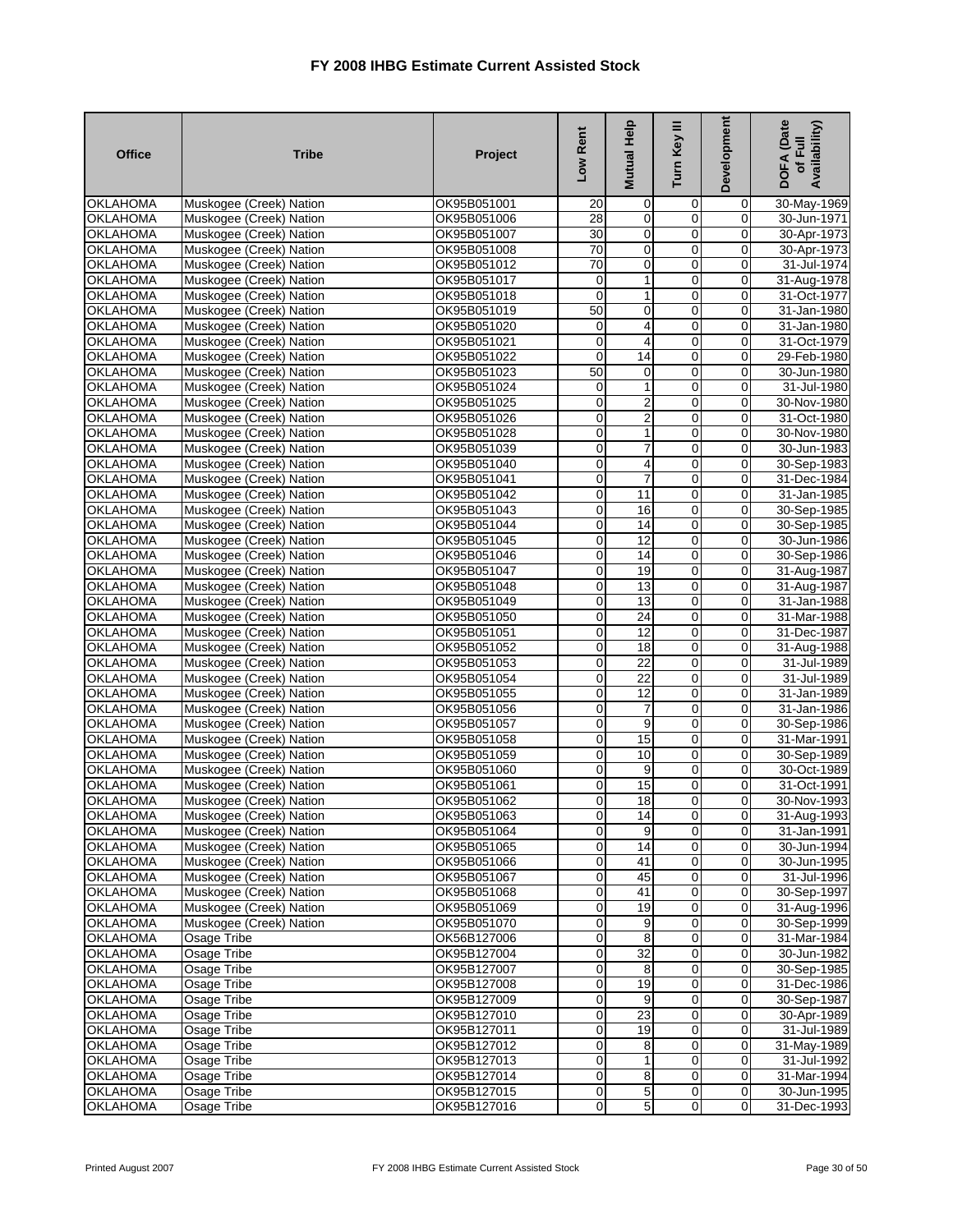| <b>Office</b>                      | <b>Tribe</b>                                       | Project                    | Low Rent                   | <b>Mutual Help</b>          | Turn Key III        | Development             | DOFA (Date<br>Availability)<br>of Full |
|------------------------------------|----------------------------------------------------|----------------------------|----------------------------|-----------------------------|---------------------|-------------------------|----------------------------------------|
| <b>OKLAHOMA</b>                    | Muskogee (Creek) Nation                            | OK95B051001                | 20                         | $\mathbf 0$                 | 0                   | $\mathbf 0$             | 30-May-1969                            |
| <b>OKLAHOMA</b>                    | Muskogee (Creek) Nation                            | OK95B051006                | 28                         | 0                           | $\mathbf 0$         | $\mathbf 0$             | 30-Jun-1971                            |
| <b>OKLAHOMA</b>                    | Muskogee (Creek) Nation                            | OK95B051007                | 30                         | $\mathbf 0$                 | $\mathbf 0$         | 0                       | 30-Apr-1973                            |
| <b>OKLAHOMA</b>                    | Muskogee (Creek) Nation                            | OK95B051008                | 70                         | $\pmb{0}$                   | $\overline{0}$      | $\mathbf 0$             | 30-Apr-1973                            |
| <b>OKLAHOMA</b>                    | Muskogee (Creek) Nation                            | OK95B051012                | 70                         | 0                           | $\mathbf 0$         | 0                       | 31-Jul-1974                            |
| <b>OKLAHOMA</b>                    | Muskogee (Creek) Nation                            | OK95B051017                | $\mathbf 0$                | $\mathbf{1}$                | 0                   | $\mathbf 0$             | 31-Aug-1978                            |
| <b>OKLAHOMA</b>                    | Muskogee (Creek) Nation                            | OK95B051018                | $\mathbf 0$                | 1                           | 0                   | $\mathbf 0$             | 31-Oct-1977                            |
| <b>OKLAHOMA</b>                    | Muskogee (Creek) Nation                            | OK95B051019                | 50                         | 0                           | $\overline{0}$      | 0                       | 31-Jan-1980                            |
| <b>OKLAHOMA</b>                    | Muskogee (Creek) Nation                            | OK95B051020                | $\mathbf 0$                | 4                           | $\mathbf 0$         | $\mathbf 0$             | 31-Jan-1980                            |
| <b>OKLAHOMA</b>                    | Muskogee (Creek) Nation                            | OK95B051021                | $\mathbf 0$                | 4                           | $\overline{0}$<br>0 | $\mathbf 0$             | 31-Oct-1979                            |
| <b>OKLAHOMA</b><br><b>OKLAHOMA</b> | Muskogee (Creek) Nation                            | OK95B051022<br>OK95B051023 | $\mathbf 0$<br>50          | 14                          | $\overline{0}$      | 0<br>$\mathbf 0$        | 29-Feb-1980<br>30-Jun-1980             |
| <b>OKLAHOMA</b>                    | Muskogee (Creek) Nation<br>Muskogee (Creek) Nation |                            | $\mathbf 0$                | $\mathbf 0$<br>$\mathbf{1}$ | 0                   | $\mathbf 0$             | 31-Jul-1980                            |
| <b>OKLAHOMA</b>                    | Muskogee (Creek) Nation                            | OK95B051024<br>OK95B051025 | $\mathbf 0$                | 2                           | 0                   | 0                       | 30-Nov-1980                            |
| <b>OKLAHOMA</b>                    | Muskogee (Creek) Nation                            | OK95B051026                | $\overline{0}$             | $\overline{2}$              | $\mathbf 0$         | $\mathbf 0$             | 31-Oct-1980                            |
| <b>OKLAHOMA</b>                    | Muskogee (Creek) Nation                            | OK95B051028                | $\overline{0}$             | 1                           | 0                   | 0                       | 30-Nov-1980                            |
| <b>OKLAHOMA</b>                    | Muskogee (Creek) Nation                            | OK95B051039                | $\mathbf 0$                | 7                           | 0                   | 0                       | 30-Jun-1983                            |
| <b>OKLAHOMA</b>                    | Muskogee (Creek) Nation                            | OK95B051040                | $\mathbf 0$                | 4                           | 0                   | $\mathbf 0$             | 30-Sep-1983                            |
| <b>OKLAHOMA</b>                    | Muskogee (Creek) Nation                            | OK95B051041                | $\overline{0}$             | $\overline{7}$              | 0                   | $\overline{0}$          | 31-Dec-1984                            |
| <b>OKLAHOMA</b>                    | Muskogee (Creek) Nation                            | OK95B051042                | $\overline{0}$             | 11                          | $\overline{0}$      | $\mathbf 0$             | 31-Jan-1985                            |
| <b>OKLAHOMA</b>                    | Muskogee (Creek) Nation                            | OK95B051043                | $\mathbf 0$                | 16                          | 0                   | $\mathbf 0$             | 30-Sep-1985                            |
| <b>OKLAHOMA</b>                    | Muskogee (Creek) Nation                            | OK95B051044                | $\mathbf 0$                | 14                          | 0                   | 0                       | 30-Sep-1985                            |
| <b>OKLAHOMA</b>                    | Muskogee (Creek) Nation                            | OK95B051045                | $\mathbf 0$                | 12                          | $\mathbf 0$         | $\mathbf 0$             | 30-Jun-1986                            |
| <b>OKLAHOMA</b>                    | Muskogee (Creek) Nation                            | OK95B051046                | $\mathbf 0$                | $\overline{14}$             | $\overline{0}$      | $\mathbf 0$             | 30-Sep-1986                            |
| <b>OKLAHOMA</b>                    | Muskogee (Creek) Nation                            | OK95B051047                | $\mathbf 0$                | 19                          | 0                   | 0                       | 31-Aug-1987                            |
| <b>OKLAHOMA</b>                    | Muskogee (Creek) Nation                            | OK95B051048                | $\overline{0}$             | 13                          | $\overline{0}$      | $\overline{\mathbf{0}}$ | 31-Aug-1987                            |
| <b>OKLAHOMA</b>                    | Muskogee (Creek) Nation                            | OK95B051049                | $\mathbf 0$                | 13                          | 0                   | $\mathbf 0$             | 31-Jan-1988                            |
| <b>OKLAHOMA</b>                    | Muskogee (Creek) Nation                            | OK95B051050                | $\mathbf 0$                | 24                          | $\mathbf 0$         | 0                       | 31-Mar-1988                            |
| <b>OKLAHOMA</b>                    | Muskogee (Creek) Nation                            | OK95B051051                | $\overline{0}$             | $\overline{12}$             | 0                   | $\mathbf 0$             | 31-Dec-1987                            |
| <b>OKLAHOMA</b>                    | Muskogee (Creek) Nation                            | OK95B051052                | $\mathbf 0$                | 18                          | $\mathbf 0$         | 0                       | 31-Aug-1988                            |
| <b>OKLAHOMA</b>                    | Muskogee (Creek) Nation                            | OK95B051053                | $\mathbf 0$                | 22                          | 0                   | $\mathbf 0$             | 31-Jul-1989                            |
| <b>OKLAHOMA</b>                    | Muskogee (Creek) Nation                            | OK95B051054                | $\mathbf 0$                | 22                          | 0                   | $\mathbf 0$             | 31-Jul-1989                            |
| <b>OKLAHOMA</b>                    | Muskogee (Creek) Nation                            | OK95B051055                | $\mathbf 0$                | 12                          | $\overline{0}$      | 0                       | 31-Jan-1989                            |
| <b>OKLAHOMA</b>                    | Muskogee (Creek) Nation                            | OK95B051056                | $\mathbf 0$                | 7                           | 0                   | 0                       | 31-Jan-1986                            |
| <b>OKLAHOMA</b>                    | Muskogee (Creek) Nation                            | OK95B051057                | $\mathbf 0$                | 9                           | $\overline{0}$      | $\mathbf 0$             | 30-Sep-1986                            |
| <b>OKLAHOMA</b>                    | Muskogee (Creek) Nation                            | OK95B051058                | $\overline{0}$             | 15                          | 0                   | 0                       | 31-Mar-1991                            |
| <b>OKLAHOMA</b>                    | Muskogee (Creek) Nation                            | OK95B051059                | $\overline{0}$             | 10                          | $\overline{0}$      | O                       | 30-Sep-1989                            |
| <b>OKLAHOMA</b>                    | Muskogee (Creek) Nation                            | OK95B051060                | $\mathbf 0$                | 9                           | 0                   | $\mathbf 0$             | 30-Oct-1989                            |
| <b>OKLAHOMA</b>                    | Muskogee (Creek) Nation                            | OK95B051061                | $\mathbf 0$                | 15                          | 0                   | 0                       | 31-Oct-1991                            |
| <b>OKLAHOMA</b>                    | Muskogee (Creek) Nation                            | OK95B051062                | $\overline{0}$             | 18                          | $\mathbf 0$         | 0                       | 30-Nov-1993                            |
| <b>OKLAHOMA</b>                    | Muskogee (Creek) Nation                            | OK95B051063                | $\overline{0}$             | 14                          | $\mathbf{0}$        | $\overline{0}$          | 31-Aug-1993                            |
| <b>OKLAHOMA</b>                    | Muskogee (Creek) Nation                            | OK95B051064                | $\mathbf 0$                | 9                           | 0                   | 0                       | 31-Jan-1991                            |
| <b>OKLAHOMA</b>                    | Muskogee (Creek) Nation                            | OK95B051065                | $\mathbf 0$                | 14                          | 0<br>$\mathbf 0$    | $\mathbf 0$             | 30-Jun-1994                            |
| <b>OKLAHOMA</b>                    | Muskogee (Creek) Nation                            | OK95B051066                | $\mathbf 0$                | 41                          | 0                   | $\mathbf 0$             | 30-Jun-1995                            |
| <b>OKLAHOMA</b><br><b>OKLAHOMA</b> | Muskogee (Creek) Nation                            | OK95B051067<br>OK95B051068 | $\mathbf 0$<br>$\mathbf 0$ | 45<br>41                    | $\mathbf 0$         | 0<br>$\mathbf 0$        | 31-Jul-1996                            |
| <b>OKLAHOMA</b>                    | Muskogee (Creek) Nation<br>Muskogee (Creek) Nation | OK95B051069                | $\mathbf 0$                | 19                          | 0                   | $\mathbf 0$             | 30-Sep-1997<br>31-Aug-1996             |
| <b>OKLAHOMA</b>                    | Muskogee (Creek) Nation                            | OK95B051070                | $\mathbf 0$                | 9                           | 0                   | $\pmb{0}$               | 30-Sep-1999                            |
| <b>OKLAHOMA</b>                    | Osage Tribe                                        | OK56B127006                | $\mathbf 0$                | $\overline{8}$              | $\overline{0}$      | $\overline{0}$          | 31-Mar-1984                            |
| <b>OKLAHOMA</b>                    | Osage Tribe                                        | OK95B127004                | $\mathbf 0$                | 32                          | 0                   | 0                       | 30-Jun-1982                            |
| <b>OKLAHOMA</b>                    | Osage Tribe                                        | OK95B127007                | $\mathbf 0$                | 8                           | $\mathbf 0$         | $\mathbf 0$             | 30-Sep-1985                            |
| <b>OKLAHOMA</b>                    | Osage Tribe                                        | OK95B127008                | $\mathbf 0$                | 19                          | 0                   | $\mathbf 0$             | 31-Dec-1986                            |
| <b>OKLAHOMA</b>                    | Osage Tribe                                        | OK95B127009                | $\mathbf 0$                | 9                           | 0                   | 0                       | 30-Sep-1987                            |
| <b>OKLAHOMA</b>                    | Osage Tribe                                        | OK95B127010                | $\mathbf 0$                | 23                          | 0                   | 0                       | 30-Apr-1989                            |
| <b>OKLAHOMA</b>                    | Osage Tribe                                        | OK95B127011                | $\overline{0}$             | 19                          | $\mathbf 0$         | 0                       | 31-Jul-1989                            |
| <b>OKLAHOMA</b>                    | Osage Tribe                                        | OK95B127012                | $\mathbf 0$                | 8                           | 0                   | $\mathbf 0$             | 31-May-1989                            |
| <b>OKLAHOMA</b>                    | Osage Tribe                                        | OK95B127013                | $\mathbf 0$                | 1                           | 0                   | 0                       | 31-Jul-1992                            |
| <b>OKLAHOMA</b>                    | Osage Tribe                                        | OK95B127014                | $\overline{0}$             | 8                           | 0                   | $\overline{\mathbf{0}}$ | 31-Mar-1994                            |
| <b>OKLAHOMA</b>                    | Osage Tribe                                        | OK95B127015                | $\overline{0}$             | $\overline{5}$              | $\pmb{0}$           | $\mathbf 0$             | 30-Jun-1995                            |
| <b>OKLAHOMA</b>                    | Osage Tribe                                        | OK95B127016                | $\overline{0}$             | 5                           | $\overline{0}$      | $\pmb{0}$               | 31-Dec-1993                            |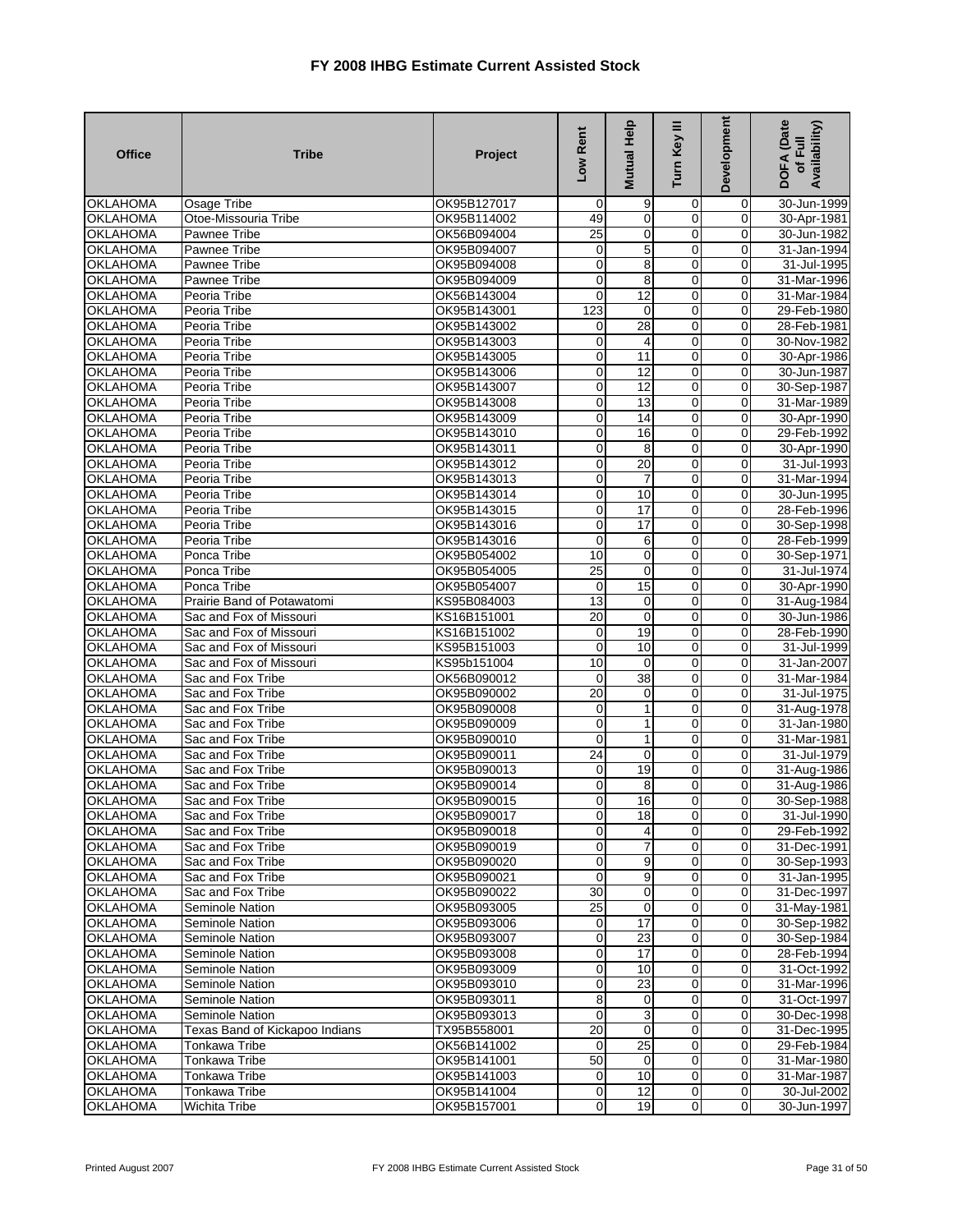| <b>Office</b>   | <b>Tribe</b>                   | Project     | Low Rent                | Mutual Help     | Turn Key III   | Development    | DOFA (Date<br>Availability)<br>of Full |
|-----------------|--------------------------------|-------------|-------------------------|-----------------|----------------|----------------|----------------------------------------|
| <b>OKLAHOMA</b> | Osage Tribe                    | OK95B127017 | $\mathbf 0$             | 9               | 0              | $\mathbf 0$    | 30-Jun-1999                            |
| <b>OKLAHOMA</b> | Otoe-Missouria Tribe           | OK95B114002 | 49                      | 0               | 0              | $\mathbf 0$    | 30-Apr-1981                            |
| <b>OKLAHOMA</b> | Pawnee Tribe                   | OK56B094004 | 25                      | $\mathbf 0$     | 0              | $\overline{0}$ | 30-Jun-1982                            |
| <b>OKLAHOMA</b> | <b>Pawnee Tribe</b>            | OK95B094007 | $\overline{0}$          | 5               | 0              | $\mathbf{O}$   | 31-Jan-1994                            |
| <b>OKLAHOMA</b> | Pawnee Tribe                   | OK95B094008 | $\mathbf 0$             | 8               | $\mathbf 0$    | $\mathbf 0$    | 31-Jul-1995                            |
| <b>OKLAHOMA</b> | Pawnee Tribe                   | OK95B094009 | $\mathbf 0$             | 8               | 0              | $\mathbf 0$    | 31-Mar-1996                            |
| <b>OKLAHOMA</b> | Peoria Tribe                   | OK56B143004 | $\mathbf 0$             | $\overline{12}$ | $\overline{0}$ | $\mathbf 0$    | 31-Mar-1984                            |
| <b>OKLAHOMA</b> | Peoria Tribe                   | OK95B143001 | 123                     | 0               | 0              | $\mathbf 0$    | 29-Feb-1980                            |
| <b>OKLAHOMA</b> | Peoria Tribe                   | OK95B143002 | 0                       | 28              | $\mathbf 0$    | $\mathbf 0$    | 28-Feb-1981                            |
| <b>OKLAHOMA</b> | Peoria Tribe                   | OK95B143003 | $\mathbf 0$             | 4               | 0              | 0              | 30-Nov-1982                            |
| <b>OKLAHOMA</b> | Peoria Tribe                   | OK95B143005 | $\overline{0}$          | 11              | $\mathbf 0$    | $\mathbf 0$    | 30-Apr-1986                            |
| <b>OKLAHOMA</b> | Peoria Tribe                   | OK95B143006 | $\overline{0}$          | 12              | 0              | $\overline{0}$ | 30-Jun-1987                            |
| <b>OKLAHOMA</b> | Peoria Tribe                   | OK95B143007 | $\mathbf 0$             | 12              | 0              | $\mathbf 0$    | 30-Sep-1987                            |
| <b>OKLAHOMA</b> | Peoria Tribe                   | OK95B143008 | $\mathbf 0$             | $\overline{13}$ | $\mathbf 0$    | $\mathbf 0$    | 31-Mar-1989                            |
| <b>OKLAHOMA</b> | Peoria Tribe                   | OK95B143009 | $\overline{0}$          | 14              | 0              | $\mathbf 0$    | 30-Apr-1990                            |
| <b>OKLAHOMA</b> | Peoria Tribe                   | OK95B143010 | 0                       | 16              | $\mathbf 0$    | $\mathbf 0$    | 29-Feb-1992                            |
| <b>OKLAHOMA</b> | Peoria Tribe                   | OK95B143011 | $\overline{\mathbf{0}}$ | 8               | $\overline{0}$ | $\mathbf{O}$   | 30-Apr-1990                            |
| <b>OKLAHOMA</b> | Peoria Tribe                   | OK95B143012 | $\mathbf 0$             | 20              | $\mathbf 0$    | $\mathbf 0$    | 31-Jul-1993                            |
| <b>OKLAHOMA</b> | Peoria Tribe                   | OK95B143013 | $\mathbf 0$             | $\overline{7}$  | 0              | $\mathbf 0$    | 31-Mar-1994                            |
| <b>OKLAHOMA</b> | Peoria Tribe                   | OK95B143014 | $\overline{\mathbf{0}}$ | 10              | 0              | $\mathbf 0$    | 30-Jun-1995                            |
| <b>OKLAHOMA</b> | Peoria Tribe                   | OK95B143015 | $\mathbf 0$             | 17              | $\mathbf 0$    | $\mathbf 0$    | 28-Feb-1996                            |
| <b>OKLAHOMA</b> | Peoria Tribe                   | OK95B143016 | $\mathbf 0$             | 17              | 0              | $\mathbf 0$    | 30-Sep-1998                            |
| <b>OKLAHOMA</b> | Peoria Tribe                   | OK95B143016 | $\mathbf 0$             | 6               | $\overline{0}$ | $\Omega$       | 28-Feb-1999                            |
| <b>OKLAHOMA</b> | Ponca Tribe                    | OK95B054002 | 10                      | $\mathbf 0$     | 0              | 0              | 30-Sep-1971                            |
| <b>OKLAHOMA</b> | Ponca Tribe                    | OK95B054005 | $\overline{25}$         | $\overline{0}$  | $\overline{0}$ | $\mathbf 0$    | 31-Jul-1974                            |
| <b>OKLAHOMA</b> | Ponca Tribe                    | OK95B054007 | $\mathbf 0$             | 15              | 0              | $\mathbf 0$    | 30-Apr-1990                            |
| <b>OKLAHOMA</b> | Prairie Band of Potawatomi     | KS95B084003 | $\overline{13}$         | $\mathbf 0$     | 0              | $\pmb{0}$      | 31-Aug-1984                            |
| <b>OKLAHOMA</b> | Sac and Fox of Missouri        | KS16B151001 | 20                      | $\overline{0}$  | $\overline{0}$ | $\overline{0}$ | 30-Jun-1986                            |
| <b>OKLAHOMA</b> | Sac and Fox of Missouri        | KS16B151002 | $\mathbf 0$             | 19              | 0              | $\overline{0}$ | 28-Feb-1990                            |
| <b>OKLAHOMA</b> | Sac and Fox of Missouri        | KS95B151003 | 0                       | 10              | 0              | $\mathbf 0$    | 31-Jul-1999                            |
| <b>OKLAHOMA</b> | Sac and Fox of Missouri        | KS95b151004 | 10                      | 0               | $\mathbf 0$    | $\mathbf 0$    | 31-Jan-2007                            |
| <b>OKLAHOMA</b> | Sac and Fox Tribe              | OK56B090012 | 0                       | 38              | $\overline{0}$ | $\mathbf 0$    | 31-Mar-1984                            |
| <b>OKLAHOMA</b> | Sac and Fox Tribe              | OK95B090002 | 20                      | 0               | 0              | $\mathbf 0$    | 31-Jul-1975                            |
| <b>OKLAHOMA</b> | Sac and Fox Tribe              | OK95B090008 | 0                       | 1               | $\overline{0}$ | $\mathbf 0$    | 31-Aug-1978                            |
| <b>OKLAHOMA</b> | Sac and Fox Tribe              | OK95B090009 | $\overline{0}$          | 1               | 0              | $\mathbf 0$    | 31-Jan-1980                            |
| <b>OKLAHOMA</b> | Sac and Fox Tribe              | OK95B090010 | $\mathbf 0$             | 1               | $\mathbf 0$    | $\mathbf 0$    | 31-Mar-1981                            |
| <b>OKLAHOMA</b> | Sac and Fox Tribe              | OK95B090011 | 24                      | $\mathbf 0$     | 0              | $\overline{0}$ | 31-Jul-1979                            |
| <b>OKLAHOMA</b> | Sac and Fox Tribe              | OK95B090013 | $\mathbf 0$             | 19              | 0              | $\mathbf 0$    | 31-Aug-1986                            |
| <b>OKLAHOMA</b> | Sac and Fox Tribe              | OK95B090014 | $\mathbf 0$             | 8               | 0              | $\mathbf 0$    | 31-Aug-1986                            |
| <b>OKLAHOMA</b> | Sac and Fox Tribe              | OK95B090015 | $\overline{0}$          | 16              | 0              | $\mathbf 0$    | 30-Sep-1988                            |
| <b>OKLAHOMA</b> | Sac and Fox Tribe              | OK95B090017 | $\overline{O}$          | 18              | $\mathbf{0}$   | $\overline{0}$ | 31-Jul-1990                            |
| <b>OKLAHOMA</b> | Sac and Fox Tribe              | OK95B090018 | $\mathbf 0$             | 4               | $\overline{0}$ | $\overline{0}$ | 29-Feb-1992                            |
| <b>OKLAHOMA</b> | Sac and Fox Tribe              | OK95B090019 | $\overline{0}$          | $\overline{7}$  | $\mathbf 0$    | $\mathbf{O}$   | 31-Dec-1991                            |
| <b>OKLAHOMA</b> | Sac and Fox Tribe              | OK95B090020 | $\mathbf 0$             | 9               | 0              | $\mathbf 0$    | 30-Sep-1993                            |
| <b>OKLAHOMA</b> | Sac and Fox Tribe              | OK95B090021 | $\mathbf 0$             | 9               | $\overline{0}$ | $\overline{0}$ | 31-Jan-1995                            |
| <b>OKLAHOMA</b> | Sac and Fox Tribe              | OK95B090022 | 30                      | $\mathbf 0$     | $\mathbf 0$    | $\overline{0}$ | 31-Dec-1997                            |
| <b>OKLAHOMA</b> | Seminole Nation                | OK95B093005 | 25                      | 0               | $\overline{0}$ | $\overline{0}$ | 31-May-1981                            |
| <b>OKLAHOMA</b> | Seminole Nation                | OK95B093006 | $\mathbf 0$             | 17              | $\mathbf 0$    | $\overline{0}$ | 30-Sep-1982                            |
| <b>OKLAHOMA</b> | Seminole Nation                | OK95B093007 | $\mathbf 0$             | 23              | 0              | $\overline{0}$ | 30-Sep-1984                            |
| <b>OKLAHOMA</b> | Seminole Nation                | OK95B093008 | $\mathbf 0$             | 17              | $\overline{0}$ | $\overline{0}$ | 28-Feb-1994                            |
| <b>OKLAHOMA</b> | Seminole Nation                | OK95B093009 | $\overline{0}$          | 10              | 0              | $\overline{0}$ | 31-Oct-1992                            |
| <b>OKLAHOMA</b> | Seminole Nation                | OK95B093010 | $\mathbf 0$             | 23              | 0              | $\overline{0}$ | 31-Mar-1996                            |
| <b>OKLAHOMA</b> | Seminole Nation                | OK95B093011 | 8                       | 0               | 0              | $\overline{0}$ | 31-Oct-1997                            |
| <b>OKLAHOMA</b> | Seminole Nation                | OK95B093013 | $\overline{O}$          | 3               | $\overline{0}$ | $\overline{0}$ | 30-Dec-1998                            |
| <b>OKLAHOMA</b> | Texas Band of Kickapoo Indians | TX95B558001 | 20                      | $\mathbf 0$     | 0              | $\mathbf 0$    | 31-Dec-1995                            |
| <b>OKLAHOMA</b> | Tonkawa Tribe                  | OK56B141002 | $\mathbf 0$             | 25              | $\overline{0}$ | $\mathbf 0$    | 29-Feb-1984                            |
| <b>OKLAHOMA</b> | Tonkawa Tribe                  | OK95B141001 | 50                      | $\mathbf 0$     | $\mathbf 0$    | $\overline{0}$ | 31-Mar-1980                            |
| <b>OKLAHOMA</b> | Tonkawa Tribe                  | OK95B141003 | $\mathbf 0$             | 10              | $\mathbf 0$    | $\overline{0}$ | 31-Mar-1987                            |
| <b>OKLAHOMA</b> | Tonkawa Tribe                  | OK95B141004 | $\mathbf 0$             | 12              | $\mathbf 0$    | $\mathbf 0$    | 30-Jul-2002                            |
| <b>OKLAHOMA</b> | Wichita Tribe                  | OK95B157001 | $\boldsymbol{0}$        | 19              | $\mathbf 0$    | $\mathbf 0$    | 30-Jun-1997                            |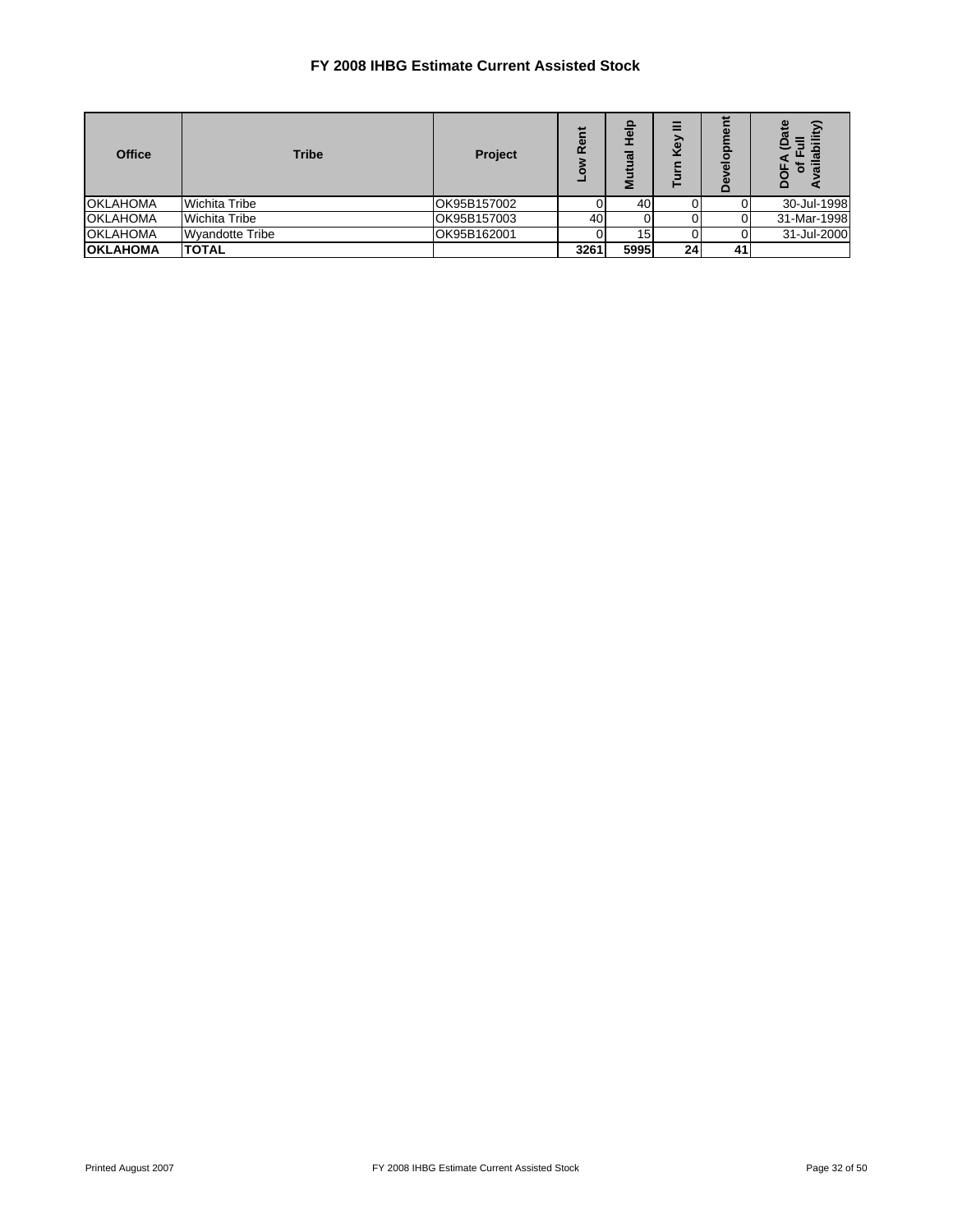| <b>Office</b>   | <b>Tribe</b>           | Project     | <b>Re</b> | o<br>ត<br>$\boldsymbol{\sigma}$ | Ξ<br>δ          | پ<br>ᇗ<br>읆<br>≏ | ≏           |
|-----------------|------------------------|-------------|-----------|---------------------------------|-----------------|------------------|-------------|
| <b>OKLAHOMA</b> | <b>Wichita Tribe</b>   | OK95B157002 |           | 40                              |                 |                  | 30-Jul-1998 |
| <b>OKLAHOMA</b> | <b>Wichita Tribe</b>   | OK95B157003 | 40        |                                 |                 |                  | 31-Mar-1998 |
| <b>OKLAHOMA</b> | <b>Wyandotte Tribe</b> | OK95B162001 |           | 15 <sub>l</sub>                 |                 |                  | 31-Jul-2000 |
| <b>OKLAHOMA</b> | <b>TOTAL</b>           |             | 3261      | 5995                            | 24 <sup>1</sup> | 41               |             |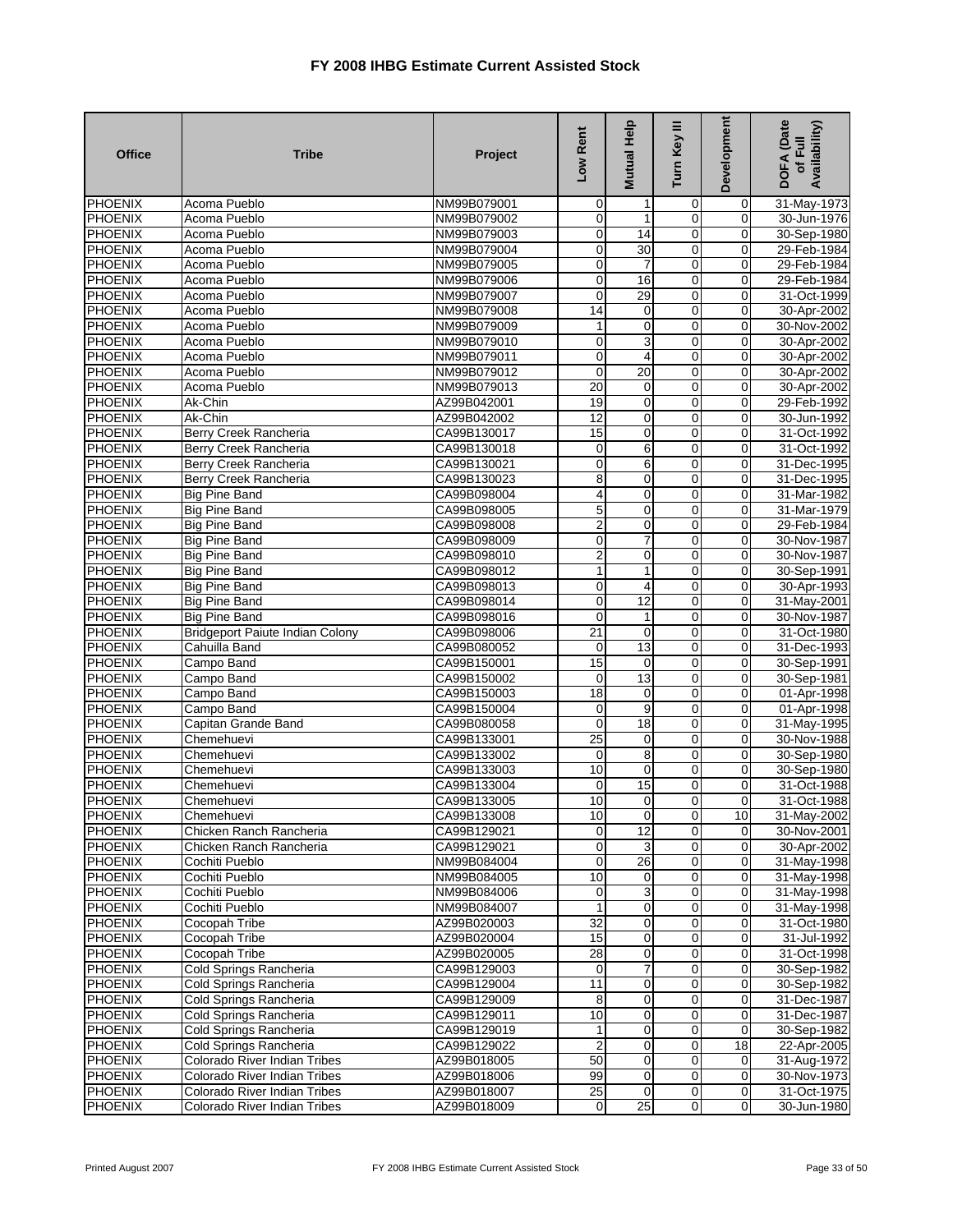| <b>Office</b>                    | <b>Tribe</b>                           | Project                    | Low Rent                | Mutual Help             | Turn Key III                     | Development      | DOFA (Date<br>Availability)<br>of Full |
|----------------------------------|----------------------------------------|----------------------------|-------------------------|-------------------------|----------------------------------|------------------|----------------------------------------|
| PHOENIX                          | Acoma Pueblo                           | NM99B079001                | $\mathbf 0$             |                         | 0                                | 0                | 31-May-1973                            |
| <b>PHOENIX</b>                   | Acoma Pueblo                           | NM99B079002                | $\mathbf 0$             | 1                       | $\mathbf 0$                      | $\mathbf 0$      | 30-Jun-1976                            |
| PHOENIX                          | Acoma Pueblo                           | NM99B079003                | 0                       | 14                      | $\overline{0}$                   | 0                | 30-Sep-1980                            |
| <b>PHOENIX</b>                   | Acoma Pueblo                           | NM99B079004                | $\pmb{0}$               | 30                      | $\mathbf 0$                      | 0                | 29-Feb-1984                            |
| <b>PHOENIX</b>                   | Acoma Pueblo                           | NM99B079005                | $\mathbf 0$             | $\overline{7}$          | $\overline{0}$                   | 0                | 29-Feb-1984                            |
| PHOENIX                          | Acoma Pueblo                           | NM99B079006                | $\mathbf 0$             | 16                      | $\mathbf 0$                      | 0                | 29-Feb-1984                            |
| PHOENIX                          | Acoma Pueblo                           | NM99B079007                | $\mathbf 0$             | 29                      | $\mathbf 0$                      | $\overline{0}$   | 31-Oct-1999                            |
| <b>PHOENIX</b>                   | Acoma Pueblo                           | NM99B079008                | 14                      | 0                       | 0                                | 0                | 30-Apr-2002                            |
| PHOENIX                          | Acoma Pueblo                           | NM99B079009                | 1                       | $\pmb{0}$               | $\overline{0}$                   | $\pmb{0}$        | 30-Nov-2002                            |
| PHOENIX                          | Acoma Pueblo                           | NM99B079010                | $\mathbf 0$             | 3                       | $\mathbf 0$                      | $\mathbf 0$      | 30-Apr-2002                            |
| <b>PHOENIX</b>                   | Acoma Pueblo                           | NM99B079011                | $\pmb{0}$               | 4                       | 0                                | 0                | 30-Apr-2002                            |
| <b>PHOENIX</b>                   | Acoma Pueblo                           | NM99B079012                | $\overline{0}$          | 20                      | $\overline{0}$                   | $\overline{0}$   | 30-Apr-2002                            |
| <b>PHOENIX</b>                   | Acoma Pueblo                           | NM99B079013                | 20                      | 0                       | 0                                | $\mathbf 0$      | 30-Apr-2002                            |
| <b>PHOENIX</b>                   | Ak-Chin                                | AZ99B042001                | 19                      | 0                       | $\mathbf 0$                      | $\mathbf 0$      | 29-Feb-1992                            |
| PHOENIX                          | Ak-Chin                                | AZ99B042002                | $\overline{12}$         | $\mathbf 0$             | 0                                | $\mathbf 0$      | 30-Jun-1992                            |
| <b>PHOENIX</b>                   | <b>Berry Creek Rancheria</b>           | CA99B130017                | 15                      | 0                       | $\overline{0}$                   | 0                | 31-Oct-1992                            |
| PHOENIX                          | Berry Creek Rancheria                  | CA99B130018                | 0                       | 6                       | $\overline{0}$                   | 0                | 31-Oct-1992                            |
| PHOENIX                          | Berry Creek Rancheria                  | CA99B130021                | $\mathbf 0$             | 6                       | $\mathbf 0$                      | $\mathbf 0$      | 31-Dec-1995                            |
| <b>PHOENIX</b>                   | Berry Creek Rancheria                  | CA99B130023                | 8                       | 0                       | $\mathbf 0$                      | 0                | 31-Dec-1995                            |
| <b>PHOENIX</b>                   | <b>Big Pine Band</b>                   | CA99B098004                | 4                       | 0                       | $\mathbf 0$                      | 0                | 31-Mar-1982                            |
| <b>PHOENIX</b>                   | <b>Big Pine Band</b>                   | CA99B098005                | 5                       | $\mathbf 0$             | $\overline{0}$                   | $\overline{0}$   | 31-Mar-1979                            |
| PHOENIX                          | <b>Big Pine Band</b>                   | CA99B098008                | $\overline{\mathbf{c}}$ | 0                       | $\mathbf 0$                      | 0                | 29-Feb-1984                            |
| PHOENIX                          | <b>Big Pine Band</b>                   | CA99B098009                | $\mathbf 0$             | $\overline{7}$          | $\overline{0}$                   | $\mathbf 0$      | 30-Nov-1987                            |
| <b>PHOENIX</b>                   | <b>Big Pine Band</b>                   | CA99B098010                | 2                       | 0                       | $\mathbf 0$                      | 0                | 30-Nov-1987                            |
| <b>PHOENIX</b>                   | <b>Big Pine Band</b>                   | CA99B098012                | $\mathbf{1}$            | 1                       | 0                                | 0                | 30-Sep-1991                            |
| PHOENIX                          | <b>Big Pine Band</b>                   | CA99B098013                | $\mathbf 0$             | $\overline{4}$          | $\mathbf 0$                      | $\mathbf 0$      | 30-Apr-1993                            |
| PHOENIX                          | <b>Big Pine Band</b>                   | CA99B098014                | $\overline{0}$          | 12                      | $\mathbf 0$                      | 0                | 31-May-2001                            |
| PHOENIX                          | <b>Big Pine Band</b>                   | CA99B098016                | 0                       | 1                       | $\overline{0}$                   | 0                | 30-Nov-1987                            |
| <b>PHOENIX</b>                   | <b>Bridgeport Paiute Indian Colony</b> | CA99B098006                | $\overline{21}$         | 0                       | 0                                | $\mathbf 0$      | 31-Oct-1980                            |
| <b>PHOENIX</b>                   | Cahuilla Band                          | CA99B080052                | 0                       | 13                      | $\mathbf 0$                      | 0                | 31-Dec-1993                            |
| <b>PHOENIX</b>                   | Campo Band                             | CA99B150001                | 15                      | 0                       | $\mathbf 0$                      | 0                | 30-Sep-1991                            |
| PHOENIX                          | Campo Band                             | CA99B150002                | $\mathbf 0$             | 13                      | $\overline{0}$                   | $\overline{0}$   | 30-Sep-1981                            |
| <b>PHOENIX</b>                   | Campo Band                             | CA99B150003                | $\overline{18}$         | $\mathbf 0$             | 0                                | 0                | 01-Apr-1998                            |
| PHOENIX                          | Campo Band                             | CA99B150004                | 0                       | 9                       | $\mathbf 0$                      | 0                | 01-Apr-1998                            |
| PHOENIX                          | Capitan Grande Band                    | CA99B080058                | $\mathbf 0$             | 18                      | $\mathbf 0$                      | 0                | 31-May-1995                            |
| <b>PHOENIX</b>                   | Chemehuevi                             | CA99B133001                | 25                      | $\mathbf 0$             | 0                                | 0                | 30-Nov-1988                            |
| <b>PHOENIX</b>                   | Chemehuevi                             | CA99B133002                | 0                       | 8                       | $\overline{0}$                   | $\overline{0}$   | 30-Sep-1980                            |
| PHOENIX                          | Chemehuevi                             | CA99B133003                | 10                      | $\mathbf 0$             | $\mathbf 0$                      | 0                | 30-Sep-1980                            |
| PHOENIX                          | Chemehuevi                             | CA99B133004                | 0                       | 15                      | $\mathbf 0$                      | 0                | 31-Oct-1988                            |
| PHOENIX                          | Chemehuevi<br>Chemehuevi               | CA99B133005                | 10                      | $\mathbf 0$             | $\mathbf 0$                      | $\mathbf 0$      | 31-Oct-1988                            |
| <b>PHOENIX</b><br><b>PHOENIX</b> | Chicken Ranch Rancheria                | CA99B133008                | 10<br>$\mathbf 0$       | $\overline{0}$<br>12    | $\overline{0}$<br>$\overline{0}$ | 10<br>0          | 31-May-2002                            |
| <b>PHOENIX</b>                   | Chicken Ranch Rancheria                | CA99B129021<br>CA99B129021 | $\mathbf 0$             | 3                       | 0                                | $\mathbf 0$      | 30-Nov-2001<br>30-Apr-2002             |
| <b>PHOENIX</b>                   | Cochiti Pueblo                         | NM99B084004                | $\mathbf 0$             | $\overline{26}$         | $\mathbf 0$                      | $\mathbf 0$      | 31-May-1998                            |
| <b>PHOENIX</b>                   | Cochiti Pueblo                         | NM99B084005                | 10                      | $\mathbf 0$             | $\overline{0}$                   | $\mathbf 0$      | 31-May-1998                            |
| PHOENIX                          | Cochiti Pueblo                         | NM99B084006                | 0                       | 3                       | $\overline{0}$                   | 0                | 31-May-1998                            |
| <b>PHOENIX</b>                   | Cochiti Pueblo                         | NM99B084007                | $\mathbf{1}$            | $\overline{0}$          | $\mathbf 0$                      | $\pmb{0}$        | 31-May-1998                            |
| PHOENIX                          | Cocopah Tribe                          | AZ99B020003                | $\overline{32}$         | $\overline{0}$          | $\mathbf 0$                      | $\mathbf 0$      | 31-Oct-1980                            |
| <b>PHOENIX</b>                   | Cocopah Tribe                          | AZ99B020004                | 15                      | $\mathbf 0$             | 0                                | 0                | 31-Jul-1992                            |
| <b>PHOENIX</b>                   | Cocopah Tribe                          | AZ99B020005                | 28                      | $\mathbf 0$             | $\overline{0}$                   | 0                | 31-Oct-1998                            |
| PHOENIX                          | Cold Springs Rancheria                 | CA99B129003                | $\mathbf 0$             | $\overline{7}$          | $\mathbf 0$                      | 0                | 30-Sep-1982                            |
| <b>PHOENIX</b>                   | Cold Springs Rancheria                 | CA99B129004                | 11                      | $\overline{0}$          | $\mathbf 0$                      | $\mathbf 0$      | 30-Sep-1982                            |
| <b>PHOENIX</b>                   | Cold Springs Rancheria                 | CA99B129009                | 8                       | $\overline{\mathbf{0}}$ | $\mathbf 0$                      | 0                | 31-Dec-1987                            |
| PHOENIX                          | Cold Springs Rancheria                 | CA99B129011                | $\overline{10}$         | $\overline{0}$          | $\mathbf 0$                      | 0                | 31-Dec-1987                            |
| <b>PHOENIX</b>                   | Cold Springs Rancheria                 | CA99B129019                | $\mathbf{1}$            | $\overline{0}$          | $\mathbf 0$                      | $\mathbf 0$      | 30-Sep-1982                            |
| PHOENIX                          | Cold Springs Rancheria                 | CA99B129022                | $\overline{\mathbf{c}}$ | $\mathbf 0$             | $\pmb{0}$                        | 18               | 22-Apr-2005                            |
| <b>PHOENIX</b>                   | Colorado River Indian Tribes           | AZ99B018005                | 50                      | $\mathbf 0$             | $\mathbf 0$                      | 0                | 31-Aug-1972                            |
| <b>PHOENIX</b>                   | Colorado River Indian Tribes           | AZ99B018006                | 99                      | $\overline{0}$          | $\mathbf 0$                      | $\overline{0}$   | 30-Nov-1973                            |
| <b>PHOENIX</b>                   | Colorado River Indian Tribes           | AZ99B018007                | 25                      | $\mathbf 0$             | $\overline{0}$                   | $\boldsymbol{0}$ | 31-Oct-1975                            |
| <b>PHOENIX</b>                   | Colorado River Indian Tribes           | AZ99B018009                | $\pmb{0}$               | 25                      | $\mathbf 0$                      | 0                | 30-Jun-1980                            |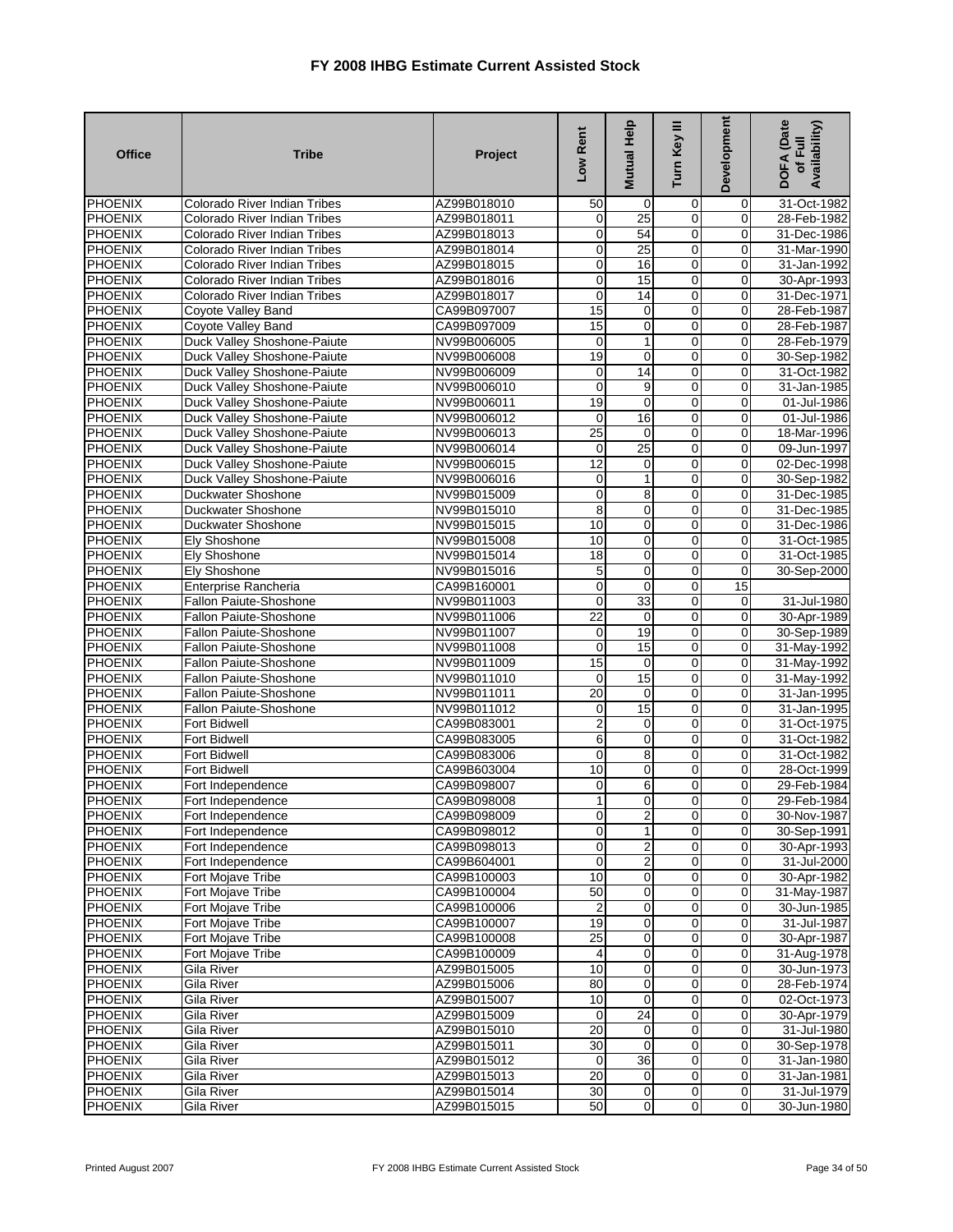| <b>Office</b>  | <b>Tribe</b>                        | Project     | Low Rent        | Mutual Help             | Turn Key III   | <b>Development</b> | <b>DOFA</b> (Date<br>Availability)<br>of Full |
|----------------|-------------------------------------|-------------|-----------------|-------------------------|----------------|--------------------|-----------------------------------------------|
| PHOENIX        | Colorado River Indian Tribes        | AZ99B018010 | 50              | 0                       | 0              | 0                  | 31-Oct-1982                                   |
| <b>PHOENIX</b> | Colorado River Indian Tribes        | AZ99B018011 | $\mathbf 0$     | 25                      | $\mathbf 0$    | $\mathbf 0$        | 28-Feb-1982                                   |
| PHOENIX        | Colorado River Indian Tribes        | AZ99B018013 | 0               | 54                      | $\overline{0}$ | 0                  | 31-Dec-1986                                   |
| <b>PHOENIX</b> | <b>Colorado River Indian Tribes</b> | AZ99B018014 | 0               | 25                      | $\mathbf 0$    | $\mathbf 0$        | 31-Mar-1990                                   |
| <b>PHOENIX</b> | Colorado River Indian Tribes        | AZ99B018015 | $\mathbf 0$     | 16                      | $\overline{0}$ | $\mathbf 0$        | 31-Jan-1992                                   |
| PHOENIX        | <b>Colorado River Indian Tribes</b> | AZ99B018016 | 0               | 15                      | $\mathbf 0$    | 0                  | 30-Apr-1993                                   |
| PHOENIX        | <b>Colorado River Indian Tribes</b> | AZ99B018017 | $\mathbf 0$     | 14                      | $\overline{0}$ | $\Omega$           | 31-Dec-1971                                   |
| <b>PHOENIX</b> | Coyote Valley Band                  | CA99B097007 | 15              | 0                       | 0              | 0                  | 28-Feb-1987                                   |
| <b>PHOENIX</b> | <b>Coyote Valley Band</b>           | CA99B097009 | 15              | $\pmb{0}$               | $\overline{0}$ | $\mathbf 0$        | 28-Feb-1987                                   |
| PHOENIX        | Duck Valley Shoshone-Paiute         | NV99B006005 | 0               | 1                       | $\mathbf 0$    | $\mathbf 0$        | 28-Feb-1979                                   |
| <b>PHOENIX</b> | Duck Valley Shoshone-Paiute         | NV99B006008 | 19              | 0                       | $\mathbf 0$    | 0                  | 30-Sep-1982                                   |
| <b>PHOENIX</b> | Duck Valley Shoshone-Paiute         | NV99B006009 | 0               | 14                      | $\overline{0}$ | $\overline{0}$     | 31-Oct-1982                                   |
| PHOENIX        | Duck Valley Shoshone-Paiute         | NV99B006010 | 0               | 9                       | $\mathbf 0$    | $\mathbf 0$        | 31-Jan-1985                                   |
| <b>PHOENIX</b> | Duck Valley Shoshone-Paiute         | NV99B006011 | 19              | $\mathbf 0$             | $\mathbf 0$    | 0                  | 01-Jul-1986                                   |
| PHOENIX        | Duck Valley Shoshone-Paiute         | NV99B006012 | 0               | 16                      | $\mathbf 0$    | $\mathbf 0$        | 01-Jul-1986                                   |
| <b>PHOENIX</b> | <b>Duck Valley Shoshone-Paiute</b>  | NV99B006013 | 25              | $\mathbf{O}$            | $\overline{0}$ | $\mathbf 0$        | 18-Mar-1996                                   |
| <b>PHOENIX</b> | Duck Valley Shoshone-Paiute         | NV99B006014 | 0               | 25                      | $\overline{0}$ | 0                  | 09-Jun-1997                                   |
| PHOENIX        | Duck Valley Shoshone-Paiute         | NV99B006015 | $\overline{12}$ | 0                       | $\overline{0}$ | $\mathbf 0$        | 02-Dec-1998                                   |
| <b>PHOENIX</b> | Duck Valley Shoshone-Paiute         | NV99B006016 | 0               | 1                       | $\mathbf 0$    | 0                  | 30-Sep-1982                                   |
| <b>PHOENIX</b> | Duckwater Shoshone                  | NV99B015009 | 0               | 8                       | $\mathbf 0$    | 0                  | 31-Dec-1985                                   |
| <b>PHOENIX</b> | Duckwater Shoshone                  | NV99B015010 | $\overline{8}$  | $\mathbf 0$             | $\overline{0}$ | $\overline{0}$     | 31-Dec-1985                                   |
| <b>PHOENIX</b> | Duckwater Shoshone                  | NV99B015015 | 10              | 0                       | $\mathbf 0$    | 0                  | 31-Dec-1986                                   |
| PHOENIX        | Ely Shoshone                        | NV99B015008 | 10              | $\mathbf 0$             | $\overline{0}$ | $\mathbf 0$        | 31-Oct-1985                                   |
| <b>PHOENIX</b> | Ely Shoshone                        | NV99B015014 | $\overline{18}$ | 0                       | $\mathbf 0$    | $\mathbf 0$        | 31-Oct-1985                                   |
| <b>PHOENIX</b> | Ely Shoshone                        | NV99B015016 | 5               | 0                       | $\mathbf 0$    | 0                  | 30-Sep-2000                                   |
| PHOENIX        | Enterprise Rancheria                | CA99B160001 | $\mathbf 0$     | $\mathbf 0$             | $\mathbf 0$    | 15                 |                                               |
| <b>PHOENIX</b> | Fallon Paiute-Shoshone              | NV99B011003 | $\mathbf 0$     | 33                      | $\mathbf 0$    | 0                  | 31-Jul-1980                                   |
| PHOENIX        | <b>Fallon Paiute-Shoshone</b>       | NV99B011006 | 22              | 0                       | $\overline{0}$ | 0                  | 30-Apr-1989                                   |
| <b>PHOENIX</b> | Fallon Paiute-Shoshone              | NV99B011007 | 0               | 19                      | 0              | $\mathbf 0$        | 30-Sep-1989                                   |
| <b>PHOENIX</b> | Fallon Paiute-Shoshone              | NV99B011008 | $\mathbf 0$     | 15                      | $\mathbf 0$    | 0                  | 31-May-1992                                   |
| <b>PHOENIX</b> | Fallon Paiute-Shoshone              | NV99B011009 | 15              | $\mathbf 0$             | $\mathbf 0$    | 0                  | 31-May-1992                                   |
| PHOENIX        | <b>Fallon Paiute-Shoshone</b>       | NV99B011010 | $\mathbf 0$     | 15                      | $\overline{0}$ | $\overline{0}$     | 31-May-1992                                   |
| <b>PHOENIX</b> | Fallon Paiute-Shoshone              | NV99B011011 | 20              | 0                       | 0              | 0                  | 31-Jan-1995                                   |
| PHOENIX        | Fallon Paiute-Shoshone              | NV99B011012 | 0               | 15                      | $\mathbf 0$    | 0                  | 31-Jan-1995                                   |
| PHOENIX        | Fort Bidwell                        | CA99B083001 | $\mathbf 2$     | 0                       | $\mathbf 0$    | 0                  | 31-Oct-1975                                   |
| <b>PHOENIX</b> | <b>Fort Bidwell</b>                 | CA99B083005 | 6               | $\mathbf 0$             | 0              | 0                  | 31-Oct-1982                                   |
| <b>PHOENIX</b> | <b>Fort Bidwell</b>                 | CA99B083006 | 0               | 8                       | $\overline{0}$ | $\mathbf 0$        | 31-Oct-1982                                   |
| PHOENIX        | Fort Bidwell                        | CA99B603004 | 10              | $\mathbf 0$             | $\mathbf 0$    | $\mathbf 0$        | 28-Oct-1999                                   |
| PHOENIX        | Fort Independence                   | CA99B098007 | 0               | 6                       | $\mathbf 0$    | 0                  | 29-Feb-1984                                   |
| PHOENIX        | Fort Independence                   | CA99B098008 | $\mathbf{1}$    | $\mathbf 0$             | $\mathbf 0$    | $\mathbf 0$        | 29-Feb-1984                                   |
| <b>PHOENIX</b> | Fort Independence                   | CA99B098009 | $\overline{0}$  | $\mathbf{2}$            | $\mathbf{0}$   | 01                 | 30-Nov-1987                                   |
| <b>PHOENIX</b> | Fort Independence                   | CA99B098012 | $\overline{0}$  | 1                       | $\overline{0}$ | 0                  | 30-Sep-1991                                   |
| PHOENIX        | Fort Independence                   | CA99B098013 | $\mathbf 0$     | $\overline{\mathbf{c}}$ | 0              | $\mathbf 0$        | 30-Apr-1993                                   |
| <b>PHOENIX</b> | Fort Independence                   | CA99B604001 | $\mathbf 0$     | $\overline{2}$          | $\mathbf 0$    | $\mathbf 0$        | 31-Jul-2000                                   |
| <b>PHOENIX</b> | Fort Mojave Tribe                   | CA99B100003 | 10              | $\overline{0}$          | $\overline{0}$ | 0                  | 30-Apr-1982                                   |
| <b>PHOENIX</b> | Fort Mojave Tribe                   | CA99B100004 | 50              | $\pmb{0}$               | $\overline{0}$ | $\mathbf 0$        | 31-May-1987                                   |
| PHOENIX        | <b>Fort Mojave Tribe</b>            | CA99B100006 | 2               | $\overline{0}$          | $\mathbf 0$    | 0                  | 30-Jun-1985                                   |
| PHOENIX        | Fort Mojave Tribe                   | CA99B100007 | 19              | $\overline{0}$          | $\mathbf 0$    | $\mathbf 0$        | 31-Jul-1987                                   |
| <b>PHOENIX</b> | Fort Mojave Tribe                   | CA99B100008 | $\overline{25}$ | $\mathbf 0$             | 0              | $\mathbf 0$        | 30-Apr-1987                                   |
| <b>PHOENIX</b> | Fort Mojave Tribe                   | CA99B100009 | 4               | $\mathbf 0$             | $\overline{0}$ | 0                  | 31-Aug-1978                                   |
| <b>PHOENIX</b> | Gila River                          | AZ99B015005 | 10              | $\overline{0}$          | $\mathbf 0$    | $\overline{0}$     | 30-Jun-1973                                   |
| PHOENIX        | Gila River                          | AZ99B015006 | 80              | $\overline{0}$          | $\mathbf 0$    | $\mathbf 0$        | 28-Feb-1974                                   |
| <b>PHOENIX</b> | Gila River                          | AZ99B015007 | 10              | $\mathbf 0$             | $\mathbf 0$    | 0                  | 02-Oct-1973                                   |
| <b>PHOENIX</b> | Gila River                          | AZ99B015009 | 0               | 24                      | $\mathbf 0$    | 0                  | 30-Apr-1979                                   |
| <b>PHOENIX</b> | Gila River                          | AZ99B015010 | 20              | $\mathbf 0$             | $\mathbf 0$    | $\mathbf 0$        | 31-Jul-1980                                   |
| PHOENIX        | Gila River                          | AZ99B015011 | 30              | $\mathbf 0$             | $\overline{0}$ | $\mathbf 0$        | 30-Sep-1978                                   |
| PHOENIX        | Gila River                          | AZ99B015012 | $\mathbf 0$     | 36                      | $\mathbf 0$    | $\mathbf 0$        | 31-Jan-1980                                   |
| <b>PHOENIX</b> | Gila River                          | AZ99B015013 | $\overline{20}$ | $\overline{0}$          | $\mathbf 0$    | $\mathbf 0$        | 31-Jan-1981                                   |
| <b>PHOENIX</b> | Gila River                          | AZ99B015014 | 30              | $\mathbf{O}$            | $\overline{0}$ | $\mathbf 0$        | 31-Jul-1979                                   |
| <b>PHOENIX</b> | Gila River                          | AZ99B015015 | 50              | $\overline{0}$          | $\mathbf 0$    | $\pmb{0}$          | 30-Jun-1980                                   |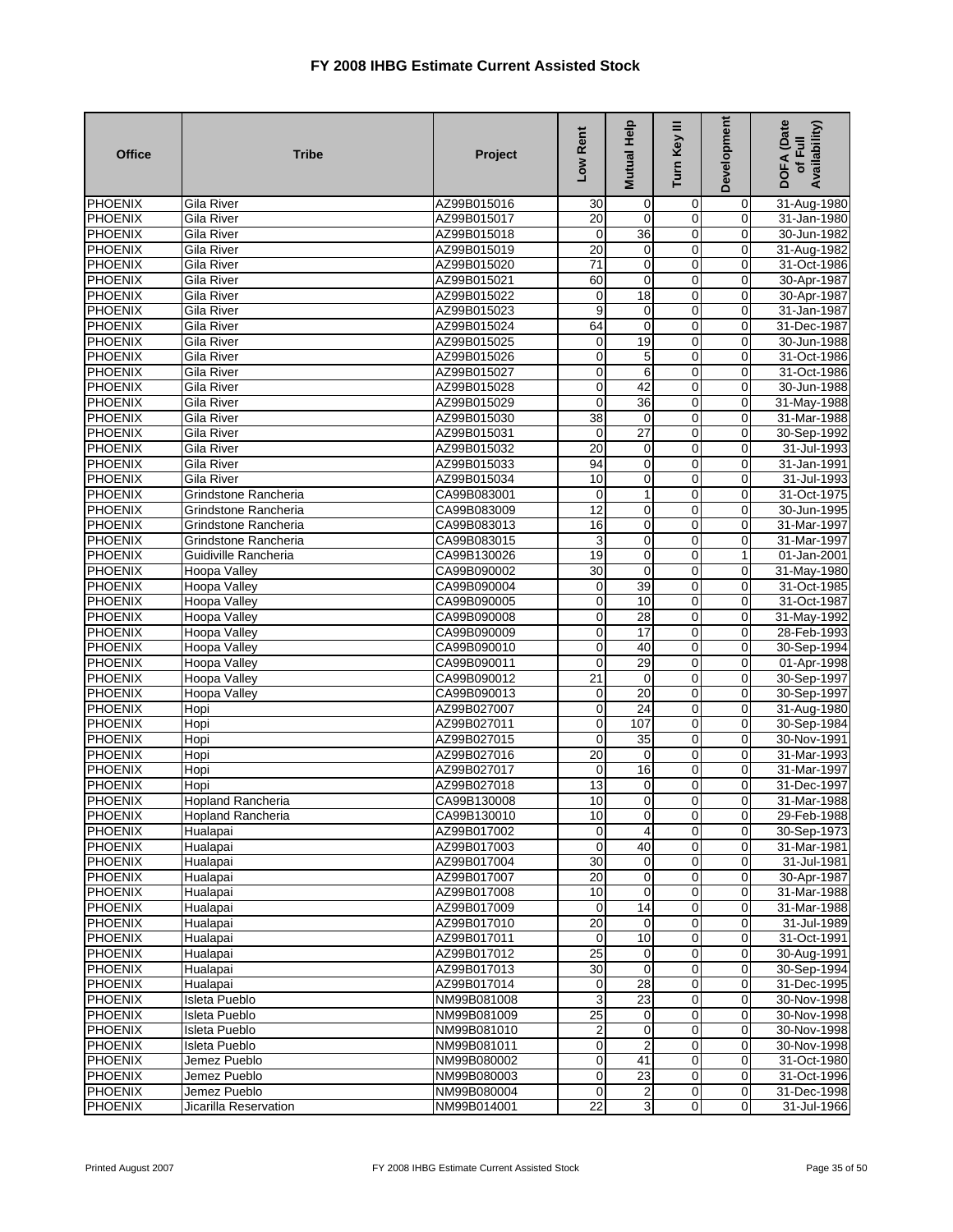| <b>Office</b>                    | <b>Tribe</b>             | Project                    | Low Rent                        | Mutual Help             | Turn Key III        | Development      | DOFA (Date<br>Availability)<br>of Full |
|----------------------------------|--------------------------|----------------------------|---------------------------------|-------------------------|---------------------|------------------|----------------------------------------|
| <b>PHOENIX</b>                   | <b>Gila River</b>        | AZ99B015016                | 30                              | 0                       | 0                   | 0                | 31-Aug-1980                            |
| PHOENIX                          | Gila River               | AZ99B015017                | 20                              | 0                       | $\mathbf 0$         | 0                | 31-Jan-1980                            |
| <b>PHOENIX</b>                   | Gila River               | AZ99B015018                | $\pmb{0}$                       | 36                      | $\mathbf 0$         | $\mathbf 0$      | 30-Jun-1982                            |
| <b>PHOENIX</b>                   | <b>Gila River</b>        | AZ99B015019                | 20                              | $\mathbf 0$             | $\overline{0}$      | $\mathbf 0$      | 31-Aug-1982                            |
| <b>PHOENIX</b>                   | Gila River               | AZ99B015020                | $\overline{71}$                 | 0                       | $\mathbf 0$         | 0                | 31-Oct-1986                            |
| <b>PHOENIX</b>                   | Gila River               | AZ99B015021                | 60                              | $\mathbf 0$             | $\mathbf 0$         | $\mathbf 0$      | 30-Apr-1987                            |
| PHOENIX                          | Gila River               | AZ99B015022                | $\mathbf 0$                     | 18                      | 0                   | 0                | 30-Apr-1987                            |
| <b>PHOENIX</b>                   | <b>Gila River</b>        | AZ99B015023                | 9                               | 0                       | $\mathbf 0$         | 0                | 31-Jan-1987                            |
| <b>PHOENIX</b>                   | Gila River               | AZ99B015024                | 64                              | $\mathbf 0$             | $\overline{0}$      | $\mathbf 0$      | 31-Dec-1987                            |
| <b>PHOENIX</b>                   | Gila River               | AZ99B015025                | $\pmb{0}$                       | 19                      | 0                   | $\mathbf 0$      | 30-Jun-1988                            |
| PHOENIX                          | Gila River               | AZ99B015026                | 0                               | 5                       | $\mathbf 0$         | $\mathbf 0$      | 31-Oct-1986                            |
| <b>PHOENIX</b>                   | Gila River               | AZ99B015027                | $\mathbf 0$                     | 6                       | $\overline{0}$      | $\mathbf 0$      | 31-Oct-1986                            |
| <b>PHOENIX</b>                   | Gila River               | AZ99B015028                | $\overline{0}$                  | 42                      | $\mathbf 0$         | 0                | 30-Jun-1988                            |
| PHOENIX<br>PHOENIX               | Gila River<br>Gila River | AZ99B015029<br>AZ99B015030 | $\mathbf 0$<br>38               | 36<br>$\mathbf 0$       | 0<br>$\mathbf 0$    | 0<br>$\mathbf 0$ | 31-May-1988<br>31-Mar-1988             |
| <b>PHOENIX</b>                   | <b>Gila River</b>        | AZ99B015031                | 0                               | 27                      | $\overline{0}$      | 0                |                                        |
| <b>PHOENIX</b>                   | <b>Gila River</b>        | AZ99B015032                | 20                              | 0                       | $\mathbf 0$         | 0                | 30-Sep-1992<br>31-Jul-1993             |
| PHOENIX                          | Gila River               | AZ99B015033                | 94                              | $\mathbf 0$             | $\mathbf 0$         | $\mathbf 0$      | 31-Jan-1991                            |
| <b>PHOENIX</b>                   | Gila River               | AZ99B015034                | 10                              | 0                       | 0                   | 0                | 31-Jul-1993                            |
| <b>PHOENIX</b>                   | Grindstone Rancheria     | CA99B083001                | 0                               | 1                       | $\overline{0}$      | 0                | 31-Oct-1975                            |
| <b>PHOENIX</b>                   | Grindstone Rancheria     | CA99B083009                | 12                              | 0                       | 0                   | $\mathbf 0$      | 30-Jun-1995                            |
| <b>PHOENIX</b>                   | Grindstone Rancheria     | CA99B083013                | 16                              | 0                       | 0                   | 0                | 31-Mar-1997                            |
| <b>PHOENIX</b>                   | Grindstone Rancheria     | CA99B083015                | 3                               | 0                       | $\mathbf 0$         | 0                | 31-Mar-1997                            |
| <b>PHOENIX</b>                   | Guidiville Rancheria     | CA99B130026                | 19                              | 0                       | 0                   | 1                | 01-Jan-2001                            |
| <b>PHOENIX</b>                   | Hoopa Valley             | CA99B090002                | 30                              | $\mathbf 0$             | 0                   | 0                | 31-May-1980                            |
| <b>PHOENIX</b>                   | <b>Hoopa Valley</b>      | CA99B090004                | 0                               | 39                      | $\mathbf 0$         | $\mathbf 0$      | 31-Oct-1985                            |
| <b>PHOENIX</b>                   | Hoopa Valley             | CA99B090005                | $\mathbf 0$                     | 10                      | $\mathbf 0$         | 0                | 31-Oct-1987                            |
| <b>PHOENIX</b>                   | Hoopa Valley             | CA99B090008                | $\mathbf 0$                     | 28                      | $\overline{0}$      | 0                | 31-May-1992                            |
| <b>PHOENIX</b>                   | Hoopa Valley             | CA99B090009                | 0                               | $\overline{17}$         | $\overline{0}$      | $\mathbf 0$      | 28-Feb-1993                            |
| <b>PHOENIX</b>                   | Hoopa Valley             | CA99B090010                | $\mathsf{O}\xspace$             | 40                      | $\mathbf 0$         | 0                | 30-Sep-1994                            |
| <b>PHOENIX</b>                   | Hoopa Valley             | CA99B090011                | $\mathbf 0$                     | 29                      | $\mathbf 0$         | 0                | 01-Apr-1998                            |
| PHOENIX                          | Hoopa Valley             | CA99B090012                | 21                              | $\mathbf 0$             | $\mathbf 0$         | 0                | 30-Sep-1997                            |
| <b>PHOENIX</b>                   | Hoopa Valley             | CA99B090013                | 0                               | $\overline{20}$         | $\mathbf 0$         | 0                | 30-Sep-1997                            |
| <b>PHOENIX</b>                   | Hopi                     | AZ99B027007                | 0                               | $\overline{24}$         | $\mathbf 0$         | $\mathbf 0$      | 31-Aug-1980                            |
| <b>PHOENIX</b>                   | Hopi                     | AZ99B027011                | $\mathbf 0$                     | 107                     | $\mathbf 0$         | $\mathbf 0$      | 30-Sep-1984                            |
| PHOENIX                          | Hopi                     | AZ99B027015                | 0                               | 35                      | $\mathbf 0$         | 0                | 30-Nov-1991                            |
| <b>PHOENIX</b>                   | Hopi                     | AZ99B027016                | 20                              | $\mathbf 0$             | $\overline{0}$      | $\mathbf 0$      | 31-Mar-1993                            |
| <b>PHOENIX</b>                   | Hopi                     | AZ99B027017                | $\mathbf 0$                     | 16                      | $\mathbf 0$         | 0                | 31-Mar-1997                            |
| PHOENIX                          | Hopi                     | AZ99B027018                | 13                              | 0                       | 0                   | 0                | 31-Dec-1997                            |
| <b>PHOENIX</b>                   | <b>Hopland Rancheria</b> | CA99B130008                | 10                              | 0                       | $\mathbf 0$         | $\mathbf 0$      | 31-Mar-1988                            |
| <b>PHOENIX</b>                   | Hopland Rancheria        | CA99B130010                | 10                              | $\overline{0}$          | $\mathbf{0}$        | 0                | 29-Feb-1988                            |
| <b>PHOENIX</b>                   | Hualapai                 | AZ99B017002                | $\mathbf 0$                     | $\overline{\mathbf{4}}$ | $\overline{0}$      | 0                | 30-Sep-1973                            |
| <b>PHOENIX</b>                   | Hualapai                 | AZ99B017003                | $\mathbf 0$                     | 40                      | $\mathbf 0$         | $\mathbf 0$      | 31-Mar-1981                            |
| PHOENIX                          | Hualapai                 | AZ99B017004                | 30                              | 0                       | $\overline{0}$      | 0                | 31-Jul-1981                            |
| <b>PHOENIX</b>                   | Hualapai                 | AZ99B017007                | 20                              | $\pmb{0}$               | $\mathbf 0$         | $\overline{0}$   | 30-Apr-1987                            |
| <b>PHOENIX</b>                   | Hualapai                 | AZ99B017008                | 10                              | $\mathbf 0$             | 0                   | 0                | 31-Mar-1988                            |
| PHOENIX                          | Hualapai                 | AZ99B017009                | 0                               | 14                      | 0                   | 0                | 31-Mar-1988                            |
| PHOENIX                          | Hualapai                 | AZ99B017010                | 20                              | $\mathbf 0$             | $\mathbf 0$         | 0                | 31-Jul-1989                            |
| <b>PHOENIX</b><br><b>PHOENIX</b> | Hualapai                 | AZ99B017011                | $\mathbf{O}$<br>$\overline{25}$ | 10                      | $\overline{0}$<br>0 | 0                | 31-Oct-1991<br>30-Aug-1991             |
| <b>PHOENIX</b>                   | Hualapai                 | AZ99B017012<br>AZ99B017013 | 30                              | 0<br>0                  | 0                   | 0<br>0           |                                        |
| PHOENIX                          | Hualapai<br>Hualapai     | AZ99B017014                | $\mathbf 0$                     | 28                      | 0                   | $\mathbf 0$      | 30-Sep-1994<br>31-Dec-1995             |
| PHOENIX                          | Isleta Pueblo            | NM99B081008                | 3                               | 23                      | $\mathbf 0$         | 0                | 30-Nov-1998                            |
| PHOENIX                          | Isleta Pueblo            | NM99B081009                | $\overline{25}$                 | 0                       | $\mathbf 0$         | 0                | 30-Nov-1998                            |
| <b>PHOENIX</b>                   | Isleta Pueblo            | NM99B081010                | 2                               | $\mathbf 0$             | 0                   | $\mathbf 0$      | 30-Nov-1998                            |
| <b>PHOENIX</b>                   | Isleta Pueblo            | NM99B081011                | 0                               | $\overline{2}$          | $\mathbf 0$         | 0                | 30-Nov-1998                            |
| <b>PHOENIX</b>                   | Jemez Pueblo             | NM99B080002                | $\overline{0}$                  | 41                      | 0                   | $\mathbf 0$      | 31-Oct-1980                            |
| <b>PHOENIX</b>                   | Jemez Pueblo             | NM99B080003                | $\mathbf 0$                     | 23                      | $\mathbf 0$         | 0                | 31-Oct-1996                            |
| <b>PHOENIX</b>                   | Jemez Pueblo             | NM99B080004                | $\pmb{0}$                       | 2                       | $\overline{0}$      | $\overline{0}$   | 31-Dec-1998                            |
| PHOENIX                          | Jicarilla Reservation    | NM99B014001                | 22                              | 3                       | $\overline{0}$      | $\mathbf 0$      | 31-Jul-1966                            |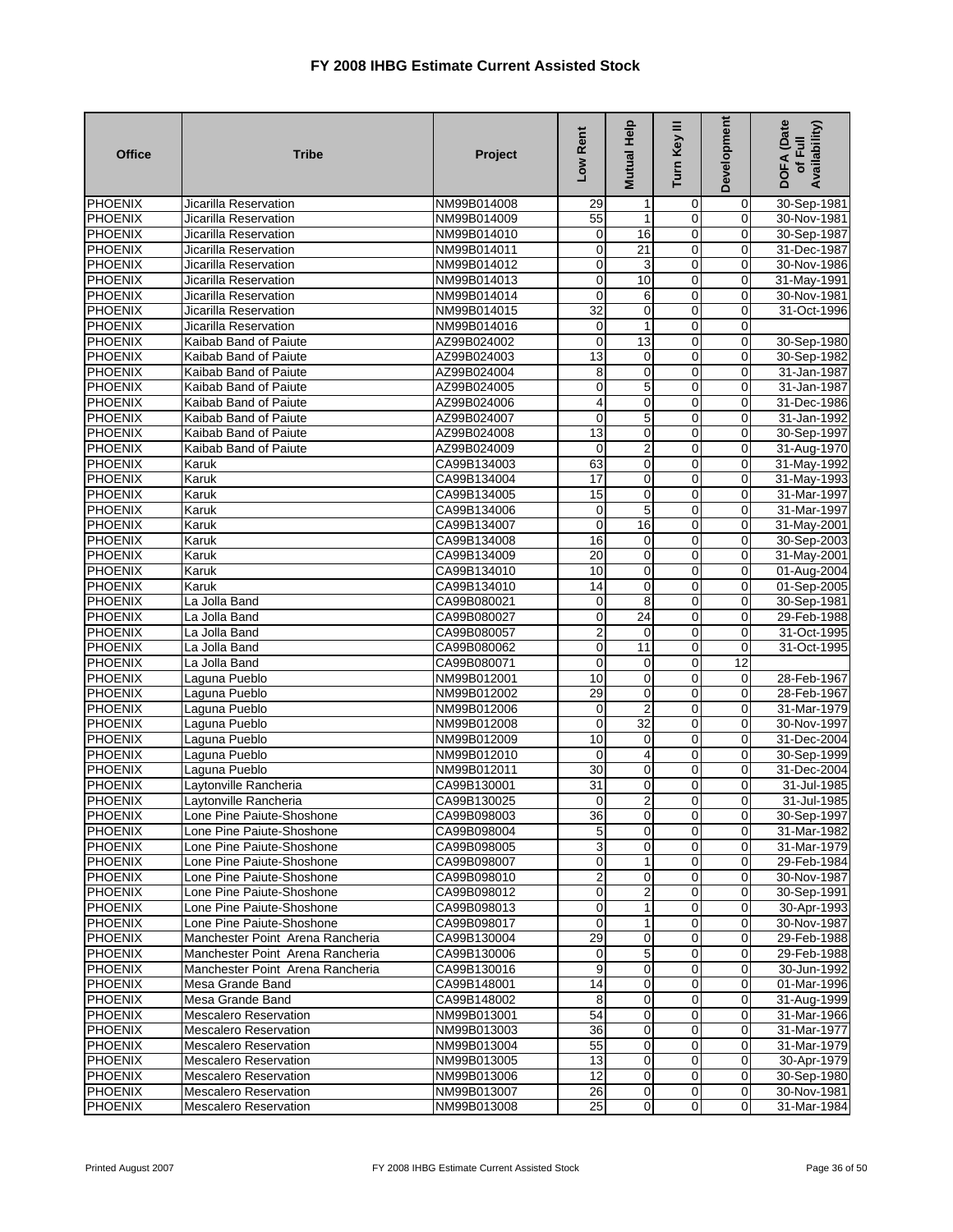| <b>Office</b>                    | <b>Tribe</b>                                           | Project                    | Low Rent                   | <b>Mutual Help</b>         | Turn Key III                  | Development                      | DOFA (Date<br>Availability)<br>of Full |
|----------------------------------|--------------------------------------------------------|----------------------------|----------------------------|----------------------------|-------------------------------|----------------------------------|----------------------------------------|
| PHOENIX                          | Jicarilla Reservation                                  | NM99B014008                | 29                         |                            | 0                             | 0                                | 30-Sep-1981                            |
| PHOENIX                          | Jicarilla Reservation                                  | NM99B014009                | 55                         | 1                          | 0                             | $\mathbf 0$                      | 30-Nov-1981                            |
| <b>PHOENIX</b>                   | Jicarilla Reservation                                  | NM99B014010                | 0                          | 16                         | 0                             | 0                                | 30-Sep-1987                            |
| <b>PHOENIX</b>                   | Jicarilla Reservation                                  | NM99B014011                | $\mathbf 0$                | $\overline{21}$            | $\overline{0}$                | 0                                | 31-Dec-1987                            |
| <b>PHOENIX</b>                   | Jicarilla Reservation                                  | NM99B014012                | $\mathbf 0$                | 3                          | $\mathbf 0$                   | 0                                | 30-Nov-1986                            |
| PHOENIX                          | Jicarilla Reservation                                  | NM99B014013                | $\mathbf 0$                | 10                         | $\mathbf 0$                   | 0                                | 31-May-1991                            |
| <b>PHOENIX</b>                   | Jicarilla Reservation                                  | NM99B014014                | 0                          | 6                          | 0                             | $\mathbf 0$                      | 30-Nov-1981                            |
| <b>PHOENIX</b>                   | Jicarilla Reservation                                  | NM99B014015                | 32                         | 0                          | 0                             | 0                                | 31-Oct-1996                            |
| <b>PHOENIX</b>                   | Jicarilla Reservation                                  | NM99B014016                | 0                          | 1                          | $\mathbf 0$                   | 0                                |                                        |
| PHOENIX                          | Kaibab Band of Paiute                                  | AZ99B024002                | $\mathbf 0$<br>13          | 13                         | $\mathbf 0$<br>0              | $\mathbf 0$<br>0                 | 30-Sep-1980                            |
| <b>PHOENIX</b><br><b>PHOENIX</b> | Kaibab Band of Paiute<br>Kaibab Band of Paiute         | AZ99B024003<br>AZ99B024004 | 8                          | $\mathbf 0$<br>$\mathbf 0$ | $\overline{0}$                | 0                                | 30-Sep-1982                            |
| PHOENIX                          | Kaibab Band of Paiute                                  | AZ99B024005                | $\mathbf 0$                | 5                          | $\mathbf 0$                   | $\mathbf 0$                      | 31-Jan-1987<br>31-Jan-1987             |
| <b>PHOENIX</b>                   | Kaibab Band of Paiute                                  | AZ99B024006                | 4                          | 0                          | 0                             | 0                                | 31-Dec-1986                            |
| PHOENIX                          | Kaibab Band of Paiute                                  | AZ99B024007                | 0                          | 5                          | $\mathbf 0$                   | 0                                | 31-Jan-1992                            |
| <b>PHOENIX</b>                   | Kaibab Band of Paiute                                  | AZ99B024008                | 13                         | 0                          | $\overline{0}$                | $\mathbf 0$                      | 30-Sep-1997                            |
| PHOENIX                          | Kaibab Band of Paiute                                  | AZ99B024009                | 0                          | 2                          | $\overline{0}$                | 0                                | 31-Aug-1970                            |
| PHOENIX                          | Karuk                                                  | CA99B134003                | 63                         | $\mathbf 0$                | $\mathbf 0$                   | $\mathbf 0$                      | 31-May-1992                            |
| <b>PHOENIX</b>                   | Karuk                                                  | CA99B134004                | $\overline{17}$            | $\mathbf 0$                | $\overline{0}$                | 0                                | 31-May-1993                            |
| <b>PHOENIX</b>                   | Karuk                                                  | CA99B134005                | 15                         | 0                          | $\overline{0}$                | 0                                | 31-Mar-1997                            |
| <b>PHOENIX</b>                   | Karuk                                                  | CA99B134006                | 0                          | 5                          | $\overline{0}$                | $\mathbf 0$                      | 31-Mar-1997                            |
| PHOENIX                          | Karuk                                                  | CA99B134007                | 0                          | 16                         | $\mathbf 0$                   | 0                                | 31-May-2001                            |
| <b>PHOENIX</b>                   | Karuk                                                  | CA99B134008                | 16                         | $\mathbf 0$                | $\mathbf 0$                   | $\mathbf 0$                      | 30-Sep-2003                            |
| <b>PHOENIX</b>                   | Karuk                                                  | CA99B134009                | $\overline{20}$            | $\mathbf 0$                | $\overline{0}$                | $\overline{0}$                   | 31-May-2001                            |
| <b>PHOENIX</b>                   | Karuk                                                  | CA99B134010                | 10                         | 0                          | $\mathbf 0$                   | 0                                | 01-Aug-2004                            |
| PHOENIX                          | Karuk                                                  | CA99B134010                | $\overline{14}$            | $\overline{0}$             | $\overline{0}$                | $\mathbf 0$                      | 01-Sep-2005                            |
| PHOENIX                          | La Jolla Band                                          | CA99B080021                | 0                          | 8                          | 0                             | $\mathbf 0$                      | 30-Sep-1981                            |
| <b>PHOENIX</b>                   | La Jolla Band                                          | CA99B080027                | 0                          | 24                         | 0                             | 0                                | 29-Feb-1988                            |
| <b>PHOENIX</b>                   | La Jolla Band                                          | CA99B080057                | 2                          | 0                          | 0                             | $\mathbf 0$                      | 31-Oct-1995                            |
| <b>PHOENIX</b>                   | La Jolla Band                                          | CA99B080062                | $\mathbf 0$                | 11                         | $\mathbf 0$                   | 0                                | 31-Oct-1995                            |
| PHOENIX                          | La Jolla Band                                          | CA99B080071                | 0                          | 0                          | $\mathbf 0$                   | 12                               |                                        |
| PHOENIX                          | Laguna Pueblo                                          | NM99B012001                | 10                         | $\mathbf 0$                | $\mathbf 0$                   | 0                                | 28-Feb-1967                            |
| <b>PHOENIX</b>                   | Laguna Pueblo                                          | NM99B012002                | 29                         | $\mathbf 0$                | $\mathbf 0$                   | 0                                | 28-Feb-1967                            |
| <b>PHOENIX</b>                   | Laguna Pueblo                                          | NM99B012006                | 0                          | $\overline{2}$             | 0                             | 0                                | 31-Mar-1979                            |
| PHOENIX                          | Laguna Pueblo                                          | NM99B012008                | $\mathbf 0$                | 32                         | $\mathbf 0$                   | $\mathbf 0$                      | 30-Nov-1997                            |
| <b>PHOENIX</b>                   | Laguna Pueblo                                          | NM99B012009                | 10                         | 0                          | 0                             | 0                                | 31-Dec-2004                            |
| <b>PHOENIX</b>                   | Laguna Pueblo                                          | NM99B012010                | 0                          | 4                          | $\overline{0}$                | 0                                | 30-Sep-1999                            |
| <b>PHOENIX</b>                   | Laguna Pueblo                                          | NM99B012011                | 30                         | 0                          | $\mathbf 0$                   | 0                                | 31-Dec-2004                            |
| <b>PHOENIX</b>                   | Laytonville Rancheria                                  | CA99B130001                | 31                         | 0                          | 0                             | 0                                | 31-Jul-1985                            |
| PHOENIX                          | Lavtonville Rancheria                                  | CA99B130025                | $\overline{O}$             | $\overline{a}$             | $\mathbf 0$                   | $\mathbf 0$                      | 31-Jul-1985                            |
| <b>PHOENIX</b>                   | Lone Pine Paiute-Shoshone                              | CA99B098003                | 36                         | $\overline{0}$             | 0                             | $\overline{0}$                   | 30-Sep-1997                            |
| <b>PHOENIX</b>                   | Lone Pine Paiute-Shoshone                              | CA99B098004                | 5                          | 0                          | $\mathbf 0$                   | 0                                | 31-Mar-1982                            |
| <b>PHOENIX</b>                   | Lone Pine Paiute-Shoshone                              | CA99B098005                | 3                          | $\overline{0}$             | $\overline{0}$                | 0                                | 31-Mar-1979                            |
| <b>PHOENIX</b>                   | Lone Pine Paiute-Shoshone                              | CA99B098007                | $\mathbf 0$                | 1                          | $\overline{0}$                | $\overline{0}$                   | 29-Feb-1984                            |
| <b>PHOENIX</b>                   | Lone Pine Paiute-Shoshone                              | CA99B098010                | $\overline{c}$<br>0        | $\mathbf 0$                | $\mathbf 0$<br>$\overline{0}$ | 0                                | 30-Nov-1987                            |
| <b>PHOENIX</b>                   | Lone Pine Paiute-Shoshone                              | CA99B098012                |                            | 2                          | $\mathbf 0$                   | 0                                | 30-Sep-1991                            |
| <b>PHOENIX</b><br><b>PHOENIX</b> | Lone Pine Paiute-Shoshone<br>Lone Pine Paiute-Shoshone | CA99B098013<br>CA99B098017 | $\mathbf 0$<br>$\mathbf 0$ | 1                          | $\mathbf 0$                   | $\overline{0}$<br>$\overline{0}$ | 30-Apr-1993<br>30-Nov-1987             |
| <b>PHOENIX</b>                   | Manchester Point Arena Rancheria                       |                            | 29                         | 1<br>$\mathbf 0$           | $\mathbf 0$                   | $\mathbf 0$                      | 29-Feb-1988                            |
| <b>PHOENIX</b>                   | Manchester Point Arena Rancheria                       | CA99B130004<br>CA99B130006 | 0                          | 5                          | $\overline{0}$                | 0                                | 29-Feb-1988                            |
| <b>PHOENIX</b>                   | Manchester Point Arena Rancheria                       | CA99B130016                | 9                          | $\overline{0}$             | $\overline{0}$                | $\overline{0}$                   | 30-Jun-1992                            |
| PHOENIX                          | Mesa Grande Band                                       | CA99B148001                | 14                         | $\mathbf 0$                | $\mathbf 0$                   | 0                                | 01-Mar-1996                            |
| PHOENIX                          | Mesa Grande Band                                       | CA99B148002                | 8                          | $\mathbf 0$                | $\overline{0}$                | 0                                | 31-Aug-1999                            |
| PHOENIX                          | <b>Mescalero Reservation</b>                           | NM99B013001                | 54                         | $\mathbf 0$                | $\mathbf 0$                   | 0                                | 31-Mar-1966                            |
| <b>PHOENIX</b>                   | <b>Mescalero Reservation</b>                           | NM99B013003                | 36                         | $\mathbf 0$                | $\overline{0}$                | 0                                | 31-Mar-1977                            |
| <b>PHOENIX</b>                   | Mescalero Reservation                                  | NM99B013004                | 55                         | $\mathbf 0$                | $\mathbf 0$                   | 0                                | 31-Mar-1979                            |
| <b>PHOENIX</b>                   | <b>Mescalero Reservation</b>                           | NM99B013005                | 13                         | $\mathbf 0$                | $\mathbf 0$                   | 0                                | 30-Apr-1979                            |
| <b>PHOENIX</b>                   | Mescalero Reservation                                  | NM99B013006                | 12                         | $\overline{0}$             | $\mathbf 0$                   | $\overline{0}$                   | 30-Sep-1980                            |
| PHOENIX                          | <b>Mescalero Reservation</b>                           | NM99B013007                | 26                         | $\overline{0}$             | $\mathbf 0$                   | $\mathbf 0$                      | 30-Nov-1981                            |
| <b>PHOENIX</b>                   | Mescalero Reservation                                  | NM99B013008                | 25                         | $\mathbf 0$                | $\overline{0}$                | $\boldsymbol{0}$                 | 31-Mar-1984                            |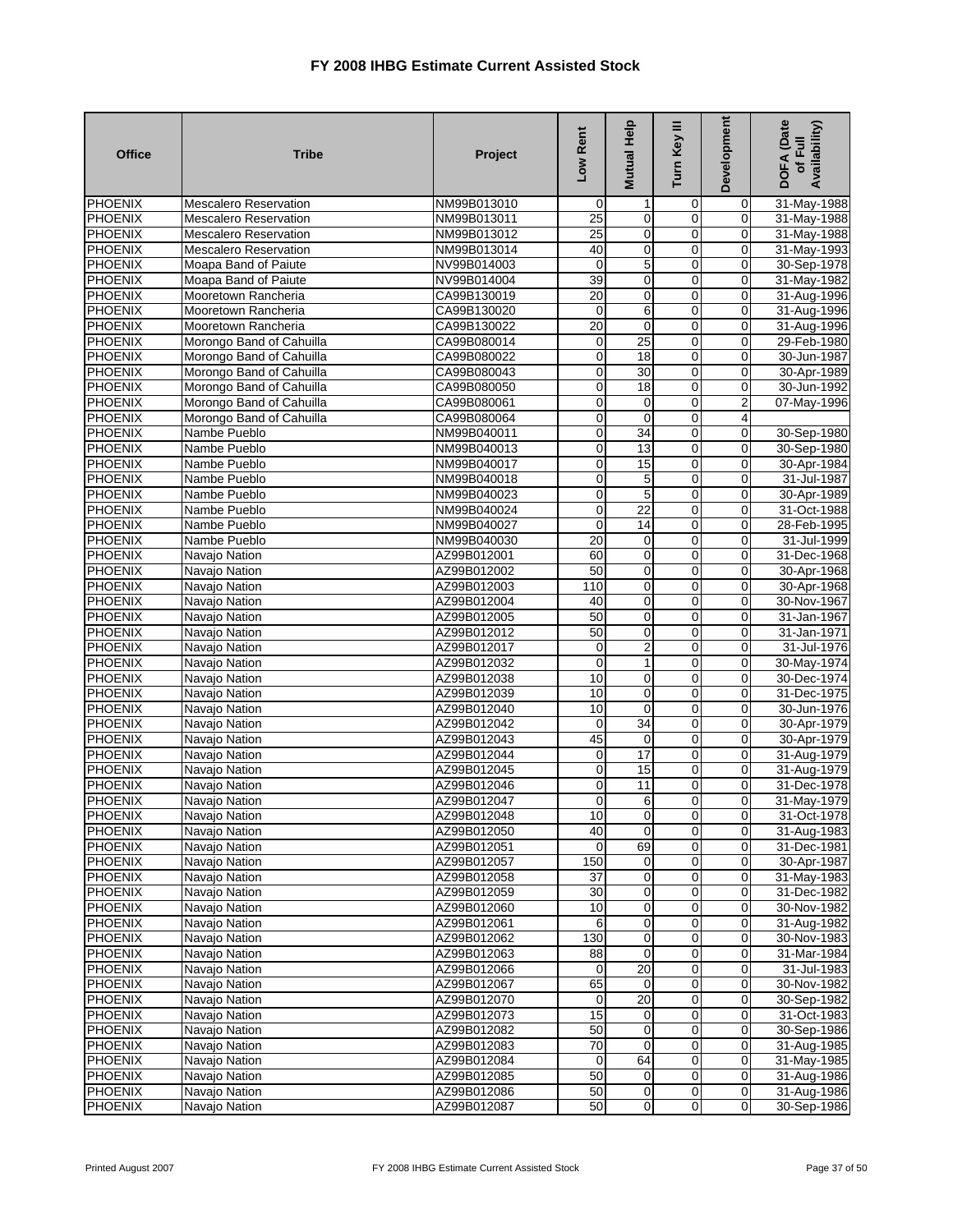| <b>Office</b>                    | <b>Tribe</b>                                         | Project                    | Low Rent          | <b>Mutual Help</b>                   | Turn Key III                  | Development                   | <b>DOFA</b> (Date<br>Availability)<br>of Full |
|----------------------------------|------------------------------------------------------|----------------------------|-------------------|--------------------------------------|-------------------------------|-------------------------------|-----------------------------------------------|
| PHOENIX                          | <b>Mescalero Reservation</b>                         | NM99B013010                | $\overline{0}$    |                                      | 0                             | 0                             | 31-May-1988                                   |
| <b>PHOENIX</b>                   | <b>Mescalero Reservation</b>                         | NM99B013011                | $\overline{25}$   | $\mathbf 0$                          | $\mathbf 0$                   | $\mathbf 0$                   | 31-May-1988                                   |
| <b>PHOENIX</b>                   | <b>Mescalero Reservation</b>                         | NM99B013012                | $\overline{25}$   | $\mathbf 0$                          | 0                             | 0                             | 31-May-1988                                   |
| <b>PHOENIX</b>                   | <b>Mescalero Reservation</b>                         | NM99B013014                | 40                | $\overline{\mathbf{0}}$              | $\overline{0}$                | 0                             | 31-May-1993                                   |
| <b>PHOENIX</b>                   | Moapa Band of Paiute                                 | NV99B014003                | $\overline{0}$    | $\overline{5}$                       | 0                             | 0                             | 30-Sep-1978                                   |
| PHOENIX                          | Moapa Band of Paiute                                 | NV99B014004                | 39                | $\pmb{0}$                            | $\mathbf 0$                   | 0                             | 31-May-1982                                   |
| <b>PHOENIX</b>                   | Mooretown Rancheria                                  | CA99B130019                | $\overline{20}$   | $\pmb{0}$                            | $\mathbf 0$                   | 0                             | 31-Aug-1996                                   |
| <b>PHOENIX</b>                   | Mooretown Rancheria                                  | CA99B130020                | $\mathbf 0$       | $\overline{6}$                       | $\overline{0}$                | $\mathbf 0$                   | 31-Aug-1996                                   |
| <b>PHOENIX</b><br>PHOENIX        | Mooretown Rancheria                                  | CA99B130022<br>CA99B080014 | 20<br>$\mathbf 0$ | $\overline{0}$<br>25                 | $\pmb{0}$<br>$\mathbf 0$      | $\overline{0}$<br>$\mathbf 0$ | 31-Aug-1996                                   |
| <b>PHOENIX</b>                   | Morongo Band of Cahuilla<br>Morongo Band of Cahuilla | CA99B080022                | $\mathbf 0$       | 18                                   | 0                             | 0                             | 29-Feb-1980<br>30-Jun-1987                    |
| <b>PHOENIX</b>                   | Morongo Band of Cahuilla                             | CA99B080043                | $\mathbf 0$       | 30                                   | $\overline{0}$                | 0                             | 30-Apr-1989                                   |
| PHOENIX                          | Morongo Band of Cahuilla                             | CA99B080050                | $\mathbf 0$       | 18                                   | $\mathbf 0$                   | 0                             | 30-Jun-1992                                   |
| <b>PHOENIX</b>                   | Morongo Band of Cahuilla                             | CA99B080061                | $\mathbf 0$       | $\mathbf 0$                          | 0                             | 2                             | 07-May-1996                                   |
| PHOENIX                          | Morongo Band of Cahuilla                             | CA99B080064                | $\mathbf 0$       | $\mathbf 0$                          | 0                             | 4                             |                                               |
| <b>PHOENIX</b>                   | Nambe Pueblo                                         | NM99B040011                | $\overline{0}$    | 34                                   | $\overline{0}$                | $\overline{0}$                | 30-Sep-1980                                   |
| <b>PHOENIX</b>                   | Nambe Pueblo                                         | NM99B040013                | $\boldsymbol{0}$  | 13                                   | $\overline{0}$                | 0                             | 30-Sep-1980                                   |
| <b>PHOENIX</b>                   | Nambe Pueblo                                         | NM99B040017                | $\mathbf 0$       | 15                                   | 0                             | 0                             | 30-Apr-1984                                   |
| <b>PHOENIX</b>                   | Nambe Pueblo                                         | NM99B040018                | $\overline{0}$    | $\mathbf 5$                          | $\overline{0}$                | 0                             | 31-Jul-1987                                   |
| <b>PHOENIX</b>                   | Nambe Pueblo                                         | NM99B040023                | $\overline{0}$    | $\overline{5}$                       | $\overline{0}$                | 0                             | 30-Apr-1989                                   |
| <b>PHOENIX</b>                   | Nambe Pueblo                                         | NM99B040024                | $\overline{0}$    | $\overline{22}$                      | 0                             | $\mathbf 0$                   | 31-Oct-1988                                   |
| <b>PHOENIX</b>                   | Nambe Pueblo                                         | NM99B040027                | $\mathbf 0$       | 14                                   | 0                             | 0                             | 28-Feb-1995                                   |
| <b>PHOENIX</b>                   | Nambe Pueblo                                         | NM99B040030                | $\overline{20}$   | $\pmb{0}$                            | $\overline{0}$                | 0                             | 31-Jul-1999                                   |
| <b>PHOENIX</b>                   | Navajo Nation                                        | AZ99B012001                | 60                | $\overline{0}$                       | $\overline{0}$                | 0                             | 31-Dec-1968                                   |
| <b>PHOENIX</b>                   | Navajo Nation                                        | AZ99B012002                | 50                | 0                                    | 0                             | 0                             | 30-Apr-1968                                   |
| <b>PHOENIX</b>                   | Navajo Nation                                        | AZ99B012003                | 110               | $\overline{0}$                       | $\overline{0}$                | $\mathbf 0$                   | 30-Apr-1968                                   |
| PHOENIX                          | Navajo Nation                                        | AZ99B012004                | 40                | $\mathbf 0$                          | 0                             | 0                             | 30-Nov-1967                                   |
| <b>PHOENIX</b>                   | Navajo Nation                                        | AZ99B012005                | 50                | 0                                    | 0                             | 0                             | 31-Jan-1967                                   |
| PHOENIX                          | Navajo Nation                                        | AZ99B012012                | 50                | 0                                    | 0                             | 0                             | 31-Jan-1971                                   |
| <b>PHOENIX</b>                   | Navajo Nation                                        | AZ99B012017                | $\overline{0}$    | $\overline{2}$                       | $\overline{0}$                | 0                             | 31-Jul-1976                                   |
| PHOENIX                          | Navajo Nation                                        | AZ99B012032                | $\mathbf 0$       | 1                                    | $\mathbf 0$                   | 0                             | 30-May-1974                                   |
| PHOENIX<br><b>PHOENIX</b>        | Navajo Nation                                        | AZ99B012038<br>AZ99B012039 | 10<br>10          | $\pmb{0}$<br>$\overline{\mathbf{0}}$ | $\mathbf 0$<br>$\overline{0}$ | 0<br>0                        | 30-Dec-1974<br>31-Dec-1975                    |
| <b>PHOENIX</b>                   | Navajo Nation                                        | AZ99B012040                | 10                | $\mathbf 0$                          | $\mathbf 0$                   | 0                             | 30-Jun-1976                                   |
| PHOENIX                          | Navajo Nation<br>Navajo Nation                       | AZ99B012042                | $\mathbf 0$       | 34                                   | $\mathbf 0$                   | $\mathbf 0$                   | 30-Apr-1979                                   |
| <b>PHOENIX</b>                   | Navajo Nation                                        | AZ99B012043                | 45                | $\mathbf 0$                          | 0                             | 0                             | 30-Apr-1979                                   |
| PHOENIX                          | Navajo Nation                                        | AZ99B012044                | $\mathbf 0$       | 17                                   | $\overline{0}$                | 0                             | 31-Aug-1979                                   |
| PHOENIX                          | Navajo Nation                                        | AZ99B012045                | $\mathbf 0$       | 15                                   | $\mathbf 0$                   | 0                             | 31-Aug-1979                                   |
| PHOENIX                          | Navajo Nation                                        | AZ99B012046                | $\mathbf 0$       | 11                                   | 0                             | 0                             | 31-Dec-1978                                   |
| PHOENIX                          | Navajo Nation                                        | AZ99B012047                | $\overline{0}$    | 6                                    | $\mathbf 0$                   | $\mathbf 0$                   | 31-May-1979                                   |
| <b>PHOENIX</b>                   | Navajo Nation                                        | AZ99B012048                | 10                | $\boldsymbol{0}$                     | 0                             | 0                             | 31-Oct-1978                                   |
| PHOENIX                          | Navajo Nation                                        | AZ99B012050                | 40                | $\overline{0}$                       | $\overline{0}$                | 0                             | 31-Aug-1983                                   |
| <b>PHOENIX</b>                   | Navajo Nation                                        | AZ99B012051                | $\mathbf 0$       | 69                                   | 0                             | 0                             | 31-Dec-1981                                   |
| <b>PHOENIX</b>                   | Navajo Nation                                        | AZ99B012057                | 150               | $\mathbf 0$                          | 0                             | 0                             | 30-Apr-1987                                   |
| <b>PHOENIX</b>                   | Navajo Nation                                        | AZ99B012058                | 37                | $\overline{0}$                       | 0                             | 0                             | 31-May-1983                                   |
| <b>PHOENIX</b>                   | Navajo Nation                                        | AZ99B012059                | 30                | $\pmb{0}$                            | 0                             | 0                             | 31-Dec-1982                                   |
| <b>PHOENIX</b>                   | Navajo Nation                                        | AZ99B012060                | 10                | 0                                    | 0                             | 0                             | 30-Nov-1982                                   |
| <b>PHOENIX</b>                   | Navajo Nation                                        | AZ99B012061                | 6                 | $\overline{0}$                       | 0                             | $\overline{0}$                | 31-Aug-1982                                   |
| <b>PHOENIX</b>                   | Navajo Nation                                        | AZ99B012062                | 130               | $\overline{0}$                       | 0                             | 0                             | 30-Nov-1983                                   |
| <b>PHOENIX</b>                   | Navajo Nation                                        | AZ99B012063                | 88                | 0                                    | $\mathbf 0$                   | 0                             | 31-Mar-1984                                   |
| <b>PHOENIX</b>                   | Navajo Nation                                        | AZ99B012066                | $\mathbf 0$       | 20                                   | $\pmb{0}$                     | 0                             | 31-Jul-1983                                   |
| <b>PHOENIX</b>                   | Navajo Nation                                        | AZ99B012067                | 65                | $\mathbf{O}$                         | 0                             | 0                             | 30-Nov-1982                                   |
| PHOENIX                          | Navajo Nation                                        | AZ99B012070                | 0                 | $\overline{20}$                      | 0                             | 0                             | 30-Sep-1982                                   |
| PHOENIX                          | Navajo Nation                                        | AZ99B012073                | 15                | $\mathbf 0$                          | 0                             | 0                             | 31-Oct-1983                                   |
| <b>PHOENIX</b><br><b>PHOENIX</b> | Navajo Nation<br>Navajo Nation                       | AZ99B012082<br>AZ99B012083 | 50<br>70          | $\mathbf 0$<br>$\pmb{0}$             | 0<br>0                        | 0<br>0                        | 30-Sep-1986<br>31-Aug-1985                    |
| <b>PHOENIX</b>                   | Navajo Nation                                        | AZ99B012084                | 0                 | 64                                   | 0                             | 0                             | 31-May-1985                                   |
| <b>PHOENIX</b>                   | Navajo Nation                                        | AZ99B012085                | 50                | $\mathbf 0$                          | 0                             | $\overline{0}$                | 31-Aug-1986                                   |
| <b>PHOENIX</b>                   | Navajo Nation                                        | AZ99B012086                | 50                | $\overline{0}$                       | $\pmb{0}$                     | $\overline{0}$                | 31-Aug-1986                                   |
| <b>PHOENIX</b>                   | Navajo Nation                                        | AZ99B012087                | 50                | $\overline{0}$                       | $\mathsf{O}\xspace$           | $\mathbf 0$                   | 30-Sep-1986                                   |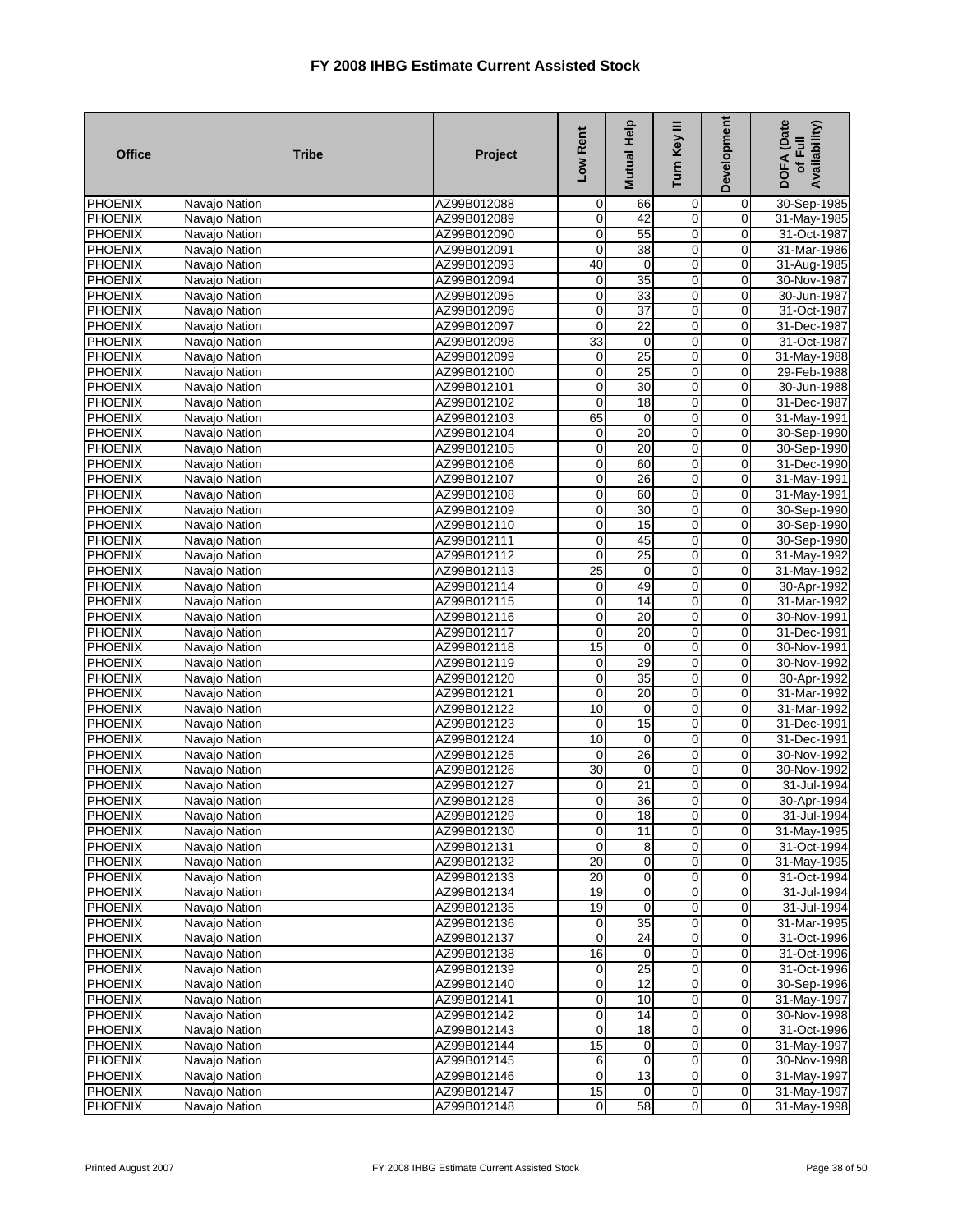| <b>Office</b>                    | <b>Tribe</b>                   | Project                    | Low Rent         | Mutual Help           | Turn Key III                           | Development    | DOFA (Date<br>Availability)<br>of Full |
|----------------------------------|--------------------------------|----------------------------|------------------|-----------------------|----------------------------------------|----------------|----------------------------------------|
| <b>PHOENIX</b>                   | Navajo Nation                  | AZ99B012088                | $\mathbf 0$      | 66                    | 0                                      | 0              | 30-Sep-1985                            |
| <b>PHOENIX</b>                   | Navajo Nation                  | AZ99B012089                | 0                | 42                    | $\mathbf 0$                            | $\mathbf 0$    | 31-May-1985                            |
| <b>PHOENIX</b>                   | Navajo Nation                  | AZ99B012090                | $\pmb{0}$        | 55                    | $\overline{\mathbf{0}}$                | 0              | 31-Oct-1987                            |
| <b>PHOENIX</b>                   | Navajo Nation                  | AZ99B012091                | 0                | 38                    | $\overline{0}$                         | $\mathbf 0$    | 31-Mar-1986                            |
| PHOENIX                          | Navajo Nation                  | AZ99B012093                | 40               | $\pmb{0}$             | $\mathbf 0$                            | 0              | 31-Aug-1985                            |
| PHOENIX                          | Navajo Nation                  | AZ99B012094                | 0                | 35                    | $\mathbf 0$                            | 0              | 30-Nov-1987                            |
| PHOENIX                          | Navajo Nation                  | AZ99B012095                | $\mathbf 0$      | 33                    | $\mathbf 0$                            | 0              | 30-Jun-1987                            |
| <b>PHOENIX</b>                   | Navajo Nation                  | AZ99B012096                | 0                | $\overline{37}$       | $\pmb{0}$                              | 0              | 31-Oct-1987                            |
| PHOENIX                          | Navajo Nation                  | AZ99B012097                | $\mathbf 0$      | 22                    | $\overline{\mathbf{0}}$                | $\mathbf 0$    | 31-Dec-1987                            |
| PHOENIX                          | Navajo Nation                  | AZ99B012098                | 33               | $\mathbf 0$           | $\mathbf 0$                            | $\mathbf 0$    | 31-Oct-1987                            |
| <b>PHOENIX</b>                   | Navajo Nation                  | AZ99B012099                | 0                | 25                    | $\mathbf 0$                            | 0              | 31-May-1988                            |
| <b>PHOENIX</b>                   | Navajo Nation                  | AZ99B012100                | $\mathbf 0$      | 25                    | $\overline{0}$                         | 0              | 29-Feb-1988                            |
| <b>PHOENIX</b>                   | Navajo Nation                  | AZ99B012101                | $\mathbf 0$      | 30                    | $\mathbf 0$<br>$\mathbf 0$             | 0              | 30-Jun-1988                            |
| <b>PHOENIX</b>                   | Navajo Nation                  | AZ99B012102                | 0<br>65          | 18                    | $\mathbf 0$                            | 0<br>0         | 31-Dec-1987                            |
| PHOENIX<br><b>PHOENIX</b>        | Navajo Nation                  | AZ99B012103<br>AZ99B012104 | 0                | 0<br>20               | $\overline{0}$                         | 0              | 31-May-1991<br>30-Sep-1990             |
| <b>PHOENIX</b>                   | Navajo Nation<br>Navajo Nation | AZ99B012105                | $\mathbf 0$      | 20                    | $\pmb{0}$                              | 0              | 30-Sep-1990                            |
| PHOENIX                          | Navajo Nation                  | AZ99B012106                | $\mathbf 0$      | 60                    | $\overline{0}$                         | $\mathbf 0$    | 31-Dec-1990                            |
| <b>PHOENIX</b>                   | Navajo Nation                  | AZ99B012107                | $\mathbf 0$      | 26                    | 0                                      | 0              | 31-May-1991                            |
| <b>PHOENIX</b>                   | Navajo Nation                  | AZ99B012108                | $\pmb{0}$        | 60                    | $\overline{0}$                         | 0              | 31-May-1991                            |
| <b>PHOENIX</b>                   | Navajo Nation                  | AZ99B012109                | O                | 30                    | $\overline{0}$                         | $\overline{0}$ | 30-Sep-1990                            |
| PHOENIX                          | Navajo Nation                  | AZ99B012110                | $\mathbf 0$      | 15                    | $\mathbf 0$                            | 0              | 30-Sep-1990                            |
| PHOENIX                          | Navajo Nation                  | AZ99B012111                | $\mathbf 0$      | 45                    | $\mathbf 0$                            | $\mathbf 0$    | 30-Sep-1990                            |
| <b>PHOENIX</b>                   | Navajo Nation                  | AZ99B012112                | 0                | 25                    | $\overline{0}$                         | 0              | 31-May-1992                            |
| PHOENIX                          | Navajo Nation                  | AZ99B012113                | $\overline{25}$  | 0                     | $\overline{0}$                         | 0              | 31-May-1992                            |
| PHOENIX                          | Navajo Nation                  | AZ99B012114                | $\pmb{0}$        | 49                    | $\mathbf 0$                            | $\mathbf 0$    | 30-Apr-1992                            |
| <b>PHOENIX</b>                   | Navajo Nation                  | AZ99B012115                | $\mathbf 0$      | 14                    | 0                                      | 0              | 31-Mar-1992                            |
| <b>PHOENIX</b>                   | Navajo Nation                  | AZ99B012116                | $\pmb{0}$        | 20                    | $\overline{0}$                         | 0              | 30-Nov-1991                            |
| <b>PHOENIX</b>                   | Navajo Nation                  | AZ99B012117                | $\mathbf 0$      | $\overline{20}$       | $\overline{0}$                         | $\mathbf 0$    | 31-Dec-1991                            |
| <b>PHOENIX</b>                   | Navajo Nation                  | AZ99B012118                | 15               | $\mathbf 0$           | 0                                      | 0              | 30-Nov-1991                            |
| <b>PHOENIX</b>                   | Navajo Nation                  | AZ99B012119                | $\pmb{0}$        | 29                    | $\overline{0}$                         | $\pmb{0}$      | 30-Nov-1992                            |
| PHOENIX                          | Navajo Nation                  | AZ99B012120                | $\mathbf 0$      | 35                    | $\mathbf 0$                            | 0              | 30-Apr-1992                            |
| <b>PHOENIX</b>                   | Navajo Nation                  | AZ99B012121                | 0                | 20                    | $\pmb{0}$                              | 0              | 31-Mar-1992                            |
| PHOENIX                          | Navajo Nation                  | AZ99B012122                | 10               | $\mathbf 0$           | $\overline{0}$                         | $\mathbf 0$    | 31-Mar-1992                            |
| <b>PHOENIX</b>                   | Navajo Nation                  | AZ99B012123                | 0                | 15                    | $\mathbf 0$                            | 0              | 31-Dec-1991                            |
| <b>PHOENIX</b>                   | Navajo Nation                  | AZ99B012124                | 10               | 0                     | $\mathbf 0$                            | 0              | 31-Dec-1991                            |
| <b>PHOENIX</b>                   | Navajo Nation                  | AZ99B012125                | 0                | 26                    | $\overline{0}$                         | 0              | 30-Nov-1992                            |
| <b>PHOENIX</b>                   | Navajo Nation                  | AZ99B012126                | 30               | $\mathbf 0$           | $\mathbf 0$                            | $\mathbf 0$    | 30-Nov-1992                            |
| PHOENIX                          | Navajo Nation                  | AZ99B012127                | 0                | 21                    | 0                                      | 0              | 31-Jul-1994                            |
| <b>PHOENIX</b>                   | Navajo Nation                  | AZ99B012128                | $\mathbf 0$      | 36                    | $\mathbf 0$                            | $\mathbf 0$    | 30-Apr-1994                            |
| <b>PHOENIX</b>                   | Navajo Nation                  | AZ99B012129                | $\overline{0}$   | 18                    | $\mathbf{0}$                           | $\overline{0}$ | 31-Jul-1994                            |
| <b>PHOENIX</b>                   | Navajo Nation                  | AZ99B012130                | $\overline{0}$   | 11                    | $\overline{0}$                         | $\overline{0}$ | 31-May-1995                            |
| <b>PHOENIX</b>                   | Navajo Nation                  | AZ99B012131                | 0                | 8                     | $\mathbf 0$                            | $\mathbf 0$    | 31-Oct-1994                            |
| PHOENIX                          | Navajo Nation                  | AZ99B012132                | 20               | 0                     | $\mathbf 0$                            | $\overline{0}$ | 31-May-1995                            |
| <b>PHOENIX</b>                   | Navajo Nation                  | AZ99B012133                | $\overline{20}$  | $\overline{0}$        | $\overline{0}$                         | ō              | 31-Oct-1994                            |
| <b>PHOENIX</b>                   | Navajo Nation                  | AZ99B012134                | 19               | $\mathbf 0$           | 0                                      | 0              | 31-Jul-1994                            |
| <b>PHOENIX</b>                   | Navajo Nation                  | AZ99B012135                | 19               | 0                     | 0                                      | 0              | 31-Jul-1994                            |
| <b>PHOENIX</b><br><b>PHOENIX</b> | Navajo Nation                  | AZ99B012136<br>AZ99B012137 | 0<br>$\mathbf 0$ | 35<br>$\overline{24}$ | $\mathbf 0$                            | 0              | 31-Mar-1995                            |
|                                  | Navajo Nation                  |                            |                  |                       | $\mathbf 0$                            | 0              | 31-Oct-1996                            |
| <b>PHOENIX</b><br><b>PHOENIX</b> | Navajo Nation<br>Navajo Nation | AZ99B012138<br>AZ99B012139 | 16<br>0          | 0<br>25               | $\overline{\mathbf{0}}$<br>$\mathbf 0$ | 0<br>0         | 31-Oct-1996<br>31-Oct-1996             |
| <b>PHOENIX</b>                   | Navajo Nation                  | AZ99B012140                | $\mathbf 0$      | 12                    | $\mathbf 0$                            | $\mathbf 0$    | 30-Sep-1996                            |
| PHOENIX                          | Navajo Nation                  | AZ99B012141                | 0                | 10                    | $\mathbf 0$                            | 0              | 31-May-1997                            |
| PHOENIX                          | Navajo Nation                  | AZ99B012142                | 0                | $\overline{14}$       | $\mathbf 0$                            | 0              | 30-Nov-1998                            |
| <b>PHOENIX</b>                   | Navajo Nation                  | AZ99B012143                | $\mathbf 0$      | 18                    | 0                                      | $\overline{0}$ | 31-Oct-1996                            |
| PHOENIX                          | Navajo Nation                  | AZ99B012144                | 15               | $\mathbf 0$           | $\mathbf 0$                            | 0              | 31-May-1997                            |
| <b>PHOENIX</b>                   | Navajo Nation                  | AZ99B012145                | 6                | $\pmb{0}$             | $\mathbf 0$                            | $\mathbf 0$    | 30-Nov-1998                            |
| <b>PHOENIX</b>                   | Navajo Nation                  | AZ99B012146                | $\overline{O}$   | 13                    | $\mathbf 0$                            | $\mathbf 0$    | 31-May-1997                            |
| <b>PHOENIX</b>                   | Navajo Nation                  | AZ99B012147                | 15               | $\overline{0}$        | $\overline{0}$                         | $\overline{0}$ | 31-May-1997                            |
| <b>PHOENIX</b>                   | Navajo Nation                  | AZ99B012148                | $\overline{O}$   | 58                    | $\overline{0}$                         | 0              | 31-May-1998                            |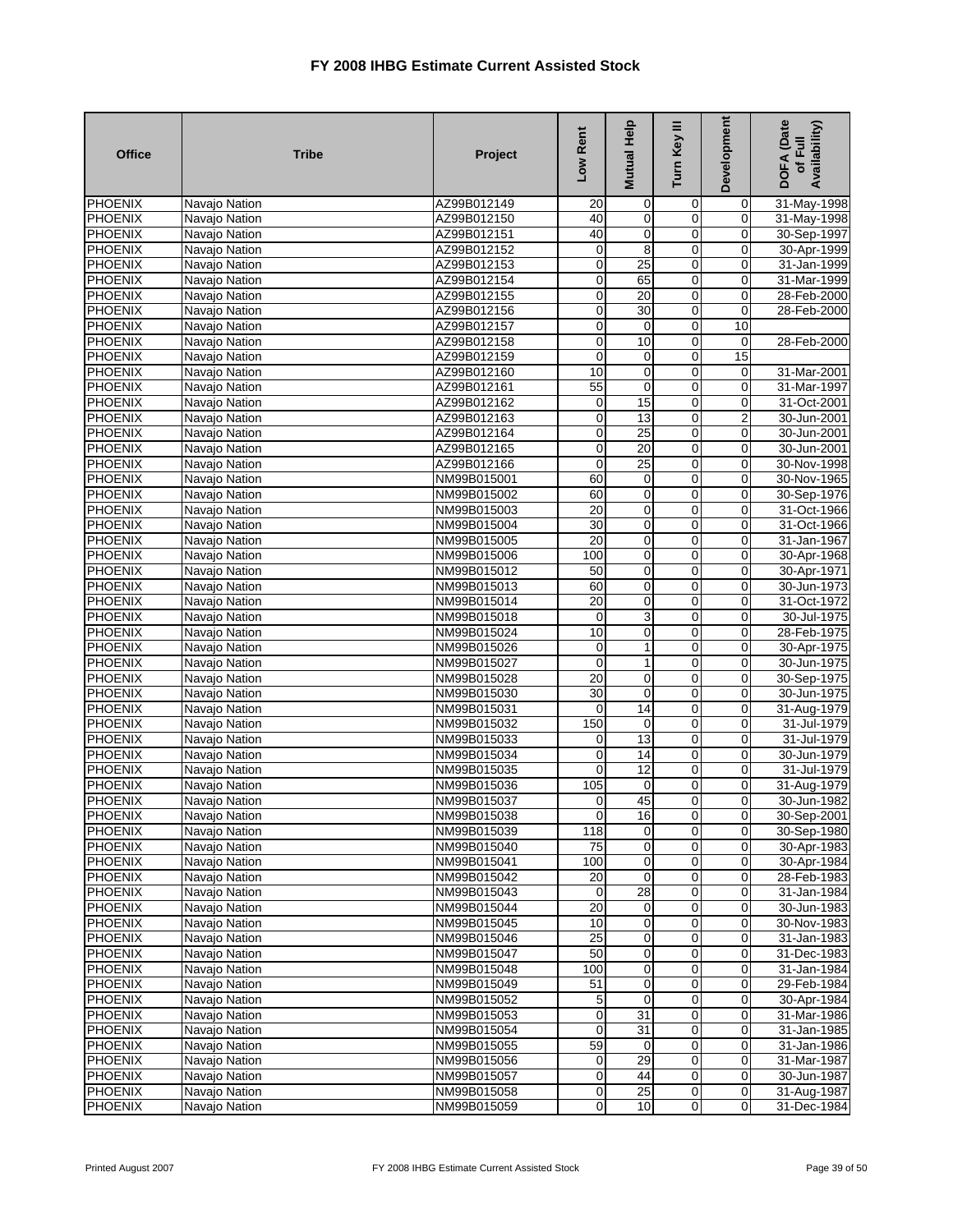| <b>Office</b>             | <b>Tribe</b>                   | Project                    | Low Rent                      | Mutual Help             | Turn Key III                 | Development     | DOFA (Date<br>Availability)<br>of Full |
|---------------------------|--------------------------------|----------------------------|-------------------------------|-------------------------|------------------------------|-----------------|----------------------------------------|
| <b>PHOENIX</b>            | Navajo Nation                  | AZ99B012149                | 20                            | 0                       | 0                            | $\mathbf 0$     | 31-May-1998                            |
| PHOENIX                   | Navajo Nation                  | AZ99B012150                | 40                            | $\mathbf 0$             | 0                            | $\overline{0}$  | 31-May-1998                            |
| <b>PHOENIX</b>            | Navajo Nation                  | AZ99B012151                | 40                            | O                       | $\overline{0}$               | $\pmb{0}$       | 30-Sep-1997                            |
| <b>PHOENIX</b>            | Navajo Nation                  | AZ99B012152                | $\mathbf 0$                   | $\overline{8}$          | 0                            | 0               | 30-Apr-1999                            |
| <b>PHOENIX</b>            | Navajo Nation                  | AZ99B012153                | $\overline{0}$                | 25                      | 0                            | 0               | 31-Jan-1999                            |
| PHOENIX                   | Navajo Nation                  | AZ99B012154                | $\overline{0}$                | 65                      | $\overline{0}$               | $\pmb{0}$       | 31-Mar-1999                            |
| PHOENIX                   | Navajo Nation                  | AZ99B012155                | $\overline{0}$                | 20                      | 0                            | 0               | 28-Feb-2000                            |
| <b>PHOENIX</b>            | Navajo Nation                  | AZ99B012156                | $\overline{0}$                | 30                      | 0                            | 0               | 28-Feb-2000                            |
| PHOENIX                   | Navajo Nation                  | AZ99B012157                | $\overline{0}$                | $\overline{\mathsf{o}}$ | $\overline{0}$               | $\overline{10}$ |                                        |
| <b>PHOENIX</b>            | Navajo Nation                  | AZ99B012158                | $\overline{0}$                | 10                      | 0                            | 0               | 28-Feb-2000                            |
| <b>PHOENIX</b>            | Navajo Nation                  | AZ99B012159                | $\mathbf 0$<br>10             | 0                       | 0<br>$\overline{0}$          | 15              |                                        |
| <b>PHOENIX</b>            | Navajo Nation                  | AZ99B012160                |                               | 0<br>0                  |                              | $\mathbf 0$     | 31-Mar-2001                            |
| <b>PHOENIX</b>            | Navajo Nation                  | AZ99B012161                | 55                            |                         | 0                            | 0               | 31-Mar-1997                            |
| PHOENIX<br>PHOENIX        | Navajo Nation                  | AZ99B012162<br>AZ99B012163 | $\mathbf 0$<br>$\overline{0}$ | 15<br>13                | 0<br>0                       | 0<br>2          | 31-Oct-2001<br>30-Jun-2001             |
| <b>PHOENIX</b>            | Navajo Nation<br>Navajo Nation | AZ99B012164                | $\overline{0}$                | 25                      | $\overline{0}$               | 0               | 30-Jun-2001                            |
| <b>PHOENIX</b>            | Navajo Nation                  | AZ99B012165                | $\overline{0}$                | $\overline{20}$         | 0                            | $\pmb{0}$       | 30-Jun-2001                            |
| PHOENIX                   | Navajo Nation                  | AZ99B012166                | $\mathbf 0$                   | 25                      | 0                            | $\overline{0}$  | 30-Nov-1998                            |
| <b>PHOENIX</b>            | Navajo Nation                  | NM99B015001                | 60                            | 0                       | 0                            | 0               | 30-Nov-1965                            |
| <b>PHOENIX</b>            | Navajo Nation                  | NM99B015002                | 60                            | O                       | $\overline{0}$               | 0               | 30-Sep-1976                            |
| <b>PHOENIX</b>            | Navajo Nation                  | NM99B015003                | 20                            | $\overline{\mathbf{0}}$ | $\overline{0}$               | 0               | 31-Oct-1966                            |
| <b>PHOENIX</b>            | Navajo Nation                  | NM99B015004                | 30                            | 0                       | 0                            | 0               | 31-Oct-1966                            |
| <b>PHOENIX</b>            | Navajo Nation                  | NM99B015005                | $\overline{20}$               | $\mathbf 0$             | 0                            | 0               | 31-Jan-1967                            |
| <b>PHOENIX</b>            | Navajo Nation                  | NM99B015006                | 100                           | $\overline{\mathbf{0}}$ | 0                            | 0               | 30-Apr-1968                            |
| <b>PHOENIX</b>            | Navajo Nation                  | NM99B015012                | 50                            | 0                       | $\overline{0}$               | 0               | 30-Apr-1971                            |
| <b>PHOENIX</b>            | Navajo Nation                  | NM99B015013                | 60                            | 0                       | 0                            | 0               | 30-Jun-1973                            |
| <b>PHOENIX</b>            | Navajo Nation                  | NM99B015014                | $\overline{20}$               | $\mathbf 0$             | 0                            | $\overline{0}$  | 31-Oct-1972                            |
| <b>PHOENIX</b>            | Navajo Nation                  | NM99B015018                | $\mathbf 0$                   | 3                       | $\overline{0}$               | 0               | 30-Jul-1975                            |
| <b>PHOENIX</b>            | Navajo Nation                  | NM99B015024                | 10                            | 0                       | 0                            | 0               | 28-Feb-1975                            |
| <b>PHOENIX</b>            | Navajo Nation                  | NM99B015026                | $\mathbf 0$                   | 1                       | 0                            | 0               | 30-Apr-1975                            |
| <b>PHOENIX</b>            | Navajo Nation                  | NM99B015027                | $\overline{0}$                | 1                       | 0                            | $\pmb{0}$       | 30-Jun-1975                            |
| PHOENIX                   | Navajo Nation                  | NM99B015028                | $\overline{20}$               | 0                       | 0                            | 0               | 30-Sep-1975                            |
| <b>PHOENIX</b>            | Navajo Nation                  | NM99B015030                | 30                            | 0                       | 0                            | 0               | 30-Jun-1975                            |
| <b>PHOENIX</b>            | Navajo Nation                  | NM99B015031                | $\overline{0}$                | 14                      | 0                            | $\mathbf 0$     | 31-Aug-1979                            |
| <b>PHOENIX</b>            | Navajo Nation                  | NM99B015032                | 150                           | 0                       | 0                            | 0               | 31-Jul-1979                            |
| <b>PHOENIX</b>            | Navajo Nation                  | NM99B015033                | 0                             | 13                      | $\mathbf 0$                  | 0               | 31-Jul-1979                            |
| <b>PHOENIX</b>            | Navajo Nation                  | NM99B015034                | $\overline{0}$                | 14                      | $\overline{0}$               | $\mathbf 0$     | 30-Jun-1979                            |
| <b>PHOENIX</b>            | Navajo Nation                  | NM99B015035                | $\overline{0}$                | 12                      | 0                            | 0               | 31-Jul-1979                            |
| PHOENIX                   | Navajo Nation                  | NM99B015036                | 105                           | 0                       | 0                            | 0               | 31-Aug-1979                            |
| <b>PHOENIX</b>            | Navajo Nation                  | NM99B015037                | $\mathbf 0$                   | 45                      | 0                            | 0               | 30-Jun-1982                            |
| <b>PHOENIX</b>            | Navajo Nation                  | NM99B015038                | $\overline{0}$                | 16                      | $\overline{0}$               | $\mathbf{0}$    | 30-Sep-2001                            |
| <b>PHOENIX</b>            | Navajo Nation                  | NM99B015039                | $\overline{118}$              | $\overline{0}$          | $\overline{0}$               | $\overline{0}$  | 30-Sep-1980                            |
| <b>PHOENIX</b>            | Navajo Nation                  | NM99B015040                | 75                            | 0                       | $\mathbf 0$                  | 0               | 30-Apr-1983<br>30-Apr-1984             |
| PHOENIX<br><b>PHOENIX</b> | Navajo Nation                  | NM99B015041<br>NM99B015042 | 100<br>20                     | 0<br>$\overline{0}$     | 0<br>$\overline{\mathbf{0}}$ | 0<br>$\pmb{0}$  |                                        |
| <b>PHOENIX</b>            | Navajo Nation<br>Navajo Nation | NM99B015043                | $\mathbf 0$                   | 28                      | 0                            | 0               | 28-Feb-1983<br>31-Jan-1984             |
| <b>PHOENIX</b>            | Navajo Nation                  | NM99B015044                | 20                            | 0                       | 0                            | 0               | 30-Jun-1983                            |
| PHOENIX                   | Navajo Nation                  | NM99B015045                | 10                            | $\overline{0}$          | 0                            | $\mathbf 0$     | 30-Nov-1983                            |
| <b>PHOENIX</b>            | Navajo Nation                  | NM99B015046                | 25                            | $\overline{0}$          | $\mathbf 0$                  | $\overline{0}$  | 31-Jan-1983                            |
| <b>PHOENIX</b>            | Navajo Nation                  | NM99B015047                | 50                            | 0                       | 0                            | $\mathbf 0$     | 31-Dec-1983                            |
| <b>PHOENIX</b>            | Navajo Nation                  | NM99B015048                | 100                           | 0                       | 0                            | 0               | $31 - Jan-1984$                        |
| PHOENIX                   | Navajo Nation                  | NM99B015049                | 51                            | $\mathbf 0$             | 0                            | $\mathbf 0$     | 29-Feb-1984                            |
| <b>PHOENIX</b>            | Navajo Nation                  | NM99B015052                | 5                             | $\mathbf 0$             | 0                            | $\mathbf 0$     | 30-Apr-1984                            |
| PHOENIX                   | Navajo Nation                  | NM99B015053                | $\mathbf 0$                   | 31                      | 0                            | 0               | 31-Mar-1986                            |
| <b>PHOENIX</b>            | Navajo Nation                  | NM99B015054                | $\overline{0}$                | 31                      | 0                            | 0               | 31-Jan-1985                            |
| <b>PHOENIX</b>            | Navajo Nation                  | NM99B015055                | 59                            | 0                       | $\mathbf 0$                  | $\mathbf 0$     | 31-Jan-1986                            |
| <b>PHOENIX</b>            | Navajo Nation                  | NM99B015056                | $\overline{0}$                | 29                      | 0                            | $\pmb{0}$       | 31-Mar-1987                            |
| <b>PHOENIX</b>            | Navajo Nation                  | NM99B015057                | $\overline{0}$                | 44                      | $\pmb{0}$                    | $\mathbf 0$     | 30-Jun-1987                            |
| <b>PHOENIX</b>            | Navajo Nation                  | NM99B015058                | $\overline{0}$                | 25                      | $\pmb{0}$                    | $\overline{0}$  | 31-Aug-1987                            |
| <b>PHOENIX</b>            | Navajo Nation                  | NM99B015059                | $\overline{0}$                | 10                      | $\mathsf{O}\xspace$          | $\overline{0}$  | 31-Dec-1984                            |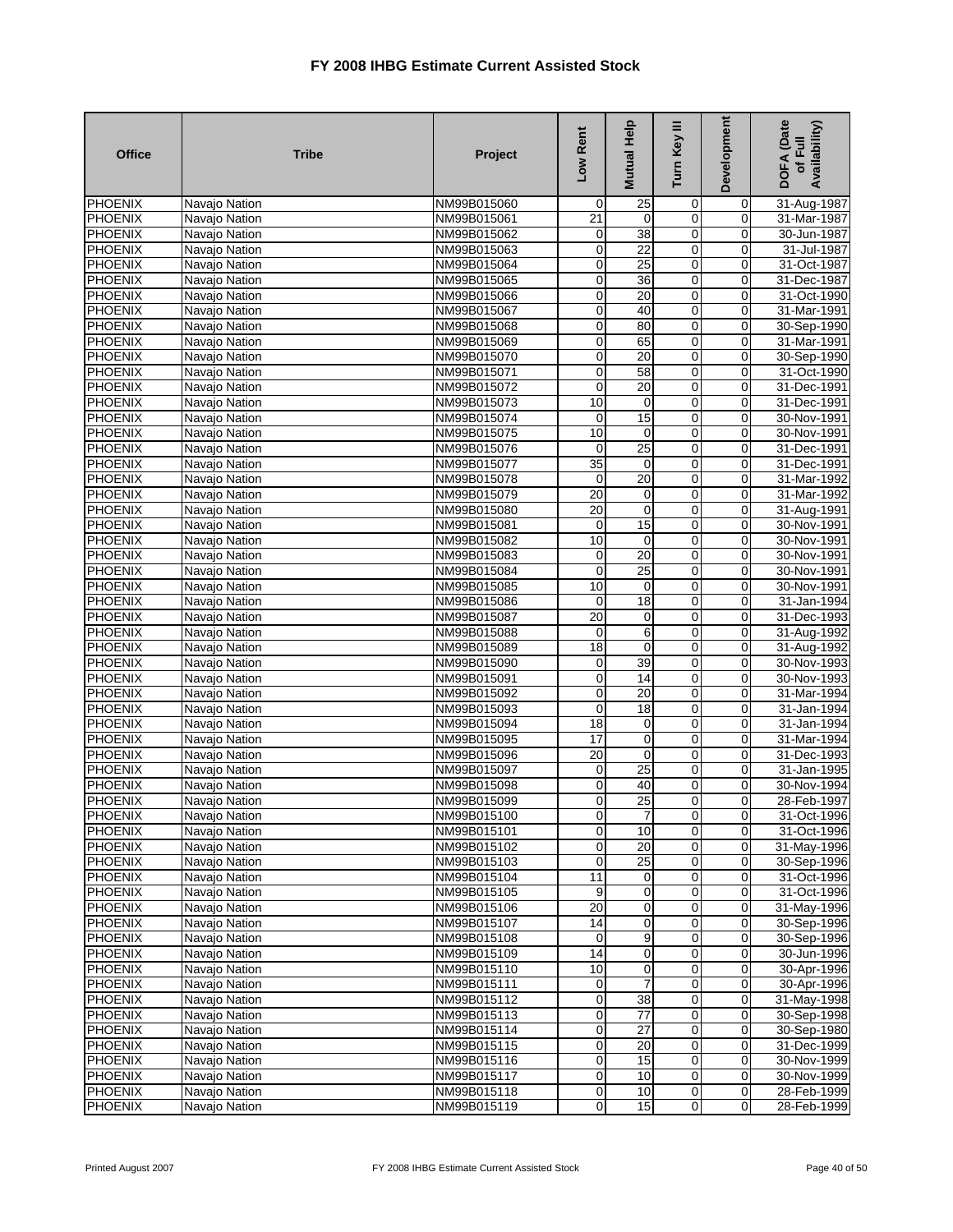| <b>Office</b>             | <b>Tribe</b>                   | Project                    | Low Rent             | Mutual Help             | Turn Key III            | Development                   | DOFA (Date<br>Availability)<br>of Full |
|---------------------------|--------------------------------|----------------------------|----------------------|-------------------------|-------------------------|-------------------------------|----------------------------------------|
| <b>PHOENIX</b>            | Navajo Nation                  | NM99B015060                | $\mathbf 0$          | 25                      | 0                       | $\mathbf 0$                   | 31-Aug-1987                            |
| PHOENIX                   | Navajo Nation                  | NM99B015061                | 21                   | 0                       | 0                       | 0                             | 31-Mar-1987                            |
| <b>PHOENIX</b>            | Navajo Nation                  | NM99B015062                | $\mathbf 0$          | $\overline{38}$         | $\overline{0}$          | $\pmb{0}$                     | 30-Jun-1987                            |
| <b>PHOENIX</b>            | Navajo Nation                  | NM99B015063                | $\overline{0}$       | 22                      | $\overline{0}$          | 0                             | 31-Jul-1987                            |
| <b>PHOENIX</b>            | Navajo Nation                  | NM99B015064                | $\overline{0}$       | 25                      | 0                       | 0                             | 31-Oct-1987                            |
| <b>PHOENIX</b>            | Navajo Nation                  | NM99B015065                | $\overline{0}$       | $\overline{36}$         | $\overline{0}$          | $\pmb{0}$                     | 31-Dec-1987                            |
| PHOENIX                   | Navajo Nation                  | NM99B015066                | $\overline{0}$       | 20                      | 0                       | 0                             | 31-Oct-1990                            |
| <b>PHOENIX</b>            | Navajo Nation                  | NM99B015067                | $\overline{0}$       | 40                      | 0                       | 0                             | 31-Mar-1991                            |
| <b>PHOENIX</b>            | Navajo Nation                  | NM99B015068                | $\overline{0}$       | 80                      | $\overline{0}$          | $\mathbf 0$                   | 30-Sep-1990                            |
| <b>PHOENIX</b>            | Navajo Nation                  | NM99B015069                | $\overline{0}$       | 65                      | 0                       | $\mathbf 0$                   | 31-Mar-1991                            |
| <b>PHOENIX</b>            | Navajo Nation                  | NM99B015070                | $\overline{0}$       | 20                      | 0                       | 0                             | 30-Sep-1990                            |
| <b>PHOENIX</b>            | Navajo Nation                  | NM99B015071                | $\overline{0}$       | 58                      | $\overline{0}$          | 0                             | 31-Oct-1990                            |
| <b>PHOENIX</b>            | Navajo Nation                  | NM99B015072                | $\overline{0}$       | 20                      | $\overline{0}$          | 0                             | 31-Dec-1991                            |
| PHOENIX<br>PHOENIX        | Navajo Nation                  | NM99B015073                | 10<br>$\mathbf 0$    | $\mathbf 0$<br>15       | 0<br>0                  | 0<br>0                        | 31-Dec-1991<br>30-Nov-1991             |
| <b>PHOENIX</b>            | Navajo Nation                  | NM99B015074<br>NM99B015075 | 10                   | $\mathbf 0$             | $\overline{0}$          | 0                             | 30-Nov-1991                            |
| <b>PHOENIX</b>            | Navajo Nation                  | NM99B015076                | $\mathbf 0$          | 25                      | 0                       | 0                             | 31-Dec-1991                            |
| PHOENIX                   | Navajo Nation<br>Navajo Nation | NM99B015077                | 35                   | $\mathbf 0$             | 0                       | $\overline{0}$                | 31-Dec-1991                            |
| <b>PHOENIX</b>            | Navajo Nation                  | NM99B015078                | $\mathbf 0$          | 20                      | 0                       | 0                             | 31-Mar-1992                            |
| <b>PHOENIX</b>            | Navajo Nation                  | NM99B015079                | 20                   | $\overline{\mathbf{0}}$ | $\overline{0}$          | 0                             | 31-Mar-1992                            |
| <b>PHOENIX</b>            | Navajo Nation                  | NM99B015080                | 20                   | $\overline{0}$          | $\overline{0}$          | 0                             | 31-Aug-1991                            |
| <b>PHOENIX</b>            | Navajo Nation                  | NM99B015081                | $\mathbf 0$          | 15                      | 0                       | 0                             | 30-Nov-1991                            |
| <b>PHOENIX</b>            | Navajo Nation                  | NM99B015082                | 10                   | $\mathbf 0$             | 0                       | 0                             | 30-Nov-1991                            |
| <b>PHOENIX</b>            | Navajo Nation                  | NM99B015083                | $\mathbf 0$          | $\overline{20}$         | 0                       | 0                             | 30-Nov-1991                            |
| <b>PHOENIX</b>            | Navajo Nation                  | NM99B015084                | $\overline{0}$       | 25                      | $\overline{0}$          | $\pmb{0}$                     | 30-Nov-1991                            |
| PHOENIX                   | Navajo Nation                  | NM99B015085                | 10                   | $\mathbf 0$             | 0                       | 0                             | 30-Nov-1991                            |
| <b>PHOENIX</b>            | Navajo Nation                  | NM99B015086                | $\overline{0}$       | 18                      | 0                       | $\overline{0}$                | 31-Jan-1994                            |
| <b>PHOENIX</b>            | Navajo Nation                  | NM99B015087                | 20                   | $\pmb{0}$               | $\overline{0}$          | 0                             | 31-Dec-1993                            |
| <b>PHOENIX</b>            | Navajo Nation                  | NM99B015088                | $\mathbf 0$          | $\overline{6}$          | 0                       | 0                             | 31-Aug-1992                            |
| <b>PHOENIX</b>            | Navajo Nation                  | NM99B015089                | 18                   | 0                       | 0                       | 0                             | 31-Aug-1992                            |
| <b>PHOENIX</b>            | Navajo Nation                  | NM99B015090                | $\mathbf 0$          | 39                      | 0                       | $\pmb{0}$                     | 30-Nov-1993                            |
| PHOENIX                   | Navajo Nation                  | NM99B015091                | $\overline{0}$       | 14                      | 0                       | 0                             | 30-Nov-1993                            |
| <b>PHOENIX</b>            | Navajo Nation                  | NM99B015092                | $\overline{0}$       | $\overline{20}$         | $\overline{0}$          | 0                             | 31-Mar-1994                            |
| PHOENIX                   | Navajo Nation                  | NM99B015093                | $\overline{0}$       | 18                      | 0                       | $\mathbf 0$                   | 31-Jan-1994                            |
| <b>PHOENIX</b>            | Navajo Nation                  | NM99B015094                | 18                   | $\mathbf 0$             | 0                       | 0                             | 31-Jan-1994                            |
| <b>PHOENIX</b>            | Navajo Nation                  | NM99B015095                | 17                   | 0                       | $\mathbf 0$             | 0                             | 31-Mar-1994                            |
| <b>PHOENIX</b>            | Navajo Nation                  | NM99B015096                | 20                   | $\overline{\mathbf{0}}$ | $\overline{0}$          | 0                             | 31-Dec-1993                            |
| <b>PHOENIX</b>            | Navajo Nation                  | NM99B015097                | $\overline{0}$       | $\overline{25}$         | 0                       | 0                             | 31-Jan-1995                            |
| PHOENIX                   | Navajo Nation                  | NM99B015098                | $\mathbf 0$          | 40                      | 0                       | 0                             | 30-Nov-1994                            |
| <b>PHOENIX</b>            | Navajo Nation                  | NM99B015099                | $\overline{0}$       | 25                      | 0                       | 0                             | 28-Feb-1997                            |
| <b>PHOENIX</b>            | Navajo Nation                  | NM99B015100                | $\overline{0}$       | $\mathbf{7}$            | $\mathbf{0}$            | $\overline{0}$                | 31-Oct-1996                            |
| <b>PHOENIX</b>            | Navajo Nation                  | NM99B015101                | $\overline{0}$       | 10                      | $\overline{0}$          | $\mathbf 0$                   | 31-Oct-1996                            |
| <b>PHOENIX</b>            | Navajo Nation                  | NM99B015102                | $\overline{0}$       | 20                      | $\mathbf 0$             | 0                             | 31-May-1996                            |
| PHOENIX                   | Navajo Nation                  | NM99B015103                | $\overline{O}$       | 25                      | 0                       | 0                             | 30-Sep-1996                            |
| <b>PHOENIX</b>            | Navajo Nation                  | NM99B015104                | 11                   | O                       | $\overline{\mathbf{0}}$ | $\mathbf 0$                   | 31-Oct-1996                            |
| <b>PHOENIX</b>            | Navajo Nation                  | NM99B015105                | 9                    | $\overline{\mathbf{0}}$ | 0                       | 0                             | 31-Oct-1996                            |
| <b>PHOENIX</b><br>PHOENIX | Navajo Nation                  | NM99B015106                | 20                   | 0                       | 0                       | 0                             | 31-May-1996                            |
| <b>PHOENIX</b>            | Navajo Nation                  | NM99B015107                | 14<br>$\overline{0}$ | $\overline{0}$<br>9     | 0<br>0                  | $\pmb{0}$                     | 30-Sep-1996                            |
| <b>PHOENIX</b>            | Navajo Nation<br>Navajo Nation | NM99B015108<br>NM99B015109 | 14                   | 0                       | 0                       | $\overline{0}$<br>$\mathbf 0$ | 30-Sep-1996<br>30-Jun-1996             |
| <b>PHOENIX</b>            | Navajo Nation                  | NM99B015110                | 10                   | 0                       | 0                       | 0                             |                                        |
| <b>PHOENIX</b>            | Navajo Nation                  | NM99B015111                | $\overline{0}$       |                         | 0                       | $\mathbf 0$                   | 30-Apr-1996<br>30-Apr-1996             |
| <b>PHOENIX</b>            | Navajo Nation                  | NM99B015112                | $\overline{0}$       | 38                      | 0                       | $\mathbf 0$                   | 31-May-1998                            |
| <b>PHOENIX</b>            | Navajo Nation                  | NM99B015113                | $\overline{0}$       | 77                      | 0                       | 0                             | 30-Sep-1998                            |
| <b>PHOENIX</b>            | Navajo Nation                  | NM99B015114                | $\overline{0}$       | 27                      | 0                       | 0                             | 30-Sep-1980                            |
| <b>PHOENIX</b>            | Navajo Nation                  | NM99B015115                | $\mathbf 0$          | 20                      | $\pmb{0}$               | $\mathbf 0$                   | 31-Dec-1999                            |
| <b>PHOENIX</b>            | Navajo Nation                  | NM99B015116                | $\overline{0}$       | 15                      | $\mathbf 0$             | $\pmb{0}$                     | 30-Nov-1999                            |
| <b>PHOENIX</b>            | Navajo Nation                  | NM99B015117                | $\overline{0}$       | 10                      | $\pmb{0}$               | $\mathbf 0$                   | 30-Nov-1999                            |
| PHOENIX                   | Navajo Nation                  | NM99B015118                | $\overline{0}$       | 10                      | $\mathbf 0$             | $\overline{0}$                | 28-Feb-1999                            |
| <b>PHOENIX</b>            | Navajo Nation                  | NM99B015119                | $\overline{0}$       | 15                      | $\mathbf 0$             | $\overline{0}$                | 28-Feb-1999                            |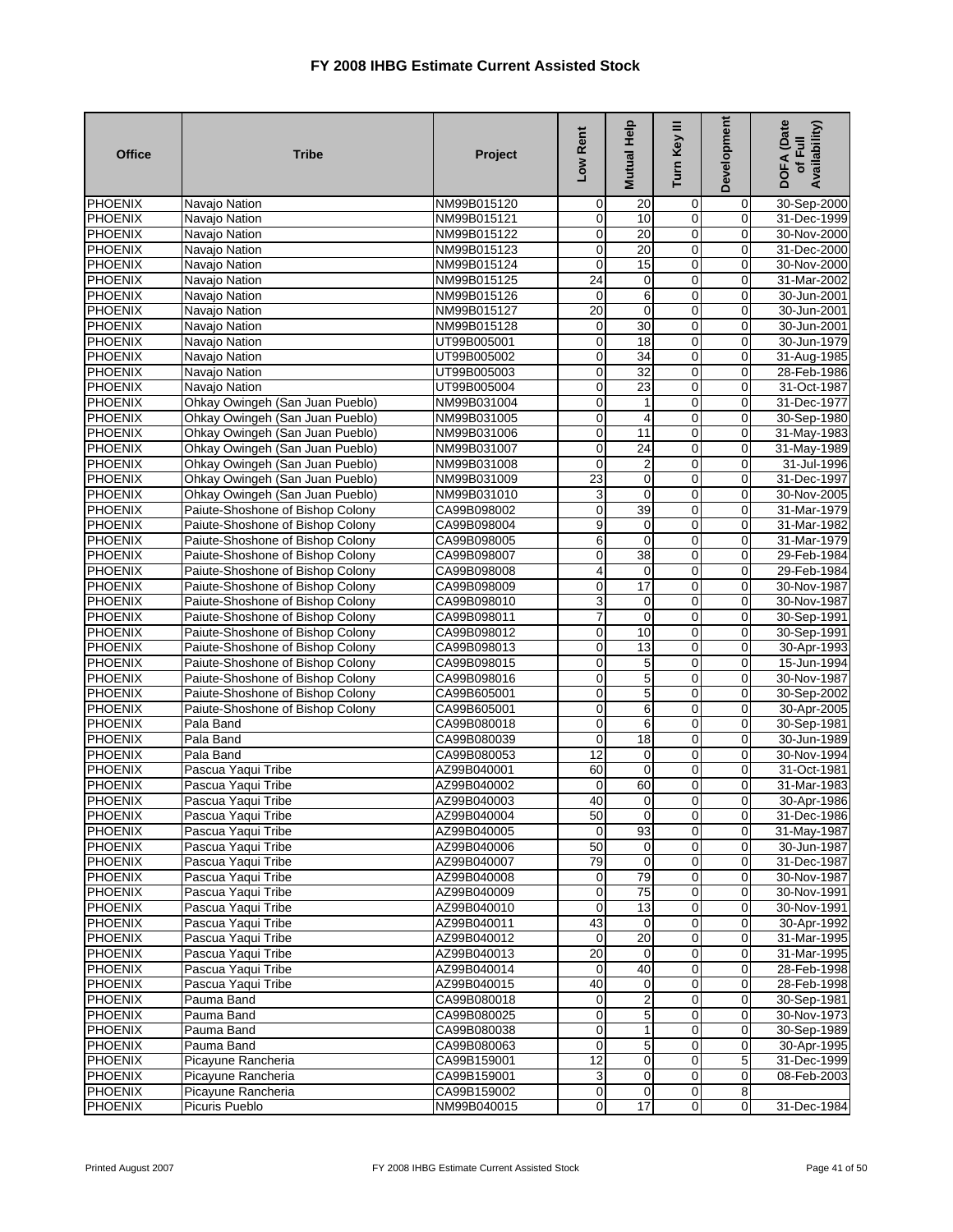| <b>Office</b>                    | <b>Tribe</b>                                                         | Project                    | Low Rent        | Mutual Help      | Turn Key III     | Development             | DOFA (Date<br>Availability)<br>of Full |
|----------------------------------|----------------------------------------------------------------------|----------------------------|-----------------|------------------|------------------|-------------------------|----------------------------------------|
| <b>PHOENIX</b>                   | Navajo Nation                                                        | NM99B015120                | 0               | 20               | 0                | $\overline{0}$          | 30-Sep-2000                            |
| <b>PHOENIX</b>                   | Navajo Nation                                                        | NM99B015121                | $\mathbf 0$     | 10               | 0                | $\mathbf 0$             | 31-Dec-1999                            |
| <b>PHOENIX</b>                   | Navajo Nation                                                        | NM99B015122                | $\mathbf 0$     | 20               | 0                | $\mathbf 0$             | 30-Nov-2000                            |
| <b>PHOENIX</b>                   | Navajo Nation                                                        | NM99B015123                | $\overline{0}$  | 20               | $\overline{0}$   | $\overline{0}$          | 31-Dec-2000                            |
| PHOENIX                          | Navajo Nation                                                        | NM99B015124                | $\mathbf 0$     | 15               | $\mathbf 0$      | $\mathbf 0$             | 30-Nov-2000                            |
| PHOENIX                          | Navajo Nation                                                        | NM99B015125                | $\overline{24}$ | 0                | $\mathbf 0$      | $\mathbf 0$             | 31-Mar-2002                            |
| <b>PHOENIX</b>                   | Navajo Nation                                                        | NM99B015126                | $\mathbf 0$     | 6                | 0                | 0                       | 30-Jun-2001                            |
| <b>PHOENIX</b>                   | Navajo Nation                                                        | NM99B015127                | 20              | 0                | 0                | $\overline{0}$          | 30-Jun-2001                            |
| <b>PHOENIX</b>                   | Navajo Nation                                                        | NM99B015128                | 0               | 30               | $\mathbf 0$      | $\mathbf 0$             | 30-Jun-2001                            |
| <b>PHOENIX</b>                   | Navajo Nation                                                        | UT99B005001                | $\mathbf 0$     | 18               | 0                | $\mathbf 0$             | 30-Jun-1979                            |
| PHOENIX                          | Navajo Nation                                                        | UT99B005002                | $\mathbf 0$     | 34               | $\mathbf 0$      | $\mathbf 0$             | 31-Aug-1985                            |
| <b>PHOENIX</b>                   | Navajo Nation                                                        | UT99B005003                | $\overline{0}$  | 32               | 0                | $\overline{0}$          | 28-Feb-1986                            |
| <b>PHOENIX</b>                   | Navajo Nation                                                        | UT99B005004                | 0               | 23               | $\mathbf 0$      | $\overline{0}$          | 31-Oct-1987                            |
| PHOENIX                          | Ohkay Owingeh (San Juan Pueblo)                                      | NM99B031004                | $\overline{0}$  | 1                | $\mathbf 0$      | $\overline{0}$          | 31-Dec-1977                            |
| PHOENIX                          | Ohkay Owingeh (San Juan Pueblo)                                      | NM99B031005                | O               | 4                | $\mathbf 0$      | $\overline{0}$          | 30-Sep-1980                            |
| <b>PHOENIX</b>                   | Ohkay Owingeh (San Juan Pueblo)                                      | NM99B031006                | $\overline{0}$  | 11               | 0                | $\mathbf 0$             | 31-May-1983                            |
| <b>PHOENIX</b>                   | Ohkay Owingeh (San Juan Pueblo)                                      | NM99B031007                | $\mathbf 0$     | $\overline{24}$  | 0                | $\mathbf 0$             | 31-May-1989                            |
| PHOENIX                          | Ohkay Owingeh (San Juan Pueblo)                                      | NM99B031008                | $\mathbf 0$     | $\overline{2}$   | $\mathbf 0$      | $\overline{0}$          | 31-Jul-1996                            |
| <b>PHOENIX</b>                   | Ohkay Owingeh (San Juan Pueblo)                                      | NM99B031009                | 23              | 0                | 0                | $\mathbf 0$             | 31-Dec-1997                            |
| <b>PHOENIX</b>                   | Ohkay Owingeh (San Juan Pueblo)                                      | NM99B031010                | 3               | $\mathbf 0$      | $\mathbf 0$      | $\mathbf 0$             | 30-Nov-2005                            |
| <b>PHOENIX</b>                   | Paiute-Shoshone of Bishop Colony                                     | CA99B098002                | $\mathbf 0$     | 39               | 0<br>$\mathbf 0$ | $\Omega$<br>$\mathbf 0$ | 31-Mar-1979                            |
| <b>PHOENIX</b><br><b>PHOENIX</b> | Paiute-Shoshone of Bishop Colony<br>Paiute-Shoshone of Bishop Colony | CA99B098004<br>CA99B098005 | 9<br>6          | 0<br>$\mathbf 0$ | 0                | 0                       | 31-Mar-1982<br>31-Mar-1979             |
| <b>PHOENIX</b>                   | Paiute-Shoshone of Bishop Colony                                     | CA99B098007                | 0               | 38               | 0                | 0                       | 29-Feb-1984                            |
| <b>PHOENIX</b>                   | Paiute-Shoshone of Bishop Colony                                     | CA99B098008                | 4               | $\mathbf 0$      | $\overline{0}$   | $\overline{0}$          | 29-Feb-1984                            |
| PHOENIX                          | Paiute-Shoshone of Bishop Colony                                     | CA99B098009                | $\mathbf 0$     | 17               | $\mathbf 0$      | $\overline{0}$          | 30-Nov-1987                            |
| PHOENIX                          | Paiute-Shoshone of Bishop Colony                                     | CA99B098010                | 3               | $\mathbf 0$      | 0                | $\mathbf 0$             | 30-Nov-1987                            |
| PHOENIX                          | Paiute-Shoshone of Bishop Colony                                     | CA99B098011                | $\overline{7}$  | $\mathbf 0$      | $\overline{0}$   | $\overline{0}$          | 30-Sep-1991                            |
| <b>PHOENIX</b>                   | Paiute-Shoshone of Bishop Colony                                     | CA99B098012                | 0               | 10               | $\mathbf 0$      | $\Omega$                | 30-Sep-1991                            |
| PHOENIX                          | Paiute-Shoshone of Bishop Colony                                     | CA99B098013                | $\overline{0}$  | 13               | $\mathbf 0$      | $\mathbf 0$             | 30-Apr-1993                            |
| PHOENIX                          | Paiute-Shoshone of Bishop Colony                                     | CA99B098015                | $\mathbf 0$     | 5                | $\overline{0}$   | $\mathbf 0$             | 15-Jun-1994                            |
| <b>PHOENIX</b>                   | Paiute-Shoshone of Bishop Colony                                     | CA99B098016                | $\overline{0}$  | 5                | $\mathbf 0$      | $\overline{0}$          | 30-Nov-1987                            |
| <b>PHOENIX</b>                   | Paiute-Shoshone of Bishop Colony                                     | CA99B605001                | $\mathbf 0$     | 5                | $\overline{0}$   | $\mathbf 0$             | 30-Sep-2002                            |
| PHOENIX                          | Paiute-Shoshone of Bishop Colony                                     | CA99B605001                | $\mathbf 0$     | 6                | $\overline{0}$   | $\mathbf 0$             | 30-Apr-2005                            |
| <b>PHOENIX</b>                   | Pala Band                                                            | CA99B080018                | $\mathbf 0$     | 6                | 0                | $\mathbf 0$             | 30-Sep-1981                            |
| <b>PHOENIX</b>                   | Pala Band                                                            | CA99B080039                | $\mathbf 0$     | $\overline{18}$  | $\overline{0}$   | $\mathbf 0$             | 30-Jun-1989                            |
| <b>PHOENIX</b>                   | Pala Band                                                            | CA99B080053                | 12              | $\mathbf 0$      | 0                | $\overline{0}$          | 30-Nov-1994                            |
| PHOENIX                          | Pascua Yaqui Tribe                                                   | AZ99B040001                | 60              | $\mathbf 0$      | 0                | $\mathbf 0$             | 31-Oct-1981                            |
| PHOENIX                          | Pascua Yaqui Tribe                                                   | AZ99B040002                | $\mathbf 0$     | 60               | 0                | $\overline{0}$          | 31-Mar-1983                            |
| <b>PHOENIX</b>                   | Pascua Yaqui Tribe                                                   | AZ99B040003                | 40              | 0                | $\mathbf 0$      | $\Omega$                | 30-Apr-1986                            |
| PHOENIX                          | Pascua Yaqui Tribe                                                   | AZ99B040004                | 50              | $\overline{0}$   | $\mathbf{0}$     | $\mathbf{0}$            | 31-Dec-1986                            |
| <b>PHOENIX</b>                   | Pascua Yaqui Tribe                                                   | AZ99B040005                | $\mathbf 0$     | 93               | $\mathbf 0$      | $\overline{0}$          | 31-May-1987                            |
| <b>PHOENIX</b>                   | Pascua Yaqui Tribe                                                   | AZ99B040006                | 50              | 0                | 0                | $\mathbf 0$             | 30-Jun-1987                            |
| <b>PHOENIX</b>                   | Pascua Yaqui Tribe                                                   | AZ99B040007                | 79              | 0                | $\mathbf 0$      | $\mathbf 0$             | 31-Dec-1987                            |
| <b>PHOENIX</b>                   | Pascua Yaqui Tribe                                                   | AZ99B040008                | $\mathbf 0$     | 79               | 0                | $\overline{0}$          | 30-Nov-1987                            |
| <b>PHOENIX</b>                   | Pascua Yaqui Tribe                                                   | AZ99B040009                | $\overline{0}$  | $\overline{75}$  | 0                | $\overline{0}$          | 30-Nov-1991                            |
| <b>PHOENIX</b>                   | Pascua Yaqui Tribe                                                   | AZ99B040010                | $\mathbf 0$     | 13               | 0                | $\mathbf 0$             | 30-Nov-1991                            |
| <b>PHOENIX</b>                   | Pascua Yaqui Tribe                                                   | AZ99B040011                | 43              | $\mathbf 0$      | 0                | $\overline{0}$          | 30-Apr-1992                            |
| <b>PHOENIX</b>                   | Pascua Yaqui Tribe                                                   | AZ99B040012                | $\mathbf 0$     | $\overline{20}$  | $\mathbf 0$      | $\mathbf 0$             | 31-Mar-1995                            |
| PHOENIX                          | Pascua Yaqui Tribe                                                   | AZ99B040013                | 20              | 0                | 0                | $\overline{0}$          | 31-Mar-1995                            |
| <b>PHOENIX</b>                   | Pascua Yaqui Tribe                                                   | AZ99B040014                | $\overline{0}$  | 40               | 0                | $\mathbf 0$             | 28-Feb-1998                            |
| <b>PHOENIX</b>                   | Pascua Yaqui Tribe                                                   | AZ99B040015                | 40              | $\mathbf 0$      | 0                | $\mathbf 0$             | 28-Feb-1998                            |
| <b>PHOENIX</b>                   | Pauma Band                                                           | CA99B080018                | $\mathbf 0$     | $\overline{2}$   | $\mathbf 0$      | $\mathbf 0$             | 30-Sep-1981                            |
| <b>PHOENIX</b>                   | Pauma Band                                                           | CA99B080025                | $\overline{0}$  | 5                | $\mathbf 0$      | $\overline{0}$          | 30-Nov-1973                            |
| <b>PHOENIX</b>                   | Pauma Band                                                           | CA99B080038                | $\mathbf 0$     | 1                | 0                | $\mathbf 0$             | 30-Sep-1989                            |
| <b>PHOENIX</b>                   | Pauma Band                                                           | CA99B080063                | $\mathbf 0$     | 5                | 0                | $\mathbf{O}$            | 30-Apr-1995                            |
| <b>PHOENIX</b>                   | Picayune Rancheria                                                   | CA99B159001                | 12              | $\mathbf 0$      | 0                | 5                       | 31-Dec-1999                            |
| <b>PHOENIX</b>                   | Picayune Rancheria                                                   | CA99B159001                | $\mathbf{3}$    | 0                | $\pmb{0}$        | $\mathbf 0$             | 08-Feb-2003                            |
| PHOENIX                          | Picayune Rancheria                                                   | CA99B159002                | $\overline{0}$  | $\mathbf 0$      | $\mathbf 0$      | 8                       |                                        |
| <b>PHOENIX</b>                   | Picuris Pueblo                                                       | NM99B040015                | $\overline{0}$  | 17               | $\overline{0}$   | $\overline{0}$          | 31-Dec-1984                            |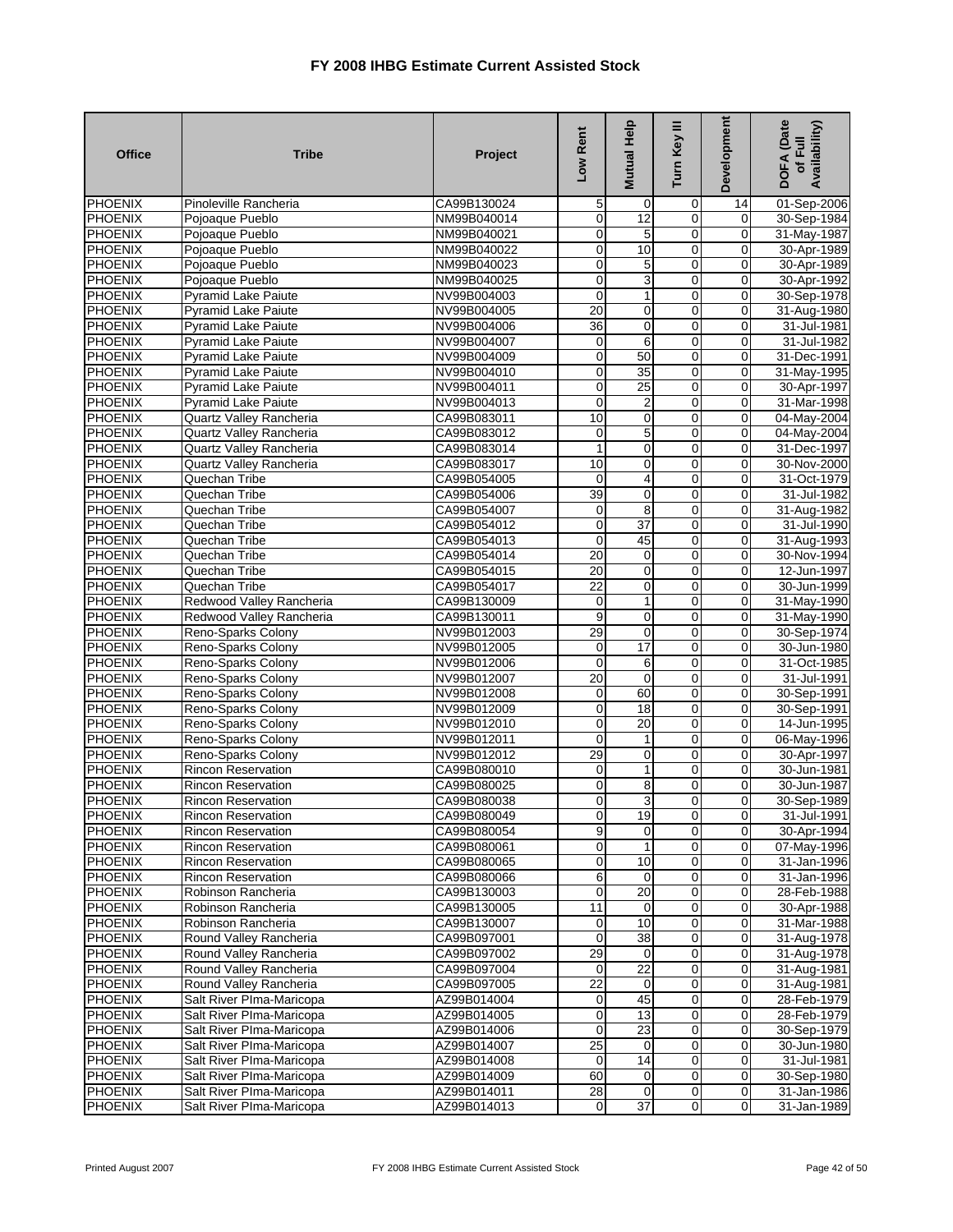| <b>Office</b>                    | <b>Tribe</b>                                           | Project                    | Low Rent                         | Mutual Help     | Turn Key III                   | <b>Development</b>               | <b>DOFA</b> (Date<br>Availability)<br>of Full |
|----------------------------------|--------------------------------------------------------|----------------------------|----------------------------------|-----------------|--------------------------------|----------------------------------|-----------------------------------------------|
| PHOENIX                          | Pinoleville Rancheria                                  | CA99B130024                | 5                                | 0               | 0                              | 14                               | 01-Sep-2006                                   |
| <b>PHOENIX</b>                   | Pojoaque Pueblo                                        | NM99B040014                | $\mathbf 0$                      | 12              | 0                              | $\mathbf 0$                      | 30-Sep-1984                                   |
| <b>PHOENIX</b>                   | Pojoaque Pueblo                                        | NM99B040021                | $\overline{0}$                   | 5               | $\mathbf 0$                    | $\overline{0}$                   | 31-May-1987                                   |
| <b>PHOENIX</b>                   | Pojoaque Pueblo                                        | NM99B040022                | $\overline{0}$                   | 10              | $\overline{0}$                 | $\overline{0}$                   | 30-Apr-1989                                   |
| <b>PHOENIX</b>                   | Pojoaque Pueblo                                        | NM99B040023                | $\mathbf 0$                      | 5               | 0                              | $\mathbf 0$                      | 30-Apr-1989                                   |
| PHOENIX                          | Pojoaque Pueblo                                        | NM99B040025                | $\overline{0}$                   | 3               | $\mathbf 0$                    | $\mathbf 0$                      | 30-Apr-1992                                   |
| PHOENIX                          | <b>Pyramid Lake Paiute</b>                             | NV99B004003                | $\mathbf 0$                      | 1               | 0                              | $\overline{0}$                   | 30-Sep-1978                                   |
| <b>PHOENIX</b>                   | <b>Pyramid Lake Paiute</b>                             | NV99B004005                | 20                               | 0               | 0                              | $\overline{0}$                   | 31-Aug-1980                                   |
| PHOENIX                          | <b>Pyramid Lake Paiute</b>                             | NV99B004006                | 36                               | $\mathbf 0$     | $\mathbf 0$                    | $\mathbf 0$                      | 31-Jul-1981                                   |
| <b>PHOENIX</b>                   | <b>Pyramid Lake Paiute</b>                             | NV99B004007                | $\mathsf{O}\xspace$              | 6               | $\mathbf 0$                    | $\overline{0}$                   | 31-Jul-1982                                   |
| <b>PHOENIX</b>                   | <b>Pyramid Lake Paiute</b>                             | NV99B004009                | $\overline{0}$                   | 50              | 0                              | $\mathbf 0$                      | 31-Dec-1991                                   |
| <b>PHOENIX</b>                   | <b>Pyramid Lake Paiute</b>                             | NV99B004010                | $\mathbf 0$                      | $\overline{35}$ | 0                              | $\mathbf 0$                      | 31-May-1995                                   |
| <b>PHOENIX</b>                   | <b>Pyramid Lake Paiute</b>                             | NV99B004011                | $\mathbf 0$                      | 25              | $\overline{0}$                 | $\overline{0}$                   | 30-Apr-1997                                   |
| PHOENIX                          | <b>Pyramid Lake Paiute</b>                             | NV99B004013                | $\mathbf 0$                      | $\overline{2}$  | $\mathbf 0$                    | $\mathbf 0$                      | 31-Mar-1998                                   |
| PHOENIX                          | Quartz Valley Rancheria                                | CA99B083011                | 10                               | $\mathbf 0$     | $\overline{0}$                 | $\mathbf 0$                      | 04-May-2004                                   |
| <b>PHOENIX</b>                   | Quartz Valley Rancheria                                | CA99B083012                | $\mathbf 0$                      | 5               | 0                              | $\mathbf{0}$                     | 04-May-2004                                   |
| PHOENIX                          | Quartz Valley Rancheria                                | CA99B083014                | $\overline{1}$                   | $\mathbf 0$     | $\overline{0}$                 | $\overline{0}$                   | 31-Dec-1997                                   |
| <b>PHOENIX</b>                   | Quartz Valley Rancheria                                | CA99B083017                | $\overline{10}$                  | $\mathbf 0$     | 0                              | $\overline{0}$                   | 30-Nov-2000                                   |
| <b>PHOENIX</b>                   | Quechan Tribe                                          | CA99B054005                | 0                                | 4               | 0                              | 0                                | 31-Oct-1979                                   |
| PHOENIX                          | Quechan Tribe                                          | CA99B054006                | 39                               | $\mathbf 0$     | $\overline{0}$                 | $\overline{0}$                   | 31-Jul-1982                                   |
| <b>PHOENIX</b>                   | Quechan Tribe                                          | CA99B054007                | $\mathbf 0$                      | 8               | 0                              | $\mathbf{O}$                     | 31-Aug-1982                                   |
| PHOENIX                          | Quechan Tribe                                          | CA99B054012                | $\mathbf 0$                      | 37              | $\mathbf 0$                    | $\mathbf 0$                      | 31-Jul-1990                                   |
| <b>PHOENIX</b>                   | Quechan Tribe                                          | CA99B054013                | $\mathbf 0$                      | 45              | $\mathbf 0$                    | $\overline{0}$                   | 31-Aug-1993                                   |
| <b>PHOENIX</b>                   | Quechan Tribe                                          | CA99B054014                | 20                               | 0               | $\overline{0}$                 | $\overline{0}$                   | 30-Nov-1994                                   |
| PHOENIX                          | Quechan Tribe                                          | CA99B054015                | 20                               | $\mathbf 0$     | $\overline{0}$                 | $\mathbf 0$                      | 12-Jun-1997                                   |
| PHOENIX                          | Quechan Tribe                                          | CA99B054017                | $\overline{22}$                  | $\mathbf 0$     | $\overline{0}$                 | $\mathbf 0$                      | 30-Jun-1999                                   |
| <b>PHOENIX</b>                   | Redwood Valley Rancheria                               | CA99B130009                | $\pmb{0}$                        | 1               | 0                              | $\mathbf 0$                      | 31-May-1990                                   |
| PHOENIX                          | Redwood Valley Rancheria                               | CA99B130011                | 9                                | 0               | 0                              | $\mathbf 0$                      | 31-May-1990                                   |
| <b>PHOENIX</b>                   | Reno-Sparks Colony                                     | NV99B012003                | 29                               | $\mathbf 0$     | $\overline{0}$                 | $\overline{0}$                   | 30-Sep-1974                                   |
| <b>PHOENIX</b>                   | Reno-Sparks Colony                                     | NV99B012005                | $\mathbf 0$                      | 17              | 0                              | $\mathbf 0$                      | 30-Jun-1980                                   |
| PHOENIX                          | Reno-Sparks Colony                                     | NV99B012006                | $\mathbf 0$                      | 6               | $\mathbf 0$                    | $\overline{0}$                   | 31-Oct-1985                                   |
| PHOENIX                          | Reno-Sparks Colony                                     | NV99B012007                | 20                               | $\mathbf 0$     | 0                              | $\mathbf 0$                      | 31-Jul-1991                                   |
| <b>PHOENIX</b>                   | Reno-Sparks Colony                                     | NV99B012008                | 0                                | 60              | 0                              | $\overline{0}$                   | 30-Sep-1991                                   |
| <b>PHOENIX</b>                   | Reno-Sparks Colony                                     | NV99B012009                | $\overline{0}$                   | $\overline{18}$ | $\mathbf 0$                    | $\overline{0}$                   | 30-Sep-1991                                   |
| PHOENIX                          | Reno-Sparks Colony                                     | NV99B012010                | O                                | 20              | $\mathbf 0$                    | $\overline{0}$                   | 14-Jun-1995                                   |
| PHOENIX                          | Reno-Sparks Colony                                     | NV99B012011                | $\mathbf 0$                      | 1               | 0                              | $\mathbf 0$                      | 06-May-1996                                   |
| <b>PHOENIX</b>                   | Reno-Sparks Colony                                     | NV99B012012                | 29                               | 0               | 0                              | $\mathbf 0$                      | 30-Apr-1997                                   |
| <b>PHOENIX</b>                   | <b>Rincon Reservation</b>                              | CA99B080010                | $\mathbf 0$                      | 1               | $\overline{0}$                 | $\overline{0}$                   | 30-Jun-1981                                   |
| PHOENIX                          | <b>Rincon Reservation</b>                              | CA99B080025                | $\mathbf 0$<br>$\mathbf 0$       | 8<br>3          | 0<br>$\mathbf 0$               | $\overline{0}$<br>$\overline{0}$ | 30-Jun-1987<br>30-Sep-1989                    |
| PHOENIX                          | <b>Rincon Reservation</b><br><b>Rincon Reservation</b> | CA99B080038<br>CA99B080049 |                                  | 19              |                                |                                  | 31-Jul-1991                                   |
| <b>PHOENIX</b><br><b>PHOENIX</b> | <b>Rincon Reservation</b>                              | CA99B080054                | $\overline{0}$<br>9              | 0               | $\mathbf{0}$<br>$\overline{0}$ | $\mathbf{0}$<br>$\overline{0}$   | 30-Apr-1994                                   |
|                                  |                                                        |                            |                                  | 1               | 0                              | $\mathbf 0$                      |                                               |
| <b>PHOENIX</b><br><b>PHOENIX</b> | <b>Rincon Reservation</b><br><b>Rincon Reservation</b> | CA99B080061<br>CA99B080065 | $\overline{0}$<br>$\overline{0}$ | 10              | $\mathbf 0$                    | $\overline{0}$                   | 07-May-1996<br>31-Jan-1996                    |
| <b>PHOENIX</b>                   | <b>Rincon Reservation</b>                              | CA99B080066                | $6 \mid$                         | 0               | $\overline{\mathbf{0}}$        | $\overline{0}$                   | 31-Jan-1996                                   |
| <b>PHOENIX</b>                   | Robinson Rancheria                                     | CA99B130003                | $\mathbf 0$                      | $\overline{20}$ | $\mathbf 0$                    | $\overline{0}$                   | 28-Feb-1988                                   |
| <b>PHOENIX</b>                   | Robinson Rancheria                                     | CA99B130005                | 11                               | 0               | $\mathbf 0$                    | $\pmb{0}$                        | 30-Apr-1988                                   |
| <b>PHOENIX</b>                   | Robinson Rancheria                                     | CA99B130007                | $\mathbf 0$                      | 10              | $\mathbf 0$                    | $\mathbf 0$                      | 31-Mar-1988                                   |
| <b>PHOENIX</b>                   | Round Valley Rancheria                                 | CA99B097001                | $\mathbf 0$                      | 38              | $\overline{0}$                 | $\overline{0}$                   | 31-Aug-1978                                   |
| <b>PHOENIX</b>                   | Round Valley Rancheria                                 | CA99B097002                | 29                               | 0               | $\pmb{0}$                      | $\overline{0}$                   | 31-Aug-1978                                   |
| <b>PHOENIX</b>                   | Round Valley Rancheria                                 | CA99B097004                | $\mathbf 0$                      | 22              | $\mathbf 0$                    | $\overline{0}$                   | 31-Aug-1981                                   |
| <b>PHOENIX</b>                   | Round Valley Rancheria                                 | CA99B097005                | 22                               | 0               | 0                              | $\mathbf 0$                      | 31-Aug-1981                                   |
| <b>PHOENIX</b>                   | Salt River Plma-Maricopa                               | AZ99B014004                | $\mathbf 0$                      | 45              | $\overline{\mathbf{0}}$        | $\overline{0}$                   | 28-Feb-1979                                   |
| <b>PHOENIX</b>                   | Salt River PIma-Maricopa                               | AZ99B014005                | $\overline{0}$                   | 13              | 0                              | $\mathbf 0$                      | 28-Feb-1979                                   |
| <b>PHOENIX</b>                   | Salt River PIma-Maricopa                               | AZ99B014006                | $\mathbf 0$                      | 23              | $\overline{0}$                 | $\overline{0}$                   | 30-Sep-1979                                   |
| <b>PHOENIX</b>                   | Salt River PIma-Maricopa                               | AZ99B014007                | 25                               | 0               | $\mathbf 0$                    | $\mathbf 0$                      | 30-Jun-1980                                   |
| <b>PHOENIX</b>                   | Salt River PIma-Maricopa                               | AZ99B014008                | $\mathbf 0$                      | 14              | 0                              | $\overline{0}$                   | 31-Jul-1981                                   |
| <b>PHOENIX</b>                   | Salt River PIma-Maricopa                               | AZ99B014009                | 60                               | 0               | $\overline{0}$                 | $\mathbf 0$                      | 30-Sep-1980                                   |
| <b>PHOENIX</b>                   | Salt River PIma-Maricopa                               | AZ99B014011                | 28                               | 0               | $\mathbf 0$                    | $\mathbf 0$                      | 31-Jan-1986                                   |
| <b>PHOENIX</b>                   | Salt River PIma-Maricopa                               | AZ99B014013                | $\overline{0}$                   | $\overline{37}$ | $\mathbf 0$                    | $\overline{0}$                   | 31-Jan-1989                                   |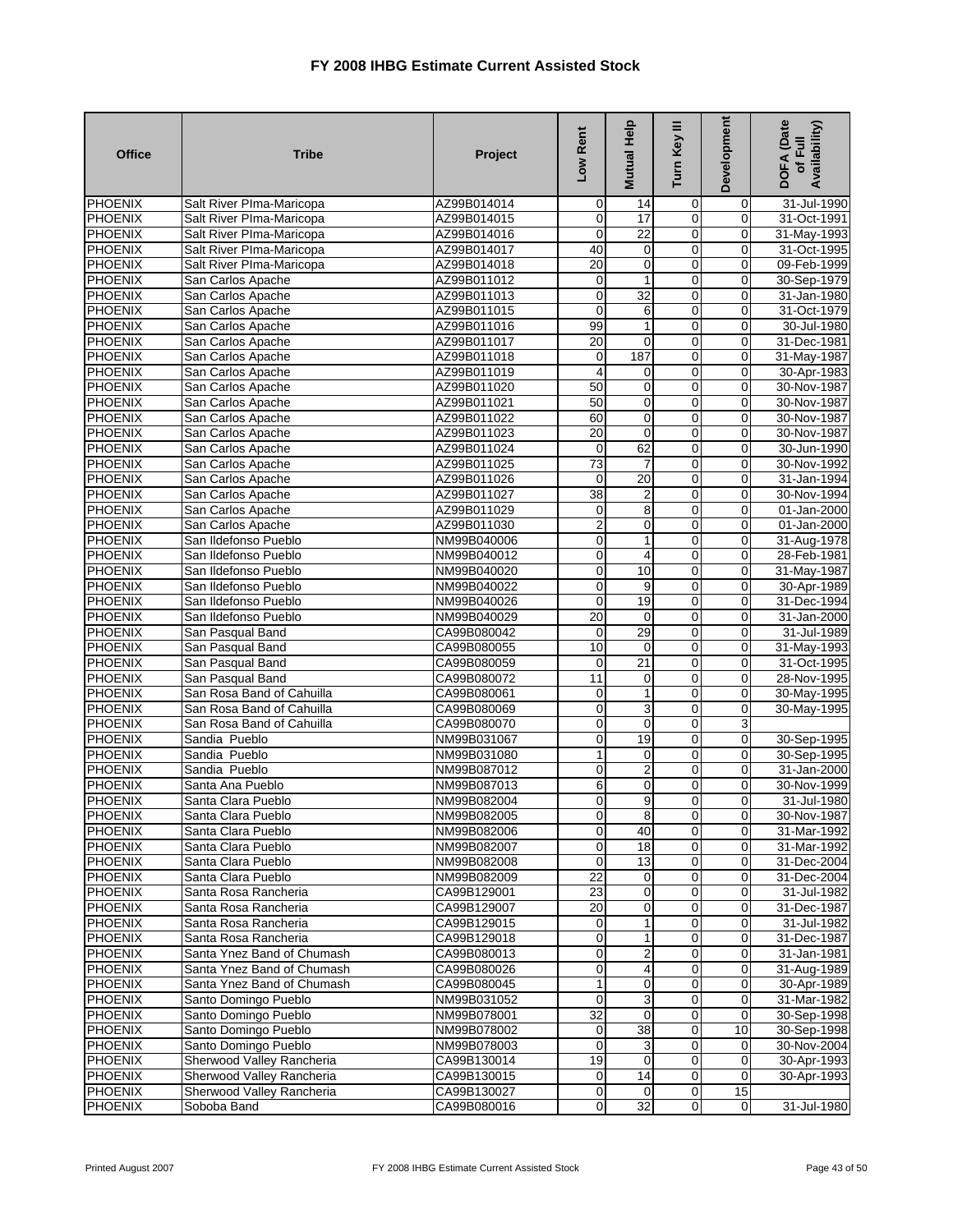| <b>Office</b>             | <b>Tribe</b>                                 | Project                    | Low Rent                | <b>Mutual Help</b>      | Turn Key III        | Development                | <b>DOFA</b> (Date<br>Availability)<br>of Full |
|---------------------------|----------------------------------------------|----------------------------|-------------------------|-------------------------|---------------------|----------------------------|-----------------------------------------------|
| <b>PHOENIX</b>            | Salt River Plma-Maricopa                     | AZ99B014014                | $\mathbf 0$             | 14                      | 0                   | 0                          | 31-Jul-1990                                   |
| <b>PHOENIX</b>            | Salt River Plma-Maricopa                     | AZ99B014015                | $\mathbf 0$             | 17                      | $\mathbf 0$         | $\mathbf 0$                | 31-Oct-1991                                   |
| <b>PHOENIX</b>            | Salt River PIma-Maricopa                     | AZ99B014016                | 0                       | $\overline{22}$         | 0                   | 0                          | 31-May-1993                                   |
| <b>PHOENIX</b>            | Salt River Plma-Maricopa                     | AZ99B014017                | 40                      | $\pmb{0}$               | $\overline{0}$      | $\mathbf 0$                | 31-Oct-1995                                   |
| <b>PHOENIX</b>            | Salt River Plma-Maricopa                     | AZ99B014018                | 20                      | $\mathbf 0$             | 0                   | 0                          | 09-Feb-1999                                   |
| PHOENIX                   | San Carlos Apache                            | AZ99B011012                | $\boldsymbol{0}$        | $\mathbf{1}$            | 0                   | $\mathbf 0$                | 30-Sep-1979                                   |
| <b>PHOENIX</b>            | San Carlos Apache                            | AZ99B011013                | $\mathbf 0$             | 32                      | 0                   | $\mathbf 0$                | 31-Jan-1980                                   |
| <b>PHOENIX</b>            | San Carlos Apache                            | AZ99B011015                | $\mathbf 0$             | 6                       | $\overline{0}$      | 0                          | 31-Oct-1979                                   |
| <b>PHOENIX</b>            | San Carlos Apache                            | AZ99B011016                | 99                      | 1                       | $\overline{0}$      | $\pmb{0}$                  | 30-Jul-1980                                   |
| PHOENIX                   | San Carlos Apache                            | AZ99B011017                | $\overline{20}$         | $\mathbf 0$             | 0                   | $\mathbf 0$                | 31-Dec-1981                                   |
| <b>PHOENIX</b>            | San Carlos Apache                            | AZ99B011018                | $\mathbf 0$<br>4        | 187                     | 0<br>$\overline{0}$ | 0                          | 31-May-1987                                   |
| <b>PHOENIX</b>            | San Carlos Apache                            | AZ99B011019                |                         | 0                       |                     | $\mathbf 0$                | 30-Apr-1983                                   |
| <b>PHOENIX</b>            | San Carlos Apache                            | AZ99B011020                | 50<br>50                | $\pmb{0}$<br>0          | $\mathbf 0$<br>0    | $\mathbf 0$<br>0           | 30-Nov-1987                                   |
| PHOENIX<br><b>PHOENIX</b> | San Carlos Apache                            | AZ99B011021<br>AZ99B011022 | 60                      | $\pmb{0}$               | $\mathbf 0$         | $\mathbf 0$                | 30-Nov-1987                                   |
| <b>PHOENIX</b>            | San Carlos Apache<br>San Carlos Apache       | AZ99B011023                | 20                      | $\mathbf{O}$            | $\overline{0}$      | 0                          | 30-Nov-1987<br>30-Nov-1987                    |
| <b>PHOENIX</b>            | San Carlos Apache                            | AZ99B011024                | 0                       | 62                      | $\overline{0}$      | 0                          | 30-Jun-1990                                   |
| <b>PHOENIX</b>            | San Carlos Apache                            | AZ99B011025                | 73                      | $\overline{7}$          | 0                   | $\mathbf 0$                | 30-Nov-1992                                   |
| <b>PHOENIX</b>            | San Carlos Apache                            | AZ99B011026                | $\mathbf 0$             | 20                      | $\overline{0}$      | 0                          | 31-Jan-1994                                   |
| <b>PHOENIX</b>            | San Carlos Apache                            | AZ99B011027                | 38                      | 2                       | $\overline{0}$      | $\mathbf 0$                | 30-Nov-1994                                   |
| <b>PHOENIX</b>            | San Carlos Apache                            | AZ99B011029                | 0                       | $\overline{8}$          | 0                   | $\mathbf 0$                | 01-Jan-2000                                   |
| <b>PHOENIX</b>            | San Carlos Apache                            | AZ99B011030                | 2                       | 0                       | $\mathbf 0$         | 0                          | 01-Jan-2000                                   |
| PHOENIX                   | San Ildefonso Pueblo                         | NM99B040006                | $\mathbf 0$             | 1                       | $\mathbf 0$         | $\pmb{0}$                  | 31-Aug-1978                                   |
| <b>PHOENIX</b>            | San Ildefonso Pueblo                         | NM99B040012                | $\overline{0}$          | 4                       | $\overline{0}$      | $\overline{0}$             | 28-Feb-1981                                   |
| <b>PHOENIX</b>            | San Ildefonso Pueblo                         | NM99B040020                | $\pmb{0}$               | 10                      | 0                   | 0                          | 31-May-1987                                   |
| <b>PHOENIX</b>            | San Ildefonso Pueblo                         | NM99B040022                | $\mathbf 0$             | $\overline{9}$          | $\overline{0}$      | $\mathbf 0$                | 30-Apr-1989                                   |
| <b>PHOENIX</b>            | San Ildefonso Pueblo                         | NM99B040026                | $\mathbf 0$             | 19                      | 0                   | $\mathbf 0$                | 31-Dec-1994                                   |
| <b>PHOENIX</b>            | San Ildefonso Pueblo                         | NM99B040029                | 20                      | 0                       | 0                   | 0                          | 31-Jan-2000                                   |
| <b>PHOENIX</b>            | San Pasqual Band                             | CA99B080042                | $\mathbf 0$             | 29                      | $\overline{0}$      | $\mathbf 0$                | 31-Jul-1989                                   |
| <b>PHOENIX</b>            | San Pasqual Band                             | CA99B080055                | 10                      | $\mathbf 0$             | 0                   | 0                          | 31-May-1993                                   |
| PHOENIX                   | San Pasqual Band                             | CA99B080059                | 0                       | $\overline{21}$         | 0                   | $\mathbf 0$                | 31-Oct-1995                                   |
| PHOENIX                   | San Pasqual Band                             | CA99B080072                | $\overline{11}$         | 0                       | $\mathbf 0$         | $\mathbf 0$                | 28-Nov-1995                                   |
| <b>PHOENIX</b>            | San Rosa Band of Cahuilla                    | CA99B080061                | $\overline{0}$          | $\mathbf{1}$            | $\overline{0}$      | 0                          | 30-May-1995                                   |
| <b>PHOENIX</b>            | San Rosa Band of Cahuilla                    | CA99B080069                | $\mathbf 0$             | 3                       | 0                   | $\mathbf 0$                | 30-May-1995                                   |
| PHOENIX                   | San Rosa Band of Cahuilla                    | CA99B080070                | $\mathbf 0$             | $\mathbf 0$             | 0                   | 3                          |                                               |
| <b>PHOENIX</b>            | Sandia Pueblo                                | NM99B031067                | 0                       | 19                      | 0                   | 0                          | 30-Sep-1995                                   |
| <b>PHOENIX</b>            | Sandia Pueblo                                | NM99B031080                | $\overline{1}$          | $\mathbf 0$             | $\overline{0}$      | $\mathbf 0$                | 30-Sep-1995                                   |
| PHOENIX                   | Sandia Pueblo                                | NM99B087012                | $\pmb{0}$               | $\overline{\mathbf{c}}$ | $\mathbf 0$         | $\mathbf 0$                | 31-Jan-2000                                   |
| PHOENIX                   | Santa Ana Pueblo                             | NM99B087013                | $\,$ 6                  | 0                       | 0                   | 0                          | 30-Nov-1999                                   |
| PHOENIX                   | Santa Clara Pueblo                           | NM99B082004                | $\overline{0}$          | $\overline{9}$          | 0                   | 0                          | 31-Jul-1980                                   |
| <b>PHOENIX</b>            | Santa Clara Pueblo                           | NM99B082005                | $\overline{0}$          | 8                       | $\overline{0}$      | $\overline{0}$             | 30-Nov-1987                                   |
| <b>PHOENIX</b>            | Santa Clara Pueblo                           | NM99B082006                | $\overline{\mathbf{0}}$ | 40                      | $\overline{0}$      | 0                          | 31-Mar-1992                                   |
| <b>PHOENIX</b>            | Santa Clara Pueblo                           | NM99B082007                | $\mathbf 0$             | 18                      | 0                   | $\mathbf 0$                | 31-Mar-1992                                   |
| <b>PHOENIX</b>            | Santa Clara Pueblo                           | NM99B082008                | $\mathbf 0$             | 13                      | 0                   | $\mathbf 0$                | 31-Dec-2004                                   |
| PHOENIX                   | Santa Clara Pueblo                           | NM99B082009                | $\overline{22}$         | 0                       | 0<br>0              | 0<br>$\mathbf 0$           | 31-Dec-2004                                   |
| <b>PHOENIX</b>            | Santa Rosa Rancheria                         | CA99B129001                | 23<br>20                | 0                       | 0                   |                            | 31-Jul-1982                                   |
| PHOENIX<br><b>PHOENIX</b> | Santa Rosa Rancheria<br>Santa Rosa Rancheria | CA99B129007<br>CA99B129015 | $\mathbf 0$             | 0                       | $\mathbf 0$         | $\mathbf 0$<br>$\mathbf 0$ | 31-Dec-1987                                   |
| <b>PHOENIX</b>            | Santa Rosa Rancheria                         | CA99B129018                | $\mathbf 0$             | 1<br>1                  | $\overline{0}$      | $\mathbf 0$                | 31-Jul-1982<br>31-Dec-1987                    |
| <b>PHOENIX</b>            | Santa Ynez Band of Chumash                   | CA99B080013                | $\mathbf 0$             | $\overline{c}$          | 0                   | 0                          | 31-Jan-1981                                   |
| <b>PHOENIX</b>            | Santa Ynez Band of Chumash                   | CA99B080026                | $\overline{0}$          | 4                       | $\mathbf 0$         | $\mathbf 0$                | 31-Aug-1989                                   |
| <b>PHOENIX</b>            | Santa Ynez Band of Chumash                   | CA99B080045                | $\mathbf{1}$            | $\mathbf 0$             | 0                   | 0                          | 30-Apr-1989                                   |
| <b>PHOENIX</b>            | Santo Domingo Pueblo                         | NM99B031052                | $\mathbf 0$             | 3                       | 0                   | 0                          | 31-Mar-1982                                   |
| PHOENIX                   | Santo Domingo Pueblo                         | NM99B078001                | $\overline{32}$         | 0                       | 0                   | 0                          | 30-Sep-1998                                   |
| <b>PHOENIX</b>            | Santo Domingo Pueblo                         | NM99B078002                | $\overline{0}$          | $\overline{38}$         | $\mathbf 0$         | 10                         | 30-Sep-1998                                   |
| <b>PHOENIX</b>            | Santo Domingo Pueblo                         | NM99B078003                | $\mathbf 0$             | 3                       | 0                   | 0                          | 30-Nov-2004                                   |
| <b>PHOENIX</b>            | Sherwood Valley Rancheria                    | CA99B130014                | 19                      | 0                       | 0                   | $\mathbf 0$                | 30-Apr-1993                                   |
| <b>PHOENIX</b>            | Sherwood Valley Rancheria                    | CA99B130015                | $\overline{0}$          | 14                      | 0                   | O                          | 30-Apr-1993                                   |
| <b>PHOENIX</b>            | Sherwood Valley Rancheria                    | CA99B130027                | $\mathbf 0$             | $\mathbf 0$             | $\pmb{0}$           | 15                         |                                               |
| <b>PHOENIX</b>            | Soboba Band                                  | CA99B080016                | $\overline{0}$          | 32                      | $\overline{0}$      | $\boldsymbol{0}$           | 31-Jul-1980                                   |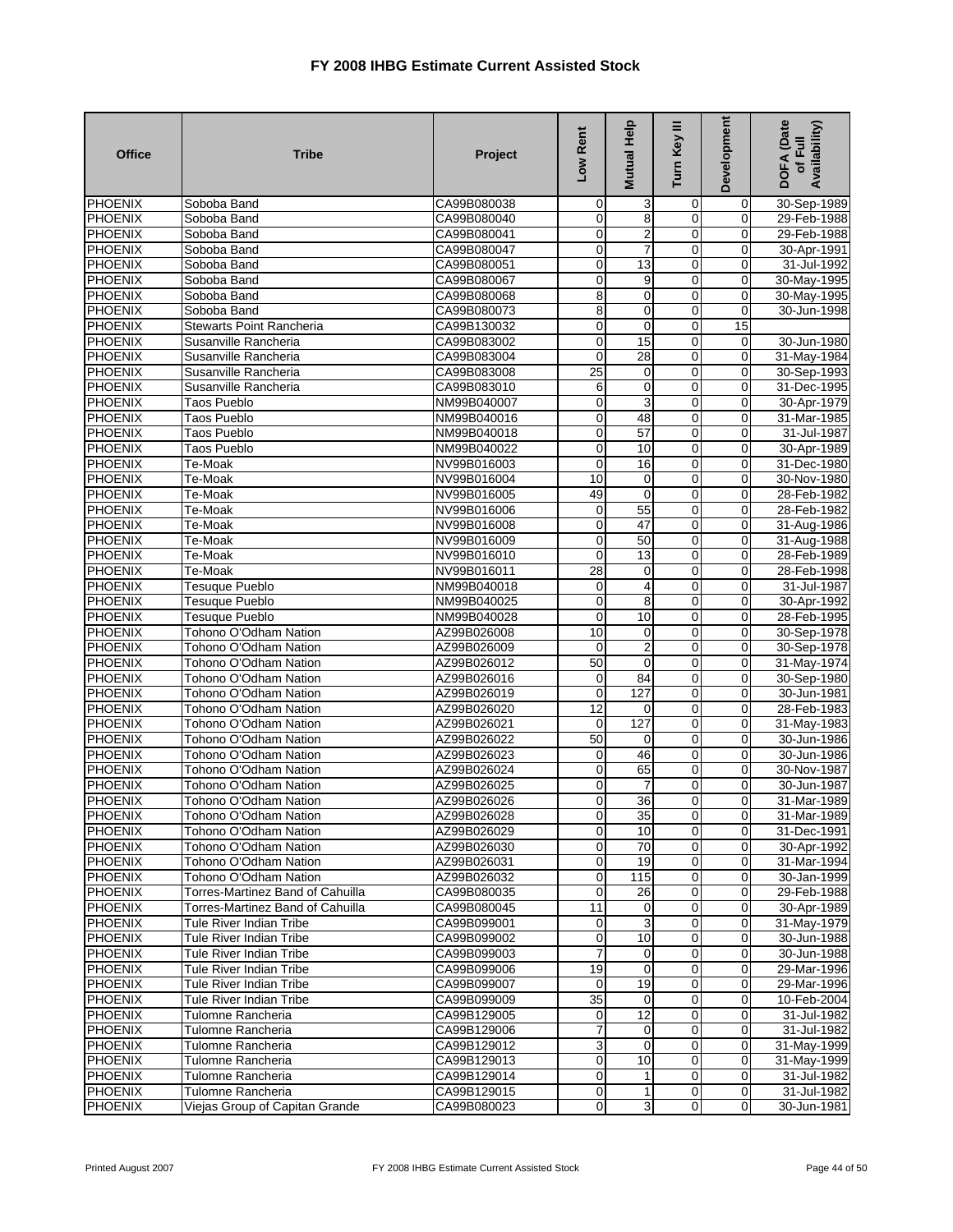| <b>Office</b>             | <b>Tribe</b>                                   | Project                    | Low Rent                    | Mutual Help    | Turn Key III                     | <b>Development</b>            | DOFA (Date<br>Availability)<br>of Full |
|---------------------------|------------------------------------------------|----------------------------|-----------------------------|----------------|----------------------------------|-------------------------------|----------------------------------------|
| <b>PHOENIX</b>            | Soboba Band                                    | CA99B080038                | $\mathbf 0$                 | 3              | 0                                | 0                             | 30-Sep-1989                            |
| PHOENIX                   | Soboba Band                                    | CA99B080040                | $\mathbf 0$                 | 8              | 0                                | $\overline{0}$                | 29-Feb-1988                            |
| <b>PHOENIX</b>            | Soboba Band                                    | CA99B080041                | $\pmb{0}$                   | 2              | $\overline{0}$                   | $\mathbf 0$                   | 29-Feb-1988                            |
| <b>PHOENIX</b>            | Soboba Band                                    | CA99B080047                | 0                           | $\overline{7}$ | 0                                | $\overline{0}$                | 30-Apr-1991                            |
| PHOENIX                   | Soboba Band                                    | CA99B080051                | $\mathbf 0$                 | 13             | 0                                | $\mathbf 0$                   | 31-Jul-1992                            |
| PHOENIX                   | Soboba Band                                    | CA99B080067                | $\overline{0}$              | 9              | $\mathbf 0$                      | $\mathbf 0$                   | 30-May-1995                            |
| PHOENIX                   | Soboba Band                                    | CA99B080068                | $\overline{8}$              | $\mathbf 0$    | $\mathbf 0$                      | $\overline{0}$                | 30-May-1995                            |
| PHOENIX                   | Soboba Band                                    | CA99B080073                | 8                           | 0              | 0                                | $\mathbf 0$                   | 30-Jun-1998                            |
| <b>PHOENIX</b>            | Stewarts Point Rancheria                       | CA99B130032                | $\mathsf{O}\xspace$         | $\mathbf 0$    | 0                                | 15                            |                                        |
| <b>PHOENIX</b>            | Susanville Rancheria                           | CA99B083002                | $\mathbf 0$                 | 15             | $\mathbf 0$                      | $\mathbf 0$                   | 30-Jun-1980                            |
| PHOENIX                   | Susanville Rancheria                           | CA99B083004                | $\mathbf 0$                 | 28             | 0                                | $\mathbf 0$                   | 31-May-1984                            |
| <b>PHOENIX</b>            | Susanville Rancheria                           | CA99B083008                | 25                          | $\mathbf 0$    | $\mathbf 0$                      | $\mathbf 0$                   | 30-Sep-1993                            |
| <b>PHOENIX</b>            | Susanville Rancheria                           | CA99B083010                | 6                           | $\mathbf 0$    | 0                                | 0                             | 31-Dec-1995                            |
| <b>PHOENIX</b>            | <b>Taos Pueblo</b>                             | NM99B040007                | $\mathsf{O}\xspace$         | $\overline{3}$ | $\mathbf 0$                      | $\mathbf 0$                   | 30-Apr-1979                            |
| <b>PHOENIX</b>            | Taos Pueblo                                    | NM99B040016                | $\mathbf 0$                 | 48             | 0                                | 0                             | 31-Mar-1985                            |
| <b>PHOENIX</b>            | <b>Taos Pueblo</b>                             | NM99B040018                | $\pmb{0}$                   | 57             | 0                                | 0                             | 31-Jul-1987                            |
| <b>PHOENIX</b>            | <b>Taos Pueblo</b>                             | NM99B040022                | $\overline{0}$              | 10             | $\overline{0}$                   | $\overline{0}$                | 30-Apr-1989                            |
| <b>PHOENIX</b>            | Te-Moak                                        | NV99B016003                | 0                           | 16             | 0                                | $\mathbf{O}$                  | 31-Dec-1980                            |
| PHOENIX                   | Te-Moak                                        | NV99B016004                | 10                          | 0              | 0                                | $\mathbf 0$                   | 30-Nov-1980                            |
| <b>PHOENIX</b>            | Te-Moak                                        | NV99B016005                | 49                          | $\mathbf 0$    | $\overline{0}$                   | $\mathbf 0$                   | 28-Feb-1982                            |
| <b>PHOENIX</b>            | Te-Moak                                        | NV99B016006                | O                           | 55             | 0                                | $\mathbf 0$                   | 28-Feb-1982                            |
| PHOENIX                   | Te-Moak                                        | NV99B016008                | $\overline{0}$              | 47             | $\mathbf 0$                      | 0                             | 31-Aug-1986                            |
| <b>PHOENIX</b>            | Te-Moak                                        | NV99B016009                | $\mathbf 0$                 | 50             | $\mathbf 0$                      | $\mathbf 0$                   | 31-Aug-1988                            |
| <b>PHOENIX</b>            | Te-Moak                                        | NV99B016010                | 0                           | 13             | $\overline{0}$                   | 0                             | 28-Feb-1989                            |
| PHOENIX                   | Te-Moak                                        | NV99B016011                | 28                          | 0              | $\overline{0}$                   | $\pmb{0}$                     | 28-Feb-1998                            |
| PHOENIX                   | <b>Tesuque Pueblo</b>                          | NM99B040018                | $\mathbf 0$                 | 4              | $\mathbf 0$                      | $\mathbf 0$                   | 31-Jul-1987                            |
| PHOENIX                   | Tesuque Pueblo                                 | NM99B040025                | $\mathbf 0$                 | 8              | 0                                | $\mathbf 0$                   | 30-Apr-1992                            |
| PHOENIX                   | Tesuque Pueblo                                 | NM99B040028                | $\mathbf 0$                 | 10             | $\overline{0}$                   | $\overline{0}$                | 28-Feb-1995                            |
| <b>PHOENIX</b>            | Tohono O'Odham Nation                          | AZ99B026008                | 10                          | $\mathbf 0$    | 0                                | $\overline{0}$                | 30-Sep-1978                            |
| <b>PHOENIX</b>            | Tohono O'Odham Nation                          | AZ99B026009                | 0                           | $\overline{2}$ | 0                                | 0                             | 30-Sep-1978                            |
| PHOENIX                   | Tohono O'Odham Nation                          | AZ99B026012                | 50                          | $\mathbf 0$    | $\mathbf 0$                      | $\overline{0}$                | 31-May-1974                            |
| <b>PHOENIX</b>            | Tohono O'Odham Nation                          | AZ99B026016                | $\mathbf 0$                 | 84             | $\mathbf 0$                      | $\mathbf{0}$                  | 30-Sep-1980                            |
| PHOENIX                   | Tohono O'Odham Nation                          | AZ99B026019                | $\mathbf 0$                 | 127            | $\overline{0}$                   | $\mathbf 0$                   | 30-Jun-1981                            |
| <b>PHOENIX</b>            | Tohono O'Odham Nation                          | AZ99B026020                | 12                          | 0              | 0                                | $\mathbf 0$                   | 28-Feb-1983                            |
| PHOENIX                   | Tohono O'Odham Nation                          | AZ99B026021                | $\mathbf 0$                 | 127            | $\mathbf 0$                      | $\overline{0}$                | 31-May-1983                            |
| PHOENIX                   | Tohono O'Odham Nation                          | AZ99B026022                | 50                          | 0              | $\mathbf 0$                      | $\mathbf 0$                   | 30-Jun-1986                            |
| <b>PHOENIX</b>            | Tohono O'Odham Nation                          | AZ99B026023                | 0                           | 46             | $\mathbf 0$                      | $\mathbf 0$                   | 30-Jun-1986                            |
| <b>PHOENIX</b>            | Tohono O'Odham Nation<br>Tohono O'Odham Nation | AZ99B026024                | $\mathbf 0$                 | 65             | 0                                | $\mathbf 0$                   | 30-Nov-1987                            |
| PHOENIX<br><b>PHOENIX</b> | Tohono O'Odham Nation                          | AZ99B026025                | $\pmb{0}$<br>$\overline{0}$ | 7<br>36        | 0<br>0                           | $\mathbf 0$<br>$\overline{0}$ | 30-Jun-1987<br>31-Mar-1989             |
| <b>PHOENIX</b>            | Tohono O'Odham Nation                          | AZ99B026026<br>AZ99B026028 | $\overline{0}$              | 35             |                                  |                               | 31-Mar-1989                            |
| <b>PHOENIX</b>            | Tohono O'Odham Nation                          | AZ99B026029                | $\overline{0}$              | 10             | $\overline{0}$<br>$\overline{0}$ | 0<br>$\overline{0}$           | 31-Dec-1991                            |
| <b>PHOENIX</b>            | Tohono O'Odham Nation                          | AZ99B026030                | $\overline{0}$              | 70             | $\mathbf 0$                      | $\overline{0}$                | 30-Apr-1992                            |
| <b>PHOENIX</b>            | Tohono O'Odham Nation                          | AZ99B026031                | $\mathbf 0$                 | 19             | $\mathbf 0$                      | $\mathbf 0$                   | 31-Mar-1994                            |
| <b>PHOENIX</b>            | Tohono O'Odham Nation                          | AZ99B026032                | $\overline{0}$              | 115            | $\mathbf 0$                      | $\overline{0}$                | 30-Jan-1999                            |
| <b>PHOENIX</b>            | Torres-Martinez Band of Cahuilla               | CA99B080035                | $\mathbf 0$                 | 26             | $\overline{0}$                   | $\overline{0}$                | 29-Feb-1988                            |
| <b>PHOENIX</b>            | Torres-Martinez Band of Cahuilla               | CA99B080045                | 11                          | 0              | 0                                | $\overline{0}$                | 30-Apr-1989                            |
| <b>PHOENIX</b>            | Tule River Indian Tribe                        | CA99B099001                | $\mathbf 0$                 | 3              | 0                                | $\overline{0}$                | 31-May-1979                            |
| <b>PHOENIX</b>            | <b>Tule River Indian Tribe</b>                 | CA99B099002                | $\overline{0}$              | 10             | 0                                | $\overline{0}$                | 30-Jun-1988                            |
| <b>PHOENIX</b>            | Tule River Indian Tribe                        | CA99B099003                | 7                           | 0              | $\mathbf 0$                      | $\overline{0}$                | 30-Jun-1988                            |
| <b>PHOENIX</b>            | Tule River Indian Tribe                        | CA99B099006                | $\overline{19}$             | $\mathbf 0$    | 0                                | $\mathbf 0$                   | $29$ -Mar-1996                         |
| <b>PHOENIX</b>            | Tule River Indian Tribe                        | CA99B099007                | $\mathbf 0$                 | 19             | 0                                | $\overline{0}$                | $29$ -Mar-1996                         |
| <b>PHOENIX</b>            | <b>Tule River Indian Tribe</b>                 | CA99B099009                | 35                          | 0              | $\mathbf 0$                      | $\overline{0}$                | 10-Feb-2004                            |
| <b>PHOENIX</b>            | Tulomne Rancheria                              | CA99B129005                | $\mathbf 0$                 | 12             | 0                                | $\overline{0}$                | 31-Jul-1982                            |
| <b>PHOENIX</b>            | Tulomne Rancheria                              | CA99B129006                | 7                           | 0              | 0                                | $\overline{0}$                | 31-Jul-1982                            |
| <b>PHOENIX</b>            | Tulomne Rancheria                              | CA99B129012                | $\overline{3}$              | $\mathbf 0$    | $\mathbf 0$                      | $\mathbf 0$                   | 31-May-1999                            |
| <b>PHOENIX</b>            | Tulomne Rancheria                              | CA99B129013                | $\overline{0}$              | 10             | $\mathbf 0$                      | $\overline{0}$                | 31-May-1999                            |
| <b>PHOENIX</b>            | Tulomne Rancheria                              | CA99B129014                | $\overline{0}$              |                | $\overline{0}$                   | $\mathbf 0$                   | 31-Jul-1982                            |
| <b>PHOENIX</b>            | Tulomne Rancheria                              | CA99B129015                | $\overline{0}$              |                | $\mathbf 0$                      | $\mathbf 0$                   | 31-Jul-1982                            |
| <b>PHOENIX</b>            | Viejas Group of Capitan Grande                 | CA99B080023                | $\overline{0}$              | $\overline{3}$ | $\overline{0}$                   | $\overline{0}$                | 30-Jun-1981                            |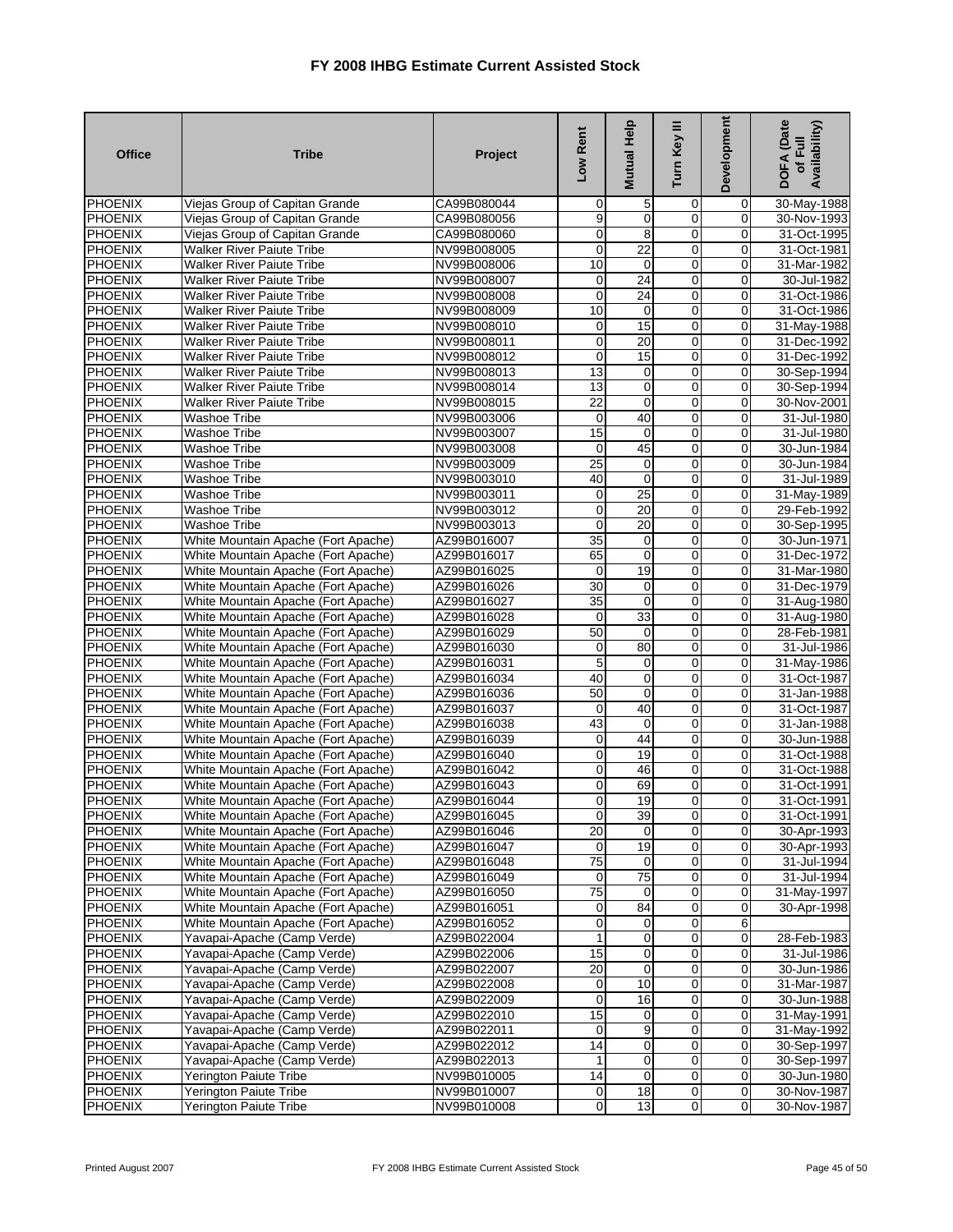| <b>Office</b>                    | <b>Tribe</b>                               | Project                    | Low Rent          | Mutual Help       | Turn Key III   | Development      | DOFA (Date<br>Availability)<br>ᄒ |
|----------------------------------|--------------------------------------------|----------------------------|-------------------|-------------------|----------------|------------------|----------------------------------|
| PHOENIX                          | Viejas Group of Capitan Grande             | CA99B080044                | $\mathbf 0$       | 5                 | 0              | $\overline{0}$   | 30-May-1988                      |
| PHOENIX                          | Viejas Group of Capitan Grande             | CA99B080056                | 9                 | 0                 | 0              | $\overline{0}$   | 30-Nov-1993                      |
| <b>PHOENIX</b>                   | Viejas Group of Capitan Grande             | CA99B080060                | $\overline{0}$    | 8                 | $\overline{0}$ | 0                | 31-Oct-1995                      |
| <b>PHOENIX</b>                   | Walker River Paiute Tribe                  | NV99B008005                | $\mathbf 0$       | $\overline{22}$   | 0              | $\mathbf 0$      | 31-Oct-1981                      |
| <b>PHOENIX</b>                   | <b>Walker River Paiute Tribe</b>           | NV99B008006                | 10                | $\mathbf 0$       | 0              | 0                | 31-Mar-1982                      |
| PHOENIX                          | Walker River Paiute Tribe                  | NV99B008007                | $\mathbf 0$       | 24                | $\mathbf 0$    | 0                | 30-Jul-1982                      |
| <b>PHOENIX</b>                   | Walker River Paiute Tribe                  | NV99B008008                | $\mathbf 0$       | 24                | 0              | 0                | 31-Oct-1986                      |
| <b>PHOENIX</b>                   | <b>Walker River Paiute Tribe</b>           | NV99B008009                | 10                | 0                 | 0              | 0                | 31-Oct-1986                      |
| PHOENIX                          | <b>Walker River Paiute Tribe</b>           | NV99B008010                | $\mathbf 0$       | 15                | $\overline{0}$ | $\mathbf 0$      | 31-May-1988                      |
| <b>PHOENIX</b>                   | <b>Walker River Paiute Tribe</b>           | NV99B008011                | $\overline{0}$    | 20                | 0              | $\mathbf 0$      | 31-Dec-1992                      |
| PHOENIX                          | Walker River Paiute Tribe                  | NV99B008012                | $\mathbf 0$       | 15                | 0              | $\mathbf 0$      | 31-Dec-1992                      |
| <b>PHOENIX</b>                   | <b>Walker River Paiute Tribe</b>           | NV99B008013                | 13                | $\mathbf 0$       | $\overline{0}$ | 0                | 30-Sep-1994                      |
| <b>PHOENIX</b>                   | <b>Walker River Paiute Tribe</b>           | NV99B008014                | 13                | $\mathbf 0$       | 0              | 0                | 30-Sep-1994                      |
| PHOENIX<br>PHOENIX               | Walker River Paiute Tribe                  | NV99B008015<br>NV99B003006 | 22                | $\mathbf 0$<br>40 | 0<br>0         | 0                | 30-Nov-2001                      |
|                                  | Washoe Tribe                               | NV99B003007                | $\mathbf 0$       | $\mathbf 0$       | $\overline{0}$ | 0<br>0           | 31-Jul-1980                      |
| <b>PHOENIX</b><br><b>PHOENIX</b> | <b>Washoe Tribe</b><br><b>Washoe Tribe</b> | NV99B003008                | 15<br>$\mathbf 0$ | 45                | 0              | $\overline{0}$   | 31-Jul-1980<br>30-Jun-1984       |
| PHOENIX                          | <b>Washoe Tribe</b>                        |                            | $\overline{25}$   | $\mathbf 0$       | 0              | $\overline{0}$   | 30-Jun-1984                      |
|                                  |                                            | NV99B003009                | 40                | 0                 | 0              |                  | 31-Jul-1989                      |
| <b>PHOENIX</b><br><b>PHOENIX</b> | Washoe Tribe<br><b>Washoe Tribe</b>        | NV99B003010<br>NV99B003011 | $\overline{0}$    | 25                | $\overline{0}$ | 0<br>$\mathbf 0$ |                                  |
| <b>PHOENIX</b>                   | <b>Washoe Tribe</b>                        | NV99B003012                | $\overline{0}$    | $\overline{20}$   | $\overline{0}$ | 0                | 31-May-1989<br>29-Feb-1992       |
| <b>PHOENIX</b>                   | <b>Washoe Tribe</b>                        | NV99B003013                | $\mathbf 0$       | 20                | 0              | 0                | 30-Sep-1995                      |
| PHOENIX                          | White Mountain Apache (Fort Apache)        | AZ99B016007                | 35                | $\mathbf 0$       | 0              | 0                | 30-Jun-1971                      |
| <b>PHOENIX</b>                   | White Mountain Apache (Fort Apache)        | AZ99B016017                | 65                | 0                 | 0              | $\overline{0}$   | 31-Dec-1972                      |
| <b>PHOENIX</b>                   | White Mountain Apache (Fort Apache)        | AZ99B016025                | $\mathbf 0$       | 19                | $\overline{0}$ | 0                | 31-Mar-1980                      |
| <b>PHOENIX</b>                   | White Mountain Apache (Fort Apache)        | AZ99B016026                | 30                | $\mathbf 0$       | 0              | $\mathbf 0$      | 31-Dec-1979                      |
| <b>PHOENIX</b>                   | White Mountain Apache (Fort Apache)        | AZ99B016027                | $\overline{35}$   | 0                 | 0              | $\overline{0}$   | 31-Aug-1980                      |
| <b>PHOENIX</b>                   | White Mountain Apache (Fort Apache)        | AZ99B016028                | $\mathbf 0$       | 33                | $\overline{0}$ | $\overline{0}$   | 31-Aug-1980                      |
| <b>PHOENIX</b>                   | White Mountain Apache (Fort Apache)        | AZ99B016029                | 50                | $\mathbf 0$       | 0              | $\mathbf 0$      | 28-Feb-1981                      |
| <b>PHOENIX</b>                   | White Mountain Apache (Fort Apache)        | AZ99B016030                | $\mathbf 0$       | 80                | 0              | 0                | 31-Jul-1986                      |
| PHOENIX                          | White Mountain Apache (Fort Apache)        | AZ99B016031                | 5                 | 0                 | 0              | $\mathbf 0$      | 31-May-1986                      |
| PHOENIX                          | White Mountain Apache (Fort Apache)        | AZ99B016034                | 40                | 0                 | 0              | 0                | 31-Oct-1987                      |
| <b>PHOENIX</b>                   | White Mountain Apache (Fort Apache)        | AZ99B016036                | 50                | 0                 | 0              | 0                | 31-Jan-1988                      |
| PHOENIX                          | White Mountain Apache (Fort Apache)        | AZ99B016037                | $\overline{0}$    | 40                | $\mathbf 0$    | $\overline{0}$   | 31-Oct-1987                      |
| <b>PHOENIX</b>                   | White Mountain Apache (Fort Apache)        | AZ99B016038                | 43                | $\mathbf 0$       | 0              | 0                | 31-Jan-1988                      |
| <b>PHOENIX</b>                   | White Mountain Apache (Fort Apache)        | AZ99B016039                | $\mathbf 0$       | 44                | $\mathbf 0$    | 0                | 30-Jun-1988                      |
| <b>PHOENIX</b>                   | White Mountain Apache (Fort Apache)        | AZ99B016040                | $\overline{0}$    | 19                | $\overline{0}$ | 0                | 31-Oct-1988                      |
| <b>PHOENIX</b>                   | White Mountain Apache (Fort Apache)        | AZ99B016042                | $\overline{0}$    | 46                | 0              | 0                | 31-Oct-1988                      |
| PHOENIX                          | White Mountain Apache (Fort Apache)        | AZ99B016043                | $\mathbf 0$       | 69                | 0              | 0                | 31-Oct-1991                      |
| PHOENIX                          | White Mountain Apache (Fort Apache)        | AZ99B016044                | $\overline{0}$    | 19                | 0              | 0                | 31-Oct-1991                      |
| <b>PHOENIX</b>                   | White Mountain Apache (Fort Apache)        | AZ99B016045                | $\overline{0}$    | 39                | $\mathbf{0}$   | 0                | 31-Oct-1991                      |
| <b>PHOENIX</b>                   | White Mountain Apache (Fort Apache)        | AZ99B016046                | 20                | $\overline{0}$    | $\overline{0}$ | $\mathbf 0$      | 30-Apr-1993                      |
| <b>PHOENIX</b>                   | White Mountain Apache (Fort Apache)        | AZ99B016047                | $\overline{0}$    | 19                | $\mathbf 0$    | 0                | 30-Apr-1993                      |
| <b>PHOENIX</b>                   | White Mountain Apache (Fort Apache)        | AZ99B016048                | 75                | $\overline{0}$    | $\mathbf 0$    | 0                | 31-Jul-1994                      |
| <b>PHOENIX</b>                   | White Mountain Apache (Fort Apache)        | AZ99B016049                | $\overline{0}$    | 75                | $\overline{0}$ | $\mathbf 0$      | 31-Jul-1994                      |
| <b>PHOENIX</b>                   | White Mountain Apache (Fort Apache)        | AZ99B016050                | 75                | $\mathbf 0$       | 0              | 0                | 31-May-1997                      |
| <b>PHOENIX</b>                   | White Mountain Apache (Fort Apache)        | AZ99B016051                | $\mathbf 0$       | 84                | 0              | 0                | 30-Apr-1998                      |
| <b>PHOENIX</b>                   | White Mountain Apache (Fort Apache)        | AZ99B016052                | $\overline{0}$    | $\mathbf 0$       | $\mathbf 0$    | 6                |                                  |
| <b>PHOENIX</b>                   | Yavapai-Apache (Camp Verde)                | AZ99B022004                | 1 <sup>1</sup>    | $\overline{0}$    | $\mathbf 0$    | $\overline{0}$   | 28-Feb-1983                      |
| <b>PHOENIX</b>                   | Yavapai-Apache (Camp Verde)                | AZ99B022006                | 15                | 0                 | 0              | 0                | 31-Jul-1986                      |
| <b>PHOENIX</b>                   | Yavapai-Apache (Camp Verde)                | AZ99B022007                | 20                | $\mathbf 0$       | 0              | 0                | 30-Jun-1986                      |
| <b>PHOENIX</b>                   | Yavapai-Apache (Camp Verde)                | AZ99B022008                | $\overline{0}$    | $\overline{10}$   | $\mathbf 0$    | $\mathbf 0$      | 31-Mar-1987                      |
| PHOENIX                          | Yavapai-Apache (Camp Verde)                | AZ99B022009                | $\overline{0}$    | 16                | 0              | $\mathbf 0$      | 30-Jun-1988                      |
| <b>PHOENIX</b>                   | Yavapai-Apache (Camp Verde)                | AZ99B022010                | 15                | 0                 | $\mathbf 0$    | $\mathbf 0$      | 31-May-1991                      |
| <b>PHOENIX</b>                   | Yavapai-Apache (Camp Verde)                | AZ99B022011                | $\overline{0}$    | 9                 | 0              | 0                | 31-May-1992                      |
| <b>PHOENIX</b>                   | Yavapai-Apache (Camp Verde)                | AZ99B022012                | 14                | 0                 | $\mathbf 0$    | $\mathbf 0$      | 30-Sep-1997                      |
| <b>PHOENIX</b>                   | Yavapai-Apache (Camp Verde)                | AZ99B022013                | 1                 | $\overline{0}$    | 0              | $\mathbf 0$      | 30-Sep-1997                      |
| <b>PHOENIX</b>                   | Yerington Paiute Tribe                     | NV99B010005                | 14                | 0                 | $\mathbf 0$    | $\mathbf 0$      | 30-Jun-1980                      |
| <b>PHOENIX</b>                   | Yerington Paiute Tribe                     | NV99B010007                | $\overline{0}$    | 18                | $\overline{0}$ | $\overline{0}$   | 30-Nov-1987                      |
| <b>PHOENIX</b>                   | Yerington Paiute Tribe                     | NV99B010008                | $\overline{0}$    | 13                | $\overline{0}$ | $\overline{0}$   | 30-Nov-1987                      |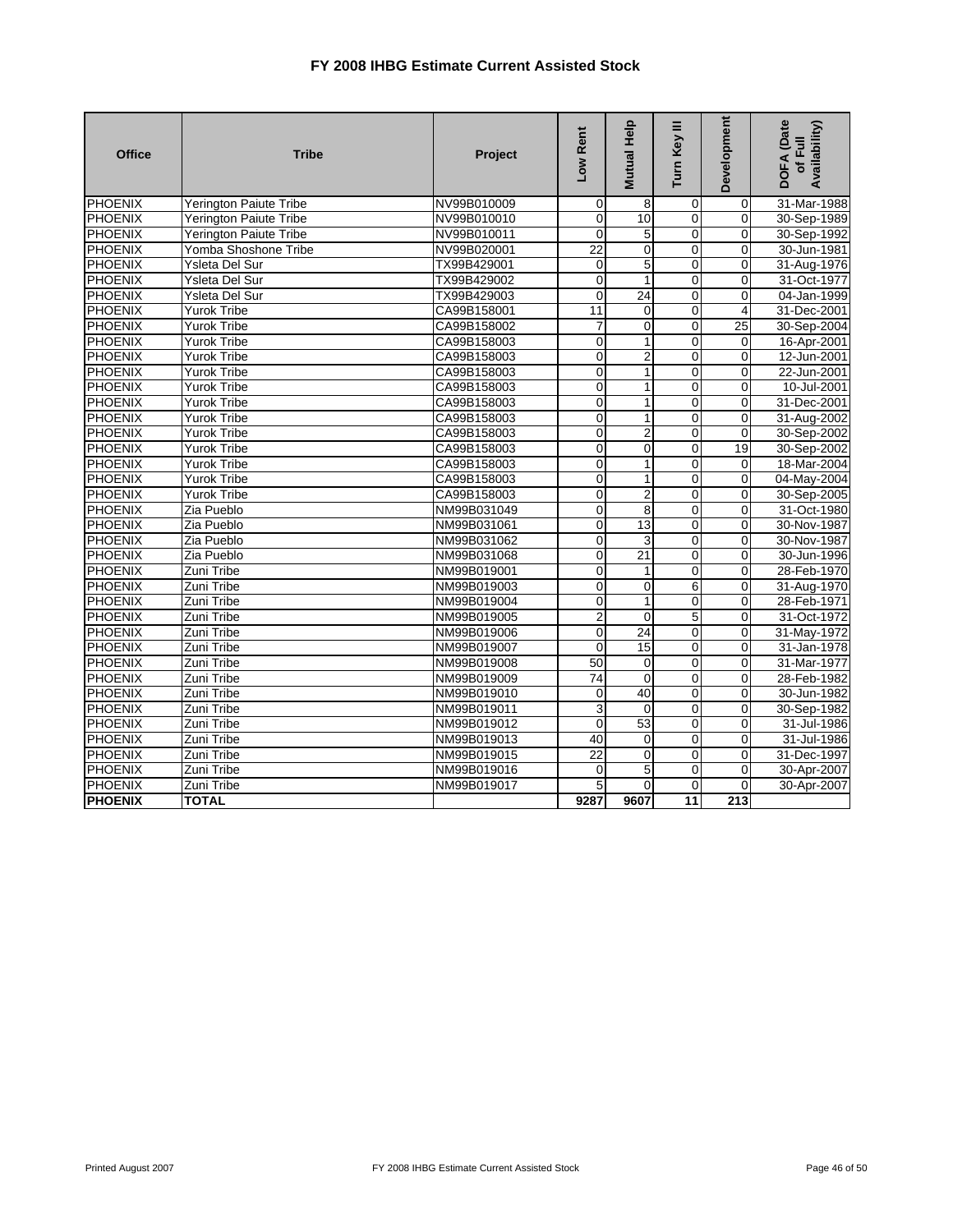| <b>Office</b>  | <b>Tribe</b>                  | Project     | Low Rent        | Mutual Help     | Turn Key III   | Development    | <b>DOFA</b> (Date<br>Availability)<br>of Full |
|----------------|-------------------------------|-------------|-----------------|-----------------|----------------|----------------|-----------------------------------------------|
| PHOENIX        | Yerington Paiute Tribe        | NV99B010009 | $\mathbf 0$     | 8               | 0              | $\mathbf 0$    | 31-Mar-1988                                   |
| <b>PHOENIX</b> | Yerington Paiute Tribe        | NV99B010010 | $\mathbf 0$     | 10              | $\overline{0}$ | 0              | 30-Sep-1989                                   |
| <b>PHOENIX</b> | <b>Yerington Paiute Tribe</b> | NV99B010011 | $\mathbf 0$     | 5               | $\overline{0}$ | 0              | 30-Sep-1992                                   |
| <b>PHOENIX</b> | Yomba Shoshone Tribe          | NV99B020001 | $\overline{22}$ | $\mathbf 0$     | $\overline{0}$ | $\overline{0}$ | 30-Jun-1981                                   |
| <b>PHOENIX</b> | Ysleta Del Sur                | TX99B429001 | 0               | 5               | 0              | 0              | 31-Aug-1976                                   |
| <b>PHOENIX</b> | Ysleta Del Sur                | TX99B429002 | $\overline{0}$  | $\mathbf{1}$    | $\overline{0}$ | $\overline{0}$ | 31-Oct-1977                                   |
| PHOENIX        | Ysleta Del Sur                | TX99B429003 | $\Omega$        | 24              | $\overline{0}$ | $\mathbf{0}$   | 04-Jan-1999                                   |
| <b>PHOENIX</b> | <b>Yurok Tribe</b>            | CA99B158001 | 11              | $\Omega$        | $\Omega$       | 4              | 31-Dec-2001                                   |
| <b>PHOENIX</b> | <b>Yurok Tribe</b>            | CA99B158002 | $\overline{7}$  | $\mathbf 0$     | $\overline{0}$ | 25             | 30-Sep-2004                                   |
| <b>PHOENIX</b> | <b>Yurok Tribe</b>            | CA99B158003 | $\overline{0}$  | $\mathbf{1}$    | $\overline{0}$ | 0              | 16-Apr-2001                                   |
| PHOENIX        | <b>Yurok Tribe</b>            | CA99B158003 | $\mathbf 0$     | 2               | $\mathbf 0$    | 0              | 12-Jun-2001                                   |
| <b>PHOENIX</b> | <b>Yurok Tribe</b>            | CA99B158003 | 0               | 1               | $\mathbf 0$    | 0              | 22-Jun-2001                                   |
| <b>PHOENIX</b> | <b>Yurok Tribe</b>            | CA99B158003 | $\mathbf 0$     | 1               | $\mathbf 0$    | 0              | 10-Jul-2001                                   |
| PHOENIX        | <b>Yurok Tribe</b>            | CA99B158003 | $\mathbf 0$     | 1               | 0              | 0              | 31-Dec-2001                                   |
| <b>PHOENIX</b> | <b>Yurok Tribe</b>            | CA99B158003 | $\mathbf 0$     | $\mathbf{1}$    | $\mathbf 0$    | $\Omega$       | 31-Aug-2002                                   |
| <b>PHOENIX</b> | <b>Yurok Tribe</b>            | CA99B158003 | $\mathbf 0$     | $\overline{2}$  | $\mathbf 0$    | 0              | 30-Sep-2002                                   |
| <b>PHOENIX</b> | <b>Yurok Tribe</b>            | CA99B158003 | $\overline{0}$  | $\overline{0}$  | $\overline{0}$ | 19             | 30-Sep-2002                                   |
| <b>PHOENIX</b> | <b>Yurok Tribe</b>            | CA99B158003 | $\mathbf 0$     | $\mathbf{1}$    | $\overline{0}$ | $\mathbf 0$    | 18-Mar-2004                                   |
| PHOENIX        | <b>Yurok Tribe</b>            | CA99B158003 | 0               | 1               | $\mathbf 0$    | 0              | 04-May-2004                                   |
| <b>PHOENIX</b> | <b>Yurok Tribe</b>            | CA99B158003 | $\overline{0}$  | $\overline{2}$  | $\overline{0}$ | $\overline{0}$ | 30-Sep-2005                                   |
| <b>PHOENIX</b> | Zia Pueblo                    | NM99B031049 | $\overline{0}$  | 8               | $\overline{0}$ | $\overline{0}$ | 31-Oct-1980                                   |
| PHOENIX        | Zia Pueblo                    | NM99B031061 | $\mathbf 0$     | 13              | $\overline{0}$ | $\mathbf 0$    | 30-Nov-1987                                   |
| <b>PHOENIX</b> | Zia Pueblo                    | NM99B031062 | $\mathbf 0$     | 3               | $\overline{0}$ | $\Omega$       | 30-Nov-1987                                   |
| <b>PHOENIX</b> | Zia Pueblo                    | NM99B031068 | $\overline{0}$  | 21              | $\overline{0}$ | $\overline{0}$ | 30-Jun-1996                                   |
| <b>PHOENIX</b> | Zuni Tribe                    | NM99B019001 | $\mathbf 0$     | 1               | $\overline{0}$ | 0              | 28-Feb-1970                                   |
| <b>PHOENIX</b> | Zuni Tribe                    | NM99B019003 | $\mathbf 0$     | 0               | 6              | $\mathbf 0$    | 31-Aug-1970                                   |
| PHOENIX        | Zuni Tribe                    | NM99B019004 | $\mathbf 0$     | 1               | 0              | 0              | 28-Feb-1971                                   |
| <b>PHOENIX</b> | Zuni Tribe                    | NM99B019005 | $\overline{2}$  | $\mathbf 0$     | 5              | 0              | 31-Oct-1972                                   |
| <b>PHOENIX</b> | <b>Zuni Tribe</b>             | NM99B019006 | 0               | $\overline{24}$ | $\overline{0}$ | 0              | 31-May-1972                                   |
| PHOENIX        | Zuni Tribe                    | NM99B019007 | $\mathbf 0$     | 15              | $\mathbf 0$    | 0              | 31-Jan-1978                                   |
| PHOENIX        | Zuni Tribe                    | NM99B019008 | $\overline{50}$ | $\mathbf 0$     | $\overline{0}$ | 0              | 31-Mar-1977                                   |
| <b>PHOENIX</b> | Zuni Tribe                    | NM99B019009 | $\overline{74}$ | $\mathbf 0$     | $\overline{0}$ | 0              | 28-Feb-1982                                   |
| <b>PHOENIX</b> | <b>Zuni Tribe</b>             | NM99B019010 | 0               | 40              | $\overline{0}$ | $\mathbf 0$    | 30-Jun-1982                                   |
| <b>PHOENIX</b> | Zuni Tribe                    | NM99B019011 | $\overline{3}$  | $\Omega$        | $\overline{0}$ | $\Omega$       | 30-Sep-1982                                   |
| <b>PHOENIX</b> | Zuni Tribe                    | NM99B019012 | $\mathbf 0$     | 53              | $\overline{0}$ | 0              | 31-Jul-1986                                   |
| <b>PHOENIX</b> | Zuni Tribe                    | NM99B019013 | 40              | $\mathbf 0$     | $\overline{0}$ | $\mathbf 0$    | 31-Jul-1986                                   |
| <b>PHOENIX</b> | <b>Zuni Tribe</b>             | NM99B019015 | $\overline{22}$ | $\mathbf 0$     | $\overline{0}$ | $\overline{0}$ | 31-Dec-1997                                   |
| <b>PHOENIX</b> | Zuni Tribe                    | NM99B019016 | 0               | 5               | 0              | 0              | 30-Apr-2007                                   |
| PHOENIX        | Zuni Tribe                    | NM99B019017 | 5               | $\Omega$        | $\overline{0}$ | $\mathbf 0$    | 30-Apr-2007                                   |
| <b>PHOENIX</b> | <b>TOTAL</b>                  |             | 9287            | 9607            | 11             | 213            |                                               |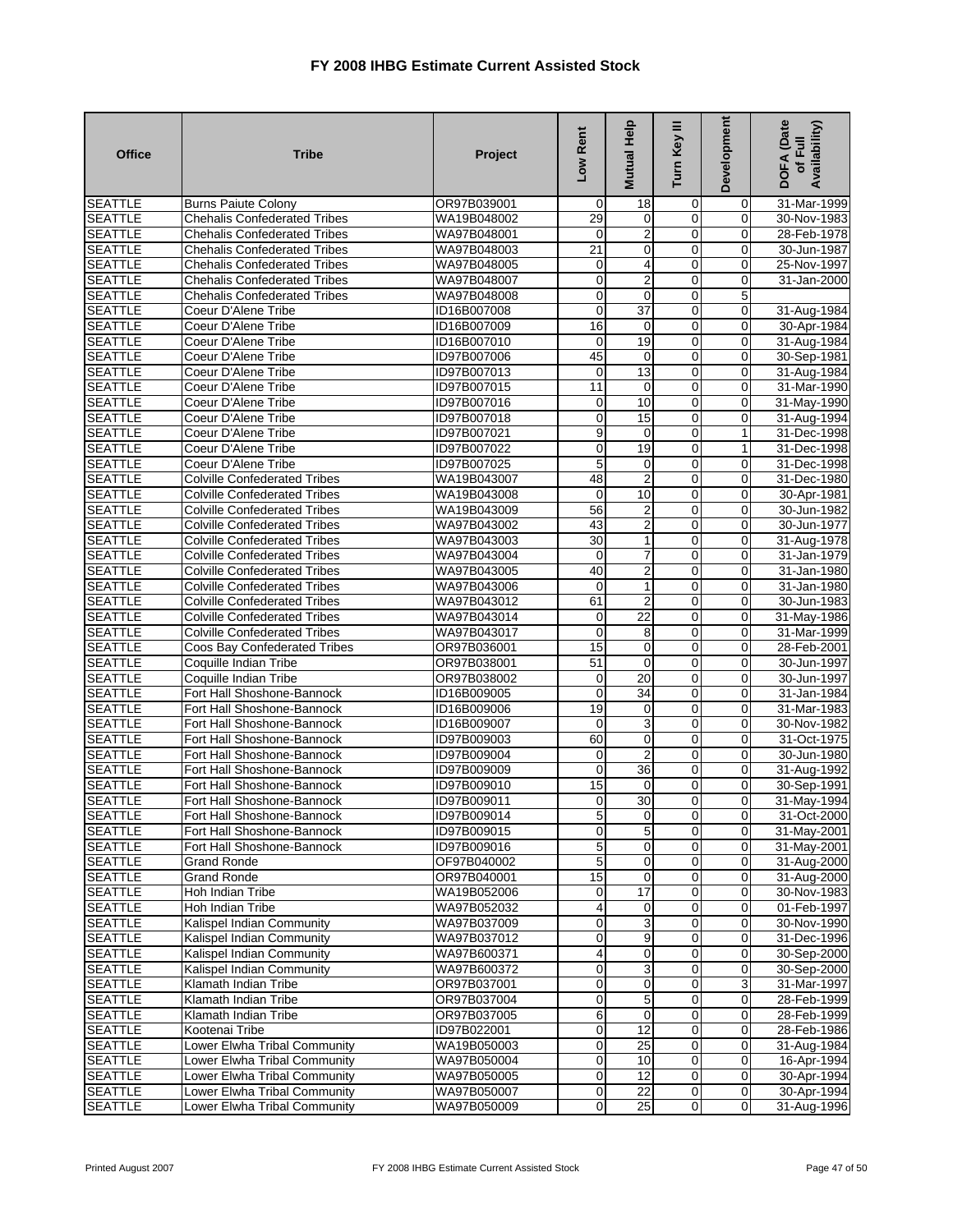| <b>Office</b>  | <b>Tribe</b>                        | Project     | Low Rent                   | Mutual Help             | Turn Key III   | <b>Development</b> | <b>DOFA</b> (Date<br>Availability)<br>of Full |
|----------------|-------------------------------------|-------------|----------------------------|-------------------------|----------------|--------------------|-----------------------------------------------|
| <b>SEATTLE</b> | <b>Burns Paiute Colony</b>          | OR97B039001 | 0                          | 18                      | 0              | 0                  | 31-Mar-1999                                   |
| <b>SEATTLE</b> | <b>Chehalis Confederated Tribes</b> | WA19B048002 | 29                         | 0                       | 0              | $\mathbf 0$        | 30-Nov-1983                                   |
| <b>SEATTLE</b> | Chehalis Confederated Tribes        | WA97B048001 | $\mathbf 0$                | $\overline{2}$          | 0              | $\mathbf 0$        | 28-Feb-1978                                   |
| <b>SEATTLE</b> | <b>Chehalis Confederated Tribes</b> | WA97B048003 | 21                         | $\mathbf 0$             | 0              | $\overline{0}$     | 30-Jun-1987                                   |
| <b>SEATTLE</b> | <b>Chehalis Confederated Tribes</b> | WA97B048005 | $\overline{0}$             | 4                       | 0              | $\mathbf 0$        | 25-Nov-1997                                   |
| <b>SEATTLE</b> | <b>Chehalis Confederated Tribes</b> | WA97B048007 | $\overline{0}$             | $\overline{\mathbf{c}}$ | $\mathbf 0$    | $\overline{0}$     | 31-Jan-2000                                   |
| <b>SEATTLE</b> | <b>Chehalis Confederated Tribes</b> | WA97B048008 | $\mathbf 0$                | $\mathbf 0$             | 0              | 5                  |                                               |
| <b>SEATTLE</b> | Coeur D'Alene Tribe                 | ID16B007008 | 0                          | $\overline{37}$         | 0              | $\overline{0}$     | 31-Aug-1984                                   |
| <b>SEATTLE</b> | Coeur D'Alene Tribe                 | ID16B007009 | 16                         | $\mathbf 0$             | $\mathbf 0$    | $\mathbf 0$        | 30-Apr-1984                                   |
| <b>SEATTLE</b> | Coeur D'Alene Tribe                 | ID16B007010 | 0                          | 19                      | $\mathbf 0$    | $\mathbf 0$        | 31-Aug-1984                                   |
| <b>SEATTLE</b> | Coeur D'Alene Tribe                 | ID97B007006 | 45                         | $\mathbf 0$             | 0              | $\mathbf 0$        | 30-Sep-1981                                   |
| <b>SEATTLE</b> | Coeur D'Alene Tribe                 | ID97B007013 | 0                          | $\overline{13}$         | 0              | 0                  | 31-Aug-1984                                   |
| <b>SEATTLE</b> | Coeur D'Alene Tribe                 | ID97B007015 | 11                         | 0                       | $\overline{0}$ | $\overline{0}$     | 31-Mar-1990                                   |
| <b>SEATTLE</b> | Coeur D'Alene Tribe                 | ID97B007016 | $\pmb{0}$                  | 10                      | $\pmb{0}$      | $\mathbf 0$        | 31-May-1990                                   |
| <b>SEATTLE</b> | Coeur D'Alene Tribe                 | ID97B007018 | $\mathbf 0$                | 15                      | $\overline{0}$ | 0                  | 31-Aug-1994                                   |
| <b>SEATTLE</b> | Coeur D'Alene Tribe                 | ID97B007021 | 9                          | $\mathbf 0$             | 0              | 1                  | 31-Dec-1998                                   |
| <b>SEATTLE</b> | Coeur D'Alene Tribe                 | ID97B007022 | $\overline{0}$             | 19                      | $\overline{0}$ | $\mathbf{1}$       | 31-Dec-1998                                   |
| <b>SEATTLE</b> | Coeur D'Alene Tribe                 | ID97B007025 | 5                          | $\mathbf 0$             | 0              | $\overline{0}$     | 31-Dec-1998                                   |
| <b>SEATTLE</b> | <b>Colville Confederated Tribes</b> | WA19B043007 | 48                         | $\overline{2}$          | 0              | $\overline{0}$     | 31-Dec-1980                                   |
| <b>SEATTLE</b> | <b>Colville Confederated Tribes</b> | WA19B043008 | $\mathbf 0$                | 10                      | $\overline{0}$ | $\mathbf 0$        | 30-Apr-1981                                   |
| <b>SEATTLE</b> | <b>Colville Confederated Tribes</b> | WA19B043009 | 56                         | $\overline{2}$          | 0              | $\overline{0}$     | 30-Jun-1982                                   |
| <b>SEATTLE</b> | <b>Colville Confederated Tribes</b> | WA97B043002 | 43                         | $\overline{c}$          | 0              | 0                  | 30-Jun-1977                                   |
| <b>SEATTLE</b> | <b>Colville Confederated Tribes</b> | WA97B043003 | $\overline{30}$            | 1                       | $\mathbf 0$    | $\mathbf 0$        | 31-Aug-1978                                   |
| <b>SEATTLE</b> | <b>Colville Confederated Tribes</b> | WA97B043004 | $\mathbf 0$                | 7                       | 0              | $\overline{0}$     | 31-Jan-1979                                   |
| <b>SEATTLE</b> | <b>Colville Confederated Tribes</b> | WA97B043005 | 40                         | $\overline{2}$          | 0              | $\mathbf 0$        | 31-Jan-1980                                   |
| <b>SEATTLE</b> | <b>Colville Confederated Tribes</b> | WA97B043006 | $\mathbf 0$                | $\mathbf{1}$            | $\overline{0}$ | $\mathbf 0$        | 31-Jan-1980                                   |
| <b>SEATTLE</b> | <b>Colville Confederated Tribes</b> | WA97B043012 | 61                         | $\overline{2}$          | 0              | $\mathbf 0$        | 30-Jun-1983                                   |
| <b>SEATTLE</b> | <b>Colville Confederated Tribes</b> | WA97B043014 | 0                          | $\overline{22}$         | 0              | $\mathbf 0$        | 31-May-1986                                   |
| <b>SEATTLE</b> | <b>Colville Confederated Tribes</b> | WA97B043017 | $\overline{0}$             | 8                       | $\overline{0}$ | $\overline{0}$     | 31-Mar-1999                                   |
| <b>SEATTLE</b> | Coos Bay Confederated Tribes        | OR97B036001 | 15                         | $\mathbf 0$             | 0              | $\mathbf 0$        | 28-Feb-2001                                   |
| <b>SEATTLE</b> | Coquille Indian Tribe               | OR97B038001 | 51                         | $\mathbf 0$             | $\mathbf 0$    | $\overline{0}$     | 30-Jun-1997                                   |
| <b>SEATTLE</b> | Coquille Indian Tribe               | OR97B038002 | $\mathsf{O}\xspace$        | 20                      | 0              | $\mathbf 0$        | 30-Jun-1997                                   |
| <b>SEATTLE</b> | Fort Hall Shoshone-Bannock          | ID16B009005 | 0                          | 34                      | 0              | $\overline{0}$     | 31-Jan-1984                                   |
| <b>SEATTLE</b> | Fort Hall Shoshone-Bannock          | ID16B009006 | 19                         | $\mathbf 0$             | $\mathbf 0$    | $\overline{0}$     | 31-Mar-1983                                   |
| <b>SEATTLE</b> | Fort Hall Shoshone-Bannock          | ID16B009007 | 0                          | 3                       | $\mathbf 0$    | $\overline{0}$     | 30-Nov-1982                                   |
| <b>SEATTLE</b> | Fort Hall Shoshone-Bannock          | ID97B009003 | 60                         | 0                       | 0              | $\overline{0}$     | 31-Oct-1975                                   |
| <b>SEATTLE</b> | Fort Hall Shoshone-Bannock          | ID97B009004 | 0                          | $\overline{2}$          | 0              | $\mathbf 0$        | 30-Jun-1980                                   |
| <b>SEATTLE</b> | Fort Hall Shoshone-Bannock          | ID97B009009 | $\mathbf 0$                | 36                      | $\mathbf 0$    | $\overline{0}$     | 31-Aug-1992                                   |
| <b>SEATTLE</b> | Fort Hall Shoshone-Bannock          | ID97B009010 | 15                         | 0                       | 0              | $\overline{0}$     | 30-Sep-1991                                   |
| <b>SEATTLE</b> | Fort Hall Shoshone-Bannock          | ID97B009011 | 0                          | 30                      | $\mathbf 0$    | $\overline{0}$     | 31-May-1994                                   |
| <b>SEATTLE</b> | Fort Hall Shoshone-Bannock          | ID97B009014 |                            | $\mathbf{0}$            | $\mathbf{0}$   | $\mathbf{0}$       | 31-Oct-2000                                   |
| <b>SEATTLE</b> | Fort Hall Shoshone-Bannock          | ID97B009015 | $5 \mid$<br>$\overline{0}$ | 5                       | $\overline{0}$ | $\overline{0}$     | 31-May-2001                                   |
| <b>SEATTLE</b> | Fort Hall Shoshone-Bannock          | ID97B009016 | 5                          | $\mathbf 0$             | 0              | $\mathbf 0$        | 31-May-2001                                   |
| <b>SEATTLE</b> | <b>Grand Ronde</b>                  | OF97B040002 | 5 <sub>l</sub>             | 0                       | $\overline{0}$ | $\overline{0}$     | 31-Aug-2000                                   |
| <b>SEATTLE</b> | <b>Grand Ronde</b>                  | OR97B040001 | 15                         | $\overline{0}$          | $\overline{0}$ | $\overline{0}$     |                                               |
|                |                                     | WA19B052006 |                            | $\overline{17}$         | $\mathbf 0$    |                    | 31-Aug-2000                                   |
| <b>SEATTLE</b> | Hoh Indian Tribe                    |             | $\overline{0}$             |                         |                | $\overline{0}$     | 30-Nov-1983                                   |
| <b>SEATTLE</b> | Hoh Indian Tribe                    | WA97B052032 | $\overline{\mathbf{4}}$    | 0                       | $\overline{0}$ | $\mathbf 0$        | 01-Feb-1997                                   |
| <b>SEATTLE</b> | Kalispel Indian Community           | WA97B037009 | $\mathbf 0$                | 3                       | $\mathbf 0$    | $\overline{0}$     | 30-Nov-1990                                   |
| <b>SEATTLE</b> | Kalispel Indian Community           | WA97B037012 | $\mathbf 0$                | 9                       | 0              | $\Omega$           | 31-Dec-1996                                   |
| <b>SEATTLE</b> | Kalispel Indian Community           | WA97B600371 | $\overline{\mathbf{4}}$    | 0                       | $\mathbf 0$    | $\overline{0}$     | 30-Sep-2000                                   |
| <b>SEATTLE</b> | Kalispel Indian Community           | WA97B600372 | $\mathbf 0$                | 3                       | 0              | $\mathbf 0$        | 30-Sep-2000                                   |
| <b>SEATTLE</b> | Klamath Indian Tribe                | OR97B037001 | $\overline{O}$             | $\mathbf 0$             | 0              | 3                  | 31-Mar-1997                                   |
| <b>SEATTLE</b> | Klamath Indian Tribe                | OR97B037004 | $\overline{0}$             | 5                       | $\pmb{0}$      | $\overline{0}$     | 28-Feb-1999                                   |
| <b>SEATTLE</b> | Klamath Indian Tribe                | OR97B037005 | 6                          | $\mathbf 0$             | 0              | $\mathbf 0$        | 28-Feb-1999                                   |
| <b>SEATTLE</b> | Kootenai Tribe                      | ID97B022001 | $\boldsymbol{0}$           | 12                      | $\overline{0}$ | $\overline{0}$     | 28-Feb-1986                                   |
| <b>SEATTLE</b> | Lower Elwha Tribal Community        | WA19B050003 | $\overline{0}$             | 25                      | $\mathbf 0$    | $\mathbf 0$        | 31-Aug-1984                                   |
| <b>SEATTLE</b> | Lower Elwha Tribal Community        | WA97B050004 | $\mathbf 0$                | 10                      | 0              | $\overline{0}$     | 16-Apr-1994                                   |
| <b>SEATTLE</b> | Lower Elwha Tribal Community        | WA97B050005 | $\mathbf 0$                | 12                      | $\overline{0}$ | $\mathbf 0$        | 30-Apr-1994                                   |
| <b>SEATTLE</b> | Lower Elwha Tribal Community        | WA97B050007 | $\boldsymbol{0}$           | 22                      | $\mathbf 0$    | $\overline{0}$     | 30-Apr-1994                                   |
| <b>SEATTLE</b> | Lower Elwha Tribal Community        | WA97B050009 | $\overline{O}$             | 25                      | $\mathbf 0$    | $\overline{0}$     | 31-Aug-1996                                   |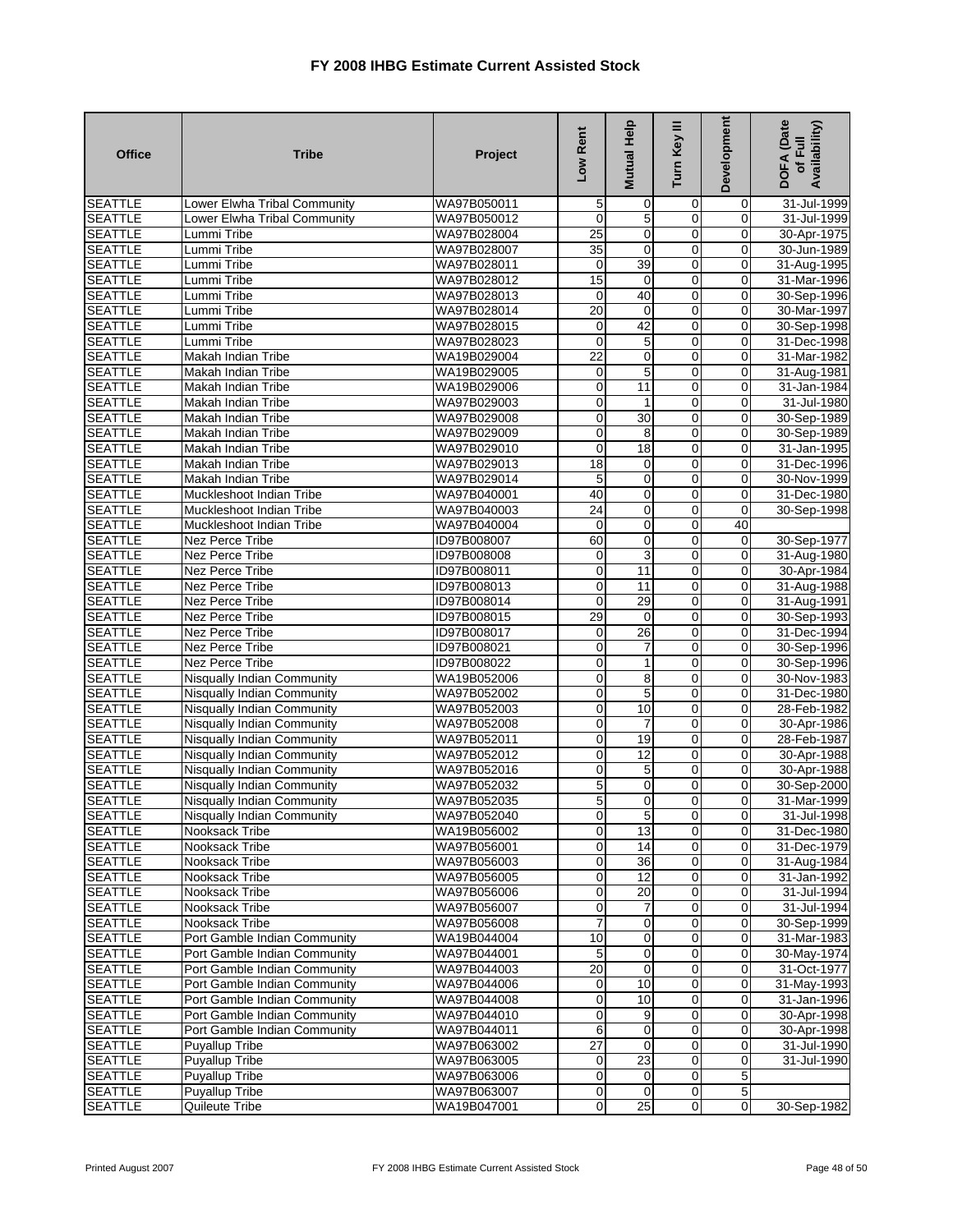| <b>Office</b>                    | <b>Tribe</b>                                         | Project                    | Low Rent        | Mutual Help      | Turn Key III     | Development             | DOFA (Date<br>Availability)<br>of Full |
|----------------------------------|------------------------------------------------------|----------------------------|-----------------|------------------|------------------|-------------------------|----------------------------------------|
| <b>SEATTLE</b>                   | Lower Elwha Tribal Community                         | WA97B050011                | 5               | 0                | 0                | 0                       | 31-Jul-1999                            |
| <b>SEATTLE</b>                   | Lower Elwha Tribal Community                         | WA97B050012                | $\mathbf 0$     | 5                | 0                | 0                       | 31-Jul-1999                            |
| <b>SEATTLE</b>                   | Lummi Tribe                                          | WA97B028004                | 25              | O                | $\overline{0}$   | 0                       | 30-Apr-1975                            |
| <b>SEATTLE</b>                   | Lummi Tribe                                          | WA97B028007                | $\overline{35}$ | $\mathbf{O}$     | 0                | $\mathbf 0$             | 30-Jun-1989                            |
| <b>SEATTLE</b>                   | Lummi Tribe                                          | WA97B028011                | $\mathbf 0$     | 39               | $\mathbf 0$      | $\mathbf 0$             | 31-Aug-1995                            |
| <b>SEATTLE</b>                   | Lummi Tribe                                          | WA97B028012                | 15              | $\mathbf 0$      | $\mathbf 0$      | $\mathbf 0$             | 31-Mar-1996                            |
| <b>SEATTLE</b>                   | Lummi Tribe                                          | WA97B028013                | $\mathbf 0$     | 40               | $\overline{0}$   | $\mathbf 0$             | 30-Sep-1996                            |
| <b>SEATTLE</b>                   | Lummi Tribe                                          | WA97B028014                | $\overline{20}$ | $\mathbf 0$      | 0                | 0                       | 30-Mar-1997                            |
| <b>SEATTLE</b>                   | Lummi Tribe                                          | WA97B028015                | 0               | 42               | $\overline{0}$   | $\mathbf 0$             | 30-Sep-1998                            |
| <b>SEATTLE</b>                   | Lummi Tribe                                          | WA97B028023                | 0               | 5                | 0                | 0                       | 31-Dec-1998                            |
| <b>SEATTLE</b>                   | Makah Indian Tribe                                   | WA19B029004                | $\overline{22}$ | $\pmb{0}$        | $\mathbf 0$      | $\overline{0}$          | 31-Mar-1982                            |
| <b>SEATTLE</b>                   | Makah Indian Tribe                                   | WA19B029005                | $\mathbf 0$     | $\overline{5}$   | $\overline{0}$   | $\overline{0}$          | 31-Aug-1981                            |
| <b>SEATTLE</b>                   | Makah Indian Tribe                                   | WA19B029006                | $\overline{0}$  | 11               | 0                | 0                       | 31-Jan-1984                            |
| <b>SEATTLE</b>                   | Makah Indian Tribe                                   | WA97B029003                | $\overline{0}$  | $\mathbf{1}$     | $\mathbf 0$      | $\overline{0}$          | 31-Jul-1980                            |
| <b>SEATTLE</b>                   | Makah Indian Tribe                                   | WA97B029008                | $\mathbf 0$     | 30               | 0                | $\mathbf 0$             | 30-Sep-1989                            |
| <b>SEATTLE</b>                   | Makah Indian Tribe                                   | WA97B029009                | $\mathbf 0$     | 8                | 0                | 0                       | 30-Sep-1989                            |
| <b>SEATTLE</b>                   | Makah Indian Tribe                                   | WA97B029010                | 0               | $\overline{18}$  | 0                | $\mathbf 0$             | 31-Jan-1995                            |
| <b>SEATTLE</b>                   | Makah Indian Tribe                                   | WA97B029013                | 18              | $\mathbf 0$      | $\mathbf 0$      | $\mathbf 0$             | 31-Dec-1996                            |
| <b>SEATTLE</b>                   | Makah Indian Tribe                                   | WA97B029014<br>WA97B040001 | 5<br>40         | $\mathbf 0$<br>O | $\mathbf 0$      | 0<br>$\mathbf 0$        | 30-Nov-1999                            |
| <b>SEATTLE</b><br><b>SEATTLE</b> | Muckleshoot Indian Tribe<br>Muckleshoot Indian Tribe | WA97B040003                | 24              | $\mathbf 0$      | $\mathbf 0$<br>0 | ō                       | 31-Dec-1980                            |
|                                  |                                                      |                            | 0               | $\mathbf 0$      | 0                | 40                      | 30-Sep-1998                            |
| <b>SEATTLE</b><br><b>SEATTLE</b> | Muckleshoot Indian Tribe<br>Nez Perce Tribe          | WA97B040004<br>ID97B008007 | 60              | $\mathbf{O}$     | $\mathbf 0$      | $\mathbf 0$             | 30-Sep-1977                            |
| <b>SEATTLE</b>                   | Nez Perce Tribe                                      | ID97B008008                | 0               | 3                | 0                | 0                       | 31-Aug-1980                            |
| <b>SEATTLE</b>                   | Nez Perce Tribe                                      | ID97B008011                | $\overline{0}$  | 11               | $\mathbf 0$      | 0                       | 30-Apr-1984                            |
| <b>SEATTLE</b>                   | Nez Perce Tribe                                      | ID97B008013                | $\mathbf 0$     | 11               | $\mathbf 0$      | 0                       | 31-Aug-1988                            |
| <b>SEATTLE</b>                   | Nez Perce Tribe                                      | ID97B008014                | $\mathbf 0$     | 29               | $\mathbf 0$      | 0                       | 31-Aug-1991                            |
| <b>SEATTLE</b>                   | Nez Perce Tribe                                      | ID97B008015                | 29              | O                | $\overline{0}$   | $\overline{0}$          | 30-Sep-1993                            |
| <b>SEATTLE</b>                   | Nez Perce Tribe                                      | ID97B008017                | $\mathbf 0$     | $\overline{26}$  | $\mathbf 0$      | $\mathbf 0$             | 31-Dec-1994                            |
| <b>SEATTLE</b>                   | Nez Perce Tribe                                      | ID97B008021                | $\mathbf 0$     | 7                | $\mathbf 0$      | $\mathbf 0$             | 30-Sep-1996                            |
| <b>SEATTLE</b>                   | Nez Perce Tribe                                      | ID97B008022                | $\mathbf 0$     | 1                | $\mathbf 0$      | $\mathbf 0$             | 30-Sep-1996                            |
| <b>SEATTLE</b>                   | Nisqually Indian Community                           | WA19B052006                | $\overline{0}$  | $\,8\,$          | $\overline{0}$   | $\overline{0}$          | 30-Nov-1983                            |
| <b>SEATTLE</b>                   | Nisqually Indian Community                           | WA97B052002                | 0               | 5                | 0                | ō                       | 31-Dec-1980                            |
| <b>SEATTLE</b>                   | Nisqually Indian Community                           | WA97B052003                | $\mathbf 0$     | 10               | $\overline{0}$   | $\mathbf 0$             | 28-Feb-1982                            |
| <b>SEATTLE</b>                   | Nisqually Indian Community                           | WA97B052008                | $\overline{0}$  | $\overline{7}$   | 0                | 0                       | 30-Apr-1986                            |
| <b>SEATTLE</b>                   | Nisqually Indian Community                           | WA97B052011                | $\overline{0}$  | 19               | $\mathbf 0$      | $\overline{\mathbf{0}}$ | 28-Feb-1987                            |
| <b>SEATTLE</b>                   | Nisqually Indian Community                           | WA97B052012                | $\overline{0}$  | 12               | $\mathbf 0$      | $\overline{0}$          | 30-Apr-1988                            |
| <b>SEATTLE</b>                   | Nisqually Indian Community                           | WA97B052016                | $\overline{0}$  | 5                | 0                | $\mathbf 0$             | 30-Apr-1988                            |
| <b>SEATTLE</b>                   | Nisqually Indian Community                           | WA97B052032                | $\overline{5}$  | $\mathbf 0$      | $\mathbf 0$      | $\mathbf 0$             | 30-Sep-2000                            |
| <b>SEATTLE</b>                   | Nisqually Indian Community                           | WA97B052035                | 5               | 0                | 0                | 0                       | 31-Mar-1999                            |
| <b>SEATTLE</b>                   | Nisqually Indian Community                           | WA97B052040                | $\overline{0}$  | $\overline{5}$   | 0                | $\overline{0}$          | 31-Jul-1998                            |
| <b>SEATTLE</b>                   | Nooksack Tribe                                       | WA19B056002                | $\overline{0}$  | 13               | 0                | $\mathbf{O}$            | 31-Dec-1980                            |
| <b>SEATTLE</b>                   | Nooksack Tribe                                       | WA97B056001                | $\overline{0}$  | 14               | $\mathbf 0$      | $\mathbf 0$             | 31-Dec-1979                            |
| <b>SEATTLE</b>                   | Nooksack Tribe                                       | WA97B056003                | $\mathbf 0$     | 36               | 0                | $\mathbf 0$             | 31-Aug-1984                            |
| <b>SEATTLE</b>                   | Nooksack Tribe                                       | WA97B056005                | $\overline{0}$  | $\overline{12}$  | 0                | $\mathbf 0$             | 31-Jan-1992                            |
| <b>SEATTLE</b>                   | Nooksack Tribe                                       | WA97B056006                | $\overline{0}$  | $\overline{20}$  | 0                | 0                       | 31-Jul-1994                            |
| <b>SEATTLE</b>                   | Nooksack Tribe                                       | WA97B056007                | $\overline{0}$  | 7                | 0                | $\mathbf 0$             | 31-Jul-1994                            |
| <b>SEATTLE</b>                   | Nooksack Tribe                                       | WA97B056008                | $\overline{7}$  | $\mathbf 0$      | 0                | $\mathbf{O}$            | 30-Sep-1999                            |
| <b>SEATTLE</b>                   | Port Gamble Indian Community                         | WA19B044004                | $\overline{10}$ | $\mathbf 0$      | 0                | 0                       | 31-Mar-1983                            |
| <b>SEATTLE</b>                   | Port Gamble Indian Community                         | WA97B044001                | 5               | $\mathbf 0$      | 0                | o                       | 30-May-1974                            |
| <b>SEATTLE</b>                   | Port Gamble Indian Community                         | WA97B044003                | 20              | $\overline{0}$   | 0                | $\mathbf 0$             | 31-Oct-1977                            |
| <b>SEATTLE</b>                   | Port Gamble Indian Community                         | WA97B044006                | $\mathbf 0$     | 10               | 0                | $\overline{0}$          | 31-May-1993                            |
| <b>SEATTLE</b>                   | Port Gamble Indian Community                         | WA97B044008                | $\overline{0}$  | $\overline{10}$  | $\overline{0}$   | $\overline{0}$          | 31-Jan-1996                            |
| <b>SEATTLE</b>                   | Port Gamble Indian Community                         | WA97B044010                | $\overline{0}$  | 9                | 0                | $\overline{0}$          | 30-Apr-1998                            |
| <b>SEATTLE</b>                   | Port Gamble Indian Community                         | WA97B044011                | 6               | $\mathbf 0$      | 0                | $\mathbf 0$             | 30-Apr-1998                            |
| <b>SEATTLE</b>                   | Puyallup Tribe                                       | WA97B063002                | $\overline{27}$ | $\mathbf 0$      | 0                | $\mathbf 0$             | $31 -$ Jul-1990                        |
| <b>SEATTLE</b>                   | Puyallup Tribe                                       | WA97B063005                | $\overline{0}$  | 23               | $\mathbf 0$      | $\mathbf 0$             | 31-Jul-1990                            |
| <b>SEATTLE</b>                   | Puyallup Tribe                                       | WA97B063006                | $\overline{0}$  | 0                | 0                | 5                       |                                        |
| <b>SEATTLE</b>                   | Puyallup Tribe                                       | WA97B063007                | $\mathbf 0$     | $\mathbf 0$      | 0                | 5                       |                                        |
| <b>SEATTLE</b>                   | Quileute Tribe                                       | WA19B047001                | $\overline{0}$  | 25               | 0                | $\overline{0}$          | 30-Sep-1982                            |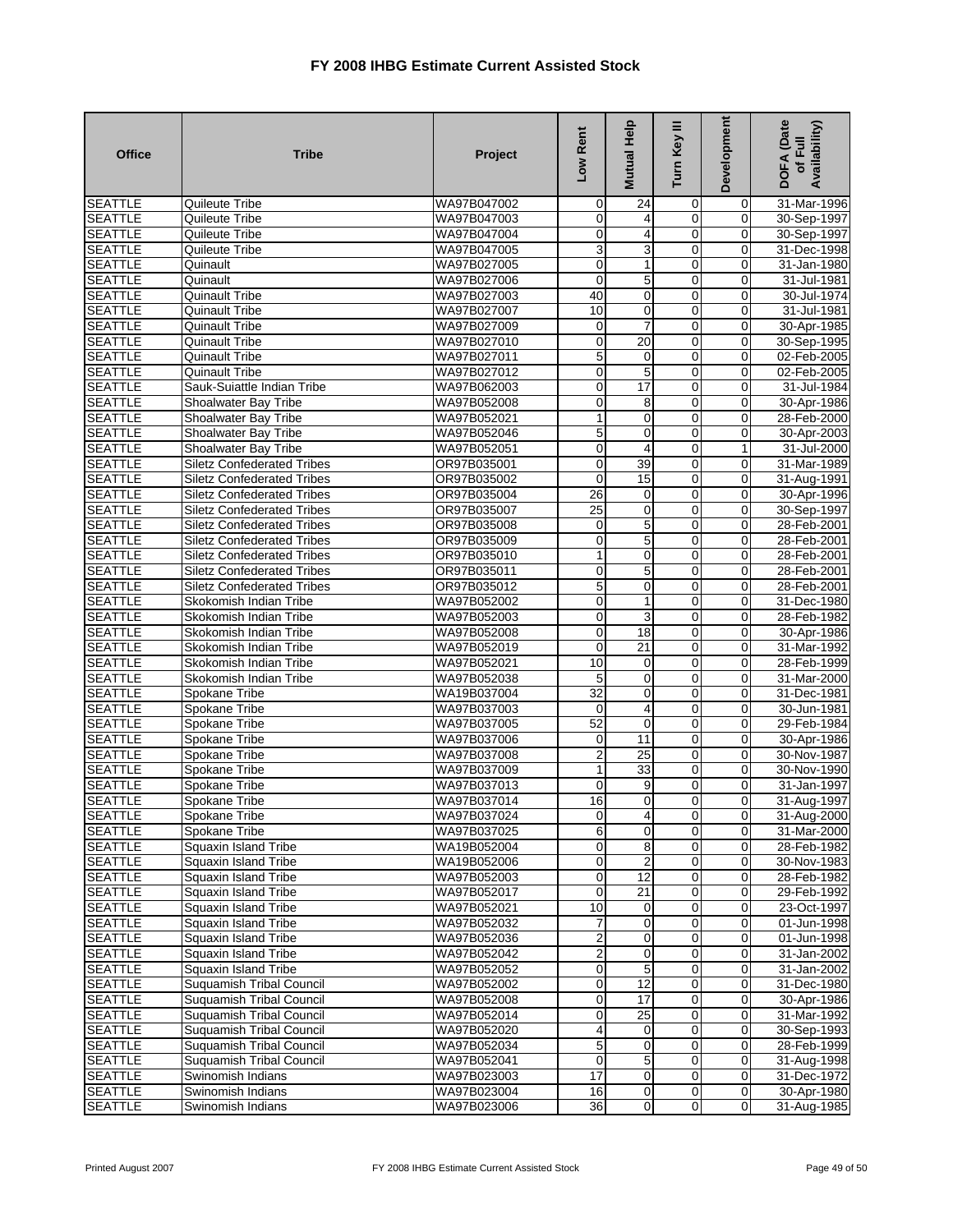| <b>Office</b>                    | <b>Tribe</b>                                                           | Project                    | Low Rent                      | Mutual Help     | Turn Key III     | Development             | DOFA (Date<br>Availability)<br>of Full |
|----------------------------------|------------------------------------------------------------------------|----------------------------|-------------------------------|-----------------|------------------|-------------------------|----------------------------------------|
| <b>SEATTLE</b>                   | Quileute Tribe                                                         | WA97B047002                | $\mathbf 0$                   | 24              | 0                | $\mathbf 0$             | 31-Mar-1996                            |
| <b>SEATTLE</b>                   | Quileute Tribe                                                         | WA97B047003                | $\mathbf 0$                   | 4               | 0                | $\mathbf 0$             | 30-Sep-1997                            |
| <b>SEATTLE</b>                   | Quileute Tribe                                                         | WA97B047004                | $\mathbf 0$                   | 4               | $\overline{0}$   | $\mathbf 0$             | 30-Sep-1997                            |
| <b>SEATTLE</b>                   | <b>Quileute Tribe</b>                                                  | WA97B047005                | 3                             | 3               | 0                | $\mathbf{O}$            | 31-Dec-1998                            |
| <b>SEATTLE</b>                   | Quinault                                                               | WA97B027005                | $\mathbf 0$                   | 1               | $\mathbf 0$      | $\mathbf 0$             | 31-Jan-1980                            |
| <b>SEATTLE</b>                   | Quinault                                                               | WA97B027006                | $\mathbf 0$                   | 5               | 0                | $\mathbf 0$             | 31-Jul-1981                            |
| <b>SEATTLE</b>                   | <b>Quinault Tribe</b>                                                  | WA97B027003                | 40                            | 0               | $\overline{0}$   | $\mathbf 0$             | 30-Jul-1974                            |
| <b>SEATTLE</b>                   | <b>Quinault Tribe</b>                                                  | WA97B027007                | 10                            | 0               | 0                | $\mathbf 0$             | 31-Jul-1981                            |
| <b>SEATTLE</b>                   | Quinault Tribe                                                         | WA97B027009                | 0                             | $\overline{7}$  | $\mathbf 0$      | $\mathbf 0$             | 30-Apr-1985                            |
| <b>SEATTLE</b>                   | Quinault Tribe                                                         | WA97B027010                | $\overline{0}$                | 20              | 0                | 0                       | 30-Sep-1995                            |
| <b>SEATTLE</b>                   | Quinault Tribe                                                         | WA97B027011                | $\overline{5}$                | 0               | $\mathbf 0$      | $\mathbf 0$             | 02-Feb-2005                            |
| <b>SEATTLE</b>                   | <b>Quinault Tribe</b>                                                  | WA97B027012                | $\overline{0}$                | 5               | 0                | $\overline{0}$          | 02-Feb-2005                            |
| <b>SEATTLE</b>                   | Sauk-Suiattle Indian Tribe                                             | WA97B062003                | $\mathbf 0$                   | 17              | 0                | $\mathbf 0$             | 31-Jul-1984                            |
| <b>SEATTLE</b>                   | Shoalwater Bay Tribe                                                   | WA97B052008                | $\mathbf 0$                   | 8               | $\mathbf 0$      | $\mathbf 0$             | 30-Apr-1986                            |
| <b>SEATTLE</b>                   | Shoalwater Bay Tribe                                                   | WA97B052021                | $\mathbf{1}$                  | $\mathbf 0$     | 0                | $\mathbf 0$             | 28-Feb-2000                            |
| <b>SEATTLE</b>                   | Shoalwater Bay Tribe                                                   | WA97B052046                | 5                             | $\mathbf 0$     | 0                | $\mathbf 0$             | 30-Apr-2003                            |
| <b>SEATTLE</b>                   | Shoalwater Bay Tribe                                                   | WA97B052051                | $\overline{0}$                | $\overline{4}$  | $\overline{0}$   | $\mathbf{1}$            | 31-Jul-2000                            |
| <b>SEATTLE</b>                   | <b>Siletz Confederated Tribes</b>                                      | OR97B035001                | $\mathbf 0$                   | 39              | $\mathbf 0$      | $\overline{0}$          | 31-Mar-1989                            |
| <b>SEATTLE</b>                   | <b>Siletz Confederated Tribes</b>                                      | OR97B035002                | $\mathbf 0$                   | 15              | 0                | $\mathbf 0$             | 31-Aug-1991                            |
| <b>SEATTLE</b>                   | <b>Siletz Confederated Tribes</b>                                      | OR97B035004                | 26<br>25                      | 0               | 0                | $\mathbf 0$             | 30-Apr-1996                            |
| <b>SEATTLE</b>                   | <b>Siletz Confederated Tribes</b>                                      | OR97B035007                |                               | $\mathbf 0$     | 0                | 0                       | 30-Sep-1997                            |
| <b>SEATTLE</b><br><b>SEATTLE</b> | <b>Siletz Confederated Tribes</b><br><b>Siletz Confederated Tribes</b> | OR97B035008<br>OR97B035009 | $\overline{0}$<br>$\mathbf 0$ | 5<br>5          | 0<br>$\mathbf 0$ | $\mathbf 0$<br>$\Omega$ | 28-Feb-2001<br>28-Feb-2001             |
| <b>SEATTLE</b>                   | <b>Siletz Confederated Tribes</b>                                      | OR97B035010                | 1                             | 0               | 0                | 0                       | 28-Feb-2001                            |
| <b>SEATTLE</b>                   | <b>Siletz Confederated Tribes</b>                                      | OR97B035011                | $\mathbf 0$                   | 5               | $\overline{0}$   | $\mathbf 0$             | 28-Feb-2001                            |
| <b>SEATTLE</b>                   | <b>Siletz Confederated Tribes</b>                                      | OR97B035012                | 5                             | $\mathbf 0$     | 0                | $\overline{0}$          | 28-Feb-2001                            |
| <b>SEATTLE</b>                   | Skokomish Indian Tribe                                                 | WA97B052002                | $\pmb{0}$                     | 1               | 0                | $\mathbf 0$             | 31-Dec-1980                            |
| <b>SEATTLE</b>                   | Skokomish Indian Tribe                                                 | WA97B052003                | $\overline{0}$                | 3               | $\overline{0}$   | $\mathbf{O}$            | 28-Feb-1982                            |
| <b>SEATTLE</b>                   | Skokomish Indian Tribe                                                 | WA97B052008                | $\mathbf 0$                   | 18              | 0                | $\overline{0}$          | 30-Apr-1986                            |
| <b>SEATTLE</b>                   | Skokomish Indian Tribe                                                 | WA97B052019                | 0                             | 21              | 0                | $\mathbf 0$             | 31-Mar-1992                            |
| <b>SEATTLE</b>                   | Skokomish Indian Tribe                                                 | WA97B052021                | 10                            | 0               | $\mathbf 0$      | $\mathbf 0$             | 28-Feb-1999                            |
| <b>SEATTLE</b>                   | Skokomish Indian Tribe                                                 | WA97B052038                | 5                             | $\mathbf 0$     | $\mathbf 0$      | $\mathbf 0$             | 31-Mar-2000                            |
| <b>SEATTLE</b>                   | Spokane Tribe                                                          | WA19B037004                | $\overline{32}$               | $\mathbf 0$     | 0                | $\mathbf 0$             | 31-Dec-1981                            |
| <b>SEATTLE</b>                   | Spokane Tribe                                                          | WA97B037003                | $\mathbf 0$                   | 4               | $\mathbf 0$      | $\mathbf 0$             | 30-Jun-1981                            |
| <b>SEATTLE</b>                   | Spokane Tribe                                                          | WA97B037005                | 52                            | $\mathbf 0$     | 0                | 0                       | 29-Feb-1984                            |
| <b>SEATTLE</b>                   | Spokane Tribe                                                          | WA97B037006                | 0                             | 11              | $\mathbf 0$      | $\mathbf 0$             | 30-Apr-1986                            |
| <b>SEATTLE</b>                   | Spokane Tribe                                                          | WA97B037008                | $\overline{2}$                | $\overline{25}$ | $\overline{0}$   | $\overline{0}$          | 30-Nov-1987                            |
| <b>SEATTLE</b>                   | Spokane Tribe                                                          | WA97B037009                | 1                             | 33              | 0                | $\mathbf 0$             | 30-Nov-1990                            |
| <b>SEATTLE</b>                   | Spokane Tribe                                                          | WA97B037013                | 0                             | 9               | $\mathbf 0$      | $\mathbf 0$             | 31-Jan-1997                            |
| <b>SEATTLE</b>                   | Spokane Tribe                                                          | WA97B037014                | 16                            | 0               | 0                | $\mathbf 0$             | 31-Aug-1997                            |
| <b>SEATTLE</b>                   | Spokane Tribe                                                          | WA97B037024                | $\overline{O}$                | $\frac{4}{3}$   | $\overline{0}$   | $\overline{0}$          | 31-Aug-2000                            |
| <b>SEATTLE</b>                   | Spokane Tribe                                                          | WA97B037025                | 6                             | $\mathbf 0$     | $\overline{0}$   | $\mathbf{O}$            | 31-Mar-2000                            |
| <b>SEATTLE</b>                   | <b>Squaxin Island Tribe</b>                                            | WA19B052004                | $\overline{0}$                | 8               | $\mathbf 0$      | $\mathbf 0$             | 28-Feb-1982                            |
| <b>SEATTLE</b>                   | Squaxin Island Tribe                                                   | WA19B052006                | $\overline{0}$                | $\overline{2}$  | $\pmb{0}$        | $\mathbf 0$             | 30-Nov-1983                            |
| <b>SEATTLE</b>                   | Squaxin Island Tribe                                                   | WA97B052003                | $\overline{0}$                | $\overline{12}$ | $\pmb{0}$        | $\overline{0}$          | 28-Feb-1982                            |
| <b>SEATTLE</b>                   | Squaxin Island Tribe                                                   | WA97B052017                | $\overline{0}$                | $\overline{21}$ | 0                | $\overline{0}$          | 29-Feb-1992                            |
| <b>SEATTLE</b>                   | Squaxin Island Tribe                                                   | WA97B052021                | 10                            | 0               | $\mathbf 0$      | $\mathbf 0$             | 23-Oct-1997                            |
| <b>SEATTLE</b>                   | Squaxin Island Tribe                                                   | WA97B052032                | $\overline{7}$                | $\mathbf 0$     | 0                | $\mathbf 0$             | 01-Jun-1998                            |
| <b>SEATTLE</b>                   | Squaxin Island Tribe                                                   | WA97B052036                | $\overline{c}$                | 0               | $\overline{0}$   | $\mathbf 0$             | 01-Jun-1998                            |
| <b>SEATTLE</b>                   | <b>Squaxin Island Tribe</b>                                            | WA97B052042                | 2                             | 0               | $\pmb{0}$        | $\mathbf 0$             | 31-Jan-2002                            |
| <b>SEATTLE</b>                   | Squaxin Island Tribe                                                   | WA97B052052                | $\overline{0}$                | 5               | 0                | $\mathbf 0$             | 31-Jan-2002                            |
| <b>SEATTLE</b>                   | Suquamish Tribal Council                                               | WA97B052002                | $\overline{O}$                | 12              | $\mathbf 0$      | $\overline{0}$          | 31-Dec-1980                            |
| <b>SEATTLE</b>                   | <b>Suquamish Tribal Council</b>                                        | WA97B052008                | $\overline{0}$                | 17              | $\overline{0}$   | $\overline{0}$          | 30-Apr-1986                            |
| <b>SEATTLE</b>                   | Suquamish Tribal Council                                               | WA97B052014                | $\overline{0}$                | 25              | $\mathbf 0$      | $\overline{0}$          | 31-Mar-1992                            |
| <b>SEATTLE</b>                   | Suquamish Tribal Council                                               | WA97B052020                | $\overline{\mathbf{4}}$       | 0               | $\mathbf 0$      | $\overline{0}$          | 30-Sep-1993                            |
| <b>SEATTLE</b>                   | Suquamish Tribal Council                                               | WA97B052034                | 5                             | $\pmb{0}$       | $\mathbf 0$      | $\overline{0}$          | 28-Feb-1999                            |
| <b>SEATTLE</b>                   | <b>Suquamish Tribal Council</b>                                        | WA97B052041                | $\overline{0}$                | 5               | $\mathbf 0$      | $\overline{0}$          | 31-Aug-1998                            |
| <b>SEATTLE</b>                   | Swinomish Indians                                                      | WA97B023003                | 17                            | 0               | $\mathbf 0$      | $\overline{0}$          | 31-Dec-1972                            |
| <b>SEATTLE</b>                   | Swinomish Indians                                                      | WA97B023004                | 16                            | $\mathbf 0$     | $\mathbf 0$      | $\mathbf 0$             | 30-Apr-1980                            |
| <b>SEATTLE</b>                   | Swinomish Indians                                                      | WA97B023006                | 36                            | 0               | $\mathbf 0$      | $\mathbf 0$             | 31-Aug-1985                            |